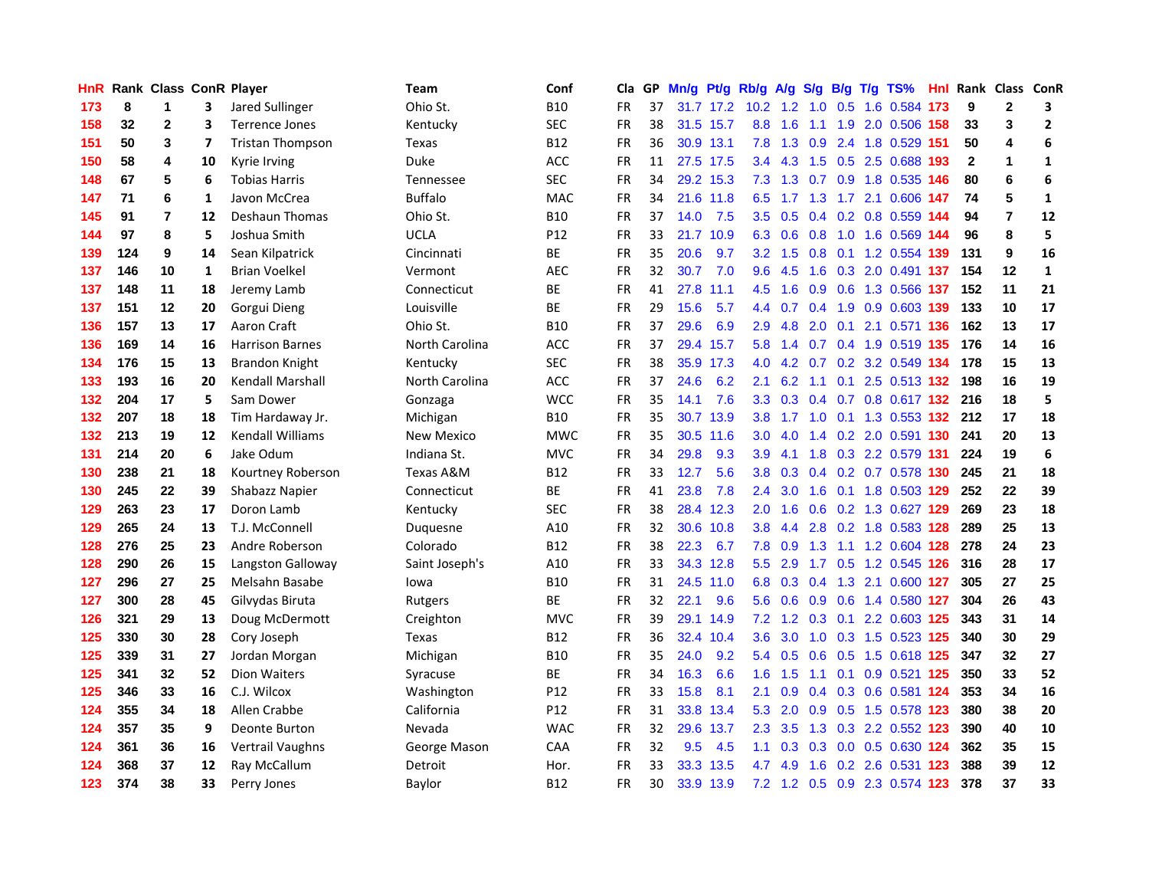| HnR. |     | Rank Class ConR Player |    |                         | Team           | Conf       | Cla       | GP. | Mn/g Pt/g Rb/g A/g |           |                   |                 |               |     | S/g B/g T/g TS%                   | Hnl  | Rank Class ConR |                |                |
|------|-----|------------------------|----|-------------------------|----------------|------------|-----------|-----|--------------------|-----------|-------------------|-----------------|---------------|-----|-----------------------------------|------|-----------------|----------------|----------------|
| 173  | 8   | 1                      | 3  | Jared Sullinger         | Ohio St.       | <b>B10</b> | FR        | 37  |                    | 31.7 17.2 | 10.2 <sub>1</sub> | 1.2             | 1.0           | 0.5 | 1.6 0.584                         | 173  | 9               | $\mathbf 2$    | 3              |
| 158  | 32  | $\overline{2}$         | 3  | <b>Terrence Jones</b>   | Kentucky       | <b>SEC</b> | <b>FR</b> | 38  |                    | 31.5 15.7 | 8.8               | 1.6             | 1.1           | 1.9 | 2.0 0.506                         | 158  | 33              | 3              | $\overline{2}$ |
| 151  | 50  | 3                      | 7  | <b>Tristan Thompson</b> | Texas          | <b>B12</b> | <b>FR</b> | 36  |                    | 30.9 13.1 | 7.8               | 1.3             | 0.9           | 2.4 | 1.8 0.529                         | 151  | 50              | 4              | 6              |
| 150  | 58  | 4                      | 10 | Kyrie Irving            | Duke           | ACC        | <b>FR</b> | 11  |                    | 27.5 17.5 |                   | $3.4$ 4.3       | 1.5           |     | $0.5$ 2.5 0.688                   | -193 | $\mathbf{2}$    | 1              | 1              |
| 148  | 67  | 5                      | 6  | <b>Tobias Harris</b>    | Tennessee      | <b>SEC</b> | FR        | 34  |                    | 29.2 15.3 |                   |                 |               |     | 7.3 1.3 0.7 0.9 1.8 0.535 146     |      | 80              | 6              | 6              |
| 147  | 71  | 6                      | 1  | Javon McCrea            | <b>Buffalo</b> | <b>MAC</b> | <b>FR</b> | 34  |                    | 21.6 11.8 |                   | 6.5 1.7         |               |     | 1.3 1.7 2.1 0.606 147             |      | 74              | 5              | $\mathbf{1}$   |
| 145  | 91  | $\overline{7}$         | 12 | <b>Deshaun Thomas</b>   | Ohio St.       | <b>B10</b> | <b>FR</b> | 37  | 14.0               | 7.5       |                   | $3.5 \quad 0.5$ |               |     | 0.4 0.2 0.8 0.559 144             |      | 94              | $\overline{7}$ | 12             |
| 144  | 97  | 8                      | 5  | Joshua Smith            | <b>UCLA</b>    | P12        | FR        | 33  |                    | 21.7 10.9 | 6.3               | 0.6             | 0.8           |     | 1.0 1.6 0.569 144                 |      | 96              | 8              | 5              |
| 139  | 124 | 9                      | 14 | Sean Kilpatrick         | Cincinnati     | BE         | <b>FR</b> | 35  | 20.6               | 9.7       | 3.2               | 1.5             | 0.8           |     | 0.1 1.2 0.554 139                 |      | 131             | 9              | 16             |
| 137  | 146 | 10                     | 1  | <b>Brian Voelkel</b>    | Vermont        | <b>AEC</b> | <b>FR</b> | 32  | 30.7               | 7.0       | 9.6               | 4.5             | 1.6           |     | 0.3 2.0 0.491 137                 |      | 154             | 12             | $\mathbf{1}$   |
| 137  | 148 | 11                     | 18 | Jeremy Lamb             | Connecticut    | BE         | <b>FR</b> | 41  |                    | 27.8 11.1 | 4.5               | 1.6             | 0.9           |     | 0.6 1.3 0.566                     | 137  | 152             | 11             | 21             |
| 137  | 151 | 12                     | 20 | Gorgui Dieng            | Louisville     | <b>BE</b>  | <b>FR</b> | 29  | 15.6               | 5.7       | 4.4               | 0.7             | $0.4^{\circ}$ | 1.9 | 0.9 0.603 139                     |      | 133             | 10             | 17             |
| 136  | 157 | 13                     | 17 | Aaron Craft             | Ohio St.       | <b>B10</b> | <b>FR</b> | 37  | 29.6               | 6.9       | 2.9               | 4.8             | 2.0           | 0.1 | 2.1 0.571                         | -136 | 162             | 13             | 17             |
| 136  | 169 | 14                     | 16 | <b>Harrison Barnes</b>  | North Carolina | <b>ACC</b> | FR        | 37  |                    | 29.4 15.7 | 5.8               | 1.4             | 0.7           |     | 0.4 1.9 0.519 135                 |      | 176             | 14             | 16             |
| 134  | 176 | 15                     | 13 | <b>Brandon Knight</b>   | Kentucky       | <b>SEC</b> | <b>FR</b> | 38  |                    | 35.9 17.3 | 4.0               | 4.2             | 0.7           | 0.2 | 3.2 0.549 134                     |      | 178             | 15             | 13             |
| 133  | 193 | 16                     | 20 | Kendall Marshall        | North Carolina | <b>ACC</b> | FR        | 37  | 24.6               | 6.2       | 2.1               | 6.2             | 1.1           | 0.1 | 2.5 0.513 132                     |      | 198             | 16             | 19             |
| 132  | 204 | 17                     | 5  | Sam Dower               | Gonzaga        | <b>WCC</b> | FR        | 35  | 14.1               | 7.6       |                   |                 |               |     | 3.3 0.3 0.4 0.7 0.8 0.617 132 216 |      |                 | 18             | 5              |
| 132  | 207 | 18                     | 18 | Tim Hardaway Jr.        | Michigan       | <b>B10</b> | FR        | 35  |                    | 30.7 13.9 |                   | $3.8$ 1.7       |               |     | 1.0 0.1 1.3 0.553 132 212         |      |                 | 17             | 18             |
| 132  | 213 | 19                     | 12 | <b>Kendall Williams</b> | New Mexico     | <b>MWC</b> | FR        | 35  |                    | 30.5 11.6 | 3.0 <sub>1</sub>  | 4.0             |               |     | 1.4 0.2 2.0 0.591 130             |      | 241             | 20             | 13             |
| 131  | 214 | 20                     | 6  | Jake Odum               | Indiana St.    | <b>MVC</b> | FR        | 34  | 29.8               | 9.3       | 3.9               | 4.1             |               |     | 1.8 0.3 2.2 0.579 131             |      | 224             | 19             | 6              |
| 130  | 238 | 21                     | 18 | Kourtney Roberson       | Texas A&M      | <b>B12</b> | <b>FR</b> | 33  | 12.7               | 5.6       | 3.8 <sub>1</sub>  | 0.3             |               |     | 0.4 0.2 0.7 0.578 130             |      | 245             | 21             | 18             |
| 130  | 245 | 22                     | 39 | Shabazz Napier          | Connecticut    | ВE         | <b>FR</b> | 41  | 23.8               | 7.8       | $2.4^{\circ}$     | 3.0             | 1.6           |     | 0.1 1.8 0.503 129                 |      | 252             | 22             | 39             |
| 129  | 263 | 23                     | 17 | Doron Lamb              | Kentucky       | <b>SEC</b> | <b>FR</b> | 38  | 28.4               | 12.3      | 2.0 <sub>1</sub>  | 1.6             | 0.6           |     | 0.2 1.3 0.627 129                 |      | 269             | 23             | 18             |
| 129  | 265 | 24                     | 13 | T.J. McConnell          | Duquesne       | A10        | FR        | 32  |                    | 30.6 10.8 | 3.8               | 4.4             |               |     | 2.8 0.2 1.8 0.583 128             |      | 289             | 25             | 13             |
| 128  | 276 | 25                     | 23 | Andre Roberson          | Colorado       | <b>B12</b> | <b>FR</b> | 38  | 22.3               | 6.7       | 7.8               | 0.9             | 1.3           | 1.1 | 1.2 0.604                         | 128  | 278             | 24             | 23             |
| 128  | 290 | 26                     | 15 | Langston Galloway       | Saint Joseph's | A10        | <b>FR</b> | 33  |                    | 34.3 12.8 | 5.5               | 2.9             | 1.7           | 0.5 | 1.2 0.545 126                     |      | 316             | 28             | 17             |
| 127  | 296 | 27                     | 25 | Melsahn Basabe          | lowa           | <b>B10</b> | FR        | 31  |                    | 24.5 11.0 | 6.8               | 0.3             | 0.4           | 1.3 | 2.1 0.600 127                     |      | 305             | 27             | 25             |
| 127  | 300 | 28                     | 45 | Gilvydas Biruta         | Rutgers        | <b>BE</b>  | <b>FR</b> | 32  | 22.1               | 9.6       | 5.6               | 0.6             | 0.9           | 0.6 | 1.4 0.580 127                     |      | 304             | 26             | 43             |
| 126  | 321 | 29                     | 13 | Doug McDermott          | Creighton      | <b>MVC</b> | <b>FR</b> | 39  |                    | 29.1 14.9 | 7.2               |                 |               |     | 1.2 0.3 0.1 2.2 0.603 125         |      | 343             | 31             | 14             |
| 125  | 330 | 30                     | 28 | Cory Joseph             | Texas          | <b>B12</b> | <b>FR</b> | 36  |                    | 32.4 10.4 | 3.6               | 3.0             |               |     | 1.0 0.3 1.5 0.523 125             |      | 340             | 30             | 29             |
| 125  | 339 | 31                     | 27 | Jordan Morgan           | Michigan       | <b>B10</b> | FR        | 35  | 24.0               | 9.2       |                   | $5.4\quad 0.5$  |               |     | 0.6 0.5 1.5 0.618 125             |      | 347             | 32             | 27             |
| 125  | 341 | 32                     | 52 | <b>Dion Waiters</b>     | Syracuse       | <b>BE</b>  | <b>FR</b> | 34  | 16.3               | 6.6       | 1.6 <sup>1</sup>  | 1.5             | 1.1           |     | 0.1 0.9 0.521 125                 |      | 350             | 33             | 52             |
| 125  | 346 | 33                     | 16 | C.J. Wilcox             | Washington     | P12        | FR        | 33  | 15.8               | 8.1       | 2.1               | 0.9             |               |     | 0.4 0.3 0.6 0.581 124             |      | 353             | 34             | 16             |
| 124  | 355 | 34                     | 18 | Allen Crabbe            | California     | P12        | <b>FR</b> | 31  |                    | 33.8 13.4 | 5.3               | 2.0             | 0.9           |     | 0.5 1.5 0.578 123                 |      | 380             | 38             | 20             |
| 124  | 357 | 35                     | 9  | Deonte Burton           | Nevada         | <b>WAC</b> | <b>FR</b> | 32  | 29.6               | 13.7      | $2.3^{\circ}$     | 3.5             | 1.3           |     | 0.3 2.2 0.552 123                 |      | 390             | 40             | 10             |
| 124  | 361 | 36                     | 16 | Vertrail Vaughns        | George Mason   | CAA        | <b>FR</b> | 32  | 9.5                | 4.5       | 1.1               | 0.3             | 0.3           | 0.0 | 0.5 0.630 124                     |      | 362             | 35             | 15             |
| 124  | 368 | 37                     | 12 | Ray McCallum            | Detroit        | Hor.       | FR        | 33  |                    | 33.3 13.5 | 4.7               | 4.9             | 1.6           | 0.2 | 2.6 0.531                         | 123  | 388             | 39             | 12             |
| 123  | 374 | 38                     | 33 | Perry Jones             | Baylor         | <b>B12</b> | <b>FR</b> | 30  |                    | 33.9 13.9 |                   |                 |               |     | 7.2 1.2 0.5 0.9 2.3 0.574 123     |      | 378             | 37             | 33             |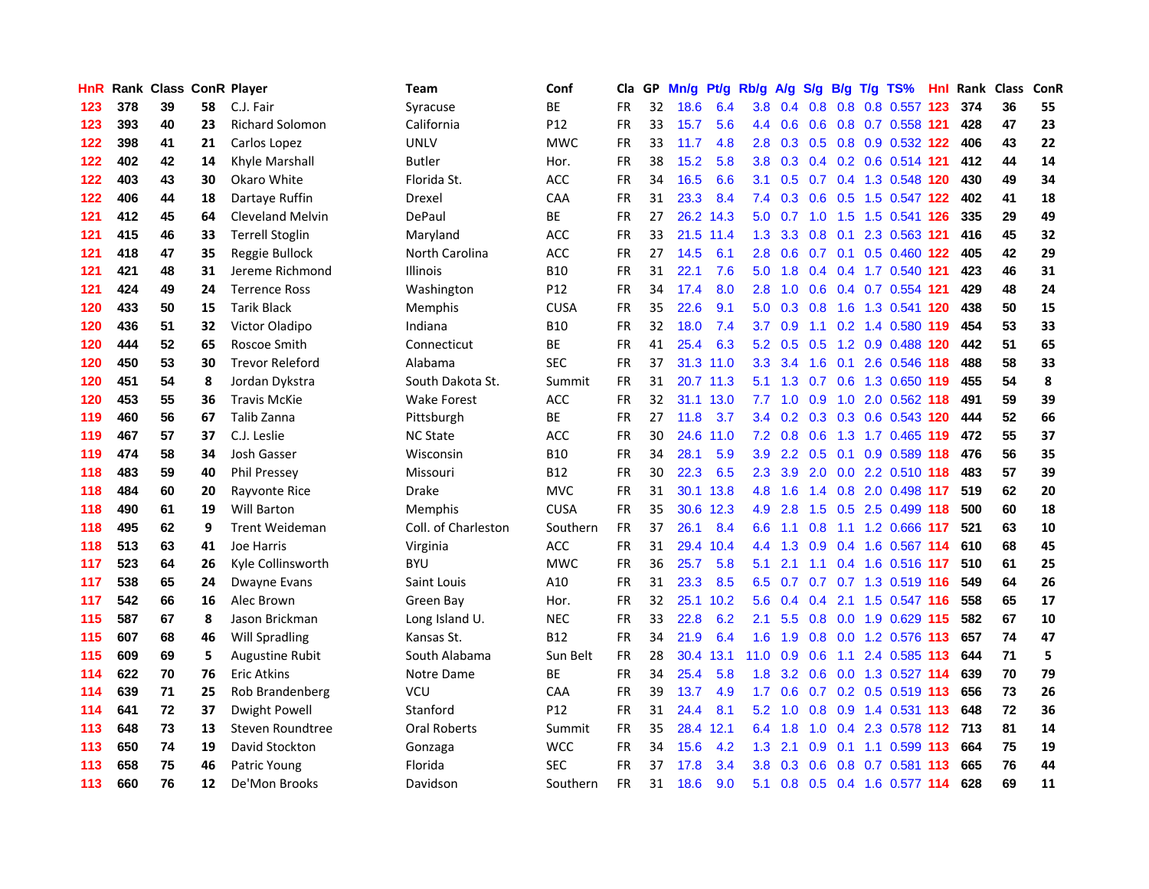| HnR. |     | Rank Class ConR Player |    |                         | Team                | Conf            | Cla       |    | GP Mn/g   | Pt/g Rb/g |                  | A/g |                 |                 | S/g B/g T/g TS%               | Hnl  |     | <b>Rank Class ConR</b> |    |
|------|-----|------------------------|----|-------------------------|---------------------|-----------------|-----------|----|-----------|-----------|------------------|-----|-----------------|-----------------|-------------------------------|------|-----|------------------------|----|
| 123  | 378 | 39                     | 58 | C.J. Fair               | Syracuse            | <b>BE</b>       | <b>FR</b> | 32 | 18.6      | 6.4       | 3.8              | 0.4 | 0.8             | 0.8             | 0.8 0.557                     | 123  | 374 | 36                     | 55 |
| 123  | 393 | 40                     | 23 | <b>Richard Solomon</b>  | California          | P <sub>12</sub> | <b>FR</b> | 33 | 15.7      | 5.6       | $4.4^{\circ}$    | 0.6 | 0.6             | 0.8             | 0.7 0.558 121                 |      | 428 | 47                     | 23 |
| 122  | 398 | 41                     | 21 | Carlos Lopez            | <b>UNLV</b>         | <b>MWC</b>      | <b>FR</b> | 33 | 11.7      | 4.8       | 2.8              | 0.3 |                 |                 | 0.5 0.8 0.9 0.532 122         |      | 406 | 43                     | 22 |
| 122  | 402 | 42                     | 14 | Khyle Marshall          | <b>Butler</b>       | Hor.            | <b>FR</b> | 38 | 15.2      | 5.8       | 3.8 <sub>1</sub> |     |                 |                 | 0.3 0.4 0.2 0.6 0.514 121     |      | 412 | 44                     | 14 |
| 122  | 403 | 43                     | 30 | Okaro White             | Florida St.         | <b>ACC</b>      | FR        | 34 | 16.5      | 6.6       | 3.1              |     |                 |                 | 0.5 0.7 0.4 1.3 0.548 120     |      | 430 | 49                     | 34 |
| 122  | 406 | 44                     | 18 | Dartaye Ruffin          | Drexel              | CAA             | <b>FR</b> | 31 | 23.3      | 8.4       |                  |     |                 |                 | 7.4 0.3 0.6 0.5 1.5 0.547 122 |      | 402 | 41                     | 18 |
| 121  | 412 | 45                     | 64 | <b>Cleveland Melvin</b> | DePaul              | <b>BE</b>       | <b>FR</b> | 27 |           | 26.2 14.3 | 5.0              | 0.7 |                 |                 | 1.0 1.5 1.5 0.541 126         |      | 335 | 29                     | 49 |
| 121  | 415 | 46                     | 33 | <b>Terrell Stoglin</b>  | Maryland            | ACC             | <b>FR</b> | 33 | 21.5 11.4 |           | 1.3 <sup>°</sup> | 3.3 | 0.8             |                 | 0.1 2.3 0.563 121             |      | 416 | 45                     | 32 |
| 121  | 418 | 47                     | 35 | Reggie Bullock          | North Carolina      | <b>ACC</b>      | <b>FR</b> | 27 | 14.5      | 6.1       | 2.8              | 0.6 |                 | $0.7 \quad 0.1$ | 0.5 0.460 122                 |      | 405 | 42                     | 29 |
| 121  | 421 | 48                     | 31 | Jereme Richmond         | <b>Illinois</b>     | <b>B10</b>      | <b>FR</b> | 31 | 22.1      | 7.6       | 5.0              | 1.8 | 0.4             |                 | 0.4 1.7 0.540 121             |      | 423 | 46                     | 31 |
| 121  | 424 | 49                     | 24 | <b>Terrence Ross</b>    | Washington          | P <sub>12</sub> | <b>FR</b> | 34 | 17.4      | 8.0       | 2.8              | 1.0 | 0.6             |                 | 0.4 0.7 0.554 121             |      | 429 | 48                     | 24 |
| 120  | 433 | 50                     | 15 | <b>Tarik Black</b>      | Memphis             | <b>CUSA</b>     | <b>FR</b> | 35 | 22.6      | 9.1       | 5.0              | 0.3 | 0.8             | 1.6             | 1.3 0.541                     | 120  | 438 | 50                     | 15 |
| 120  | 436 | 51                     | 32 | Victor Oladipo          | Indiana             | <b>B10</b>      | <b>FR</b> | 32 | 18.0      | 7.4       | 3.7              | 0.9 | 1.1             |                 | 0.2 1.4 0.580 119             |      | 454 | 53                     | 33 |
| 120  | 444 | 52                     | 65 | Roscoe Smith            | Connecticut         | ВE              | FR        | 41 | 25.4      | 6.3       | 5.2              | 0.5 | 0.5             |                 | 1.2 0.9 0.488                 | 120  | 442 | 51                     | 65 |
| 120  | 450 | 53                     | 30 | <b>Trevor Releford</b>  | Alabama             | <b>SEC</b>      | <b>FR</b> | 37 |           | 31.3 11.0 | 3.3              | 3.4 | 1.6             | 0.1             | 2.6 0.546 118                 |      | 488 | 58                     | 33 |
| 120  | 451 | 54                     | 8  | Jordan Dykstra          | South Dakota St.    | Summit          | <b>FR</b> | 31 |           | 20.7 11.3 | 5.1              | 1.3 | 0.7             | 0.6             | 1.3 0.650 119                 |      | 455 | 54                     | 8  |
| 120  | 453 | 55                     | 36 | <b>Travis McKie</b>     | Wake Forest         | <b>ACC</b>      | <b>FR</b> | 32 |           | 31.1 13.0 | 7.7              |     | $1.0 \quad 0.9$ |                 | 1.0 2.0 0.562 118             |      | 491 | 59                     | 39 |
| 119  | 460 | 56                     | 67 | Talib Zanna             | Pittsburgh          | ВE              | <b>FR</b> | 27 | 11.8      | 3.7       |                  |     |                 |                 | 3.4 0.2 0.3 0.3 0.6 0.543 120 |      | 444 | 52                     | 66 |
| 119  | 467 | 57                     | 37 | C.J. Leslie             | <b>NC State</b>     | <b>ACC</b>      | FR        | 30 |           | 24.6 11.0 | 7.2              |     | $0.8\ 0.6$      |                 | 1.3 1.7 0.465 119             |      | 472 | 55                     | 37 |
| 119  | 474 | 58                     | 34 | Josh Gasser             | Wisconsin           | <b>B10</b>      | FR        | 34 | 28.1      | 5.9       | 3.9 <sup>°</sup> |     |                 |                 | 2.2 0.5 0.1 0.9 0.589 118     |      | 476 | 56                     | 35 |
| 118  | 483 | 59                     | 40 | <b>Phil Pressey</b>     | Missouri            | <b>B12</b>      | FR        | 30 | 22.3      | 6.5       | $2.3^{\circ}$    | 3.9 |                 |                 | 2.0 0.0 2.2 0.510 118         |      | 483 | 57                     | 39 |
| 118  | 484 | 60                     | 20 | Rayvonte Rice           | Drake               | <b>MVC</b>      | <b>FR</b> | 31 |           | 30.1 13.8 | 4.8              | 1.6 |                 |                 | 1.4 0.8 2.0 0.498 117         |      | 519 | 62                     | 20 |
| 118  | 490 | 61                     | 19 | <b>Will Barton</b>      | Memphis             | <b>CUSA</b>     | <b>FR</b> | 35 | 30.6      | 12.3      | 4.9              | 2.8 | 1.5             |                 | 0.5 2.5 0.499 118             |      | 500 | 60                     | 18 |
| 118  | 495 | 62                     | 9  | <b>Trent Weideman</b>   | Coll. of Charleston | Southern        | <b>FR</b> | 37 | 26.1      | 8.4       | 6.6              | 1.1 | 0.8             |                 | 1.1 1.2 0.666 117             |      | 521 | 63                     | 10 |
| 118  | 513 | 63                     | 41 | Joe Harris              | Virginia            | ACC             | FR        | 31 | 29.4      | 10.4      | $4.4^{\circ}$    | 1.3 | 0.9             |                 | 0.4 1.6 0.567 114             |      | 610 | 68                     | 45 |
| 117  | 523 | 64                     | 26 | Kyle Collinsworth       | <b>BYU</b>          | <b>MWC</b>      | <b>FR</b> | 36 | 25.7      | 5.8       | 5.1              | 2.1 | 1.1             |                 | 0.4 1.6 0.516 117             |      | 510 | 61                     | 25 |
| 117  | 538 | 65                     | 24 | Dwayne Evans            | Saint Louis         | A10             | FR        | 31 | 23.3      | 8.5       | 6.5              | 0.7 |                 |                 | 0.7 0.7 1.3 0.519 116         |      | 549 | 64                     | 26 |
| 117  | 542 | 66                     | 16 | Alec Brown              | Green Bay           | Hor.            | <b>FR</b> | 32 |           | 25.1 10.2 | 5.6              | 0.4 | 0.4             |                 | 2.1 1.5 0.547 116             |      | 558 | 65                     | 17 |
| 115  | 587 | 67                     | 8  | Jason Brickman          | Long Island U.      | <b>NEC</b>      | <b>FR</b> | 33 | 22.8      | 6.2       | 2.1              | 5.5 | 0.8             | 0.0             | 1.9 0.629 115                 |      | 582 | 67                     | 10 |
| 115  | 607 | 68                     | 46 | <b>Will Spradling</b>   | Kansas St.          | <b>B12</b>      | FR        | 34 | 21.9      | 6.4       | 1.6              | 1.9 |                 |                 | 0.8 0.0 1.2 0.576 113         |      | 657 | 74                     | 47 |
| 115  | 609 | 69                     | 5  | Augustine Rubit         | South Alabama       | Sun Belt        | <b>FR</b> | 28 | 30.4      | 13.1      | 11.0             | 0.9 | 0.6             |                 | 1.1 2.4 0.585 113             |      | 644 | 71                     | 5  |
| 114  | 622 | 70                     | 76 | Eric Atkins             | Notre Dame          | BE              | <b>FR</b> | 34 | 25.4      | 5.8       |                  |     |                 |                 | 1.8 3.2 0.6 0.0 1.3 0.527 114 |      | 639 | 70                     | 79 |
| 114  | 639 | 71                     | 25 | Rob Brandenberg         | VCU                 | CAA             | <b>FR</b> | 39 | 13.7      | 4.9       | 1.7 <sub>z</sub> | 0.6 |                 |                 | 0.7 0.2 0.5 0.519 113         |      | 656 | 73                     | 26 |
| 114  | 641 | 72                     | 37 | <b>Dwight Powell</b>    | Stanford            | P <sub>12</sub> | <b>FR</b> | 31 | 24.4      | 8.1       | 5.2              | 1.0 | 0.8             |                 | 0.9 1.4 0.531 113             |      | 648 | 72                     | 36 |
| 113  | 648 | 73                     | 13 | Steven Roundtree        | <b>Oral Roberts</b> | Summit          | <b>FR</b> | 35 |           | 28.4 12.1 | 6.4              | 1.8 | 1.0             |                 | 0.4 2.3 0.578 112 713         |      |     | 81                     | 14 |
| 113  | 650 | 74                     | 19 | David Stockton          | Gonzaga             | <b>WCC</b>      | <b>FR</b> | 34 | 15.6      | 4.2       | 1.3              | 2.1 | 0.9             | 0.1             | 1.1 0.599 113                 |      | 664 | 75                     | 19 |
| 113  | 658 | 75                     | 46 | Patric Young            | Florida             | <b>SEC</b>      | FR        | 37 | 17.8      | 3.4       | 3.8 <sub>1</sub> | 0.3 | 0.6             | 0.8             | $0.7$ 0.581                   | -113 | 665 | 76                     | 44 |
| 113  | 660 | 76                     | 12 | De'Mon Brooks           | Davidson            | Southern        | <b>FR</b> | 31 | 18.6      | 9.0       |                  |     |                 |                 | 5.1 0.8 0.5 0.4 1.6 0.577 114 |      | 628 | 69                     | 11 |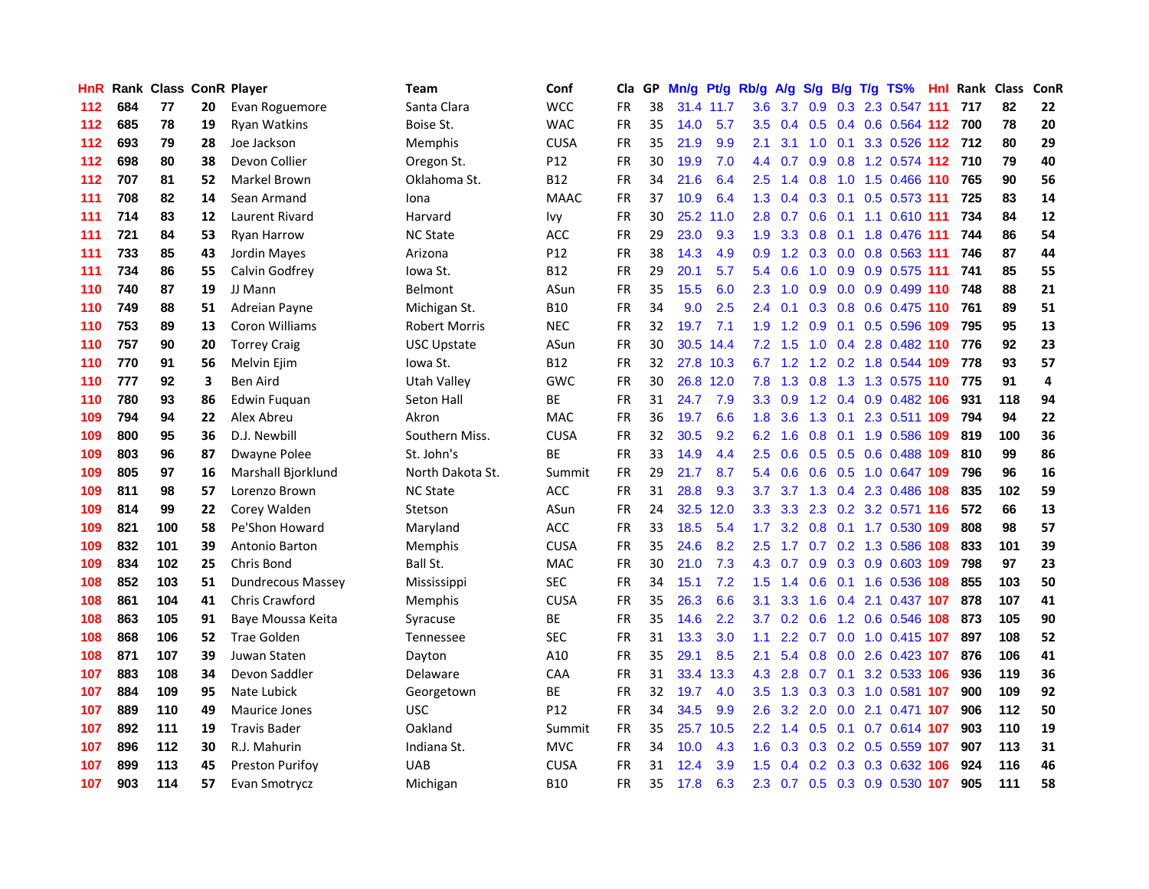| <b>HnR</b> |     | Rank Class ConR Player |    |                          | Team                 | Conf        | Cla       |    | GP Mn/g | Pt/g      | Rb/g             | <b>A/g</b>      | <b>S/g</b>      |     | B/g T/g TS%               | Hnl | Rank Class |     | ConR |
|------------|-----|------------------------|----|--------------------------|----------------------|-------------|-----------|----|---------|-----------|------------------|-----------------|-----------------|-----|---------------------------|-----|------------|-----|------|
| 112        | 684 | 77                     | 20 | Evan Roguemore           | Santa Clara          | <b>WCC</b>  | FR        | 38 |         | 31.4 11.7 | 3.6              | 3.7             | 0.9             | 0.3 | 2.3 0.547                 | 111 | 717        | 82  | 22   |
| 112        | 685 | 78                     | 19 | <b>Ryan Watkins</b>      | Boise St.            | <b>WAC</b>  | <b>FR</b> | 35 | 14.0    | 5.7       | 3.5              | 0.4             | 0.5             | 0.4 | $0.6$ 0.564 112           |     | 700        | 78  | 20   |
| 112        | 693 | 79                     | 28 | Joe Jackson              | Memphis              | <b>CUSA</b> | FR        | 35 | 21.9    | 9.9       | 2.1              | 3.1             | 1.0             | 0.1 | 3.3 0.526 112 712         |     |            | 80  | 29   |
| 112        | 698 | 80                     | 38 | Devon Collier            | Oregon St.           | P12         | <b>FR</b> | 30 | 19.9    | 7.0       |                  | 4.4 0.7         |                 |     | 0.9 0.8 1.2 0.574 112 710 |     |            | 79  | 40   |
| 112        | 707 | 81                     | 52 | Markel Brown             | Oklahoma St.         | <b>B12</b>  | <b>FR</b> | 34 | 21.6    | 6.4       | 2.5              | 1.4             | 0.8             |     | 1.0 1.5 0.466 110         |     | 765        | 90  | 56   |
| 111        | 708 | 82                     | 14 | Sean Armand              | Iona                 | <b>MAAC</b> | <b>FR</b> | 37 | 10.9    | 6.4       | 1.3              | 0.4             |                 |     | 0.3 0.1 0.5 0.573 111     |     | 725        | 83  | 14   |
| 111        | 714 | 83                     | 12 | Laurent Rivard           | Harvard              | Ivy         | FR        | 30 | 25.2    | 11.0      | 2.8              | 0.7             |                 |     | 0.6 0.1 1.1 0.610 111     |     | 734        | 84  | 12   |
| 111        | 721 | 84                     | 53 | <b>Ryan Harrow</b>       | <b>NC State</b>      | ACC         | <b>FR</b> | 29 | 23.0    | 9.3       | 1.9              | 3.3             | 0.8             |     | 0.1 1.8 0.476 111         |     | 744        | 86  | 54   |
| 111        | 733 | 85                     | 43 | Jordin Mayes             | Arizona              | P12         | <b>FR</b> | 38 | 14.3    | 4.9       | 0.9              | 1.2             |                 |     | 0.3 0.0 0.8 0.563 111     |     | 746        | 87  | 44   |
| 111        | 734 | 86                     | 55 | Calvin Godfrey           | lowa St.             | B12         | <b>FR</b> | 29 | 20.1    | 5.7       | 5.4              | 0.6             | 1.0             |     | 0.9 0.9 0.575 111         |     | 741        | 85  | 55   |
| 110        | 740 | 87                     | 19 | JJ Mann                  | <b>Belmont</b>       | ASun        | <b>FR</b> | 35 | 15.5    | 6.0       | 2.3              | 1.0             | 0.9             |     | 0.0 0.9 0.499 110         |     | 748        | 88  | 21   |
| 110        | 749 | 88                     | 51 | Adreian Payne            | Michigan St.         | B10         | FR        | 34 | 9.0     | 2.5       | $2.4^{\circ}$    | 0.1             | 0.3             | 0.8 | 0.6 0.475 110             |     | 761        | 89  | 51   |
| 110        | 753 | 89                     | 13 | Coron Williams           | <b>Robert Morris</b> | <b>NEC</b>  | FR        | 32 | 19.7    | 7.1       | 1.9              | 1.2             | 0.9             | 0.1 | 0.5 0.596 109             |     | 795        | 95  | 13   |
| 110        | 757 | 90                     | 20 | <b>Torrey Craig</b>      | <b>USC Upstate</b>   | ASun        | <b>FR</b> | 30 |         | 30.5 14.4 | 7.2              | 1.5             | 1.0             | 0.4 | 2.8 0.482 110             |     | 776        | 92  | 23   |
| 110        | 770 | 91                     | 56 | Melvin Ejim              | Iowa St.             | B12         | <b>FR</b> | 32 | 27.8    | 10.3      | 6.7              | 1.2             | 1.2             | 0.2 | 1.8 0.544 109             |     | 778        | 93  | 57   |
| 110        | 777 | 92                     | 3  | <b>Ben Aird</b>          | <b>Utah Valley</b>   | GWC         | <b>FR</b> | 30 |         | 26.8 12.0 | 7.8              | 1.3             | 0.8             |     | 1.3 1.3 0.575 110         |     | 775        | 91  | 4    |
| 110        | 780 | 93                     | 86 | Edwin Fuquan             | Seton Hall           | ВE          | <b>FR</b> | 31 | 24.7    | 7.9       |                  | $3.3 \quad 0.9$ |                 |     | 1.2 0.4 0.9 0.482 106     |     | 931        | 118 | 94   |
| 109        | 794 | 94                     | 22 | Alex Abreu               | Akron                | <b>MAC</b>  | <b>FR</b> | 36 | 19.7    | 6.6       |                  | $1.8$ 3.6       |                 |     | 1.3 0.1 2.3 0.511 109     |     | 794        | 94  | 22   |
| 109        | 800 | 95                     | 36 | D.J. Newbill             | Southern Miss.       | <b>CUSA</b> | <b>FR</b> | 32 | 30.5    | 9.2       | 6.2              | 1.6             |                 |     | 0.8 0.1 1.9 0.586 109     |     | 819        | 100 | 36   |
| 109        | 803 | 96                     | 87 | Dwayne Polee             | St. John's           | ВE          | FR        | 33 | 14.9    | 4.4       | $2.5^{\circ}$    | 0.6             |                 |     | 0.5 0.5 0.6 0.488 109     |     | 810        | 99  | 86   |
| 109        | 805 | 97                     | 16 | Marshall Bjorklund       | North Dakota St.     | Summit      | <b>FR</b> | 29 | 21.7    | 8.7       | 5.4              | 0.6             |                 |     | 0.6 0.5 1.0 0.647 109     |     | 796        | 96  | 16   |
| 109        | 811 | 98                     | 57 | Lorenzo Brown            | <b>NC State</b>      | <b>ACC</b>  | FR        | 31 | 28.8    | 9.3       | 3.7              | 3.7             |                 |     | 1.3 0.4 2.3 0.486 108     |     | 835        | 102 | 59   |
| 109        | 814 | 99                     | 22 | Corey Walden             | Stetson              | ASun        | <b>FR</b> | 24 | 32.5    | 12.0      | 3.3 <sub>1</sub> |                 |                 |     | 3.3 2.3 0.2 3.2 0.571 116 |     | 572        | 66  | 13   |
| 109        | 821 | 100                    | 58 | Pe'Shon Howard           | Maryland             | ACC         | <b>FR</b> | 33 | 18.5    | 5.4       | 1.7              |                 | $3.2 \quad 0.8$ |     | 0.1 1.7 0.530 109         |     | 808        | 98  | 57   |
| 109        | 832 | 101                    | 39 | Antonio Barton           | Memphis              | <b>CUSA</b> | FR        | 35 | 24.6    | 8.2       | 2.5              | 1.7             |                 |     | 0.7 0.2 1.3 0.586 108     |     | 833        | 101 | 39   |
| 109        | 834 | 102                    | 25 | Chris Bond               | Ball St.             | <b>MAC</b>  | <b>FR</b> | 30 | 21.0    | 7.3       | 4.3              | 0.7             | 0.9             |     | 0.3 0.9 0.603 109         |     | 798        | 97  | 23   |
| 108        | 852 | 103                    | 51 | <b>Dundrecous Massey</b> | Mississippi          | <b>SEC</b>  | <b>FR</b> | 34 | 15.1    | 7.2       | 1.5 <sub>1</sub> | 1.4             | 0.6             |     | 0.1 1.6 0.536 108         |     | 855        | 103 | 50   |
| 108        | 861 | 104                    | 41 | <b>Chris Crawford</b>    | Memphis              | <b>CUSA</b> | <b>FR</b> | 35 | 26.3    | 6.6       | 3.1              | 3.3             | 1.6             |     | 0.4 2.1 0.437 107         |     | 878        | 107 | 41   |
| 108        | 863 | 105                    | 91 | Baye Moussa Keita        | Syracuse             | ВE          | <b>FR</b> | 35 | 14.6    | 2.2       | 3.7 <sub>2</sub> |                 | $0.2 \quad 0.6$ |     | 1.2 0.6 0.546 108         |     | 873        | 105 | 90   |
| 108        | 868 | 106                    | 52 | <b>Trae Golden</b>       | Tennessee            | <b>SEC</b>  | <b>FR</b> | 31 | 13.3    | 3.0       | 1.1              |                 |                 |     | 2.2 0.7 0.0 1.0 0.415 107 |     | 897        | 108 | 52   |
| 108        | 871 | 107                    | 39 | Juwan Staten             | Dayton               | A10         | <b>FR</b> | 35 | 29.1    | 8.5       | 2.1              | 5.4             |                 |     | 0.8 0.0 2.6 0.423 107     |     | 876        | 106 | 41   |
| 107        | 883 | 108                    | 34 | Devon Saddler            | Delaware             | CAA         | <b>FR</b> | 31 | 33.4    | 13.3      | 4.3              | 2.8             | 0.7             |     | 0.1 3.2 0.533 106         |     | 936        | 119 | 36   |
| 107        | 884 | 109                    | 95 | Nate Lubick              | Georgetown           | ВE          | FR        | 32 | 19.7    | 4.0       | $3.5^{\circ}$    | 1.3             |                 |     | 0.3 0.3 1.0 0.581 107     |     | 900        | 109 | 92   |
| 107        | 889 | 110                    | 49 | Maurice Jones            | <b>USC</b>           | P12         | <b>FR</b> | 34 | 34.5    | 9.9       | $2.6\,$          | 3.2             | 2.0             | 0.0 | 2.1 0.471 107             |     | 906        | 112 | 50   |
| 107        | 892 | 111                    | 19 | <b>Travis Bader</b>      | Oakland              | Summit      | <b>FR</b> | 35 | 25.7    | 10.5      | 2.2 <sub>2</sub> | 1.4             | 0.5             | 0.1 | $0.7$ 0.614 107           |     | 903        | 110 | 19   |
| 107        | 896 | 112                    | 30 | R.J. Mahurin             | Indiana St.          | <b>MVC</b>  | FR        | 34 | 10.0    | 4.3       | 1.6              | 0.3             | 0.3             | 0.2 | 0.5 0.559 107             |     | 907        | 113 | 31   |
| 107        | 899 | 113                    | 45 | Preston Purifoy          | <b>UAB</b>           | <b>CUSA</b> | <b>FR</b> | 31 | 12.4    | 3.9       | 1.5              | 0.4             | 0.2             | 0.3 | 0.3 0.632                 | 106 | 924        | 116 | 46   |
| 107        | 903 | 114                    | 57 | Evan Smotrycz            | Michigan             | <b>B10</b>  | FR        | 35 | 17.8    | 6.3       | 2.3              |                 |                 |     | 0.7 0.5 0.3 0.9 0.530 107 |     | 905        | 111 | 58   |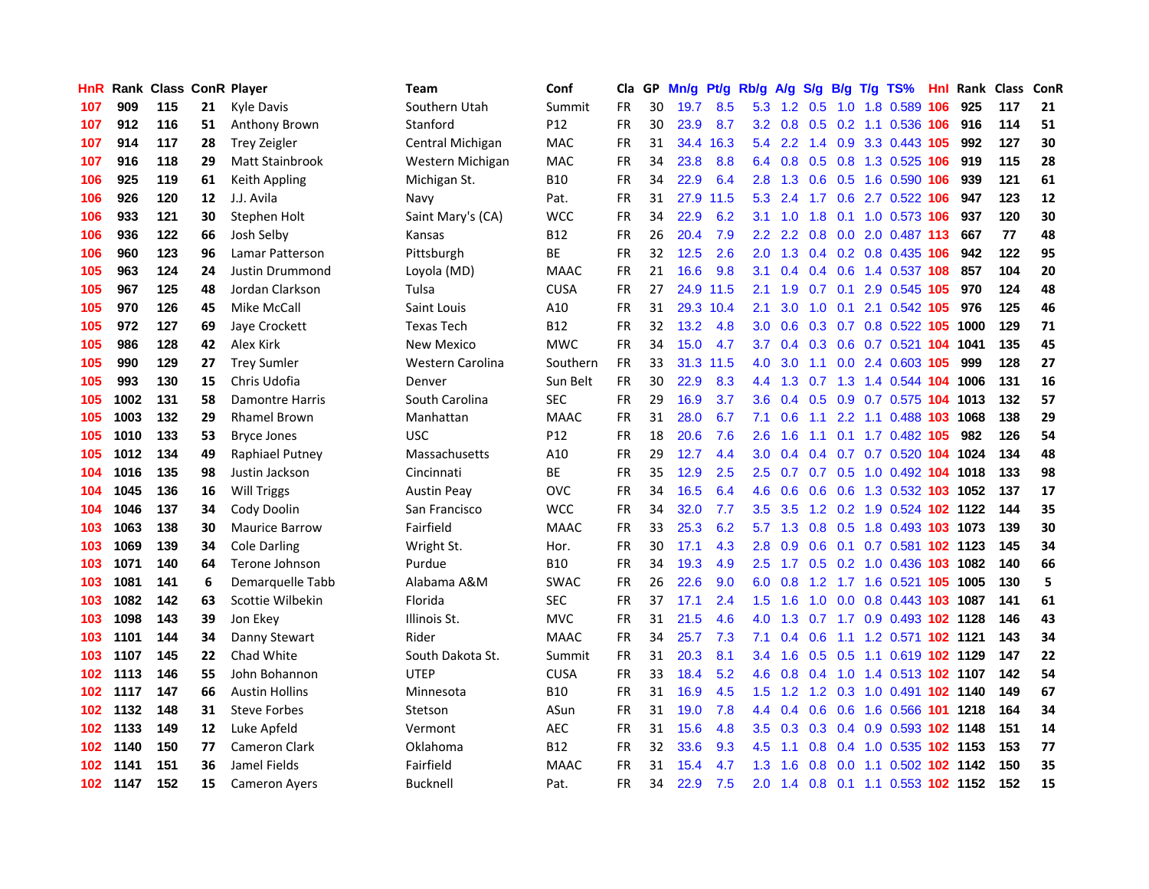| <b>HnR</b> |      | <b>Rank Class ConR Player</b> |    |                       | Team               | Conf        | Cla       |    | GP Mn/g | Pt/g      | Rb/g A/g         |               | <b>S/g</b>        |     | B/g T/g TS%                    | Hnl |      | Rank Class | <b>ConR</b> |
|------------|------|-------------------------------|----|-----------------------|--------------------|-------------|-----------|----|---------|-----------|------------------|---------------|-------------------|-----|--------------------------------|-----|------|------------|-------------|
| 107        | 909  | 115                           | 21 | <b>Kyle Davis</b>     | Southern Utah      | Summit      | <b>FR</b> | 30 | 19.7    | 8.5       | 5.3              | 1.2           | 0.5               | 1.0 | 1.8 0.589                      | 106 | 925  | 117        | 21          |
| 107        | 912  | 116                           | 51 | Anthony Brown         | Stanford           | P12         | <b>FR</b> | 30 | 23.9    | 8.7       | 3.2 <sub>2</sub> | 0.8           | 0.5               |     | 0.2 1.1 0.536 106              |     | 916  | 114        | 51          |
| 107        | 914  | 117                           | 28 | <b>Trey Zeigler</b>   | Central Michigan   | <b>MAC</b>  | <b>FR</b> | 31 | 34.4    | 16.3      | 5.4              | 2.2           | 1.4               | 0.9 | 3.3 0.443 105                  |     | 992  | 127        | 30          |
| 107        | 916  | 118                           | 29 | Matt Stainbrook       | Western Michigan   | <b>MAC</b>  | <b>FR</b> | 34 | 23.8    | 8.8       |                  |               | $6.4$ 0.8 0.5 0.8 |     | 1.3 0.525 106                  |     | 919  | 115        | 28          |
| 106        | 925  | 119                           | 61 | Keith Appling         | Michigan St.       | B10         | <b>FR</b> | 34 | 22.9    | 6.4       | 2.8              |               |                   |     | 1.3 0.6 0.5 1.6 0.590 106      |     | 939  | 121        | 61          |
| 106        | 926  | 120                           | 12 | J.J. Avila            | Navy               | Pat.        | <b>FR</b> | 31 |         | 27.9 11.5 | 5.3              | 2.4           |                   |     | 1.7 0.6 2.7 0.522 106          |     | 947  | 123        | 12          |
| 106        | 933  | 121                           | 30 | Stephen Holt          | Saint Mary's (CA)  | <b>WCC</b>  | <b>FR</b> | 34 | 22.9    | 6.2       | 3.1              | 1.0           | 1.8               |     | 0.1 1.0 0.573 106              |     | 937  | 120        | 30          |
| 106        | 936  | 122                           | 66 | Josh Selby            | Kansas             | B12         | FR        | 26 | 20.4    | 7.9       | $2.2^{\circ}$    | $2.2^{\circ}$ |                   |     | 0.8 0.0 2.0 0.487 113          |     | 667  | 77         | 48          |
| 106        | 960  | 123                           | 96 | Lamar Patterson       | Pittsburgh         | ВE          | <b>FR</b> | 32 | 12.5    | 2.6       | 2.0              | 1.3           |                   |     | 0.4 0.2 0.8 0.435 106          |     | 942  | 122        | 95          |
| 105        | 963  | 124                           | 24 | Justin Drummond       | Loyola (MD)        | <b>MAAC</b> | FR        | 21 | 16.6    | 9.8       | 3.1              | 0.4           | 0.4               |     | 0.6 1.4 0.537 108              |     | 857  | 104        | 20          |
| 105        | 967  | 125                           | 48 | Jordan Clarkson       | Tulsa              | <b>CUSA</b> | FR        | 27 |         | 24.9 11.5 | 2.1              | 1.9           | 0.7               | 0.1 | 2.9 0.545                      | 105 | 970  | 124        | 48          |
| 105        | 970  | 126                           | 45 | Mike McCall           | Saint Louis        | A10         | <b>FR</b> | 31 |         | 29.3 10.4 | 2.1              | 3.0           | 1.0               | 0.1 | 2.1 0.542 105                  |     | 976  | 125        | 46          |
| 105        | 972  | 127                           | 69 | Jaye Crockett         | <b>Texas Tech</b>  | <b>B12</b>  | <b>FR</b> | 32 | 13.2    | 4.8       | 3.0 <sub>2</sub> | 0.6           | 0.3               |     | 0.7 0.8 0.522 105              |     | 1000 | 129        | 71          |
| 105        | 986  | 128                           | 42 | Alex Kirk             | <b>New Mexico</b>  | <b>MWC</b>  | <b>FR</b> | 34 | 15.0    | 4.7       | 3.7              | 0.4           | 0.3               |     | 0.6 0.7 0.521 104              |     | 1041 | 135        | 45          |
| 105        | 990  | 129                           | 27 | <b>Trey Sumler</b>    | Western Carolina   | Southern    | <b>FR</b> | 33 | 31.3    | 11.5      | 4.0              | 3.0           | 1.1               | 0.0 | 2.4 0.603 105                  |     | 999  | 128        | 27          |
| 105        | 993  | 130                           | 15 | Chris Udofia          | Denver             | Sun Belt    | <b>FR</b> | 30 | 22.9    | 8.3       | 4.4              | 1.3           | 0.7               |     | 1.3 1.4 0.544 104 1006         |     |      | 131        | 16          |
| 105        | 1002 | 131                           | 58 | Damontre Harris       | South Carolina     | <b>SEC</b>  | <b>FR</b> | 29 | 16.9    | 3.7       | 3.6 <sup>°</sup> |               | $0.4\quad 0.5$    |     | 0.9 0.7 0.575 104 1013         |     |      | 132        | 57          |
| 105        | 1003 | 132                           | 29 | <b>Rhamel Brown</b>   | Manhattan          | <b>MAAC</b> | FR        | 31 | 28.0    | 6.7       | 7.1              | 0.6           | 1.1               |     | 2.2 1.1 0.488 103 1068         |     |      | 138        | 29          |
| 105        | 1010 | 133                           | 53 | <b>Bryce Jones</b>    | <b>USC</b>         | P12         | <b>FR</b> | 18 | 20.6    | 7.6       | 2.6              | 1.6           |                   |     | 1.1 0.1 1.7 0.482 105          |     | 982  | 126        | 54          |
| 105        | 1012 | 134                           | 49 | Raphiael Putney       | Massachusetts      | A10         | FR        | 29 | 12.7    | 4.4       | 3.0 <sub>1</sub> |               |                   |     | 0.4 0.4 0.7 0.7 0.520 104 1024 |     |      | 134        | 48          |
| 104        | 1016 | 135                           | 98 | Justin Jackson        | Cincinnati         | ВE          | FR        | 35 | 12.9    | 2.5       | $2.5^{\circ}$    | 0.7           |                   |     | 0.7 0.5 1.0 0.492 104 1018     |     |      | 133        | 98          |
| 104        | 1045 | 136                           | 16 | <b>Will Triggs</b>    | <b>Austin Peay</b> | <b>OVC</b>  | <b>FR</b> | 34 | 16.5    | 6.4       | 4.6              | 0.6           | 0.6               |     | 0.6 1.3 0.532 103 1052         |     |      | 137        | 17          |
| 104        | 1046 | 137                           | 34 | Cody Doolin           | San Francisco      | <b>WCC</b>  | FR        | 34 | 32.0    | 7.7       | $3.5^{\circ}$    | 3.5           |                   |     | 1.2 0.2 1.9 0.524 102 1122     |     |      | 144        | 35          |
| 103        | 1063 | 138                           | 30 | <b>Maurice Barrow</b> | Fairfield          | <b>MAAC</b> | FR        | 33 | 25.3    | 6.2       | 5.7              | 1.3           | 0.8               |     | 0.5 1.8 0.493 103 1073         |     |      | 139        | 30          |
| 103        | 1069 | 139                           | 34 | <b>Cole Darling</b>   | Wright St.         | Hor.        | <b>FR</b> | 30 | 17.1    | 4.3       | 2.8              | 0.9           | 0.6               |     | 0.1 0.7 0.581 102 1123         |     |      | 145        | 34          |
| 103        | 1071 | 140                           | 64 | Terone Johnson        | Purdue             | <b>B10</b>  | FR        | 34 | 19.3    | 4.9       | 2.5              | 1.7           | 0.5               |     | 0.2 1.0 0.436 103 1082         |     |      | 140        | 66          |
| 103        | 1081 | 141                           | 6  | Demarquelle Tabb      | Alabama A&M        | <b>SWAC</b> | <b>FR</b> | 26 | 22.6    | 9.0       | 6.0              | 0.8           | 1.2               |     | 1.7 1.6 0.521 105              |     | 1005 | 130        | 5           |
| 103        | 1082 | 142                           | 63 | Scottie Wilbekin      | Florida            | <b>SEC</b>  | <b>FR</b> | 37 | 17.1    | 2.4       | 1.5 <sub>1</sub> | 1.6           | 1.0               | 0.0 | 0.8 0.443 103 1087             |     |      | 141        | 61          |
| 103        | 1098 | 143                           | 39 | Jon Ekey              | Illinois St.       | <b>MVC</b>  | FR        | 31 | 21.5    | 4.6       | 4.0              | 1.3           | 0.7               |     | 1.7 0.9 0.493 102 1128         |     |      | 146        | 43          |
| 103        | 1101 | 144                           | 34 | Danny Stewart         | Rider              | <b>MAAC</b> | <b>FR</b> | 34 | 25.7    | 7.3       | 7.1              |               | $0.4\quad 0.6$    |     | 1.1 1.2 0.571 <b>102 1121</b>  |     |      | 143        | 34          |
| 103        | 1107 | 145                           | 22 | Chad White            | South Dakota St.   | Summit      | FR        | 31 | 20.3    | 8.1       | 3.4              |               |                   |     | 1.6 0.5 0.5 1.1 0.619 102 1129 |     |      | 147        | 22          |
| 102        | 1113 | 146                           | 55 | John Bohannon         | <b>UTEP</b>        | <b>CUSA</b> | <b>FR</b> | 33 | 18.4    | 5.2       | 4.6              | 0.8           |                   |     | 0.4 1.0 1.4 0.513 102 1107     |     |      | 142        | 54          |
| 102        | 1117 | 147                           | 66 | <b>Austin Hollins</b> | Minnesota          | <b>B10</b>  | FR        | 31 | 16.9    | 4.5       | 1.5              |               |                   |     | 1.2 1.2 0.3 1.0 0.491 102 1140 |     |      | 149        | 67          |
| 102        | 1132 | 148                           | 31 | <b>Steve Forbes</b>   | Stetson            | ASun        | FR        | 31 | 19.0    | 7.8       | 4.4              | 0.4           | 0.6               |     | 0.6 1.6 0.566 101 1218         |     |      | 164        | 34          |
| 102        | 1133 | 149                           | 12 | Luke Apfeld           | Vermont            | <b>AEC</b>  | <b>FR</b> | 31 | 15.6    | 4.8       | $3.5^{\circ}$    | 0.3           |                   |     | 0.3 0.4 0.9 0.593 102 1148     |     |      | 151        | 14          |
| 102        | 1140 | 150                           | 77 | <b>Cameron Clark</b>  | Oklahoma           | B12         | FR        | 32 | 33.6    | 9.3       | 4.5              | 1.1           | 0.8               |     | 0.4 1.0 0.535 102 1153         |     |      | 153        | 77          |
| 102        | 1141 | 151                           | 36 | Jamel Fields          | Fairfield          | MAAC        | FR        | 31 | 15.4    | 4.7       | 1.3              | 1.6           | 0.8               | 0.0 | 1.1 0.502 102 1142             |     |      | 150        | 35          |
| 102        | 1147 | 152                           | 15 | <b>Cameron Ayers</b>  | <b>Bucknell</b>    | Pat.        | <b>FR</b> | 34 | 22.9    | 7.5       | 2.0              |               |                   |     | 1.4 0.8 0.1 1.1 0.553 102 1152 |     |      | 152        | 15          |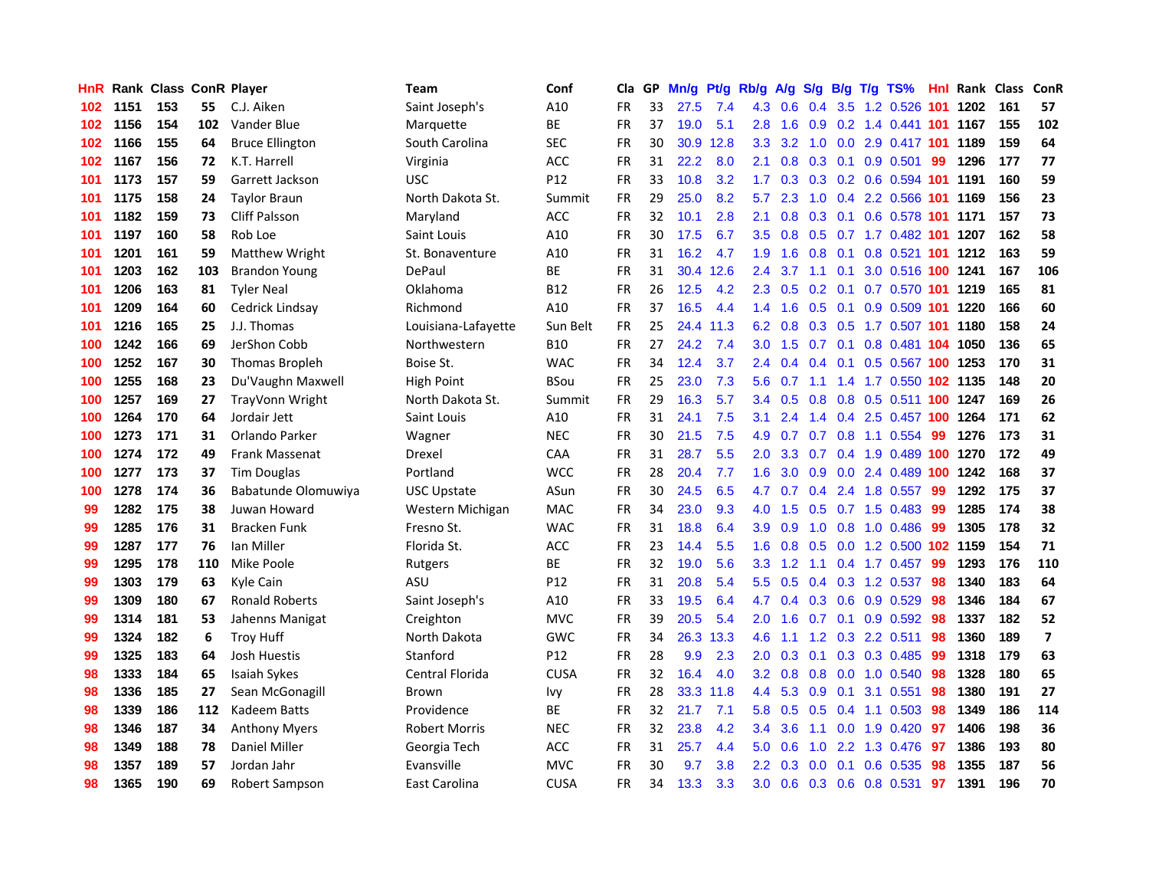| HnR |      | <b>Rank Class ConR Player</b> |     |                        | Team                 | Conf            | Cla       |    | GP Mn/g | Pt/g      | Rb/g             | A/g             | <b>S/g</b>    |                 | B/g T/g TS%                   | Hnl |      | Rank Class ConR |                         |
|-----|------|-------------------------------|-----|------------------------|----------------------|-----------------|-----------|----|---------|-----------|------------------|-----------------|---------------|-----------------|-------------------------------|-----|------|-----------------|-------------------------|
| 102 | 1151 | 153                           | 55  | C.J. Aiken             | Saint Joseph's       | A10             | FR        | 33 | 27.5    | 7.4       | 4.3              | 0.6             | 0.4           | 3.5             | 1.2 0.526                     | 101 | 1202 | 161             | 57                      |
| 102 | 1156 | 154                           | 102 | Vander Blue            | Marquette            | BE              | <b>FR</b> | 37 | 19.0    | 5.1       | 2.8              | 1.6             | 0.9           | 0.2             | 1.4 0.441 101                 |     | 1167 | 155             | 102                     |
| 102 | 1166 | 155                           | 64  | <b>Bruce Ellington</b> | South Carolina       | <b>SEC</b>      | <b>FR</b> | 30 | 30.9    | 12.8      | 3.3              | 3.2             | 1.0           | 0.0             | 2.9 0.417 101                 |     | 1189 | 159             | 64                      |
| 102 | 1167 | 156                           | 72  | K.T. Harrell           | Virginia             | <b>ACC</b>      | FR        | 31 | 22.2    | 8.0       | 2.1              |                 | $0.8$ 0.3 0.1 |                 | $0.9$ 0.501                   | -99 | 1296 | 177             | 77                      |
| 101 | 1173 | 157                           | 59  | Garrett Jackson        | <b>USC</b>           | P12             | FR        | 33 | 10.8    | 3.2       |                  |                 |               |                 | 1.7 0.3 0.3 0.2 0.6 0.594 101 |     | 1191 | 160             | 59                      |
| 101 | 1175 | 158                           | 24  | <b>Taylor Braun</b>    | North Dakota St.     | Summit          | FR        | 29 | 25.0    | 8.2       | 5.7              | 2.3             |               |                 | 1.0 0.4 2.2 0.566 101         |     | 1169 | 156             | 23                      |
| 101 | 1182 | 159                           | 73  | <b>Cliff Palsson</b>   | Maryland             | <b>ACC</b>      | <b>FR</b> | 32 | 10.1    | 2.8       | 2.1              | 0.8             |               |                 | 0.3 0.1 0.6 0.578 101         |     | 1171 | 157             | 73                      |
| 101 | 1197 | 160                           | 58  | Rob Loe                | Saint Louis          | A10             | FR        | 30 | 17.5    | 6.7       | 3.5              | 0.8             |               |                 | 0.5 0.7 1.7 0.482 101         |     | 1207 | 162             | 58                      |
| 101 | 1201 | 161                           | 59  | <b>Matthew Wright</b>  | St. Bonaventure      | A10             | <b>FR</b> | 31 | 16.2    | 4.7       | 1.9              | 1.6             | 0.8           | 0.1             | 0.8 0.521 101                 |     | 1212 | 163             | 59                      |
| 101 | 1203 | 162                           | 103 | <b>Brandon Young</b>   | DePaul               | <b>BE</b>       | <b>FR</b> | 31 | 30.4    | 12.6      | 2.4              | 3.7             | 1.1           | 0.1             | 3.0 0.516 100                 |     | 1241 | 167             | 106                     |
| 101 | 1206 | 163                           | 81  | <b>Tyler Neal</b>      | Oklahoma             | <b>B12</b>      | FR        | 26 | 12.5    | 4.2       | $2.3^{\circ}$    | 0.5             |               | $0.2 \quad 0.1$ | 0.7 0.570 101 1219            |     |      | 165             | 81                      |
| 101 | 1209 | 164                           | 60  | Cedrick Lindsay        | Richmond             | A10             | FR        | 37 | 16.5    | 4.4       | $1.4^{\circ}$    | 1.6             | 0.5           | 0.1             | 0.9 0.509 101                 |     | 1220 | 166             | 60                      |
| 101 | 1216 | 165                           | 25  | J.J. Thomas            | Louisiana-Lafayette  | Sun Belt        | <b>FR</b> | 25 | 24.4    | 11.3      | 6.2              | 0.8             | 0.3           | 0.5             | 1.7 0.507 101                 |     | 1180 | 158             | 24                      |
| 100 | 1242 | 166                           | 69  | JerShon Cobb           | Northwestern         | <b>B10</b>      | FR        | 27 | 24.2    | 7.4       | 3.0 <sub>2</sub> | 1.5             | 0.7           | 0.1             | 0.8 0.481 104                 |     | 1050 | 136             | 65                      |
| 100 | 1252 | 167                           | 30  | Thomas Bropleh         | Boise St.            | <b>WAC</b>      | <b>FR</b> | 34 | 12.4    | 3.7       | $2.4^{\circ}$    | 0.4             | $0.4^{\circ}$ | 0.1             | 0.5 0.567 100                 |     | 1253 | 170             | 31                      |
| 100 | 1255 | 168                           | 23  | Du'Vaughn Maxwell      | <b>High Point</b>    | <b>BSou</b>     | FR        | 25 | 23.0    | 7.3       | 5.6              | 0.7             | 1.1           | 1.4             | 1.7 0.550 102 1135            |     |      | 148             | 20                      |
| 100 | 1257 | 169                           | 27  | TrayVonn Wright        | North Dakota St.     | Summit          | FR        | 29 | 16.3    | 5.7       |                  | $3.4\quad 0.5$  | 0.8           | 0.8             | 0.5 0.511 100 1247            |     |      | 169             | 26                      |
| 100 | 1264 | 170                           | 64  | Jordair Jett           | Saint Louis          | A10             | FR        | 31 | 24.1    | 7.5       | 3.1              | 2.4             |               |                 | 1.4 0.4 2.5 0.457 100 1264    |     |      | 171             | 62                      |
| 100 | 1273 | 171                           | 31  | Orlando Parker         | Wagner               | <b>NEC</b>      | FR        | 30 | 21.5    | 7.5       | 4.9              | 0.7             |               |                 | 0.7 0.8 1.1 0.554             | -99 | 1276 | 173             | 31                      |
| 100 | 1274 | 172                           | 49  | Frank Massenat         | Drexel               | <b>CAA</b>      | FR        | 31 | 28.7    | 5.5       | $2.0^{\circ}$    | 3.3             |               |                 | 0.7 0.4 1.9 0.489 100         |     | 1270 | 172             | 49                      |
| 100 | 1277 | 173                           | 37  | <b>Tim Douglas</b>     | Portland             | <b>WCC</b>      | <b>FR</b> | 28 | 20.4    | 7.7       | 1.6              | 3.0             |               |                 | 0.9 0.0 2.4 0.489 100         |     | 1242 | 168             | 37                      |
| 100 | 1278 | 174                           | 36  | Babatunde Olomuwiya    | <b>USC Upstate</b>   | ASun            | FR        | 30 | 24.5    | 6.5       | 4.7              | 0.7             | 0.4           |                 | 2.4 1.8 0.557                 | -99 | 1292 | 175             | 37                      |
| 99  | 1282 | 175                           | 38  | Juwan Howard           | Western Michigan     | <b>MAC</b>      | <b>FR</b> | 34 | 23.0    | 9.3       | 4.0              | 1.5             |               |                 | $0.5$ 0.7 1.5 0.483           | 99  | 1285 | 174             | 38                      |
| 99  | 1285 | 176                           | 31  | <b>Bracken Funk</b>    | Fresno St.           | <b>WAC</b>      | <b>FR</b> | 31 | 18.8    | 6.4       | 3.9              | 0.9             | 1.0           |                 | $0.8$ 1.0 0.486               | -99 | 1305 | 178             | 32                      |
| 99  | 1287 | 177                           | 76  | Ian Miller             | Florida St.          | ACC             | FR        | 23 | 14.4    | 5.5       | 1.6              | 0.8             | 0.5           |                 | 0.0 1.2 0.500 102 1159        |     |      | 154             | 71                      |
| 99  | 1295 | 178                           | 110 | <b>Mike Poole</b>      | Rutgers              | BE              | FR        | 32 | 19.0    | 5.6       | 3.3              | 1.2             | 1.1           | 0.4             | 1.7 0.457                     | 99  | 1293 | 176             | 110                     |
| 99  | 1303 | 179                           | 63  | Kyle Cain              | ASU                  | P <sub>12</sub> | <b>FR</b> | 31 | 20.8    | 5.4       | $5.5^{\circ}$    | 0.5             | 0.4           | 0.3             | 1.2 0.537                     | 98  | 1340 | 183             | 64                      |
| 99  | 1309 | 180                           | 67  | <b>Ronald Roberts</b>  | Saint Joseph's       | A10             | FR        | 33 | 19.5    | 6.4       | 4.7              | 0.4             | 0.3           |                 | $0.6$ 0.9 0.529               | 98  | 1346 | 184             | 67                      |
| 99  | 1314 | 181                           | 53  | Jahenns Manigat        | Creighton            | <b>MVC</b>      | <b>FR</b> | 39 | 20.5    | 5.4       | 2.0              | 1.6             | 0.7           | 0.1             | 0.9 0.592                     | 98  | 1337 | 182             | 52                      |
| 99  | 1324 | 182                           | 6   | <b>Troy Huff</b>       | North Dakota         | <b>GWC</b>      | <b>FR</b> | 34 | 26.3    | 13.3      | 4.6              | 1.1             |               |                 | 1.2 0.3 2.2 0.511             | 98  | 1360 | 189             | $\overline{\mathbf{z}}$ |
| 99  | 1325 | 183                           | 64  | <b>Josh Huestis</b>    | Stanford             | P12             | FR        | 28 | 9.9     | 2.3       | 2.0              | 0.3             | 0.1           |                 | 0.3 0.3 0.485                 | -99 | 1318 | 179             | 63                      |
| 98  | 1333 | 184                           | 65  | <b>Isaiah Sykes</b>    | Central Florida      | <b>CUSA</b>     | <b>FR</b> | 32 | 16.4    | 4.0       |                  | $3.2 \quad 0.8$ |               |                 | 0.8 0.0 1.0 0.540             | 98  | 1328 | 180             | 65                      |
| 98  | 1336 | 185                           | 27  | Sean McGonagill        | <b>Brown</b>         | <b>Ivy</b>      | FR        | 28 |         | 33.3 11.8 |                  | 4.4 5.3         | $0.9\ 0.1$    |                 | 3.1 0.551                     | 98  | 1380 | 191             | 27                      |
| 98  | 1339 | 186                           | 112 | Kadeem Batts           | Providence           | <b>BE</b>       | <b>FR</b> | 32 | 21.7    | 7.1       | 5.8              | 0.5             | 0.5           |                 | 0.4 1.1 0.503                 | 98  | 1349 | 186             | 114                     |
| 98  | 1346 | 187                           | 34  | <b>Anthony Myers</b>   | <b>Robert Morris</b> | <b>NEC</b>      | FR        | 32 | 23.8    | 4.2       | 3.4              | 3.6             | 1.1           |                 | $0.0$ 1.9 $0.420$             | 97  | 1406 | 198             | 36                      |
| 98  | 1349 | 188                           | 78  | <b>Daniel Miller</b>   | Georgia Tech         | ACC             | <b>FR</b> | 31 | 25.7    | 4.4       | 5.0              | 0.6             | 1.0           | 2.2             | 1.3 0.476                     | 97  | 1386 | 193             | 80                      |
| 98  | 1357 | 189                           | 57  | Jordan Jahr            | Evansville           | <b>MVC</b>      | <b>FR</b> | 30 | 9.7     | 3.8       | $2.2^{\circ}$    | 0.3             | 0.0           | 0.1             | 0.6 0.535                     | 98  | 1355 | 187             | 56                      |
| 98  | 1365 | 190                           | 69  | Robert Sampson         | East Carolina        | <b>CUSA</b>     | FR        | 34 | 13.3    | 3.3       | 3.0 <sub>1</sub> |                 |               |                 | 0.6 0.3 0.6 0.8 0.531         | 97  | 1391 | 196             | 70                      |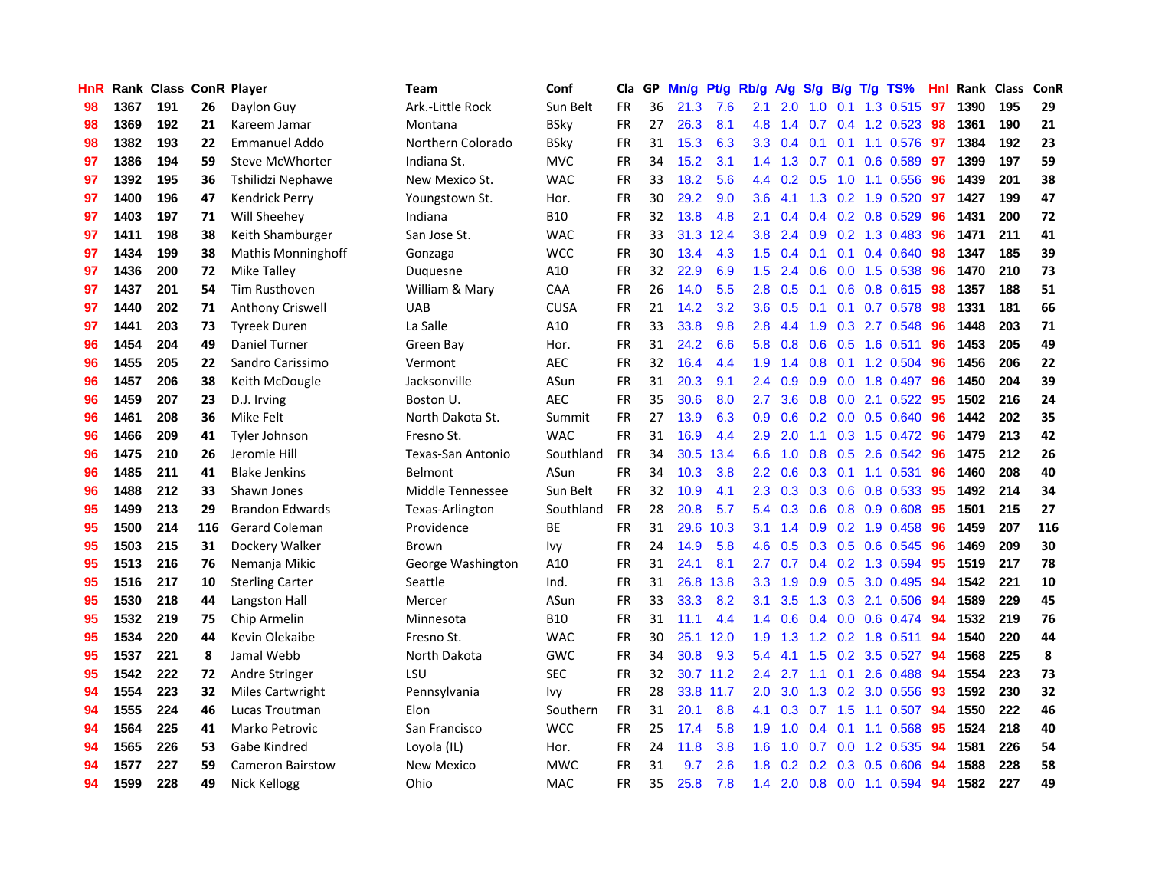| <b>HnR</b> |      | Rank Class ConR Player |     |                           | <b>Team</b>       | Conf        | Cla       |    | GP Mn/g | Pt/g      | Rb/g             | A/g |                         |                 | S/g B/g T/g TS%           | Hnl | Rank Class |     | ConR |
|------------|------|------------------------|-----|---------------------------|-------------------|-------------|-----------|----|---------|-----------|------------------|-----|-------------------------|-----------------|---------------------------|-----|------------|-----|------|
| 98         | 1367 | 191                    | 26  | Daylon Guy                | Ark.-Little Rock  | Sun Belt    | FR        | 36 | 21.3    | 7.6       | 2.1              | 2.0 | 1.0                     | 0.1             | 1.3 0.515                 | 97  | 1390       | 195 | 29   |
| 98         | 1369 | 192                    | 21  | Kareem Jamar              | Montana           | <b>BSky</b> | <b>FR</b> | 27 | 26.3    | 8.1       | 4.8              | 1.4 | 0.7                     | 0.4             | 1.2 0.523                 | 98  | 1361       | 190 | 21   |
| 98         | 1382 | 193                    | 22  | <b>Emmanuel Addo</b>      | Northern Colorado | <b>BSky</b> | <b>FR</b> | 31 | 15.3    | 6.3       | 3.3 <sub>1</sub> | 0.4 | 0.1                     | 0.1             | 1.1 0.576                 | 97  | 1384       | 192 | 23   |
| 97         | 1386 | 194                    | 59  | <b>Steve McWhorter</b>    | Indiana St.       | <b>MVC</b>  | FR        | 34 | 15.2    | 3.1       |                  |     | $1.4$ $1.3$ $0.7$ $0.1$ |                 | 0.6 0.589                 | 97  | 1399       | 197 | 59   |
| 97         | 1392 | 195                    | 36  | Tshilidzi Nephawe         | New Mexico St.    | <b>WAC</b>  | FR        | 33 | 18.2    | 5.6       |                  |     |                         |                 | 4.4 0.2 0.5 1.0 1.1 0.556 | -96 | 1439       | 201 | 38   |
| 97         | 1400 | 196                    | 47  | <b>Kendrick Perry</b>     | Youngstown St.    | Hor.        | FR        | 30 | 29.2    | 9.0       | 3.6 <sup>°</sup> | 4.1 |                         |                 | 1.3 0.2 1.9 0.520         | 97  | 1427       | 199 | 47   |
| 97         | 1403 | 197                    | 71  | Will Sheehey              | Indiana           | <b>B10</b>  | FR        | 32 | 13.8    | 4.8       | 2.1              | 0.4 |                         |                 | $0.4$ 0.2 0.8 0.529       | 96  | 1431       | 200 | 72   |
| 97         | 1411 | 198                    | 38  | Keith Shamburger          | San Jose St.      | <b>WAC</b>  | <b>FR</b> | 33 | 31.3    | 12.4      | 3.8              | 2.4 |                         |                 | 0.9 0.2 1.3 0.483         | 96  | 1471       | 211 | 41   |
| 97         | 1434 | 199                    | 38  | <b>Mathis Monninghoff</b> | Gonzaga           | <b>WCC</b>  | FR        | 30 | 13.4    | 4.3       | 1.5              | 0.4 | 0.1                     | 0.1             | 0.4 0.640                 | 98  | 1347       | 185 | 39   |
| 97         | 1436 | 200                    | 72  | Mike Talley               | Duquesne          | A10         | FR        | 32 | 22.9    | 6.9       | 1.5              | 2.4 | 0.6                     |                 | 0.0 1.5 0.538             | 96  | 1470       | 210 | 73   |
| 97         | 1437 | 201                    | 54  | Tim Rusthoven             | William & Mary    | CAA         | FR        | 26 | 14.0    | 5.5       | 2.8              | 0.5 | 0.1                     | 0.6             | 0.8 0.615                 | 98  | 1357       | 188 | 51   |
| 97         | 1440 | 202                    | 71  | <b>Anthony Criswell</b>   | <b>UAB</b>        | <b>CUSA</b> | <b>FR</b> | 21 | 14.2    | 3.2       | 3.6 <sup>°</sup> | 0.5 | 0.1                     | 0.1             | 0.7 0.578                 | 98  | 1331       | 181 | 66   |
| 97         | 1441 | 203                    | 73  | <b>Tyreek Duren</b>       | La Salle          | A10         | <b>FR</b> | 33 | 33.8    | 9.8       | 2.8              | 4.4 | 1.9                     | 0.3             | 2.7 0.548                 | 96  | 1448       | 203 | 71   |
| 96         | 1454 | 204                    | 49  | Daniel Turner             | Green Bay         | Hor.        | FR        | 31 | 24.2    | 6.6       | 5.8              | 0.8 | 0.6                     | 0.5             | 1.6 0.511                 | 96  | 1453       | 205 | 49   |
| 96         | 1455 | 205                    | 22  | Sandro Carissimo          | Vermont           | <b>AEC</b>  | FR        | 32 | 16.4    | 4.4       | 1.9              | 1.4 | 0.8                     | 0.1             | 1.2 0.504                 | 96  | 1456       | 206 | 22   |
| 96         | 1457 | 206                    | 38  | Keith McDougle            | Jacksonville      | ASun        | <b>FR</b> | 31 | 20.3    | 9.1       | $2.4^{\circ}$    | 0.9 | 0.9                     | 0.0             | 1.8 0.497                 | -96 | 1450       | 204 | 39   |
| 96         | 1459 | 207                    | 23  | D.J. Irving               | Boston U.         | AEC         | FR        | 35 | 30.6    | 8.0       | $2.7^{\circ}$    | 3.6 |                         |                 | $0.8$ 0.0 2.1 0.522       | -95 | 1502       | 216 | 24   |
| 96         | 1461 | 208                    | 36  | Mike Felt                 | North Dakota St.  | Summit      | FR        | 27 | 13.9    | 6.3       | 0.9 <sup>°</sup> | 0.6 |                         |                 | $0.2$ 0.0 0.5 0.640       | -96 | 1442       | 202 | 35   |
| 96         | 1466 | 209                    | 41  | <b>Tyler Johnson</b>      | Fresno St.        | <b>WAC</b>  | <b>FR</b> | 31 | 16.9    | 4.4       | 2.9              | 2.0 |                         |                 | $1.1$ 0.3 1.5 0.472       | -96 | 1479       | 213 | 42   |
| 96         | 1475 | 210                    | 26  | Jeromie Hill              | Texas-San Antonio | Southland   | <b>FR</b> | 34 | 30.5    | 13.4      | 6.6              | 1.0 |                         |                 | 0.8 0.5 2.6 0.542         | 96  | 1475       | 212 | 26   |
| 96         | 1485 | 211                    | 41  | <b>Blake Jenkins</b>      | Belmont           | ASun        | FR        | 34 | 10.3    | 3.8       | 2.2              | 0.6 |                         |                 | $0.3$ 0.1 1.1 0.531       | 96  | 1460       | 208 | 40   |
| 96         | 1488 | 212                    | 33  | Shawn Jones               | Middle Tennessee  | Sun Belt    | <b>FR</b> | 32 | 10.9    | 4.1       | 2.3              | 0.3 |                         |                 | $0.3$ 0.6 0.8 0.533       | 95  | 1492       | 214 | 34   |
| 95         | 1499 | 213                    | 29  | <b>Brandon Edwards</b>    | Texas-Arlington   | Southland   | <b>FR</b> | 28 | 20.8    | 5.7       | 5.4              | 0.3 |                         |                 | $0.6$ $0.8$ $0.9$ $0.608$ | 95  | 1501       | 215 | 27   |
| 95         | 1500 | 214                    | 116 | Gerard Coleman            | Providence        | ВE          | FR        | 31 | 29.6    | 10.3      | 3.1              | 1.4 |                         |                 | 0.9 0.2 1.9 0.458         | 96  | 1459       | 207 | 116  |
| 95         | 1503 | 215                    | 31  | Dockery Walker            | <b>Brown</b>      | <b>Ivy</b>  | FR        | 24 | 14.9    | 5.8       | 4.6              | 0.5 |                         |                 | 0.3 0.5 0.6 0.545         | 96  | 1469       | 209 | 30   |
| 95         | 1513 | 216                    | 76  | Nemanja Mikic             | George Washington | A10         | <b>FR</b> | 31 | 24.1    | 8.1       | 2.7              | 0.7 |                         |                 | $0.4$ 0.2 1.3 0.594       | 95  | 1519       | 217 | 78   |
| 95         | 1516 | 217                    | 10  | <b>Sterling Carter</b>    | Seattle           | Ind.        | FR        | 31 |         | 26.8 13.8 | 3.3 <sub>2</sub> | 1.9 | 0.9                     | 0.5             | 3.0 0.495                 | 94  | 1542       | 221 | 10   |
| 95         | 1530 | 218                    | 44  | Langston Hall             | Mercer            | ASun        | <b>FR</b> | 33 | 33.3    | 8.2       | 3.1              | 3.5 | 1.3                     | 0.3             | 2.1 0.506                 | -94 | 1589       | 229 | 45   |
| 95         | 1532 | 219                    | 75  | Chip Armelin              | Minnesota         | <b>B10</b>  | <b>FR</b> | 31 | 11.1    | 4.4       | 1.4              | 0.6 |                         | $0.4\quad 0.0$  | 0.6 0.474                 | 94  | 1532       | 219 | 76   |
| 95         | 1534 | 220                    | 44  | Kevin Olekaibe            | Fresno St.        | <b>WAC</b>  | FR        | 30 | 25.1    | 12.0      | 1.9              | 1.3 |                         |                 | 1.2 0.2 1.8 0.511         | 94  | 1540       | 220 | 44   |
| 95         | 1537 | 221                    | 8   | Jamal Webb                | North Dakota      | GWC         | <b>FR</b> | 34 | 30.8    | 9.3       | 5.4              | 4.1 |                         |                 | 1.5 0.2 3.5 0.527         | -94 | 1568       | 225 | 8    |
| 95         | 1542 | 222                    | 72  | Andre Stringer            | LSU               | <b>SEC</b>  | FR        | 32 |         | 30.7 11.2 | $2.4^{\circ}$    | 2.7 |                         |                 | 1.1 0.1 2.6 0.488         | -94 | 1554       | 223 | 73   |
| 94         | 1554 | 223                    | 32  | <b>Miles Cartwright</b>   | Pennsylvania      | Ivy         | <b>FR</b> | 28 |         | 33.8 11.7 | $2.0^{\circ}$    | 3.0 |                         |                 | 1.3 0.2 3.0 0.556         | 93  | 1592       | 230 | 32   |
| 94         | 1555 | 224                    | 46  | Lucas Troutman            | Elon              | Southern    | <b>FR</b> | 31 | 20.1    | 8.8       | 4.1              | 0.3 |                         | $0.7 \quad 1.5$ | 1.1 0.507                 | 94  | 1550       | 222 | 46   |
| 94         | 1564 | 225                    | 41  | Marko Petrovic            | San Francisco     | <b>WCC</b>  | FR        | 25 | 17.4    | 5.8       | 1.9              | 1.0 |                         |                 | 0.4 0.1 1.1 0.568         | 95  | 1524       | 218 | 40   |
| 94         | 1565 | 226                    | 53  | Gabe Kindred              | Loyola (IL)       | Hor.        | <b>FR</b> | 24 | 11.8    | 3.8       | 1.6              | 1.0 | 0.7                     | 0.0             | 1.2 0.535                 | 94  | 1581       | 226 | 54   |
| 94         | 1577 | 227                    | 59  | <b>Cameron Bairstow</b>   | New Mexico        | <b>MWC</b>  | FR        | 31 | 9.7     | 2.6       | 1.8              | 0.2 | 0.2                     | 0.3             | 0.5 0.606                 | 94  | 1588       | 228 | 58   |
| 94         | 1599 | 228                    | 49  | Nick Kellogg              | Ohio              | MAC         | FR        | 35 | 25.8    | 7.8       | $1.4^{\circ}$    |     |                         |                 | 2.0 0.8 0.0 1.1 0.594     | 94  | 1582       | 227 | 49   |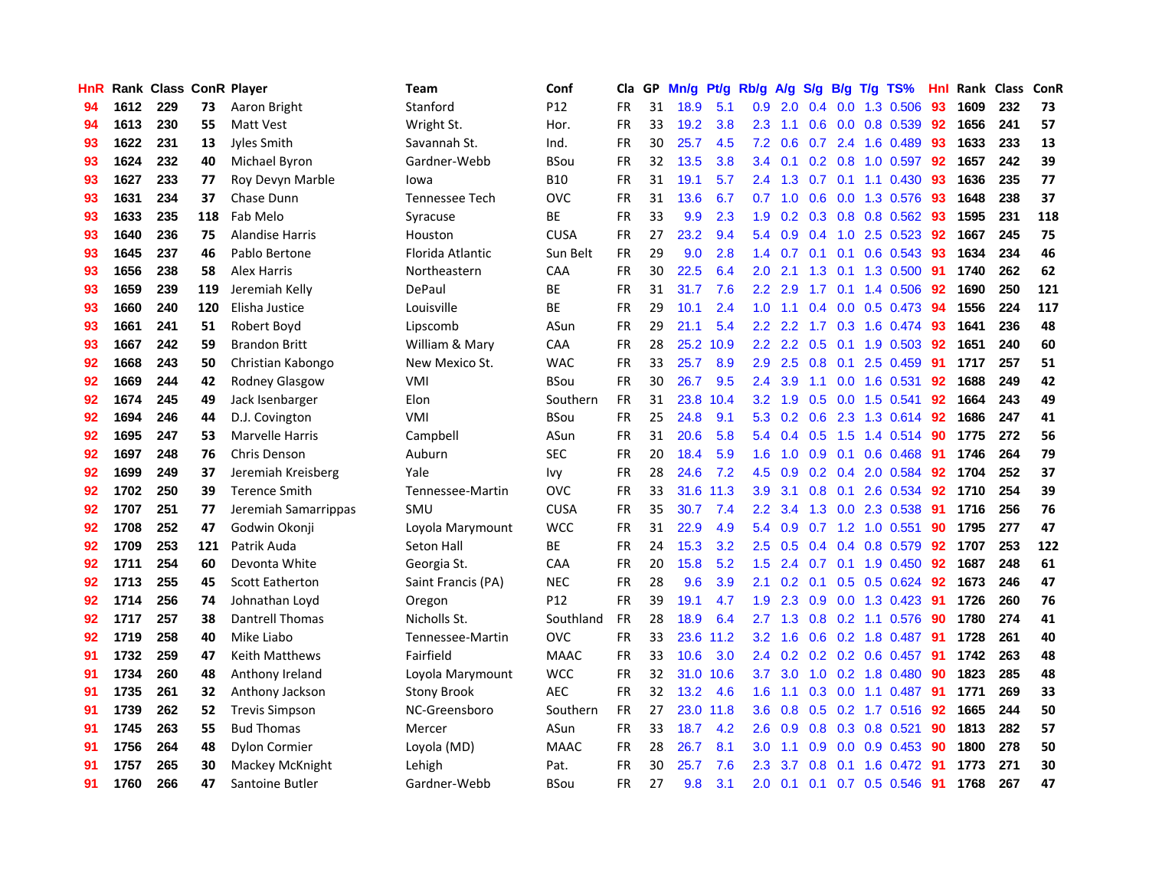| HnR |      | Rank Class ConR Player |     |                        | <b>Team</b>        | Conf        | Cla       |    | GP Mn/g Pt/g |           | Rb/g A/g S/g B/g T/g TS% |               |               |                |                         | Hnl | Rank Class |     | ConR |
|-----|------|------------------------|-----|------------------------|--------------------|-------------|-----------|----|--------------|-----------|--------------------------|---------------|---------------|----------------|-------------------------|-----|------------|-----|------|
| 94  | 1612 | 229                    | 73  | Aaron Bright           | Stanford           | P12         | <b>FR</b> | 31 | 18.9         | 5.1       | 0.9                      | 2.0           | $0.4^{\circ}$ | 0.0            | 1.3 0.506               | 93  | 1609       | 232 | 73   |
| 94  | 1613 | 230                    | 55  | <b>Matt Vest</b>       | Wright St.         | Hor.        | <b>FR</b> | 33 | 19.2         | 3.8       | 2.3                      | 1.1           | 0.6           | 0.0            | 0.8 0.539               | 92  | 1656       | 241 | 57   |
| 93  | 1622 | 231                    | 13  | Jyles Smith            | Savannah St.       | Ind.        | <b>FR</b> | 30 | 25.7         | 4.5       | 7.2                      | 0.6           | 0.7           | 2.4            | 1.6 0.489               | 93  | 1633       | 233 | 13   |
| 93  | 1624 | 232                    | 40  | Michael Byron          | Gardner-Webb       | <b>BSou</b> | <b>FR</b> | 32 | 13.5         | 3.8       | 3.4                      | 0.1           |               |                | 0.2 0.8 1.0 0.597       | 92  | 1657       | 242 | 39   |
| 93  | 1627 | 233                    | 77  | Roy Devyn Marble       | lowa               | <b>B10</b>  | <b>FR</b> | 31 | 19.1         | 5.7       | $2.4^{\circ}$            | 1.3           |               |                | $0.7$ 0.1 1.1 0.430     | -93 | 1636       | 235 | 77   |
| 93  | 1631 | 234                    | 37  | Chase Dunn             | Tennessee Tech     | <b>OVC</b>  | <b>FR</b> | 31 | 13.6         | 6.7       | 0.7                      | 1.0           |               |                | 0.6 0.0 1.3 0.576       | -93 | 1648       | 238 | 37   |
| 93  | 1633 | 235                    | 118 | Fab Melo               | Syracuse           | <b>BE</b>   | <b>FR</b> | 33 | 9.9          | 2.3       | 1.9                      | 0.2           |               |                | 0.3 0.8 0.8 0.562       | 93  | 1595       | 231 | 118  |
| 93  | 1640 | 236                    | 75  | <b>Alandise Harris</b> | Houston            | <b>CUSA</b> | <b>FR</b> | 27 | 23.2         | 9.4       | 5.4                      | 0.9           |               | $0.4$ 1.0      | 2.5 0.523               | 92  | 1667       | 245 | 75   |
| 93  | 1645 | 237                    | 46  | Pablo Bertone          | Florida Atlantic   | Sun Belt    | <b>FR</b> | 29 | 9.0          | 2.8       | 1.4                      | 0.7           | 0.1           | 0.1            | $0.6$ $0.543$           | 93  | 1634       | 234 | 46   |
| 93  | 1656 | 238                    | 58  | <b>Alex Harris</b>     | Northeastern       | CAA         | <b>FR</b> | 30 | 22.5         | 6.4       | 2.0                      | 2.1           | 1.3           | 0.1            | 1.3 0.500               | 91  | 1740       | 262 | 62   |
| 93  | 1659 | 239                    | 119 | Jeremiah Kelly         | DePaul             | ВE          | FR        | 31 | 31.7         | 7.6       | 2.2 <sub>2</sub>         | 2.9           | 1.7           | 0.1            | 1.4 0.506               | 92  | 1690       | 250 | 121  |
| 93  | 1660 | 240                    | 120 | Elisha Justice         | Louisville         | BE          | <b>FR</b> | 29 | 10.1         | 2.4       | 1.0                      | 1.1           | 0.4           | 0.0            | 0.5 0.473               | 94  | 1556       | 224 | 117  |
| 93  | 1661 | 241                    | 51  | Robert Boyd            | Lipscomb           | ASun        | <b>FR</b> | 29 | 21.1         | 5.4       | 2.2                      | 2.2           | 1.7           | 0.3            | 1.6 0.474               | 93  | 1641       | 236 | 48   |
| 93  | 1667 | 242                    | 59  | <b>Brandon Britt</b>   | William & Mary     | <b>CAA</b>  | <b>FR</b> | 28 |              | 25.2 10.9 | $2.2^{\circ}$            | $2.2^{\circ}$ | 0.5           |                | $0.1$ 1.9 0.503         | 92  | 1651       | 240 | 60   |
| 92  | 1668 | 243                    | 50  | Christian Kabongo      | New Mexico St.     | <b>WAC</b>  | <b>FR</b> | 33 | 25.7         | 8.9       | 2.9                      | 2.5           | 0.8           | 0.1            | 2.5 0.459               | -91 | 1717       | 257 | 51   |
| 92  | 1669 | 244                    | 42  | Rodney Glasgow         | VMI                | <b>BSou</b> | <b>FR</b> | 30 | 26.7         | 9.5       | 2.4                      | 3.9           | 1.1           | 0.0            | 1.6 0.531               | 92  | 1688       | 249 | 42   |
| 92  | 1674 | 245                    | 49  | Jack Isenbarger        | Elon               | Southern    | <b>FR</b> | 31 | 23.8         | 10.4      | 3.2                      | 1.9           |               | $0.5\quad 0.0$ | 1.5 0.541               | 92  | 1664       | 243 | 49   |
| 92  | 1694 | 246                    | 44  | D.J. Covington         | VMI                | <b>BSou</b> | FR        | 25 | 24.8         | 9.1       |                          | 5.3 0.2       |               |                | 0.6 2.3 1.3 0.614 92    |     | 1686       | 247 | 41   |
| 92  | 1695 | 247                    | 53  | <b>Marvelle Harris</b> | Campbell           | ASun        | <b>FR</b> | 31 | 20.6         | 5.8       |                          | 5.4 0.4       |               |                | $0.5$ 1.5 1.4 0.514     | -90 | 1775       | 272 | 56   |
| 92  | 1697 | 248                    | 76  | Chris Denson           | Auburn             | <b>SEC</b>  | <b>FR</b> | 20 | 18.4         | 5.9       | 1.6                      | $-1.0$        |               |                | $0.9$ 0.1 0.6 0.468     | 91  | 1746       | 264 | 79   |
| 92  | 1699 | 249                    | 37  | Jeremiah Kreisberg     | Yale               | <b>Ivy</b>  | <b>FR</b> | 28 | 24.6         | 7.2       | 4.5                      | 0.9           |               |                | 0.2 0.4 2.0 0.584       | 92  | 1704       | 252 | 37   |
| 92  | 1702 | 250                    | 39  | <b>Terence Smith</b>   | Tennessee-Martin   | <b>OVC</b>  | FR        | 33 |              | 31.6 11.3 | 3.9                      | 3.1           |               |                | 0.8 0.1 2.6 0.534       | 92  | 1710       | 254 | 39   |
| 92  | 1707 | 251                    | 77  | Jeremiah Samarrippas   | SMU                | <b>CUSA</b> | <b>FR</b> | 35 | 30.7         | 7.4       | 2.2 <sub>2</sub>         | 3.4           |               |                | 1.3 0.0 2.3 0.538       | 91  | 1716       | 256 | 76   |
| 92  | 1708 | 252                    | 47  | Godwin Okonji          | Loyola Marymount   | <b>WCC</b>  | <b>FR</b> | 31 | 22.9         | 4.9       | 5.4                      | 0.9           |               |                | $0.7$ 1.2 1.0 0.551     | 90  | 1795       | 277 | 47   |
| 92  | 1709 | 253                    | 121 | Patrik Auda            | Seton Hall         | <b>BE</b>   | FR        | 24 | 15.3         | 3.2       | $2.5\,$                  | 0.5           |               |                | 0.4 0.4 0.8 0.579       | 92  | 1707       | 253 | 122  |
| 92  | 1711 | 254                    | 60  | Devonta White          | Georgia St.        | CAA         | <b>FR</b> | 20 | 15.8         | 5.2       | 1.5                      | 2.4           | 0.7           |                | $0.1$ 1.9 $0.450$       | 92  | 1687       | 248 | 61   |
| 92  | 1713 | 255                    | 45  | <b>Scott Eatherton</b> | Saint Francis (PA) | <b>NEC</b>  | <b>FR</b> | 28 | 9.6          | 3.9       | 2.1                      | 0.2           | 0.1           | 0.5            | $0.5$ 0.624             | 92  | 1673       | 246 | 47   |
| 92  | 1714 | 256                    | 74  | Johnathan Loyd         | Oregon             | P12         | <b>FR</b> | 39 | 19.1         | 4.7       | 1.9                      | 2.3           | 0.9           | 0.0            | 1.3 0.423               | 91  | 1726       | 260 | 76   |
| 92  | 1717 | 257                    | 38  | Dantrell Thomas        | Nicholls St.       | Southland   | <b>FR</b> | 28 | 18.9         | 6.4       | 2.7                      | 1.3           | 0.8           | 0.2            | 1.1 0.576               | 90  | 1780       | 274 | 41   |
| 92  | 1719 | 258                    | 40  | Mike Liabo             | Tennessee-Martin   | <b>OVC</b>  | <b>FR</b> | 33 | 23.6         | 11.2      | 3.2                      | 1.6           |               |                | $0.6$ $0.2$ 1.8 $0.487$ | 91  | 1728       | 261 | 40   |
| 91  | 1732 | 259                    | 47  | Keith Matthews         | Fairfield          | <b>MAAC</b> | <b>FR</b> | 33 | 10.6         | 3.0       | 2.4                      | 0.2           |               |                | 0.2 0.2 0.6 0.457       | -91 | 1742       | 263 | 48   |
| 91  | 1734 | 260                    | 48  | Anthony Ireland        | Loyola Marymount   | <b>WCC</b>  | <b>FR</b> | 32 |              | 31.0 10.6 | 3.7                      | 3.0           |               |                | 1.0 0.2 1.8 0.480       | -90 | 1823       | 285 | 48   |
| 91  | 1735 | 261                    | 32  | Anthony Jackson        | <b>Stony Brook</b> | <b>AEC</b>  | <b>FR</b> | 32 | 13.2         | 4.6       | 1.6                      | 1.1           |               |                | $0.3$ 0.0 1.1 0.487     | -91 | 1771       | 269 | 33   |
| 91  | 1739 | 262                    | 52  | <b>Trevis Simpson</b>  | NC-Greensboro      | Southern    | <b>FR</b> | 27 |              | 23.0 11.8 | 3.6 <sup>°</sup>         | 0.8           |               |                | $0.5$ $0.2$ 1.7 $0.516$ | -92 | 1665       | 244 | 50   |
| 91  | 1745 | 263                    | 55  | <b>Bud Thomas</b>      | Mercer             | ASun        | FR        | 33 | 18.7         | 4.2       | 2.6                      | 0.9           | 0.8           |                | 0.3 0.8 0.521           | 90  | 1813       | 282 | 57   |
| 91  | 1756 | 264                    | 48  | Dylon Cormier          | Loyola (MD)        | <b>MAAC</b> | <b>FR</b> | 28 | 26.7         | 8.1       | 3.0                      | 1.1           | 0.9           | 0.0            | 0.9 0.453               | 90  | 1800       | 278 | 50   |
| 91  | 1757 | 265                    | 30  | Mackey McKnight        | Lehigh             | Pat.        | <b>FR</b> | 30 | 25.7         | 7.6       | 2.3                      | 3.7           | 0.8           | 0.1            | 1.6 0.472               | 91  | 1773       | 271 | 30   |
| 91  | 1760 | 266                    | 47  | Santoine Butler        | Gardner-Webb       | BSou        | FR        | 27 | 9.8          | 3.1       | 2.0                      | 0.1           |               |                | $0.1$ 0.7 0.5 0.546     | 91  | 1768       | 267 | 47   |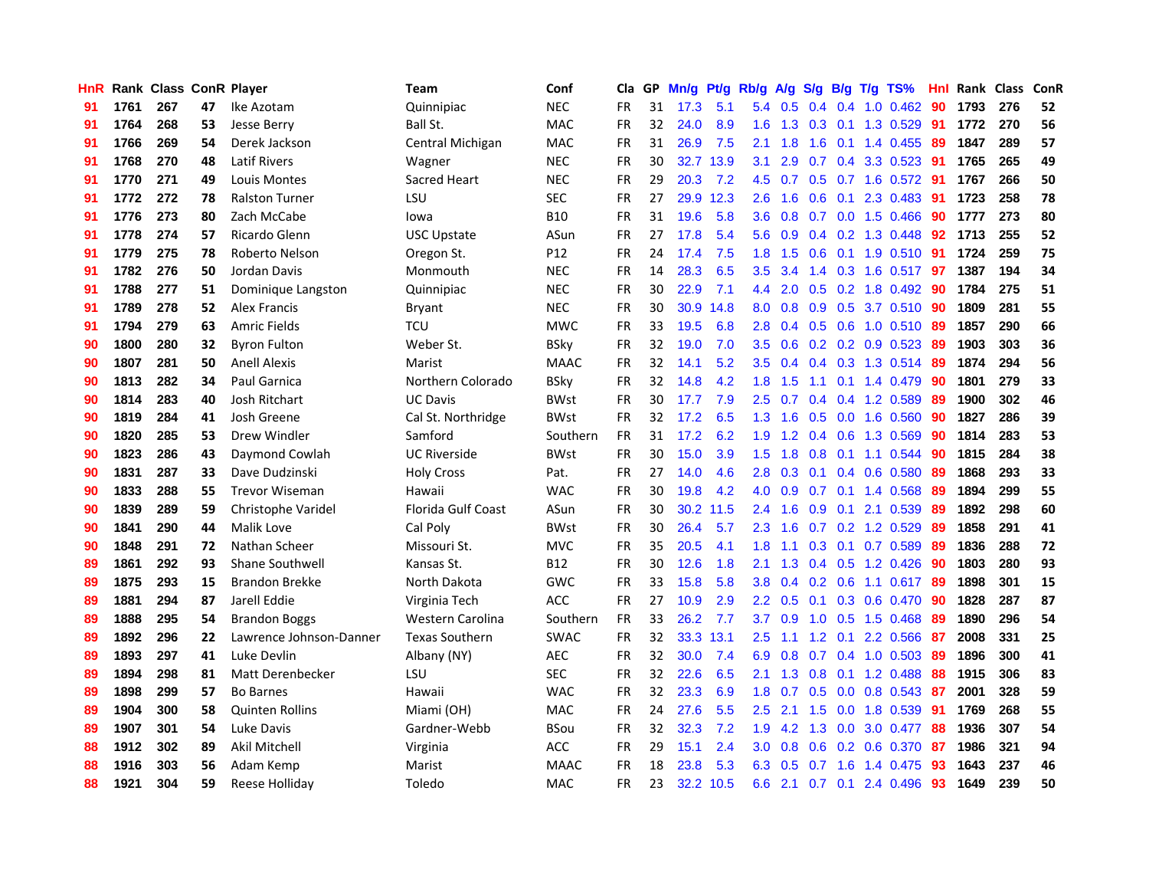| HnR |      | <b>Rank Class ConR Player</b> |    |                         | <b>Team</b>             | Conf        | Cla       | GP | Mn/g Pt/g Rb/g A/g S/g B/g T/g TS% |           |                  |                 |                  |                 |                       | Hnl | Rank Class |     | ConR |
|-----|------|-------------------------------|----|-------------------------|-------------------------|-------------|-----------|----|------------------------------------|-----------|------------------|-----------------|------------------|-----------------|-----------------------|-----|------------|-----|------|
| 91  | 1761 | 267                           | 47 | Ike Azotam              | Quinnipiac              | <b>NEC</b>  | <b>FR</b> | 31 | 17.3                               | 5.1       | 5.4              | 0.5             | 0.4              | 0.4             | 1.0 0.462             | 90  | 1793       | 276 | 52   |
| 91  | 1764 | 268                           | 53 | Jesse Berry             | Ball St.                | <b>MAC</b>  | <b>FR</b> | 32 | 24.0                               | 8.9       | 1.6              | 1.3             | 0.3              | 0.1             | 1.3 0.529             | 91  | 1772       | 270 | 56   |
| 91  | 1766 | 269                           | 54 | Derek Jackson           | Central Michigan        | <b>MAC</b>  | <b>FR</b> | 31 | 26.9                               | 7.5       | 2.1              | 1.8             | 1.6              | 0.1             | 1.4 0.455             | -89 | 1847       | 289 | 57   |
| 91  | 1768 | 270                           | 48 | <b>Latif Rivers</b>     | Wagner                  | <b>NEC</b>  | <b>FR</b> | 30 |                                    | 32.7 13.9 | 3.1              | 2.9             |                  |                 | 0.7 0.4 3.3 0.523     | -91 | 1765       | 265 | 49   |
| 91  | 1770 | 271                           | 49 | Louis Montes            | Sacred Heart            | <b>NEC</b>  | <b>FR</b> | 29 | 20.3                               | 7.2       |                  | 4.5 0.7         |                  |                 | 0.5 0.7 1.6 0.572 91  |     | 1767       | 266 | 50   |
| 91  | 1772 | 272                           | 78 | <b>Ralston Turner</b>   | LSU                     | <b>SEC</b>  | <b>FR</b> | 27 |                                    | 29.9 12.3 | 2.6              | 1.6             |                  |                 | $0.6$ $0.1$ 2.3 0.483 | 91  | 1723       | 258 | 78   |
| 91  | 1776 | 273                           | 80 | Zach McCabe             | lowa                    | <b>B10</b>  | <b>FR</b> | 31 | 19.6                               | 5.8       | 3.6 <sub>2</sub> | 0.8             |                  |                 | $0.7$ 0.0 1.5 0.466   | 90  | 1777       | 273 | 80   |
| 91  | 1778 | 274                           | 57 | Ricardo Glenn           | <b>USC Upstate</b>      | ASun        | <b>FR</b> | 27 | 17.8                               | 5.4       | 5.6              | 0.9             |                  |                 | 0.4 0.2 1.3 0.448     | 92  | 1713       | 255 | 52   |
| 91  | 1779 | 275                           | 78 | Roberto Nelson          | Oregon St.              | P12         | <b>FR</b> | 24 | 17.4                               | 7.5       | 1.8              | 1.5             | 0.6              |                 | $0.1$ 1.9 $0.510$     | 91  | 1724       | 259 | 75   |
| 91  | 1782 | 276                           | 50 | Jordan Davis            | Monmouth                | <b>NEC</b>  | <b>FR</b> | 14 | 28.3                               | 6.5       | 3.5              | 3.4             |                  |                 | 1.4 0.3 1.6 0.517     | 97  | 1387       | 194 | 34   |
| 91  | 1788 | 277                           | 51 | Dominique Langston      | Quinnipiac              | <b>NEC</b>  | FR        | 30 | 22.9                               | 7.1       | 4.4              | 2.0             |                  |                 | 0.5 0.2 1.8 0.492     | 90  | 1784       | 275 | 51   |
| 91  | 1789 | 278                           | 52 | Alex Francis            | Bryant                  | <b>NEC</b>  | <b>FR</b> | 30 |                                    | 30.9 14.8 | 8.0              | 0.8             | 0.9              | 0.5             | 3.7 0.510             | -90 | 1809       | 281 | 55   |
| 91  | 1794 | 279                           | 63 | <b>Amric Fields</b>     | <b>TCU</b>              | <b>MWC</b>  | <b>FR</b> | 33 | 19.5                               | 6.8       | 2.8              | 0.4             | 0.5              | 0.6             | 1.0 0.510             | -89 | 1857       | 290 | 66   |
| 90  | 1800 | 280                           | 32 | <b>Byron Fulton</b>     | Weber St.               | <b>BSky</b> | <b>FR</b> | 32 | 19.0                               | 7.0       | 3.5              | 0.6             |                  |                 | 0.2 0.2 0.9 0.523     | -89 | 1903       | 303 | 36   |
| 90  | 1807 | 281                           | 50 | <b>Anell Alexis</b>     | Marist                  | <b>MAAC</b> | <b>FR</b> | 32 | 14.1                               | 5.2       | 3.5              | 0.4             |                  |                 | 0.4 0.3 1.3 0.514     | -89 | 1874       | 294 | 56   |
| 90  | 1813 | 282                           | 34 | Paul Garnica            | Northern Colorado       | <b>BSky</b> | <b>FR</b> | 32 | 14.8                               | 4.2       | 1.8              | 1.5             | 1.1              |                 | $0.1$ 1.4 $0.479$     | 90  | 1801       | 279 | 33   |
| 90  | 1814 | 283                           | 40 | Josh Ritchart           | <b>UC Davis</b>         | <b>BWst</b> | FR        | 30 | 17.7                               | 7.9       | $2.5\,$          | 0.7             |                  |                 | $0.4$ 0.4 1.2 0.589   | -89 | 1900       | 302 | 46   |
| 90  | 1819 | 284                           | 41 | Josh Greene             | Cal St. Northridge      | <b>BWst</b> | <b>FR</b> | 32 | 17.2                               | 6.5       |                  | $1.3 \quad 1.6$ |                  |                 | 0.5 0.0 1.6 0.560     | -90 | 1827       | 286 | 39   |
| 90  | 1820 | 285                           | 53 | Drew Windler            | Samford                 | Southern    | <b>FR</b> | 31 | 17.2                               | 6.2       | 1.9 <sup>°</sup> | 1.2             |                  |                 | $0.4$ 0.6 1.3 0.569   | 90  | 1814       | 283 | 53   |
| 90  | 1823 | 286                           | 43 | Daymond Cowlah          | <b>UC Riverside</b>     | <b>BWst</b> | <b>FR</b> | 30 | 15.0                               | 3.9       | 1.5 <sub>1</sub> | 1.8             |                  |                 | 0.8 0.1 1.1 0.544     | 90  | 1815       | 284 | 38   |
| 90  | 1831 | 287                           | 33 | Dave Dudzinski          | <b>Holy Cross</b>       | Pat.        | <b>FR</b> | 27 | 14.0                               | 4.6       | 2.8              | 0.3             |                  |                 | 0.1 0.4 0.6 0.580     | 89  | 1868       | 293 | 33   |
| 90  | 1833 | 288                           | 55 | <b>Trevor Wiseman</b>   | Hawaii                  | <b>WAC</b>  | <b>FR</b> | 30 | 19.8                               | 4.2       | 4.0              | 0.9             |                  |                 | 0.7 0.1 1.4 0.568     | 89  | 1894       | 299 | 55   |
| 90  | 1839 | 289                           | 59 | Christophe Varidel      | Florida Gulf Coast      | ASun        | <b>FR</b> | 30 |                                    | 30.2 11.5 | 2.4              | 1.6             | 0.9              |                 | 0.1 2.1 0.539         | -89 | 1892       | 298 | 60   |
| 90  | 1841 | 290                           | 44 | Malik Love              | Cal Poly                | <b>BWst</b> | <b>FR</b> | 30 | 26.4                               | 5.7       | 2.3              | 1.6             | 0.7              |                 | 0.2 1.2 0.529         | -89 | 1858       | 291 | 41   |
| 90  | 1848 | 291                           | 72 | Nathan Scheer           | Missouri St.            | <b>MVC</b>  | <b>FR</b> | 35 | 20.5                               | 4.1       | 1.8              | 1.1             | 0.3 <sub>0</sub> |                 | 0.1 0.7 0.589         | -89 | 1836       | 288 | 72   |
| 89  | 1861 | 292                           | 93 | <b>Shane Southwell</b>  | Kansas St.              | <b>B12</b>  | <b>FR</b> | 30 | 12.6                               | 1.8       | 2.1              | 1.3             |                  | $0.4 \quad 0.5$ | 1.2 0.426             | 90  | 1803       | 280 | 93   |
| 89  | 1875 | 293                           | 15 | <b>Brandon Brekke</b>   | North Dakota            | <b>GWC</b>  | <b>FR</b> | 33 | 15.8                               | 5.8       | 3.8              | 0.4             |                  | $0.2 \quad 0.6$ | 1.1 0.617             | -89 | 1898       | 301 | 15   |
| 89  | 1881 | 294                           | 87 | Jarell Eddie            | Virginia Tech           | ACC         | <b>FR</b> | 27 | 10.9                               | 2.9       | 2.2 <sub>2</sub> | 0.5             | 0.1              |                 | 0.3 0.6 0.470         | 90  | 1828       | 287 | 87   |
| 89  | 1888 | 295                           | 54 | <b>Brandon Boggs</b>    | <b>Western Carolina</b> | Southern    | <b>FR</b> | 33 | 26.2                               | 7.7       | 3.7              | 0.9             |                  | $1.0 \quad 0.5$ | 1.5 0.468             | -89 | 1890       | 296 | 54   |
| 89  | 1892 | 296                           | 22 | Lawrence Johnson-Danner | <b>Texas Southern</b>   | <b>SWAC</b> | <b>FR</b> | 32 |                                    | 33.3 13.1 | 2.5              | 1.1             |                  |                 | 1.2 0.1 2.2 0.566     | -87 | 2008       | 331 | 25   |
| 89  | 1893 | 297                           | 41 | Luke Devlin             | Albany (NY)             | AEC         | <b>FR</b> | 32 | 30.0                               | 7.4       | 6.9              | 0.8             |                  |                 | $0.7$ 0.4 1.0 0.503   | -89 | 1896       | 300 | 41   |
| 89  | 1894 | 298                           | 81 | Matt Derenbecker        | LSU                     | <b>SEC</b>  | <b>FR</b> | 32 | 22.6                               | 6.5       | 2.1              | 1.3             |                  |                 | 0.8 0.1 1.2 0.488     | 88  | 1915       | 306 | 83   |
| 89  | 1898 | 299                           | 57 | <b>Bo Barnes</b>        | Hawaii                  | <b>WAC</b>  | <b>FR</b> | 32 | 23.3                               | 6.9       | 1.8              | 0.7             |                  |                 | 0.5 0.0 0.8 0.543     | -87 | 2001       | 328 | 59   |
| 89  | 1904 | 300                           | 58 | <b>Quinten Rollins</b>  | Miami (OH)              | MAC         | FR        | 24 | 27.6                               | 5.5       | 2.5              | 2.1             | 1.5              | 0.0             | 1.8 0.539             | 91  | 1769       | 268 | 55   |
| 89  | 1907 | 301                           | 54 | Luke Davis              | Gardner-Webb            | <b>BSou</b> | <b>FR</b> | 32 | 32.3                               | 7.2       | 1.9              | 4.2             | 1.3              | 0.0             | 3.0 0.477             | 88  | 1936       | 307 | 54   |
| 88  | 1912 | 302                           | 89 | Akil Mitchell           | Virginia                | ACC         | <b>FR</b> | 29 | 15.1                               | 2.4       | 3.0 <sub>1</sub> | 0.8             | 0.6              | 0.2             | 0.6 0.370             | -87 | 1986       | 321 | 94   |
| 88  | 1916 | 303                           | 56 | Adam Kemp               | Marist                  | MAAC        | FR        | 18 | 23.8                               | 5.3       | 6.3              | 0.5             | 0.7              | 1.6             | 1.4 0.475             | 93  | 1643       | 237 | 46   |
| 88  | 1921 | 304                           | 59 | Reese Holliday          | Toledo                  | <b>MAC</b>  | <b>FR</b> | 23 |                                    | 32.2 10.5 |                  | $6.6$ 2.1       |                  |                 | 0.7 0.1 2.4 0.496     | 93  | 1649       | 239 | 50   |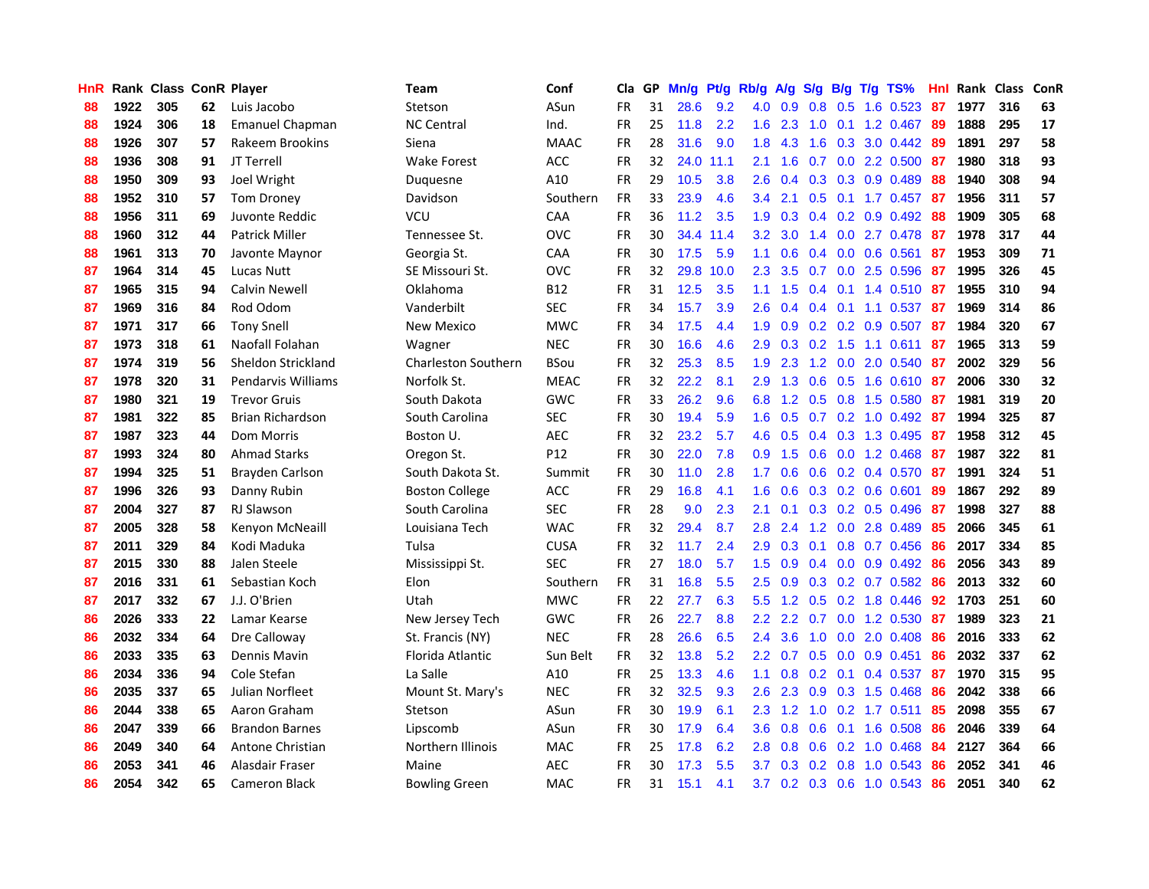| <b>HnR</b> |      | Rank Class ConR Player |    |                         | <b>Team</b>                | Conf        | Cla       |    | GP Mn/g Pt/g Rb/g |           |               | A/g            |     |                 | S/g B/g T/g TS%           | Hnl | Rank Class |     | ConR |
|------------|------|------------------------|----|-------------------------|----------------------------|-------------|-----------|----|-------------------|-----------|---------------|----------------|-----|-----------------|---------------------------|-----|------------|-----|------|
| 88         | 1922 | 305                    | 62 | Luis Jacobo             | Stetson                    | ASun        | <b>FR</b> | 31 | 28.6              | 9.2       | 4.0           | 0.9            | 0.8 | 0.5             | 1.6 0.523                 | 87  | 1977       | 316 | 63   |
| 88         | 1924 | 306                    | 18 | <b>Emanuel Chapman</b>  | <b>NC Central</b>          | Ind.        | <b>FR</b> | 25 | 11.8              | 2.2       | 1.6           | 2.3            | 1.0 | 0.1             | 1.2 0.467                 | -89 | 1888       | 295 | 17   |
| 88         | 1926 | 307                    | 57 | Rakeem Brookins         | Siena                      | <b>MAAC</b> | <b>FR</b> | 28 | 31.6              | 9.0       | 1.8           | 4.3            | 1.6 | 0.3             | 3.0 0.442                 | 89  | 1891       | 297 | 58   |
| 88         | 1936 | 308                    | 91 | JT Terrell              | <b>Wake Forest</b>         | <b>ACC</b>  | <b>FR</b> | 32 |                   | 24.0 11.1 | 2.1           | 1.6            |     |                 | $0.7$ $0.0$ 2.2 $0.500$   | 87  | 1980       | 318 | 93   |
| 88         | 1950 | 309                    | 93 | Joel Wright             | Duquesne                   | A10         | <b>FR</b> | 29 | 10.5              | 3.8       | 2.6           | 0.4            |     |                 | $0.3$ $0.3$ $0.9$ $0.489$ | -88 | 1940       | 308 | 94   |
| 88         | 1952 | 310                    | 57 | <b>Tom Droney</b>       | Davidson                   | Southern    | <b>FR</b> | 33 | 23.9              | 4.6       | $3.4^{\circ}$ | 2.1            |     |                 | $0.5$ 0.1 1.7 0.457       | -87 | 1956       | 311 | 57   |
| 88         | 1956 | 311                    | 69 | Juvonte Reddic          | <b>VCU</b>                 | CAA         | <b>FR</b> | 36 | 11.2              | 3.5       | 1.9           | 0.3            |     |                 | $0.4$ 0.2 0.9 0.492       | -88 | 1909       | 305 | 68   |
| 88         | 1960 | 312                    | 44 | <b>Patrick Miller</b>   | Tennessee St.              | <b>OVC</b>  | <b>FR</b> | 30 |                   | 34.4 11.4 | 3.2           | 3.0            |     |                 | 1.4 0.0 2.7 0.478         | 87  | 1978       | 317 | 44   |
| 88         | 1961 | 313                    | 70 | Javonte Maynor          | Georgia St.                | CAA         | <b>FR</b> | 30 | 17.5              | 5.9       | 1.1           | 0.6            |     |                 | $0.4$ 0.0 0.6 0.561       | 87  | 1953       | 309 | 71   |
| 87         | 1964 | 314                    | 45 | Lucas Nutt              | SE Missouri St.            | <b>OVC</b>  | <b>FR</b> | 32 | 29.8              | 10.0      | 2.3           | 3.5            |     |                 | 0.7 0.0 2.5 0.596         | -87 | 1995       | 326 | 45   |
| 87         | 1965 | 315                    | 94 | Calvin Newell           | Oklahoma                   | B12         | FR        | 31 | 12.5              | 3.5       | 1.1           | 1.5            |     |                 | $0.4$ 0.1 1.4 0.510 87    |     | 1955       | 310 | 94   |
| 87         | 1969 | 316                    | 84 | Rod Odom                | Vanderbilt                 | <b>SEC</b>  | <b>FR</b> | 34 | 15.7              | 3.9       | 2.6           | 0.4            |     |                 | 0.4 0.1 1.1 0.537         | 87  | 1969       | 314 | 86   |
| 87         | 1971 | 317                    | 66 | <b>Tony Snell</b>       | New Mexico                 | <b>MWC</b>  | <b>FR</b> | 34 | 17.5              | 4.4       | 1.9           | 0.9            |     |                 | $0.2$ 0.2 0.9 0.507       | 87  | 1984       | 320 | 67   |
| 87         | 1973 | 318                    | 61 | Naofall Folahan         | Wagner                     | <b>NEC</b>  | <b>FR</b> | 30 | 16.6              | 4.6       | 2.9           | 0.3            | 0.2 | 1.5             | 1.1 0.611                 | 87  | 1965       | 313 | 59   |
| 87         | 1974 | 319                    | 56 | Sheldon Strickland      | <b>Charleston Southern</b> | <b>BSou</b> | <b>FR</b> | 32 | 25.3              | 8.5       | 1.9           | 2.3            | 1.2 | 0.0             | 2.0 0.540                 | -87 | 2002       | 329 | 56   |
| 87         | 1978 | 320                    | 31 | Pendarvis Williams      | Norfolk St.                | <b>MEAC</b> | <b>FR</b> | 32 | 22.2              | 8.1       | 2.9           | 1.3            | 0.6 | 0.5             | 1.6 0.610                 | -87 | 2006       | 330 | 32   |
| 87         | 1980 | 321                    | 19 | <b>Trevor Gruis</b>     | South Dakota               | <b>GWC</b>  | <b>FR</b> | 33 | 26.2              | 9.6       | 6.8           | $1.2^{\circ}$  |     |                 | 0.5 0.8 1.5 0.580         | -87 | 1981       | 319 | 20   |
| 87         | 1981 | 322                    | 85 | <b>Brian Richardson</b> | South Carolina             | <b>SEC</b>  | FR        | 30 | 19.4              | 5.9       | 1.6           | 0.5            |     |                 | 0.7 0.2 1.0 0.492 87      |     | 1994       | 325 | 87   |
| 87         | 1987 | 323                    | 44 | Dom Morris              | Boston U.                  | <b>AEC</b>  | <b>FR</b> | 32 | 23.2              | 5.7       |               | $4.6\quad 0.5$ |     |                 | 0.4 0.3 1.3 0.495 87      |     | 1958       | 312 | 45   |
| 87         | 1993 | 324                    | 80 | Ahmad Starks            | Oregon St.                 | P12         | <b>FR</b> | 30 | 22.0              | 7.8       |               | $0.9$ 1.5      |     |                 | $0.6$ $0.0$ 1.2 $0.468$   | -87 | 1987       | 322 | 81   |
| 87         | 1994 | 325                    | 51 | Brayden Carlson         | South Dakota St.           | Summit      | <b>FR</b> | 30 | 11.0              | 2.8       | 1.7           | 0.6            |     |                 | $0.6$ $0.2$ $0.4$ $0.570$ | 87  | 1991       | 324 | 51   |
| 87         | 1996 | 326                    | 93 | Danny Rubin             | <b>Boston College</b>      | ACC         | FR        | 29 | 16.8              | 4.1       | 1.6           | 0.6            |     |                 | $0.3$ $0.2$ $0.6$ $0.601$ | 89  | 1867       | 292 | 89   |
| 87         | 2004 | 327                    | 87 | <b>RJ Slawson</b>       | South Carolina             | <b>SEC</b>  | <b>FR</b> | 28 | 9.0               | 2.3       | 2.1           | 0.1            |     |                 | $0.3$ $0.2$ $0.5$ $0.496$ | 87  | 1998       | 327 | 88   |
| 87         | 2005 | 328                    | 58 | Kenyon McNeaill         | Louisiana Tech             | <b>WAC</b>  | <b>FR</b> | 32 | 29.4              | 8.7       | 2.8           | 2.4            |     |                 | 1.2 0.0 2.8 0.489         | 85  | 2066       | 345 | 61   |
| 87         | 2011 | 329                    | 84 | Kodi Maduka             | Tulsa                      | <b>CUSA</b> | FR        | 32 | 11.7              | 2.4       | 2.9           | 0.3            | 0.1 |                 | 0.8 0.7 0.456             | -86 | 2017       | 334 | 85   |
| 87         | 2015 | 330                    | 88 | Jalen Steele            | Mississippi St.            | <b>SEC</b>  | <b>FR</b> | 27 | 18.0              | 5.7       | 1.5           | 0.9            |     |                 | $0.4$ 0.0 0.9 0.492       | 86  | 2056       | 343 | 89   |
| 87         | 2016 | 331                    | 61 | Sebastian Koch          | Elon                       | Southern    | <b>FR</b> | 31 | 16.8              | 5.5       | 2.5           | 0.9            |     |                 | $0.3$ $0.2$ $0.7$ $0.582$ | 86  | 2013       | 332 | 60   |
| 87         | 2017 | 332                    | 67 | J.J. O'Brien            | Utah                       | <b>MWC</b>  | <b>FR</b> | 22 | 27.7              | 6.3       | 5.5           | 1.2            |     |                 | $0.5$ $0.2$ 1.8 $0.446$   | 92  | 1703       | 251 | 60   |
| 86         | 2026 | 333                    | 22 | Lamar Kearse            | New Jersey Tech            | GWC         | <b>FR</b> | 26 | 22.7              | 8.8       | $2.2\,$       | 2.2            | 0.7 | 0.0             | 1.2 0.530                 | -87 | 1989       | 323 | 21   |
| 86         | 2032 | 334                    | 64 | Dre Calloway            | St. Francis (NY)           | <b>NEC</b>  | <b>FR</b> | 28 | 26.6              | 6.5       | 2.4           | 3.6            | 1.0 | 0.0             | 2.0 0.408                 | 86  | 2016       | 333 | 62   |
| 86         | 2033 | 335                    | 63 | Dennis Mavin            | Florida Atlantic           | Sun Belt    | <b>FR</b> | 32 | 13.8              | 5.2       | $2.2^{\circ}$ | 0.7            |     |                 | $0.5$ 0.0 0.9 0.451       | 86  | 2032       | 337 | 62   |
| 86         | 2034 | 336                    | 94 | Cole Stefan             | La Salle                   | A10         | <b>FR</b> | 25 | 13.3              | 4.6       | 1.1           | 0.8            |     |                 | $0.2$ 0.1 0.4 0.537       | 87  | 1970       | 315 | 95   |
| 86         | 2035 | 337                    | 65 | Julian Norfleet         | Mount St. Mary's           | <b>NEC</b>  | <b>FR</b> | 32 | 32.5              | 9.3       | $2.6\,$       | 2.3            |     |                 | $0.9$ $0.3$ 1.5 0.468     | 86  | 2042       | 338 | 66   |
| 86         | 2044 | 338                    | 65 | Aaron Graham            | Stetson                    | ASun        | <b>FR</b> | 30 | 19.9              | 6.1       | 2.3           | 1.2            |     |                 | 1.0 0.2 1.7 0.511         | 85  | 2098       | 355 | 67   |
| 86         | 2047 | 339                    | 66 | <b>Brandon Barnes</b>   | Lipscomb                   | ASun        | FR        | 30 | 17.9              | 6.4       | 3.6           | 0.8            | 0.6 |                 | 0.1 1.6 0.508             | 86  | 2046       | 339 | 64   |
| 86         | 2049 | 340                    | 64 | Antone Christian        | Northern Illinois          | <b>MAC</b>  | <b>FR</b> | 25 | 17.8              | 6.2       | 2.8           | 0.8            | 0.6 | 0.2             | 1.0 0.468                 | 84  | 2127       | 364 | 66   |
| 86         | 2053 | 341                    | 46 | Alasdair Fraser         | Maine                      | AEC         | FR        | 30 | 17.3              | 5.5       | 3.7           | 0.3            |     | $0.2 \quad 0.8$ | 1.0 0.543                 | 86  | 2052       | 341 | 46   |
| 86         | 2054 | 342                    | 65 | Cameron Black           | <b>Bowling Green</b>       | <b>MAC</b>  | FR.       | 31 | 15.1              | 4.1       | 3.7           |                |     |                 | $0.2$ 0.3 0.6 1.0 0.543   | -86 | 2051       | 340 | 62   |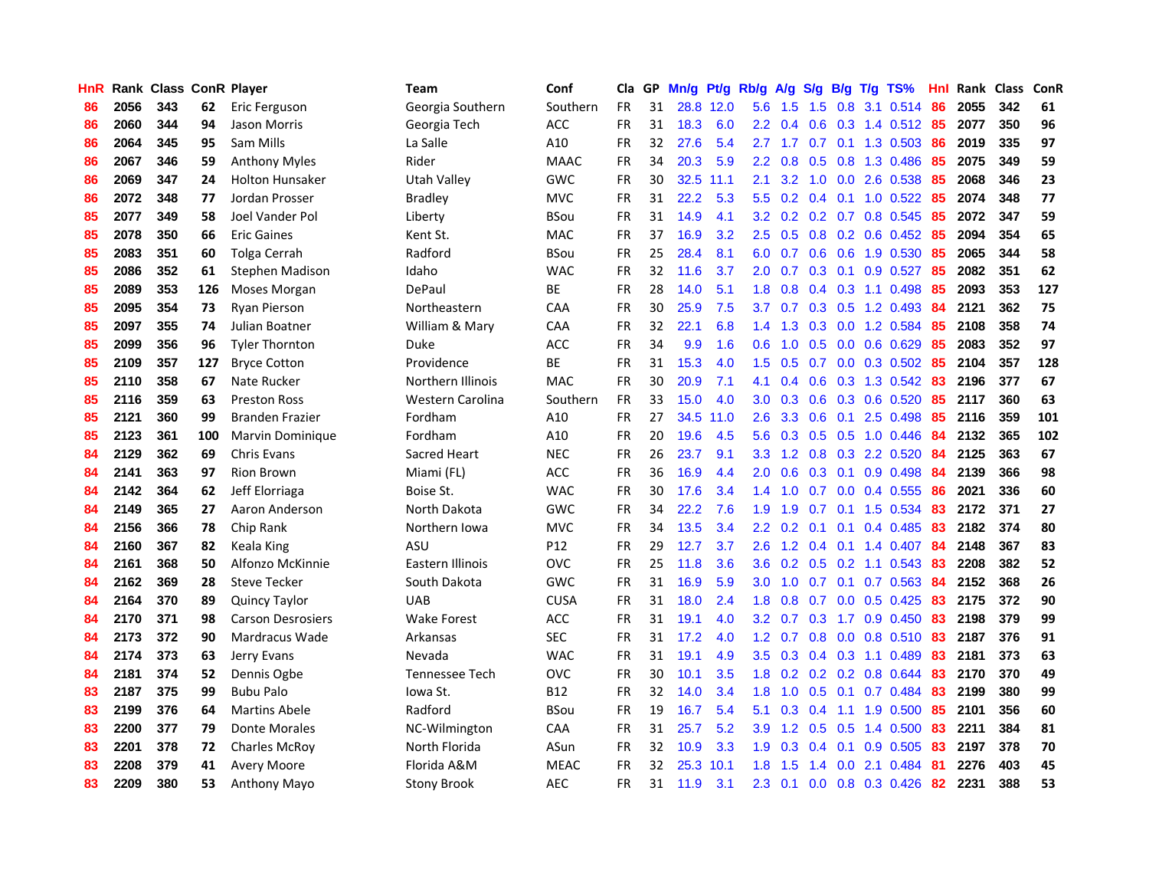| HnR |      | Rank Class ConR Player |     |                          | Team               | Conf        | Cla       |    | GP Mn/g Pt/g |           | Rb/g A/g         |                  |     |                 | S/g B/g T/g TS%               | Hnl | Rank Class |     | <b>ConR</b> |
|-----|------|------------------------|-----|--------------------------|--------------------|-------------|-----------|----|--------------|-----------|------------------|------------------|-----|-----------------|-------------------------------|-----|------------|-----|-------------|
| 86  | 2056 | 343                    | 62  | Eric Ferguson            | Georgia Southern   | Southern    | FR.       | 31 |              | 28.8 12.0 | 5.6              | 1.5              | 1.5 | 0.8             | 3.1 0.514                     | 86  | 2055       | 342 | 61          |
| 86  | 2060 | 344                    | 94  | Jason Morris             | Georgia Tech       | <b>ACC</b>  | <b>FR</b> | 31 | 18.3         | 6.0       | $2.2^{\circ}$    | 0.4              | 0.6 | 0.3             | 1.4 0.512                     | 85  | 2077       | 350 | 96          |
| 86  | 2064 | 345                    | 95  | Sam Mills                | La Salle           | A10         | <b>FR</b> | 32 | 27.6         | 5.4       | 2.7              | 1.7              | 0.7 | 0.1             | 1.3 0.503                     | 86  | 2019       | 335 | 97          |
| 86  | 2067 | 346                    | 59  | <b>Anthony Myles</b>     | Rider              | <b>MAAC</b> | <b>FR</b> | 34 | 20.3         | 5.9       |                  | $2.2 \quad 0.8$  |     |                 | 0.5 0.8 1.3 0.486             | 85  | 2075       | 349 | 59          |
| 86  | 2069 | 347                    | 24  | <b>Holton Hunsaker</b>   | Utah Valley        | GWC         | FR        | 30 |              | 32.5 11.1 | 2.1              | 3.2              |     |                 | 1.0 0.0 2.6 0.538             | -85 | 2068       | 346 | 23          |
| 86  | 2072 | 348                    | 77  | Jordan Prosser           | Bradley            | <b>MVC</b>  | <b>FR</b> | 31 | 22.2         | 5.3       | 5.5              |                  |     |                 | $0.2$ 0.4 0.1 1.0 0.522       | -85 | 2074       | 348 | 77          |
| 85  | 2077 | 349                    | 58  | Joel Vander Pol          | Liberty            | <b>BSou</b> | FR        | 31 | 14.9         | 4.1       | 3.2 <sub>2</sub> |                  |     |                 | $0.2$ 0.2 0.7 0.8 0.545       | 85  | 2072       | 347 | 59          |
| 85  | 2078 | 350                    | 66  | <b>Eric Gaines</b>       | Kent St.           | <b>MAC</b>  | FR        | 37 | 16.9         | 3.2       | $2.5^{\circ}$    | 0.5              |     |                 | $0.8$ 0.2 0.6 0.452           | 85  | 2094       | 354 | 65          |
| 85  | 2083 | 351                    | 60  | Tolga Cerrah             | Radford            | <b>BSou</b> | FR        | 25 | 28.4         | 8.1       | 6.0              | 0.7              |     |                 | 0.6 0.6 1.9 0.530             | 85  | 2065       | 344 | 58          |
| 85  | 2086 | 352                    | 61  | Stephen Madison          | Idaho              | <b>WAC</b>  | FR        | 32 | 11.6         | 3.7       | 2.0              | 0.7              |     | $0.3 \quad 0.1$ | 0.9 0.527                     | 85  | 2082       | 351 | 62          |
| 85  | 2089 | 353                    | 126 | Moses Morgan             | DePaul             | ВE          | <b>FR</b> | 28 | 14.0         | 5.1       | 1.8              | 0.8              |     |                 | $0.4$ 0.3 1.1 0.498           | 85  | 2093       | 353 | 127         |
| 85  | 2095 | 354                    | 73  | Ryan Pierson             | Northeastern       | CAA         | FR        | 30 | 25.9         | 7.5       | 3.7              | 0.7              |     |                 | 0.3 0.5 1.2 0.493             | 84  | 2121       | 362 | 75          |
| 85  | 2097 | 355                    | 74  | Julian Boatner           | William & Mary     | CAA         | FR        | 32 | 22.1         | 6.8       | $1.4^{\circ}$    | 1.3              | 0.3 | 0.0             | 1.2 0.584                     | 85  | 2108       | 358 | 74          |
| 85  | 2099 | 356                    | 96  | <b>Tyler Thornton</b>    | <b>Duke</b>        | <b>ACC</b>  | <b>FR</b> | 34 | 9.9          | 1.6       | 0.6              | 1.0              | 0.5 | 0.0             | 0.6 0.629                     | 85  | 2083       | 352 | 97          |
| 85  | 2109 | 357                    | 127 | <b>Bryce Cotton</b>      | Providence         | ВE          | FR        | 31 | 15.3         | 4.0       | 1.5              | 0.5              | 0.7 | 0.0             | $0.3$ 0.502                   | 85  | 2104       | 357 | 128         |
| 85  | 2110 | 358                    | 67  | Nate Rucker              | Northern Illinois  | <b>MAC</b>  | <b>FR</b> | 30 | 20.9         | 7.1       | 4.1              | 0.4              | 0.6 | 0.3             | 1.3 0.542                     | 83  | 2196       | 377 | 67          |
| 85  | 2116 | 359                    | 63  | <b>Preston Ross</b>      | Western Carolina   | Southern    | <b>FR</b> | 33 | 15.0         | 4.0       | 3.0 <sub>1</sub> | 0.3              |     |                 | $0.6$ $0.3$ $0.6$ $0.520$     | -85 | 2117       | 360 | 63          |
| 85  | 2121 | 360                    | 99  | <b>Branden Frazier</b>   | Fordham            | A10         | FR        | 27 | 34.5         | 11.0      | 2.6              | 3.3 <sub>2</sub> |     |                 | $0.6$ 0.1 2.5 0.498           | -85 | 2116       | 359 | 101         |
| 85  | 2123 | 361                    | 100 | <b>Marvin Dominique</b>  | Fordham            | A10         | FR        | 20 | 19.6         | 4.5       |                  |                  |     |                 | 5.6 0.3 0.5 0.5 1.0 0.446     | -84 | 2132       | 365 | 102         |
| 84  | 2129 | 362                    | 69  | Chris Evans              | Sacred Heart       | <b>NEC</b>  | FR        | 26 | 23.7         | 9.1       |                  |                  |     |                 | 3.3 1.2 0.8 0.3 2.2 0.520     | -84 | 2125       | 363 | 67          |
| 84  | 2141 | 363                    | 97  | <b>Rion Brown</b>        | Miami (FL)         | <b>ACC</b>  | <b>FR</b> | 36 | 16.9         | 4.4       | 2.0              | 0.6              |     |                 | 0.3 0.1 0.9 0.498             | 84  | 2139       | 366 | 98          |
| 84  | 2142 | 364                    | 62  | Jeff Elorriaga           | Boise St.          | <b>WAC</b>  | FR        | 30 | 17.6         | 3.4       | $1.4^{\circ}$    | 1.0              |     |                 | $0.7$ $0.0$ $0.4$ $0.555$     | 86  | 2021       | 336 | 60          |
| 84  | 2149 | 365                    | 27  | Aaron Anderson           | North Dakota       | GWC         | <b>FR</b> | 34 | 22.2         | 7.6       | 1.9              | 1.9              |     |                 | 0.7 0.1 1.5 0.534             | 83  | 2172       | 371 | 27          |
| 84  | 2156 | 366                    | 78  | Chip Rank                | Northern Iowa      | <b>MVC</b>  | <b>FR</b> | 34 | 13.5         | 3.4       | $2.2^{\circ}$    | 0.2              | 0.1 | 0.1             | 0.4 0.485                     | 83  | 2182       | 374 | 80          |
| 84  | 2160 | 367                    | 82  | Keala King               | ASU                | P12         | FR        | 29 | 12.7         | 3.7       | 2.6              | 1.2              |     |                 | 0.4 0.1 1.4 0.407             | 84  | 2148       | 367 | 83          |
| 84  | 2161 | 368                    | 50  | Alfonzo McKinnie         | Eastern Illinois   | <b>OVC</b>  | FR        | 25 | 11.8         | 3.6       | 3.6              |                  |     |                 | $0.2$ $0.5$ $0.2$ 1.1 $0.543$ | 83  | 2208       | 382 | 52          |
| 84  | 2162 | 369                    | 28  | <b>Steve Tecker</b>      | South Dakota       | GWC         | FR        | 31 | 16.9         | 5.9       | 3.0 <sub>2</sub> | 1.0              | 0.7 | 0.1             | 0.7 0.563                     | 84  | 2152       | 368 | 26          |
| 84  | 2164 | 370                    | 89  | Quincy Taylor            | <b>UAB</b>         | <b>CUSA</b> | FR        | 31 | 18.0         | 2.4       | 1.8              | 0.8              | 0.7 |                 | $0.0$ 0.5 0.425               | 83  | 2175       | 372 | 90          |
| 84  | 2170 | 371                    | 98  | <b>Carson Desrosiers</b> | <b>Wake Forest</b> | <b>ACC</b>  | FR        | 31 | 19.1         | 4.0       | 3.2              | 0.7              | 0.3 |                 | 1.7 0.9 0.450                 | 83  | 2198       | 379 | 99          |
| 84  | 2173 | 372                    | 90  | Mardracus Wade           | Arkansas           | <b>SEC</b>  | <b>FR</b> | 31 | 17.2         | 4.0       | 1.2              | 0.7              |     | $0.8\ 0.0$      | 0.8 0.510                     | 83  | 2187       | 376 | 91          |
| 84  | 2174 | 373                    | 63  | Jerry Evans              | Nevada             | <b>WAC</b>  | <b>FR</b> | 31 | 19.1         | 4.9       | 3.5              | 0.3              |     |                 | $0.4$ 0.3 1.1 0.489           | 83  | 2181       | 373 | 63          |
| 84  | 2181 | 374                    | 52  | Dennis Ogbe              | Tennessee Tech     | <b>OVC</b>  | FR        | 30 | 10.1         | 3.5       |                  |                  |     |                 | 1.8 0.2 0.2 0.2 0.8 0.644     | 83  | 2170       | 370 | 49          |
| 83  | 2187 | 375                    | 99  | <b>Bubu Palo</b>         | Iowa St.           | <b>B12</b>  | FR        | 32 | 14.0         | 3.4       |                  |                  |     |                 | 1.8 1.0 0.5 0.1 0.7 0.484     | 83  | 2199       | 380 | 99          |
| 83  | 2199 | 376                    | 64  | <b>Martins Abele</b>     | Radford            | <b>BSou</b> | <b>FR</b> | 19 | 16.7         | 5.4       | 5.1              | 0.3              | 0.4 |                 | 1.1 1.9 0.500                 | 85  | 2101       | 356 | 60          |
| 83  | 2200 | 377                    | 79  | Donte Morales            | NC-Wilmington      | <b>CAA</b>  | FR        | 31 | 25.7         | 5.2       | 3.9              | $1.2^{\circ}$    |     |                 | $0.5$ 0.5 1.4 0.500           | 83  | 2211       | 384 | 81          |
| 83  | 2201 | 378                    | 72  | <b>Charles McRoy</b>     | North Florida      | ASun        | <b>FR</b> | 32 | 10.9         | 3.3       | 1.9              | 0.3              | 0.4 | 0.1             | 0.9 0.505                     | 83  | 2197       | 378 | 70          |
| 83  | 2208 | 379                    | 41  | <b>Avery Moore</b>       | Florida A&M        | <b>MEAC</b> | FR        | 32 | 25.3         | 10.1      | 1.8              | 1.5              | 1.4 | 0.0             | 2.1 0.484                     | -81 | 2276       | 403 | 45          |
| 83  | 2209 | 380                    | 53  | <b>Anthony Mayo</b>      | <b>Stony Brook</b> | AEC         | FR        | 31 | 11.9         | 3.1       | $2.3\,$          | 0.1              |     |                 | $0.0$ $0.8$ $0.3$ $0.426$     | 82  | 2231       | 388 | 53          |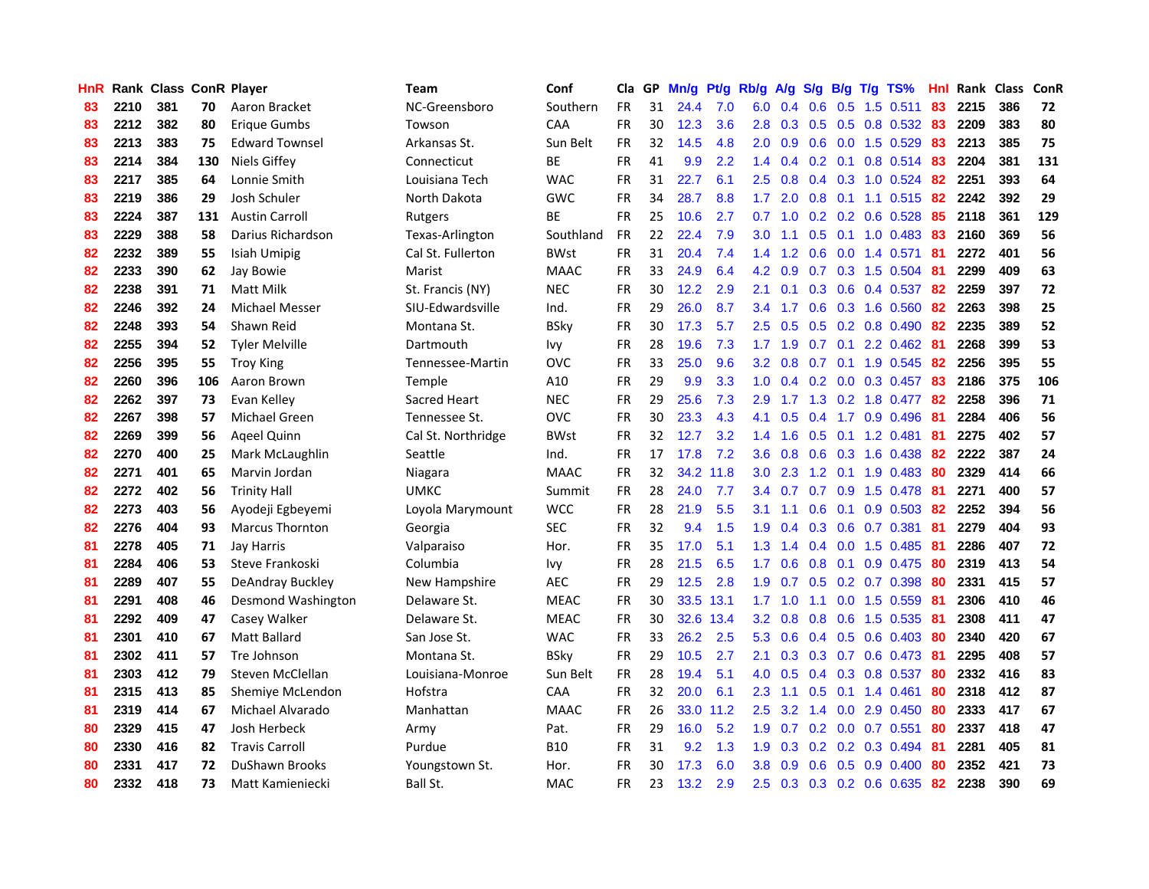| HnR |      | Rank Class ConR Player |     |                        | Team               | Conf        | Cla       |    | GP Mn/g | Pt/g      | Rb/g             | A/g             |                  |                 | S/g B/g T/g TS%           | Hnl | Rank Class |     | ConR |
|-----|------|------------------------|-----|------------------------|--------------------|-------------|-----------|----|---------|-----------|------------------|-----------------|------------------|-----------------|---------------------------|-----|------------|-----|------|
| 83  | 2210 | 381                    | 70  | Aaron Bracket          | NC-Greensboro      | Southern    | <b>FR</b> | 31 | 24.4    | 7.0       | 6.0              | 0.4             | 0.6              | 0.5             | 1.5 0.511                 | 83  | 2215       | 386 | 72   |
| 83  | 2212 | 382                    | 80  | Erique Gumbs           | Towson             | CAA         | <b>FR</b> | 30 | 12.3    | 3.6       | 2.8              | 0.3             | 0.5              | 0.5             | 0.8 0.532                 | 83  | 2209       | 383 | 80   |
| 83  | 2213 | 383                    | 75  | <b>Edward Townsel</b>  | Arkansas St.       | Sun Belt    | <b>FR</b> | 32 | 14.5    | 4.8       | 2.0              | 0.9             |                  | $0.6\quad 0.0$  | 1.5 0.529                 | 83  | 2213       | 385 | 75   |
| 83  | 2214 | 384                    | 130 | <b>Niels Giffey</b>    | Connecticut        | ВE          | <b>FR</b> | 41 | 9.9     | 2.2       |                  | $1.4 \quad 0.4$ |                  | $0.2 \quad 0.1$ | 0.8 0.514                 | -83 | 2204       | 381 | 131  |
| 83  | 2217 | 385                    | 64  | Lonnie Smith           | Louisiana Tech     | <b>WAC</b>  | <b>FR</b> | 31 | 22.7    | 6.1       | $2.5^{\circ}$    | 0.8             |                  |                 | 0.4 0.3 1.0 0.524 82      |     | 2251       | 393 | 64   |
| 83  | 2219 | 386                    | 29  | Josh Schuler           | North Dakota       | <b>GWC</b>  | <b>FR</b> | 34 | 28.7    | 8.8       | 1.7 <sub>z</sub> | 2.0             |                  |                 | $0.8$ 0.1 1.1 0.515       | 82  | 2242       | 392 | 29   |
| 83  | 2224 | 387                    | 131 | <b>Austin Carroll</b>  | Rutgers            | ВE          | <b>FR</b> | 25 | 10.6    | 2.7       | 0.7              | 1.0             |                  |                 | $0.2$ $0.2$ $0.6$ $0.528$ | 85  | 2118       | 361 | 129  |
| 83  | 2229 | 388                    | 58  | Darius Richardson      | Texas-Arlington    | Southland   | <b>FR</b> | 22 | 22.4    | 7.9       | 3.0              | 1.1             |                  |                 | $0.5$ 0.1 1.0 0.483       | 83  | 2160       | 369 | 56   |
| 82  | 2232 | 389                    | 55  | Isiah Umipig           | Cal St. Fullerton  | <b>BWst</b> | <b>FR</b> | 31 | 20.4    | 7.4       | 1.4              | 1.2             | 0.6              | 0.0             | 1.4 0.571                 | 81  | 2272       | 401 | 56   |
| 82  | 2233 | 390                    | 62  | Jay Bowie              | Marist             | <b>MAAC</b> | FR        | 33 | 24.9    | 6.4       | 4.2              | 0.9             |                  |                 | 0.7 0.3 1.5 0.504         | -81 | 2299       | 409 | 63   |
| 82  | 2238 | 391                    | 71  | Matt Milk              | St. Francis (NY)   | <b>NEC</b>  | <b>FR</b> | 30 | 12.2    | 2.9       | 2.1              | 0.1             |                  | $0.3 \quad 0.6$ | 0.4 0.537                 | 82  | 2259       | 397 | 72   |
| 82  | 2246 | 392                    | 24  | <b>Michael Messer</b>  | SIU-Edwardsville   | Ind.        | <b>FR</b> | 29 | 26.0    | 8.7       | 3.4              | 1.7             | 0.6              |                 | 0.3 1.6 0.560             | 82  | 2263       | 398 | 25   |
| 82  | 2248 | 393                    | 54  | Shawn Reid             | Montana St.        | <b>BSky</b> | <b>FR</b> | 30 | 17.3    | 5.7       | 2.5              | 0.5             | 0.5              |                 | $0.2$ 0.8 0.490           | 82  | 2235       | 389 | 52   |
| 82  | 2255 | 394                    | 52  | <b>Tyler Melville</b>  | Dartmouth          | Ivy         | <b>FR</b> | 28 | 19.6    | 7.3       | 1.7 <sub>z</sub> | 1.9             | 0.7              | 0.1             | 2.2 0.462                 | 81  | 2268       | 399 | 53   |
| 82  | 2256 | 395                    | 55  | <b>Troy King</b>       | Tennessee-Martin   | <b>OVC</b>  | <b>FR</b> | 33 | 25.0    | 9.6       | $3.2\phantom{0}$ | 0.8             | 0.7              | 0.1             | 1.9 0.545                 | 82  | 2256       | 395 | 55   |
| 82  | 2260 | 396                    | 106 | Aaron Brown            | Temple             | A10         | <b>FR</b> | 29 | 9.9     | 3.3       | 1.0              | 0.4             |                  | $0.2 \ 0.0$     | 0.3 0.457                 | -83 | 2186       | 375 | 106  |
| 82  | 2262 | 397                    | 73  | Evan Kelley            | Sacred Heart       | <b>NEC</b>  | <b>FR</b> | 29 | 25.6    | 7.3       | 2.9              | 1.7             |                  |                 | 1.3 0.2 1.8 0.477         | -82 | 2258       | 396 | 71   |
| 82  | 2267 | 398                    | 57  | <b>Michael Green</b>   | Tennessee St.      | <b>OVC</b>  | FR        | 30 | 23.3    | 4.3       | 4.1              | 0.5             |                  |                 | 0.4 1.7 0.9 0.496         | -81 | 2284       | 406 | 56   |
| 82  | 2269 | 399                    | 56  | Ageel Quinn            | Cal St. Northridge | <b>BWst</b> | <b>FR</b> | 32 | 12.7    | 3.2       |                  | $1.4$ 1.6       |                  |                 | $0.5$ 0.1 1.2 0.481       | -81 | 2275       | 402 | 57   |
| 82  | 2270 | 400                    | 25  | Mark McLaughlin        | Seattle            | Ind.        | <b>FR</b> | 17 | 17.8    | 7.2       | 3.6 <sup>2</sup> | 0.8             |                  |                 | $0.6$ $0.3$ 1.6 $0.438$   | 82  | 2222       | 387 | 24   |
| 82  | 2271 | 401                    | 65  | Marvin Jordan          | Niagara            | <b>MAAC</b> | <b>FR</b> | 32 |         | 34.2 11.8 | 3.0 <sub>1</sub> | 2.3             |                  |                 | 1.2 0.1 1.9 0.483         | 80  | 2329       | 414 | 66   |
| 82  | 2272 | 402                    | 56  | <b>Trinity Hall</b>    | <b>UMKC</b>        | Summit      | <b>FR</b> | 28 | 24.0    | 7.7       | 3.4              | 0.7             |                  |                 | $0.7$ $0.9$ $1.5$ $0.478$ | 81  | 2271       | 400 | 57   |
| 82  | 2273 | 403                    | 56  | Ayodeji Egbeyemi       | Loyola Marymount   | <b>WCC</b>  | <b>FR</b> | 28 | 21.9    | 5.5       | 3.1              | 1.1             | 0.6 <sup>°</sup> | 0.1             | 0.9 0.503                 | 82  | 2252       | 394 | 56   |
| 82  | 2276 | 404                    | 93  | <b>Marcus Thornton</b> | Georgia            | <b>SEC</b>  | <b>FR</b> | 32 | 9.4     | 1.5       | 1.9              | 0.4             |                  |                 | 0.3 0.6 0.7 0.381         | -81 | 2279       | 404 | 93   |
| 81  | 2278 | 405                    | 71  | Jay Harris             | Valparaiso         | Hor.        | <b>FR</b> | 35 | 17.0    | 5.1       | 1.3              | 1.4             |                  |                 | 0.4 0.0 1.5 0.485         | -81 | 2286       | 407 | 72   |
| 81  | 2284 | 406                    | 53  | Steve Frankoski        | Columbia           | lvy         | <b>FR</b> | 28 | 21.5    | 6.5       | 1.7              | 0.6             | 0.8              | 0.1             | 0.9 0.475                 | 80  | 2319       | 413 | 54   |
| 81  | 2289 | 407                    | 55  | DeAndray Buckley       | New Hampshire      | <b>AEC</b>  | <b>FR</b> | 29 | 12.5    | 2.8       | 1.9              | 0.7             | 0.5              |                 | 0.2 0.7 0.398             | -80 | 2331       | 415 | 57   |
| 81  | 2291 | 408                    | 46  | Desmond Washington     | Delaware St.       | <b>MEAC</b> | <b>FR</b> | 30 |         | 33.5 13.1 | 1.7 <sup>2</sup> | 1.0             | 1.1              | 0.0             | 1.5 0.559                 | -81 | 2306       | 410 | 46   |
| 81  | 2292 | 409                    | 47  | Casey Walker           | Delaware St.       | <b>MEAC</b> | <b>FR</b> | 30 | 32.6    | 13.4      | 3.2              | 0.8             | 0.8              | 0.6             | 1.5 0.535                 | -81 | 2308       | 411 | 47   |
| 81  | 2301 | 410                    | 67  | <b>Matt Ballard</b>    | San Jose St.       | <b>WAC</b>  | <b>FR</b> | 33 | 26.2    | 2.5       | 5.3              | 0.6             |                  |                 | $0.4$ 0.5 0.6 0.403       | -80 | 2340       | 420 | 67   |
| 81  | 2302 | 411                    | 57  | Tre Johnson            | Montana St.        | <b>BSkv</b> | <b>FR</b> | 29 | 10.5    | 2.7       | 2.1              | 0.3             |                  |                 | 0.3 0.7 0.6 0.473 81      |     | 2295       | 408 | 57   |
| 81  | 2303 | 412                    | 79  | Steven McClellan       | Louisiana-Monroe   | Sun Belt    | <b>FR</b> | 28 | 19.4    | 5.1       | 4.0              | 0.5             |                  |                 | $0.4$ 0.3 0.8 0.537       | -80 | 2332       | 416 | 83   |
| 81  | 2315 | 413                    | 85  | Shemiye McLendon       | Hofstra            | CAA         | <b>FR</b> | 32 | 20.0    | 6.1       | 2.3              | 1.1             |                  |                 | $0.5$ 0.1 1.4 0.461       | 80  | 2318       | 412 | 87   |
| 81  | 2319 | 414                    | 67  | Michael Alvarado       | Manhattan          | <b>MAAC</b> | <b>FR</b> | 26 |         | 33.0 11.2 | 2.5              | 3.2             |                  |                 | 1.4 0.0 2.9 0.450         | 80  | 2333       | 417 | 67   |
| 80  | 2329 | 415                    | 47  | Josh Herbeck           | Army               | Pat.        | <b>FR</b> | 29 | 16.0    | 5.2       | 1.9              | 0.7             |                  |                 | 0.2 0.0 0.7 0.551         | 80  | 2337       | 418 | 47   |
| 80  | 2330 | 416                    | 82  | <b>Travis Carroll</b>  | Purdue             | <b>B10</b>  | <b>FR</b> | 31 | 9.2     | 1.3       | 1.9              | 0.3             |                  | $0.2 \quad 0.2$ | 0.3 0.494                 | 81  | 2281       | 405 | 81   |
| 80  | 2331 | 417                    | 72  | DuShawn Brooks         | Youngstown St.     | Hor.        | <b>FR</b> | 30 | 17.3    | 6.0       | 3.8              | 0.9             | 0.6              | 0.5             | $0.9$ $0.400$             | 80  | 2352       | 421 | 73   |
| 80  | 2332 | 418                    | 73  | Matt Kamieniecki       | Ball St.           | MAC         | FR        | 23 | 13.2    | 2.9       | 2.5              | 0.3             |                  |                 | 0.3 0.2 0.6 0.635         | -82 | 2238       | 390 | 69   |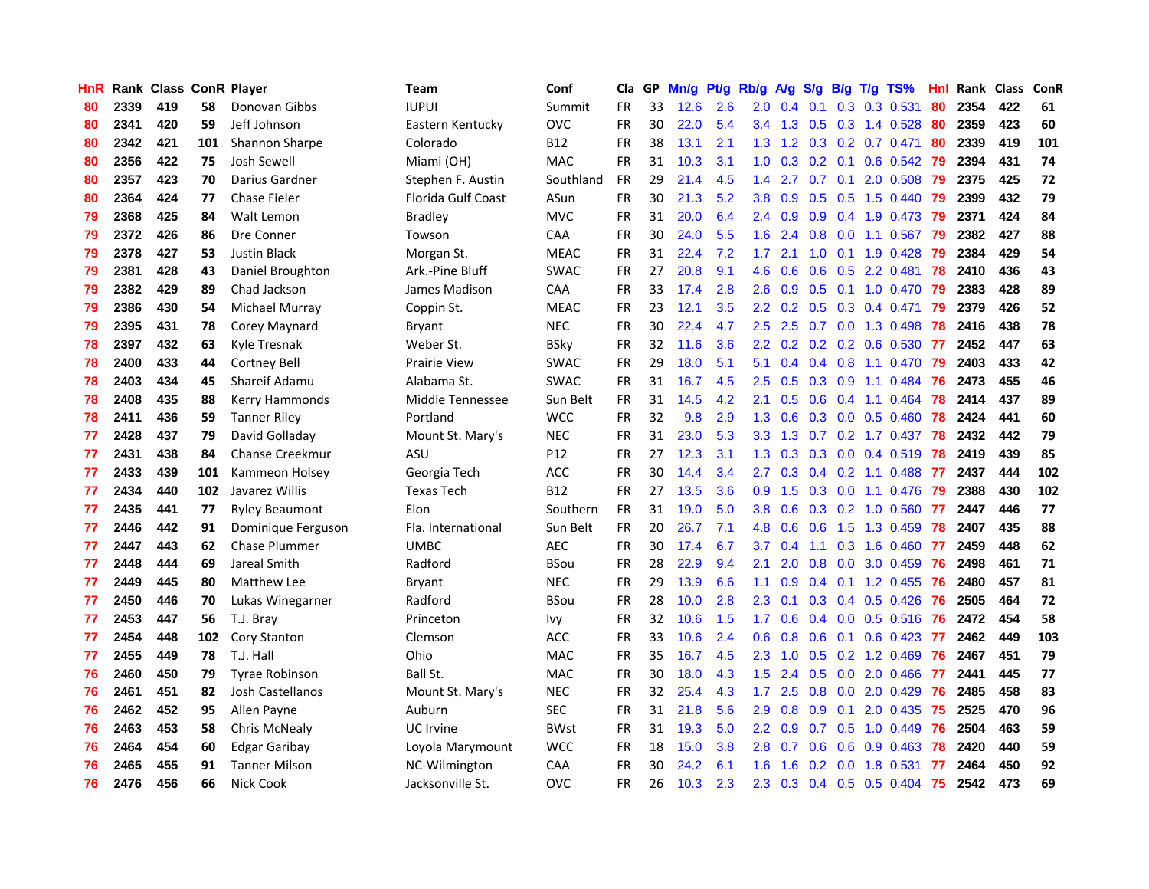| <b>HnR</b> |      | Rank Class ConR Player |     |                        | Team                      | Conf        | Cla       |    | GP Mn/g Pt/g Rb/g A/g |     |                  |                 |     |                 | S/g B/g T/g TS%           | Hnl  |      | Rank Class | <b>ConR</b> |
|------------|------|------------------------|-----|------------------------|---------------------------|-------------|-----------|----|-----------------------|-----|------------------|-----------------|-----|-----------------|---------------------------|------|------|------------|-------------|
| 80         | 2339 | 419                    | 58  | Donovan Gibbs          | <b>IUPUI</b>              | Summit      | <b>FR</b> | 33 | 12.6                  | 2.6 | 2.0              | 0.4             | 0.1 | 0.3             | 0.3 0.531                 | 80   | 2354 | 422        | 61          |
| 80         | 2341 | 420                    | 59  | Jeff Johnson           | Eastern Kentucky          | <b>OVC</b>  | <b>FR</b> | 30 | 22.0                  | 5.4 | $3.4^{\circ}$    | 1.3             | 0.5 | 0.3             | 1.4 0.528                 | 80   | 2359 | 423        | 60          |
| 80         | 2342 | 421                    | 101 | Shannon Sharpe         | Colorado                  | <b>B12</b>  | <b>FR</b> | 38 | 13.1                  | 2.1 | 1.3              | 1.2             | 0.3 | 0.2             | $0.7$ 0.471               | 80   | 2339 | 419        | 101         |
| 80         | 2356 | 422                    | 75  | Josh Sewell            | Miami (OH)                | <b>MAC</b>  | <b>FR</b> | 31 | 10.3                  | 3.1 | 1.0 <sub>1</sub> | 0.3             |     | $0.2 \quad 0.1$ | $0.6$ $0.542$             | -79  | 2394 | 431        | 74          |
| 80         | 2357 | 423                    | 70  | Darius Gardner         | Stephen F. Austin         | Southland   | <b>FR</b> | 29 | 21.4                  | 4.5 | 1.4              | 2.7             |     |                 | 0.7 0.1 2.0 0.508         | -79  | 2375 | 425        | 72          |
| 80         | 2364 | 424                    | 77  | <b>Chase Fieler</b>    | <b>Florida Gulf Coast</b> | ASun        | <b>FR</b> | 30 | 21.3                  | 5.2 | 3.8              | 0.9             |     |                 | $0.5$ $0.5$ 1.5 $0.440$   | -79  | 2399 | 432        | 79          |
| 79         | 2368 | 425                    | 84  | Walt Lemon             | <b>Bradley</b>            | <b>MVC</b>  | <b>FR</b> | 31 | 20.0                  | 6.4 | $2.4^{\circ}$    | 0.9             |     |                 | $0.9$ 0.4 1.9 0.473       | -79  | 2371 | 424        | 84          |
| 79         | 2372 | 426                    | 86  | Dre Conner             | Towson                    | <b>CAA</b>  | <b>FR</b> | 30 | 24.0                  | 5.5 | 1.6 <sup>°</sup> | 2.4             |     |                 | $0.8$ 0.0 1.1 0.567       | -79  | 2382 | 427        | 88          |
| 79         | 2378 | 427                    | 53  | <b>Justin Black</b>    | Morgan St.                | <b>MEAC</b> | <b>FR</b> | 31 | 22.4                  | 7.2 | 1.7              | 2.1             |     |                 | 1.0 0.1 1.9 0.428         | 79   | 2384 | 429        | 54          |
| 79         | 2381 | 428                    | 43  | Daniel Broughton       | Ark.-Pine Bluff           | <b>SWAC</b> | <b>FR</b> | 27 | 20.8                  | 9.1 | 4.6              | 0.6             | 0.6 |                 | 0.5 2.2 0.481             | 78   | 2410 | 436        | 43          |
| 79         | 2382 | 429                    | 89  | Chad Jackson           | James Madison             | CAA         | <b>FR</b> | 33 | 17.4                  | 2.8 | 2.6              | 0.9             |     |                 | $0.5$ 0.1 1.0 0.470       | -79  | 2383 | 428        | 89          |
| 79         | 2386 | 430                    | 54  | Michael Murray         | Coppin St.                | <b>MEAC</b> | FR        | 23 | 12.1                  | 3.5 | 2.2 <sub>2</sub> | 0.2             |     |                 | $0.5$ $0.3$ $0.4$ $0.471$ | 79   | 2379 | 426        | 52          |
| 79         | 2395 | 431                    | 78  | Corey Maynard          | Bryant                    | <b>NEC</b>  | <b>FR</b> | 30 | 22.4                  | 4.7 | 2.5              | 2.5             | 0.7 | 0.0             | 1.3 0.498                 | 78   | 2416 | 438        | 78          |
| 78         | 2397 | 432                    | 63  | Kyle Tresnak           | Weber St.                 | <b>BSky</b> | <b>FR</b> | 32 | 11.6                  | 3.6 | $2.2^{\circ}$    | 0.2             |     |                 | $0.2$ 0.2 0.6 0.530       | -77  | 2452 | 447        | 63          |
| 78         | 2400 | 433                    | 44  | Cortney Bell           | <b>Prairie View</b>       | <b>SWAC</b> | FR        | 29 | 18.0                  | 5.1 | 5.1              | 0.4             |     | $0.4$ 0.8       | 1.1 0.470                 | 79   | 2403 | 433        | 42          |
| 78         | 2403 | 434                    | 45  | Shareif Adamu          | Alabama St.               | <b>SWAC</b> | <b>FR</b> | 31 | 16.7                  | 4.5 | 2.5              | 0.5             | 0.3 | 0.9             | 1.1 0.484                 | 76   | 2473 | 455        | 46          |
| 78         | 2408 | 435                    | 88  | Kerry Hammonds         | Middle Tennessee          | Sun Belt    | <b>FR</b> | 31 | 14.5                  | 4.2 | 2.1              | 0.5             | 0.6 | 0.4             | 1.1 0.464                 | -78  | 2414 | 437        | 89          |
| 78         | 2411 | 436                    | 59  | <b>Tanner Riley</b>    | Portland                  | <b>WCC</b>  | <b>FR</b> | 32 | 9.8                   | 2.9 |                  | $1.3 \quad 0.6$ |     |                 | $0.3$ 0.0 0.5 0.460       | -78  | 2424 | 441        | 60          |
| 77         | 2428 | 437                    | 79  | David Golladay         | Mount St. Mary's          | <b>NEC</b>  | <b>FR</b> | 31 | 23.0                  | 5.3 |                  | $3.3$ 1.3       |     |                 | 0.7 0.2 1.7 0.437 78      |      | 2432 | 442        | 79          |
| 77         | 2431 | 438                    | 84  | <b>Chanse Creekmur</b> | ASU                       | P12         | <b>FR</b> | 27 | 12.3                  | 3.1 |                  | $1.3 \quad 0.3$ |     |                 | 0.3 0.0 0.4 0.519 78      |      | 2419 | 439        | 85          |
| 77         | 2433 | 439                    | 101 | Kammeon Holsey         | Georgia Tech              | <b>ACC</b>  | <b>FR</b> | 30 | 14.4                  | 3.4 | $2.7^{\circ}$    | 0.3             |     |                 | $0.4$ 0.2 1.1 0.488       | - 77 | 2437 | 444        | 102         |
| 77         | 2434 | 440                    | 102 | Javarez Willis         | <b>Texas Tech</b>         | <b>B12</b>  | <b>FR</b> | 27 | 13.5                  | 3.6 | 0.9 <sup>°</sup> | 1.5             |     |                 | $0.3$ 0.0 1.1 0.476       | -79  | 2388 | 430        | 102         |
| 77         | 2435 | 441                    | 77  | <b>Ryley Beaumont</b>  | Elon                      | Southern    | <b>FR</b> | 31 | 19.0                  | 5.0 | 3.8              | 0.6             |     |                 | $0.3$ $0.2$ 1.0 $0.560$   | -77  | 2447 | 446        | 77          |
| 77         | 2446 | 442                    | 91  | Dominique Ferguson     | Fla. International        | Sun Belt    | <b>FR</b> | 20 | 26.7                  | 7.1 | 4.8              | 0.6             | 0.6 | 1.5             | 1.3 0.459                 | 78   | 2407 | 435        | 88          |
| 77         | 2447 | 443                    | 62  | <b>Chase Plummer</b>   | <b>UMBC</b>               | <b>AEC</b>  | FR        | 30 | 17.4                  | 6.7 | 3.7              | 0.4             | 1.1 |                 | 0.3 1.6 0.460 77          |      | 2459 | 448        | 62          |
| 77         | 2448 | 444                    | 69  | Jareal Smith           | Radford                   | <b>BSou</b> | <b>FR</b> | 28 | 22.9                  | 9.4 | 2.1              | 2.0             |     | $0.8\ 0.0$      | 3.0 0.459                 | -76  | 2498 | 461        | 71          |
| 77         | 2449 | 445                    | 80  | <b>Matthew Lee</b>     | Bryant                    | <b>NEC</b>  | <b>FR</b> | 29 | 13.9                  | 6.6 | 1.1              | 0.9             |     |                 | $0.4$ 0.1 1.2 0.455       | -76  | 2480 | 457        | 81          |
| 77         | 2450 | 446                    | 70  | Lukas Winegarner       | Radford                   | <b>BSou</b> | <b>FR</b> | 28 | 10.0                  | 2.8 | 2.3              | 0.1             |     |                 | $0.3$ 0.4 0.5 0.426       | -76  | 2505 | 464        | 72          |
| 77         | 2453 | 447                    | 56  | T.J. Bray              | Princeton                 | lvy         | <b>FR</b> | 32 | 10.6                  | 1.5 | 1.7              | 0.6             |     | $0.4\quad 0.0$  | $0.5$ 0.516               | 76   | 2472 | 454        | 58          |
| 77         | 2454 | 448                    | 102 | Cory Stanton           | Clemson                   | ACC         | <b>FR</b> | 33 | 10.6                  | 2.4 | 0.6              | 0.8             |     | $0.6 \quad 0.1$ | $0.6$ 0.423               | -77  | 2462 | 449        | 103         |
| 77         | 2455 | 449                    | 78  | T.J. Hall              | Ohio                      | <b>MAC</b>  | <b>FR</b> | 35 | 16.7                  | 4.5 | $2.3\phantom{0}$ | 1.0             |     |                 | $0.5$ $0.2$ 1.2 $0.469$   | 76   | 2467 | 451        | 79          |
| 76         | 2460 | 450                    | 79  | <b>Tyrae Robinson</b>  | Ball St.                  | MAC         | <b>FR</b> | 30 | 18.0                  | 4.3 | 1.5              | 2.4             |     |                 | $0.5$ $0.0$ $2.0$ $0.466$ | 77   | 2441 | 445        | 77          |
| 76         | 2461 | 451                    | 82  | Josh Castellanos       | Mount St. Mary's          | <b>NEC</b>  | <b>FR</b> | 32 | 25.4                  | 4.3 | 1.7              | 2.5             |     |                 | 0.8 0.0 2.0 0.429         | -76  | 2485 | 458        | 83          |
| 76         | 2462 | 452                    | 95  | Allen Payne            | Auburn                    | <b>SEC</b>  | <b>FR</b> | 31 | 21.8                  | 5.6 | 2.9              | 0.8             | 0.9 | 0.1             | 2.0 0.435                 | -75  | 2525 | 470        | 96          |
| 76         | 2463 | 453                    | 58  | Chris McNealy          | <b>UC</b> Irvine          | <b>BWst</b> | <b>FR</b> | 31 | 19.3                  | 5.0 | $2.2\phantom{0}$ | 0.9             |     |                 | $0.7$ $0.5$ $1.0$ $0.449$ | 76   | 2504 | 463        | 59          |
| 76         | 2464 | 454                    | 60  | Edgar Garibay          | Loyola Marymount          | <b>WCC</b>  | <b>FR</b> | 18 | 15.0                  | 3.8 | 2.8              | 0.7             | 0.6 | 0.6             | 0.9 0.463                 | 78   | 2420 | 440        | 59          |
| 76         | 2465 | 455                    | 91  | <b>Tanner Milson</b>   | NC-Wilmington             | CAA         | FR        | 30 | 24.2                  | 6.1 | 1.6              | 1.6             | 0.2 | 0.0             | 1.8 0.531                 | 77   | 2464 | 450        | 92          |
| 76         | 2476 | 456                    | 66  | Nick Cook              | Jacksonville St.          | <b>OVC</b>  | FR.       | 26 | 10.3                  | 2.3 | $2.3\phantom{0}$ | 0.3             |     |                 | $0.4$ 0.5 0.5 0.404       | -75  | 2542 | 473        | 69          |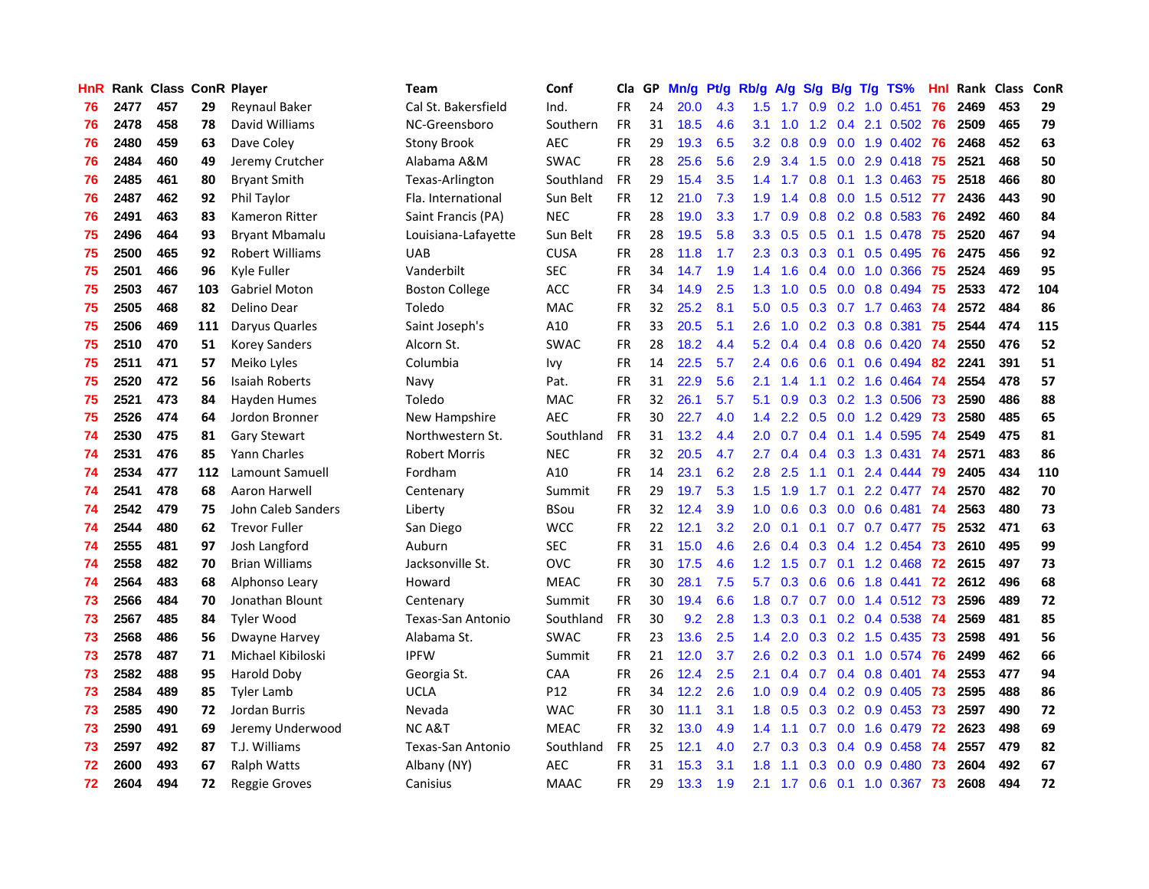| <b>HnR</b> |      | Rank Class ConR Player |     |                        | Team                     | Conf        | Cla       |    | GP Mn/g Pt/g Rb/g A/g |     |                  |                 |                  |                 | S/g B/g T/g TS%           | Hnl |      | Rank Class | <b>ConR</b> |
|------------|------|------------------------|-----|------------------------|--------------------------|-------------|-----------|----|-----------------------|-----|------------------|-----------------|------------------|-----------------|---------------------------|-----|------|------------|-------------|
| 76         | 2477 | 457                    | 29  | <b>Reynaul Baker</b>   | Cal St. Bakersfield      | Ind.        | FR.       | 24 | 20.0                  | 4.3 | 1.5              | 1.7             | 0.9              | 0.2             | $1.0 \quad 0.451$         | 76  | 2469 | 453        | 29          |
| 76         | 2478 | 458                    | 78  | David Williams         | NC-Greensboro            | Southern    | <b>FR</b> | 31 | 18.5                  | 4.6 | 3.1              | 1.0             | 1.2              | 0.4             | 2.1 0.502                 | -76 | 2509 | 465        | 79          |
| 76         | 2480 | 459                    | 63  | Dave Coley             | <b>Stony Brook</b>       | <b>AEC</b>  | <b>FR</b> | 29 | 19.3                  | 6.5 | $3.2\phantom{0}$ | 0.8             | 0.9              | 0.0             | 1.9 0.402                 | 76  | 2468 | 452        | 63          |
| 76         | 2484 | 460                    | 49  | Jeremy Crutcher        | Alabama A&M              | <b>SWAC</b> | <b>FR</b> | 28 | 25.6                  | 5.6 | 2.9              | 3.4             | 1.5              |                 | 0.0 2.9 0.418 75          |     | 2521 | 468        | 50          |
| 76         | 2485 | 461                    | 80  | <b>Bryant Smith</b>    | Texas-Arlington          | Southland   | <b>FR</b> | 29 | 15.4                  | 3.5 |                  | $1.4$ 1.7       |                  |                 | 0.8 0.1 1.3 0.463 75      |     | 2518 | 466        | 80          |
| 76         | 2487 | 462                    | 92  | Phil Taylor            | Fla. International       | Sun Belt    | <b>FR</b> | 12 | 21.0                  | 7.3 | 1.9 <sup>°</sup> | $-1.4$          |                  |                 | 0.8 0.0 1.5 0.512 77      |     | 2436 | 443        | 90          |
| 76         | 2491 | 463                    | 83  | Kameron Ritter         | Saint Francis (PA)       | <b>NEC</b>  | <b>FR</b> | 28 | 19.0                  | 3.3 | 1.7 <sub>2</sub> | 0.9             |                  |                 | $0.8$ 0.2 0.8 0.583       | -76 | 2492 | 460        | 84          |
| 75         | 2496 | 464                    | 93  | <b>Bryant Mbamalu</b>  | Louisiana-Lafayette      | Sun Belt    | <b>FR</b> | 28 | 19.5                  | 5.8 | 3.3 <sub>2</sub> | 0.5             |                  |                 | $0.5$ 0.1 1.5 0.478       | -75 | 2520 | 467        | 94          |
| 75         | 2500 | 465                    | 92  | <b>Robert Williams</b> | <b>UAB</b>               | <b>CUSA</b> | <b>FR</b> | 28 | 11.8                  | 1.7 | 2.3              | 0.3             |                  |                 | 0.3 0.1 0.5 0.495         | 76  | 2475 | 456        | 92          |
| 75         | 2501 | 466                    | 96  | Kyle Fuller            | Vanderbilt               | <b>SEC</b>  | <b>FR</b> | 34 | 14.7                  | 1.9 | 1.4              | 1.6             |                  | $0.4\quad 0.0$  | 1.0 0.366                 | 75  | 2524 | 469        | 95          |
| 75         | 2503 | 467                    | 103 | <b>Gabriel Moton</b>   | <b>Boston College</b>    | ACC         | <b>FR</b> | 34 | 14.9                  | 2.5 | 1.3              | 1.0             | 0.5              |                 | $0.0$ 0.8 0.494           | 75  | 2533 | 472        | 104         |
| 75         | 2505 | 468                    | 82  | Delino Dear            | Toledo                   | MAC         | <b>FR</b> | 32 | 25.2                  | 8.1 | 5.0              | 0.5             |                  |                 | $0.3$ $0.7$ 1.7 $0.463$   | -74 | 2572 | 484        | 86          |
| 75         | 2506 | 469                    | 111 | Daryus Quarles         | Saint Joseph's           | A10         | <b>FR</b> | 33 | 20.5                  | 5.1 | 2.6              | 1.0             |                  |                 | 0.2 0.3 0.8 0.381         | 75  | 2544 | 474        | 115         |
| 75         | 2510 | 470                    | 51  | <b>Korey Sanders</b>   | Alcorn St.               | <b>SWAC</b> | <b>FR</b> | 28 | 18.2                  | 4.4 | 5.2              | 0.4             |                  |                 | $0.4$ 0.8 0.6 0.420       | -74 | 2550 | 476        | 52          |
| 75         | 2511 | 471                    | 57  | Meiko Lyles            | Columbia                 | lvy         | <b>FR</b> | 14 | 22.5                  | 5.7 | 2.4              | 0.6             | 0.6              | 0.1             | 0.6 0.494                 | 82  | 2241 | 391        | 51          |
| 75         | 2520 | 472                    | 56  | Isaiah Roberts         | Navy                     | Pat.        | <b>FR</b> | 31 | 22.9                  | 5.6 | 2.1              | 1.4             | 1.1              | 0.2             | 1.6 0.464                 | 74  | 2554 | 478        | 57          |
| 75         | 2521 | 473                    | 84  | Hayden Humes           | Toledo                   | <b>MAC</b>  | <b>FR</b> | 32 | 26.1                  | 5.7 | 5.1              | 0.9             |                  |                 | $0.3$ $0.2$ 1.3 0.506     | -73 | 2590 | 486        | 88          |
| 75         | 2526 | 474                    | 64  | Jordon Bronner         | New Hampshire            | <b>AEC</b>  | <b>FR</b> | 30 | 22.7                  | 4.0 | 1.4              |                 |                  |                 | 2.2 0.5 0.0 1.2 0.429     | -73 | 2580 | 485        | 65          |
| 74         | 2530 | 475                    | 81  | Gary Stewart           | Northwestern St.         | Southland   | <b>FR</b> | 31 | 13.2                  | 4.4 | 2.0              | 0.7             |                  |                 | $0.4$ 0.1 1.4 0.595       | -74 | 2549 | 475        | 81          |
| 74         | 2531 | 476                    | 85  | <b>Yann Charles</b>    | <b>Robert Morris</b>     | <b>NEC</b>  | <b>FR</b> | 32 | 20.5                  | 4.7 | 2.7              | 0.4             |                  |                 | 0.4 0.3 1.3 0.431 74      |     | 2571 | 483        | 86          |
| 74         | 2534 | 477                    | 112 | Lamount Samuell        | Fordham                  | A10         | <b>FR</b> | 14 | 23.1                  | 6.2 | 2.8              | 2.5             |                  |                 | $1.1$ 0.1 2.4 0.444       | -79 | 2405 | 434        | 110         |
| 74         | 2541 | 478                    | 68  | Aaron Harwell          | Centenary                | Summit      | <b>FR</b> | 29 | 19.7                  | 5.3 | 1.5              | 1.9             | 1.7              |                 | 0.1 2.2 0.477 74          |     | 2570 | 482        | 70          |
| 74         | 2542 | 479                    | 75  | John Caleb Sanders     | Liberty                  | <b>BSou</b> | <b>FR</b> | 32 | 12.4                  | 3.9 | 1.0              | 0.6             |                  |                 | 0.3 0.0 0.6 0.481 74      |     | 2563 | 480        | 73          |
| 74         | 2544 | 480                    | 62  | <b>Trevor Fuller</b>   | San Diego                | <b>WCC</b>  | <b>FR</b> | 22 | 12.1                  | 3.2 | 2.0              | 0.1             | 0.1              |                 | $0.7$ 0.7 0.477           | -75 | 2532 | 471        | 63          |
| 74         | 2555 | 481                    | 97  | Josh Langford          | Auburn                   | <b>SEC</b>  | <b>FR</b> | 31 | 15.0                  | 4.6 | 2.6              | 0.4             |                  |                 | 0.3 0.4 1.2 0.454         | 73  | 2610 | 495        | 99          |
| 74         | 2558 | 482                    | 70  | <b>Brian Williams</b>  | Jacksonville St.         | <b>OVC</b>  | <b>FR</b> | 30 | 17.5                  | 4.6 |                  | $1.2$ 1.5       | 0.7              |                 | $0.1$ 1.2 $0.468$         | 72  | 2615 | 497        | 73          |
| 74         | 2564 | 483                    | 68  | Alphonso Leary         | Howard                   | <b>MEAC</b> | <b>FR</b> | 30 | 28.1                  | 7.5 | 5.7              | 0.3             | 0.6              | 0.6             | 1.8 0.441                 | 72  | 2612 | 496        | 68          |
| 73         | 2566 | 484                    | 70  | Jonathan Blount        | Centenary                | Summit      | <b>FR</b> | 30 | 19.4                  | 6.6 | 1.8              | 0.7             | 0.7              | 0.0             | 1.4 0.512                 | -73 | 2596 | 489        | 72          |
| 73         | 2567 | 485                    | 84  | <b>Tyler Wood</b>      | <b>Texas-San Antonio</b> | Southland   | <b>FR</b> | 30 | 9.2                   | 2.8 | 1.3              | 0.3             | 0.1              | 0.2             | 0.4 0.538                 | -74 | 2569 | 481        | 85          |
| 73         | 2568 | 486                    | 56  | Dwayne Harvey          | Alabama St.              | <b>SWAC</b> | <b>FR</b> | 23 | 13.6                  | 2.5 | $1.4^{\circ}$    | 2.0             |                  |                 | $0.3$ $0.2$ 1.5 $0.435$   | 73  | 2598 | 491        | 56          |
| 73         | 2578 | 487                    | 71  | Michael Kibiloski      | <b>IPFW</b>              | Summit      | <b>FR</b> | 21 | 12.0                  | 3.7 | 2.6              | 0.2             |                  | $0.3 \quad 0.1$ | 1.0 0.574                 | 76  | 2499 | 462        | 66          |
| 73         | 2582 | 488                    | 95  | Harold Doby            | Georgia St.              | CAA         | <b>FR</b> | 26 | 12.4                  | 2.5 | 2.1              | 0.4             |                  |                 | $0.7$ $0.4$ $0.8$ $0.401$ | -74 | 2553 | 477        | 94          |
| 73         | 2584 | 489                    | 85  | <b>Tyler Lamb</b>      | <b>UCLA</b>              | P12         | <b>FR</b> | 34 | 12.2                  | 2.6 |                  | $1.0 \quad 0.9$ |                  |                 | $0.4$ 0.2 0.9 0.405       | -73 | 2595 | 488        | 86          |
| 73         | 2585 | 490                    | 72  | Jordan Burris          | Nevada                   | <b>WAC</b>  | <b>FR</b> | 30 | 11.1                  | 3.1 | 1.8              | 0.5             |                  |                 | $0.3$ $0.2$ $0.9$ $0.453$ | 73  | 2597 | 490        | 72          |
| 73         | 2590 | 491                    | 69  | Jeremy Underwood       | <b>NC A&amp;T</b>        | <b>MEAC</b> | <b>FR</b> | 32 | 13.0                  | 4.9 | $1.4^{\circ}$    | 1.1             | 0.7              |                 | 0.0 1.6 0.479             | 72  | 2623 | 498        | 69          |
| 73         | 2597 | 492                    | 87  | T.J. Williams          | <b>Texas-San Antonio</b> | Southland   | <b>FR</b> | 25 | 12.1                  | 4.0 | 2.7              | 0.3             | 0.3              | 0.4             | $0.9$ $0.458$             | -74 | 2557 | 479        | 82          |
| 72         | 2600 | 493                    | 67  | <b>Ralph Watts</b>     | Albany (NY)              | <b>AEC</b>  | <b>FR</b> | 31 | 15.3                  | 3.1 | 1.8              | 1.1             | 0.3 <sub>0</sub> | 0.0             | 0.9 0.480                 | 73  | 2604 | 492        | 67          |
| 72         | 2604 | 494                    | 72  | Reggie Groves          | Canisius                 | <b>MAAC</b> | FR.       | 29 | 13.3                  | 1.9 |                  |                 |                  |                 | 2.1 1.7 0.6 0.1 1.0 0.367 | 73  | 2608 | 494        | 72          |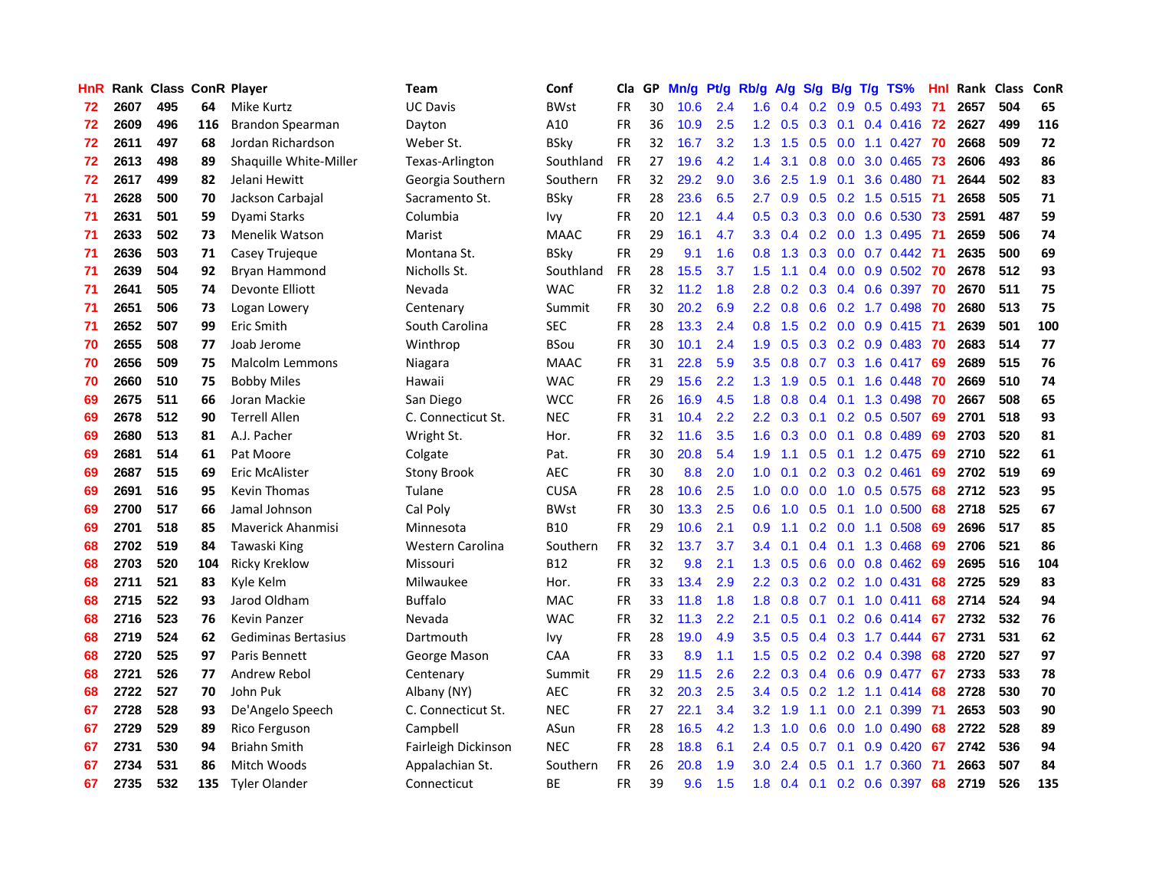| HnR. |      | Rank Class ConR Player |     |                            | <b>Team</b>         | Conf        | Cla       | GP. | Mn/g Pt/g Rb/g A/g |     |                  |                 |                  |                 | S/g B/g T/g TS%           | Hnl |      | Rank Class | <b>ConR</b> |
|------|------|------------------------|-----|----------------------------|---------------------|-------------|-----------|-----|--------------------|-----|------------------|-----------------|------------------|-----------------|---------------------------|-----|------|------------|-------------|
| 72   | 2607 | 495                    | 64  | Mike Kurtz                 | <b>UC Davis</b>     | <b>BWst</b> | <b>FR</b> | 30  | 10.6               | 2.4 | 1.6              | 0.4             | 0.2              | 0.9             | $0.5$ 0.493               | -71 | 2657 | 504        | 65          |
| 72   | 2609 | 496                    | 116 | Brandon Spearman           | Davton              | A10         | <b>FR</b> | 36  | 10.9               | 2.5 | 1.2 <sub>1</sub> | 0.5             | 0.3              | 0.1             | $0.4$ 0.416               | 72  | 2627 | 499        | 116         |
| 72   | 2611 | 497                    | 68  | Jordan Richardson          | Weber St.           | <b>BSky</b> | <b>FR</b> | 32  | 16.7               | 3.2 | 1.3              | 1.5             | 0.5              | 0.0             | $1.1 \quad 0.427$         | -70 | 2668 | 509        | 72          |
| 72   | 2613 | 498                    | 89  | Shaquille White-Miller     | Texas-Arlington     | Southland   | <b>FR</b> | 27  | 19.6               | 4.2 | 1.4              | 3.1             | 0.8              | 0.0             | 3.0 0.465                 | -73 | 2606 | 493        | 86          |
| 72   | 2617 | 499                    | 82  | Jelani Hewitt              | Georgia Southern    | Southern    | FR        | 32  | 29.2               | 9.0 | 3.6              | 2.5             |                  | $1.9 \quad 0.1$ | 3.6 0.480 71              |     | 2644 | 502        | 83          |
| 71   | 2628 | 500                    | 70  | Jackson Carbajal           | Sacramento St.      | <b>BSky</b> | <b>FR</b> | 28  | 23.6               | 6.5 | $2.7^{\circ}$    | 0.9             |                  |                 | 0.5 0.2 1.5 0.515 71      |     | 2658 | 505        | 71          |
| 71   | 2631 | 501                    | 59  | Dyami Starks               | Columbia            | Ivy         | <b>FR</b> | 20  | 12.1               | 4.4 | 0.5              | 0.3             |                  |                 | 0.3 0.0 0.6 0.530 73      |     | 2591 | 487        | 59          |
| 71   | 2633 | 502                    | 73  | Menelik Watson             | Marist              | <b>MAAC</b> | <b>FR</b> | 29  | 16.1               | 4.7 | 3.3 <sub>1</sub> | 0.4             |                  |                 | $0.2$ 0.0 1.3 0.495       | -71 | 2659 | 506        | 74          |
| 71   | 2636 | 503                    | 71  | Casey Trujeque             | Montana St.         | <b>BSky</b> | <b>FR</b> | 29  | 9.1                | 1.6 | 0.8              | 1.3             |                  |                 | 0.3 0.0 0.7 0.442         | -71 | 2635 | 500        | 69          |
| 71   | 2639 | 504                    | 92  | Bryan Hammond              | Nicholls St.        | Southland   | <b>FR</b> | 28  | 15.5               | 3.7 | 1.5              | 1.1             |                  |                 | $0.4$ 0.0 0.9 0.502       | 70  | 2678 | 512        | 93          |
| 71   | 2641 | 505                    | 74  | Devonte Elliott            | Nevada              | <b>WAC</b>  | <b>FR</b> | 32  | 11.2               | 1.8 | 2.8              | 0.2             |                  |                 | $0.3$ 0.4 0.6 0.397       | 70  | 2670 | 511        | 75          |
| 71   | 2651 | 506                    | 73  | Logan Lowery               | Centenary           | Summit      | <b>FR</b> | 30  | 20.2               | 6.9 | 2.2              | 0.8             |                  |                 | 0.6 0.2 1.7 0.498         | 70  | 2680 | 513        | 75          |
| 71   | 2652 | 507                    | 99  | Eric Smith                 | South Carolina      | <b>SEC</b>  | <b>FR</b> | 28  | 13.3               | 2.4 | 0.8 <sub>0</sub> | 1.5             |                  |                 | $0.2$ 0.0 0.9 0.415       | -71 | 2639 | 501        | 100         |
| 70   | 2655 | 508                    | 77  | Joab Jerome                | Winthrop            | <b>BSou</b> | <b>FR</b> | 30  | 10.1               | 2.4 | 1.9              | 0.5             | 0.3              |                 | $0.2$ 0.9 0.483           | -70 | 2683 | 514        | 77          |
| 70   | 2656 | 509                    | 75  | <b>Malcolm Lemmons</b>     | Niagara             | <b>MAAC</b> | FR        | 31  | 22.8               | 5.9 | 3.5              | 0.8             | 0.7              |                 | $0.3$ 1.6 0.417           | 69  | 2689 | 515        | 76          |
| 70   | 2660 | 510                    | 75  | <b>Bobby Miles</b>         | Hawaii              | <b>WAC</b>  | <b>FR</b> | 29  | 15.6               | 2.2 | 1.3              | 1.9             | 0.5              | 0.1             | 1.6 0.448                 | 70  | 2669 | 510        | 74          |
| 69   | 2675 | 511                    | 66  | Joran Mackie               | San Diego           | <b>WCC</b>  | <b>FR</b> | 26  | 16.9               | 4.5 | 1.8              | 0.8             |                  | $0.4 \quad 0.1$ | 1.3 0.498                 | -70 | 2667 | 508        | 65          |
| 69   | 2678 | 512                    | 90  | <b>Terrell Allen</b>       | C. Connecticut St.  | <b>NEC</b>  | <b>FR</b> | 31  | 10.4               | 2.2 |                  | $2.2 \quad 0.3$ |                  |                 | $0.1$ 0.2 0.5 0.507       | -69 | 2701 | 518        | 93          |
| 69   | 2680 | 513                    | 81  | A.J. Pacher                | Wright St.          | Hor.        | <b>FR</b> | 32  | 11.6               | 3.5 |                  | $1.6 \quad 0.3$ |                  |                 | 0.0 0.1 0.8 0.489         | -69 | 2703 | 520        | 81          |
| 69   | 2681 | 514                    | 61  | Pat Moore                  | Colgate             | Pat.        | <b>FR</b> | 30  | 20.8               | 5.4 | 1.9              | 1.1             |                  |                 | 0.5 0.1 1.2 0.475         | -69 | 2710 | 522        | 61          |
| 69   | 2687 | 515                    | 69  | Eric McAlister             | <b>Stony Brook</b>  | <b>AEC</b>  | <b>FR</b> | 30  | 8.8                | 2.0 | 1.0 <sub>1</sub> | 0.1             |                  |                 | $0.2$ $0.3$ $0.2$ $0.461$ | -69 | 2702 | 519        | 69          |
| 69   | 2691 | 516                    | 95  | <b>Kevin Thomas</b>        | Tulane              | <b>CUSA</b> | <b>FR</b> | 28  | 10.6               | 2.5 | 1.0              | 0.0             | 0.0 <sub>1</sub> |                 | 1.0 0.5 0.575             | 68  | 2712 | 523        | 95          |
| 69   | 2700 | 517                    | 66  | Jamal Johnson              | Cal Poly            | <b>BWst</b> | <b>FR</b> | 30  | 13.3               | 2.5 | 0.6              | 1.0             |                  |                 | $0.5$ 0.1 1.0 0.500       | 68  | 2718 | 525        | 67          |
| 69   | 2701 | 518                    | 85  | <b>Maverick Ahanmisi</b>   | Minnesota           | <b>B10</b>  | <b>FR</b> | 29  | 10.6               | 2.1 | 0.9              | 1.1             |                  |                 | $0.2$ 0.0 1.1 0.508       | 69  | 2696 | 517        | 85          |
| 68   | 2702 | 519                    | 84  | Tawaski King               | Western Carolina    | Southern    | FR        | 32  | 13.7               | 3.7 | 3.4              | 0.1             |                  |                 | 0.4 0.1 1.3 0.468         | 69  | 2706 | 521        | 86          |
| 68   | 2703 | 520                    | 104 | <b>Ricky Kreklow</b>       | Missouri            | <b>B12</b>  | <b>FR</b> | 32  | 9.8                | 2.1 | 1.3              | 0.5             |                  |                 | $0.6$ $0.0$ $0.8$ $0.462$ | 69  | 2695 | 516        | 104         |
| 68   | 2711 | 521                    | 83  | Kyle Kelm                  | Milwaukee           | Hor.        | <b>FR</b> | 33  | 13.4               | 2.9 | $2.2^{\circ}$    | 0.3             |                  |                 | $0.2$ $0.2$ 1.0 $0.431$   | 68  | 2725 | 529        | 83          |
| 68   | 2715 | 522                    | 93  | Jarod Oldham               | <b>Buffalo</b>      | <b>MAC</b>  | <b>FR</b> | 33  | 11.8               | 1.8 | 1.8              | 0.8             | 0.7              |                 | $0.1$ 1.0 0.411           | 68  | 2714 | 524        | 94          |
| 68   | 2716 | 523                    | 76  | <b>Kevin Panzer</b>        | Nevada              | <b>WAC</b>  | <b>FR</b> | 32  | 11.3               | 2.2 | 2.1              | 0.5             | 0.1              | 0.2             | $0.6$ 0.414               | 67  | 2732 | 532        | 76          |
| 68   | 2719 | 524                    | 62  | <b>Gediminas Bertasius</b> | Dartmouth           | lvy         | <b>FR</b> | 28  | 19.0               | 4.9 | 3.5              | 0.5             |                  |                 | 0.4 0.3 1.7 0.444         | 67  | 2731 | 531        | 62          |
| 68   | 2720 | 525                    | 97  | Paris Bennett              | George Mason        | CAA         | <b>FR</b> | 33  | 8.9                | 1.1 | 1.5              | 0.5             |                  |                 | $0.2$ $0.2$ $0.4$ $0.398$ | 68  | 2720 | 527        | 97          |
| 68   | 2721 | 526                    | 77  | Andrew Rebol               | Centenary           | Summit      | <b>FR</b> | 29  | 11.5               | 2.6 | $2.2\phantom{0}$ | 0.3             |                  |                 | 0.4 0.6 0.9 0.477         | 67  | 2733 | 533        | 78          |
| 68   | 2722 | 527                    | 70  | John Puk                   | Albany (NY)         | <b>AEC</b>  | <b>FR</b> | 32  | 20.3               | 2.5 |                  | $3.4 \quad 0.5$ |                  |                 | $0.2$ 1.2 1.1 0.414       | 68  | 2728 | 530        | 70          |
| 67   | 2728 | 528                    | 93  | De'Angelo Speech           | C. Connecticut St.  | <b>NEC</b>  | <b>FR</b> | 27  | 22.1               | 3.4 | 3.2              | 1.9             | 1.1              | 0.0             | 2.1 0.399                 | -71 | 2653 | 503        | 90          |
| 67   | 2729 | 529                    | 89  | Rico Ferguson              | Campbell            | ASun        | FR        | 28  | 16.5               | 4.2 | 1.3              | 1.0             | 0.6              | 0.0             | 1.0 0.490                 | 68  | 2722 | 528        | 89          |
| 67   | 2731 | 530                    | 94  | <b>Briahn Smith</b>        | Fairleigh Dickinson | <b>NEC</b>  | <b>FR</b> | 28  | 18.8               | 6.1 | 2.4              | 0.5             | 0.7              | 0.1             | 0.9 0.420                 | 67  | 2742 | 536        | 94          |
| 67   | 2734 | 531                    | 86  | Mitch Woods                | Appalachian St.     | Southern    | <b>FR</b> | 26  | 20.8               | 1.9 | 3.0              | 2.4             | 0.5              | 0.1             | 1.7 0.360                 | -71 | 2663 | 507        | 84          |
| 67   | 2735 | 532                    | 135 | <b>Tyler Olander</b>       | Connecticut         | ВE          | <b>FR</b> | 39  | 9.6                | 1.5 | 1.8              | 0.4             |                  |                 | $0.1$ 0.2 0.6 0.397       | 68  | 2719 | 526        | 135         |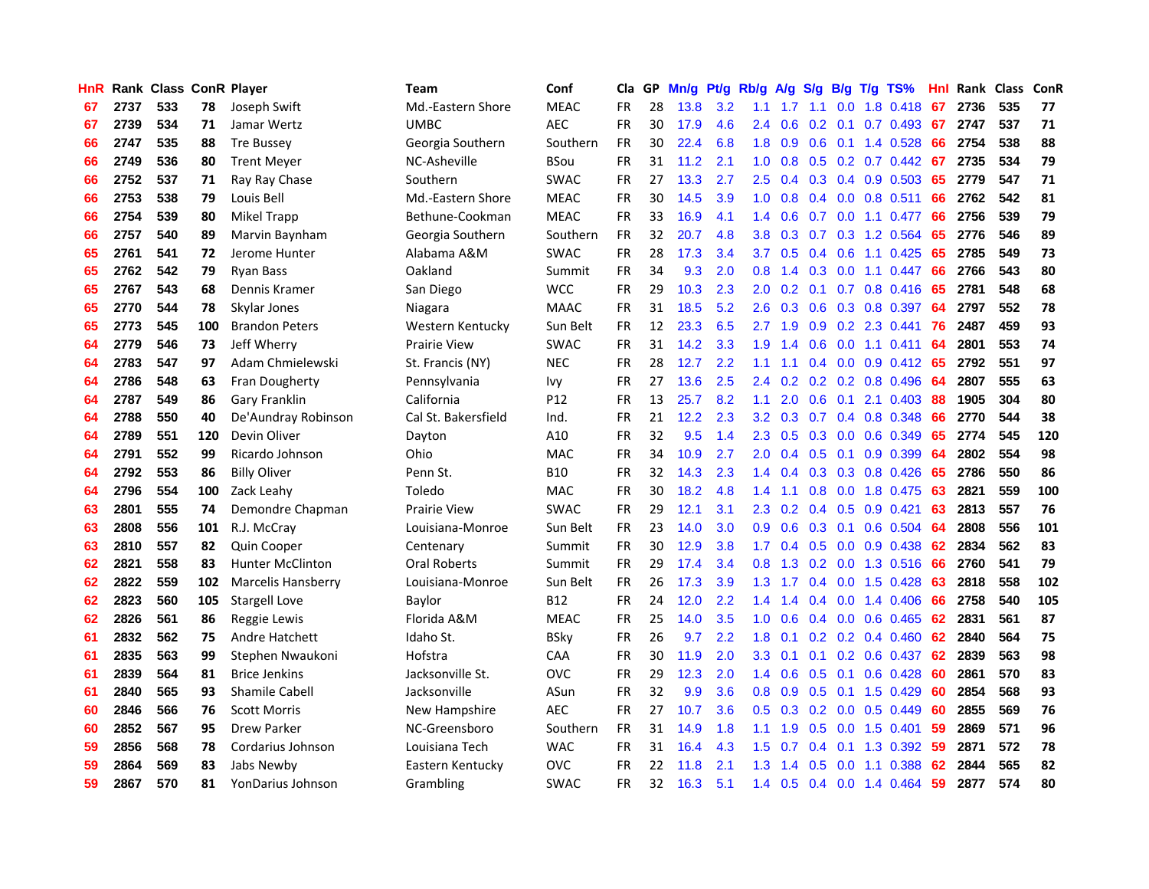| HnR |      | Rank Class ConR Player |     |                           | Team                | Conf            | Cla       |    | GP Mn/g Pt/g Rb/g |     |                  |                                      |                  |                 | A/g S/g B/g T/g TS%       | Hnl | Rank Class |     | ConR |
|-----|------|------------------------|-----|---------------------------|---------------------|-----------------|-----------|----|-------------------|-----|------------------|--------------------------------------|------------------|-----------------|---------------------------|-----|------------|-----|------|
| 67  | 2737 | 533                    | 78  | Joseph Swift              | Md.-Eastern Shore   | <b>MEAC</b>     | <b>FR</b> | 28 | 13.8              | 3.2 | 1.1              | 1.7                                  | 1.1              | 0.0             | 1.8 0.418                 | 67  | 2736       | 535 | 77   |
| 67  | 2739 | 534                    | 71  | Jamar Wertz               | <b>UMBC</b>         | <b>AEC</b>      | <b>FR</b> | 30 | 17.9              | 4.6 | 2.4              | 0.6                                  | 0.2              | 0.1             | 0.7 0.493                 | 67  | 2747       | 537 | 71   |
| 66  | 2747 | 535                    | 88  | <b>Tre Bussey</b>         | Georgia Southern    | Southern        | <b>FR</b> | 30 | 22.4              | 6.8 | 1.8 <sup>2</sup> | 0.9                                  | 0.6              | 0.1             | 1.4 0.528                 | 66  | 2754       | 538 | 88   |
| 66  | 2749 | 536                    | 80  | <b>Trent Meyer</b>        | NC-Asheville        | <b>BSou</b>     | <b>FR</b> | 31 | 11.2              | 2.1 | 1.0 <sub>1</sub> | 0.8                                  |                  |                 | $0.5$ $0.2$ $0.7$ $0.442$ | 67  | 2735       | 534 | 79   |
| 66  | 2752 | 537                    | 71  | Ray Ray Chase             | Southern            | <b>SWAC</b>     | <b>FR</b> | 27 | 13.3              | 2.7 | 2.5              | 0.4                                  |                  |                 | $0.3$ 0.4 0.9 0.503       | 65  | 2779       | 547 | 71   |
| 66  | 2753 | 538                    | 79  | Louis Bell                | Md.-Eastern Shore   | <b>MEAC</b>     | <b>FR</b> | 30 | 14.5              | 3.9 | 1.0 <sub>1</sub> | 0.8                                  |                  |                 | $0.4$ 0.0 0.8 0.511       | 66  | 2762       | 542 | 81   |
| 66  | 2754 | 539                    | 80  | Mikel Trapp               | Bethune-Cookman     | <b>MEAC</b>     | <b>FR</b> | 33 | 16.9              | 4.1 | $1.4^{\circ}$    | 0.6                                  |                  |                 | $0.7$ $0.0$ $1.1$ $0.477$ | -66 | 2756       | 539 | 79   |
| 66  | 2757 | 540                    | 89  | Marvin Baynham            | Georgia Southern    | Southern        | <b>FR</b> | 32 | 20.7              | 4.8 | 3.8              | 0.3                                  |                  |                 | 0.7 0.3 1.2 0.564         | 65  | 2776       | 546 | 89   |
| 65  | 2761 | 541                    | 72  | Jerome Hunter             | Alabama A&M         | SWAC            | <b>FR</b> | 28 | 17.3              | 3.4 | 3.7              | 0.5                                  |                  |                 | 0.4 0.6 1.1 0.425         | 65  | 2785       | 549 | 73   |
| 65  | 2762 | 542                    | 79  | <b>Ryan Bass</b>          | Oakland             | Summit          | <b>FR</b> | 34 | 9.3               | 2.0 | 0.8              | $\mathbf{A}$<br>$\blacktriangleleft$ |                  |                 | $0.3$ $0.0$ 1.1 $0.447$   | 66  | 2766       | 543 | 80   |
| 65  | 2767 | 543                    | 68  | Dennis Kramer             | San Diego           | <b>WCC</b>      | <b>FR</b> | 29 | 10.3              | 2.3 | 2.0              | 0.2                                  | 0.1              |                 | $0.7$ 0.8 0.416           | -65 | 2781       | 548 | 68   |
| 65  | 2770 | 544                    | 78  | Skylar Jones              | Niagara             | <b>MAAC</b>     | <b>FR</b> | 31 | 18.5              | 5.2 | 2.6              | 0.3                                  |                  |                 | 0.6 0.3 0.8 0.397         | 64  | 2797       | 552 | 78   |
| 65  | 2773 | 545                    | 100 | <b>Brandon Peters</b>     | Western Kentucky    | Sun Belt        | <b>FR</b> | 12 | 23.3              | 6.5 | 2.7              | 1.9                                  | 0.9 <sub>0</sub> | 0.2             | 2.3 0.441                 | 76  | 2487       | 459 | 93   |
| 64  | 2779 | 546                    | 73  | Jeff Wherry               | <b>Prairie View</b> | <b>SWAC</b>     | <b>FR</b> | 31 | 14.2              | 3.3 | 1.9              | 1.4                                  | 0.6              | 0.0             | $1.1 \t0.411$             | 64  | 2801       | 553 | 74   |
| 64  | 2783 | 547                    | 97  | Adam Chmielewski          | St. Francis (NY)    | <b>NEC</b>      | <b>FR</b> | 28 | 12.7              | 2.2 | 1.1              | 1.1                                  | 0.4              | 0.0             | $0.9$ $0.412$             | -65 | 2792       | 551 | 97   |
| 64  | 2786 | 548                    | 63  | <b>Fran Dougherty</b>     | Pennsylvania        | lvy             | <b>FR</b> | 27 | 13.6              | 2.5 | 2.4              | 0.2                                  |                  |                 | $0.2$ 0.2 0.8 0.496       | -64 | 2807       | 555 | 63   |
| 64  | 2787 | 549                    | 86  | Gary Franklin             | California          | P <sub>12</sub> | <b>FR</b> | 13 | 25.7              | 8.2 | 1.1              | 2.0                                  | 0.6              | 0.1             | 2.1 0.403                 | 88  | 1905       | 304 | 80   |
| 64  | 2788 | 550                    | 40  | De'Aundray Robinson       | Cal St. Bakersfield | Ind.            | <b>FR</b> | 21 | 12.2              | 2.3 |                  | $3.2 \quad 0.3$                      |                  |                 | 0.7 0.4 0.8 0.348         | 66  | 2770       | 544 | 38   |
| 64  | 2789 | 551                    | 120 | Devin Oliver              | Dayton              | A10             | <b>FR</b> | 32 | 9.5               | 1.4 |                  | $2.3\quad 0.5$                       |                  |                 | $0.3$ 0.0 0.6 0.349       | 65  | 2774       | 545 | 120  |
| 64  | 2791 | 552                    | 99  | Ricardo Johnson           | Ohio                | <b>MAC</b>      | <b>FR</b> | 34 | 10.9              | 2.7 | $2.0^{\circ}$    | 0.4                                  |                  |                 | $0.5$ 0.1 0.9 0.399       | -64 | 2802       | 554 | 98   |
| 64  | 2792 | 553                    | 86  | <b>Billy Oliver</b>       | Penn St.            | <b>B10</b>      | <b>FR</b> | 32 | 14.3              | 2.3 | $1.4^{\circ}$    | 0.4                                  |                  |                 | $0.3$ $0.3$ $0.8$ $0.426$ | 65  | 2786       | 550 | 86   |
| 64  | 2796 | 554                    | 100 | Zack Leahy                | Toledo              | MAC             | <b>FR</b> | 30 | 18.2              | 4.8 | $1.4^{\circ}$    | 1.1                                  |                  |                 | 0.8 0.0 1.8 0.475         | 63  | 2821       | 559 | 100  |
| 63  | 2801 | 555                    | 74  | Demondre Chapman          | <b>Prairie View</b> | <b>SWAC</b>     | <b>FR</b> | 29 | 12.1              | 3.1 |                  | $2.3 \quad 0.2$                      |                  |                 | $0.4$ 0.5 0.9 0.421       | 63  | 2813       | 557 | 76   |
| 63  | 2808 | 556                    | 101 | R.J. McCray               | Louisiana-Monroe    | Sun Belt        | <b>FR</b> | 23 | 14.0              | 3.0 | 0.9              | 0.6                                  |                  | $0.3 \quad 0.1$ | 0.6 0.504                 | -64 | 2808       | 556 | 101  |
| 63  | 2810 | 557                    | 82  | <b>Quin Cooper</b>        | Centenary           | Summit          | FR        | 30 | 12.9              | 3.8 | 1.7 <sub>2</sub> | 0.4                                  |                  |                 | 0.5 0.0 0.9 0.438         | 62  | 2834       | 562 | 83   |
| 62  | 2821 | 558                    | 83  | <b>Hunter McClinton</b>   | Oral Roberts        | Summit          | FR        | 29 | 17.4              | 3.4 | 0.8              | 1.3                                  |                  |                 | 0.2 0.0 1.3 0.516         | 66  | 2760       | 541 | 79   |
| 62  | 2822 | 559                    | 102 | <b>Marcelis Hansberry</b> | Louisiana-Monroe    | Sun Belt        | <b>FR</b> | 26 | 17.3              | 3.9 | 1.3              | 1.7                                  |                  | $0.4 \quad 0.0$ | 1.5 0.428                 | 63  | 2818       | 558 | 102  |
| 62  | 2823 | 560                    | 105 | <b>Stargell Love</b>      | Baylor              | B12             | <b>FR</b> | 24 | 12.0              | 2.2 | $1.4^{\circ}$    | 1.4                                  |                  | $0.4\quad 0.0$  | 1.4 0.406                 | 66  | 2758       | 540 | 105  |
| 62  | 2826 | 561                    | 86  | Reggie Lewis              | Florida A&M         | <b>MEAC</b>     | <b>FR</b> | 25 | 14.0              | 3.5 | 1.0              | 0.6                                  |                  | $0.4\quad 0.0$  | 0.6 0.465                 | 62  | 2831       | 561 | 87   |
| 61  | 2832 | 562                    | 75  | Andre Hatchett            | Idaho St.           | <b>BSky</b>     | <b>FR</b> | 26 | 9.7               | 2.2 | 1.8              | 0.1                                  |                  |                 | $0.2$ 0.2 0.4 0.460       | 62  | 2840       | 564 | 75   |
| 61  | 2835 | 563                    | 99  | Stephen Nwaukoni          | Hofstra             | CAA             | <b>FR</b> | 30 | 11.9              | 2.0 | 3.3 <sub>2</sub> | 0.1                                  |                  |                 | $0.1$ $0.2$ $0.6$ $0.437$ | 62  | 2839       | 563 | 98   |
| 61  | 2839 | 564                    | 81  | <b>Brice Jenkins</b>      | Jacksonville St.    | <b>OVC</b>      | <b>FR</b> | 29 | 12.3              | 2.0 |                  | $1.4 \quad 0.6$                      |                  |                 | $0.5$ 0.1 0.6 0.428       | -60 | 2861       | 570 | 83   |
| 61  | 2840 | 565                    | 93  | <b>Shamile Cabell</b>     | Jacksonville        | ASun            | <b>FR</b> | 32 | 9.9               | 3.6 |                  | $0.8\quad 0.9$                       |                  |                 | $0.5$ 0.1 1.5 0.429       | 60  | 2854       | 568 | 93   |
| 60  | 2846 | 566                    | 76  | <b>Scott Morris</b>       | New Hampshire       | <b>AEC</b>      | <b>FR</b> | 27 | 10.7              | 3.6 | 0.5              | 0.3                                  |                  |                 | $0.2$ 0.0 0.5 0.449       | 60  | 2855       | 569 | 76   |
| 60  | 2852 | 567                    | 95  | <b>Drew Parker</b>        | NC-Greensboro       | Southern        | FR        | 31 | 14.9              | 1.8 | 1.1 <sub>1</sub> | 1.9                                  |                  |                 | $0.5$ 0.0 1.5 0.401       | 59  | 2869       | 571 | 96   |
| 59  | 2856 | 568                    | 78  | Cordarius Johnson         | Louisiana Tech      | <b>WAC</b>      | <b>FR</b> | 31 | 16.4              | 4.3 | 1.5              | 0.7                                  | $0.4^{\circ}$    | 0.1             | 1.3 0.392                 | 59  | 2871       | 572 | 78   |
| 59  | 2864 | 569                    | 83  | Jabs Newby                | Eastern Kentucky    | <b>OVC</b>      | <b>FR</b> | 22 | 11.8              | 2.1 | 1.3              | -1<br>$\mathcal{A}$                  | 0.5              | 0.0             | 1.1 0.388                 | 62  | 2844       | 565 | 82   |
| 59  | 2867 | 570                    | 81  | YonDarius Johnson         | Grambling           | <b>SWAC</b>     | FR.       | 32 | 16.3              | 5.1 | $1.4^{\circ}$    | 0.5                                  |                  |                 | $0.4$ 0.0 1.4 0.464       | 59  | 2877       | 574 | 80   |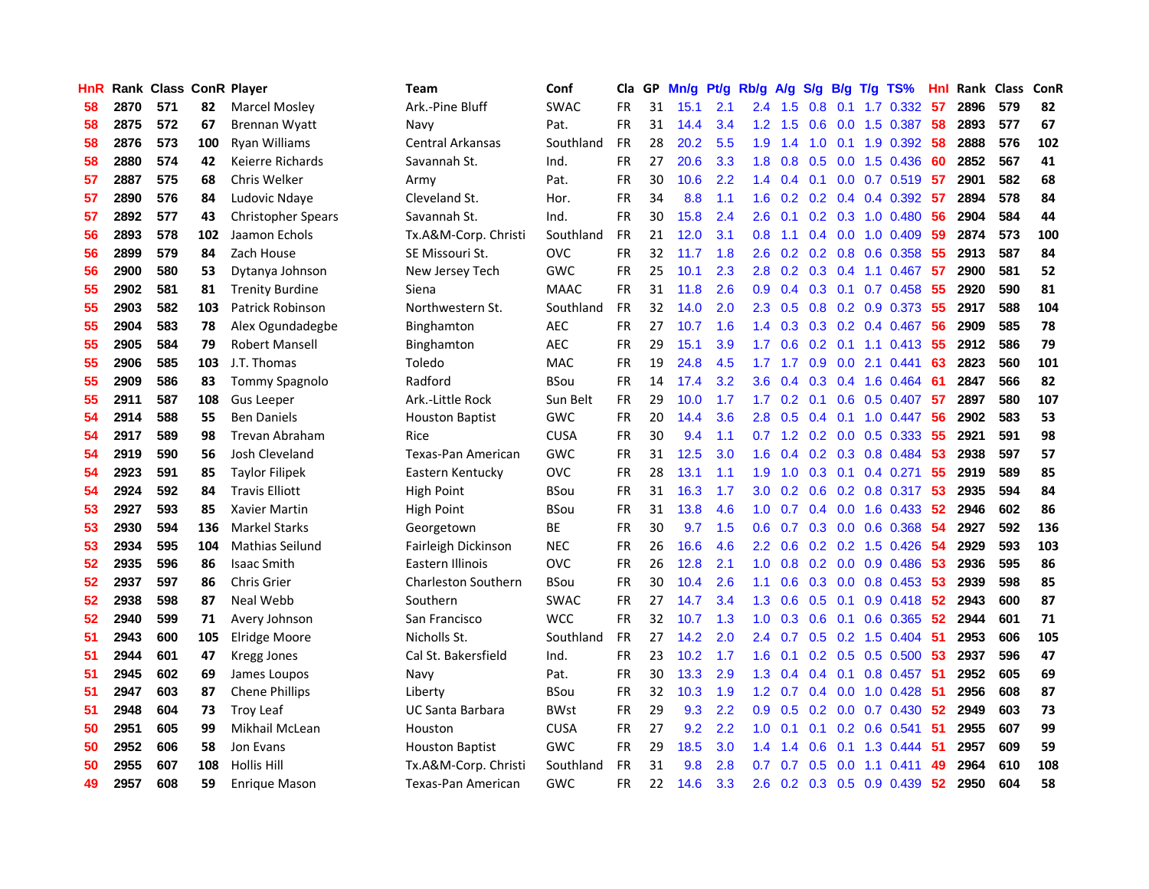| HnR     |      | Rank Class ConR Player |     |                           | Team                       | Conf        | Cla       |    | GP Mn/g Pt/g |     | Rb/g A/g         |                                      |     |                 | S/g B/g T/g TS%                 | Hnl          |      | Rank Class | <b>ConR</b> |
|---------|------|------------------------|-----|---------------------------|----------------------------|-------------|-----------|----|--------------|-----|------------------|--------------------------------------|-----|-----------------|---------------------------------|--------------|------|------------|-------------|
| 58      | 2870 | 571                    | 82  | Marcel Mosley             | Ark.-Pine Bluff            | <b>SWAC</b> | FR        | 31 | 15.1         | 2.1 | 2.4              | 1.5                                  | 0.8 | 0.1             | 1.7 0.332                       | 57           | 2896 | 579        | 82          |
| 58      | 2875 | 572                    | 67  | Brennan Wyatt             | Navy                       | Pat.        | <b>FR</b> | 31 | 14.4         | 3.4 | 1.2              | 1.5                                  | 0.6 | 0.0             | 1.5 0.387                       | 58           | 2893 | 577        | 67          |
| 58      | 2876 | 573                    | 100 | Ryan Williams             | <b>Central Arkansas</b>    | Southland   | <b>FR</b> | 28 | 20.2         | 5.5 | 1.9              | 1.4                                  | 1.0 | 0.1             | 1.9 0.392                       | 58           | 2888 | 576        | 102         |
| 58      | 2880 | 574                    | 42  | Keierre Richards          | Savannah St.               | Ind.        | <b>FR</b> | 27 | 20.6         | 3.3 | 1.8              | 0.8                                  |     |                 | 0.5 0.0 1.5 0.436               | 60           | 2852 | 567        | 41          |
| 57      | 2887 | 575                    | 68  | Chris Welker              | Army                       | Pat.        | FR        | 30 | 10.6         | 2.2 |                  | $1.4 \quad 0.4$                      |     |                 | 0.1 0.0 0.7 0.519 57            |              | 2901 | 582        | 68          |
| 57      | 2890 | 576                    | 84  | Ludovic Ndaye             | Cleveland St.              | Hor.        | <b>FR</b> | 34 | 8.8          | 1.1 |                  |                                      |     |                 | 1.6 0.2 0.2 0.4 0.4 0.392       | -57          | 2894 | 578        | 84          |
| 57      | 2892 | 577                    | 43  | <b>Christopher Spears</b> | Savannah St.               | Ind.        | FR        | 30 | 15.8         | 2.4 | $2.6^{\circ}$    | 0.1                                  |     |                 | $0.2$ $0.3$ 1.0 $0.480$         | 56           | 2904 | 584        | 44          |
| 56      | 2893 | 578                    | 102 | Jaamon Echols             | Tx.A&M-Corp. Christi       | Southland   | <b>FR</b> | 21 | 12.0         | 3.1 | 0.8              | 1.1                                  |     |                 | $0.4$ 0.0 1.0 0.409             | 59           | 2874 | 573        | 100         |
| 56      | 2899 | 579                    | 84  | Zach House                | SE Missouri St.            | <b>OVC</b>  | FR        | 32 | 11.7         | 1.8 | 2.6              | 0.2                                  |     |                 | 0.2 0.8 0.6 0.358               | 55           | 2913 | 587        | 84          |
| 56      | 2900 | 580                    | 53  | Dytanya Johnson           | New Jersey Tech            | GWC         | <b>FR</b> | 25 | 10.1         | 2.3 | 2.8              | 0.2                                  |     |                 | $0.3$ $0.4$ 1.1 $0.467$         | 57           | 2900 | 581        | 52          |
| 55      | 2902 | 581                    | 81  | <b>Trenity Burdine</b>    | Siena                      | <b>MAAC</b> | <b>FR</b> | 31 | 11.8         | 2.6 | 0.9              | 0.4                                  |     |                 | $0.3$ 0.1 0.7 0.458             | 55           | 2920 | 590        | 81          |
| 55      | 2903 | 582                    | 103 | Patrick Robinson          | Northwestern St.           | Southland   | FR        | 32 | 14.0         | 2.0 | $2.3^{\circ}$    | 0.5                                  |     |                 | $0.8$ $0.2$ $0.9$ $0.373$       | 55           | 2917 | 588        | 104         |
| 55      | 2904 | 583                    | 78  | Alex Ogundadegbe          | Binghamton                 | <b>AEC</b>  | FR        | 27 | 10.7         | 1.6 | $1.4^{\circ}$    | 0.3                                  |     |                 | 0.3 0.2 0.4 0.467               | 56           | 2909 | 585        | 78          |
| 55      | 2905 | 584                    | 79  | <b>Robert Mansell</b>     | Binghamton                 | <b>AEC</b>  | FR        | 29 | 15.1         | 3.9 | 1.7              | 0.6                                  |     |                 | $0.2$ 0.1 1.1 0.413             | 55           | 2912 | 586        | 79          |
| 55      | 2906 | 585                    | 103 | J.T. Thomas               | Toledo                     | <b>MAC</b>  | FR        | 19 | 24.8         | 4.5 | 1.7 <sup>2</sup> | 1.7                                  | 0.9 | 0.0             | 2.1 0.441                       | 63           | 2823 | 560        | 101         |
| 55      | 2909 | 586                    | 83  | <b>Tommy Spagnolo</b>     | Radford                    | <b>BSou</b> | <b>FR</b> | 14 | 17.4         | 3.2 | 3.6              | 0.4                                  | 0.3 | 0.4             | 1.6 0.464                       | -61          | 2847 | 566        | 82          |
| 55      | 2911 | 587                    | 108 | <b>Gus Leeper</b>         | Ark.-Little Rock           | Sun Belt    | FR        | 29 | 10.0         | 1.7 | 1.7 <sup>2</sup> | 0.2                                  | 0.1 | 0.6             | $0.5$ 0.407                     | -57          | 2897 | 580        | 107         |
| 54      | 2914 | 588                    | 55  | <b>Ben Daniels</b>        | <b>Houston Baptist</b>     | GWC         | <b>FR</b> | 20 | 14.4         | 3.6 | 2.8              | 0.5                                  |     | $0.4 \quad 0.1$ | 1.0 0.447                       | -56          | 2902 | 583        | 53          |
| 54      | 2917 | 589                    | 98  | <b>Trevan Abraham</b>     | Rice                       | <b>CUSA</b> | FR        | 30 | 9.4          | 1.1 |                  |                                      |     |                 | 0.7 1.2 0.2 0.0 0.5 0.333       | -55          | 2921 | 591        | 98          |
| 54      | 2919 | 590                    | 56  | Josh Cleveland            | Texas-Pan American         | <b>GWC</b>  | FR        | 31 | 12.5         | 3.0 | 1.6              | 0.4                                  |     |                 | $0.2$ 0.3 0.8 0.484             | 53           | 2938 | 597        | 57          |
| 54      | 2923 | 591                    | 85  | <b>Taylor Filipek</b>     | Eastern Kentucky           | <b>OVC</b>  | <b>FR</b> | 28 | 13.1         | 1.1 | 1.9 <sup>°</sup> | 1.0                                  |     |                 | $0.3$ 0.1 0.4 0.271             | 55           | 2919 | 589        | 85          |
| 54      | 2924 | 592                    | 84  | <b>Travis Elliott</b>     | High Point                 | <b>BSou</b> | FR        | 31 | 16.3         | 1.7 | 3.0              | 0.2                                  |     |                 | $0.6$ $0.2$ $0.8$ $0.317$       | -53          | 2935 | 594        | 84          |
| 53      | 2927 | 593                    | 85  | Xavier Martin             | High Point                 | <b>BSou</b> | <b>FR</b> | 31 | 13.8         | 4.6 | 1.0              | 0.7                                  |     |                 | $0.4$ 0.0 1.6 0.433             | $52^{\circ}$ | 2946 | 602        | 86          |
| 53      | 2930 | 594                    | 136 | <b>Markel Starks</b>      | Georgetown                 | BE          | <b>FR</b> | 30 | 9.7          | 1.5 | 0.6              | 0.7                                  |     |                 | $0.3$ 0.0 0.6 0.368             | 54           | 2927 | 592        | 136         |
| 53      | 2934 | 595                    | 104 | <b>Mathias Seilund</b>    | Fairleigh Dickinson        | <b>NEC</b>  | <b>FR</b> | 26 | 16.6         | 4.6 | $2.2^{\circ}$    | 0.6                                  |     |                 | $0.2$ 0.2 1.5 0.426             | -54          | 2929 | 593        | 103         |
| $52 \,$ | 2935 | 596                    | 86  | <b>Isaac Smith</b>        | Eastern Illinois           | <b>OVC</b>  | FR        | 26 | 12.8         | 2.1 | 1.0              | 0.8                                  |     |                 | 0.2 0.0 0.9 0.486               | 53           | 2936 | 595        | 86          |
| 52      | 2937 | 597                    | 86  | Chris Grier               | <b>Charleston Southern</b> | <b>BSou</b> | <b>FR</b> | 30 | 10.4         | 2.6 | 1.1              | 0.6                                  |     |                 | $0.3$ $0.0$ $0.8$ $0.453$       | 53           | 2939 | 598        | 85          |
| 52      | 2938 | 598                    | 87  | Neal Webb                 | Southern                   | <b>SWAC</b> | FR        | 27 | 14.7         | 3.4 | 1.3              | 0.6                                  |     | $0.5 \quad 0.1$ | $0.9$ $0.418$                   | 52           | 2943 | 600        | 87          |
| 52      | 2940 | 599                    | 71  | Avery Johnson             | San Francisco              | <b>WCC</b>  | <b>FR</b> | 32 | 10.7         | 1.3 | 1.0              | 0.3                                  | 0.6 | 0.1             | 0.6 0.365                       | 52           | 2944 | 601        | 71          |
| 51      | 2943 | 600                    | 105 | Elridge Moore             | Nicholls St.               | Southland   | <b>FR</b> | 27 | 14.2         | 2.0 | 2.4              | 0.7                                  |     | $0.5 \quad 0.2$ | 1.5 0.404                       | 51           | 2953 | 606        | 105         |
| 51      | 2944 | 601                    | 47  | Kregg Jones               | Cal St. Bakersfield        | Ind.        | <b>FR</b> | 23 | 10.2         | 1.7 | 1.6              | 0.1                                  |     | $0.2 \quad 0.5$ | $0.5 \ 0.500$                   | 53           | 2937 | 596        | 47          |
| 51      | 2945 | 602                    | 69  | James Loupos              | Navy                       | Pat.        | FR        | 30 | 13.3         | 2.9 | 1.3              | 0.4                                  |     | $0.4$ 0.1       | 0.8 0.457                       | -51          | 2952 | 605        | 69          |
| 51      | 2947 | 603                    | 87  | <b>Chene Phillips</b>     | Liberty                    | <b>BSou</b> | FR        | 32 | 10.3         | 1.9 |                  | $1.2 \quad 0.7$                      |     |                 | $0.4$ 0.0 1.0 0.428             | -51          | 2956 | 608        | 87          |
| 51      | 2948 | 604                    | 73  | <b>Troy Leaf</b>          | <b>UC Santa Barbara</b>    | <b>BWst</b> | FR        | 29 | 9.3          | 2.2 | 0.9 <sup>°</sup> | 0.5                                  |     |                 | $0.2$ 0.0 0.7 0.430             | 52           | 2949 | 603        | 73          |
| 50      | 2951 | 605                    | 99  | Mikhail McLean            | Houston                    | <b>CUSA</b> | FR        | 27 | 9.2          | 2.2 | 1.0              | 0.1                                  |     |                 | $0.1$ $0.2$ $0.6$ $0.541$       | 51           | 2955 | 607        | 99          |
| 50      | 2952 | 606                    | 58  | Jon Evans                 | <b>Houston Baptist</b>     | GWC         | FR        | 29 | 18.5         | 3.0 | 1.4              | $\blacktriangleleft$<br>$\mathbf{A}$ | 0.6 |                 | $0.1$ 1.3 0.444                 | 51           | 2957 | 609        | 59          |
| 50      | 2955 | 607                    | 108 | <b>Hollis Hill</b>        | Tx.A&M-Corp. Christi       | Southland   | <b>FR</b> | 31 | 9.8          | 2.8 | 0.7              | 0.7                                  | 0.5 | 0.0             | $1.1 \quad 0.411$               | 49           | 2964 | 610        | 108         |
| 49      | 2957 | 608                    | 59  | Enrique Mason             | Texas-Pan American         | GWC         | <b>FR</b> | 22 | 14.6         | 3.3 | $2.6^{\circ}$    |                                      |     |                 | $0.2$ $0.3$ $0.5$ $0.9$ $0.439$ | 52           | 2950 | 604        | 58          |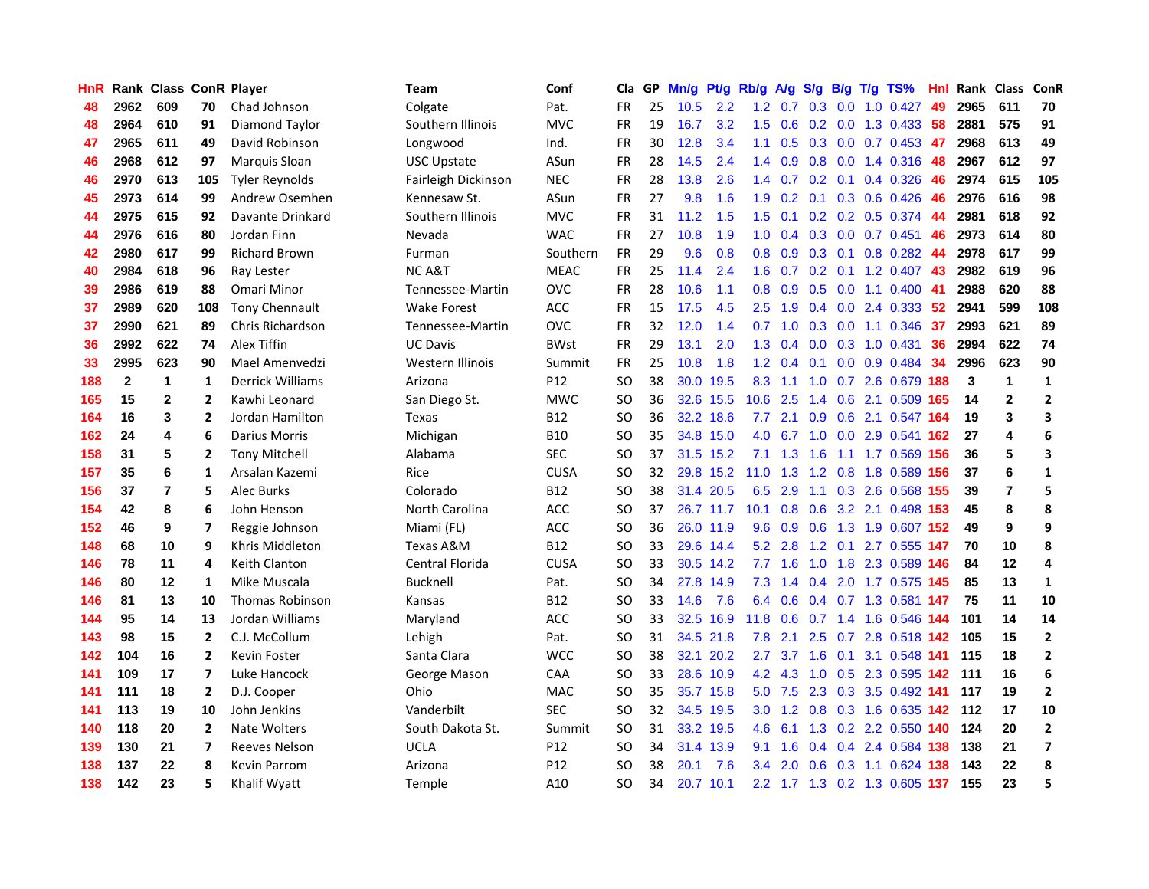| HnR |              | Rank Class ConR Player |                |                         | <b>Team</b>         | Conf            | Cla           |    | GP Mn/g Pt/g |           | Rb/g             | A/g             |                   |                 | S/g B/g T/g TS%               | Hnl | Rank Class ConR |                |                |
|-----|--------------|------------------------|----------------|-------------------------|---------------------|-----------------|---------------|----|--------------|-----------|------------------|-----------------|-------------------|-----------------|-------------------------------|-----|-----------------|----------------|----------------|
| 48  | 2962         | 609                    | 70             | Chad Johnson            | Colgate             | Pat.            | <b>FR</b>     | 25 | 10.5         | 2.2       | 1.2              | 0.7             | 0.3               | 0.0             | $1.0 \quad 0.427$             | 49  | 2965            | 611            | 70             |
| 48  | 2964         | 610                    | 91             | Diamond Taylor          | Southern Illinois   | <b>MVC</b>      | <b>FR</b>     | 19 | 16.7         | 3.2       | 1.5              | 0.6             | 0.2               | 0.0             | 1.3 0.433                     | 58  | 2881            | 575            | 91             |
| 47  | 2965         | 611                    | 49             | David Robinson          | Longwood            | Ind.            | <b>FR</b>     | 30 | 12.8         | 3.4       | 1.1              | 0.5             |                   | $0.3 \ 0.0$     | $0.7$ $0.453$ 47              |     | 2968            | 613            | 49             |
| 46  | 2968         | 612                    | 97             | Marquis Sloan           | <b>USC Upstate</b>  | ASun            | FR            | 28 | 14.5         | 2.4       |                  | $1.4 \quad 0.9$ |                   |                 | 0.8 0.0 1.4 0.316             | -48 | 2967            | 612            | 97             |
| 46  | 2970         | 613                    | 105            | <b>Tyler Reynolds</b>   | Fairleigh Dickinson | <b>NEC</b>      | FR            | 28 | 13.8         | 2.6       |                  |                 | $1.4$ 0.7 0.2 0.1 |                 | 0.4 0.326                     | 46  | 2974            | 615            | 105            |
| 45  | 2973         | 614                    | 99             | Andrew Osemhen          | Kennesaw St.        | ASun            | <b>FR</b>     | 27 | 9.8          | 1.6       | 1.9 <sup>°</sup> | 0.2             |                   |                 | $0.1$ 0.3 0.6 0.426           | -46 | 2976            | 616            | 98             |
| 44  | 2975         | 615                    | 92             | Davante Drinkard        | Southern Illinois   | <b>MVC</b>      | FR            | 31 | 11.2         | 1.5       | 1.5              | 0.1             |                   |                 | $0.2$ 0.2 0.5 0.374           | -44 | 2981            | 618            | 92             |
| 44  | 2976         | 616                    | 80             | Jordan Finn             | Nevada              | <b>WAC</b>      | <b>FR</b>     | 27 | 10.8         | 1.9       | 1.0              | 0.4             |                   |                 | $0.3$ 0.0 0.7 0.451           | 46  | 2973            | 614            | 80             |
| 42  | 2980         | 617                    | 99             | <b>Richard Brown</b>    | Furman              | Southern        | <b>FR</b>     | 29 | 9.6          | 0.8       | 0.8 <sub>0</sub> | 0.9             |                   | $0.3$ 0.1       | $0.8$ 0.282                   | 44  | 2978            | 617            | 99             |
| 40  | 2984         | 618                    | 96             | Ray Lester              | <b>NCA&amp;T</b>    | <b>MEAC</b>     | FR            | 25 | 11.4         | 2.4       | 1.6              | 0.7             | $0.2 \quad 0.1$   |                 | 1.2 0.407                     | 43  | 2982            | 619            | 96             |
| 39  | 2986         | 619                    | 88             | Omari Minor             | Tennessee-Martin    | <b>OVC</b>      | FR            | 28 | 10.6         | 1.1       | 0.8              | 0.9             | 0.5               |                 | $0.0 \quad 1.1 \quad 0.400$   | -41 | 2988            | 620            | 88             |
| 37  | 2989         | 620                    | 108            | <b>Tony Chennault</b>   | <b>Wake Forest</b>  | ACC             | FR            | 15 | 17.5         | 4.5       | $2.5^{\circ}$    | 1.9             | $0.4^{\circ}$     | 0.0             | 2.4 0.333                     | 52  | 2941            | 599            | 108            |
| 37  | 2990         | 621                    | 89             | <b>Chris Richardson</b> | Tennessee-Martin    | <b>OVC</b>      | <b>FR</b>     | 32 | 12.0         | 1.4       | 0.7              | 1.0             | 0.3               | 0.0             | 1.1 0.346                     | 37  | 2993            | 621            | 89             |
| 36  | 2992         | 622                    | 74             | Alex Tiffin             | <b>UC Davis</b>     | <b>BWst</b>     | FR            | 29 | 13.1         | 2.0       | 1.3              | 0.4             | 0.0               | 0.3             | 1.0 0.431                     | 36  | 2994            | 622            | 74             |
| 33  | 2995         | 623                    | 90             | Mael Amenvedzi          | Western Illinois    | Summit          | FR            | 25 | 10.8         | 1.8       | 1.2 <sub>1</sub> | 0.4             | 0.1               | 0.0             | 0.9 0.484                     | 34  | 2996            | 623            | 90             |
| 188 | $\mathbf{2}$ | $\mathbf{1}$           | 1              | <b>Derrick Williams</b> | Arizona             | P <sub>12</sub> | <b>SO</b>     | 38 | 30.0         | 19.5      | 8.3              | 1.1             | 1.0               |                 | 0.7 2.6 0.679 188             |     | 3               | $\mathbf{1}$   | $\mathbf{1}$   |
| 165 | 15           | $\mathbf{2}$           | 2              | Kawhi Leonard           | San Diego St.       | <b>MWC</b>      | <b>SO</b>     | 36 |              | 32.6 15.5 | 10.6             | 2.5             |                   |                 | 1.4 0.6 2.1 0.509 165         |     | 14              | $\mathbf{2}$   | $\mathbf{2}$   |
| 164 | 16           | 3                      | $\overline{2}$ | Jordan Hamilton         | Texas               | <b>B12</b>      | <b>SO</b>     | 36 |              | 32.2 18.6 | 7.7              | 2.1             |                   |                 | 0.9 0.6 2.1 0.547 164         |     | 19              | 3              | 3              |
| 162 | 24           | 4                      | 6              | <b>Darius Morris</b>    | Michigan            | <b>B10</b>      | <b>SO</b>     | 35 |              | 34.8 15.0 |                  |                 |                   |                 | 4.0 6.7 1.0 0.0 2.9 0.541 162 |     | 27              | 4              | 6              |
| 158 | 31           | 5                      | 2              | <b>Tony Mitchell</b>    | Alabama             | <b>SEC</b>      | SO.           | 37 |              | 31.5 15.2 |                  | $7.1 \quad 1.3$ | $-1.6$            |                 | 1.1 1.7 0.569 156             |     | 36              | 5              | 3              |
| 157 | 35           | 6                      | 1              | Arsalan Kazemi          | Rice                | <b>CUSA</b>     | <b>SO</b>     | 32 |              | 29.8 15.2 | 11.0             | 1.3             |                   |                 | 1.2 0.8 1.8 0.589 156         |     | 37              | 6              | $\mathbf{1}$   |
| 156 | 37           | $\overline{7}$         | 5              | Alec Burks              | Colorado            | <b>B12</b>      | <b>SO</b>     | 38 |              | 31.4 20.5 | 6.5              | 2.9             |                   |                 | 1.1 0.3 2.6 0.568 155         |     | 39              | $\overline{7}$ | 5              |
| 154 | 42           | 8                      | 6              | John Henson             | North Carolina      | <b>ACC</b>      | <b>SO</b>     | 37 |              | 26.7 11.7 | 10.1             | 0.8             |                   |                 | 0.6 3.2 2.1 0.498 153         |     | 45              | 8              | 8              |
| 152 | 46           | 9                      | 7              | Reggie Johnson          | Miami (FL)          | <b>ACC</b>      | <b>SO</b>     | 36 |              | 26.0 11.9 | 9.6              | 0.9             | 0.6               |                 | 1.3 1.9 0.607                 | 152 | 49              | 9              | 9              |
| 148 | 68           | 10                     | 9              | Khris Middleton         | Texas A&M           | <b>B12</b>      | SO.           | 33 |              | 29.6 14.4 | 5.2              | 2.8             |                   | $1.2 \quad 0.1$ | 2.7 0.555 147                 |     | 70              | 10             | 8              |
| 146 | 78           | 11                     | 4              | Keith Clanton           | Central Florida     | <b>CUSA</b>     | <b>SO</b>     | 33 |              | 30.5 14.2 | 7.7              | 1.6             | 1.0               | 1.8             | 2.3 0.589 146                 |     | 84              | 12             | 4              |
| 146 | 80           | 12                     | 1              | Mike Muscala            | Bucknell            | Pat.            | <b>SO</b>     | 34 |              | 27.8 14.9 | 7.3              | 1.4             | 0.4               |                 | 2.0 1.7 0.575 145             |     | 85              | 13             | $\mathbf{1}$   |
| 146 | 81           | 13                     | 10             | <b>Thomas Robinson</b>  | Kansas              | <b>B12</b>      | <b>SO</b>     | 33 | 14.6         | 7.6       | 6.4              | 0.6             |                   |                 | 0.4 0.7 1.3 0.581 147         |     | 75              | 11             | 10             |
| 144 | 95           | 14                     | 13             | Jordan Williams         | Maryland            | <b>ACC</b>      | <b>SO</b>     | 33 |              | 32.5 16.9 | 11.8             | 0.6             | 0.7               | 1.4             | 1.6 0.546 144                 |     | 101             | 14             | 14             |
| 143 | 98           | 15                     | 2              | C.J. McCollum           | Lehigh              | Pat.            | <sub>SO</sub> | 31 |              | 34.5 21.8 | 7.8              | 2.1             |                   |                 | 2.5 0.7 2.8 0.518 142         |     | 105             | 15             | $\mathbf{2}$   |
| 142 | 104          | 16                     | $\overline{2}$ | <b>Kevin Foster</b>     | Santa Clara         | <b>WCC</b>      | <b>SO</b>     | 38 |              | 32.1 20.2 | $2.7^{\circ}$    | 3.7             |                   | $1.6 \quad 0.1$ | 3.1 0.548 141                 |     | 115             | 18             | $\mathbf{2}$   |
| 141 | 109          | 17                     | 7              | Luke Hancock            | George Mason        | CAA             | SO.           | 33 |              | 28.6 10.9 |                  | $4.2 \quad 4.3$ |                   |                 | 1.0 0.5 2.3 0.595 142         |     | 111             | 16             | 6              |
| 141 | 111          | 18                     | $\overline{2}$ | D.J. Cooper             | Ohio                | <b>MAC</b>      | <b>SO</b>     | 35 |              | 35.7 15.8 |                  | $5.0$ 7.5       |                   |                 | 2.3 0.3 3.5 0.492 141         |     | 117             | 19             | $\overline{2}$ |
| 141 | 113          | 19                     | 10             | John Jenkins            | Vanderbilt          | <b>SEC</b>      | <b>SO</b>     | 32 |              | 34.5 19.5 |                  |                 |                   |                 | 3.0 1.2 0.8 0.3 1.6 0.635 142 |     | 112             | 17             | 10             |
| 140 | 118          | 20                     | 2              | Nate Wolters            | South Dakota St.    | Summit          | <b>SO</b>     | 31 |              | 33.2 19.5 | 4.6              | 6.1             |                   |                 | 1.3 0.2 2.2 0.550 140         |     | 124             | 20             | $\mathbf{2}$   |
| 139 | 130          | 21                     | 7              | <b>Reeves Nelson</b>    | <b>UCLA</b>         | P <sub>12</sub> | <b>SO</b>     | 34 |              | 31.4 13.9 | 9.1              | 1.6             | 0.4               |                 | 0.4 2.4 0.584 138             |     | 138             | 21             | 7              |
| 138 | 137          | 22                     | 8              | <b>Kevin Parrom</b>     | Arizona             | P12             | SO.           | 38 | 20.1         | 7.6       | $3.4^{\circ}$    | 2.0             | 0.6               | 0.3             | 1.1 0.624                     | 138 | 143             | 22             | 8              |
| 138 | 142          | 23                     | 5              | Khalif Wyatt            | <b>Temple</b>       | A10             | <b>SO</b>     | 34 |              | 20.7 10.1 |                  |                 |                   |                 | 2.2 1.7 1.3 0.2 1.3 0.605 137 |     | 155             | 23             | 5              |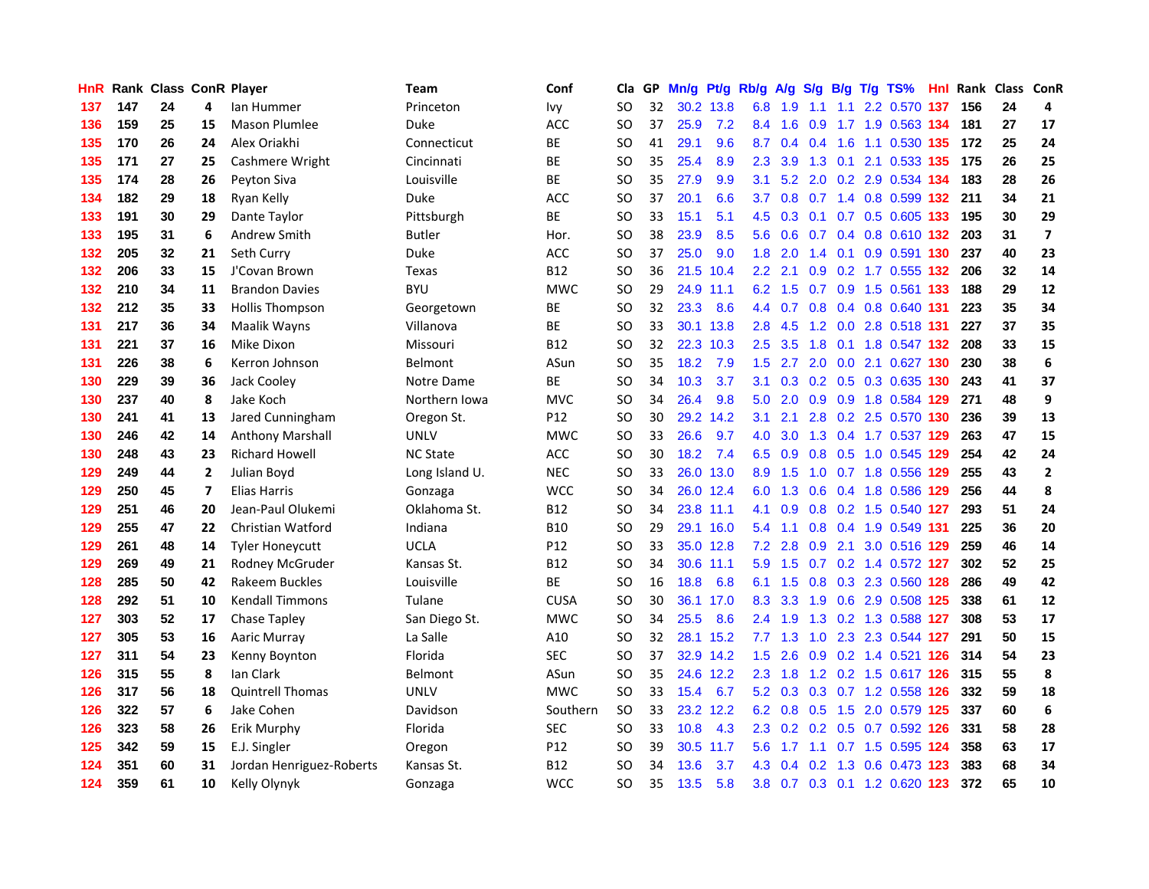| HnR |     | Rank Class ConR Player |                         |                          | Team            | Conf            | Cla           |    | GP Mn/g | Pt/g      | Rb/g             | <b>A/g</b> |     |     | S/g B/g T/g TS%               | Hnl |     | Rank Class ConR |                         |
|-----|-----|------------------------|-------------------------|--------------------------|-----------------|-----------------|---------------|----|---------|-----------|------------------|------------|-----|-----|-------------------------------|-----|-----|-----------------|-------------------------|
| 137 | 147 | 24                     | 4                       | lan Hummer               | Princeton       | Ivy             | SO            | 32 |         | 30.2 13.8 | 6.8              | 1.9        | 1.1 | 1.1 | 2.2 0.570                     | 137 | 156 | 24              | 4                       |
| 136 | 159 | 25                     | 15                      | <b>Mason Plumlee</b>     | <b>Duke</b>     | ACC             | SO            | 37 | 25.9    | 7.2       | 8.4              | 1.6        | 0.9 | 1.7 | 1.9 0.563 134                 |     | 181 | 27              | 17                      |
| 135 | 170 | 26                     | 24                      | Alex Oriakhi             | Connecticut     | BE              | SO            | 41 | 29.1    | 9.6       | 8.7              | 0.4        | 0.4 | 1.6 | 1.1 0.530 135                 |     | 172 | 25              | 24                      |
| 135 | 171 | 27                     | 25                      | Cashmere Wright          | Cincinnati      | BE              | <b>SO</b>     | 35 | 25.4    | 8.9       | $2.3^{\circ}$    | 3.9        |     |     | 1.3 0.1 2.1 0.533 135         |     | 175 | 26              | 25                      |
| 135 | 174 | 28                     | 26                      | Peyton Siva              | Louisville      | BE              | SO            | 35 | 27.9    | 9.9       | 3.1              |            |     |     | 5.2 2.0 0.2 2.9 0.534 134     |     | 183 | 28              | 26                      |
| 134 | 182 | 29                     | 18                      | Ryan Kelly               | Duke            | <b>ACC</b>      | SO            | 37 | 20.1    | 6.6       | 3.7              | 0.8        |     |     | 0.7 1.4 0.8 0.599 132         |     | 211 | 34              | 21                      |
| 133 | 191 | 30                     | 29                      | Dante Taylor             | Pittsburgh      | ВE              | SO            | 33 | 15.1    | 5.1       | 4.5              | 0.3        |     |     | 0.1 0.7 0.5 0.605 133         |     | 195 | 30              | 29                      |
| 133 | 195 | 31                     | 6                       | Andrew Smith             | <b>Butler</b>   | Hor.            | SO            | 38 | 23.9    | 8.5       | 5.6              | 0.6        |     |     | 0.7 0.4 0.8 0.610 132         |     | 203 | 31              | $\overline{\mathbf{z}}$ |
| 132 | 205 | 32                     | 21                      | Seth Curry               | Duke            | <b>ACC</b>      | <sub>SO</sub> | 37 | 25.0    | 9.0       | 1.8              | 2.0        | 1.4 | 0.1 | 0.9 0.591                     | 130 | 237 | 40              | 23                      |
| 132 | 206 | 33                     | 15                      | J'Covan Brown            | Texas           | <b>B12</b>      | SO            | 36 | 21.5    | 10.4      | $2.2^{\circ}$    | 2.1        | 0.9 |     | $0.2$ 1.7 0.555               | 132 | 206 | 32              | 14                      |
| 132 | 210 | 34                     | 11                      | <b>Brandon Davies</b>    | <b>BYU</b>      | <b>MWC</b>      | <b>SO</b>     | 29 |         | 24.9 11.1 | 6.2              | 1.5        |     |     | 0.7 0.9 1.5 0.561             | 133 | 188 | 29              | 12                      |
| 132 | 212 | 35                     | 33                      | <b>Hollis Thompson</b>   | Georgetown      | ВE              | SO            | 32 | 23.3    | 8.6       | 4.4              | 0.7        | 0.8 |     | 0.4 0.8 0.640 131             |     | 223 | 35              | 34                      |
| 131 | 217 | 36                     | 34                      | Maalik Wayns             | Villanova       | BE              | SO            | 33 |         | 30.1 13.8 | 2.8              | 4.5        | 1.2 | 0.0 | 2.8 0.518 131                 |     | 227 | 37              | 35                      |
| 131 | 221 | 37                     | 16                      | Mike Dixon               | Missouri        | <b>B12</b>      | SO            | 32 |         | 22.3 10.3 | 2.5              | 3.5        | 1.8 | 0.1 | 1.8 0.547 132                 |     | 208 | 33              | 15                      |
| 131 | 226 | 38                     | 6                       | Kerron Johnson           | Belmont         | ASun            | <b>SO</b>     | 35 | 18.2    | 7.9       | $1.5^{\circ}$    | 2.7        | 2.0 | 0.0 | 2.1 0.627 130                 |     | 230 | 38              | 6                       |
| 130 | 229 | 39                     | 36                      | Jack Cooley              | Notre Dame      | ВE              | SO            | 34 | 10.3    | 3.7       | 3.1              |            |     |     | 0.3 0.2 0.5 0.3 0.635 130     |     | 243 | 41              | 37                      |
| 130 | 237 | 40                     | 8                       | Jake Koch                | Northern Iowa   | <b>MVC</b>      | SO            | 34 | 26.4    | 9.8       | 5.0 <sub>1</sub> | 2.0        |     |     | 0.9 0.9 1.8 0.584 129         |     | 271 | 48              | 9                       |
| 130 | 241 | 41                     | 13                      | Jared Cunningham         | Oregon St.      | P <sub>12</sub> | SO            | 30 |         | 29.2 14.2 | 3.1              | 2.1        |     |     | 2.8 0.2 2.5 0.570 130         |     | 236 | 39              | 13                      |
| 130 | 246 | 42                     | 14                      | Anthony Marshall         | <b>UNLV</b>     | <b>MWC</b>      | <b>SO</b>     | 33 | 26.6    | 9.7       | 4.0              | 3.0        |     |     | 1.3 0.4 1.7 0.537 129         |     | 263 | 47              | 15                      |
| 130 | 248 | 43                     | 23                      | <b>Richard Howell</b>    | <b>NC State</b> | ACC             | SO            | 30 | 18.2    | 7.4       |                  | 6.5 0.9    |     |     | 0.8 0.5 1.0 0.545 129         |     | 254 | 42              | 24                      |
| 129 | 249 | 44                     | $\mathbf{2}$            | Julian Boyd              | Long Island U.  | <b>NEC</b>      | SO            | 33 |         | 26.0 13.0 | 8.9              | 1.5        | 1.0 |     | 0.7 1.8 0.556 129             |     | 255 | 43              | $\overline{2}$          |
| 129 | 250 | 45                     | $\overline{\mathbf{z}}$ | Elias Harris             | Gonzaga         | <b>WCC</b>      | <b>SO</b>     | 34 |         | 26.0 12.4 | 6.0              | 1.3        | 0.6 |     | 0.4 1.8 0.586                 | 129 | 256 | 44              | 8                       |
| 129 | 251 | 46                     | 20                      | Jean-Paul Olukemi        | Oklahoma St.    | <b>B12</b>      | <b>SO</b>     | 34 |         | 23.8 11.1 | 4.1              | 0.9        |     |     | 0.8 0.2 1.5 0.540 127         |     | 293 | 51              | 24                      |
| 129 | 255 | 47                     | 22                      | Christian Watford        | Indiana         | <b>B10</b>      | <b>SO</b>     | 29 |         | 29.1 16.0 | 5.4              | 1.1        |     |     | 0.8 0.4 1.9 0.549 131         |     | 225 | 36              | 20                      |
| 129 | 261 | 48                     | 14                      | <b>Tyler Honeycutt</b>   | <b>UCLA</b>     | P12             | <b>SO</b>     | 33 |         | 35.0 12.8 | 7.2              | 2.8        | 0.9 | 2.1 | 3.0 0.516 129                 |     | 259 | 46              | 14                      |
| 129 | 269 | 49                     | 21                      | Rodney McGruder          | Kansas St.      | <b>B12</b>      | <b>SO</b>     | 34 |         | 30.6 11.1 | 5.9              | 1.5        |     |     | 0.7 0.2 1.4 0.572 127         |     | 302 | 52              | 25                      |
| 128 | 285 | 50                     | 42                      | Rakeem Buckles           | Louisville      | <b>BE</b>       | SO            | 16 | 18.8    | 6.8       | 6.1              | 1.5        | 0.8 |     | 0.3 2.3 0.560 128             |     | 286 | 49              | 42                      |
| 128 | 292 | 51                     | 10                      | <b>Kendall Timmons</b>   | Tulane          | <b>CUSA</b>     | <sub>SO</sub> | 30 |         | 36.1 17.0 | 8.3              | 3.3        | 1.9 |     | 0.6 2.9 0.508 125             |     | 338 | 61              | 12                      |
| 127 | 303 | 52                     | 17                      | Chase Tapley             | San Diego St.   | <b>MWC</b>      | <b>SO</b>     | 34 | 25.5    | 8.6       |                  | $2.4$ 1.9  |     |     | 1.3 0.2 1.3 0.588 127         |     | 308 | 53              | 17                      |
| 127 | 305 | 53                     | 16                      | Aaric Murray             | La Salle        | A10             | SO            | 32 |         | 28.1 15.2 |                  | $7.7$ 1.3  |     |     | 1.0 2.3 2.3 0.544 127         |     | 291 | 50              | 15                      |
| 127 | 311 | 54                     | 23                      | Kenny Boynton            | Florida         | <b>SEC</b>      | SO            | 37 |         | 32.9 14.2 | 1.5              | 2.6        |     |     | 0.9 0.2 1.4 0.521 126         |     | 314 | 54              | 23                      |
| 126 | 315 | 55                     | 8                       | lan Clark                | Belmont         | ASun            | SO            | 35 |         | 24.6 12.2 | 2.3              | 1.8        |     |     | 1.2 0.2 1.5 0.617 126         |     | 315 | 55              | 8                       |
| 126 | 317 | 56                     | 18                      | <b>Quintrell Thomas</b>  | UNLV            | <b>MWC</b>      | SO            | 33 | 15.4    | 6.7       | 5.2              | 0.3        |     |     | 0.3 0.7 1.2 0.558 126         |     | 332 | 59              | 18                      |
| 126 | 322 | 57                     | 6                       | Jake Cohen               | Davidson        | Southern        | <b>SO</b>     | 33 |         | 23.2 12.2 | 6.2              | 0.8        | 0.5 |     | 1.5 2.0 0.579 125             |     | 337 | 60              | 6                       |
| 126 | 323 | 58                     | 26                      | Erik Murphy              | Florida         | <b>SEC</b>      | <b>SO</b>     | 33 | 10.8    | 4.3       | $2.3^{\circ}$    | 0.2        |     |     | 0.2 0.5 0.7 0.592 126         |     | 331 | 58              | 28                      |
| 125 | 342 | 59                     | 15                      | E.J. Singler             | Oregon          | P12             | SO            | 39 | 30.5    | 11.7      | 5.6              | 1.7        | 1.1 |     | $0.7$ 1.5 0.595               | 124 | 358 | 63              | 17                      |
| 124 | 351 | 60                     | 31                      | Jordan Henriguez-Roberts | Kansas St.      | <b>B12</b>      | SO            | 34 | 13.6    | 3.7       | 4.3              | 0.4        | 0.2 | 1.3 | 0.6 0.473 123                 |     | 383 | 68              | 34                      |
| 124 | 359 | 61                     | 10                      | Kelly Olynyk             | Gonzaga         | <b>WCC</b>      | SO.           | 35 | 13.5    | 5.8       |                  |            |     |     | 3.8 0.7 0.3 0.1 1.2 0.620 123 |     | 372 | 65              | 10                      |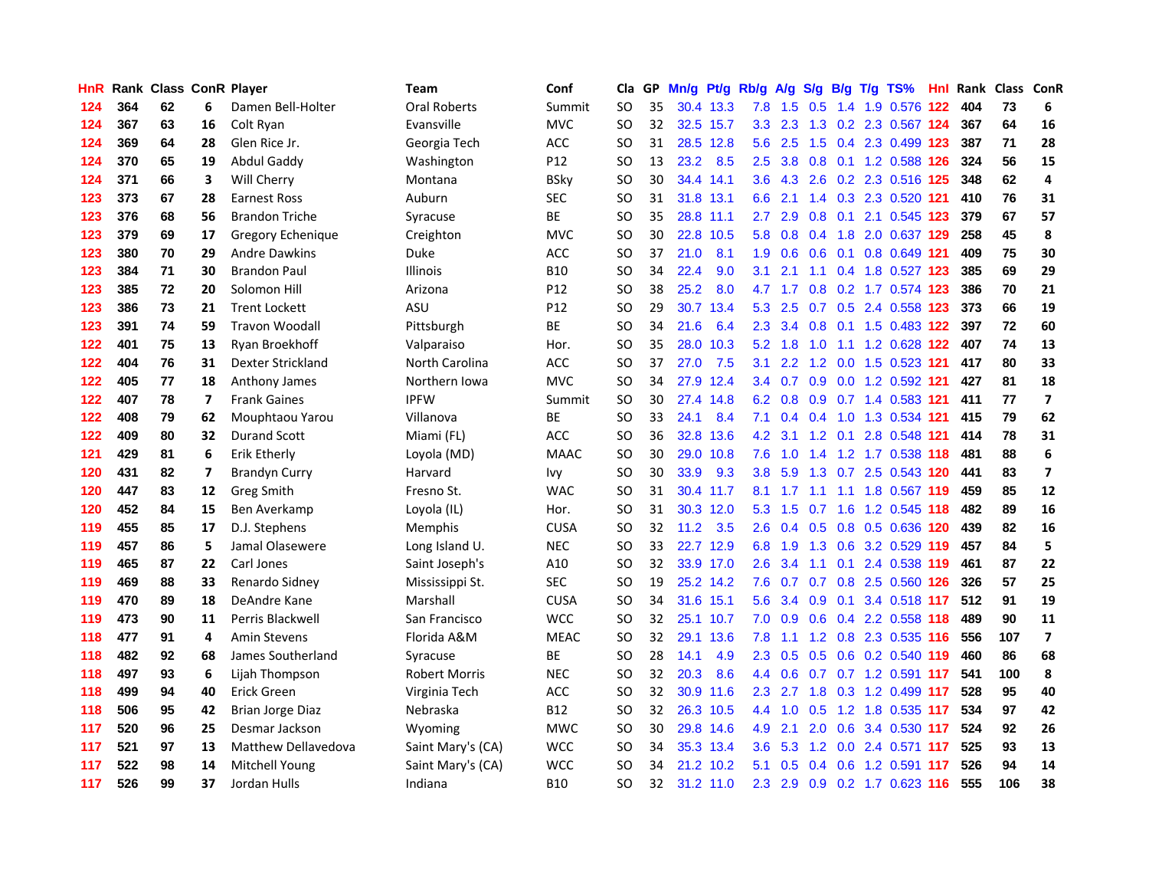| HnR |     | <b>Rank Class ConR Player</b> |                         |                            | Team                 | Conf        | Cla           |    | GP Mn/g Pt/g |           | Rb/g             | <b>A/g</b>      |        |     | S/g B/g T/g TS%               | Hnl  |     | Rank Class ConR |                         |
|-----|-----|-------------------------------|-------------------------|----------------------------|----------------------|-------------|---------------|----|--------------|-----------|------------------|-----------------|--------|-----|-------------------------------|------|-----|-----------------|-------------------------|
| 124 | 364 | 62                            | 6                       | Damen Bell-Holter          | <b>Oral Roberts</b>  | Summit      | SO            | 35 |              | 30.4 13.3 | 7.8              | 1.5             | 0.5    | 1.4 | 1.9 0.576                     | 122  | 404 | 73              | 6                       |
| 124 | 367 | 63                            | 16                      | Colt Ryan                  | Evansville           | <b>MVC</b>  | <b>SO</b>     | 32 |              | 32.5 15.7 | 3.3 <sub>2</sub> | 2.3             | 1.3    | 0.2 | 2.3 0.567 124                 |      | 367 | 64              | 16                      |
| 124 | 369 | 64                            | 28                      | Glen Rice Jr.              | Georgia Tech         | <b>ACC</b>  | SO            | 31 |              | 28.5 12.8 | 5.6              | 2.5             | 1.5    |     | 0.4 2.3 0.499 123             |      | 387 | 71              | 28                      |
| 124 | 370 | 65                            | 19                      | <b>Abdul Gaddy</b>         | Washington           | P12         | SO            | 13 | 23.2         | 8.5       | $2.5\,$          | 3.8             |        |     | 0.8 0.1 1.2 0.588 126         |      | 324 | 56              | 15                      |
| 124 | 371 | 66                            | 3                       | Will Cherry                | Montana              | <b>BSky</b> | SO            | 30 |              | 34.4 14.1 | 3.6 <sup>2</sup> |                 |        |     | 4.3 2.6 0.2 2.3 0.516 125     |      | 348 | 62              | 4                       |
| 123 | 373 | 67                            | 28                      | <b>Earnest Ross</b>        | Auburn               | <b>SEC</b>  | SO            | 31 |              | 31.8 13.1 | 6.6              | 2.1             |        |     | 1.4 0.3 2.3 0.520 121         |      | 410 | 76              | 31                      |
| 123 | 376 | 68                            | 56                      | <b>Brandon Triche</b>      | Syracuse             | <b>BE</b>   | <sub>SO</sub> | 35 |              | 28.8 11.1 | $2.7^{\circ}$    | 2.9             |        |     | 0.8 0.1 2.1 0.545 123         |      | 379 | 67              | 57                      |
| 123 | 379 | 69                            | 17                      | Gregory Echenique          | Creighton            | <b>MVC</b>  | SO            | 30 |              | 22.8 10.5 | 5.8              | 0.8             |        |     | 0.4 1.8 2.0 0.637 129         |      | 258 | 45              | 8                       |
| 123 | 380 | 70                            | 29                      | <b>Andre Dawkins</b>       | Duke                 | ACC         | <sub>SO</sub> | 37 | 21.0         | 8.1       | 1.9              | 0.6             | 0.6    | 0.1 | 0.8 0.649 121                 |      | 409 | 75              | 30                      |
| 123 | 384 | 71                            | 30                      | <b>Brandon Paul</b>        | <b>Illinois</b>      | <b>B10</b>  | <b>SO</b>     | 34 | 22.4         | 9.0       | 3.1              | 2.1             | 1.1    |     | 0.4 1.8 0.527 123             |      | 385 | 69              | 29                      |
| 123 | 385 | 72                            | 20                      | Solomon Hill               | Arizona              | P12         | SO            | 38 | 25.2         | 8.0       | 4.7              | 1.7             |        |     | 0.8 0.2 1.7 0.574 123         |      | 386 | 70              | 21                      |
| 123 | 386 | 73                            | 21                      | <b>Trent Lockett</b>       | ASU                  | P12         | SO            | 29 |              | 30.7 13.4 | 5.3              | 2.5             |        |     | 0.7 0.5 2.4 0.558 123         |      | 373 | 66              | 19                      |
| 123 | 391 | 74                            | 59                      | <b>Travon Woodall</b>      | Pittsburgh           | BE          | SO            | 34 | 21.6         | 6.4       | 2.3              | 3.4             | 0.8    | 0.1 | 1.5 0.483                     | 122  | 397 | 72              | 60                      |
| 122 | 401 | 75                            | 13                      | Ryan Broekhoff             | Valparaiso           | Hor.        | SO            | 35 |              | 28.0 10.3 | 5.2              | 1.8             | 1.0    | 1.1 | 1.2 0.628                     | 122  | 407 | 74              | 13                      |
| 122 | 404 | 76                            | 31                      | Dexter Strickland          | North Carolina       | ACC         | SO            | 37 | 27.0         | 7.5       | 3.1              | 2.2             | 1.2    | 0.0 | 1.5 0.523 121                 |      | 417 | 80              | 33                      |
| 122 | 405 | 77                            | 18                      | Anthony James              | Northern Iowa        | <b>MVC</b>  | SO            | 34 | 27.9         | 12.4      | 3.4              | 0.7             | 0.9    |     | 0.0 1.2 0.592 121             |      | 427 | 81              | 18                      |
| 122 | 407 | 78                            | 7                       | <b>Frank Gaines</b>        | <b>IPFW</b>          | Summit      | <sub>SO</sub> | 30 |              | 27.4 14.8 |                  | $6.2 \quad 0.8$ |        |     | 0.9 0.7 1.4 0.583 121         |      | 411 | 77              | $\overline{\mathbf{z}}$ |
| 122 | 408 | 79                            | 62                      | Mouphtaou Yarou            | Villanova            | ВE          | SO            | 33 | 24.1         | 8.4       |                  |                 |        |     | 7.1 0.4 0.4 1.0 1.3 0.534 121 |      | 415 | 79              | 62                      |
| 122 | 409 | 80                            | 32                      | <b>Durand Scott</b>        | Miami (FL)           | <b>ACC</b>  | SO            | 36 |              | 32.8 13.6 | 4.2              | 3.1             |        |     | 1.2 0.1 2.8 0.548 121         |      | 414 | 78              | 31                      |
| 121 | 429 | 81                            | 6                       | Erik Etherly               | Loyola (MD)          | <b>MAAC</b> | <b>SO</b>     | 30 |              | 29.0 10.8 | 7.6              | 1.0             |        |     | 1.4 1.2 1.7 0.538 118         |      | 481 | 88              | 6                       |
| 120 | 431 | 82                            | $\overline{\mathbf{z}}$ | <b>Brandyn Curry</b>       | Harvard              | Ivy         | SO            | 30 | 33.9         | 9.3       | 3.8 <sup>°</sup> | 5.9             |        |     | 1.3 0.7 2.5 0.543 120         |      | 441 | 83              | $\overline{\mathbf{z}}$ |
| 120 | 447 | 83                            | 12                      | <b>Greg Smith</b>          | Fresno St.           | <b>WAC</b>  | SO            | 31 |              | 30.4 11.7 | 8.1              | 1.7             | $-1.1$ |     | 1.1 1.8 0.567 119             |      | 459 | 85              | 12                      |
| 120 | 452 | 84                            | 15                      | Ben Averkamp               | Loyola (IL)          | Hor.        | <sub>SO</sub> | 31 |              | 30.3 12.0 | 5.3              | 1.5             | 0.7    | 1.6 | 1.2 0.545 118                 |      | 482 | 89              | 16                      |
| 119 | 455 | 85                            | 17                      | D.J. Stephens              | Memphis              | <b>CUSA</b> | <b>SO</b>     | 32 | 11.2         | 3.5       | $2.6^{\circ}$    | 0.4             |        |     | 0.5 0.8 0.5 0.636 120         |      | 439 | 82              | 16                      |
| 119 | 457 | 86                            | 5                       | Jamal Olasewere            | Long Island U.       | <b>NEC</b>  | SO            | 33 |              | 22.7 12.9 | 6.8              | 1.9             |        |     | 1.3 0.6 3.2 0.529 119         |      | 457 | 84              | 5                       |
| 119 | 465 | 87                            | 22                      | Carl Jones                 | Saint Joseph's       | A10         | SO            | 32 |              | 33.9 17.0 | 2.6              | 3.4             | 1.1    | 0.1 | 2.4 0.538 119                 |      | 461 | 87              | 22                      |
| 119 | 469 | 88                            | 33                      | Renardo Sidney             | Mississippi St.      | <b>SEC</b>  | SO            | 19 |              | 25.2 14.2 | 7.6              | 0.7             | 0.7    | 0.8 | 2.5 0.560 126                 |      | 326 | 57              | 25                      |
| 119 | 470 | 89                            | 18                      | DeAndre Kane               | Marshall             | <b>CUSA</b> | <b>SO</b>     | 34 |              | 31.6 15.1 | 5.6              | 3.4             | 0.9    |     | 0.1 3.4 0.518 117             |      | 512 | 91              | 19                      |
| 119 | 473 | 90                            | 11                      | Perris Blackwell           | San Francisco        | <b>WCC</b>  | <b>SO</b>     | 32 |              | 25.1 10.7 | 7.0              | 0.9             | 0.6    |     | 0.4 2.2 0.558 118             |      | 489 | 90              | 11                      |
| 118 | 477 | 91                            | 4                       | <b>Amin Stevens</b>        | Florida A&M          | <b>MEAC</b> | <sub>SO</sub> | 32 |              | 29.1 13.6 | 7.8              | 1.1             |        |     | 1.2 0.8 2.3 0.535 116         |      | 556 | 107             | $\overline{\mathbf{z}}$ |
| 118 | 482 | 92                            | 68                      | James Southerland          | Syracuse             | ВE          | <sub>SO</sub> | 28 | 14.1         | 4.9       | $2.3^{\circ}$    | 0.5             |        |     | 0.5 0.6 0.2 0.540 119         |      | 460 | 86              | 68                      |
| 118 | 497 | 93                            | 6                       | Lijah Thompson             | <b>Robert Morris</b> | <b>NEC</b>  | SO            | 32 | 20.3         | 8.6       |                  | $4.4\quad0.6$   |        |     | 0.7 0.7 1.2 0.591 117         |      | 541 | 100             | 8                       |
| 118 | 499 | 94                            | 40                      | Erick Green                | Virginia Tech        | ACC         | <b>SO</b>     | 32 |              | 30.9 11.6 | 2.3              | 2.7             |        |     | 1.8 0.3 1.2 0.499 117         |      | 528 | 95              | 40                      |
| 118 | 506 | 95                            | 42                      | <b>Brian Jorge Diaz</b>    | Nebraska             | <b>B12</b>  | SO            | 32 |              | 26.3 10.5 | 4.4              | 1.0             | 0.5    |     | 1.2 1.8 0.535 117             |      | 534 | 97              | 42                      |
| 117 | 520 | 96                            | 25                      | Desmar Jackson             | Wyoming              | <b>MWC</b>  | SO            | 30 |              | 29.8 14.6 | 4.9              | 2.1             | 2.0    |     | 0.6 3.4 0.530 117             |      | 524 | 92              | 26                      |
| 117 | 521 | 97                            | 13                      | <b>Matthew Dellavedova</b> | Saint Mary's (CA)    | <b>WCC</b>  | SO            | 34 |              | 35.3 13.4 | 3.6              | 5.3             | 1.2    |     | 0.0 2.4 0.571 117             |      | 525 | 93              | 13                      |
| 117 | 522 | 98                            | 14                      | Mitchell Young             | Saint Mary's (CA)    | <b>WCC</b>  | <sub>SO</sub> | 34 | 21.2         | 10.2      | 5.1              | 0.5             | 0.4    | 0.6 | 1.2 0.591                     | -117 | 526 | 94              | 14                      |
| 117 | 526 | 99                            | 37                      | Jordan Hulls               | Indiana              | <b>B10</b>  | SΟ            | 32 |              | 31.2 11.0 | $2.3^{\circ}$    |                 |        |     | 2.9 0.9 0.2 1.7 0.623 116     |      | 555 | 106             | 38                      |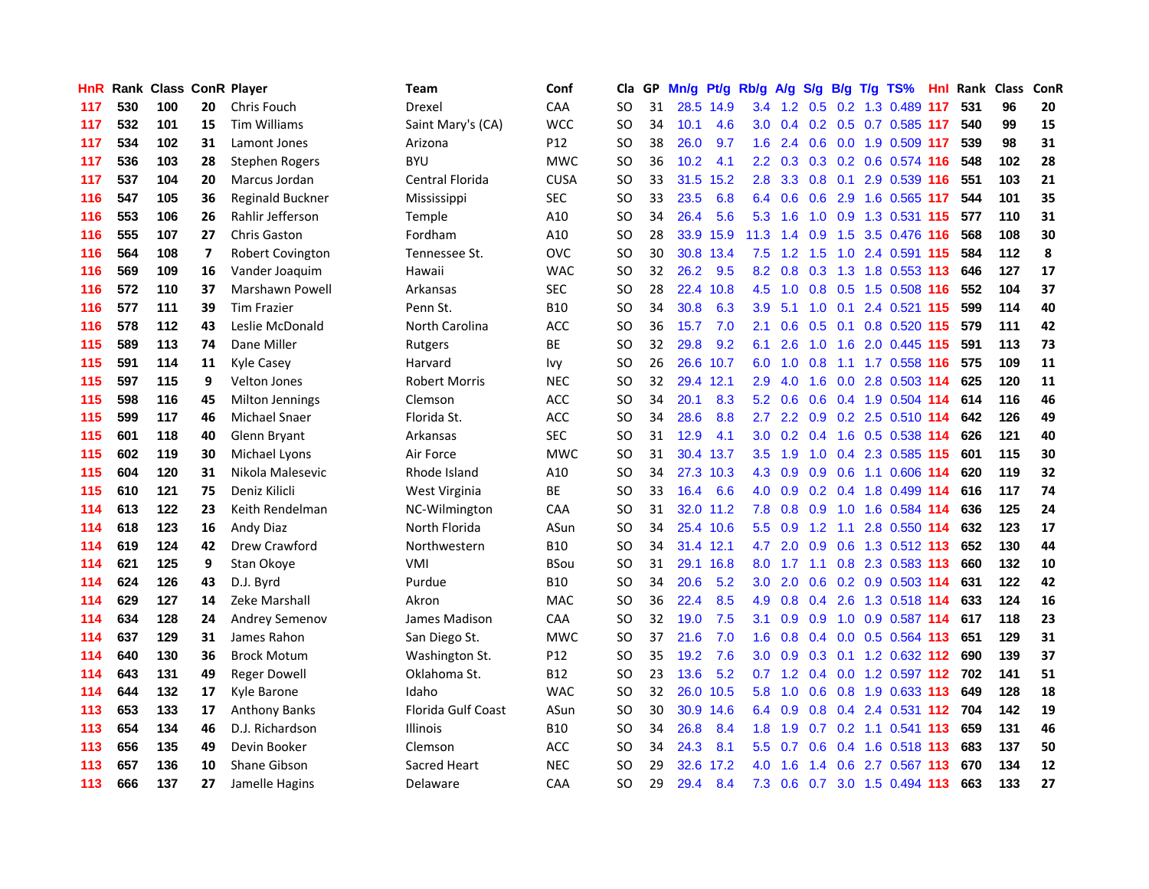| HnR. |     |     |    | Rank Class ConR Player | Team                      | Conf        | Cla       |    | GP Mn/g | Pt/g Rb/g |                  | <b>A/g</b>      | S/g |     | B/g T/g TS%                       | Hnl | Rank Class |     | ConR |
|------|-----|-----|----|------------------------|---------------------------|-------------|-----------|----|---------|-----------|------------------|-----------------|-----|-----|-----------------------------------|-----|------------|-----|------|
| 117  | 530 | 100 | 20 | Chris Fouch            | Drexel                    | CAA         | SO        | 31 |         | 28.5 14.9 | 3.4              | 1.2             | 0.5 | 0.2 | 1.3 0.489                         | 117 | 531        | 96  | 20   |
| 117  | 532 | 101 | 15 | <b>Tim Williams</b>    | Saint Mary's (CA)         | <b>WCC</b>  | SO        | 34 | 10.1    | 4.6       | 3.0 <sub>1</sub> | 0.4             |     |     | 0.2 0.5 0.7 0.585 117             |     | 540        | 99  | 15   |
| 117  | 534 | 102 | 31 | Lamont Jones           | Arizona                   | P12         | <b>SO</b> | 38 | 26.0    | 9.7       | 1.6              | 2.4             | 0.6 |     | 0.0 1.9 0.509 117                 |     | 539        | 98  | 31   |
| 117  | 536 | 103 | 28 | Stephen Rogers         | <b>BYU</b>                | <b>MWC</b>  | <b>SO</b> | 36 | 10.2    | 4.1       |                  |                 |     |     | 2.2 0.3 0.3 0.2 0.6 0.574 116     |     | 548        | 102 | 28   |
| 117  | 537 | 104 | 20 | Marcus Jordan          | Central Florida           | <b>CUSA</b> | SO        | 33 |         | 31.5 15.2 | 2.8              |                 |     |     | 3.3 0.8 0.1 2.9 0.539 116         |     | 551        | 103 | 21   |
| 116  | 547 | 105 | 36 | Reginald Buckner       | Mississippi               | <b>SEC</b>  | SO        | 33 | 23.5    | 6.8       |                  | 6.4 0.6         |     |     | 0.6 2.9 1.6 0.565 117             |     | 544        | 101 | 35   |
| 116  | 553 | 106 | 26 | Rahlir Jefferson       | <b>Temple</b>             | A10         | SO        | 34 | 26.4    | 5.6       | 5.3              | 1.6             |     |     | 1.0 0.9 1.3 0.531 115             |     | 577        | 110 | 31   |
| 116  | 555 | 107 | 27 | <b>Chris Gaston</b>    | Fordham                   | A10         | SO        | 28 |         | 33.9 15.9 | 11.3             | 1.4             | 0.9 |     | 1.5 3.5 0.476 116                 |     | 568        | 108 | 30   |
| 116  | 564 | 108 | 7  | Robert Covington       | Tennessee St.             | OVC         | SO        | 30 |         | 30.8 13.4 | 7.5              | 1.2             | 1.5 | 1.0 | 2.4 0.591 115                     |     | 584        | 112 | 8    |
| 116  | 569 | 109 | 16 | Vander Joaquim         | Hawaii                    | <b>WAC</b>  | SO        | 32 | 26.2    | 9.5       | 8.2              | 0.8             | 0.3 |     | 1.3 1.8 0.553 113                 |     | 646        | 127 | 17   |
| 116  | 572 | 110 | 37 | Marshawn Powell        | Arkansas                  | <b>SEC</b>  | <b>SO</b> | 28 | 22.4    | 10.8      | 4.5              | 1.0             |     |     | 0.8 0.5 1.5 0.508 116             |     | 552        | 104 | 37   |
| 116  | 577 | 111 | 39 | <b>Tim Frazier</b>     | Penn St.                  | <b>B10</b>  | <b>SO</b> | 34 | 30.8    | 6.3       | 3.9              | 5.1             | 1.0 | 0.1 | 2.4 0.521 115                     |     | 599        | 114 | 40   |
| 116  | 578 | 112 | 43 | Leslie McDonald        | North Carolina            | ACC         | <b>SO</b> | 36 | 15.7    | 7.0       | 2.1              | 0.6             | 0.5 | 0.1 | 0.8 0.520 115                     |     | 579        | 111 | 42   |
| 115  | 589 | 113 | 74 | Dane Miller            | Rutgers                   | BE          | SO        | 32 | 29.8    | 9.2       | 6.1              | 2.6             | 1.0 | 1.6 | 2.0 0.445 115                     |     | 591        | 113 | 73   |
| 115  | 591 | 114 | 11 | <b>Kyle Casey</b>      | Harvard                   | lvy         | SO        | 26 |         | 26.6 10.7 | 6.0              | 1.0             | 0.8 | 1.1 | 1.7 0.558 116                     |     | 575        | 109 | 11   |
| 115  | 597 | 115 | 9  | <b>Velton Jones</b>    | <b>Robert Morris</b>      | <b>NEC</b>  | SO        | 32 |         | 29.4 12.1 | 2.9              | 4.0             | 1.6 |     | 0.0 2.8 0.503 114                 |     | 625        | 120 | 11   |
| 115  | 598 | 116 | 45 | <b>Milton Jennings</b> | Clemson                   | ACC         | SO        | 34 | 20.1    | 8.3       |                  |                 |     |     | 5.2 0.6 0.6 0.4 1.9 0.504 114     |     | 614        | 116 | 46   |
| 115  | 599 | 117 | 46 | <b>Michael Snaer</b>   | Florida St.               | ACC         | <b>SO</b> | 34 | 28.6    | 8.8       |                  |                 |     |     | 2.7 2.2 0.9 0.2 2.5 0.510 114     |     | 642        | 126 | 49   |
| 115  | 601 | 118 | 40 | Glenn Bryant           | Arkansas                  | <b>SEC</b>  | SO        | 31 | 12.9    | 4.1       |                  |                 |     |     | 3.0 0.2 0.4 1.6 0.5 0.538 114     |     | 626        | 121 | 40   |
| 115  | 602 | 119 | 30 | Michael Lyons          | Air Force                 | <b>MWC</b>  | <b>SO</b> | 31 |         | 30.4 13.7 |                  | $3.5 \quad 1.9$ |     |     | 1.0 0.4 2.3 0.585 115             |     | 601        | 115 | 30   |
| 115  | 604 | 120 | 31 | Nikola Malesevic       | Rhode Island              | A10         | SO        | 34 |         | 27.3 10.3 |                  | 4.3 0.9         |     |     | 0.9 0.6 1.1 0.606 114             |     | 620        | 119 | 32   |
| 115  | 610 | 121 | 75 | Deniz Kilicli          | West Virginia             | BE          | SO        | 33 | 16.4    | 6.6       | 4.0              | 0.9             |     |     | 0.2 0.4 1.8 0.499 114             |     | 616        | 117 | 74   |
| 114  | 613 | 122 | 23 | Keith Rendelman        | NC-Wilmington             | CAA         | <b>SO</b> | 31 | 32.0    | 11.2      | 7.8              | 0.8             | 0.9 |     | 1.0 1.6 0.584 114                 |     | 636        | 125 | 24   |
| 114  | 618 | 123 | 16 | Andy Diaz              | North Florida             | ASun        | SO        | 34 |         | 25.4 10.6 | 5.5              | 0.9             | 1.2 | 1.1 | 2.8 0.550 114                     |     | 632        | 123 | 17   |
| 114  | 619 | 124 | 42 | Drew Crawford          | Northwestern              | B10         | SO        | 34 |         | 31.4 12.1 | 4.7              | 2.0             | 0.9 |     | 0.6 1.3 0.512 113                 |     | 652        | 130 | 44   |
| 114  | 621 | 125 | 9  | Stan Okove             | VMI                       | <b>BSou</b> | SO        | 31 |         | 29.1 16.8 | 8.0              | 1.7             | 1.1 | 0.8 | 2.3 0.583 113                     |     | 660        | 132 | 10   |
| 114  | 624 | 126 | 43 | D.J. Byrd              | Purdue                    | B10         | SO        | 34 | 20.6    | 5.2       | 3.0 <sub>2</sub> | 2.0             | 0.6 |     | $0.2$ 0.9 0.503 114               |     | 631        | 122 | 42   |
| 114  | 629 | 127 | 14 | Zeke Marshall          | Akron                     | <b>MAC</b>  | SO        | 36 | 22.4    | 8.5       | 4.9              | 0.8             | 0.4 |     | 2.6 1.3 0.518 114                 |     | 633        | 124 | 16   |
| 114  | 634 | 128 | 24 | <b>Andrey Semenov</b>  | James Madison             | CAA         | <b>SO</b> | 32 | 19.0    | 7.5       | 3.1              | 0.9             | 0.9 | 1.0 | 0.9 0.587 114                     |     | 617        | 118 | 23   |
| 114  | 637 | 129 | 31 | James Rahon            | San Diego St.             | <b>MWC</b>  | SO        | 37 | 21.6    | 7.0       | 1.6              | 0.8             |     |     | 0.4 0.0 0.5 0.564 113             |     | 651        | 129 | 31   |
| 114  | 640 | 130 | 36 | <b>Brock Motum</b>     | Washington St.            | P12         | <b>SO</b> | 35 | 19.2    | 7.6       | 3.0 <sub>1</sub> |                 |     |     | 0.9 0.3 0.1 1.2 0.632 112 690     |     |            | 139 | 37   |
| 114  | 643 | 131 | 49 | <b>Reger Dowell</b>    | Oklahoma St.              | B12         | SO        | 23 | 13.6    | 5.2       |                  |                 |     |     | 0.7 1.2 0.4 0.0 1.2 0.597 112 702 |     |            | 141 | 51   |
| 114  | 644 | 132 | 17 | Kyle Barone            | Idaho                     | <b>WAC</b>  | SO        | 32 |         | 26.0 10.5 | 5.8              | 1.0             |     |     | 0.6 0.8 1.9 0.633 113             |     | 649        | 128 | 18   |
| 113  | 653 | 133 | 17 | <b>Anthony Banks</b>   | <b>Florida Gulf Coast</b> | ASun        | <b>SO</b> | 30 |         | 30.9 14.6 |                  | 6.4 0.9         |     |     | 0.8 0.4 2.4 0.531 112 704         |     |            | 142 | 19   |
| 113  | 654 | 134 | 46 | D.J. Richardson        | Illinois                  | B10         | SO        | 34 | 26.8    | 8.4       | 1.8              | 1.9             |     |     | 0.7 0.2 1.1 0.541 113             |     | 659        | 131 | 46   |
| 113  | 656 | 135 | 49 | Devin Booker           | Clemson                   | ACC         | SO        | 34 | 24.3    | 8.1       | 5.5 <sub>1</sub> | 0.7             | 0.6 |     | 0.4 1.6 0.518 113                 |     | 683        | 137 | 50   |
| 113  | 657 | 136 | 10 | <b>Shane Gibson</b>    | Sacred Heart              | <b>NEC</b>  | SO        | 29 | 32.6    | 17.2      | 4.0              | 1.6             | 1.4 | 0.6 | 2.7 0.567                         | 113 | 670        | 134 | 12   |
| 113  | 666 | 137 | 27 | Jamelle Hagins         | Delaware                  | CAA         | SΟ        | 29 | 29.4    | 8.4       |                  |                 |     |     | 7.3 0.6 0.7 3.0 1.5 0.494 113     |     | 663        | 133 | 27   |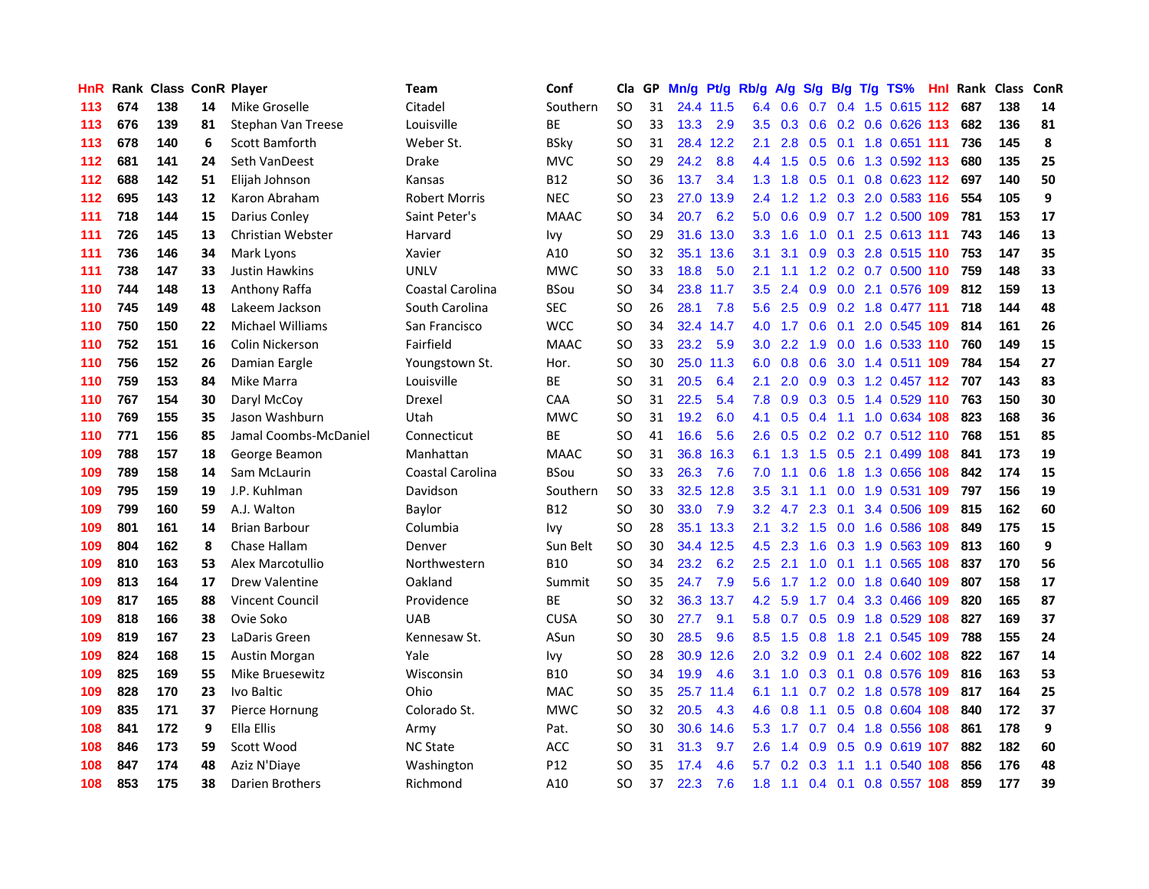| HnR |     | <b>Rank Class ConR Player</b> |    |                         | Team                 | Conf        | Cla           |    | GP Mn/g | Pt/g      | Rb/g             | <b>A/g</b>    |     |                 | S/g B/g T/g TS%                   | Hnl | Rank Class |     | ConR |
|-----|-----|-------------------------------|----|-------------------------|----------------------|-------------|---------------|----|---------|-----------|------------------|---------------|-----|-----------------|-----------------------------------|-----|------------|-----|------|
| 113 | 674 | 138                           | 14 | Mike Groselle           | Citadel              | Southern    | <b>SO</b>     | 31 |         | 24.4 11.5 | 6.4              | 0.6           | 0.7 | 0.4             | 1.5 0.615 112                     |     | 687        | 138 | 14   |
| 113 | 676 | 139                           | 81 | Stephan Van Treese      | Louisville           | <b>BE</b>   | <sub>SO</sub> | 33 | 13.3    | 2.9       | 3.5              | 0.3           | 0.6 | 0.2             | 0.6 0.626 113                     |     | 682        | 136 | 81   |
| 113 | 678 | 140                           | 6  | <b>Scott Bamforth</b>   | Weber St.            | <b>BSky</b> | <sub>SO</sub> | 31 | 28.4    | 12.2      | 2.1              | 2.8           | 0.5 | 0.1             | 1.8 0.651 111                     |     | 736        | 145 | 8    |
| 112 | 681 | 141                           | 24 | Seth VanDeest           | Drake                | <b>MVC</b>  | SO            | 29 | 24.2    | 8.8       |                  |               |     |                 | 4.4 1.5 0.5 0.6 1.3 0.592 113     |     | 680        | 135 | 25   |
| 112 | 688 | 142                           | 51 | Elijah Johnson          | Kansas               | <b>B12</b>  | SO            | 36 | 13.7    | 3.4       |                  |               |     |                 | 1.3 1.8 0.5 0.1 0.8 0.623 112 697 |     |            | 140 | 50   |
| 112 | 695 | 143                           | 12 | Karon Abraham           | <b>Robert Morris</b> | <b>NEC</b>  | SO            | 23 |         | 27.0 13.9 |                  | $2.4$ 1.2     |     |                 | 1.2 0.3 2.0 0.583 116             |     | 554        | 105 | 9    |
| 111 | 718 | 144                           | 15 | Darius Conley           | Saint Peter's        | <b>MAAC</b> | <b>SO</b>     | 34 | 20.7    | 6.2       | 5.0              | 0.6           |     |                 | 0.9 0.7 1.2 0.500 109             |     | 781        | 153 | 17   |
| 111 | 726 | 145                           | 13 | Christian Webster       | Harvard              | Ivy         | SO            | 29 |         | 31.6 13.0 | 3.3 <sub>1</sub> | 1.6           | 1.0 |                 | 0.1 2.5 0.613 111                 |     | 743        | 146 | 13   |
| 111 | 736 | 146                           | 34 | Mark Lyons              | Xavier               | A10         | <sub>SO</sub> | 32 |         | 35.1 13.6 | 3.1              | 3.1           |     |                 | 0.9 0.3 2.8 0.515 110             |     | 753        | 147 | 35   |
| 111 | 738 | 147                           | 33 | Justin Hawkins          | <b>UNLV</b>          | <b>MWC</b>  | <b>SO</b>     | 33 | 18.8    | 5.0       | 2.1              | 1.1           |     |                 | 1.2 0.2 0.7 0.500 110             |     | 759        | 148 | 33   |
| 110 | 744 | 148                           | 13 | Anthony Raffa           | Coastal Carolina     | <b>BSou</b> | <b>SO</b>     | 34 |         | 23.8 11.7 | 3.5              | 2.4           | 0.9 |                 | 0.0 2.1 0.576 109                 |     | 812        | 159 | 13   |
| 110 | 745 | 149                           | 48 | Lakeem Jackson          | South Carolina       | <b>SEC</b>  | SO            | 26 | 28.1    | 7.8       | 5.6              | 2.5           | 0.9 |                 | 0.2 1.8 0.477 111                 |     | 718        | 144 | 48   |
| 110 | 750 | 150                           | 22 | <b>Michael Williams</b> | San Francisco        | <b>WCC</b>  | <b>SO</b>     | 34 |         | 32.4 14.7 | 4.0              | 1.7           | 0.6 | 0.1             | 2.0 0.545 109                     |     | 814        | 161 | 26   |
| 110 | 752 | 151                           | 16 | Colin Nickerson         | Fairfield            | <b>MAAC</b> | <b>SO</b>     | 33 | 23.2    | 5.9       | 3.0 <sub>2</sub> | $2.2^{\circ}$ | 1.9 | 0.0             | 1.6 0.533 110                     |     | 760        | 149 | 15   |
| 110 | 756 | 152                           | 26 | Damian Eargle           | Youngstown St.       | Hor.        | <b>SO</b>     | 30 |         | 25.0 11.3 | 6.0              | 0.8           | 0.6 |                 | 3.0 1.4 0.511 109                 |     | 784        | 154 | 27   |
| 110 | 759 | 153                           | 84 | Mike Marra              | Louisville           | <b>BE</b>   | <sub>SO</sub> | 31 | 20.5    | 6.4       | 2.1              | 2.0           | 0.9 |                 | 0.3 1.2 0.457 112                 |     | 707        | 143 | 83   |
| 110 | 767 | 154                           | 30 | Daryl McCoy             | Drexel               | <b>CAA</b>  | <b>SO</b>     | 31 | 22.5    | 5.4       | 7.8              |               |     |                 | 0.9 0.3 0.5 1.4 0.529 110         |     | 763        | 150 | 30   |
| 110 | 769 | 155                           | 35 | Jason Washburn          | Utah                 | <b>MWC</b>  | SO            | 31 | 19.2    | 6.0       | 4.1              | 0.5           |     |                 | 0.4 1.1 1.0 0.634 108             |     | 823        | 168 | 36   |
| 110 | 771 | 156                           | 85 | Jamal Coombs-McDaniel   | Connecticut          | <b>BE</b>   | SO            | 41 | 16.6    | 5.6       |                  |               |     |                 | 2.6 0.5 0.2 0.2 0.7 0.512 110     |     | 768        | 151 | 85   |
| 109 | 788 | 157                           | 18 | George Beamon           | Manhattan            | <b>MAAC</b> | <sub>SO</sub> | 31 |         | 36.8 16.3 |                  |               |     |                 | 6.1 1.3 1.5 0.5 2.1 0.499 108     |     | 841        | 173 | 19   |
| 109 | 789 | 158                           | 14 | Sam McLaurin            | Coastal Carolina     | <b>BSou</b> | <b>SO</b>     | 33 | 26.3    | 7.6       | 7.0              | 1.1           | 0.6 |                 | 1.8 1.3 0.656 108                 |     | 842        | 174 | 15   |
| 109 | 795 | 159                           | 19 | J.P. Kuhlman            | Davidson             | Southern    | SO            | 33 |         | 32.5 12.8 | 3.5              | 3.1           | 1.1 |                 | 0.0 1.9 0.531 109                 |     | 797        | 156 | 19   |
| 109 | 799 | 160                           | 59 | A.J. Walton             | Baylor               | <b>B12</b>  | <sub>SO</sub> | 30 | 33.0    | 7.9       | 3.2 <sub>2</sub> | 4.7           | 2.3 | 0.1             | 3.4 0.506 109                     |     | 815        | 162 | 60   |
| 109 | 801 | 161                           | 14 | <b>Brian Barbour</b>    | Columbia             | Ivy         | SO            | 28 |         | 35.1 13.3 | 2.1              | 3.2           | 1.5 |                 | 0.0 1.6 0.586 108                 |     | 849        | 175 | 15   |
| 109 | 804 | 162                           | 8  | Chase Hallam            | Denver               | Sun Belt    | <b>SO</b>     | 30 |         | 34.4 12.5 | 4.5              | 2.3           | 1.6 |                 | 0.3 1.9 0.563 109                 |     | 813        | 160 | 9    |
| 109 | 810 | 163                           | 53 | Alex Marcotullio        | Northwestern         | <b>B10</b>  | <b>SO</b>     | 34 | 23.2    | 6.2       | 2.5              | 2.1           | 1.0 | 0.1             | 1.1 0.565 108                     |     | 837        | 170 | 56   |
| 109 | 813 | 164                           | 17 | <b>Drew Valentine</b>   | Oakland              | Summit      | SO.           | 35 | 24.7    | 7.9       | 5.6              | 1.7           |     | $1.2 \quad 0.0$ | 1.8 0.640 109                     |     | 807        | 158 | 17   |
| 109 | 817 | 165                           | 88 | <b>Vincent Council</b>  | Providence           | <b>BE</b>   | SO            | 32 |         | 36.3 13.7 | 4.2 <sub>1</sub> | 5.9           | 1.7 | 0.4             | 3.3 0.466 109                     |     | 820        | 165 | 87   |
| 109 | 818 | 166                           | 38 | Ovie Soko               | <b>UAB</b>           | <b>CUSA</b> | <sub>SO</sub> | 30 | 27.7    | 9.1       | 5.8              | 0.7           | 0.5 | 0.9             | 1.8 0.529 108                     |     | 827        | 169 | 37   |
| 109 | 819 | 167                           | 23 | LaDaris Green           | Kennesaw St.         | ASun        | <sub>SO</sub> | 30 | 28.5    | 9.6       | 8.5              | 1.5           | 0.8 |                 | 1.8 2.1 0.545 109                 |     | 788        | 155 | 24   |
| 109 | 824 | 168                           | 15 | Austin Morgan           | Yale                 | Ivy         | <b>SO</b>     | 28 | 30.9    | 12.6      | 2.0 <sub>1</sub> |               |     |                 | 3.2 0.9 0.1 2.4 0.602 108         |     | 822        | 167 | 14   |
| 109 | 825 | 169                           | 55 | Mike Bruesewitz         | Wisconsin            | <b>B10</b>  | <b>SO</b>     | 34 | 19.9    | 4.6       |                  |               |     |                 | 3.1 1.0 0.3 0.1 0.8 0.576 109     |     | 816        | 163 | 53   |
| 109 | 828 | 170                           | 23 | Ivo Baltic              | Ohio                 | <b>MAC</b>  | <sub>SO</sub> | 35 |         | 25.7 11.4 | 6.1              | 1.1           |     |                 | 0.7 0.2 1.8 0.578 109             |     | 817        | 164 | 25   |
| 109 | 835 | 171                           | 37 | Pierce Hornung          | Colorado St.         | <b>MWC</b>  | <b>SO</b>     | 32 | 20.5    | 4.3       | 4.6              | 0.8           | 1.1 |                 | 0.5 0.8 0.604 108                 |     | 840        | 172 | 37   |
| 108 | 841 | 172                           | 9  | Ella Ellis              | Army                 | Pat.        | <b>SO</b>     | 30 |         | 30.6 14.6 | 5.3              | 1.7           |     |                 | 0.7 0.4 1.8 0.556 108             |     | 861        | 178 | 9    |
| 108 | 846 | 173                           | 59 | Scott Wood              | <b>NC State</b>      | ACC         | <b>SO</b>     | 31 | 31.3    | 9.7       | 2.6              | 1.4           | 0.9 | 0.5             | 0.9 0.619 107                     |     | 882        | 182 | 60   |
| 108 | 847 | 174                           | 48 | Aziz N'Diaye            | Washington           | P12         | <b>SO</b>     | 35 | 17.4    | 4.6       | 5.7              | 0.2           | 0.3 | 1.1             | 1.1 0.540 108                     |     | 856        | 176 | 48   |
| 108 | 853 | 175                           | 38 | Darien Brothers         | Richmond             | A10         | <b>SO</b>     | 37 | 22.3    | 7.6       | 1.8 <sup>°</sup> | 1.1           |     |                 | 0.4 0.1 0.8 0.557 108             |     | 859        | 177 | 39   |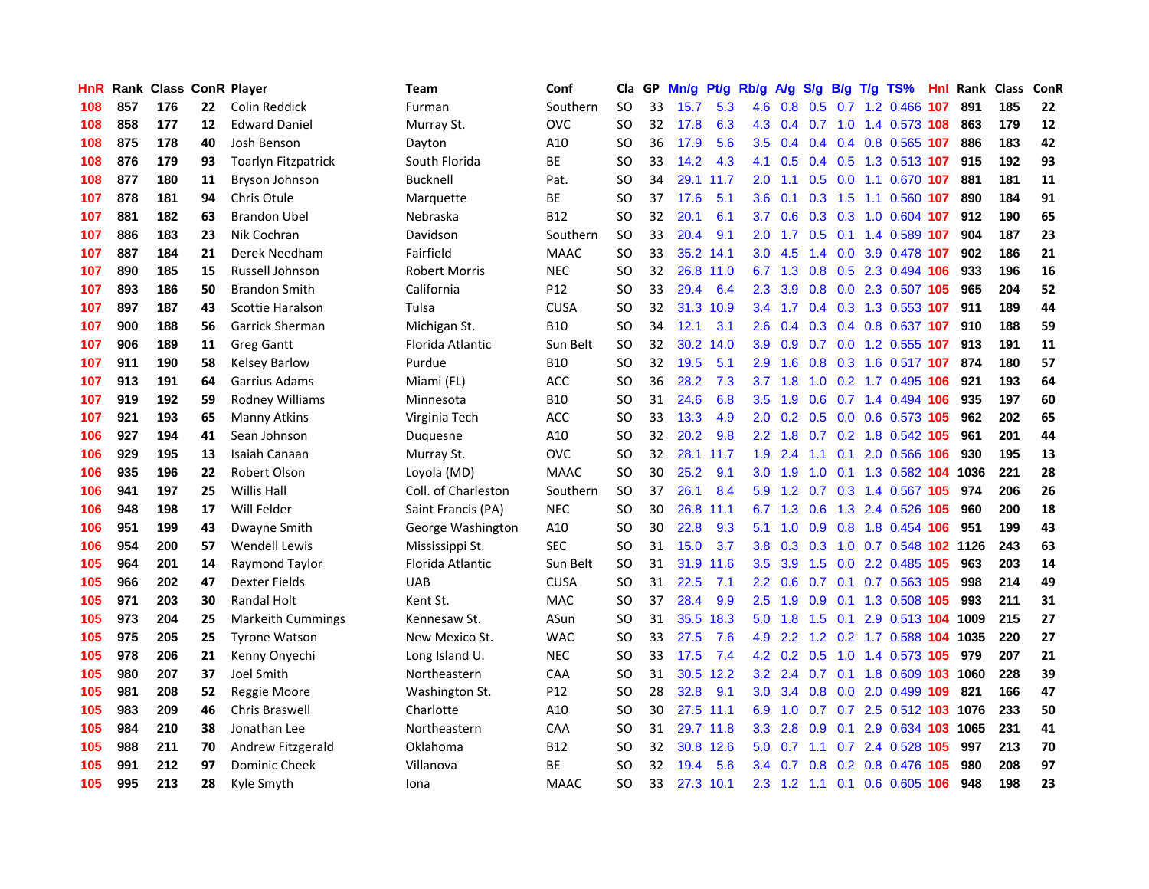| <b>HnR</b> |     | Rank Class ConR Player |    |                            | Team                 | Conf        | Cla       |    | GP Mn/g | Pt/g      | Rb/g             | A/g | S/g         |                | B/g T/g TS%                    | Hnl |      | Rank Class | <b>ConR</b> |
|------------|-----|------------------------|----|----------------------------|----------------------|-------------|-----------|----|---------|-----------|------------------|-----|-------------|----------------|--------------------------------|-----|------|------------|-------------|
| 108        | 857 | 176                    | 22 | Colin Reddick              | Furman               | Southern    | SO        | 33 | 15.7    | 5.3       | 4.6              | 0.8 | 0.5         | 0.7            | 1.2 0.466                      | 107 | 891  | 185        | 22          |
| 108        | 858 | 177                    | 12 | <b>Edward Daniel</b>       | Murray St.           | <b>OVC</b>  | SO        | 32 | 17.8    | 6.3       | 4.3              | 0.4 | 0.7         | 1.0            | 1.4 0.573 108                  |     | 863  | 179        | 12          |
| 108        | 875 | 178                    | 40 | Josh Benson                | Dayton               | A10         | SO        | 36 | 17.9    | 5.6       | $3.5^{\circ}$    | 0.4 | 0.4         | 0.4            | 0.8 0.565 107                  |     | 886  | 183        | 42          |
| 108        | 876 | 179                    | 93 | <b>Toarlyn Fitzpatrick</b> | South Florida        | <b>BE</b>   | SO        | 33 | 14.2    | 4.3       | 4.1              | 0.5 |             | $0.4\quad 0.5$ | 1.3 0.513 107                  |     | 915  | 192        | 93          |
| 108        | 877 | 180                    | 11 | Bryson Johnson             | <b>Bucknell</b>      | Pat.        | SO        | 34 |         | 29.1 11.7 | 2.0              | 1.1 |             |                | 0.5 0.0 1.1 0.670 107          |     | 881  | 181        | 11          |
| 107        | 878 | 181                    | 94 | Chris Otule                | Marquette            | BE          | SO        | 37 | 17.6    | 5.1       | 3.6 <sup>°</sup> | 0.1 |             |                | 0.3 1.5 1.1 0.560 107          |     | 890  | 184        | 91          |
| 107        | 881 | 182                    | 63 | <b>Brandon Ubel</b>        | Nebraska             | <b>B12</b>  | SO        | 32 | 20.1    | 6.1       | 3.7              | 0.6 |             |                | 0.3 0.3 1.0 0.604 107          |     | 912  | 190        | 65          |
| 107        | 886 | 183                    | 23 | Nik Cochran                | Davidson             | Southern    | SO        | 33 | 20.4    | 9.1       | $2.0^{\circ}$    | 1.7 |             |                | 0.5 0.1 1.4 0.589 107          |     | 904  | 187        | 23          |
| 107        | 887 | 184                    | 21 | Derek Needham              | Fairfield            | <b>MAAC</b> | <b>SO</b> | 33 |         | 35.2 14.1 | 3.0              | 4.5 | 1.4         |                | 0.0 3.9 0.478 107              |     | 902  | 186        | 21          |
| 107        | 890 | 185                    | 15 | Russell Johnson            | <b>Robert Morris</b> | <b>NEC</b>  | SO        | 32 | 26.8    | 11.0      | 6.7              | 1.3 | 0.8         |                | 0.5 2.3 0.494 106              |     | 933  | 196        | 16          |
| 107        | 893 | 186                    | 50 | <b>Brandon Smith</b>       | California           | P12         | SO        | 33 | 29.4    | 6.4       | $2.3^{\circ}$    | 3.9 | 0.8         |                | 0.0 2.3 0.507 105              |     | 965  | 204        | 52          |
| 107        | 897 | 187                    | 43 | Scottie Haralson           | Tulsa                | <b>CUSA</b> | SO        | 32 |         | 31.3 10.9 | 3.4              | 1.7 |             |                | 0.4 0.3 1.3 0.553 107          |     | 911  | 189        | 44          |
| 107        | 900 | 188                    | 56 | Garrick Sherman            | Michigan St.         | <b>B10</b>  | SO        | 34 | 12.1    | 3.1       | 2.6              | 0.4 | 0.3         |                | 0.4 0.8 0.637                  | 107 | 910  | 188        | 59          |
| 107        | 906 | 189                    | 11 | <b>Greg Gantt</b>          | Florida Atlantic     | Sun Belt    | SO        | 32 |         | 30.2 14.0 | 3.9 <sup>°</sup> | 0.9 | 0.7         |                | $0.0$ 1.2 0.555 107            |     | 913  | 191        | 11          |
| 107        | 911 | 190                    | 58 | Kelsey Barlow              | Purdue               | B10         | <b>SO</b> | 32 | 19.5    | 5.1       | 2.9              | 1.6 | 0.8         |                | 0.3 1.6 0.517 107              |     | 874  | 180        | 57          |
| 107        | 913 | 191                    | 64 | Garrius Adams              | Miami (FL)           | ACC         | SO        | 36 | 28.2    | 7.3       | 3.7              | 1.8 | 1.0         |                | 0.2 1.7 0.495 106              |     | 921  | 193        | 64          |
| 107        | 919 | 192                    | 59 | Rodney Williams            | Minnesota            | <b>B10</b>  | SO        | 31 | 24.6    | 6.8       | $3.5^{\circ}$    | 1.9 | 0.6         |                | 0.7 1.4 0.494 106              |     | 935  | 197        | 60          |
| 107        | 921 | 193                    | 65 | Manny Atkins               | Virginia Tech        | <b>ACC</b>  | SO        | 33 | 13.3    | 4.9       | 2.0 <sub>2</sub> |     |             |                | 0.2 0.5 0.0 0.6 0.573 105      |     | 962  | 202        | 65          |
| 106        | 927 | 194                    | 41 | Sean Johnson               | Duquesne             | A10         | SO        | 32 | 20.2    | 9.8       | $2.2^{\circ}$    | 1.8 |             |                | 0.7 0.2 1.8 0.542 105          |     | 961  | 201        | 44          |
| 106        | 929 | 195                    | 13 | Isaiah Canaan              | Murray St.           | <b>OVC</b>  | SO        | 32 |         | 28.1 11.7 | 1.9 <sup>°</sup> | 2.4 | 1.1         |                | 0.1 2.0 0.566 106              |     | 930  | 195        | 13          |
| 106        | 935 | 196                    | 22 | Robert Olson               | Loyola (MD)          | <b>MAAC</b> | SO        | 30 | 25.2    | 9.1       | 3.0 <sub>1</sub> | 1.9 | 1.0         |                | 0.1 1.3 0.582 104              |     | 1036 | 221        | 28          |
| 106        | 941 | 197                    | 25 | <b>Willis Hall</b>         | Coll. of Charleston  | Southern    | SO        | 37 | 26.1    | 8.4       | 5.9              | 1.2 |             |                | 0.7 0.3 1.4 0.567 105          |     | 974  | 206        | 26          |
| 106        | 948 | 198                    | 17 | Will Felder                | Saint Francis (PA)   | <b>NEC</b>  | <b>SO</b> | 30 | 26.8    | 11.1      | 6.7              | 1.3 | 0.6         |                | 1.3 2.4 0.526                  | 105 | 960  | 200        | 18          |
| 106        | 951 | 199                    | 43 | Dwayne Smith               | George Washington    | A10         | SO        | 30 | 22.8    | 9.3       | 5.1              | 1.0 | 0.9         |                | 0.8 1.8 0.454 106              |     | 951  | 199        | 43          |
| 106        | 954 | 200                    | 57 | <b>Wendell Lewis</b>       | Mississippi St.      | <b>SEC</b>  | <b>SO</b> | 31 | 15.0    | 3.7       | 3.8              | 0.3 | 0.3         |                | 1.0 0.7 0.548 102 1126         |     |      | 243        | 63          |
| 105        | 964 | 201                    | 14 | Raymond Taylor             | Florida Atlantic     | Sun Belt    | SO        | 31 | 31.9    | 11.6      | 3.5              | 3.9 | 1.5         | 0.0            | 2.2 0.485                      | 105 | 963  | 203        | 14          |
| 105        | 966 | 202                    | 47 | <b>Dexter Fields</b>       | <b>UAB</b>           | <b>CUSA</b> | SO        | 31 | 22.5    | 7.1       | 2.2 <sub>2</sub> | 0.6 | 0.7         | 0.1            | 0.7 0.563 105                  |     | 998  | 214        | 49          |
| 105        | 971 | 203                    | 30 | <b>Randal Holt</b>         | Kent St.             | <b>MAC</b>  | <b>SO</b> | 37 | 28.4    | 9.9       | 2.5              | 1.9 | 0.9         | 0.1            | 1.3 0.508 105                  |     | 993  | 211        | 31          |
| 105        | 973 | 204                    | 25 | <b>Markeith Cummings</b>   | Kennesaw St.         | ASun        | SO        | 31 | 35.5    | 18.3      | 5.0              | 1.8 | 1.5         | 0.1            | 2.9 0.513 104                  |     | 1009 | 215        | 27          |
| 105        | 975 | 205                    | 25 | <b>Tyrone Watson</b>       | New Mexico St.       | <b>WAC</b>  | SO        | 33 | 27.5    | 7.6       | 4.9              |     |             |                | 2.2 1.2 0.2 1.7 0.588 104 1035 |     |      | 220        | 27          |
| 105        | 978 | 206                    | 21 | Kenny Onyechi              | Long Island U.       | <b>NEC</b>  | <b>SO</b> | 33 | 17.5    | 7.4       |                  |     | 4.2 0.2 0.5 |                | 1.0 1.4 0.573 105              |     | 979  | 207        | 21          |
| 105        | 980 | 207                    | 37 | <b>Joel Smith</b>          | Northeastern         | CAA         | SO        | 31 |         | 30.5 12.2 | 3.2              | 2.4 |             |                | 0.7 0.1 1.8 0.609 103 1060     |     |      | 228        | 39          |
| 105        | 981 | 208                    | 52 | Reggie Moore               | Washington St.       | P12         | SO        | 28 | 32.8    | 9.1       | 3.0 <sub>1</sub> | 3.4 | 0.8         |                | 0.0 2.0 0.499 109              |     | 821  | 166        | 47          |
| 105        | 983 | 209                    | 46 | <b>Chris Braswell</b>      | Charlotte            | A10         | SO        | 30 |         | 27.5 11.1 | 6.9              | 1.0 | 0.7         |                | 0.7 2.5 0.512 103 1076         |     |      | 233        | 50          |
| 105        | 984 | 210                    | 38 | Jonathan Lee               | Northeastern         | CAA         | SO        | 31 |         | 29.7 11.8 | 3.3 <sub>2</sub> | 2.8 | 0.9         | 0.1            | 2.9 0.634 103                  |     | 1065 | 231        | 41          |
| 105        | 988 | 211                    | 70 | Andrew Fitzgerald          | Oklahoma             | B12         | SO        | 32 | 30.8    | 12.6      | 5.0              | 0.7 | 1.1         |                | 0.7 2.4 0.528                  | 105 | 997  | 213        | 70          |
| 105        | 991 | 212                    | 97 | <b>Dominic Cheek</b>       | Villanova            | ВE          | SO        | 32 | 19.4    | 5.6       | $3.4^{\circ}$    | 0.7 | 0.8         | 0.2            | 0.8 0.476                      | 105 | 980  | 208        | 97          |
| 105        | 995 | 213                    | 28 | Kyle Smyth                 | Iona                 | <b>MAAC</b> | SΟ        | 33 |         | 27.3 10.1 |                  |     |             |                | 2.3 1.2 1.1 0.1 0.6 0.605 106  |     | 948  | 198        | 23          |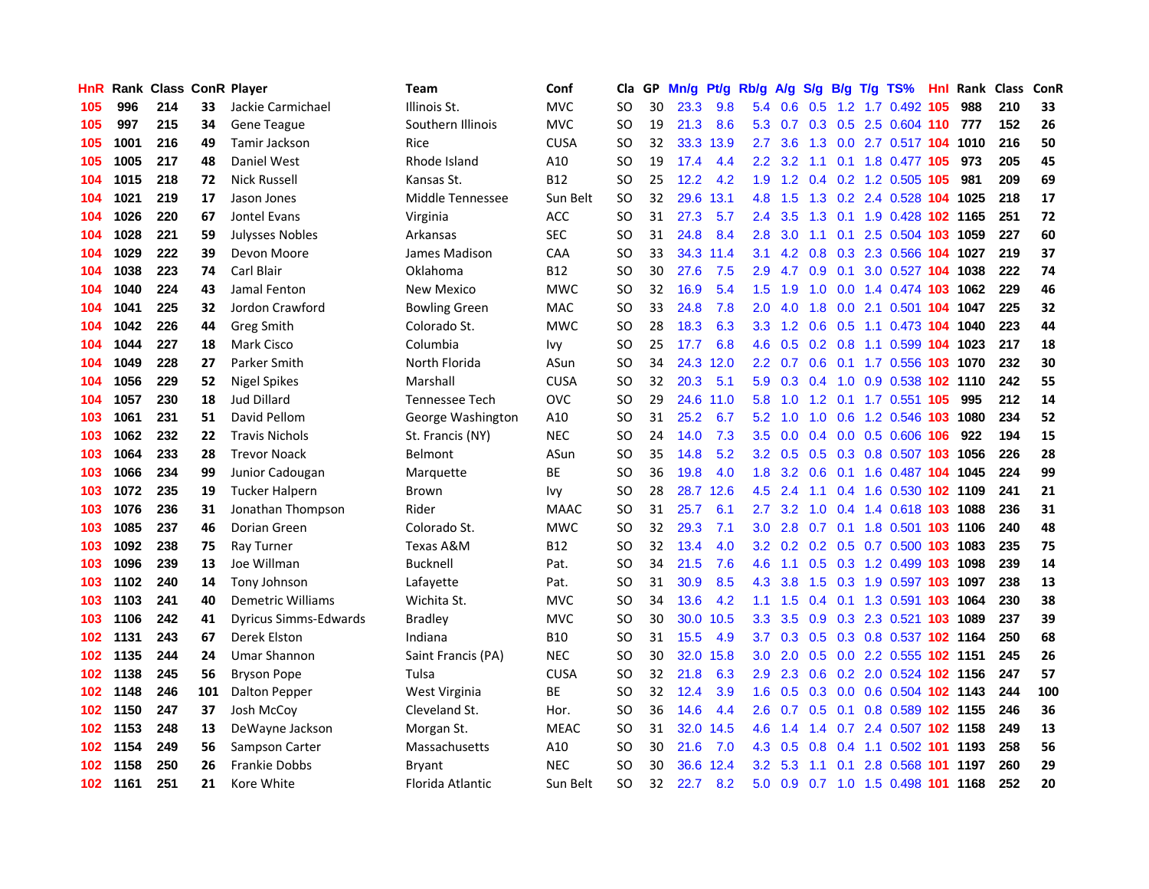| HnR.             |      | <b>Rank Class ConR Player</b> |     |                              | Team                 | Conf        | Cla           |    | GP Mn/g | Pt/g      | Rb/g             | <b>A/g</b>      |                 |     | S/g B/g T/g TS%                | Hnl | Rank Class |     | ConR |
|------------------|------|-------------------------------|-----|------------------------------|----------------------|-------------|---------------|----|---------|-----------|------------------|-----------------|-----------------|-----|--------------------------------|-----|------------|-----|------|
| 105              | 996  | 214                           | 33  | Jackie Carmichael            | Illinois St.         | <b>MVC</b>  | SO            | 30 | 23.3    | 9.8       | 5.4              | 0.6             | 0.5             | 1.2 | 1.7 0.492                      | 105 | 988        | 210 | 33   |
| 105              | 997  | 215                           | 34  | Gene Teague                  | Southern Illinois    | <b>MVC</b>  | SO            | 19 | 21.3    | 8.6       | 5.3              | 0.7             | 0.3             | 0.5 | 2.5 0.604 110                  |     | 777        | 152 | 26   |
| 105              | 1001 | 216                           | 49  | Tamir Jackson                | Rice                 | <b>CUSA</b> | SO            | 32 | 33.3    | 13.9      | 2.7              | 3.6             | 1.3             |     | 0.0 2.7 0.517 104 1010         |     |            | 216 | 50   |
| 105              | 1005 | 217                           | 48  | Daniel West                  | Rhode Island         | A10         | SO            | 19 | 17.4    | 4.4       |                  | $2.2$ 3.2       |                 |     | 1.1 0.1 1.8 0.477 105          |     | 973        | 205 | 45   |
| 104              | 1015 | 218                           | 72  | <b>Nick Russell</b>          | Kansas St.           | <b>B12</b>  | SO            | 25 | 12.2    | 4.2       | 1.9              |                 |                 |     | 1.2 0.4 0.2 1.2 0.505 105      |     | 981        | 209 | 69   |
| 104              | 1021 | 219                           | 17  | Jason Jones                  | Middle Tennessee     | Sun Belt    | <b>SO</b>     | 32 | 29.6    | 13.1      | 4.8              | 1.5             |                 |     | 1.3 0.2 2.4 0.528 104 1025     |     |            | 218 | 17   |
| 104              | 1026 | 220                           | 67  | Jontel Evans                 | Virginia             | ACC         | <b>SO</b>     | 31 | 27.3    | 5.7       | $2.4^{\circ}$    | 3.5             | 1.3             |     | 0.1 1.9 0.428 102 1165         |     |            | 251 | 72   |
| 104              | 1028 | 221                           | 59  | <b>Julysses Nobles</b>       | Arkansas             | <b>SEC</b>  | SO            | 31 | 24.8    | 8.4       | 2.8              | 3.0             | 1.1             | 0.1 | 2.5 0.504 103 1059             |     |            | 227 | 60   |
| 104              | 1029 | 222                           | 39  | Devon Moore                  | James Madison        | CAA         | <sub>SO</sub> | 33 |         | 34.3 11.4 | 3.1              | 4.2             | 0.8             |     | 0.3 2.3 0.566 104 1027         |     |            | 219 | 37   |
| 104              | 1038 | 223                           | 74  | Carl Blair                   | Oklahoma             | <b>B12</b>  | <sub>SO</sub> | 30 | 27.6    | 7.5       | 2.9              | 4.7             | 0.9             | 0.1 | 3.0 0.527 104 1038             |     |            | 222 | 74   |
| 104              | 1040 | 224                           | 43  | Jamal Fenton                 | <b>New Mexico</b>    | <b>MWC</b>  | SO            | 32 | 16.9    | 5.4       | 1.5              | 1.9             | 1.0             |     | $0.0$ 1.4 0.474 103            |     | 1062       | 229 | 46   |
| 104              | 1041 | 225                           | 32  | Jordon Crawford              | <b>Bowling Green</b> | <b>MAC</b>  | SO            | 33 | 24.8    | 7.8       | 2.0              | 4.0             | 1.8             | 0.0 | 2.1 0.501 104 1047             |     |            | 225 | 32   |
| 104              | 1042 | 226                           | 44  | Greg Smith                   | Colorado St.         | <b>MWC</b>  | <b>SO</b>     | 28 | 18.3    | 6.3       | 3.3 <sub>1</sub> | 1.2             | 0.6             | 0.5 | 1.1 0.473 104                  |     | 1040       | 223 | 44   |
| 104              | 1044 | 227                           | 18  | Mark Cisco                   | Columbia             | Ivy         | SO            | 25 | 17.7    | 6.8       | 4.6              | 0.5             | 0.2             | 0.8 | 1.1 0.599 104 1023             |     |            | 217 | 18   |
| 104              | 1049 | 228                           | 27  | Parker Smith                 | North Florida        | ASun        | <sub>SO</sub> | 34 | 24.3    | 12.0      | 2.2 <sub>2</sub> | 0.7             | 0.6             | 0.1 | 1.7 0.556                      | 103 | 1070       | 232 | 30   |
| 104              | 1056 | 229                           | 52  | <b>Nigel Spikes</b>          | Marshall             | <b>CUSA</b> | <sub>SO</sub> | 32 | 20.3    | 5.1       | 5.9              |                 | $0.3 \quad 0.4$ |     | 1.0 0.9 0.538 102 1110         |     |            | 242 | 55   |
| 104              | 1057 | 230                           | 18  | Jud Dillard                  | Tennessee Tech       | <b>OVC</b>  | SO            | 29 |         | 24.6 11.0 | 5.8              | 1.0             |                 |     | 1.2 0.1 1.7 0.551 105          |     | 995        | 212 | 14   |
| 103              | 1061 | 231                           | 51  | David Pellom                 | George Washington    | A10         | SO            | 31 | 25.2    | 6.7       |                  | $5.2 \quad 1.0$ |                 |     | 1.0 0.6 1.2 0.546 103          |     | 1080       | 234 | 52   |
| 103              | 1062 | 232                           | 22  | <b>Travis Nichols</b>        | St. Francis (NY)     | <b>NEC</b>  | SO            | 24 | 14.0    | 7.3       | $3.5^{\circ}$    | 0.0             |                 |     | 0.4 0.0 0.5 0.606 106          |     | 922        | 194 | 15   |
| 103              | 1064 | 233                           | 28  | <b>Trevor Noack</b>          | <b>Belmont</b>       | ASun        | SO            | 35 | 14.8    | 5.2       |                  | $3.2 \quad 0.5$ |                 |     | 0.5 0.3 0.8 0.507 103 1056     |     |            | 226 | 28   |
| 103              | 1066 | 234                           | 99  | Junior Cadougan              | Marquette            | <b>BE</b>   | SO            | 36 | 19.8    | 4.0       | 1.8              | 3.2             | 0.6             |     | 0.1 1.6 0.487 104 1045         |     |            | 224 | 99   |
| 103              | 1072 | 235                           | 19  | <b>Tucker Halpern</b>        | Brown                | Ivy         | <b>SO</b>     | 28 | 28.7    | 12.6      | 4.5              | 2.4             | 1.1             |     | 0.4 1.6 0.530 102 1109         |     |            | 241 | 21   |
| 103              | 1076 | 236                           | 31  | Jonathan Thompson            | Rider                | <b>MAAC</b> | <b>SO</b>     | 31 | 25.7    | 6.1       | 2.7              | 3.2             | 1.0             |     | 0.4 1.4 0.618 103 1088         |     |            | 236 | 31   |
| 103              | 1085 | 237                           | 46  | Dorian Green                 | Colorado St.         | <b>MWC</b>  | SO            | 32 | 29.3    | 7.1       | 3.0              | 2.8             |                 |     | 0.7 0.1 1.8 0.501 103 1106     |     |            | 240 | 48   |
| 103              | 1092 | 238                           | 75  | Ray Turner                   | Texas A&M            | <b>B12</b>  | SO            | 32 | 13.4    | 4.0       | 3.2 <sub>2</sub> |                 |                 |     | 0.2 0.2 0.5 0.7 0.500 103 1083 |     |            | 235 | 75   |
| 103              | 1096 | 239                           | 13  | Joe Willman                  | <b>Bucknell</b>      | Pat.        | SO            | 34 | 21.5    | 7.6       | 4.6              | 1.1             | 0.5             |     | 0.3 1.2 0.499 103              |     | 1098       | 239 | 14   |
| 103              | 1102 | 240                           | 14  | Tony Johnson                 | Lafayette            | Pat.        | SO            | 31 | 30.9    | 8.5       | 4.3              | 3.8             | 1.5             |     | 0.3 1.9 0.597 103 1097         |     |            | 238 | 13   |
| 103              | 1103 | 241                           | 40  | <b>Demetric Williams</b>     | Wichita St.          | <b>MVC</b>  | SO            | 34 | 13.6    | 4.2       | 1.1              | 1.5             | 0.4             |     | 0.1 1.3 0.591 103 1064         |     |            | 230 | 38   |
| 103              | 1106 | 242                           | 41  | <b>Dyricus Simms-Edwards</b> | <b>Bradley</b>       | <b>MVC</b>  | <sub>SO</sub> | 30 | 30.0    | 10.5      | 3.3              | 3.5             | 0.9             |     | 0.3 2.3 0.521 103 1089         |     |            | 237 | 39   |
| 102              | 1131 | 243                           | 67  | Derek Elston                 | Indiana              | <b>B10</b>  | SO            | 31 | 15.5    | 4.9       | 3.7 <sub>2</sub> |                 |                 |     | 0.3 0.5 0.3 0.8 0.537 102 1164 |     |            | 250 | 68   |
| 102              | 1135 | 244                           | 24  | <b>Umar Shannon</b>          | Saint Francis (PA)   | <b>NEC</b>  | SO            | 30 | 32.0    | 15.8      | 3.0              | 2.0             |                 |     | 0.5 0.0 2.2 0.555 102 1151     |     |            | 245 | 26   |
| 102              | 1138 | 245                           | 56  | <b>Bryson Pope</b>           | Tulsa                | <b>CUSA</b> | SO            | 32 | 21.8    | 6.3       | 2.9              | 2.3             |                 |     | 0.6 0.2 2.0 0.524 102 1156     |     |            | 247 | 57   |
| 102              | 1148 | 246                           | 101 | Dalton Pepper                | West Virginia        | <b>BE</b>   | SO            | 32 | 12.4    | 3.9       | 1.6 <sup>°</sup> | 0.5             |                 |     | 0.3 0.0 0.6 0.504 102 1143     |     |            | 244 | 100  |
| 102              | 1150 | 247                           | 37  | Josh McCoy                   | Cleveland St.        | Hor.        | SO            | 36 | 14.6    | 4.4       | 2.6              | 0.7             | 0.5             |     | 0.1 0.8 0.589 102 1155         |     |            | 246 | 36   |
| 102              | 1153 | 248                           | 13  | DeWayne Jackson              | Morgan St.           | <b>MEAC</b> | <b>SO</b>     | 31 | 32.0    | 14.5      | 4.6              | 1.4             | $1.4^{\circ}$   |     | 0.7 2.4 0.507 102 1158         |     |            | 249 | 13   |
| 102              | 1154 | 249                           | 56  | Sampson Carter               | Massachusetts        | A10         | <b>SO</b>     | 30 | 21.6    | 7.0       | 4.3              | 0.5             | 0.8             | 0.4 | 1.1 0.502                      | 101 | 1193       | 258 | 56   |
| 102              | 1158 | 250                           | 26  | <b>Frankie Dobbs</b>         | Bryant               | <b>NEC</b>  | SO            | 30 | 36.6    | 12.4      | $3.2\phantom{0}$ | 5.3             | 1.1             | 0.1 | 2.8 0.568                      | 101 | 1197       | 260 | 29   |
| 102 <sub>1</sub> | 1161 | 251                           | 21  | Kore White                   | Florida Atlantic     | Sun Belt    | <b>SO</b>     | 32 | 22.7    | 8.2       | 5.0              | 0.9             |                 |     | 0.7 1.0 1.5 0.498 101 1168     |     |            | 252 | 20   |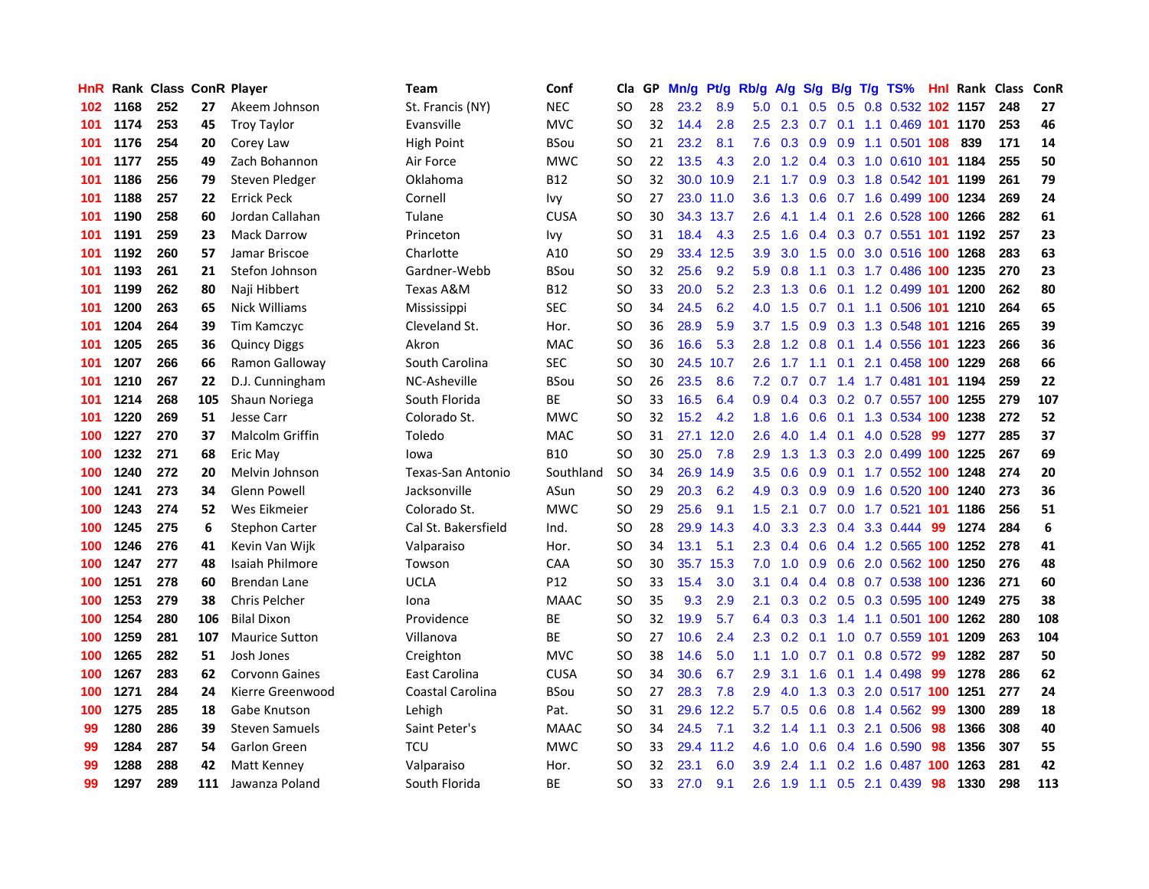| HnR |      | <b>Rank Class ConR Player</b> |     |                        | Team                     | Conf            | Cla           |    | GP Mn/g | Pt/g      | Rb/g             | <b>A/g</b>      |     |                  | S/g B/g T/g TS%                |     | <b>Hnl Rank Class</b> |     | ConR |
|-----|------|-------------------------------|-----|------------------------|--------------------------|-----------------|---------------|----|---------|-----------|------------------|-----------------|-----|------------------|--------------------------------|-----|-----------------------|-----|------|
| 102 | 1168 | 252                           | 27  | Akeem Johnson          | St. Francis (NY)         | <b>NEC</b>      | SO            | 28 | 23.2    | 8.9       | 5.0              | 0.1             | 0.5 | 0.5              | 0.8 0.532                      |     | 102 1157              | 248 | 27   |
| 101 | 1174 | 253                           | 45  | <b>Troy Taylor</b>     | Evansville               | <b>MVC</b>      | <b>SO</b>     | 32 | 14.4    | 2.8       | $2.5^{\circ}$    | 2.3             | 0.7 | 0.1              | 1.1 0.469 101                  |     | 1170                  | 253 | 46   |
| 101 | 1176 | 254                           | 20  | Corey Law              | <b>High Point</b>        | <b>BSou</b>     | SO            | 21 | 23.2    | 8.1       | 7.6              | 0.3             | 0.9 | 0.9              | 1.1 0.501 108                  |     | 839                   | 171 | 14   |
| 101 | 1177 | 255                           | 49  | Zach Bohannon          | Air Force                | <b>MWC</b>      | SO            | 22 | 13.5    | 4.3       | 2.0 <sub>1</sub> |                 |     |                  | 1.2 0.4 0.3 1.0 0.610 101 1184 |     |                       | 255 | 50   |
| 101 | 1186 | 256                           | 79  | Steven Pledger         | Oklahoma                 | <b>B12</b>      | SO            | 32 |         | 30.0 10.9 | 2.1              |                 |     |                  | 1.7 0.9 0.3 1.8 0.542 101 1199 |     |                       | 261 | 79   |
| 101 | 1188 | 257                           | 22  | <b>Errick Peck</b>     | Cornell                  | Ivy             | SO            | 27 |         | 23.0 11.0 | 3.6 <sup>2</sup> | 1.3             |     |                  | 0.6 0.7 1.6 0.499 100 1234     |     |                       | 269 | 24   |
| 101 | 1190 | 258                           | 60  | Jordan Callahan        | Tulane                   | <b>CUSA</b>     | SO            | 30 |         | 34.3 13.7 | 2.6              | 4.1             |     |                  | 1.4 0.1 2.6 0.528 100 1266     |     |                       | 282 | 61   |
| 101 | 1191 | 259                           | 23  | <b>Mack Darrow</b>     | Princeton                | Ivy             | SO            | 31 | 18.4    | 4.3       | 2.5              | 1.6             |     |                  | 0.4 0.3 0.7 0.551 101 1192     |     |                       | 257 | 23   |
| 101 | 1192 | 260                           | 57  | Jamar Briscoe          | Charlotte                | A10             | <b>SO</b>     | 29 |         | 33.4 12.5 | 3.9              | 3.0             | 1.5 |                  | 0.0 3.0 0.516 100 1268         |     |                       | 283 | 63   |
| 101 | 1193 | 261                           | 21  | Stefon Johnson         | Gardner-Webb             | <b>BSou</b>     | <b>SO</b>     | 32 | 25.6    | 9.2       | 5.9              | 0.8             | 1.1 |                  | 0.3 1.7 0.486 100 1235         |     |                       | 270 | 23   |
| 101 | 1199 | 262                           | 80  | Naji Hibbert           | Texas A&M                | <b>B12</b>      | SO            | 33 | 20.0    | 5.2       | 2.3              | 1.3             | 0.6 |                  | 0.1 1.2 0.499 101 1200         |     |                       | 262 | 80   |
| 101 | 1200 | 263                           | 65  | <b>Nick Williams</b>   | Mississippi              | <b>SEC</b>      | SO            | 34 | 24.5    | 6.2       | 4.0              | 1.5             | 0.7 | 0.1              | 1.1 0.506 101                  |     | 1210                  | 264 | 65   |
| 101 | 1204 | 264                           | 39  | Tim Kamczyc            | Cleveland St.            | Hor.            | SO            | 36 | 28.9    | 5.9       | 3.7              | 1.5             | 0.9 | 0.3              | 1.3 0.548                      | 101 | 1216                  | 265 | 39   |
| 101 | 1205 | 265                           | 36  | <b>Quincy Diggs</b>    | Akron                    | <b>MAC</b>      | <b>SO</b>     | 36 | 16.6    | 5.3       | 2.8              | 1.2             | 0.8 |                  | 0.1 1.4 0.556 101              |     | 1223                  | 266 | 36   |
| 101 | 1207 | 266                           | 66  | Ramon Galloway         | South Carolina           | <b>SEC</b>      | SO            | 30 |         | 24.5 10.7 | 2.6              | 1.7             | 1.1 | 0.1              | 2.1 0.458 100                  |     | 1229                  | 268 | 66   |
| 101 | 1210 | 267                           | 22  | D.J. Cunningham        | NC-Asheville             | <b>BSou</b>     | <sub>SO</sub> | 26 | 23.5    | 8.6       | 7.2              | 0.7             | 0.7 |                  | 1.4 1.7 0.481 101              |     | 1194                  | 259 | 22   |
| 101 | 1214 | 268                           | 105 | Shaun Noriega          | South Florida            | <b>BE</b>       | <sub>SO</sub> | 33 | 16.5    | 6.4       | 0.9 <sub>0</sub> |                 |     |                  | 0.4 0.3 0.2 0.7 0.557 100 1255 |     |                       | 279 | 107  |
| 101 | 1220 | 269                           | 51  | Jesse Carr             | Colorado St.             | <b>MWC</b>      | SO            | 32 | 15.2    | 4.2       | 1.8 <sup>°</sup> | 1.6             |     |                  | 0.6 0.1 1.3 0.534 100 1238     |     |                       | 272 | 52   |
| 100 | 1227 | 270                           | 37  | <b>Malcolm Griffin</b> | Toledo                   | <b>MAC</b>      | SO            | 31 |         | 27.1 12.0 | $2.6^{\circ}$    | 4.0             |     |                  | 1.4 0.1 4.0 0.528              | -99 | 1277                  | 285 | 37   |
| 100 | 1232 | 271                           | 68  | Eric May               | lowa                     | <b>B10</b>      | <b>SO</b>     | 30 | 25.0    | 7.8       | 2.9              | 1.3             |     |                  | 1.3 0.3 2.0 0.499 100 1225     |     |                       | 267 | 69   |
| 100 | 1240 | 272                           | 20  | Melvin Johnson         | <b>Texas-San Antonio</b> | Southland       | <b>SO</b>     | 34 |         | 26.9 14.9 | 3.5              | 0.6             |     |                  | 0.9 0.1 1.7 0.552 100 1248     |     |                       | 274 | 20   |
| 100 | 1241 | 273                           | 34  | <b>Glenn Powell</b>    | Jacksonville             | ASun            | SO            | 29 | 20.3    | 6.2       | 4.9              | 0.3             |     |                  | 0.9 0.9 1.6 0.520 100 1240     |     |                       | 273 | 36   |
| 100 | 1243 | 274                           | 52  | Wes Eikmeier           | Colorado St.             | <b>MWC</b>      | <b>SO</b>     | 29 | 25.6    | 9.1       | 1.5              | 2.1             |     |                  | 0.7 0.0 1.7 0.521 101          |     | 1186                  | 256 | 51   |
| 100 | 1245 | 275                           | 6   | <b>Stephon Carter</b>  | Cal St. Bakersfield      | Ind.            | <b>SO</b>     | 28 | 29.9    | 14.3      | 4.0              | 3.3             | 2.3 |                  | 0.4 3.3 0.444                  | -99 | 1274                  | 284 | 6    |
| 100 | 1246 | 276                           | 41  | Kevin Van Wijk         | Valparaiso               | Hor.            | SO            | 34 | 13.1    | 5.1       | $2.3^{\circ}$    | 0.4             |     |                  | 0.6 0.4 1.2 0.565 100 1252     |     |                       | 278 | 41   |
| 100 | 1247 | 277                           | 48  | Isaiah Philmore        | Towson                   | CAA             | <b>SO</b>     | 30 |         | 35.7 15.3 | 7.0              | 1.0             | 0.9 |                  | 0.6 2.0 0.562 100 1250         |     |                       | 276 | 48   |
| 100 | 1251 | 278                           | 60  | Brendan Lane           | <b>UCLA</b>              | P <sub>12</sub> | SO            | 33 | 15.4    | 3.0       | 3.1              | 0.4             |     |                  | 0.4 0.8 0.7 0.538 100          |     | 1236                  | 271 | 60   |
| 100 | 1253 | 279                           | 38  | Chris Pelcher          | Iona                     | <b>MAAC</b>     | <b>SO</b>     | 35 | 9.3     | 2.9       | 2.1              | 0.3             |     |                  | 0.2 0.5 0.3 0.595 100          |     | 1249                  | 275 | 38   |
| 100 | 1254 | 280                           | 106 | <b>Bilal Dixon</b>     | Providence               | BE              | <b>SO</b>     | 32 | 19.9    | 5.7       | 6.4              | 0.3             | 0.3 | 1.4              | 1.1 0.501 100                  |     | 1262                  | 280 | 108  |
| 100 | 1259 | 281                           | 107 | <b>Maurice Sutton</b>  | Villanova                | <b>BE</b>       | SO            | 27 | 10.6    | 2.4       | $2.3^{\circ}$    | $0.2 \quad 0.1$ |     | 1.0              | 0.7 0.559 101                  |     | 1209                  | 263 | 104  |
| 100 | 1265 | 282                           | 51  | Josh Jones             | Creighton                | <b>MVC</b>      | <b>SO</b>     | 38 | 14.6    | 5.0       | 1.1              | 1.0             | 0.7 | 0.1              | $0.8$ 0.572                    | -99 | 1282                  | 287 | 50   |
| 100 | 1267 | 283                           | 62  | <b>Corvonn Gaines</b>  | East Carolina            | <b>CUSA</b>     | SO            | 34 | 30.6    | 6.7       | 2.9              | 3.1             |     |                  | 1.6 0.1 1.4 0.498 99           |     | 1278                  | 286 | 62   |
| 100 | 1271 | 284                           | 24  | Kierre Greenwood       | Coastal Carolina         | <b>BSou</b>     | <b>SO</b>     | 27 | 28.3    | 7.8       | 2.9              | 4.0             |     |                  | 1.3 0.3 2.0 0.517 100 1251     |     |                       | 277 | 24   |
| 100 | 1275 | 285                           | 18  | Gabe Knutson           | Lehigh                   | Pat.            | SO            | 31 |         | 29.6 12.2 | 5.7              | 0.5             | 0.6 |                  | 0.8 1.4 0.562                  | -99 | 1300                  | 289 | 18   |
| 99  | 1280 | 286                           | 39  | <b>Steven Samuels</b>  | Saint Peter's            | <b>MAAC</b>     | SO            | 34 | 24.5    | 7.1       | 3.2              | 1.4             | 1.1 |                  | 0.3 2.1 0.506                  | 98  | 1366                  | 308 | 40   |
| 99  | 1284 | 287                           | 54  | Garlon Green           | <b>TCU</b>               | <b>MWC</b>      | SO            | 33 |         | 29.4 11.2 | 4.6              | 1.0             | 0.6 |                  | $0.4$ 1.6 0.590                | 98  | 1356                  | 307 | 55   |
| 99  | 1288 | 288                           | 42  | Matt Kenney            | Valparaiso               | Hor.            | <b>SO</b>     | 32 | 23.1    | 6.0       | 3.9              | 2.4             | 1.1 | 0.2 <sub>0</sub> | 1.6 0.487                      | 100 | 1263                  | 281 | 42   |
| 99  | 1297 | 289                           | 111 | Jawanza Poland         | South Florida            | ВE              | SΟ            | 33 | 27.0    | 9.1       | $2.6^{\circ}$    | 1.9             |     |                  | 1.1 0.5 2.1 0.439              | 98  | 1330                  | 298 | 113  |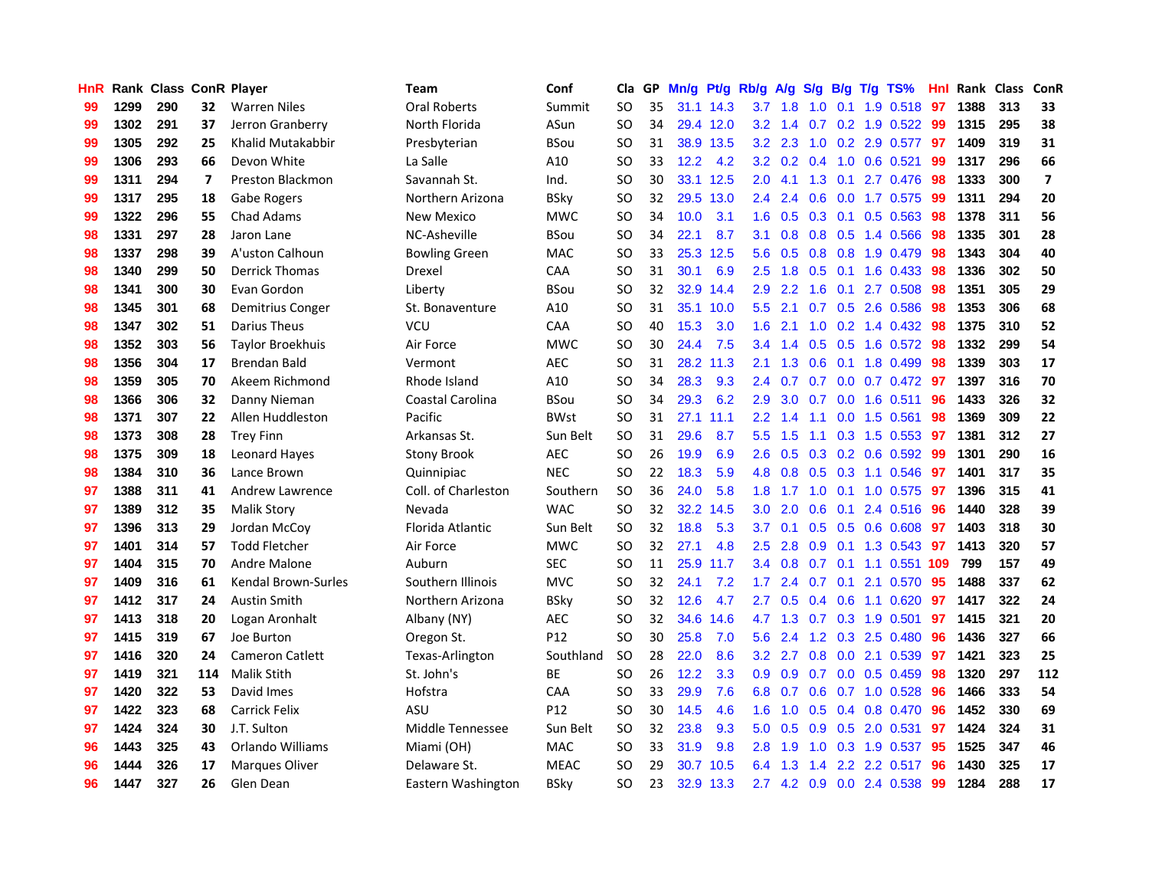| HnR |      | Rank Class ConR Player |                         |                         | Team                 | Conf            | Cla       |    | GP Mn/g Pt/g Rb/g |           |                  |                 |                           |                | A/g S/g B/g T/g TS%       | Hnl | Rank Class |     | ConR                    |
|-----|------|------------------------|-------------------------|-------------------------|----------------------|-----------------|-----------|----|-------------------|-----------|------------------|-----------------|---------------------------|----------------|---------------------------|-----|------------|-----|-------------------------|
| 99  | 1299 | 290                    | 32                      | <b>Warren Niles</b>     | Oral Roberts         | Summit          | <b>SO</b> | 35 |                   | 31.1 14.3 | 3.7              | 1.8             | 1.0                       | 0.1            | 1.9 0.518                 | -97 | 1388       | 313 | 33                      |
| 99  | 1302 | 291                    | 37                      | Jerron Granberry        | North Florida        | ASun            | <b>SO</b> | 34 |                   | 29.4 12.0 |                  | $3.2 \quad 1.4$ | 0.7                       | 0.2            | 1.9 0.522                 | -99 | 1315       | 295 | 38                      |
| 99  | 1305 | 292                    | 25                      | Khalid Mutakabbir       | Presbyterian         | <b>BSou</b>     | <b>SO</b> | 31 |                   | 38.9 13.5 | 3.2              | 2.3             | 1.0                       |                | 0.2 2.9 0.577             | 97  | 1409       | 319 | 31                      |
| 99  | 1306 | 293                    | 66                      | Devon White             | La Salle             | A10             | <b>SO</b> | 33 | 12.2              | 4.2       |                  |                 | $3.2 \quad 0.2 \quad 0.4$ |                | 1.0 0.6 0.521             | -99 | 1317       | 296 | 66                      |
| 99  | 1311 | 294                    | $\overline{\mathbf{z}}$ | <b>Preston Blackmon</b> | Savannah St.         | Ind.            | <b>SO</b> | 30 |                   | 33.1 12.5 |                  | $2.0 \quad 4.1$ |                           |                | 1.3 0.1 2.7 0.476         | -98 | 1333       | 300 | $\overline{\mathbf{z}}$ |
| 99  | 1317 | 295                    | 18                      | Gabe Rogers             | Northern Arizona     | <b>BSky</b>     | <b>SO</b> | 32 |                   | 29.5 13.0 | $2.4^{\circ}$    | 2.4             |                           |                | $0.6$ $0.0$ 1.7 $0.575$   | -99 | 1311       | 294 | 20                      |
| 99  | 1322 | 296                    | 55                      | <b>Chad Adams</b>       | New Mexico           | <b>MWC</b>      | <b>SO</b> | 34 | 10.0              | 3.1       | $1.6\,$          | 0.5             |                           |                | $0.3$ 0.1 0.5 0.563       | 98  | 1378       | 311 | 56                      |
| 98  | 1331 | 297                    | 28                      | Jaron Lane              | NC-Asheville         | BSou            | <b>SO</b> | 34 | 22.1              | 8.7       | 3.1              | 0.8             |                           |                | 0.8 0.5 1.4 0.566         | 98  | 1335       | 301 | 28                      |
| 98  | 1337 | 298                    | 39                      | A'uston Calhoun         | <b>Bowling Green</b> | MAC             | <b>SO</b> | 33 |                   | 25.3 12.5 | 5.6              | 0.5             |                           |                | 0.8 0.8 1.9 0.479         | 98  | 1343       | 304 | 40                      |
| 98  | 1340 | 299                    | 50                      | <b>Derrick Thomas</b>   | Drexel               | CAA             | <b>SO</b> | 31 | 30.1              | 6.9       | 2.5              | 1.8             |                           |                | $0.5$ 0.1 1.6 0.433       | -98 | 1336       | 302 | 50                      |
| 98  | 1341 | 300                    | 30                      | Evan Gordon             | Liberty              | <b>BSou</b>     | SO.       | 32 |                   | 32.9 14.4 | 2.9              | 2.2             | 1.6                       | 0.1            | 2.7 0.508                 | 98  | 1351       | 305 | 29                      |
| 98  | 1345 | 301                    | 68                      | Demitrius Conger        | St. Bonaventure      | A10             | SO.       | 31 |                   | 35.1 10.0 | 5.5              | 2.1             |                           |                | 0.7 0.5 2.6 0.586         | 98  | 1353       | 306 | 68                      |
| 98  | 1347 | 302                    | 51                      | Darius Theus            | <b>VCU</b>           | CAA             | <b>SO</b> | 40 | 15.3              | 3.0       | 1.6              | 2.1             | 1.0                       |                | 0.2 1.4 0.432             | 98  | 1375       | 310 | 52                      |
| 98  | 1352 | 303                    | 56                      | <b>Taylor Broekhuis</b> | Air Force            | <b>MWC</b>      | <b>SO</b> | 30 | 24.4              | 7.5       | 3.4              | 1.4             | 0.5                       | 0.5            | 1.6 0.572                 | 98  | 1332       | 299 | 54                      |
| 98  | 1356 | 304                    | 17                      | Brendan Bald            | Vermont              | <b>AEC</b>      | <b>SO</b> | 31 |                   | 28.2 11.3 | 2.1              | 1.3             | 0.6                       | 0.1            | 1.8 0.499                 | 98  | 1339       | 303 | 17                      |
| 98  | 1359 | 305                    | 70                      | Akeem Richmond          | Rhode Island         | A10             | <b>SO</b> | 34 | 28.3              | 9.3       | 2.4              | 0.7             | 0.7                       |                | 0.0 0.7 0.472 97          |     | 1397       | 316 | 70                      |
| 98  | 1366 | 306                    | 32                      | Danny Nieman            | Coastal Carolina     | <b>BSou</b>     | <b>SO</b> | 34 | 29.3              | 6.2       | 2.9              | 3.0             |                           |                | $0.7$ 0.0 1.6 0.511       | -96 | 1433       | 326 | 32                      |
| 98  | 1371 | 307                    | 22                      | Allen Huddleston        | Pacific              | <b>BWst</b>     | <b>SO</b> | 31 |                   | 27.1 11.1 |                  | $2.2 \quad 1.4$ |                           |                | 1.1 0.0 1.5 0.561         | -98 | 1369       | 309 | 22                      |
| 98  | 1373 | 308                    | 28                      | <b>Trey Finn</b>        | Arkansas St.         | Sun Belt        | <b>SO</b> | 31 | 29.6              | 8.7       |                  | 5.5 1.5         |                           |                | 1.1 0.3 1.5 0.553 97      |     | 1381       | 312 | 27                      |
| 98  | 1375 | 309                    | 18                      | Leonard Hayes           | <b>Stony Brook</b>   | <b>AEC</b>      | SO.       | 26 | 19.9              | 6.9       | $2.6^{\circ}$    | 0.5             |                           |                | $0.3$ $0.2$ $0.6$ $0.592$ | -99 | 1301       | 290 | 16                      |
| 98  | 1384 | 310                    | 36                      | Lance Brown             | Quinnipiac           | <b>NEC</b>      | <b>SO</b> | 22 | 18.3              | 5.9       | 4.8              | 0.8             |                           |                | $0.5$ $0.3$ 1.1 $0.546$   | 97  | 1401       | 317 | 35                      |
| 97  | 1388 | 311                    | 41                      | Andrew Lawrence         | Coll. of Charleston  | Southern        | <b>SO</b> | 36 | 24.0              | 5.8       | 1.8              | 1.7             |                           |                | 1.0 0.1 1.0 0.575         | 97  | 1396       | 315 | 41                      |
| 97  | 1389 | 312                    | 35                      | <b>Malik Story</b>      | Nevada               | <b>WAC</b>      | <b>SO</b> | 32 |                   | 32.2 14.5 | 3.0 <sub>1</sub> | 2.0             |                           |                | 0.6 0.1 2.4 0.516         | -96 | 1440       | 328 | 39                      |
| 97  | 1396 | 313                    | 29                      | Jordan McCoy            | Florida Atlantic     | Sun Belt        | SO.       | 32 | 18.8              | 5.3       | 3.7              | 0.1             |                           |                | 0.5 0.5 0.6 0.608         | 97  | 1403       | 318 | 30                      |
| 97  | 1401 | 314                    | 57                      | <b>Todd Fletcher</b>    | Air Force            | <b>MWC</b>      | <b>SO</b> | 32 | 27.1              | 4.8       | 2.5              | 2.8             |                           |                | 0.9 0.1 1.3 0.543         | 97  | 1413       | 320 | 57                      |
| 97  | 1404 | 315                    | 70                      | Andre Malone            | Auburn               | <b>SEC</b>      | SO.       | 11 |                   | 25.9 11.7 | $3.4^{\circ}$    | 0.8             | 0.7                       |                | 0.1 1.1 0.551 109         |     | 799        | 157 | 49                      |
| 97  | 1409 | 316                    | 61                      | Kendal Brown-Surles     | Southern Illinois    | <b>MVC</b>      | <b>SO</b> | 32 | 24.1              | 7.2       | 1.7 <sub>2</sub> | 2.4             | 0.7                       | 0.1            | 2.1 0.570                 | 95  | 1488       | 337 | 62                      |
| 97  | 1412 | 317                    | 24                      | <b>Austin Smith</b>     | Northern Arizona     | <b>BSky</b>     | SO        | 32 | 12.6              | 4.7       | 2.7              | 0.5             |                           | $0.4\quad 0.6$ | 1.1 0.620                 | 97  | 1417       | 322 | 24                      |
| 97  | 1413 | 318                    | 20                      | Logan Aronhalt          | Albany (NY)          | AEC             | <b>SO</b> | 32 | 34.6              | 14.6      | 4.7              | 1.3             | 0.7                       | 0.3            | 1.9 0.501                 | 97  | 1415       | 321 | 20                      |
| 97  | 1415 | 319                    | 67                      | Joe Burton              | Oregon St.           | P <sub>12</sub> | <b>SO</b> | 30 | 25.8              | 7.0       | 5.6              | 2.4             |                           |                | 1.2 0.3 2.5 0.480         | -96 | 1436       | 327 | 66                      |
| 97  | 1416 | 320                    | 24                      | <b>Cameron Catlett</b>  | Texas-Arlington      | Southland       | <b>SO</b> | 28 | 22.0              | 8.6       |                  | $3.2$ 2.7       |                           |                | 0.8 0.0 2.1 0.539         | 97  | 1421       | 323 | 25                      |
| 97  | 1419 | 321                    | 114                     | <b>Malik Stith</b>      | St. John's           | ВE              | <b>SO</b> | 26 | 12.2              | 3.3       | 0.9 <sup>°</sup> | 0.9             |                           |                | $0.7$ 0.0 0.5 0.459       | -98 | 1320       | 297 | 112                     |
| 97  | 1420 | 322                    | 53                      | David Imes              | Hofstra              | CAA             | <b>SO</b> | 33 | 29.9              | 7.6       | 6.8              | 0.7             |                           |                | $0.6$ $0.7$ 1.0 $0.528$   | 96  | 1466       | 333 | 54                      |
| 97  | 1422 | 323                    | 68                      | <b>Carrick Felix</b>    | ASU                  | P12             | <b>SO</b> | 30 | 14.5              | 4.6       | 1.6 <sup>°</sup> | 1.0             |                           |                | $0.5$ 0.4 0.8 0.470       | 96  | 1452       | 330 | 69                      |
| 97  | 1424 | 324                    | 30                      | J.T. Sulton             | Middle Tennessee     | Sun Belt        | <b>SO</b> | 32 | 23.8              | 9.3       | 5.0              | 0.5             |                           |                | 0.9 0.5 2.0 0.531         | 97  | 1424       | 324 | 31                      |
| 96  | 1443 | 325                    | 43                      | Orlando Williams        | Miami (OH)           | MAC             | <b>SO</b> | 33 | 31.9              | 9.8       | 2.8              | 1.9             | 1.0                       |                | 0.3 1.9 0.537             | 95  | 1525       | 347 | 46                      |
| 96  | 1444 | 326                    | 17                      | <b>Marques Oliver</b>   | Delaware St.         | <b>MEAC</b>     | <b>SO</b> | 29 | 30.7              | 10.5      | 6.4              | 1.3             | 1.4                       |                | 2.2 2.2 0.517             | 96  | 1430       | 325 | 17                      |
| 96  | 1447 | 327                    | 26                      | Glen Dean               | Eastern Washington   | <b>BSkv</b>     | SO        | 23 |                   | 32.9 13.3 |                  |                 |                           |                | 2.7 4.2 0.9 0.0 2.4 0.538 | -99 | 1284       | 288 | 17                      |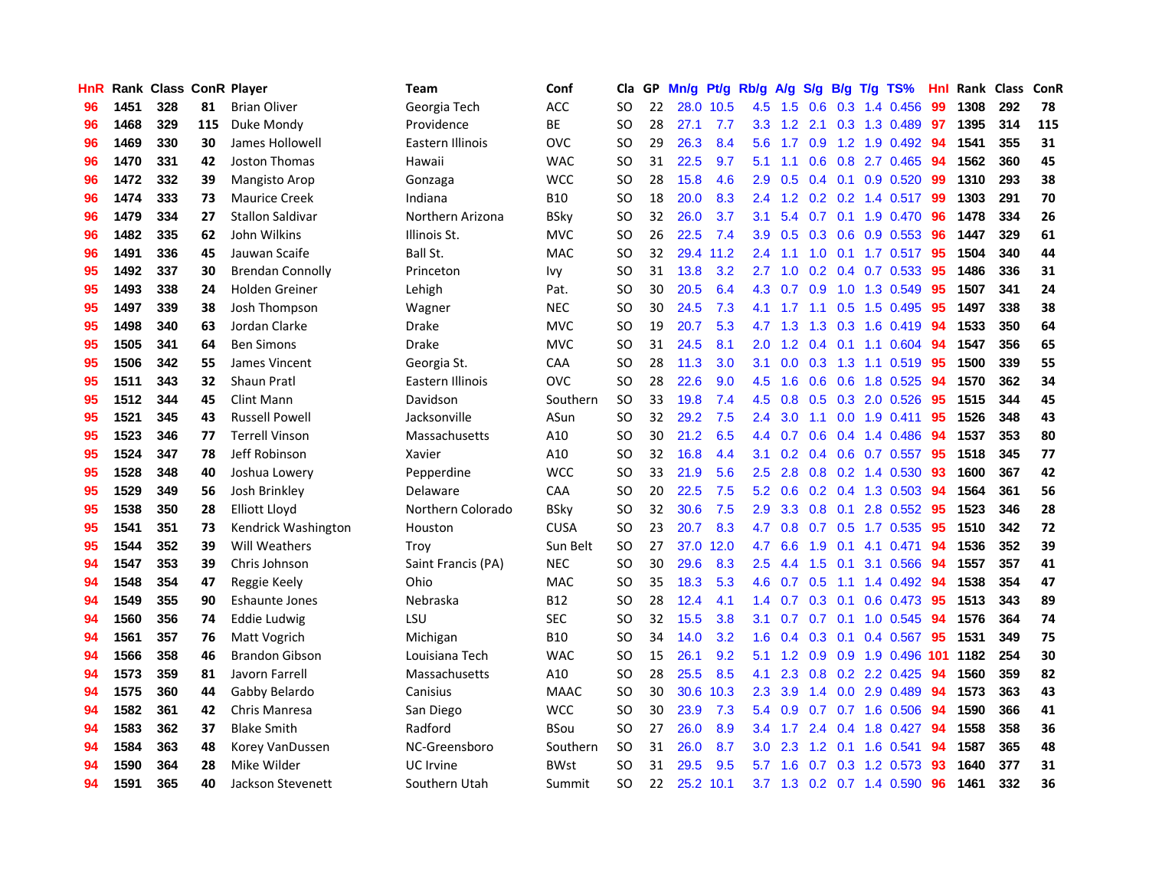| HnR |      |     |     | <b>Rank Class ConR Player</b> | <b>Team</b>        | Conf        | Cla           |    | GP Mn/g Pt/g Rb/g A/g S/g B/g T/g TS% |           |               |     |     |                 |                         | Hnl | Rank Class |     | ConR |
|-----|------|-----|-----|-------------------------------|--------------------|-------------|---------------|----|---------------------------------------|-----------|---------------|-----|-----|-----------------|-------------------------|-----|------------|-----|------|
| 96  | 1451 | 328 | 81  | <b>Brian Oliver</b>           | Georgia Tech       | ACC         | <b>SO</b>     | 22 |                                       | 28.0 10.5 | 4.5           | 1.5 | 0.6 | 0.3             | 1.4 0.456               | 99  | 1308       | 292 | 78   |
| 96  | 1468 | 329 | 115 | Duke Mondy                    | Providence         | BE          | <b>SO</b>     | 28 | 27.1                                  | 7.7       | 3.3           | 1.2 | 2.1 | 0.3             | 1.3 0.489               | 97  | 1395       | 314 | 115  |
| 96  | 1469 | 330 | 30  | James Hollowell               | Eastern Illinois   | <b>OVC</b>  | <b>SO</b>     | 29 | 26.3                                  | 8.4       | 5.6           | 1.7 | 0.9 |                 | 1.2 1.9 0.492           | 94  | 1541       | 355 | 31   |
| 96  | 1470 | 331 | 42  | Joston Thomas                 | Hawaii             | <b>WAC</b>  | <b>SO</b>     | 31 | 22.5                                  | 9.7       | 5.1           | 1.1 |     |                 | 0.6 0.8 2.7 0.465       | -94 | 1562       | 360 | 45   |
| 96  | 1472 | 332 | 39  | Mangisto Arop                 | Gonzaga            | <b>WCC</b>  | <b>SO</b>     | 28 | 15.8                                  | 4.6       | 2.9           | 0.5 |     |                 | 0.4 0.1 0.9 0.520 99    |     | 1310       | 293 | 38   |
| 96  | 1474 | 333 | 73  | <b>Maurice Creek</b>          | Indiana            | <b>B10</b>  | <b>SO</b>     | 18 | 20.0                                  | 8.3       | 2.4           | 1.2 |     |                 | $0.2$ 0.2 1.4 0.517     | -99 | 1303       | 291 | 70   |
| 96  | 1479 | 334 | 27  | Stallon Saldivar              | Northern Arizona   | <b>BSky</b> | <b>SO</b>     | 32 | 26.0                                  | 3.7       | 3.1           | 5.4 |     |                 | $0.7$ 0.1 1.9 0.470     | 96  | 1478       | 334 | 26   |
| 96  | 1482 | 335 | 62  | John Wilkins                  | Illinois St.       | <b>MVC</b>  | <sub>SO</sub> | 26 | 22.5                                  | 7.4       | 3.9           | 0.5 |     |                 | 0.3 0.6 0.9 0.553       | 96  | 1447       | 329 | 61   |
| 96  | 1491 | 336 | 45  | Jauwan Scaife                 | Ball St.           | <b>MAC</b>  | <b>SO</b>     | 32 |                                       | 29.4 11.2 | 2.4           | 1.1 | 1.0 |                 | $0.1$ 1.7 $0.517$       | 95  | 1504       | 340 | 44   |
| 95  | 1492 | 337 | 30  | <b>Brendan Connolly</b>       | Princeton          | <b>Ivy</b>  | <b>SO</b>     | 31 | 13.8                                  | 3.2       | 2.7           | 1.0 |     |                 | 0.2 0.4 0.7 0.533       | 95  | 1486       | 336 | 31   |
| 95  | 1493 | 338 | 24  | Holden Greiner                | Lehigh             | Pat.        | <b>SO</b>     | 30 | 20.5                                  | 6.4       | 4.3           | 0.7 | 0.9 |                 | 1.0 1.3 0.549           | 95  | 1507       | 341 | 24   |
| 95  | 1497 | 339 | 38  | Josh Thompson                 | Wagner             | <b>NEC</b>  | <b>SO</b>     | 30 | 24.5                                  | 7.3       | 4.1           | 1.7 | 1.1 | 0.5             | 1.5 0.495               | 95  | 1497       | 338 | 38   |
| 95  | 1498 | 340 | 63  | Jordan Clarke                 | <b>Drake</b>       | <b>MVC</b>  | <b>SO</b>     | 19 | 20.7                                  | 5.3       | 4.7           | 1.3 | 1.3 | 0.3             | 1.6 0.419               | 94  | 1533       | 350 | 64   |
| 95  | 1505 | 341 | 64  | <b>Ben Simons</b>             | Drake              | <b>MVC</b>  | <b>SO</b>     | 31 | 24.5                                  | 8.1       | 2.0           | 1.2 | 0.4 |                 | $0.1$ 1.1 0.604         | 94  | 1547       | 356 | 65   |
| 95  | 1506 | 342 | 55  | James Vincent                 | Georgia St.        | CAA         | <sub>SO</sub> | 28 | 11.3                                  | 3.0       | 3.1           | 0.0 | 0.3 | 1.3             | 1.1 0.519               | 95  | 1500       | 339 | 55   |
| 95  | 1511 | 343 | 32  | <b>Shaun Pratl</b>            | Eastern Illinois   | <b>OVC</b>  | <b>SO</b>     | 28 | 22.6                                  | 9.0       | 4.5           | 1.6 | 0.6 | 0.6             | 1.8 0.525               | 94  | 1570       | 362 | 34   |
| 95  | 1512 | 344 | 45  | Clint Mann                    | Davidson           | Southern    | <b>SO</b>     | 33 | 19.8                                  | 7.4       | 4.5           | 0.8 |     |                 | $0.5$ $0.3$ 2.0 $0.526$ | -95 | 1515       | 344 | 45   |
| 95  | 1521 | 345 | 43  | <b>Russell Powell</b>         | Jacksonville       | ASun        | <b>SO</b>     | 32 | 29.2                                  | 7.5       | 2.4           | 3.0 |     |                 | 1.1 0.0 1.9 0.411       | -95 | 1526       | 348 | 43   |
| 95  | 1523 | 346 | 77  | <b>Terrell Vinson</b>         | Massachusetts      | A10         | <b>SO</b>     | 30 | 21.2                                  | 6.5       | 4.4           | 0.7 |     |                 | $0.6$ $0.4$ 1.4 $0.486$ | 94  | 1537       | 353 | 80   |
| 95  | 1524 | 347 | 78  | Jeff Robinson                 | Xavier             | A10         | SO.           | 32 | 16.8                                  | 4.4       | 3.1           | 0.2 |     |                 | 0.4 0.6 0.7 0.557       | 95  | 1518       | 345 | 77   |
| 95  | 1528 | 348 | 40  | Joshua Lowery                 | Pepperdine         | <b>WCC</b>  | <b>SO</b>     | 33 | 21.9                                  | 5.6       | 2.5           | 2.8 |     |                 | $0.8$ 0.2 1.4 0.530     | 93  | 1600       | 367 | 42   |
| 95  | 1529 | 349 | 56  | Josh Brinkley                 | Delaware           | CAA         | <b>SO</b>     | 20 | 22.5                                  | 7.5       | 5.2           | 0.6 |     |                 | $0.2$ 0.4 1.3 0.503     | 94  | 1564       | 361 | 56   |
| 95  | 1538 | 350 | 28  | <b>Elliott Lloyd</b>          | Northern Colorado  | <b>BSky</b> | <b>SO</b>     | 32 | 30.6                                  | 7.5       | 2.9           | 3.3 |     |                 | 0.8 0.1 2.8 0.552       | 95  | 1523       | 346 | 28   |
| 95  | 1541 | 351 | 73  | Kendrick Washington           | Houston            | <b>CUSA</b> | <b>SO</b>     | 23 | 20.7                                  | 8.3       | 4.7           | 0.8 |     |                 | 0.7 0.5 1.7 0.535       | -95 | 1510       | 342 | 72   |
| 95  | 1544 | 352 | 39  | <b>Will Weathers</b>          | Troy               | Sun Belt    | <b>SO</b>     | 27 |                                       | 37.0 12.0 | 4.7           | 6.6 | 1.9 | 0.1             | 4.1 0.471               | 94  | 1536       | 352 | 39   |
| 94  | 1547 | 353 | 39  | Chris Johnson                 | Saint Francis (PA) | <b>NEC</b>  | <b>SO</b>     | 30 | 29.6                                  | 8.3       | 2.5           | 4.4 | 1.5 | 0.1             | 3.1 0.566               | 94  | 1557       | 357 | 41   |
| 94  | 1548 | 354 | 47  | Reggie Keely                  | Ohio               | <b>MAC</b>  | <b>SO</b>     | 35 | 18.3                                  | 5.3       | 4.6           | 0.7 | 0.5 |                 | $1.1$ 1.4 0.492         | 94  | 1538       | 354 | 47   |
| 94  | 1549 | 355 | 90  | Eshaunte Jones                | Nebraska           | B12         | <b>SO</b>     | 28 | 12.4                                  | 4.1       | 1.4           | 0.7 | 0.3 | 0.1             | 0.6 0.473               | 95  | 1513       | 343 | 89   |
| 94  | 1560 | 356 | 74  | Eddie Ludwig                  | LSU                | <b>SEC</b>  | <b>SO</b>     | 32 | 15.5                                  | 3.8       | 3.1           | 0.7 | 0.7 | 0.1             | 1.0 0.545               | 94  | 1576       | 364 | 74   |
| 94  | 1561 | 357 | 76  | Matt Vogrich                  | Michigan           | <b>B10</b>  | <b>SO</b>     | 34 | 14.0                                  | 3.2       | 1.6           | 0.4 |     | $0.3 \quad 0.1$ | 0.4 0.567               | 95  | 1531       | 349 | 75   |
| 94  | 1566 | 358 | 46  | <b>Brandon Gibson</b>         | Louisiana Tech     | <b>WAC</b>  | <b>SO</b>     | 15 | 26.1                                  | 9.2       | 5.1           | 1.2 |     |                 | 0.9 0.9 1.9 0.496 101   |     | 1182       | 254 | 30   |
| 94  | 1573 | 359 | 81  | Javorn Farrell                | Massachusetts      | A10         | <b>SO</b>     | 28 | 25.5                                  | 8.5       | 4.1           | 2.3 |     |                 | 0.8 0.2 2.2 0.425       | -94 | 1560       | 359 | 82   |
| 94  | 1575 | 360 | 44  | Gabby Belardo                 | Canisius           | <b>MAAC</b> | <b>SO</b>     | 30 |                                       | 30.6 10.3 | 2.3           | 3.9 |     |                 | 1.4 0.0 2.9 0.489       | 94  | 1573       | 363 | 43   |
| 94  | 1582 | 361 | 42  | Chris Manresa                 | San Diego          | <b>WCC</b>  | <b>SO</b>     | 30 | 23.9                                  | 7.3       | 5.4           | 0.9 |     |                 | $0.7$ $0.7$ 1.6 $0.506$ | 94  | 1590       | 366 | 41   |
| 94  | 1583 | 362 | 37  | <b>Blake Smith</b>            | Radford            | <b>BSou</b> | <b>SO</b>     | 27 | 26.0                                  | 8.9       | $3.4^{\circ}$ | 1.7 | 2.4 |                 | 0.4 1.8 0.427           | 94  | 1558       | 358 | 36   |
| 94  | 1584 | 363 | 48  | Korey VanDussen               | NC-Greensboro      | Southern    | <b>SO</b>     | 31 | 26.0                                  | 8.7       | 3.0           | 2.3 | 1.2 | 0.1             | 1.6 0.541               | 94  | 1587       | 365 | 48   |
| 94  | 1590 | 364 | 28  | Mike Wilder                   | UC Irvine          | <b>BWst</b> | <b>SO</b>     | 31 | 29.5                                  | 9.5       | 5.7           | 1.6 | 0.7 | 0.3             | 1.2 0.573               | 93  | 1640       | 377 | 31   |
| 94  | 1591 | 365 | 40  | Jackson Stevenett             | Southern Utah      | Summit      | SO            | 22 |                                       | 25.2 10.1 | 3.7           | 1.3 |     |                 | 0.2 0.7 1.4 0.590       | 96  | 1461       | 332 | 36   |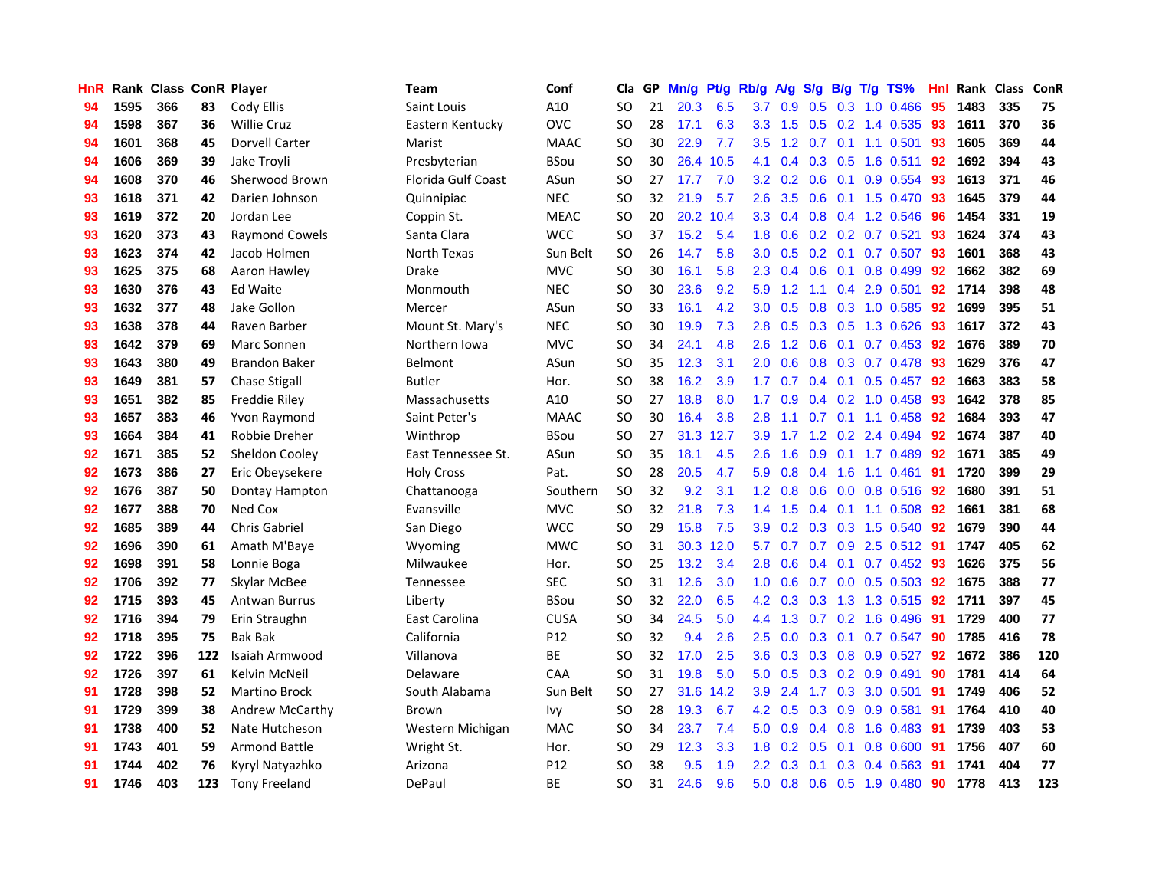| HnR |      | Rank Class ConR Player |     |                       | <b>Team</b>               | Conf        | Cla       |    | GP Mn/g Pt/g Rb/g |           |                  | A/g             |     |                 | S/g B/g T/g TS%           | Hnl | Rank Class |     | ConR |
|-----|------|------------------------|-----|-----------------------|---------------------------|-------------|-----------|----|-------------------|-----------|------------------|-----------------|-----|-----------------|---------------------------|-----|------------|-----|------|
| 94  | 1595 | 366                    | 83  | Cody Ellis            | Saint Louis               | A10         | SO.       | 21 | 20.3              | 6.5       | 3.7              | 0.9             | 0.5 | 0.3             | 1.0 0.466                 | 95  | 1483       | 335 | 75   |
| 94  | 1598 | 367                    | 36  | <b>Willie Cruz</b>    | Eastern Kentucky          | <b>OVC</b>  | SO.       | 28 | 17.1              | 6.3       | 3.3 <sub>2</sub> | 1.5             | 0.5 | 0.2             | 1.4 0.535                 | 93  | 1611       | 370 | 36   |
| 94  | 1601 | 368                    | 45  | <b>Dorvell Carter</b> | Marist                    | <b>MAAC</b> | <b>SO</b> | 30 | 22.9              | 7.7       | $3.5\,$          | 1.2             | 0.7 | 0.1             | 1.1 0.501                 | 93  | 1605       | 369 | 44   |
| 94  | 1606 | 369                    | 39  | Jake Troyli           | Presbyterian              | <b>BSou</b> | <b>SO</b> | 30 | 26.4              | 10.5      | 4.1              | 0.4             |     | $0.3 \quad 0.5$ | 1.6 0.511                 | 92  | 1692       | 394 | 43   |
| 94  | 1608 | 370                    | 46  | Sherwood Brown        | <b>Florida Gulf Coast</b> | ASun        | <b>SO</b> | 27 | 17.7              | 7.0       |                  | $3.2 \quad 0.2$ |     |                 | 0.6 0.1 0.9 0.554         | -93 | 1613       | 371 | 46   |
| 93  | 1618 | 371                    | 42  | Darien Johnson        | Quinnipiac                | <b>NEC</b>  | SO.       | 32 | 21.9              | 5.7       | $2.6^{\circ}$    | 3.5             |     |                 | $0.6$ 0.1 1.5 0.470       | 93  | 1645       | 379 | 44   |
| 93  | 1619 | 372                    | 20  | Jordan Lee            | Coppin St.                | <b>MEAC</b> | <b>SO</b> | 20 |                   | 20.2 10.4 | 3.3 <sup>°</sup> | 0.4             |     |                 | $0.8$ 0.4 1.2 0.546       | 96  | 1454       | 331 | 19   |
| 93  | 1620 | 373                    | 43  | <b>Raymond Cowels</b> | Santa Clara               | <b>WCC</b>  | <b>SO</b> | 37 | 15.2              | 5.4       | 1.8              | 0.6             |     |                 | $0.2$ $0.2$ $0.7$ $0.521$ | 93  | 1624       | 374 | 43   |
| 93  | 1623 | 374                    | 42  | Jacob Holmen          | North Texas               | Sun Belt    | <b>SO</b> | 26 | 14.7              | 5.8       | 3.0              | 0.5             |     | $0.2 \quad 0.1$ | $0.7$ 0.507               | 93  | 1601       | 368 | 43   |
| 93  | 1625 | 375                    | 68  | Aaron Hawley          | Drake                     | <b>MVC</b>  | <b>SO</b> | 30 | 16.1              | 5.8       | 2.3              | 0.4             | 0.6 | 0.1             | 0.8 0.499                 | 92  | 1662       | 382 | 69   |
| 93  | 1630 | 376                    | 43  | Ed Waite              | Monmouth                  | <b>NEC</b>  | SO.       | 30 | 23.6              | 9.2       | 5.9              | 1.2             | 1.1 | 0.4             | 2.9 0.501                 | 92  | 1714       | 398 | 48   |
| 93  | 1632 | 377                    | 48  | Jake Gollon           | Mercer                    | ASun        | SO.       | 33 | 16.1              | 4.2       | 3.0              | 0.5             |     |                 | $0.8$ $0.3$ 1.0 $0.585$   | 92  | 1699       | 395 | 51   |
| 93  | 1638 | 378                    | 44  | Raven Barber          | Mount St. Mary's          | <b>NEC</b>  | <b>SO</b> | 30 | 19.9              | 7.3       | 2.8              | 0.5             |     | $0.3$ 0.5       | 1.3 0.626                 | 93  | 1617       | 372 | 43   |
| 93  | 1642 | 379                    | 69  | Marc Sonnen           | Northern Iowa             | <b>MVC</b>  | <b>SO</b> | 34 | 24.1              | 4.8       | 2.6              | 1.2             | 0.6 | 0.1             | $0.7$ 0.453               | 92  | 1676       | 389 | 70   |
| 93  | 1643 | 380                    | 49  | <b>Brandon Baker</b>  | Belmont                   | ASun        | <b>SO</b> | 35 | 12.3              | 3.1       | 2.0              | 0.6             | 0.8 |                 | 0.3 0.7 0.478             | 93  | 1629       | 376 | 47   |
| 93  | 1649 | 381                    | 57  | <b>Chase Stigall</b>  | <b>Butler</b>             | Hor.        | <b>SO</b> | 38 | 16.2              | 3.9       | 1.7 <sub>2</sub> | 0.7             |     | $0.4 \quad 0.1$ | $0.5$ 0.457               | 92  | 1663       | 383 | 58   |
| 93  | 1651 | 382                    | 85  | Freddie Riley         | Massachusetts             | A10         | <b>SO</b> | 27 | 18.8              | 8.0       | 1.7 <sup>2</sup> | 0.9             |     |                 | $0.4$ 0.2 1.0 0.458       | -93 | 1642       | 378 | 85   |
| 93  | 1657 | 383                    | 46  | Yvon Raymond          | Saint Peter's             | <b>MAAC</b> | SO        | 30 | 16.4              | 3.8       | 2.8 <sup>°</sup> | 1.1             |     |                 | $0.7$ $0.1$ 1.1 $0.458$   | 92  | 1684       | 393 | 47   |
| 93  | 1664 | 384                    | 41  | Robbie Dreher         | Winthrop                  | <b>BSou</b> | <b>SO</b> | 27 |                   | 31.3 12.7 | 3.9              | 1.7             |     |                 | 1.2 0.2 2.4 0.494         | 92  | 1674       | 387 | 40   |
| 92  | 1671 | 385                    | 52  | Sheldon Cooley        | East Tennessee St.        | ASun        | SO.       | 35 | 18.1              | 4.5       | 2.6              | 1.6             |     |                 | $0.9$ 0.1 1.7 0.489       | 92  | 1671       | 385 | 49   |
| 92  | 1673 | 386                    | 27  | Eric Obeysekere       | <b>Holy Cross</b>         | Pat.        | <b>SO</b> | 28 | 20.5              | 4.7       | 5.9              | 0.8             |     |                 | $0.4$ 1.6 1.1 0.461       | 91  | 1720       | 399 | 29   |
| 92  | 1676 | 387                    | 50  | Dontay Hampton        | Chattanooga               | Southern    | <b>SO</b> | 32 | 9.2               | 3.1       | 1.2 <sub>2</sub> | 0.8             |     |                 | $0.6$ $0.0$ $0.8$ $0.516$ | 92  | 1680       | 391 | 51   |
| 92  | 1677 | 388                    | 70  | Ned Cox               | Evansville                | <b>MVC</b>  | <b>SO</b> | 32 | 21.8              | 7.3       | $1.4^{\circ}$    | 1.5             |     |                 | $0.4$ 0.1 1.1 0.508       | 92  | 1661       | 381 | 68   |
| 92  | 1685 | 389                    | 44  | Chris Gabriel         | San Diego                 | <b>WCC</b>  | <b>SO</b> | 29 | 15.8              | 7.5       | 3.9              | 0.2             |     |                 | 0.3 0.3 1.5 0.540         | 92  | 1679       | 390 | 44   |
| 92  | 1696 | 390                    | 61  | Amath M'Baye          | Wyoming                   | <b>MWC</b>  | <b>SO</b> | 31 |                   | 30.3 12.0 | 5.7              | 0.7             |     |                 | 0.7 0.9 2.5 0.512 91      |     | 1747       | 405 | 62   |
| 92  | 1698 | 391                    | 58  | Lonnie Boga           | Milwaukee                 | Hor.        | SO.       | 25 | 13.2              | 3.4       | 2.8              | 0.6             |     | $0.4 \quad 0.1$ | $0.7$ $0.452$             | 93  | 1626       | 375 | 56   |
| 92  | 1706 | 392                    | 77  | Skylar McBee          | Tennessee                 | <b>SEC</b>  | <b>SO</b> | 31 | 12.6              | 3.0       | 1.0              | 0.6             | 0.7 |                 | $0.0$ 0.5 0.503           | -92 | 1675       | 388 | 77   |
| 92  | 1715 | 393                    | 45  | <b>Antwan Burrus</b>  | Liberty                   | <b>BSou</b> | SO        | 32 | 22.0              | 6.5       | $4.2^{\circ}$    | 0.3             | 0.3 |                 | 1.3 1.3 0.515             | 92  | 1711       | 397 | 45   |
| 92  | 1716 | 394                    | 79  | Erin Straughn         | East Carolina             | <b>CUSA</b> | <b>SO</b> | 34 | 24.5              | 5.0       | 4.4              | 1.3             | 0.7 | 0.2             | 1.6 0.496                 | -91 | 1729       | 400 | 77   |
| 92  | 1718 | 395                    | 75  | <b>Bak Bak</b>        | California                | P12         | <b>SO</b> | 32 | 9.4               | 2.6       | $2.5^{\circ}$    | 0.0             |     | $0.3 \quad 0.1$ | $0.7$ 0.547               | -90 | 1785       | 416 | 78   |
| 92  | 1722 | 396                    | 122 | Isaiah Armwood        | Villanova                 | ВE          | SO.       | 32 | 17.0              | 2.5       | 3.6              | 0.3             |     |                 | $0.3$ 0.8 0.9 0.527       | 92  | 1672       | 386 | 120  |
| 92  | 1726 | 397                    | 61  | Kelvin McNeil         | Delaware                  | CAA         | <b>SO</b> | 31 | 19.8              | 5.0       | 5.0 <sub>1</sub> | 0.5             |     |                 | $0.3$ $0.2$ $0.9$ $0.491$ | 90  | 1781       | 414 | 64   |
| 91  | 1728 | 398                    | 52  | <b>Martino Brock</b>  | South Alabama             | Sun Belt    | <b>SO</b> | 27 |                   | 31.6 14.2 | 3.9              | 2.4             |     |                 | 1.7 0.3 3.0 0.501         | -91 | 1749       | 406 | 52   |
| 91  | 1729 | 399                    | 38  | Andrew McCarthy       | <b>Brown</b>              | Ivy         | <b>SO</b> | 28 | 19.3              | 6.7       | 4.2              | 0.5             |     |                 | 0.3 0.9 0.9 0.581         | 91  | 1764       | 410 | 40   |
| 91  | 1738 | 400                    | 52  | Nate Hutcheson        | Western Michigan          | <b>MAC</b>  | <b>SO</b> | 34 | 23.7              | 7.4       | 5.0              | 0.9             |     | $0.4\quad 0.8$  | 1.6 0.483                 | -91 | 1739       | 403 | 53   |
| 91  | 1743 | 401                    | 59  | <b>Armond Battle</b>  | Wright St.                | Hor.        | <b>SO</b> | 29 | 12.3              | 3.3       | 1.8              | 0.2             |     | $0.5 \quad 0.1$ | $0.8$ 0.600               | 91  | 1756       | 407 | 60   |
| 91  | 1744 | 402                    | 76  | Kyryl Natyazhko       | Arizona                   | P12         | SO.       | 38 | 9.5               | 1.9       | $2.2^{\circ}$    | 0.3             | 0.1 | 0.3             | 0.4 0.563                 | 91  | 1741       | 404 | 77   |
| 91  | 1746 | 403                    | 123 | <b>Tony Freeland</b>  | DePaul                    | BE          | SO        | 31 | 24.6              | 9.6       | 5.0              | 0.8             |     |                 | 0.6 0.5 1.9 0.480         | 90  | 1778       | 413 | 123  |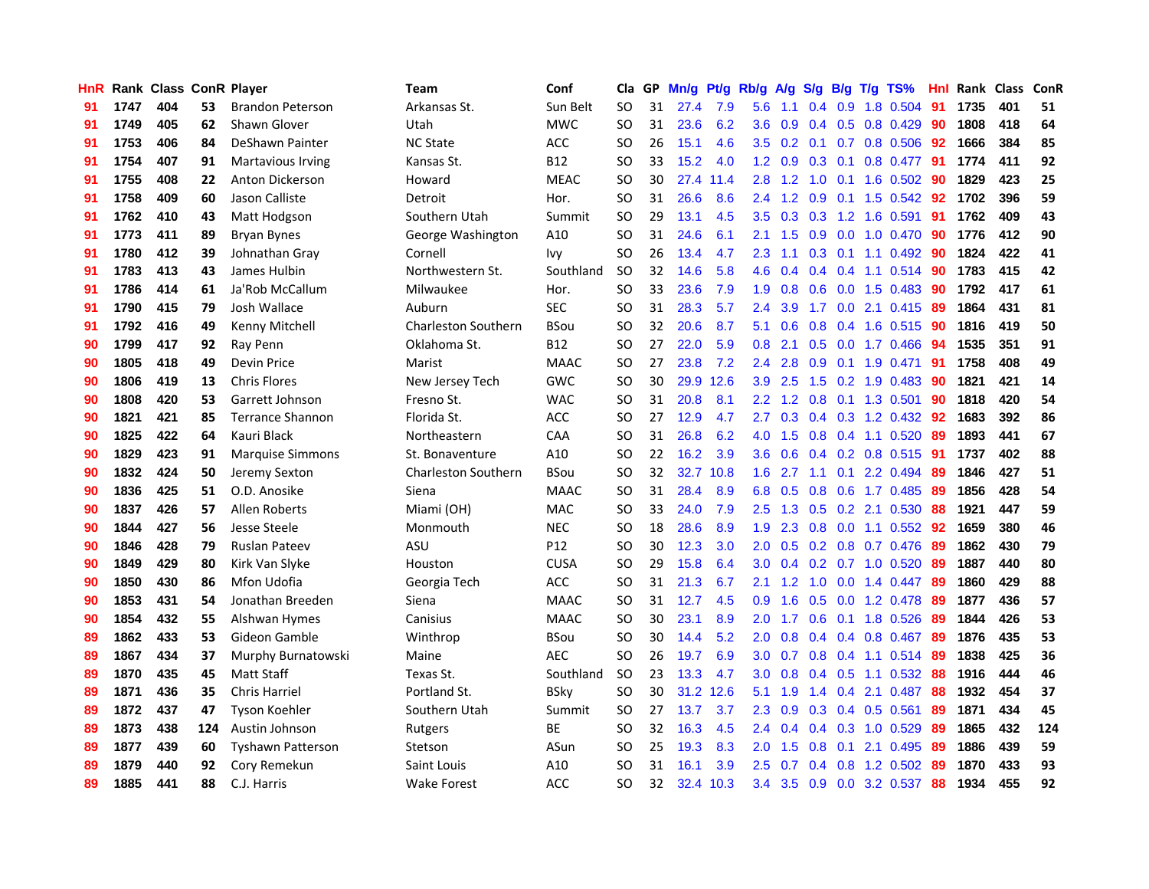| HnR |      | Rank Class ConR Player |     |                          | Team                       | Conf        | Cla       |    | GP Mn/g Pt/g Rb/g A/g |           |                  |                 |               |                  | S/g B/g T/g TS%           | Hnl |      | Rank Class | <b>ConR</b> |
|-----|------|------------------------|-----|--------------------------|----------------------------|-------------|-----------|----|-----------------------|-----------|------------------|-----------------|---------------|------------------|---------------------------|-----|------|------------|-------------|
| 91  | 1747 | 404                    | 53  | <b>Brandon Peterson</b>  | Arkansas St.               | Sun Belt    | <b>SO</b> | 31 | 27.4                  | 7.9       | 5.6              | 1.1             | $0.4^{\circ}$ | 0.9              | 1.8 0.504                 | 91  | 1735 | 401        | 51          |
| 91  | 1749 | 405                    | 62  | Shawn Glover             | Utah                       | <b>MWC</b>  | SO.       | 31 | 23.6                  | 6.2       | 3.6              | 0.9             |               | $0.4 \quad 0.5$  | 0.8 0.429                 | 90  | 1808 | 418        | 64          |
| 91  | 1753 | 406                    | 84  | DeShawn Painter          | <b>NC State</b>            | ACC         | <b>SO</b> | 26 | 15.1                  | 4.6       | $3.5^{\circ}$    | 0.2             | 0.1           |                  | 0.7 0.8 0.506             | 92  | 1666 | 384        | 85          |
| 91  | 1754 | 407                    | 91  | <b>Martavious Irving</b> | Kansas St.                 | B12         | <b>SO</b> | 33 | 15.2                  | 4.0       |                  | $1.2 \quad 0.9$ |               | $0.3 \quad 0.1$  | 0.8 0.477 91              |     | 1774 | 411        | 92          |
| 91  | 1755 | 408                    | 22  | Anton Dickerson          | Howard                     | <b>MEAC</b> | <b>SO</b> | 30 |                       | 27.4 11.4 |                  | $2.8$ 1.2       |               |                  | 1.0 0.1 1.6 0.502         | -90 | 1829 | 423        | 25          |
| 91  | 1758 | 409                    | 60  | Jason Calliste           | Detroit                    | Hor.        | <b>SO</b> | 31 | 26.6                  | 8.6       | 2.4              | 1.2             |               |                  | 0.9 0.1 1.5 0.542         | 92  | 1702 | 396        | 59          |
| 91  | 1762 | 410                    | 43  | Matt Hodgson             | Southern Utah              | Summit      | <b>SO</b> | 29 | 13.1                  | 4.5       | 3.5              | 0.3             |               |                  | 0.3 1.2 1.6 0.591         | 91  | 1762 | 409        | 43          |
| 91  | 1773 | 411                    | 89  | <b>Bryan Bynes</b>       | George Washington          | A10         | <b>SO</b> | 31 | 24.6                  | 6.1       | 2.1              | 1.5             |               |                  | $0.9$ $0.0$ $1.0$ $0.470$ | 90  | 1776 | 412        | 90          |
| 91  | 1780 | 412                    | 39  | Johnathan Gray           | Cornell                    | Ivy         | <b>SO</b> | 26 | 13.4                  | 4.7       | 2.3              | 1.1             |               |                  | $0.3$ 0.1 1.1 0.492       | -90 | 1824 | 422        | 41          |
| 91  | 1783 | 413                    | 43  | James Hulbin             | Northwestern St.           | Southland   | <b>SO</b> | 32 | 14.6                  | 5.8       | 4.6              | 0.4             |               |                  | $0.4$ 0.4 1.1 0.514       | -90 | 1783 | 415        | 42          |
| 91  | 1786 | 414                    | 61  | Ja'Rob McCallum          | Milwaukee                  | Hor.        | <b>SO</b> | 33 | 23.6                  | 7.9       | 1.9              | 0.8             |               |                  | 0.6 0.0 1.5 0.483         | -90 | 1792 | 417        | 61          |
| 91  | 1790 | 415                    | 79  | Josh Wallace             | Auburn                     | <b>SEC</b>  | <b>SO</b> | 31 | 28.3                  | 5.7       | 2.4              | 3.9             | 1.7           | 0.0 <sub>1</sub> | 2.1 0.415                 | -89 | 1864 | 431        | 81          |
| 91  | 1792 | 416                    | 49  | Kenny Mitchell           | <b>Charleston Southern</b> | <b>BSou</b> | <b>SO</b> | 32 | 20.6                  | 8.7       | 5.1              | 0.6             | 0.8           | 0.4              | 1.6 0.515                 | 90  | 1816 | 419        | 50          |
| 90  | 1799 | 417                    | 92  | Ray Penn                 | Oklahoma St.               | <b>B12</b>  | <b>SO</b> | 27 | 22.0                  | 5.9       | 0.8              | 2.1             | 0.5           | 0.0              | 1.7 0.466                 | 94  | 1535 | 351        | 91          |
| 90  | 1805 | 418                    | 49  | Devin Price              | Marist                     | <b>MAAC</b> | <b>SO</b> | 27 | 23.8                  | 7.2       | 2.4              | 2.8             | 0.9           | 0.1              | 1.9 0.471                 | 91  | 1758 | 408        | 49          |
| 90  | 1806 | 419                    | 13  | <b>Chris Flores</b>      | New Jersey Tech            | <b>GWC</b>  | <b>SO</b> | 30 | 29.9                  | 12.6      | 3.9              | 2.5             | 1.5           |                  | $0.2$ 1.9 0.483           | -90 | 1821 | 421        | 14          |
| 90  | 1808 | 420                    | 53  | Garrett Johnson          | Fresno St.                 | <b>WAC</b>  | <b>SO</b> | 31 | 20.8                  | 8.1       |                  | $2.2 \quad 1.2$ |               |                  | 0.8 0.1 1.3 0.501         | 90  | 1818 | 420        | 54          |
| 90  | 1821 | 421                    | 85  | <b>Terrance Shannon</b>  | Florida St.                | <b>ACC</b>  | SO.       | 27 | 12.9                  | 4.7       | 2.7              | 0.3             |               |                  | 0.4 0.3 1.2 0.432 92      |     | 1683 | 392        | 86          |
| 90  | 1825 | 422                    | 64  | Kauri Black              | Northeastern               | CAA         | <b>SO</b> | 31 | 26.8                  | 6.2       |                  | $4.0$ 1.5       |               |                  | $0.8$ 0.4 1.1 0.520       | -89 | 1893 | 441        | 67          |
| 90  | 1829 | 423                    | 91  | <b>Marquise Simmons</b>  | St. Bonaventure            | A10         | <b>SO</b> | 22 | 16.2                  | 3.9       | 3.6              | 0.6             |               |                  | 0.4 0.2 0.8 0.515         | -91 | 1737 | 402        | 88          |
| 90  | 1832 | 424                    | 50  | Jeremy Sexton            | <b>Charleston Southern</b> | <b>BSou</b> | <b>SO</b> | 32 |                       | 32.7 10.8 | 1.6 <sup>°</sup> | 2.7             |               |                  | $1.1$ 0.1 2.2 0.494       | 89  | 1846 | 427        | 51          |
| 90  | 1836 | 425                    | 51  | O.D. Anosike             | Siena                      | <b>MAAC</b> | <b>SO</b> | 31 | 28.4                  | 8.9       | 6.8              | 0.5             |               |                  | 0.8 0.6 1.7 0.485         | -89 | 1856 | 428        | 54          |
| 90  | 1837 | 426                    | 57  | Allen Roberts            | Miami (OH)                 | <b>MAC</b>  | <b>SO</b> | 33 | 24.0                  | 7.9       | 2.5              | 1.3             |               |                  | $0.5$ $0.2$ 2.1 $0.530$   | 88  | 1921 | 447        | 59          |
| 90  | 1844 | 427                    | 56  | Jesse Steele             | Monmouth                   | <b>NEC</b>  | SO        | 18 | 28.6                  | 8.9       | 1.9              | 2.3             |               |                  | 0.8 0.0 1.1 0.552         | 92  | 1659 | 380        | 46          |
| 90  | 1846 | 428                    | 79  | <b>Ruslan Pateev</b>     | ASU                        | P12         | <b>SO</b> | 30 | 12.3                  | 3.0       | 2.0              | 0.5             |               |                  | 0.2 0.8 0.7 0.476         | -89 | 1862 | 430        | 79          |
| 90  | 1849 | 429                    | 80  | Kirk Van Slyke           | Houston                    | <b>CUSA</b> | <b>SO</b> | 29 | 15.8                  | 6.4       | 3.0              | 0.4             |               | $0.2 \quad 0.7$  | 1.0 0.520                 | -89 | 1887 | 440        | 80          |
| 90  | 1850 | 430                    | 86  | Mfon Udofia              | Georgia Tech               | ACC         | SO.       | 31 | 21.3                  | 6.7       | 2.1              | 1.2             | 1.0           | 0.0              | 1.4 0.447                 | -89 | 1860 | 429        | 88          |
| 90  | 1853 | 431                    | 54  | Jonathan Breeden         | Siena                      | <b>MAAC</b> | <b>SO</b> | 31 | 12.7                  | 4.5       | 0.9              | 1.6             | 0.5           | 0.0              | 1.2 0.478                 | -89 | 1877 | 436        | 57          |
| 90  | 1854 | 432                    | 55  | Alshwan Hymes            | Canisius                   | <b>MAAC</b> | <b>SO</b> | 30 | 23.1                  | 8.9       | 2.0              | 1.7             | 0.6           | 0.1              | 1.8 0.526                 | -89 | 1844 | 426        | 53          |
| 89  | 1862 | 433                    | 53  | Gideon Gamble            | Winthrop                   | <b>BSou</b> | <b>SO</b> | 30 | 14.4                  | 5.2       | 2.0              | 0.8             |               |                  | $0.4$ 0.4 0.8 0.467       | -89 | 1876 | 435        | 53          |
| 89  | 1867 | 434                    | 37  | Murphy Burnatowski       | Maine                      | <b>AEC</b>  | <b>SO</b> | 26 | 19.7                  | 6.9       | 3.0 <sub>2</sub> | 0.7             |               |                  | 0.8 0.4 1.1 0.514         | -89 | 1838 | 425        | 36          |
| 89  | 1870 | 435                    | 45  | <b>Matt Staff</b>        | Texas St.                  | Southland   | <b>SO</b> | 23 | 13.3                  | 4.7       | 3.0 <sub>1</sub> | 0.8             |               |                  | $0.4$ 0.5 1.1 0.532       | 88  | 1916 | 444        | 46          |
| 89  | 1871 | 436                    | 35  | <b>Chris Harriel</b>     | Portland St.               | <b>BSky</b> | <b>SO</b> | 30 |                       | 31.2 12.6 | 5.1              | 1.9             |               |                  | 1.4 0.4 2.1 0.487         | 88  | 1932 | 454        | 37          |
| 89  | 1872 | 437                    | 47  | <b>Tyson Koehler</b>     | Southern Utah              | Summit      | SO.       | 27 | 13.7                  | 3.7       | 2.3              | 0.9             |               |                  | $0.3$ $0.4$ $0.5$ $0.561$ | 89  | 1871 | 434        | 45          |
| 89  | 1873 | 438                    | 124 | Austin Johnson           | Rutgers                    | BE          | <b>SO</b> | 32 | 16.3                  | 4.5       | 2.4              | 0.4             |               |                  | $0.4$ 0.3 1.0 0.529       | 89  | 1865 | 432        | 124         |
| 89  | 1877 | 439                    | 60  | <b>Tyshawn Patterson</b> | Stetson                    | ASun        | <b>SO</b> | 25 | 19.3                  | 8.3       | 2.0              | 1.5             | 0.8           | 0.1              | 2.1 0.495                 | 89  | 1886 | 439        | 59          |
| 89  | 1879 | 440                    | 92  | Cory Remekun             | Saint Louis                | A10         | <b>SO</b> | 31 | 16.1                  | 3.9       | 2.5              | 0.7             | $0.4^{\circ}$ | 0.8              | 1.2 0.502                 | -89 | 1870 | 433        | 93          |
| 89  | 1885 | 441                    | 88  | C.J. Harris              | <b>Wake Forest</b>         | ACC         | <b>SO</b> | 32 |                       | 32.4 10.3 | 3.4              | 3.5             |               |                  | 0.9 0.0 3.2 0.537         | 88  | 1934 | 455        | 92          |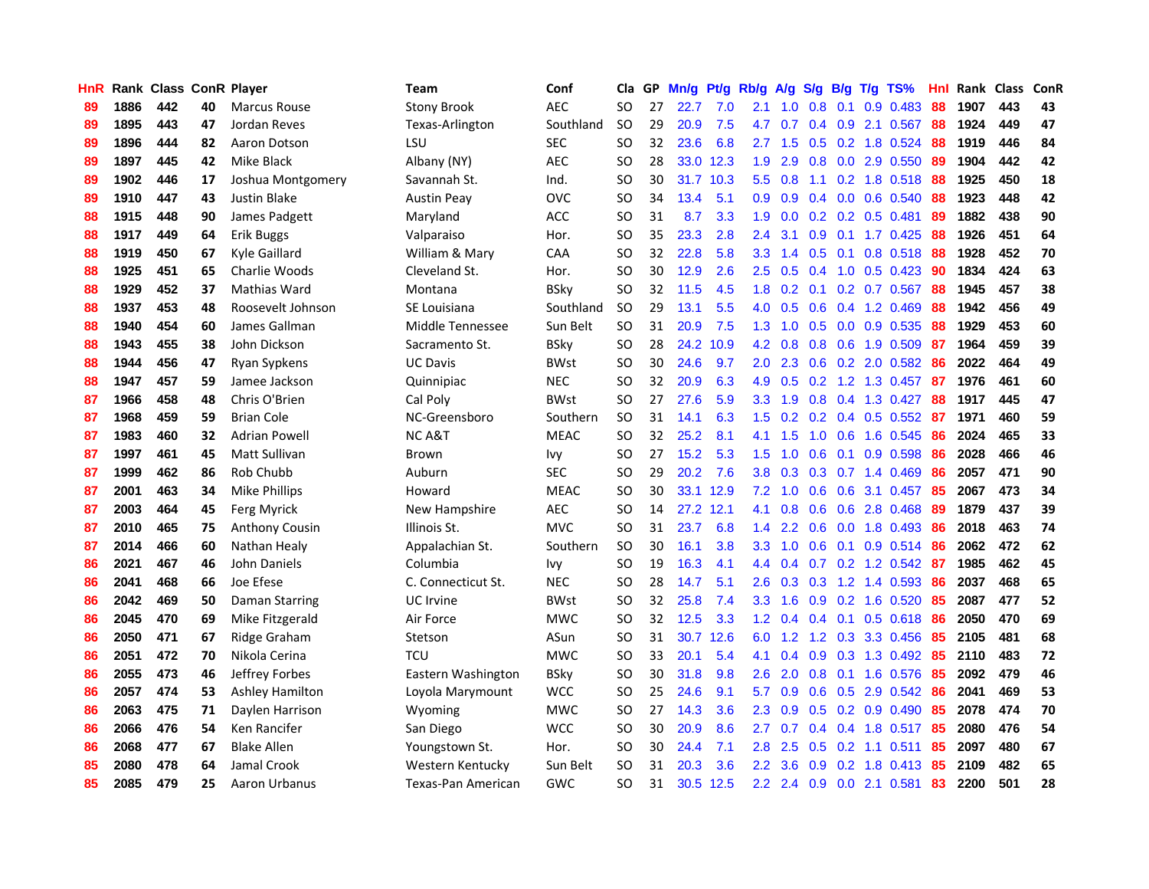| HnR |      | Rank Class ConR Player |    |                       | Team               | Conf        | Cla       |    | GP Mn/g Pt/g Rb/g |           |                  | A/g            |     |                 | S/g B/g T/g TS%           | Hnl |      | Rank Class | ConR |
|-----|------|------------------------|----|-----------------------|--------------------|-------------|-----------|----|-------------------|-----------|------------------|----------------|-----|-----------------|---------------------------|-----|------|------------|------|
| 89  | 1886 | 442                    | 40 | <b>Marcus Rouse</b>   | <b>Stony Brook</b> | AEC         | SO.       | 27 | 22.7              | 7.0       | 2.1              | 1.0            | 0.8 | 0.1             | 0.9 0.483                 | 88  | 1907 | 443        | 43   |
| 89  | 1895 | 443                    | 47 | Jordan Reves          | Texas-Arlington    | Southland   | <b>SO</b> | 29 | 20.9              | 7.5       | 4.7              | 0.7            |     | $0.4 \quad 0.9$ | 2.1 0.567                 | -88 | 1924 | 449        | 47   |
| 89  | 1896 | 444                    | 82 | Aaron Dotson          | LSU                | <b>SEC</b>  | <b>SO</b> | 32 | 23.6              | 6.8       | 2.7              | 1.5            | 0.5 | 0.2             | 1.8 0.524                 | 88  | 1919 | 446        | 84   |
| 89  | 1897 | 445                    | 42 | Mike Black            | Albany (NY)        | <b>AEC</b>  | <b>SO</b> | 28 |                   | 33.0 12.3 | 1.9              | 2.9            | 0.8 |                 | 0.0 2.9 0.550             | -89 | 1904 | 442        | 42   |
| 89  | 1902 | 446                    | 17 | Joshua Montgomery     | Savannah St.       | Ind.        | SO.       | 30 |                   | 31.7 10.3 |                  | $5.5\quad 0.8$ |     |                 | $1.1$ 0.2 1.8 0.518       | -88 | 1925 | 450        | 18   |
| 89  | 1910 | 447                    | 43 | Justin Blake          | <b>Austin Peay</b> | <b>OVC</b>  | <b>SO</b> | 34 | 13.4              | 5.1       | 0.9 <sup>°</sup> | 0.9            |     |                 | $0.4$ 0.0 0.6 0.540       | 88  | 1923 | 448        | 42   |
| 88  | 1915 | 448                    | 90 | James Padgett         | Maryland           | <b>ACC</b>  | <b>SO</b> | 31 | 8.7               | 3.3       | 1.9              | 0.0            |     |                 | $0.2$ $0.2$ $0.5$ $0.481$ | -89 | 1882 | 438        | 90   |
| 88  | 1917 | 449                    | 64 | Erik Buggs            | Valparaiso         | Hor.        | SO.       | 35 | 23.3              | 2.8       | 2.4              | 3.1            |     |                 | $0.9$ 0.1 1.7 0.425       | 88  | 1926 | 451        | 64   |
| 88  | 1919 | 450                    | 67 | Kyle Gaillard         | William & Mary     | CAA         | <b>SO</b> | 32 | 22.8              | 5.8       | 3.3              | 1.4            | 0.5 | 0.1             | $0.8$ 0.518               | 88  | 1928 | 452        | 70   |
| 88  | 1925 | 451                    | 65 | Charlie Woods         | Cleveland St.      | Hor.        | <b>SO</b> | 30 | 12.9              | 2.6       | 2.5              | 0.5            | 0.4 |                 | $1.0$ $0.5$ $0.423$       | 90  | 1834 | 424        | 63   |
| 88  | 1929 | 452                    | 37 | Mathias Ward          | Montana            | <b>BSky</b> | <b>SO</b> | 32 | 11.5              | 4.5       | 1.8              | 0.2            | 0.1 |                 | $0.2$ 0.7 0.567           | 88  | 1945 | 457        | 38   |
| 88  | 1937 | 453                    | 48 | Roosevelt Johnson     | SE Louisiana       | Southland   | <b>SO</b> | 29 | 13.1              | 5.5       | 4.0              | 0.5            | 0.6 |                 | 0.4 1.2 0.469             | 88  | 1942 | 456        | 49   |
| 88  | 1940 | 454                    | 60 | James Gallman         | Middle Tennessee   | Sun Belt    | <b>SO</b> | 31 | 20.9              | 7.5       | 1.3              | 1.0            | 0.5 | 0.0             | 0.9 0.535                 | 88  | 1929 | 453        | 60   |
| 88  | 1943 | 455                    | 38 | John Dickson          | Sacramento St.     | <b>BSky</b> | <b>SO</b> | 28 |                   | 24.2 10.9 | 4.2              | 0.8            | 0.8 | 0.6             | 1.9 0.509                 | 87  | 1964 | 459        | 39   |
| 88  | 1944 | 456                    | 47 | Ryan Sypkens          | <b>UC Davis</b>    | <b>BWst</b> | SO.       | 30 | 24.6              | 9.7       | 2.0              | 2.3            | 0.6 | 0.2             | 2.0 0.582                 | 86  | 2022 | 464        | 49   |
| 88  | 1947 | 457                    | 59 | Jamee Jackson         | Quinnipiac         | <b>NEC</b>  | <b>SO</b> | 32 | 20.9              | 6.3       | 4.9              | 0.5            | 0.2 |                 | 1.2 1.3 0.457             | -87 | 1976 | 461        | 60   |
| 87  | 1966 | 458                    | 48 | Chris O'Brien         | Cal Poly           | <b>BWst</b> | <b>SO</b> | 27 | 27.6              | 5.9       | 3.3 <sub>2</sub> | 1.9            | 0.8 |                 | 0.4 1.3 0.427             | 88  | 1917 | 445        | 47   |
| 87  | 1968 | 459                    | 59 | <b>Brian Cole</b>     | NC-Greensboro      | Southern    | <b>SO</b> | 31 | 14.1              | 6.3       | 1.5              | 0.2            |     |                 | $0.2$ 0.4 0.5 0.552       | -87 | 1971 | 460        | 59   |
| 87  | 1983 | 460                    | 32 | <b>Adrian Powell</b>  | <b>NCA&amp;T</b>   | <b>MEAC</b> | SO.       | 32 | 25.2              | 8.1       | 4.1              | 1.5            |     |                 | 1.0 0.6 1.6 0.545         | -86 | 2024 | 465        | 33   |
| 87  | 1997 | 461                    | 45 | <b>Matt Sullivan</b>  | Brown              | Ivy         | <b>SO</b> | 27 | 15.2              | 5.3       | $1.5^{\circ}$    | 1.0            | 0.6 |                 | $0.1$ 0.9 0.598           | -86 | 2028 | 466        | 46   |
| 87  | 1999 | 462                    | 86 | Rob Chubb             | Auburn             | <b>SEC</b>  | <b>SO</b> | 29 | 20.2              | 7.6       | 3.8              | 0.3            |     |                 | $0.3$ 0.7 1.4 0.469       | 86  | 2057 | 471        | 90   |
| 87  | 2001 | 463                    | 34 | Mike Phillips         | Howard             | <b>MEAC</b> | <b>SO</b> | 30 |                   | 33.1 12.9 | 7.2              | 1.0            |     |                 | 0.6 0.6 3.1 0.457         | 85  | 2067 | 473        | 34   |
| 87  | 2003 | 464                    | 45 | Ferg Myrick           | New Hampshire      | <b>AEC</b>  | <b>SO</b> | 14 |                   | 27.2 12.1 | 4.1              | 0.8            |     |                 | $0.6$ $0.6$ 2.8 $0.468$   | 89  | 1879 | 437        | 39   |
| 87  | 2010 | 465                    | 75 | <b>Anthony Cousin</b> | Illinois St.       | <b>MVC</b>  | <b>SO</b> | 31 | 23.7              | 6.8       | $1.4^{\circ}$    | 2.2            |     |                 | $0.6$ $0.0$ 1.8 $0.493$   | -86 | 2018 | 463        | 74   |
| 87  | 2014 | 466                    | 60 | Nathan Healy          | Appalachian St.    | Southern    | <b>SO</b> | 30 | 16.1              | 3.8       | 3.3              | 1.0            |     | $0.6 \quad 0.1$ | 0.9 0.514                 | -86 | 2062 | 472        | 62   |
| 86  | 2021 | 467                    | 46 | John Daniels          | Columbia           | Ivy         | <b>SO</b> | 19 | 16.3              | 4.1       | 4.4              | 0.4            | 0.7 |                 | $0.2$ 1.2 $0.542$         | -87 | 1985 | 462        | 45   |
| 86  | 2041 | 468                    | 66 | Joe Efese             | C. Connecticut St. | <b>NEC</b>  | SO.       | 28 | 14.7              | 5.1       | 2.6              | 0.3            | 0.3 | 1.2             | 1.4 0.593                 | 86  | 2037 | 468        | 65   |
| 86  | 2042 | 469                    | 50 | Daman Starring        | UC Irvine          | <b>BWst</b> | <b>SO</b> | 32 | 25.8              | 7.4       | 3.3 <sub>2</sub> | 1.6            | 0.9 |                 | $0.2$ 1.6 0.520           | 85  | 2087 | 477        | 52   |
| 86  | 2045 | 470                    | 69 | Mike Fitzgerald       | Air Force          | MWC         | <b>SO</b> | 32 | 12.5              | 3.3       | 1.2              | 0.4            |     | $0.4 \quad 0.1$ | $0.5$ 0.618               | 86  | 2050 | 470        | 69   |
| 86  | 2050 | 471                    | 67 | Ridge Graham          | Stetson            | ASun        | <b>SO</b> | 31 | 30.7              | 12.6      | 6.0              | 1.2            |     |                 | 1.2 0.3 3.3 0.456         | 85  | 2105 | 481        | 68   |
| 86  | 2051 | 472                    | 70 | Nikola Cerina         | <b>TCU</b>         | <b>MWC</b>  | <b>SO</b> | 33 | 20.1              | 5.4       | 4.1              | 0.4            |     |                 | 0.9 0.3 1.3 0.492         | 85  | 2110 | 483        | 72   |
| 86  | 2055 | 473                    | 46 | Jeffrey Forbes        | Eastern Washington | <b>BSky</b> | SO.       | 30 | 31.8              | 9.8       | 2.6              | 2.0            |     |                 | 0.8 0.1 1.6 0.576         | -85 | 2092 | 479        | 46   |
| 86  | 2057 | 474                    | 53 | Ashley Hamilton       | Loyola Marymount   | <b>WCC</b>  | <b>SO</b> | 25 | 24.6              | 9.1       | 5.7              | 0.9            |     |                 | $0.6$ $0.5$ $2.9$ $0.542$ | 86  | 2041 | 469        | 53   |
| 86  | 2063 | 475                    | 71 | Daylen Harrison       | Wyoming            | <b>MWC</b>  | <b>SO</b> | 27 | 14.3              | 3.6       | 2.3              | 0.9            |     |                 | $0.5$ $0.2$ $0.9$ $0.490$ | 85  | 2078 | 474        | 70   |
| 86  | 2066 | 476                    | 54 | Ken Rancifer          | San Diego          | <b>WCC</b>  | <b>SO</b> | 30 | 20.9              | 8.6       | 2.7              | 0.7            |     |                 | $0.4$ 0.4 1.8 0.517       | 85  | 2080 | 476        | 54   |
| 86  | 2068 | 477                    | 67 | <b>Blake Allen</b>    | Youngstown St.     | Hor.        | SO.       | 30 | 24.4              | 7.1       | 2.8              | 2.5            |     | $0.5 \quad 0.2$ | 1.1 0.511                 | 85  | 2097 | 480        | 67   |
| 85  | 2080 | 478                    | 64 | Jamal Crook           | Western Kentucky   | Sun Belt    | <b>SO</b> | 31 | 20.3              | 3.6       | $2.2\phantom{0}$ | 3.6            | 0.9 | 0.2             | 1.8 0.413                 | 85  | 2109 | 482        | 65   |
| 85  | 2085 | 479                    | 25 | Aaron Urbanus         | Texas-Pan American | <b>GWC</b>  | SO.       | 31 |                   | 30.5 12.5 | 2.2 <sub>2</sub> | 2.4            |     |                 | $0.9$ $0.0$ 2.1 $0.581$   | 83  | 2200 | 501        | 28   |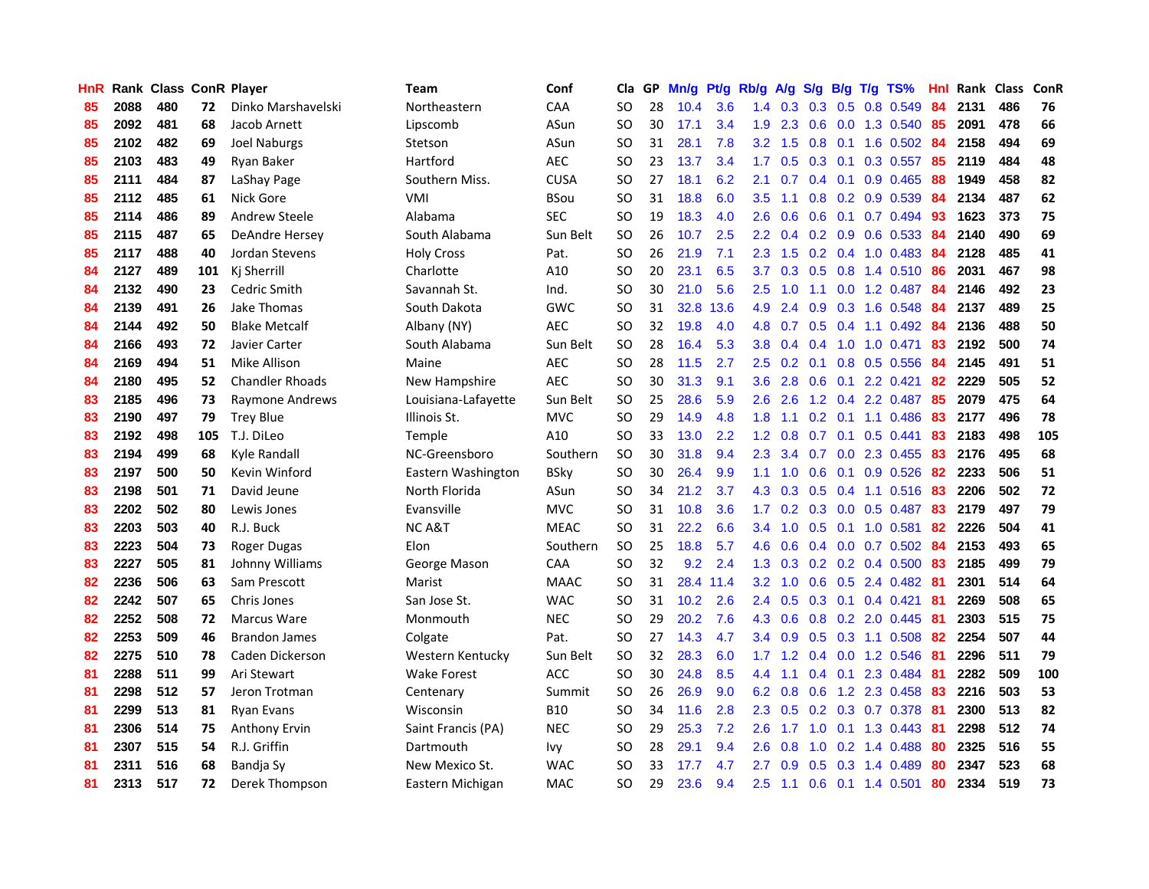| HnR |      | Rank Class ConR Player |     |                        | <b>Team</b>         | Conf        | Cla       |    | GP Mn/g | Pt/g Rb/g |                  | A/g             |                 |     | S/g B/g T/g TS%           | Hnl | Rank Class |     | ConR |
|-----|------|------------------------|-----|------------------------|---------------------|-------------|-----------|----|---------|-----------|------------------|-----------------|-----------------|-----|---------------------------|-----|------------|-----|------|
| 85  | 2088 | 480                    | 72  | Dinko Marshavelski     | Northeastern        | CAA         | SO.       | 28 | 10.4    | 3.6       | 1.4              | 0.3             | 0.3             | 0.5 | 0.8 0.549                 | 84  | 2131       | 486 | 76   |
| 85  | 2092 | 481                    | 68  | Jacob Arnett           | Lipscomb            | ASun        | SO.       | 30 | 17.1    | 3.4       | 1.9              | 2.3             | 0.6             | 0.0 | 1.3 0.540                 | 85  | 2091       | 478 | 66   |
| 85  | 2102 | 482                    | 69  | Joel Naburgs           | Stetson             | ASun        | <b>SO</b> | 31 | 28.1    | 7.8       | 3.2 <sub>2</sub> | 1.5             | 0.8             | 0.1 | 1.6 0.502                 | -84 | 2158       | 494 | 69   |
| 85  | 2103 | 483                    | 49  | Ryan Baker             | Hartford            | <b>AEC</b>  | SO.       | 23 | 13.7    | 3.4       | 1.7              | 0.5             | $0.3 \quad 0.1$ |     | $0.3$ 0.557               | 85  | 2119       | 484 | 48   |
| 85  | 2111 | 484                    | 87  | LaShay Page            | Southern Miss.      | <b>CUSA</b> | <b>SO</b> | 27 | 18.1    | 6.2       | 2.1              | 0.7             |                 |     | $0.4$ 0.1 0.9 0.465       | -88 | 1949       | 458 | 82   |
| 85  | 2112 | 485                    | 61  | Nick Gore              | <b>VMI</b>          | <b>BSou</b> | <b>SO</b> | 31 | 18.8    | 6.0       | 3.5              | 1.1             |                 |     | 0.8 0.2 0.9 0.539         | 84  | 2134       | 487 | 62   |
| 85  | 2114 | 486                    | 89  | Andrew Steele          | Alabama             | <b>SEC</b>  | <b>SO</b> | 19 | 18.3    | 4.0       | 2.6              | 0.6             |                 |     | $0.6$ $0.1$ $0.7$ $0.494$ | 93  | 1623       | 373 | 75   |
| 85  | 2115 | 487                    | 65  | DeAndre Hersey         | South Alabama       | Sun Belt    | SO.       | 26 | 10.7    | 2.5       | $2.2\phantom{0}$ | 0.4             |                 |     | $0.2$ $0.9$ $0.6$ $0.533$ | 84  | 2140       | 490 | 69   |
| 85  | 2117 | 488                    | 40  | Jordan Stevens         | <b>Holy Cross</b>   | Pat.        | <b>SO</b> | 26 | 21.9    | 7.1       | 2.3              | 1.5             |                 |     | $0.2$ 0.4 1.0 0.483       | 84  | 2128       | 485 | 41   |
| 84  | 2127 | 489                    | 101 | Kj Sherrill            | Charlotte           | A10         | <b>SO</b> | 20 | 23.1    | 6.5       | 3.7              | 0.3             |                 |     | 0.5 0.8 1.4 0.510         | 86  | 2031       | 467 | 98   |
| 84  | 2132 | 490                    | 23  | Cedric Smith           | Savannah St.        | Ind.        | <b>SO</b> | 30 | 21.0    | 5.6       | 2.5              | 1.0             | 1.1             |     | $0.0$ 1.2 $0.487$         | 84  | 2146       | 492 | 23   |
| 84  | 2139 | 491                    | 26  | Jake Thomas            | South Dakota        | <b>GWC</b>  | SO.       | 31 | 32.8    | 13.6      | 4.9              | 2.4             | 0.9             | 0.3 | 1.6 0.548                 | 84  | 2137       | 489 | 25   |
| 84  | 2144 | 492                    | 50  | <b>Blake Metcalf</b>   | Albany (NY)         | <b>AEC</b>  | <b>SO</b> | 32 | 19.8    | 4.0       | 4.8              | 0.7             | 0.5             | 0.4 | 1.1 0.492                 | 84  | 2136       | 488 | 50   |
| 84  | 2166 | 493                    | 72  | Javier Carter          | South Alabama       | Sun Belt    | <b>SO</b> | 28 | 16.4    | 5.3       | 3.8              | 0.4             | 0.4             | 1.0 | 1.0 0.471                 | 83  | 2192       | 500 | 74   |
| 84  | 2169 | 494                    | 51  | Mike Allison           | Maine               | <b>AEC</b>  | <b>SO</b> | 28 | 11.5    | 2.7       | 2.5              | 0.2             | 0.1             | 0.8 | 0.5 0.556                 | 84  | 2145       | 491 | 51   |
| 84  | 2180 | 495                    | 52  | <b>Chandler Rhoads</b> | New Hampshire       | <b>AEC</b>  | <b>SO</b> | 30 | 31.3    | 9.1       | 3.6              | 2.8             |                 |     | $0.6$ $0.1$ 2.2 $0.421$   | 82  | 2229       | 505 | 52   |
| 83  | 2185 | 496                    | 73  | Raymone Andrews        | Louisiana-Lafayette | Sun Belt    | <b>SO</b> | 25 | 28.6    | 5.9       | 2.6              | 2.6             |                 |     | 1.2 0.4 2.2 0.487         | 85  | 2079       | 475 | 64   |
| 83  | 2190 | 497                    | 79  | <b>Trey Blue</b>       | Illinois St.        | <b>MVC</b>  | SO.       | 29 | 14.9    | 4.8       | 1.8 <sup>°</sup> | 1.1             |                 |     | $0.2$ 0.1 1.1 0.486       | 83  | 2177       | 496 | 78   |
| 83  | 2192 | 498                    | 105 | T.J. DiLeo             | Temple              | A10         | <b>SO</b> | 33 | 13.0    | 2.2       | 1.2 <sub>1</sub> | 0.8             |                 |     | $0.7$ 0.1 0.5 0.441       | 83  | 2183       | 498 | 105  |
| 83  | 2194 | 499                    | 68  | Kyle Randall           | NC-Greensboro       | Southern    | <b>SO</b> | 30 | 31.8    | 9.4       | $2.3^{\circ}$    | 3.4             |                 |     | $0.7$ $0.0$ 2.3 $0.455$   | -83 | 2176       | 495 | 68   |
| 83  | 2197 | 500                    | 50  | Kevin Winford          | Eastern Washington  | <b>BSkv</b> | <b>SO</b> | 30 | 26.4    | 9.9       | 1.1              | 1.0             | 0.6             |     | $0.1$ 0.9 0.526           | 82  | 2233       | 506 | 51   |
| 83  | 2198 | 501                    | 71  | David Jeune            | North Florida       | ASun        | <b>SO</b> | 34 | 21.2    | 3.7       | 4.3              | 0.3             |                 |     | 0.5 0.4 1.1 0.516         | 83  | 2206       | 502 | 72   |
| 83  | 2202 | 502                    | 80  | Lewis Jones            | Evansville          | <b>MVC</b>  | <b>SO</b> | 31 | 10.8    | 3.6       | 1.7 <sub>2</sub> | 0.2             |                 |     | 0.3 0.0 0.5 0.487         | 83  | 2179       | 497 | 79   |
| 83  | 2203 | 503                    | 40  | R.J. Buck              | <b>NCA&amp;T</b>    | <b>MEAC</b> | SO.       | 31 | 22.2    | 6.6       | 3.4              | 1.0             |                 |     | $0.5$ 0.1 1.0 0.581       | 82  | 2226       | 504 | 41   |
| 83  | 2223 | 504                    | 73  | Roger Dugas            | Elon                | Southern    | <b>SO</b> | 25 | 18.8    | 5.7       | 4.6              | 0.6             |                 |     | $0.4$ 0.0 0.7 0.502       | 84  | 2153       | 493 | 65   |
| 83  | 2227 | 505                    | 81  | Johnny Williams        | George Mason        | CAA         | <b>SO</b> | 32 | 9.2     | 2.4       | 1.3              | 0.3             |                 |     | $0.2$ 0.2 0.4 0.500       | -83 | 2185       | 499 | 79   |
| 82  | 2236 | 506                    | 63  | Sam Prescott           | Marist              | <b>MAAC</b> | SO.       | 31 |         | 28.4 11.4 | 3.2              | 1.0             | 0.6             |     | 0.5 2.4 0.482             | -81 | 2301       | 514 | 64   |
| 82  | 2242 | 507                    | 65  | Chris Jones            | San Jose St.        | <b>WAC</b>  | <b>SO</b> | 31 | 10.2    | 2.6       | 2.4              | 0.5             |                 |     | 0.3 0.1 0.4 0.421         | 81  | 2269       | 508 | 65   |
| 82  | 2252 | 508                    | 72  | <b>Marcus Ware</b>     | Monmouth            | <b>NEC</b>  | <b>SO</b> | 29 | 20.2    | 7.6       | 4.3              | 0.6             |                 |     | $0.8$ $0.2$ $2.0$ $0.445$ | -81 | 2303       | 515 | 75   |
| 82  | 2253 | 509                    | 46  | <b>Brandon James</b>   | Colgate             | Pat.        | <b>SO</b> | 27 | 14.3    | 4.7       |                  | $3.4 \quad 0.9$ |                 |     | $0.5$ 0.3 1.1 0.508       | -82 | 2254       | 507 | 44   |
| 82  | 2275 | 510                    | 78  | Caden Dickerson        | Western Kentucky    | Sun Belt    | SO.       | 32 | 28.3    | 6.0       |                  | $1.7 \quad 1.2$ |                 |     | 0.4 0.0 1.2 0.546         | -81 | 2296       | 511 | 79   |
| 81  | 2288 | 511                    | 99  | Ari Stewart            | <b>Wake Forest</b>  | <b>ACC</b>  | <b>SO</b> | 30 | 24.8    | 8.5       | 4.4              | 1.1             |                 |     | $0.4$ 0.1 2.3 0.484       | -81 | 2282       | 509 | 100  |
| 81  | 2298 | 512                    | 57  | Jeron Trotman          | Centenary           | Summit      | <b>SO</b> | 26 | 26.9    | 9.0       | 6.2              | 0.8             | 0.6             |     | 1.2 2.3 0.458             | -83 | 2216       | 503 | 53   |
| 81  | 2299 | 513                    | 81  | <b>Ryan Evans</b>      | Wisconsin           | <b>B10</b>  | <b>SO</b> | 34 | 11.6    | 2.8       | 2.3              | 0.5             |                 |     | 0.2 0.3 0.7 0.378         | 81  | 2300       | 513 | 82   |
| 81  | 2306 | 514                    | 75  | <b>Anthony Ervin</b>   | Saint Francis (PA)  | <b>NEC</b>  | <b>SO</b> | 29 | 25.3    | 7.2       | 2.6              | 1.7             | 1.0             | 0.1 | 1.3 0.443                 | 81  | 2298       | 512 | 74   |
| 81  | 2307 | 515                    | 54  | R.J. Griffin           | Dartmouth           | Ivy         | <b>SO</b> | 28 | 29.1    | 9.4       | 2.6              | 0.8             | 1.0             | 0.2 | 1.4 0.488                 | 80  | 2325       | 516 | 55   |
| 81  | 2311 | 516                    | 68  | Bandja Sy              | New Mexico St.      | WAC         | SO        | 33 | 17.7    | 4.7       | 2.7              | 0.9             | 0.5             | 0.3 | 1.4 0.489                 | 80  | 2347       | 523 | 68   |
| 81  | 2313 | 517                    | 72  | Derek Thompson         | Eastern Michigan    | <b>MAC</b>  | SO        | 29 | 23.6    | 9.4       | 2.5              | 1.1             |                 |     | 0.6 0.1 1.4 0.501         | 80  | 2334       | 519 | 73   |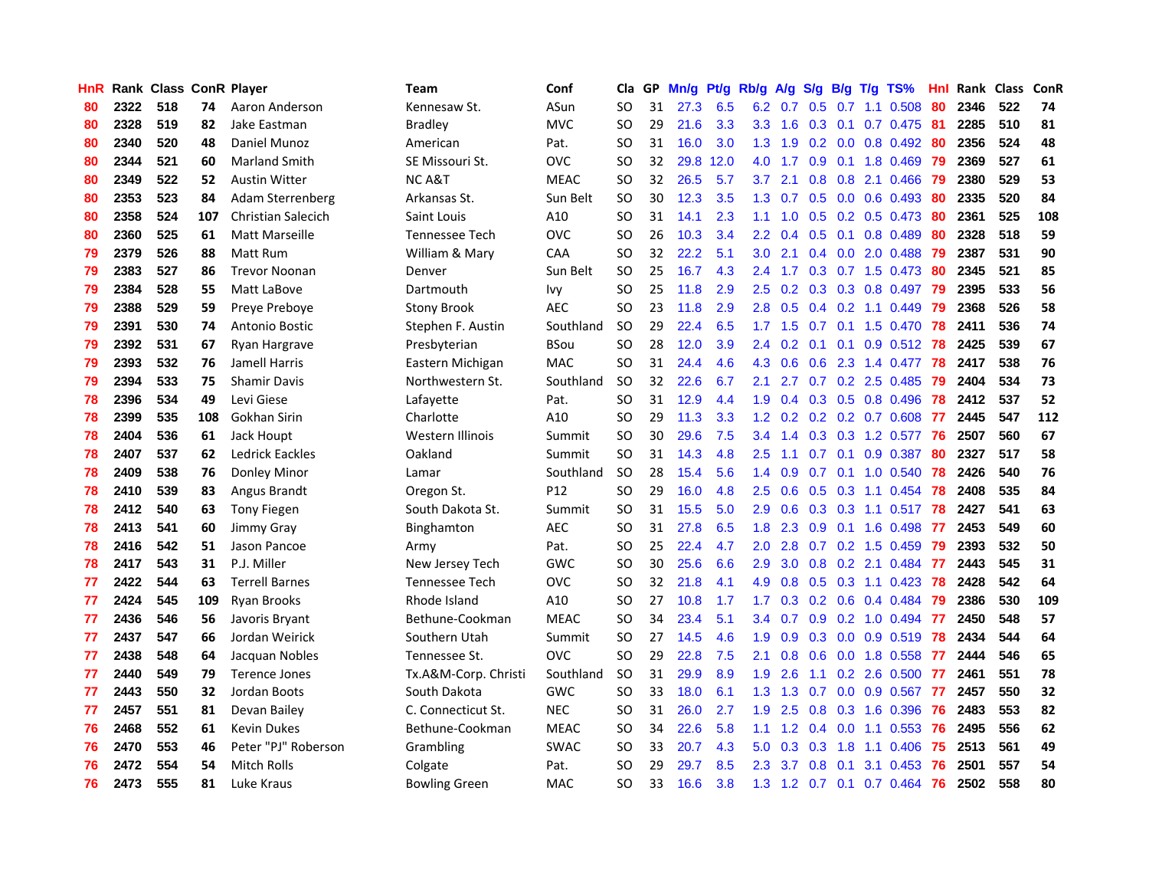| HnR |      | Rank Class ConR Player |     |                           | Team                 | Conf        | Cla       |    | GP Mn/g | Pt/g Rb/g |                  | A/g             |                  |                 | S/g B/g T/g TS%           | Hnl | Rank Class |     | ConR |
|-----|------|------------------------|-----|---------------------------|----------------------|-------------|-----------|----|---------|-----------|------------------|-----------------|------------------|-----------------|---------------------------|-----|------------|-----|------|
| 80  | 2322 | 518                    | 74  | Aaron Anderson            | Kennesaw St.         | ASun        | SO.       | 31 | 27.3    | 6.5       | 6.2              | 0.7             | 0.5              | 0.7             | 1.1 0.508                 | 80  | 2346       | 522 | 74   |
| 80  | 2328 | 519                    | 82  | Jake Eastman              | <b>Bradley</b>       | <b>MVC</b>  | SO.       | 29 | 21.6    | 3.3       | 3.3 <sub>2</sub> | 1.6             | 0.3              | 0.1             | 0.7 0.475                 | -81 | 2285       | 510 | 81   |
| 80  | 2340 | 520                    | 48  | Daniel Munoz              | American             | Pat.        | <b>SO</b> | 31 | 16.0    | 3.0       | 1.3              | 1.9             |                  | $0.2 \quad 0.0$ | 0.8 0.492                 | -80 | 2356       | 524 | 48   |
| 80  | 2344 | 521                    | 60  | <b>Marland Smith</b>      | SE Missouri St.      | <b>OVC</b>  | SO.       | 32 |         | 29.8 12.0 | 4.0              | 1.7             |                  |                 | 0.9 0.1 1.8 0.469         | -79 | 2369       | 527 | 61   |
| 80  | 2349 | 522                    | 52  | Austin Witter             | <b>NCA&amp;T</b>     | <b>MEAC</b> | SO.       | 32 | 26.5    | 5.7       | 3.7              | 2.1             |                  |                 | 0.8 0.8 2.1 0.466         | -79 | 2380       | 529 | 53   |
| 80  | 2353 | 523                    | 84  | Adam Sterrenberg          | Arkansas St.         | Sun Belt    | <b>SO</b> | 30 | 12.3    | 3.5       | 1.3 <sup>°</sup> | 0.7             |                  |                 | $0.5$ 0.0 0.6 0.493       | -80 | 2335       | 520 | 84   |
| 80  | 2358 | 524                    | 107 | <b>Christian Salecich</b> | Saint Louis          | A10         | <b>SO</b> | 31 | 14.1    | 2.3       | 1.1              | 1.0             |                  |                 | $0.5$ $0.2$ $0.5$ $0.473$ | -80 | 2361       | 525 | 108  |
| 80  | 2360 | 525                    | 61  | Matt Marseille            | Tennessee Tech       | <b>OVC</b>  | SO.       | 26 | 10.3    | 3.4       | $2.2\,$          | 0.4             |                  |                 | 0.5 0.1 0.8 0.489         | 80  | 2328       | 518 | 59   |
| 79  | 2379 | 526                    | 88  | Matt Rum                  | William & Mary       | CAA         | <b>SO</b> | 32 | 22.2    | 5.1       | 3.0              | 2.1             |                  |                 | 0.4 0.0 2.0 0.488         | 79  | 2387       | 531 | 90   |
| 79  | 2383 | 527                    | 86  | <b>Trevor Noonan</b>      | Denver               | Sun Belt    | <b>SO</b> | 25 | 16.7    | 4.3       | 2.4              | 1.7             |                  |                 | $0.3$ 0.7 1.5 0.473       | 80  | 2345       | 521 | 85   |
| 79  | 2384 | 528                    | 55  | Matt LaBove               | Dartmouth            | <b>Ivy</b>  | SO.       | 25 | 11.8    | 2.9       | 2.5              | 0.2             |                  |                 | $0.3$ $0.3$ $0.8$ $0.497$ | 79  | 2395       | 533 | 56   |
| 79  | 2388 | 529                    | 59  | Preye Preboye             | <b>Stony Brook</b>   | <b>AEC</b>  | <b>SO</b> | 23 | 11.8    | 2.9       | 2.8              | 0.5             |                  |                 | 0.4 0.2 1.1 0.449         | -79 | 2368       | 526 | 58   |
| 79  | 2391 | 530                    | 74  | Antonio Bostic            | Stephen F. Austin    | Southland   | <b>SO</b> | 29 | 22.4    | 6.5       | 1.7              | 1.5             | 0.7              | 0.1             | 1.5 0.470                 | 78  | 2411       | 536 | 74   |
| 79  | 2392 | 531                    | 67  | Ryan Hargrave             | Presbyterian         | <b>BSou</b> | SO.       | 28 | 12.0    | 3.9       | 2.4              | 0.2             | 0.1              | 0.1             | $0.9$ $0.512$             | -78 | 2425       | 539 | 67   |
| 79  | 2393 | 532                    | 76  | Jamell Harris             | Eastern Michigan     | <b>MAC</b>  | SO.       | 31 | 24.4    | 4.6       | 4.3              | 0.6             | 0.6              | 2.3             | 1.4 0.477                 | -78 | 2417       | 538 | 76   |
| 79  | 2394 | 533                    | 75  | <b>Shamir Davis</b>       | Northwestern St.     | Southland   | <b>SO</b> | 32 | 22.6    | 6.7       | 2.1              | 2.7             | 0.7              |                 | 0.2 2.5 0.485             | -79 | 2404       | 534 | 73   |
| 78  | 2396 | 534                    | 49  | Levi Giese                | Lafayette            | Pat.        | <b>SO</b> | 31 | 12.9    | 4.4       | 1.9              | 0.4             |                  |                 | 0.3 0.5 0.8 0.496         | 78  | 2412       | 537 | 52   |
| 78  | 2399 | 535                    | 108 | Gokhan Sirin              | Charlotte            | A10         | <b>SO</b> | 29 | 11.3    | 3.3       |                  | $1.2 \quad 0.2$ |                  |                 | $0.2$ $0.2$ $0.7$ $0.608$ | 77  | 2445       | 547 | 112  |
| 78  | 2404 | 536                    | 61  | Jack Houpt                | Western Illinois     | Summit      | <b>SO</b> | 30 | 29.6    | 7.5       |                  | $3.4 \quad 1.4$ |                  |                 | 0.3 0.3 1.2 0.577 76      |     | 2507       | 560 | 67   |
| 78  | 2407 | 537                    | 62  | Ledrick Eackles           | Oakland              | Summit      | <b>SO</b> | 31 | 14.3    | 4.8       | 2.5              | 1.1             |                  |                 | $0.7$ $0.1$ $0.9$ $0.387$ | -80 | 2327       | 517 | 58   |
| 78  | 2409 | 538                    | 76  | Donley Minor              | Lamar                | Southland   | <b>SO</b> | 28 | 15.4    | 5.6       | $1.4^{\circ}$    | 0.9             |                  |                 | 0.7 0.1 1.0 0.540 78      |     | 2426       | 540 | 76   |
| 78  | 2410 | 539                    | 83  | Angus Brandt              | Oregon St.           | P12         | <b>SO</b> | 29 | 16.0    | 4.8       | 2.5              | 0.6             |                  |                 | 0.5 0.3 1.1 0.454 78      |     | 2408       | 535 | 84   |
| 78  | 2412 | 540                    | 63  | <b>Tony Fiegen</b>        | South Dakota St.     | Summit      | <b>SO</b> | 31 | 15.5    | 5.0       | 2.9              | 0.6             |                  |                 | 0.3 0.3 1.1 0.517 78      |     | 2427       | 541 | 63   |
| 78  | 2413 | 541                    | 60  | Jimmy Gray                | Binghamton           | <b>AEC</b>  | <b>SO</b> | 31 | 27.8    | 6.5       | 1.8              | 2.3             |                  |                 | $0.9$ 0.1 1.6 0.498       | -77 | 2453       | 549 | 60   |
| 78  | 2416 | 542                    | 51  | Jason Pancoe              | Army                 | Pat.        | SO        | 25 | 22.4    | 4.7       | 2.0              | 2.8             |                  |                 | $0.7$ $0.2$ $1.5$ $0.459$ | -79 | 2393       | 532 | 50   |
| 78  | 2417 | 543                    | 31  | P.J. Miller               | New Jersey Tech      | <b>GWC</b>  | <b>SO</b> | 30 | 25.6    | 6.6       | 2.9              | 3.0             |                  |                 | 0.8 0.2 2.1 0.484         | -77 | 2443       | 545 | 31   |
| 77  | 2422 | 544                    | 63  | <b>Terrell Barnes</b>     | Tennessee Tech       | <b>OVC</b>  | SO.       | 32 | 21.8    | 4.1       | 4.9              | 0.8             | 0.5              | 0.3             | 1.1 0.423                 | 78  | 2428       | 542 | 64   |
| 77  | 2424 | 545                    | 109 | Ryan Brooks               | Rhode Island         | A10         | <b>SO</b> | 27 | 10.8    | 1.7       | 1.7 <sub>2</sub> | 0.3             |                  |                 | $0.2$ 0.6 0.4 0.484       | -79 | 2386       | 530 | 109  |
| 77  | 2436 | 546                    | 56  | Javoris Bryant            | Bethune-Cookman      | <b>MEAC</b> | <b>SO</b> | 34 | 23.4    | 5.1       | 3.4              | 0.7             | 0.9 <sup>°</sup> | 0.2             | 1.0 0.494                 | -77 | 2450       | 548 | 57   |
| 77  | 2437 | 547                    | 66  | Jordan Weirick            | Southern Utah        | Summit      | <b>SO</b> | 27 | 14.5    | 4.6       | 1.9              | 0.9             |                  | $0.3 \ 0.0$     | 0.9 0.519                 | 78  | 2434       | 544 | 64   |
| 77  | 2438 | 548                    | 64  | Jacquan Nobles            | Tennessee St.        | <b>OVC</b>  | <b>SO</b> | 29 | 22.8    | 7.5       | 2.1              | 0.8             |                  |                 | 0.6 0.0 1.8 0.558         | -77 | 2444       | 546 | 65   |
| 77  | 2440 | 549                    | 79  | Terence Jones             | Tx.A&M-Corp. Christi | Southland   | <b>SO</b> | 31 | 29.9    | 8.9       | 1.9 <sup>°</sup> | 2.6             |                  |                 | 1.1 0.2 2.6 0.500 77      |     | 2461       | 551 | 78   |
| 77  | 2443 | 550                    | 32  | Jordan Boots              | South Dakota         | <b>GWC</b>  | <b>SO</b> | 33 | 18.0    | 6.1       |                  | $1.3$ $1.3$     | 0.7              |                 | $0.0$ 0.9 0.567 77        |     | 2457       | 550 | 32   |
| 77  | 2457 | 551                    | 81  | Devan Bailey              | C. Connecticut St.   | <b>NEC</b>  | <b>SO</b> | 31 | 26.0    | 2.7       | 1.9 <sup>°</sup> | 2.5             |                  |                 | 0.8 0.3 1.6 0.396         | -76 | 2483       | 553 | 82   |
| 76  | 2468 | 552                    | 61  | <b>Kevin Dukes</b>        | Bethune-Cookman      | <b>MEAC</b> | <b>SO</b> | 34 | 22.6    | 5.8       | 1.1              | 1.2             |                  | $0.4\quad 0.0$  | 1.1 0.553                 | 76  | 2495       | 556 | 62   |
| 76  | 2470 | 553                    | 46  | Peter "PJ" Roberson       | Grambling            | <b>SWAC</b> | <b>SO</b> | 33 | 20.7    | 4.3       | 5.0              | 0.3             | 0.3              | 1.8             | 1.1 0.406                 | 75  | 2513       | 561 | 49   |
| 76  | 2472 | 554                    | 54  | <b>Mitch Rolls</b>        | Colgate              | Pat.        | SO.       | 29 | 29.7    | 8.5       | 2.3              | 3.7             | 0.8              | 0.1             | 3.1 0.453                 | 76  | 2501       | 557 | 54   |
| 76  | 2473 | 555                    | 81  | Luke Kraus                | <b>Bowling Green</b> | MAC         | SO.       | 33 | 16.6    | 3.8       |                  |                 |                  |                 | 1.3 1.2 0.7 0.1 0.7 0.464 | -76 | 2502       | 558 | 80   |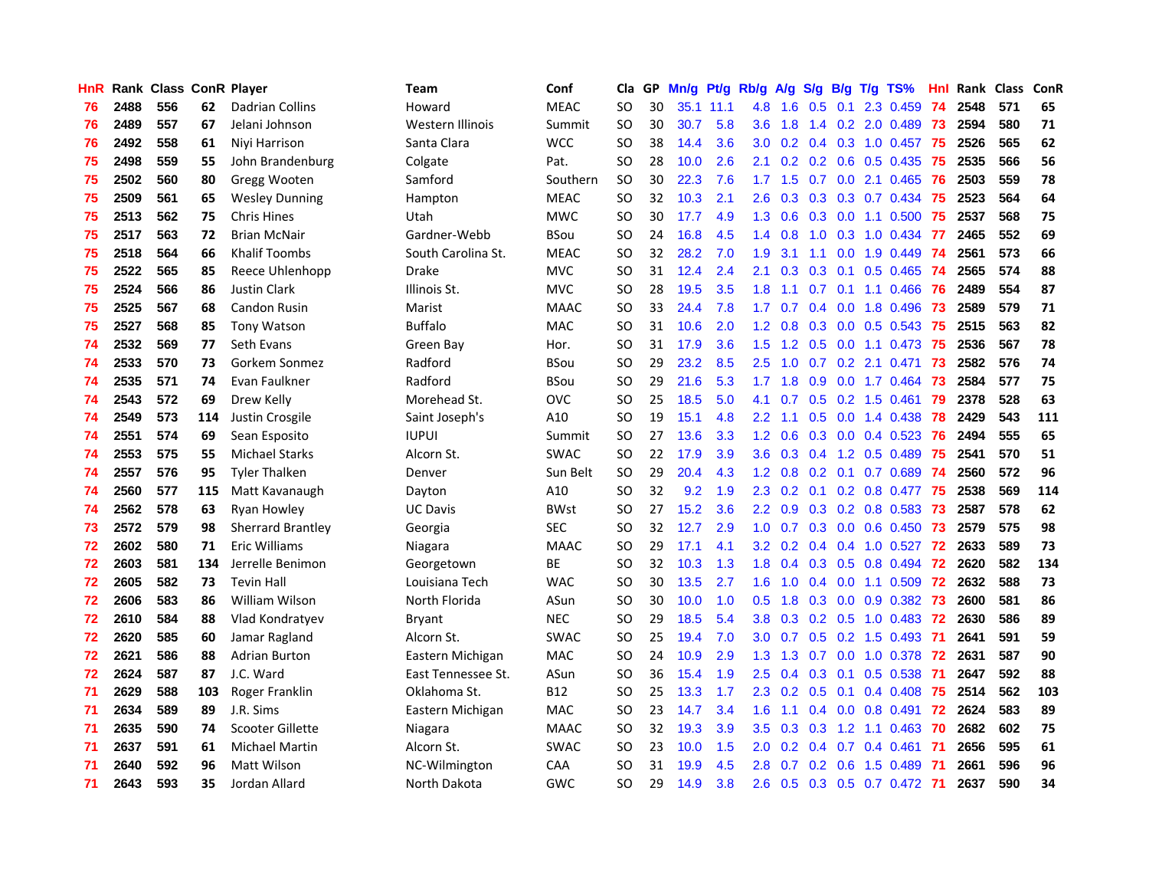| HnR |      | Rank Class ConR Player |     |                          | <b>Team</b>        | Conf        | Cla       |    | GP Mn/g Pt/g |           | Rb/g             | A/g |                  |                 | S/g B/g T/g TS%           | Hnl | Rank Class |     | ConR |
|-----|------|------------------------|-----|--------------------------|--------------------|-------------|-----------|----|--------------|-----------|------------------|-----|------------------|-----------------|---------------------------|-----|------------|-----|------|
| 76  | 2488 | 556                    | 62  | <b>Dadrian Collins</b>   | Howard             | <b>MEAC</b> | SO.       | 30 |              | 35.1 11.1 | 4.8              | 1.6 | 0.5              | 0.1             | 2.3 0.459                 | 74  | 2548       | 571 | 65   |
| 76  | 2489 | 557                    | 67  | Jelani Johnson           | Western Illinois   | Summit      | <b>SO</b> | 30 | 30.7         | 5.8       | 3.6              | 1.8 | 1.4              | 0.2             | 2.0 0.489                 | 73  | 2594       | 580 | 71   |
| 76  | 2492 | 558                    | 61  | Niyi Harrison            | Santa Clara        | <b>WCC</b>  | SO.       | 38 | 14.4         | 3.6       | 3.0              | 0.2 |                  | $0.4 \quad 0.3$ | 1.0 0.457                 | -75 | 2526       | 565 | 62   |
| 75  | 2498 | 559                    | 55  | John Brandenburg         | Colgate            | Pat.        | SO.       | 28 | 10.0         | 2.6       | 2.1              | 0.2 |                  |                 | 0.2 0.6 0.5 0.435         | -75 | 2535       | 566 | 56   |
| 75  | 2502 | 560                    | 80  | Gregg Wooten             | Samford            | Southern    | <b>SO</b> | 30 | 22.3         | 7.6       | 1.7 <sub>z</sub> | 1.5 |                  |                 | 0.7 0.0 2.1 0.465         | -76 | 2503       | 559 | 78   |
| 75  | 2509 | 561                    | 65  | <b>Wesley Dunning</b>    | Hampton            | <b>MEAC</b> | <b>SO</b> | 32 | 10.3         | 2.1       | 2.6              | 0.3 |                  |                 | $0.3$ $0.3$ $0.7$ $0.434$ | -75 | 2523       | 564 | 64   |
| 75  | 2513 | 562                    | 75  | Chris Hines              | Utah               | <b>MWC</b>  | SO.       | 30 | 17.7         | 4.9       | 1.3              | 0.6 |                  |                 | $0.3$ 0.0 1.1 0.500       | -75 | 2537       | 568 | 75   |
| 75  | 2517 | 563                    | 72  | <b>Brian McNair</b>      | Gardner-Webb       | <b>BSou</b> | SO.       | 24 | 16.8         | 4.5       | $1.4^{\circ}$    | 0.8 | 1.0              |                 | $0.3$ 1.0 0.434           | -77 | 2465       | 552 | 69   |
| 75  | 2518 | 564                    | 66  | <b>Khalif Toombs</b>     | South Carolina St. | <b>MEAC</b> | <b>SO</b> | 32 | 28.2         | 7.0       | 1.9              | 3.1 | 1.1              | 0.0             | 1.9 0.449                 | -74 | 2561       | 573 | 66   |
| 75  | 2522 | 565                    | 85  | Reece Uhlenhopp          | Drake              | <b>MVC</b>  | <b>SO</b> | 31 | 12.4         | 2.4       | 2.1              | 0.3 | 0.3              | 0.1             | 0.5 0.465                 | 74  | 2565       | 574 | 88   |
| 75  | 2524 | 566                    | 86  | <b>Justin Clark</b>      | Illinois St.       | <b>MVC</b>  | <b>SO</b> | 28 | 19.5         | 3.5       | 1.8              | 1.1 | 0.7              | 0.1             | 1.1 0.466                 | 76  | 2489       | 554 | 87   |
| 75  | 2525 | 567                    | 68  | <b>Candon Rusin</b>      | Marist             | <b>MAAC</b> | SO.       | 33 | 24.4         | 7.8       | 1.7              | 0.7 | 0.4              | 0.0             | 1.8 0.496                 | 73  | 2589       | 579 | 71   |
| 75  | 2527 | 568                    | 85  | <b>Tony Watson</b>       | <b>Buffalo</b>     | <b>MAC</b>  | <b>SO</b> | 31 | 10.6         | 2.0       | 1.2              | 0.8 | 0.3              | 0.0             | 0.5 0.543                 | -75 | 2515       | 563 | 82   |
| 74  | 2532 | 569                    | 77  | Seth Evans               | Green Bay          | Hor.        | SO        | 31 | 17.9         | 3.6       | 1.5              | 1.2 | 0.5              | 0.0             | 1.1 0.473                 | 75  | 2536       | 567 | 78   |
| 74  | 2533 | 570                    | 73  | Gorkem Sonmez            | Radford            | <b>BSou</b> | <b>SO</b> | 29 | 23.2         | 8.5       | 2.5              | 1.0 | 0.7              | 0.2             | 2.1 0.471                 | 73  | 2582       | 576 | 74   |
| 74  | 2535 | 571                    | 74  | Evan Faulkner            | Radford            | <b>BSou</b> | <b>SO</b> | 29 | 21.6         | 5.3       | 1.7              | 1.8 | 0.9              |                 | 0.0 1.7 0.464             | 73  | 2584       | 577 | 75   |
| 74  | 2543 | 572                    | 69  | Drew Kelly               | Morehead St.       | <b>OVC</b>  | <b>SO</b> | 25 | 18.5         | 5.0       | 4.1              | 0.7 |                  |                 | $0.5$ 0.2 1.5 0.461       | -79 | 2378       | 528 | 63   |
| 74  | 2549 | 573                    | 114 | Justin Crosgile          | Saint Joseph's     | A10         | SO.       | 19 | 15.1         | 4.8       | 2.2              | 1.1 |                  |                 | $0.5$ $0.0$ 1.4 $0.438$   | -78 | 2429       | 543 | 111  |
| 74  | 2551 | 574                    | 69  | Sean Esposito            | <b>IUPUI</b>       | Summit      | <b>SO</b> | 27 | 13.6         | 3.3       | 1.2 <sub>1</sub> | 0.6 |                  |                 | $0.3$ 0.0 0.4 0.523       | -76 | 2494       | 555 | 65   |
| 74  | 2553 | 575                    | 55  | <b>Michael Starks</b>    | Alcorn St.         | <b>SWAC</b> | <b>SO</b> | 22 | 17.9         | 3.9       | 3.6              | 0.3 |                  |                 | $0.4$ 1.2 0.5 0.489       | -75 | 2541       | 570 | 51   |
| 74  | 2557 | 576                    | 95  | <b>Tyler Thalken</b>     | Denver             | Sun Belt    | <b>SO</b> | 29 | 20.4         | 4.3       | 1.2 <sub>2</sub> | 0.8 |                  |                 | 0.2 0.1 0.7 0.689         | -74 | 2560       | 572 | 96   |
| 74  | 2560 | 577                    | 115 | Matt Kavanaugh           | Dayton             | A10         | <b>SO</b> | 32 | 9.2          | 1.9       | 2.3              | 0.2 |                  |                 | $0.1$ $0.2$ $0.8$ $0.477$ | -75 | 2538       | 569 | 114  |
| 74  | 2562 | 578                    | 63  | Ryan Howley              | <b>UC Davis</b>    | <b>BWst</b> | <b>SO</b> | 27 | 15.2         | 3.6       | $2.2^{\circ}$    | 0.9 |                  |                 | 0.3 0.2 0.8 0.583         | 73  | 2587       | 578 | 62   |
| 73  | 2572 | 579                    | 98  | <b>Sherrard Brantley</b> | Georgia            | <b>SEC</b>  | SO.       | 32 | 12.7         | 2.9       | 1.0              | 0.7 |                  |                 | $0.3$ 0.0 0.6 0.450       | -73 | 2579       | 575 | 98   |
| 72  | 2602 | 580                    | 71  | Eric Williams            | Niagara            | <b>MAAC</b> | SO.       | 29 | 17.1         | 4.1       | $3.2\phantom{0}$ | 0.2 |                  |                 | $0.4$ 0.4 1.0 0.527       | 72  | 2633       | 589 | 73   |
| 72  | 2603 | 581                    | 134 | Jerrelle Benimon         | Georgetown         | <b>BE</b>   | <b>SO</b> | 32 | 10.3         | 1.3       | 1.8              | 0.4 |                  | $0.3 \quad 0.5$ | 0.8 0.494                 | 72  | 2620       | 582 | 134  |
| 72  | 2605 | 582                    | 73  | <b>Tevin Hall</b>        | Louisiana Tech     | <b>WAC</b>  | SO.       | 30 | 13.5         | 2.7       | 1.6              | 1.0 |                  | $0.4\quad 0.0$  | 1.1 0.509                 | 72  | 2632       | 588 | 73   |
| 72  | 2606 | 583                    | 86  | William Wilson           | North Florida      | ASun        | <b>SO</b> | 30 | 10.0         | 1.0       | 0.5              | 1.8 | 0.3              | 0.0             | 0.9 0.382                 | -73 | 2600       | 581 | 86   |
| 72  | 2610 | 584                    | 88  | Vlad Kondratyev          | <b>Bryant</b>      | <b>NEC</b>  | <b>SO</b> | 29 | 18.5         | 5.4       | 3.8              | 0.3 |                  | $0.2 \quad 0.5$ | 1.0 0.483                 | 72  | 2630       | 586 | 89   |
| 72  | 2620 | 585                    | 60  | Jamar Ragland            | Alcorn St.         | <b>SWAC</b> | <b>SO</b> | 25 | 19.4         | 7.0       | 3.0 <sub>2</sub> | 0.7 |                  |                 | $0.5$ 0.2 1.5 0.493       | -71 | 2641       | 591 | 59   |
| 72  | 2621 | 586                    | 88  | Adrian Burton            | Eastern Michigan   | <b>MAC</b>  | SO.       | 24 | 10.9         | 2.9       | 1.3 <sup>°</sup> | 1.3 |                  |                 | 0.7 0.0 1.0 0.378         | 72  | 2631       | 587 | 90   |
| 72  | 2624 | 587                    | 87  | J.C. Ward                | East Tennessee St. | ASun        | <b>SO</b> | 36 | 15.4         | 1.9       | 2.5              | 0.4 |                  | $0.3 \quad 0.1$ | 0.5 0.538                 | -71 | 2647       | 592 | 88   |
| 71  | 2629 | 588                    | 103 | Roger Franklin           | Oklahoma St.       | <b>B12</b>  | SO.       | 25 | 13.3         | 1.7       | $2.3\phantom{0}$ | 0.2 |                  |                 | $0.5$ 0.1 0.4 0.408       | 75  | 2514       | 562 | 103  |
| 71  | 2634 | 589                    | 89  | J.R. Sims                | Eastern Michigan   | MAC         | <b>SO</b> | 23 | 14.7         | 3.4       | 1.6              | 1.1 |                  |                 | $0.4$ 0.0 0.8 0.491       | 72  | 2624       | 583 | 89   |
| 71  | 2635 | 590                    | 74  | Scooter Gillette         | Niagara            | <b>MAAC</b> | <b>SO</b> | 32 | 19.3         | 3.9       | 3.5              | 0.3 | 0.3              | 1.2             | 1.1 0.463                 | 70  | 2682       | 602 | 75   |
| 71  | 2637 | 591                    | 61  | <b>Michael Martin</b>    | Alcorn St.         | <b>SWAC</b> | <b>SO</b> | 23 | 10.0         | 1.5       | 2.0              | 0.2 | $0.4^{\circ}$    | 0.7             | 0.4 0.461                 | -71 | 2656       | 595 | 61   |
| 71  | 2640 | 592                    | 96  | Matt Wilson              | NC-Wilmington      | CAA         | SO        | 31 | 19.9         | 4.5       | 2.8              | 0.7 | 0.2 <sub>0</sub> | 0.6             | 1.5 0.489                 | -71 | 2661       | 596 | 96   |
| 71  | 2643 | 593                    | 35  | Jordan Allard            | North Dakota       | <b>GWC</b>  | SO        | 29 | 14.9         | 3.8       | 2.6              | 0.5 |                  |                 | 0.3 0.5 0.7 0.472 71      |     | 2637       | 590 | 34   |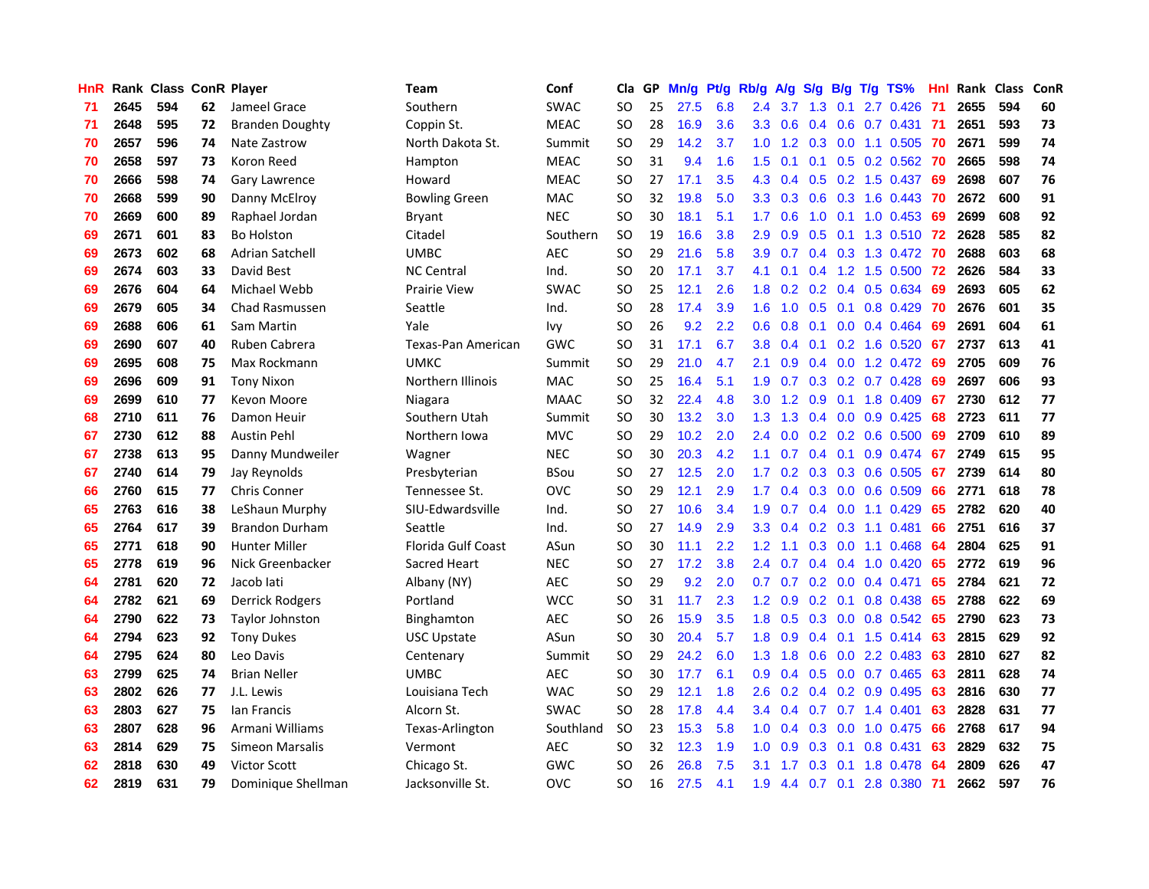| HnR. |      | Rank Class ConR Player |    |                        | Team                      | Conf        | Cla           | GP. | Mn/g Pt/g Rb/g A/g |     |                  |                 |                  |                 | S/g B/g T/g TS%           | Hnl  |      | Rank Class | ConR |
|------|------|------------------------|----|------------------------|---------------------------|-------------|---------------|-----|--------------------|-----|------------------|-----------------|------------------|-----------------|---------------------------|------|------|------------|------|
| 71   | 2645 | 594                    | 62 | Jameel Grace           | Southern                  | <b>SWAC</b> | <b>SO</b>     | 25  | 27.5               | 6.8 | 2.4              | 3.7             | 1.3              | 0.1             | 2.7 0.426                 | -71  | 2655 | 594        | 60   |
| 71   | 2648 | 595                    | 72 | <b>Branden Doughty</b> | Coppin St.                | <b>MEAC</b> | <b>SO</b>     | 28  | 16.9               | 3.6 | 3.3              | 0.6             |                  | $0.4\quad 0.6$  | 0.7 0.431                 | - 71 | 2651 | 593        | 73   |
| 70   | 2657 | 596                    | 74 | Nate Zastrow           | North Dakota St.          | Summit      | <b>SO</b>     | 29  | 14.2               | 3.7 | 1.0              | 1.2             | 0.3              | 0.0             | 1.1 0.505                 | -70  | 2671 | 599        | 74   |
| 70   | 2658 | 597                    | 73 | Koron Reed             | Hampton                   | <b>MEAC</b> | <b>SO</b>     | 31  | 9.4                | 1.6 | 1.5              | 0.1             | 0.1              |                 | $0.5$ 0.2 0.562           | 70   | 2665 | 598        | 74   |
| 70   | 2666 | 598                    | 74 | <b>Gary Lawrence</b>   | Howard                    | <b>MEAC</b> | <b>SO</b>     | 27  | 17.1               | 3.5 |                  | 4.3 0.4         |                  |                 | $0.5$ 0.2 1.5 0.437       | -69  | 2698 | 607        | 76   |
| 70   | 2668 | 599                    | 90 | Danny McElroy          | <b>Bowling Green</b>      | <b>MAC</b>  | <b>SO</b>     | 32  | 19.8               | 5.0 |                  | $3.3 \quad 0.3$ |                  |                 | $0.6$ $0.3$ 1.6 $0.443$   | -70  | 2672 | 600        | 91   |
| 70   | 2669 | 600                    | 89 | Raphael Jordan         | Bryant                    | <b>NEC</b>  | SO.           | 30  | 18.1               | 5.1 | 1.7 <sup>2</sup> | 0.6             |                  |                 | 1.0 0.1 1.0 0.453         | -69  | 2699 | 608        | 92   |
| 69   | 2671 | 601                    | 83 | <b>Bo Holston</b>      | Citadel                   | Southern    | <b>SO</b>     | 19  | 16.6               | 3.8 | 2.9              | 0.9             |                  |                 | 0.5 0.1 1.3 0.510 72      |      | 2628 | 585        | 82   |
| 69   | 2673 | 602                    | 68 | <b>Adrian Satchell</b> | <b>UMBC</b>               | <b>AEC</b>  | <b>SO</b>     | 29  | 21.6               | 5.8 | 3.9              | 0.7             |                  |                 | 0.4 0.3 1.3 0.472         | 70   | 2688 | 603        | 68   |
| 69   | 2674 | 603                    | 33 | David Best             | <b>NC Central</b>         | Ind.        | <b>SO</b>     | 20  | 17.1               | 3.7 | 4.1              | 0.1             |                  |                 | 0.4 1.2 1.5 0.500         | 72   | 2626 | 584        | 33   |
| 69   | 2676 | 604                    | 64 | Michael Webb           | Prairie View              | <b>SWAC</b> | <b>SO</b>     | 25  | 12.1               | 2.6 | 1.8              | 0.2             |                  |                 | $0.2$ 0.4 0.5 0.634       | 69   | 2693 | 605        | 62   |
| 69   | 2679 | 605                    | 34 | Chad Rasmussen         | Seattle                   | Ind.        | <b>SO</b>     | 28  | 17.4               | 3.9 | 1.6              | 1.0             | 0.5              | 0.1             | 0.8 0.429                 | 70   | 2676 | 601        | 35   |
| 69   | 2688 | 606                    | 61 | Sam Martin             | Yale                      | Ivy         | <b>SO</b>     | 26  | 9.2                | 2.2 | 0.6              | 0.8             | 0.1              |                 | 0.0 0.4 0.464             | 69   | 2691 | 604        | 61   |
| 69   | 2690 | 607                    | 40 | Ruben Cabrera          | <b>Texas-Pan American</b> | <b>GWC</b>  | <b>SO</b>     | 31  | 17.1               | 6.7 | 3.8              | 0.4             | 0.1              |                 | 0.2 1.6 0.520             | 67   | 2737 | 613        | 41   |
| 69   | 2695 | 608                    | 75 | Max Rockmann           | <b>UMKC</b>               | Summit      | <b>SO</b>     | 29  | 21.0               | 4.7 | 2.1              | 0.9             |                  | $0.4\quad 0.0$  | 1.2 0.472                 | 69   | 2705 | 609        | 76   |
| 69   | 2696 | 609                    | 91 | <b>Tony Nixon</b>      | Northern Illinois         | <b>MAC</b>  | <b>SO</b>     | 25  | 16.4               | 5.1 | 1.9              | 0.7             |                  |                 | $0.3$ $0.2$ $0.7$ $0.428$ | 69   | 2697 | 606        | 93   |
| 69   | 2699 | 610                    | 77 | Kevon Moore            | Niagara                   | <b>MAAC</b> | <b>SO</b>     | 32  | 22.4               | 4.8 | 3.0 <sub>1</sub> | 1.2             | 0.9              | 0.1             | 1.8 0.409                 | -67  | 2730 | 612        | 77   |
| 68   | 2710 | 611                    | 76 | Damon Heuir            | Southern Utah             | Summit      | <b>SO</b>     | 30  | 13.2               | 3.0 | 1.3 <sup>°</sup> | 1.3             |                  |                 | $0.4$ 0.0 0.9 0.425       | 68   | 2723 | 611        | 77   |
| 67   | 2730 | 612                    | 88 | <b>Austin Pehl</b>     | Northern Iowa             | <b>MVC</b>  | <b>SO</b>     | 29  | 10.2               | 2.0 | 2.4              | 0.0             |                  |                 | 0.2 0.2 0.6 0.500 69      |      | 2709 | 610        | 89   |
| 67   | 2738 | 613                    | 95 | Danny Mundweiler       | Wagner                    | <b>NEC</b>  | <b>SO</b>     | 30  | 20.3               | 4.2 | 1.1              | 0.7             |                  |                 | $0.4$ 0.1 0.9 0.474       | 67   | 2749 | 615        | 95   |
| 67   | 2740 | 614                    | 79 | Jay Reynolds           | Presbyterian              | <b>BSou</b> | SO.           | 27  | 12.5               | 2.0 | 1.7 <sub>z</sub> | 0.2             |                  |                 | 0.3 0.3 0.6 0.505         | 67   | 2739 | 614        | 80   |
| 66   | 2760 | 615                    | 77 | <b>Chris Conner</b>    | Tennessee St.             | <b>OVC</b>  | <b>SO</b>     | 29  | 12.1               | 2.9 | 1.7              | 0.4             |                  |                 | $0.3$ 0.0 0.6 0.509       | 66   | 2771 | 618        | 78   |
| 65   | 2763 | 616                    | 38 | LeShaun Murphy         | SIU-Edwardsville          | Ind.        | <b>SO</b>     | 27  | 10.6               | 3.4 | 1.9              | 0.7             |                  |                 | $0.4$ 0.0 1.1 0.429       | 65   | 2782 | 620        | 40   |
| 65   | 2764 | 617                    | 39 | <b>Brandon Durham</b>  | Seattle                   | Ind.        | <b>SO</b>     | 27  | 14.9               | 2.9 | 3.3              | 0.4             |                  |                 | $0.2$ $0.3$ 1.1 $0.481$   | 66   | 2751 | 616        | 37   |
| 65   | 2771 | 618                    | 90 | <b>Hunter Miller</b>   | <b>Florida Gulf Coast</b> | ASun        | <b>SO</b>     | 30  | 11.1               | 2.2 | 1.2              | 1.1             | 0.3              | 0.0             | 1.1 0.468                 | 64   | 2804 | 625        | 91   |
| 65   | 2778 | 619                    | 96 | Nick Greenbacker       | Sacred Heart              | <b>NEC</b>  | SO            | 27  | 17.2               | 3.8 | 2.4              | 0.7             |                  | $0.4 \quad 0.4$ | 1.0 0.420                 | 65   | 2772 | 619        | 96   |
| 64   | 2781 | 620                    | 72 | Jacob lati             | Albany (NY)               | <b>AEC</b>  | <b>SO</b>     | 29  | 9.2                | 2.0 | 0.7              | 0.7             |                  | $0.2 \quad 0.0$ | 0.4 0.471                 | 65   | 2784 | 621        | 72   |
| 64   | 2782 | 621                    | 69 | <b>Derrick Rodgers</b> | Portland                  | <b>WCC</b>  | <b>SO</b>     | 31  | 11.7               | 2.3 | $1.2^{\circ}$    | 0.9             |                  | $0.2 \quad 0.1$ | 0.8 0.438                 | -65  | 2788 | 622        | 69   |
| 64   | 2790 | 622                    | 73 | <b>Taylor Johnston</b> | Binghamton                | <b>AEC</b>  | <sub>SO</sub> | 26  | 15.9               | 3.5 | 1.8              | 0.5             |                  | $0.3 \quad 0.0$ | 0.8 0.542                 | 65   | 2790 | 623        | 73   |
| 64   | 2794 | 623                    | 92 | <b>Tony Dukes</b>      | <b>USC Upstate</b>        | ASun        | <b>SO</b>     | 30  | 20.4               | 5.7 | 1.8              | 0.9             |                  | $0.4 \quad 0.1$ | $1.5$ 0.414               | 63   | 2815 | 629        | 92   |
| 64   | 2795 | 624                    | 80 | Leo Davis              | Centenary                 | Summit      | <b>SO</b>     | 29  | 24.2               | 6.0 | 1.3              | 1.8             | 0.6              |                 | $0.0$ 2.2 $0.483$         | 63   | 2810 | 627        | 82   |
| 63   | 2799 | 625                    | 74 | <b>Brian Neller</b>    | <b>UMBC</b>               | AEC         | SO            | 30  | 17.7               | 6.1 | 0.9 <sup>°</sup> | 0.4             |                  |                 | 0.5 0.0 0.7 0.465         | 63   | 2811 | 628        | 74   |
| 63   | 2802 | 626                    | 77 | J.L. Lewis             | Louisiana Tech            | <b>WAC</b>  | <b>SO</b>     | 29  | 12.1               | 1.8 | 2.6              | 0.2             |                  |                 | $0.4$ 0.2 0.9 0.495       | 63   | 2816 | 630        | 77   |
| 63   | 2803 | 627                    | 75 | lan Francis            | Alcorn St.                | <b>SWAC</b> | <b>SO</b>     | 28  | 17.8               | 4.4 | 3.4              | 0.4             | 0.7              |                 | $0.7$ 1.4 $0.401$         | 63   | 2828 | 631        | 77   |
| 63   | 2807 | 628                    | 96 | Armani Williams        | Texas-Arlington           | Southland   | <b>SO</b>     | 23  | 15.3               | 5.8 | 1.0 <sub>1</sub> | 0.4             | 0.3              | 0.0             | 1.0 0.475                 | 66   | 2768 | 617        | 94   |
| 63   | 2814 | 629                    | 75 | Simeon Marsalis        | Vermont                   | <b>AEC</b>  | <b>SO</b>     | 32  | 12.3               | 1.9 | 1.0              | 0.9             | 0.3              | 0.1             | 0.8 0.431                 | 63   | 2829 | 632        | 75   |
| 62   | 2818 | 630                    | 49 | <b>Victor Scott</b>    | Chicago St.               | <b>GWC</b>  | <b>SO</b>     | 26  | 26.8               | 7.5 | 3.1              | 1.7             | 0.3 <sub>0</sub> | 0.1             | 1.8 0.478                 | 64   | 2809 | 626        | 47   |
| 62   | 2819 | 631                    | 79 | Dominique Shellman     | Jacksonville St.          | <b>OVC</b>  | SΟ            | 16  | 27.5               | 4.1 | 1.9              | 4.4             |                  |                 | $0.7$ 0.1 2.8 0.380       | -71  | 2662 | 597        | 76   |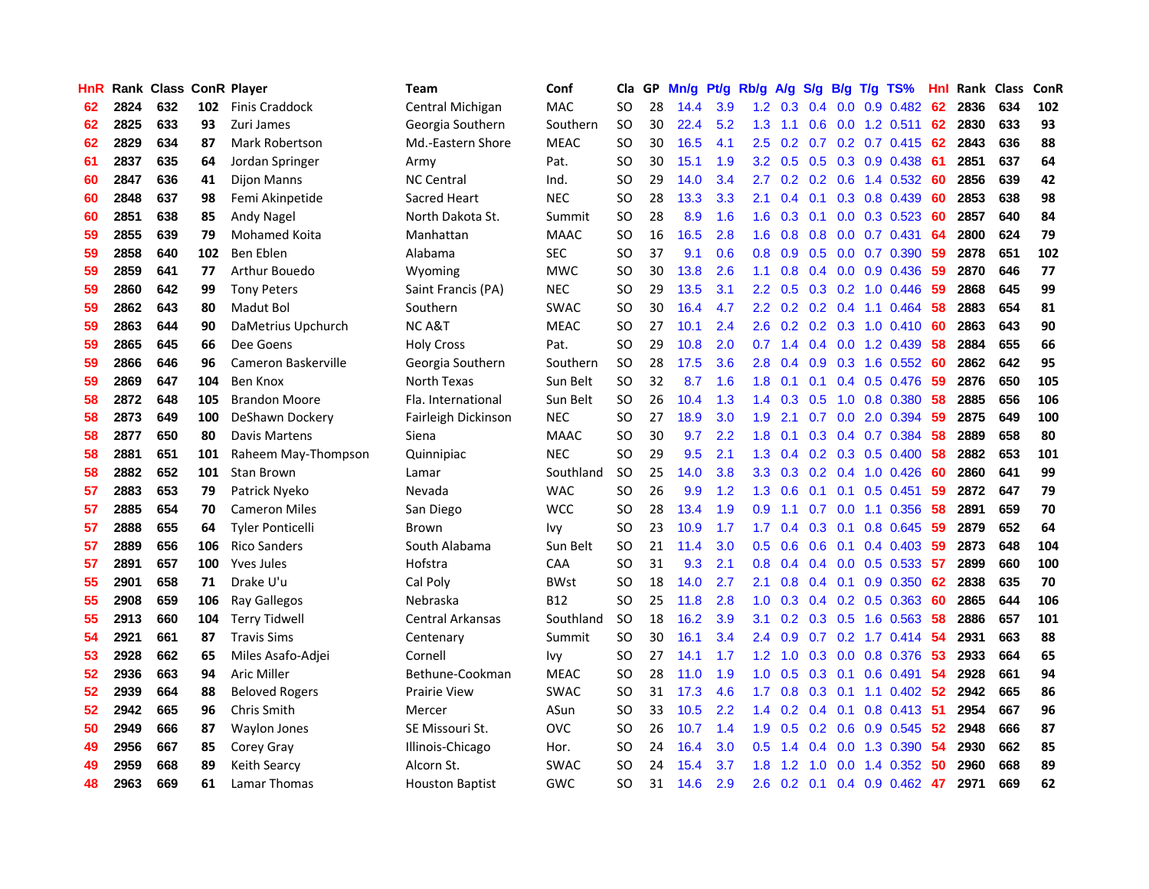| HnR |      | Rank Class ConR Player |     |                         | Team                   | Conf        | Cla       |    | GP Mn/g | Pt/g Rb/g |                  | A/g                             |                  |                 | S/g B/g T/g TS%           | Hnl | Rank Class |     | ConR |
|-----|------|------------------------|-----|-------------------------|------------------------|-------------|-----------|----|---------|-----------|------------------|---------------------------------|------------------|-----------------|---------------------------|-----|------------|-----|------|
| 62  | 2824 | 632                    | 102 | Finis Craddock          | Central Michigan       | <b>MAC</b>  | SO.       | 28 | 14.4    | 3.9       | 1.2              | 0.3                             | 0.4              | 0.0             | $0.9$ $0.482$             | 62  | 2836       | 634 | 102  |
| 62  | 2825 | 633                    | 93  | Zuri James              | Georgia Southern       | Southern    | <b>SO</b> | 30 | 22.4    | 5.2       | 1.3              | 1.1                             | 0.6              | 0.0             | $1.2$ 0.511               | 62  | 2830       | 633 | 93   |
| 62  | 2829 | 634                    | 87  | Mark Robertson          | Md.-Eastern Shore      | <b>MEAC</b> | <b>SO</b> | 30 | 16.5    | 4.1       | 2.5              | 0.2                             | 0.7              |                 | $0.2$ 0.7 0.415           | -62 | 2843       | 636 | 88   |
| 61  | 2837 | 635                    | 64  | Jordan Springer         | Army                   | Pat.        | <b>SO</b> | 30 | 15.1    | 1.9       | 3.2              | 0.5                             |                  |                 | 0.5 0.3 0.9 0.438         | -61 | 2851       | 637 | 64   |
| 60  | 2847 | 636                    | 41  | Dijon Manns             | <b>NC Central</b>      | Ind.        | SO.       | 29 | 14.0    | 3.4       | $2.7^{\circ}$    |                                 |                  |                 | $0.2$ 0.2 0.6 1.4 0.532   | -60 | 2856       | 639 | 42   |
| 60  | 2848 | 637                    | 98  | Femi Akinpetide         | Sacred Heart           | <b>NEC</b>  | SO.       | 28 | 13.3    | 3.3       | 2.1              | 0.4                             |                  |                 | $0.1$ $0.3$ $0.8$ $0.439$ | 60  | 2853       | 638 | 98   |
| 60  | 2851 | 638                    | 85  | Andy Nagel              | North Dakota St.       | Summit      | SO.       | 28 | 8.9     | 1.6       | 1.6 <sup>°</sup> | 0.3                             |                  |                 | $0.1$ 0.0 0.3 0.523       | 60  | 2857       | 640 | 84   |
| 59  | 2855 | 639                    | 79  | Mohamed Koita           | Manhattan              | <b>MAAC</b> | <b>SO</b> | 16 | 16.5    | 2.8       | 1.6              | 0.8                             | 0.8              |                 | $0.0$ 0.7 0.431           | 64  | 2800       | 624 | 79   |
| 59  | 2858 | 640                    | 102 | Ben Eblen               | Alabama                | <b>SEC</b>  | <b>SO</b> | 37 | 9.1     | 0.6       | 0.8              | 0.9                             |                  |                 | 0.5 0.0 0.7 0.390         | 59  | 2878       | 651 | 102  |
| 59  | 2859 | 641                    | 77  | Arthur Bouedo           | Wyoming                | <b>MWC</b>  | <b>SO</b> | 30 | 13.8    | 2.6       | 1.1              | 0.8                             |                  |                 | $0.4$ 0.0 0.9 0.436       | 59  | 2870       | 646 | 77   |
| 59  | 2860 | 642                    | 99  | <b>Tony Peters</b>      | Saint Francis (PA)     | <b>NEC</b>  | SO.       | 29 | 13.5    | 3.1       | $2.2\,$          | 0.5                             |                  |                 | $0.3$ $0.2$ 1.0 $0.446$   | -59 | 2868       | 645 | 99   |
| 59  | 2862 | 643                    | 80  | Madut Bol               | Southern               | <b>SWAC</b> | <b>SO</b> | 30 | 16.4    | 4.7       | $2.2\phantom{0}$ | 0.2                             |                  | $0.2 \quad 0.4$ | 1.1 0.464                 | 58  | 2883       | 654 | 81   |
| 59  | 2863 | 644                    | 90  | DaMetrius Upchurch      | NC A&T                 | <b>MEAC</b> | <b>SO</b> | 27 | 10.1    | 2.4       | 2.6              | 0.2                             |                  | $0.2 \quad 0.3$ | 1.0 0.410                 | 60  | 2863       | 643 | 90   |
| 59  | 2865 | 645                    | 66  | Dee Goens               | <b>Holy Cross</b>      | Pat.        | SO.       | 29 | 10.8    | 2.0       | 0.7              | 1.4                             |                  | $0.4\quad 0.0$  | 1.2 0.439                 | 58  | 2884       | 655 | 66   |
| 59  | 2866 | 646                    | 96  | Cameron Baskerville     | Georgia Southern       | Southern    | <b>SO</b> | 28 | 17.5    | 3.6       | 2.8              | 0.4                             | 0.9 <sup>°</sup> | 0.3             | 1.6 0.552                 | -60 | 2862       | 642 | 95   |
| 59  | 2869 | 647                    | 104 | Ben Knox                | North Texas            | Sun Belt    | <b>SO</b> | 32 | 8.7     | 1.6       | 1.8              | 0.1                             | 0.1              | 0.4             | 0.5 0.476                 | -59 | 2876       | 650 | 105  |
| 58  | 2872 | 648                    | 105 | <b>Brandon Moore</b>    | Fla. International     | Sun Belt    | <b>SO</b> | 26 | 10.4    | 1.3       | 1.4              | 0.3                             | 0.5              | 1.0             | 0.8 0.380                 | -58 | 2885       | 656 | 106  |
| 58  | 2873 | 649                    | 100 | DeShawn Dockery         | Fairleigh Dickinson    | <b>NEC</b>  | SO.       | 27 | 18.9    | 3.0       | 1.9              | 2.1                             |                  |                 | 0.7 0.0 2.0 0.394         | -59 | 2875       | 649 | 100  |
| 58  | 2877 | 650                    | 80  | Davis Martens           | Siena                  | <b>MAAC</b> | SO.       | 30 | 9.7     | 2.2       | 1.8              | 0.1                             |                  |                 | 0.3 0.4 0.7 0.384         | 58  | 2889       | 658 | 80   |
| 58  | 2881 | 651                    | 101 | Raheem May-Thompson     | Quinnipiac             | <b>NEC</b>  | <b>SO</b> | 29 | 9.5     | 2.1       |                  | $1.3 \quad 0.4$                 |                  |                 | $0.2$ $0.3$ $0.5$ $0.400$ | -58 | 2882       | 653 | 101  |
| 58  | 2882 | 652                    | 101 | Stan Brown              | Lamar                  | Southland   | <b>SO</b> | 25 | 14.0    | 3.8       | 3.3 <sub>2</sub> | 0.3                             |                  |                 | $0.2$ $0.4$ 1.0 $0.426$   | -60 | 2860       | 641 | 99   |
| 57  | 2883 | 653                    | 79  | Patrick Nyeko           | Nevada                 | <b>WAC</b>  | <b>SO</b> | 26 | 9.9     | 1.2       | 1.3              | 0.6                             | 0.1              |                 | $0.1$ 0.5 0.451           | 59  | 2872       | 647 | 79   |
| 57  | 2885 | 654                    | 70  | <b>Cameron Miles</b>    | San Diego              | <b>WCC</b>  | <b>SO</b> | 28 | 13.4    | 1.9       | 0.9              | 1.1                             |                  | $0.7\quad 0.0$  | 1.1 0.356                 | 58  | 2891       | 659 | 70   |
| 57  | 2888 | 655                    | 64  | <b>Tyler Ponticelli</b> | <b>Brown</b>           | Ivy         | <b>SO</b> | 23 | 10.9    | 1.7       | 1.7              | 0.4                             |                  | $0.3 \quad 0.1$ | 0.8 0.645                 | 59  | 2879       | 652 | 64   |
| 57  | 2889 | 656                    | 106 | <b>Rico Sanders</b>     | South Alabama          | Sun Belt    | SO.       | 21 | 11.4    | 3.0       | 0.5              | 0.6                             |                  | $0.6 \quad 0.1$ | $0.4$ 0.403               | -59 | 2873       | 648 | 104  |
| 57  | 2891 | 657                    | 100 | <b>Yves Jules</b>       | Hofstra                | CAA         | <b>SO</b> | 31 | 9.3     | 2.1       | 0.8              | 0.4                             |                  |                 | $0.4$ 0.0 0.5 0.533       | -57 | 2899       | 660 | 100  |
| 55  | 2901 | 658                    | 71  | Drake U'u               | Cal Poly               | <b>BWst</b> | SO.       | 18 | 14.0    | 2.7       | 2.1              | 0.8                             |                  | $0.4 \quad 0.1$ | 0.9 0.350                 | 62  | 2838       | 635 | 70   |
| 55  | 2908 | 659                    | 106 | Ray Gallegos            | Nebraska               | <b>B12</b>  | <b>SO</b> | 25 | 11.8    | 2.8       | 1.0              | 0.3                             |                  |                 | $0.4$ 0.2 0.5 0.363       | 60  | 2865       | 644 | 106  |
| 55  | 2913 | 660                    | 104 | <b>Terry Tidwell</b>    | Central Arkansas       | Southland   | <b>SO</b> | 18 | 16.2    | 3.9       | 3.1              | 0.2                             |                  | $0.3 \quad 0.5$ | 1.6 0.563                 | 58  | 2886       | 657 | 101  |
| 54  | 2921 | 661                    | 87  | <b>Travis Sims</b>      | Centenary              | Summit      | <b>SO</b> | 30 | 16.1    | 3.4       | 2.4              | 0.9                             | 0.7              |                 | $0.2$ 1.7 0.414           | 54  | 2931       | 663 | 88   |
| 53  | 2928 | 662                    | 65  | Miles Asafo-Adjei       | Cornell                | lvy         | <b>SO</b> | 27 | 14.1    | 1.7       | 1.2 <sub>1</sub> | 1.0                             |                  |                 | 0.3 0.0 0.8 0.376         | -53 | 2933       | 664 | 65   |
| 52  | 2936 | 663                    | 94  | Aric Miller             | Bethune-Cookman        | <b>MEAC</b> | SO.       | 28 | 11.0    | 1.9       | 1.0 <sub>1</sub> | 0.5                             |                  | $0.3 \quad 0.1$ | $0.6$ 0.491               | -54 | 2928       | 661 | 94   |
| 52  | 2939 | 664                    | 88  | <b>Beloved Rogers</b>   | Prairie View           | <b>SWAC</b> | <b>SO</b> | 31 | 17.3    | 4.6       | $1.7^{\circ}$    | 0.8                             |                  |                 | $0.3$ 0.1 1.1 0.402       | 52  | 2942       | 665 | 86   |
| 52  | 2942 | 665                    | 96  | Chris Smith             | Mercer                 | ASun        | <b>SO</b> | 33 | 10.5    | 2.2       | $1.4^{\circ}$    | 0.2                             |                  | $0.4 \quad 0.1$ | 0.8 0.413                 | -51 | 2954       | 667 | 96   |
| 50  | 2949 | 666                    | 87  | <b>Waylon Jones</b>     | SE Missouri St.        | <b>OVC</b>  | <b>SO</b> | 26 | 10.7    | 1.4       | 1.9              | 0.5                             |                  |                 | 0.2 0.6 0.9 0.545         | 52  | 2948       | 666 | 87   |
| 49  | 2956 | 667                    | 85  | Corey Gray              | Illinois-Chicago       | Hor.        | SO.       | 24 | 16.4    | 3.0       | 0.5              | -1<br>$\mathbf{A}$              | $0.4^{\circ}$    | 0.0             | 1.3 0.390                 | 54  | 2930       | 662 | 85   |
| 49  | 2959 | 668                    | 89  | <b>Keith Searcy</b>     | Alcorn St.             | <b>SWAC</b> | SO.       | 24 | 15.4    | 3.7       | 1.8              | $\cdot$<br>$\blacktriangleleft$ | 1.0              | 0.0             | 1.4 0.352                 | 50  | 2960       | 668 | 89   |
| 48  | 2963 | 669                    | 61  | Lamar Thomas            | <b>Houston Baptist</b> | <b>GWC</b>  | SO.       | 31 | 14.6    | 2.9       | 2.6              |                                 |                  |                 | $0.2$ 0.1 0.4 0.9 0.462   | 47  | 2971       | 669 | 62   |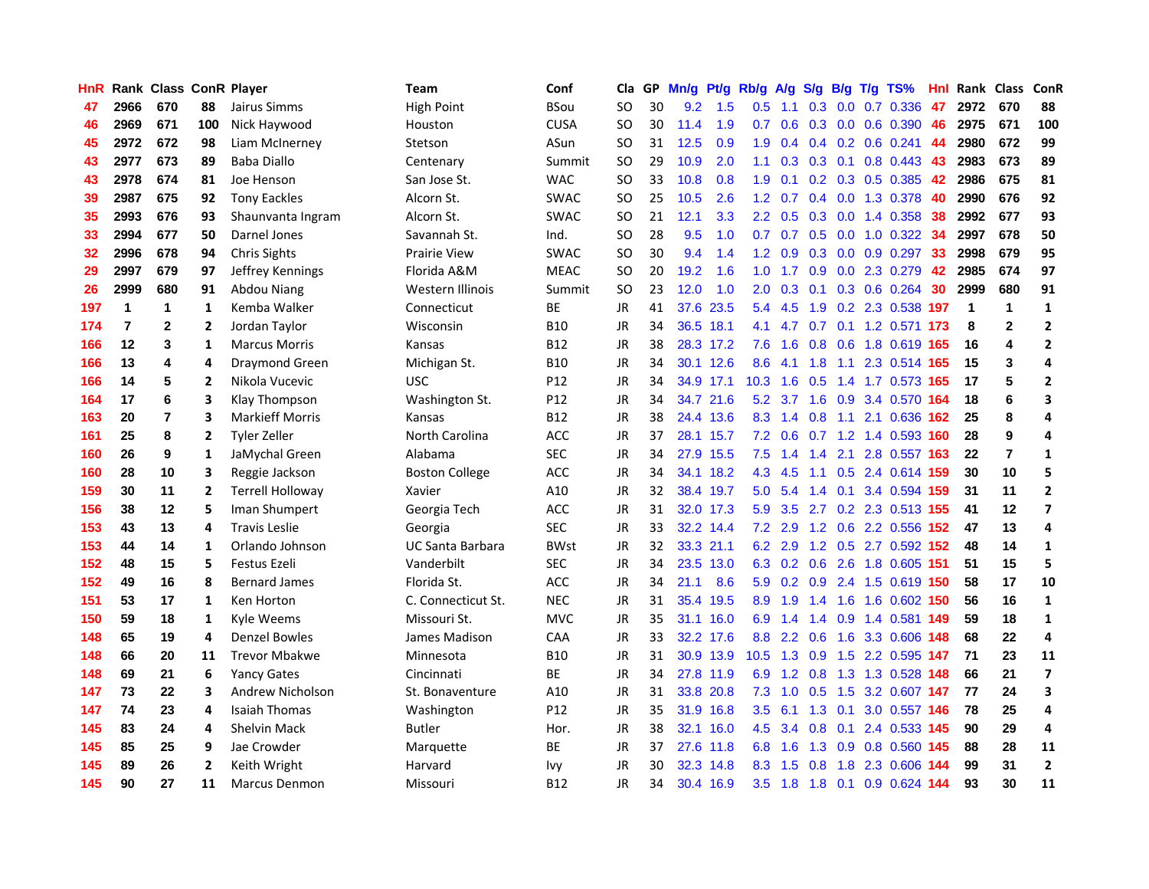| HnR |                | Rank Class ConR Player |                |                         | <b>Team</b>           | Conf            | Cla       |    | GP Mn/g Pt/g |           | Rb/g             | A/g             |                 |                 | S/g B/g T/g TS%               | Hnl  |                | Rank Class       | ConR           |
|-----|----------------|------------------------|----------------|-------------------------|-----------------------|-----------------|-----------|----|--------------|-----------|------------------|-----------------|-----------------|-----------------|-------------------------------|------|----------------|------------------|----------------|
| 47  | 2966           | 670                    | 88             | Jairus Simms            | <b>High Point</b>     | <b>BSou</b>     | SO.       | 30 | 9.2          | 1.5       | 0.5              | 1.1             | 0.3             | 0.0             | 0.7 0.336                     | 47   | 2972           | 670              | 88             |
| 46  | 2969           | 671                    | 100            | Nick Haywood            | Houston               | <b>CUSA</b>     | <b>SO</b> | 30 | 11.4         | 1.9       | 0.7              | 0.6             | 0.3             | 0.0             | 0.6 0.390                     | 46   | 2975           | 671              | 100            |
| 45  | 2972           | 672                    | 98             | Liam McInerney          | Stetson               | ASun            | <b>SO</b> | 31 | 12.5         | 0.9       | 1.9              | 0.4             |                 | $0.4 \quad 0.2$ | $0.6$ 0.241                   | 44   | 2980           | 672              | 99             |
| 43  | 2977           | 673                    | 89             | <b>Baba Diallo</b>      | Centenary             | Summit          | <b>SO</b> | 29 | 10.9         | 2.0       | 1.1              |                 | $0.3$ 0.3 0.1   |                 | $0.8$ 0.443                   | 43   | 2983           | 673              | 89             |
| 43  | 2978           | 674                    | 81             | Joe Henson              | San Jose St.          | <b>WAC</b>      | SO.       | 33 | 10.8         | 0.8       | 1.9              | 0.1             |                 |                 | $0.2$ $0.3$ $0.5$ $0.385$     | 42   | 2986           | 675              | 81             |
| 39  | 2987           | 675                    | 92             | <b>Tony Eackles</b>     | Alcorn St.            | <b>SWAC</b>     | SO.       | 25 | 10.5         | 2.6       | 1.2 <sub>1</sub> | 0.7             |                 |                 | $0.4$ 0.0 1.3 0.378           | 40   | 2990           | 676              | 92             |
| 35  | 2993           | 676                    | 93             | Shaunvanta Ingram       | Alcorn St.            | <b>SWAC</b>     | <b>SO</b> | 21 | 12.1         | 3.3       | $2.2^{\circ}$    | 0.5             |                 |                 | $0.3$ 0.0 1.4 0.358           | 38   | 2992           | 677              | 93             |
| 33  | 2994           | 677                    | 50             | Darnel Jones            | Savannah St.          | Ind.            | <b>SO</b> | 28 | 9.5          | 1.0       | 0.7              | 0.7             |                 |                 | 0.5 0.0 1.0 0.322             | 34   | 2997           | 678              | 50             |
| 32  | 2996           | 678                    | 94             | Chris Sights            | Prairie View          | <b>SWAC</b>     | <b>SO</b> | 30 | 9.4          | 1.4       | 1.2 <sub>2</sub> | 0.9             | 0.3             | 0.0             | 0.9 0.297                     | 33   | 2998           | 679              | 95             |
| 29  | 2997           | 679                    | 97             | Jeffrey Kennings        | Florida A&M           | <b>MEAC</b>     | <b>SO</b> | 20 | 19.2         | 1.6       | 1.0              | 1.7             | 0.9             |                 | 0.0 2.3 0.279                 | 42   | 2985           | 674              | 97             |
| 26  | 2999           | 680                    | 91             | Abdou Niang             | Western Illinois      | Summit          | <b>SO</b> | 23 | 12.0         | 1.0       | 2.0              | 0.3             | 0.1             |                 | 0.3 0.6 0.264                 | 30   | 2999           | 680              | 91             |
| 197 | 1              | 1                      | $\mathbf{1}$   | Kemba Walker            | Connecticut           | BE              | <b>JR</b> | 41 | 37.6         | 23.5      |                  | 5.4 4.5         | 1.9             |                 | 0.2 2.3 0.538                 | 197  | $\overline{1}$ | $\mathbf{1}$     | $\mathbf{1}$   |
| 174 | $\overline{7}$ | $\mathbf{2}$           | 2              | Jordan Taylor           | Wisconsin             | <b>B10</b>      | JR        | 34 |              | 36.5 18.1 | 4.1              | 4.7             | 0.7             | 0.1             | 1.2 0.571                     | 173  | 8              | $\boldsymbol{2}$ | $\mathbf{2}$   |
| 166 | 12             | 3                      | 1              | <b>Marcus Morris</b>    | Kansas                | <b>B12</b>      | JR        | 38 |              | 28.3 17.2 | 7.6              | 1.6             | 0.8             | 0.6             | 1.8 0.619                     | -165 | 16             | 4                | $\overline{2}$ |
| 166 | 13             | 4                      | 4              | Draymond Green          | Michigan St.          | <b>B10</b>      | JR        | 34 |              | 30.1 12.6 | 8.6              | 4.1             | 1.8             | 1.1             | 2.3 0.514 165                 |      | 15             | 3                | 4              |
| 166 | 14             | 5                      | $\overline{2}$ | Nikola Vucevic          | <b>USC</b>            | P12             | <b>JR</b> | 34 |              | 34.9 17.1 | 10.3             | 1.6             | 0.5             | 1.4             | 1.7 0.573 165                 |      | 17             | 5                | $\mathbf{2}$   |
| 164 | 17             | 6                      | 3              | Klay Thompson           | Washington St.        | P <sub>12</sub> | JR        | 34 |              | 34.7 21.6 |                  | 5.2 3.7         | 1.6             | 0.9             | 3.4 0.570 164                 |      | 18             | 6                | 3              |
| 163 | 20             | $\overline{7}$         | 3              | <b>Markieff Morris</b>  | Kansas                | B12             | JR        | 38 |              | 24.4 13.6 |                  |                 | 8.3 1.4 0.8     |                 | 1.1 2.1 0.636 162             |      | 25             | 8                | 4              |
| 161 | 25             | 8                      | 2              | <b>Tyler Zeller</b>     | North Carolina        | ACC             | JR        | 37 |              | 28.1 15.7 |                  | $7.2 \quad 0.6$ |                 |                 | 0.7 1.2 1.4 0.593 160         |      | 28             | 9                | 4              |
| 160 | 26             | 9                      | 1              | JaMychal Green          | Alabama               | <b>SEC</b>      | JR        | 34 |              | 27.9 15.5 |                  | $7.5$ 1.4       |                 |                 | 1.4 2.1 2.8 0.557 163         |      | 22             | $\overline{7}$   | $\mathbf{1}$   |
| 160 | 28             | 10                     | 3              | Reggie Jackson          | <b>Boston College</b> | <b>ACC</b>      | JR        | 34 |              | 34.1 18.2 | 4.3              | 4.5             |                 |                 | 1.1 0.5 2.4 0.614 159         |      | 30             | 10               | 5              |
| 159 | 30             | 11                     | $\mathbf{2}$   | <b>Terrell Holloway</b> | Xavier                | A10             | JR        | 32 |              | 38.4 19.7 | 5.0              | 5.4             |                 |                 | 1.4 0.1 3.4 0.594 159         |      | 31             | 11               | $\mathbf{2}$   |
| 156 | 38             | 12                     | 5              | Iman Shumpert           | Georgia Tech          | ACC             | JR        | 31 |              | 32.0 17.3 | 5.9              | 3.5             |                 |                 | 2.7 0.2 2.3 0.513 155         |      | 41             | 12               | $\overline{ }$ |
| 153 | 43             | 13                     | 4              | <b>Travis Leslie</b>    | Georgia               | <b>SEC</b>      | JR        | 33 |              | 32.2 14.4 |                  | $7.2$ 2.9       |                 |                 | 1.2 0.6 2.2 0.556             | 152  | 47             | 13               | 4              |
| 153 | 44             | 14                     | $\mathbf{1}$   | Orlando Johnson         | UC Santa Barbara      | <b>BWst</b>     | JR        | 32 |              | 33.3 21.1 | 6.2              | 2.9             |                 |                 | 1.2 0.5 2.7 0.592 152         |      | 48             | 14               | $\mathbf{1}$   |
| 152 | 48             | 15                     | 5              | <b>Festus Ezeli</b>     | Vanderbilt            | <b>SEC</b>      | JR        | 34 |              | 23.5 13.0 |                  |                 | 6.3 0.2 0.6     | 2.6             | 1.8 0.605 151                 |      | 51             | 15               | 5              |
| 152 | 49             | 16                     | 8              | <b>Bernard James</b>    | Florida St.           | <b>ACC</b>      | JR        | 34 | 21.1         | 8.6       | 5.9              | 0.2             | 0.9             |                 | 2.4 1.5 0.619 150             |      | 58             | 17               | 10             |
| 151 | 53             | 17                     | 1              | Ken Horton              | C. Connecticut St.    | <b>NEC</b>      | JR        | 31 |              | 35.4 19.5 | 8.9              | 1.9             | 1.4             | 1.6             | 1.6 0.602 150                 |      | 56             | 16               | $\mathbf{1}$   |
| 150 | 59             | 18                     | 1              | Kyle Weems              | Missouri St.          | <b>MVC</b>      | <b>JR</b> | 35 |              | 31.1 16.0 | 6.9              | 1.4             | 1.4             | 0.9             | 1.4 0.581                     | 149  | 59             | 18               | $\mathbf{1}$   |
| 148 | 65             | 19                     | 4              | <b>Denzel Bowles</b>    | James Madison         | CAA             | JR        | 33 |              | 32.2 17.6 | 8.8              |                 | $2.2 \quad 0.6$ | 1.6             | 3.3 0.606 148                 |      | 68             | 22               | 4              |
| 148 | 66             | 20                     | 11             | <b>Trevor Mbakwe</b>    | Minnesota             | <b>B10</b>      | JR        | 31 |              | 30.9 13.9 | 10.5             | 1.3             | 0.9             |                 | 1.5 2.2 0.595 147             |      | 71             | 23               | 11             |
| 148 | 69             | 21                     | 6              | <b>Yancy Gates</b>      | Cincinnati            | <b>BE</b>       | JR        | 34 |              | 27.8 11.9 |                  |                 | 6.9 1.2 0.8     |                 | 1.3 1.3 0.528 148             |      | 66             | 21               | $\overline{ }$ |
| 147 | 73             | 22                     | 3              | <b>Andrew Nicholson</b> | St. Bonaventure       | A10             | JR        | 31 |              | 33.8 20.8 |                  |                 |                 |                 | 7.3 1.0 0.5 1.5 3.2 0.607 147 |      | 77             | 24               | 3              |
| 147 | 74             | 23                     | 4              | <b>Isaiah Thomas</b>    | Washington            | P12             | JR        | 35 |              | 31.9 16.8 | 3.5              | 6.1             |                 | $1.3 \quad 0.1$ | 3.0 0.557 146                 |      | 78             | 25               | 4              |
| 145 | 83             | 24                     | 4              | <b>Shelvin Mack</b>     | Butler                | Hor.            | JR        | 38 |              | 32.1 16.0 | 4.5              | 3.4             | 0.8             | 0.1             | 2.4 0.533 145                 |      | 90             | 29               | 4              |
| 145 | 85             | 25                     | 9              | Jae Crowder             | Marquette             | BE              | JR        | 37 |              | 27.6 11.8 | 6.8              | 1.6             | 1.3             | 0.9             | 0.8 0.560 145                 |      | 88             | 28               | 11             |
| 145 | 89             | 26                     | $\overline{2}$ | Keith Wright            | Harvard               | Ivy             | JR        | 30 | 32.3         | 14.8      | 8.3              | 1.5             | 0.8             | 1.8             | 2.3 0.606                     | 144  | 99             | 31               | $\overline{2}$ |
| 145 | 90             | 27                     | 11             | <b>Marcus Denmon</b>    | Missouri              | <b>B12</b>      | JR        | 34 |              | 30.4 16.9 | 3.5              | 1.8             | 1.8             | 0.1             | $0.9$ $0.624$ 144             |      | 93             | 30               | 11             |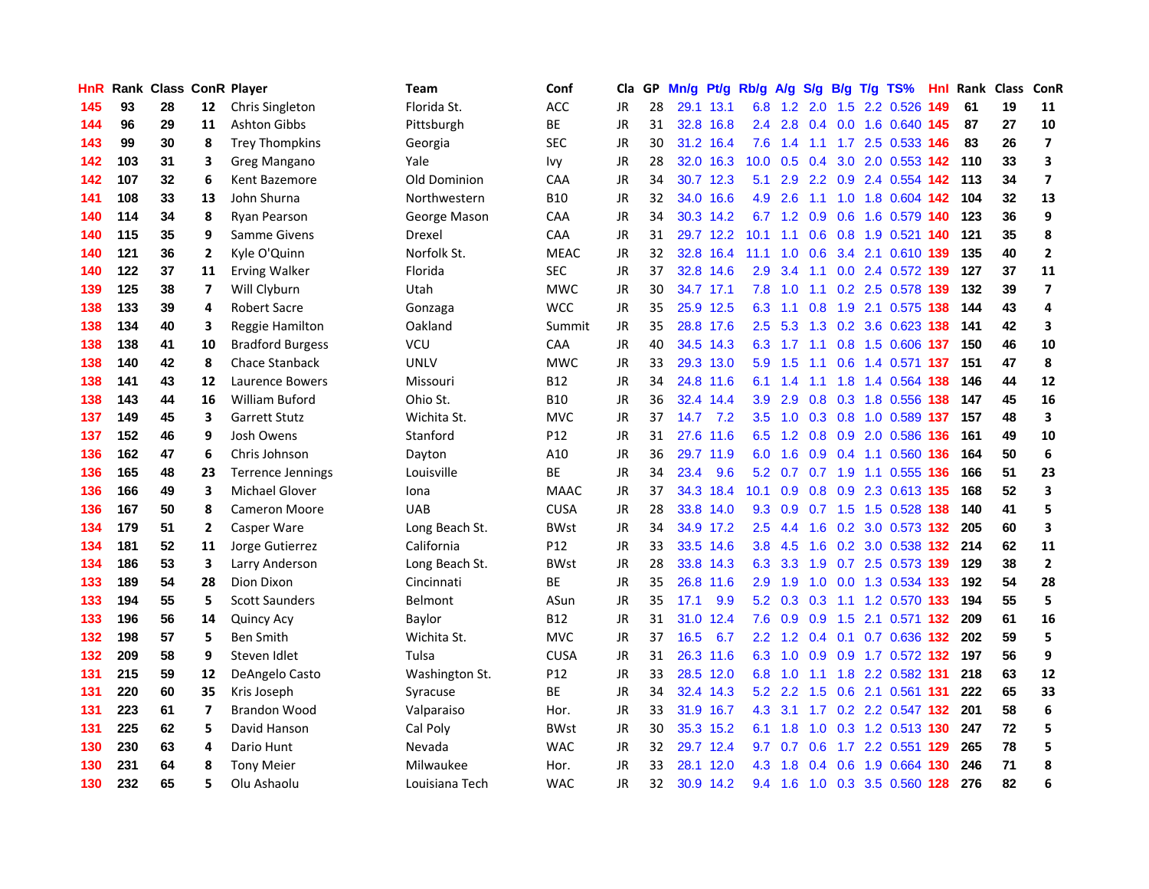| HnR |     | <b>Rank Class ConR Player</b> |                |                          | Team                | Conf            | Cla       |    | GP Mn/g Pt/g |           | Rb/g A/g          |         |                 |           | S/g B/g T/g TS%                   | Hnl | <b>Rank Class</b> |    | ConR                    |
|-----|-----|-------------------------------|----------------|--------------------------|---------------------|-----------------|-----------|----|--------------|-----------|-------------------|---------|-----------------|-----------|-----------------------------------|-----|-------------------|----|-------------------------|
| 145 | 93  | 28                            | 12             | Chris Singleton          | Florida St.         | ACC             | <b>JR</b> | 28 |              | 29.1 13.1 | 6.8               | 1.2     | 2.0             | 1.5       | 2.2 0.526                         | 149 | -61               | 19 | 11                      |
| 144 | 96  | 29                            | 11             | Ashton Gibbs             | Pittsburgh          | BE              | <b>JR</b> | 31 |              | 32.8 16.8 | 2.4               | 2.8     | 0.4             | 0.0       | 1.6 0.640 145                     |     | -87               | 27 | 10                      |
| 143 | 99  | 30                            | 8              | <b>Trey Thompkins</b>    | Georgia             | <b>SEC</b>      | JR        | 30 |              | 31.2 16.4 | 7.6               | 1.4     | 1.1             |           | 1.7 2.5 0.533 146                 |     | 83                | 26 | $\overline{\mathbf{z}}$ |
| 142 | 103 | 31                            | 3              | Greg Mangano             | Yale                | Ivy             | <b>JR</b> | 28 |              | 32.0 16.3 | 10.0 <sub>1</sub> |         | $0.5 \quad 0.4$ |           | 3.0 2.0 0.553 142 110             |     |                   | 33 | 3                       |
| 142 | 107 | 32                            | 6              | Kent Bazemore            | <b>Old Dominion</b> | CAA             | <b>JR</b> | 34 |              | 30.7 12.3 | 5.1               |         |                 |           | 2.9 2.2 0.9 2.4 0.554 142 113     |     |                   | 34 | $\overline{\mathbf{z}}$ |
| 141 | 108 | 33                            | 13             | John Shurna              | Northwestern        | <b>B10</b>      | <b>JR</b> | 32 |              | 34.0 16.6 | 4.9               | 2.6     | 1.1             |           | 1.0 1.8 0.604 142                 |     | 104               | 32 | 13                      |
| 140 | 114 | 34                            | 8              | Ryan Pearson             | George Mason        | <b>CAA</b>      | JR        | 34 |              | 30.3 14.2 |                   |         |                 |           | 6.7 1.2 0.9 0.6 1.6 0.579 140     |     | 123               | 36 | 9                       |
| 140 | 115 | 35                            | 9              | Samme Givens             | Drexel              | CAA             | <b>JR</b> | 31 |              | 29.7 12.2 | 10.1              | 1.1     | 0.6             |           | 0.8 1.9 0.521 140                 |     | 121               | 35 | 8                       |
| 140 | 121 | 36                            | $\overline{2}$ | Kyle O'Quinn             | Norfolk St.         | <b>MEAC</b>     | <b>JR</b> | 32 |              | 32.8 16.4 | 11.1              | 1.0     | 0.6             |           | 3.4 2.1 0.610 139                 |     | 135               | 40 | $\mathbf{2}$            |
| 140 | 122 | 37                            | 11             | <b>Erving Walker</b>     | Florida             | <b>SEC</b>      | <b>JR</b> | 37 |              | 32.8 14.6 | 2.9               | 3.4     | 1.1             |           | 0.0 2.4 0.572 139                 |     | 127               | 37 | 11                      |
| 139 | 125 | 38                            | 7              | Will Clyburn             | Utah                | <b>MWC</b>      | JR        | 30 |              | 34.7 17.1 | 7.8               | 1.0     | 1.1             |           | 0.2 2.5 0.578 139                 |     | 132               | 39 | $\overline{7}$          |
| 138 | 133 | 39                            | 4              | <b>Robert Sacre</b>      | Gonzaga             | <b>WCC</b>      | <b>JR</b> | 35 |              | 25.9 12.5 | 6.3               | 1.1     | 0.8             | 1.9       | 2.1 0.575 138                     |     | 144               | 43 | 4                       |
| 138 | 134 | 40                            | 3              | Reggie Hamilton          | Oakland             | Summit          | JR        | 35 |              | 28.8 17.6 | 2.5               | 5.3     | 1.3             | 0.2       | 3.6 0.623                         | 138 | 141               | 42 | 3                       |
| 138 | 138 | 41                            | 10             | <b>Bradford Burgess</b>  | <b>VCU</b>          | CAA             | <b>JR</b> | 40 |              | 34.5 14.3 | 6.3               | 1.7     | 1.1             | 0.8       | 1.5 0.606 137                     |     | 150               | 46 | 10                      |
| 138 | 140 | 42                            | 8              | <b>Chace Stanback</b>    | <b>UNLV</b>         | <b>MWC</b>      | <b>JR</b> | 33 |              | 29.3 13.0 | 5.9               | 1.5     | 1.1             | 0.6       | 1.4 0.571 137                     |     | 151               | 47 | 8                       |
| 138 | 141 | 43                            | 12             | Laurence Bowers          | Missouri            | <b>B12</b>      | <b>JR</b> | 34 |              | 24.8 11.6 | 6.1               | 1.4     | 1.1             | 1.8       | 1.4 0.564 138                     |     | 146               | 44 | 12                      |
| 138 | 143 | 44                            | 16             | William Buford           | Ohio St.            | <b>B10</b>      | <b>JR</b> | 36 |              | 32.4 14.4 | 3.9               | 2.9     | 0.8             |           | 0.3 1.8 0.556 138                 |     | 147               | 45 | 16                      |
| 137 | 149 | 45                            | 3              | <b>Garrett Stutz</b>     | Wichita St.         | <b>MVC</b>      | JR        | 37 | 14.7         | 7.2       | 3.5               |         |                 |           | 1.0 0.3 0.8 1.0 0.589 137         |     | 157               | 48 | 3                       |
| 137 | 152 | 46                            | 9              | Josh Owens               | Stanford            | P12             | JR        | 31 |              | 27.6 11.6 |                   |         |                 |           | 6.5 1.2 0.8 0.9 2.0 0.586 136     |     | 161               | 49 | 10                      |
| 136 | 162 | 47                            | 6              | Chris Johnson            | Dayton              | A10             | JR        | 36 |              | 29.7 11.9 | 6.0               | 1.6     |                 |           | 0.9 0.4 1.1 0.560 136             |     | 164               | 50 | 6                       |
| 136 | 165 | 48                            | 23             | <b>Terrence Jennings</b> | Louisville          | <b>BE</b>       | <b>JR</b> | 34 | 23.4         | 9.6       | 5.2               | 0.7     |                 |           | 0.7 1.9 1.1 0.555 136             |     | 166               | 51 | 23                      |
| 136 | 166 | 49                            | 3              | Michael Glover           | Iona                | <b>MAAC</b>     | JR        | 37 |              | 34.3 18.4 | 10.1              | 0.9     |                 |           | 0.8 0.9 2.3 0.613 135             |     | 168               | 52 | 3                       |
| 136 | 167 | 50                            | 8              | <b>Cameron Moore</b>     | <b>UAB</b>          | <b>CUSA</b>     | JR        | 28 |              | 33.8 14.0 | 9.3               | 0.9     |                 | $0.7$ 1.5 | 1.5 0.528 138                     |     | 140               | 41 | 5                       |
| 134 | 179 | 51                            | $\overline{2}$ | Casper Ware              | Long Beach St.      | <b>BWst</b>     | JR        | 34 |              | 34.9 17.2 | 2.5               | 4.4     | 1.6             |           | 0.2 3.0 0.573 132                 |     | 205               | 60 | 3                       |
| 134 | 181 | 52                            | 11             | Jorge Gutierrez          | California          | P <sub>12</sub> | <b>JR</b> | 33 |              | 33.5 14.6 | 3.8 <sub>2</sub>  | 4.5     | 1.6             |           | 0.2 3.0 0.538 132                 |     | 214               | 62 | 11                      |
| 134 | 186 | 53                            | 3              | Larry Anderson           | Long Beach St.      | <b>BWst</b>     | <b>JR</b> | 28 |              | 33.8 14.3 | 6.3               | 3.3     | 1.9             | 0.7       | 2.5 0.573 139                     |     | 129               | 38 | $\overline{\mathbf{c}}$ |
| 133 | 189 | 54                            | 28             | Dion Dixon               | Cincinnati          | ВE              | <b>JR</b> | 35 |              | 26.8 11.6 | 2.9               | 1.9     | 1.0             | 0.0       | 1.3 0.534 133                     |     | 192               | 54 | 28                      |
| 133 | 194 | 55                            | 5              | <b>Scott Saunders</b>    | <b>Belmont</b>      | ASun            | <b>JR</b> | 35 | 17.1         | 9.9       | 5.2               | 0.3     | 0.3             | 1.1       | 1.2 0.570 133                     |     | 194               | 55 | 5                       |
| 133 | 196 | 56                            | 14             | Quincy Acy               | Baylor              | <b>B12</b>      | <b>JR</b> | 31 |              | 31.0 12.4 | 7.6               | 0.9     | 0.9             | 1.5       | 2.1 0.571 132                     |     | 209               | 61 | 16                      |
| 132 | 198 | 57                            | 5              | <b>Ben Smith</b>         | Wichita St.         | <b>MVC</b>      | JR        | 37 | 16.5         | 6.7       |                   |         |                 |           | 2.2 1.2 0.4 0.1 0.7 0.636 132     |     | -202              | 59 | 5                       |
| 132 | 209 | 58                            | 9              | Steven Idlet             | Tulsa               | <b>CUSA</b>     | <b>JR</b> | 31 |              | 26.3 11.6 |                   |         |                 |           | 6.3 1.0 0.9 0.9 1.7 0.572 132 197 |     |                   | 56 | 9                       |
| 131 | 215 | 59                            | 12             | DeAngelo Casto           | Washington St.      | P <sub>12</sub> | <b>JR</b> | 33 |              | 28.5 12.0 | 6.8               | 1.0     |                 |           | 1.1 1.8 2.2 0.582 131             |     | 218               | 63 | 12                      |
| 131 | 220 | 60                            | 35             | Kris Joseph              | Syracuse            | ВE              | <b>JR</b> | 34 |              | 32.4 14.3 | 5.2               | 2.2     | 1.5             |           | 0.6 2.1 0.561 131                 |     | 222               | 65 | 33                      |
| 131 | 223 | 61                            | 7              | <b>Brandon Wood</b>      | Valparaiso          | Hor.            | JR        | 33 |              | 31.9 16.7 | 4.3               | 3.1     |                 |           | 1.7 0.2 2.2 0.547 132             |     | 201               | 58 | 6                       |
| 131 | 225 | 62                            | 5              | David Hanson             | Cal Poly            | <b>BWst</b>     | <b>JR</b> | 30 |              | 35.3 15.2 | 6.1               | 1.8     | 1.0             |           | 0.3 1.2 0.513 130                 |     | 247               | 72 | 5                       |
| 130 | 230 | 63                            | 4              | Dario Hunt               | Nevada              | <b>WAC</b>      | JR        | 32 |              | 29.7 12.4 | 9.7               | 0.7     | 0.6             |           | 1.7 2.2 0.551                     | 129 | 265               | 78 | 5                       |
| 130 | 231 | 64                            | 8              | <b>Tony Meier</b>        | Milwaukee           | Hor.            | JR        | 33 | 28.1         | 12.0      | 4.3               | 1.8     | $0.4^{\circ}$   | 0.6       | 1.9 0.664                         | 130 | 246               | 71 | 8                       |
| 130 | 232 | 65                            | 5              | Olu Ashaolu              | Louisiana Tech      | <b>WAC</b>      | <b>JR</b> | 32 |              | 30.9 14.2 |                   | 9.4 1.6 |                 |           | 1.0 0.3 3.5 0.560 128             |     | 276               | 82 | 6                       |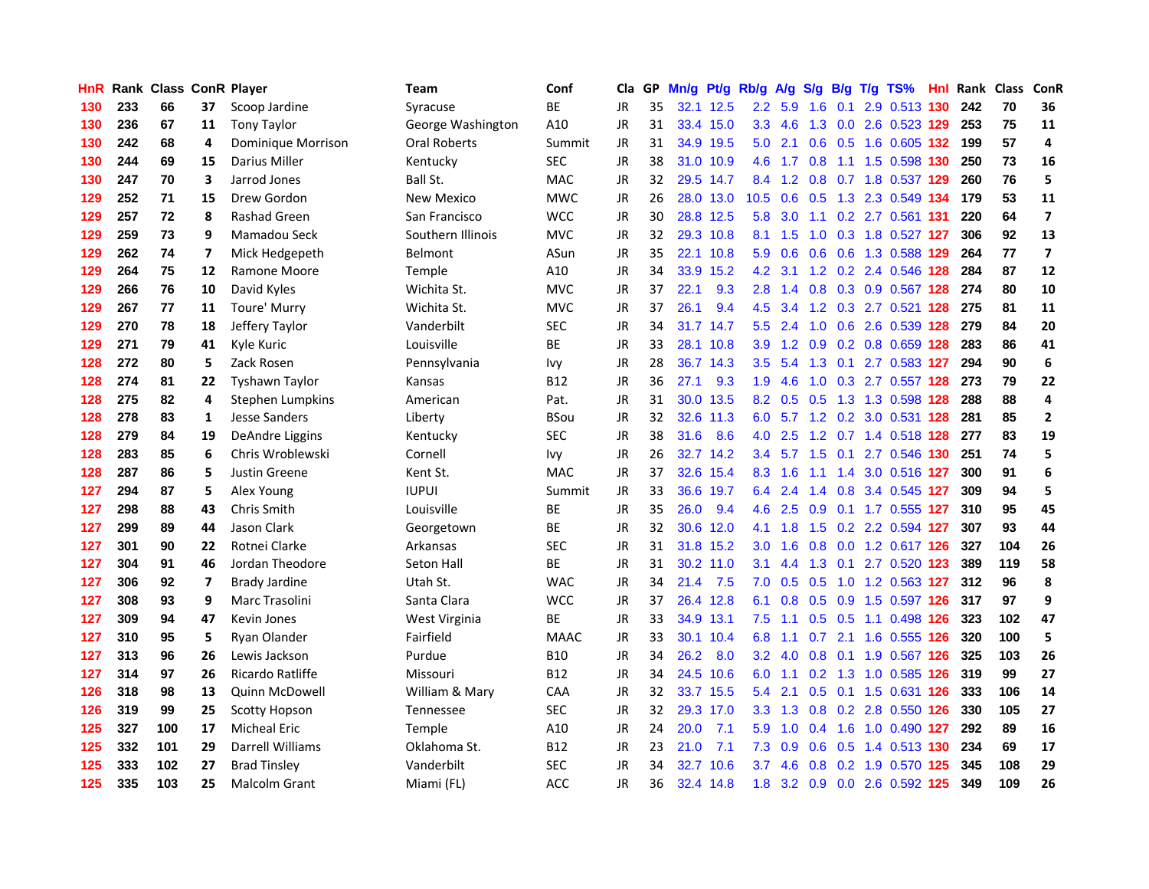| HnR |     | Rank Class ConR Player |    |                       | Team              | Conf        | Cla       |    | GP Mn/g | Pt/g Rb/g |                  | A/g | S/g |           | B/g T/g TS%                   | Hnl |     | Rank Class | ConR                    |
|-----|-----|------------------------|----|-----------------------|-------------------|-------------|-----------|----|---------|-----------|------------------|-----|-----|-----------|-------------------------------|-----|-----|------------|-------------------------|
| 130 | 233 | 66                     | 37 | Scoop Jardine         | Syracuse          | BE          | JR.       | 35 |         | 32.1 12.5 | $2.2\,$          | 5.9 | 1.6 | 0.1       | 2.9 0.513                     | 130 | 242 | 70         | 36                      |
| 130 | 236 | 67                     | 11 | <b>Tony Taylor</b>    | George Washington | A10         | JR        | 31 |         | 33.4 15.0 | 3.3 <sub>2</sub> | 4.6 | 1.3 | 0.0       | 2.6 0.523 129                 |     | 253 | 75         | 11                      |
| 130 | 242 | 68                     | 4  | Dominique Morrison    | Oral Roberts      | Summit      | JR        | 31 |         | 34.9 19.5 | 5.0              | 2.1 | 0.6 | 0.5       | 1.6 0.605 132                 |     | 199 | 57         | 4                       |
| 130 | 244 | 69                     | 15 | Darius Miller         | Kentucky          | <b>SEC</b>  | JR        | 38 |         | 31.0 10.9 | 4.6              | 1.7 | 0.8 |           | 1.1 1.5 0.598 130             |     | 250 | 73         | 16                      |
| 130 | 247 | 70                     | 3  | Jarrod Jones          | Ball St.          | <b>MAC</b>  | JR        | 32 |         | 29.5 14.7 |                  |     |     |           | 8.4 1.2 0.8 0.7 1.8 0.537 129 |     | 260 | 76         | 5                       |
| 129 | 252 | 71                     | 15 | Drew Gordon           | <b>New Mexico</b> | <b>MWC</b>  | JR        | 26 |         | 28.0 13.0 | 10.5             | 0.6 |     |           | 0.5 1.3 2.3 0.549 134         |     | 179 | 53         | 11                      |
| 129 | 257 | 72                     | 8  | <b>Rashad Green</b>   | San Francisco     | WCC         | JR        | 30 |         | 28.8 12.5 | 5.8              | 3.0 |     |           | 1.1 0.2 2.7 0.561 131         |     | 220 | 64         | $\overline{\mathbf{z}}$ |
| 129 | 259 | 73                     | 9  | Mamadou Seck          | Southern Illinois | <b>MVC</b>  | JR        | 32 |         | 29.3 10.8 | 8.1              | 1.5 | 1.0 |           | 0.3 1.8 0.527 127             |     | 306 | 92         | 13                      |
| 129 | 262 | 74                     | 7  | Mick Hedgepeth        | Belmont           | ASun        | JR        | 35 |         | 22.1 10.8 | 5.9              | 0.6 | 0.6 |           | 0.6 1.3 0.588 129             |     | 264 | 77         | $\overline{\mathbf{z}}$ |
| 129 | 264 | 75                     | 12 | Ramone Moore          | Temple            | A10         | JR        | 34 | 33.9    | 15.2      | 4.2              | 3.1 |     |           | 1.2 0.2 2.4 0.546 128         |     | 284 | 87         | 12                      |
| 129 | 266 | 76                     | 10 | David Kyles           | Wichita St.       | <b>MVC</b>  | JR        | 37 | 22.1    | 9.3       | 2.8              | 1.4 |     |           | 0.8 0.3 0.9 0.567 128         |     | 274 | 80         | 10                      |
| 129 | 267 | 77                     | 11 | Toure' Murry          | Wichita St.       | <b>MVC</b>  | JR        | 37 | 26.1    | 9.4       | 4.5              | 3.4 | 1.2 |           | 0.3 2.7 0.521                 | 128 | 275 | 81         | 11                      |
| 129 | 270 | 78                     | 18 | Jeffery Taylor        | Vanderbilt        | <b>SEC</b>  | JR        | 34 |         | 31.7 14.7 | $5.5^{\circ}$    | 2.4 | 1.0 | 0.6       | 2.6 0.539 128                 |     | 279 | 84         | 20                      |
| 129 | 271 | 79                     | 41 | Kyle Kuric            | Louisville        | BE          | <b>JR</b> | 33 |         | 28.1 10.8 | 3.9 <sup>°</sup> | 1.2 | 0.9 |           | 0.2 0.8 0.659 128             |     | 283 | 86         | 41                      |
| 128 | 272 | 80                     | 5  | Zack Rosen            | Pennsylvania      | Ivy         | <b>JR</b> | 28 |         | 36.7 14.3 | 3.5              | 5.4 | 1.3 | 0.1       | 2.7 0.583 127                 |     | 294 | 90         | 6                       |
| 128 | 274 | 81                     | 22 | <b>Tyshawn Taylor</b> | Kansas            | <b>B12</b>  | JR        | 36 | 27.1    | 9.3       | 1.9              | 4.6 |     |           | 1.0 0.3 2.7 0.557 128         |     | 273 | 79         | 22                      |
| 128 | 275 | 82                     | 4  | Stephen Lumpkins      | American          | Pat.        | JR        | 31 |         | 30.0 13.5 |                  |     |     |           | 8.2 0.5 0.5 1.3 1.3 0.598 128 |     | 288 | 88         | 4                       |
| 128 | 278 | 83                     | 1  | Jesse Sanders         | Liberty           | BSou        | JR        | 32 |         | 32.6 11.3 |                  |     |     |           | 6.0 5.7 1.2 0.2 3.0 0.531 128 |     | 281 | 85         | $\overline{2}$          |
| 128 | 279 | 84                     | 19 | DeAndre Liggins       | Kentucky          | <b>SEC</b>  | JR        | 38 | 31.6    | 8.6       | 4.0              | 2.5 |     |           | 1.2 0.7 1.4 0.518 128         |     | 277 | 83         | 19                      |
| 128 | 283 | 85                     | 6  | Chris Wroblewski      | Cornell           | lvy         | JR        | 26 |         | 32.7 14.2 | 3.4              |     |     |           | 5.7 1.5 0.1 2.7 0.546 130     |     | 251 | 74         | 5                       |
| 128 | 287 | 86                     | 5  | Justin Greene         | Kent St.          | <b>MAC</b>  | JR        | 37 |         | 32.6 15.4 | 8.3              | 1.6 |     |           | 1.1 1.4 3.0 0.516 127         |     | 300 | 91         | 6                       |
| 127 | 294 | 87                     | 5  | Alex Young            | <b>IUPUI</b>      | Summit      | JR        | 33 | 36.6    | 19.7      | 6.4              | 2.4 | 1.4 |           | 0.8 3.4 0.545 127             |     | 309 | 94         | 5                       |
| 127 | 298 | 88                     | 43 | Chris Smith           | Louisville        | ВE          | JR.       | 35 | 26.0    | 9.4       | 4.6              | 2.5 | 0.9 |           | 0.1 1.7 0.555 127             |     | 310 | 95         | 45                      |
| 127 | 299 | 89                     | 44 | Jason Clark           | Georgetown        | ВE          | JR        | 32 |         | 30.6 12.0 | 4.1              | 1.8 | 1.5 |           | 0.2 2.2 0.594 127             |     | 307 | 93         | 44                      |
| 127 | 301 | 90                     | 22 | Rotnei Clarke         | Arkansas          | <b>SEC</b>  | JR        | 31 |         | 31.8 15.2 | 3.0 <sub>2</sub> | 1.6 | 0.8 |           | 0.0 1.2 0.617 126             |     | 327 | 104        | 26                      |
| 127 | 304 | 91                     | 46 | Jordan Theodore       | <b>Seton Hall</b> | BE          | JR        | 31 |         | 30.2 11.0 | 3.1              | 4.4 | 1.3 | 0.1       | 2.7 0.520 123                 |     | 389 | 119        | 58                      |
| 127 | 306 | 92                     | 7  | <b>Brady Jardine</b>  | Utah St.          | <b>WAC</b>  | JR        | 34 | 21.4    | 7.5       | 7.0              | 0.5 | 0.5 | 1.0       | 1.2 0.563 127                 |     | 312 | 96         | 8                       |
| 127 | 308 | 93                     | 9  | Marc Trasolini        | Santa Clara       | <b>WCC</b>  | <b>JR</b> | 37 |         | 26.4 12.8 | 6.1              | 0.8 | 0.5 | 0.9       | 1.5 0.597 126                 |     | 317 | 97         | 9                       |
| 127 | 309 | 94                     | 47 | Kevin Jones           | West Virginia     | ВE          | JR        | 33 |         | 34.9 13.1 | 7.5              | 1.1 |     | $0.5$ 0.5 | 1.1 0.498 126                 |     | 323 | 102        | 47                      |
| 127 | 310 | 95                     | 5  | Ryan Olander          | Fairfield         | <b>MAAC</b> | JR        | 33 |         | 30.1 10.4 | 6.8              | 1.1 |     | $0.7$ 2.1 | 1.6 0.555 126                 |     | 320 | 100        | 5                       |
| 127 | 313 | 96                     | 26 | Lewis Jackson         | Purdue            | B10         | JR        | 34 | 26.2    | 8.0       | 3.2 <sub>2</sub> | 4.0 | 0.8 |           | 0.1 1.9 0.567 126             |     | 325 | 103        | 26                      |
| 127 | 314 | 97                     | 26 | Ricardo Ratliffe      | Missouri          | <b>B12</b>  | JR        | 34 |         | 24.5 10.6 | 6.0              | 1.1 |     |           | 0.2 1.3 1.0 0.585 126         |     | 319 | 99         | 27                      |
| 126 | 318 | 98                     | 13 | Quinn McDowell        | William & Mary    | CAA         | JR        | 32 |         | 33.7 15.5 | 5.4              | 2.1 | 0.5 |           | 0.1 1.5 0.631 126             |     | 333 | 106        | 14                      |
| 126 | 319 | 99                     | 25 | <b>Scotty Hopson</b>  | Tennessee         | <b>SEC</b>  | JR        | 32 |         | 29.3 17.0 | 3.3 <sup>°</sup> | 1.3 | 0.8 |           | 0.2 2.8 0.550 126             |     | 330 | 105        | 27                      |
| 125 | 327 | 100                    | 17 | <b>Micheal Eric</b>   | Temple            | A10         | JR        | 24 | 20.0    | 7.1       | 5.9              | 1.0 | 0.4 | 1.6       | 1.0 0.490 127                 |     | 292 | 89         | 16                      |
| 125 | 332 | 101                    | 29 | Darrell Williams      | Oklahoma St.      | B12         | JR        | 23 | 21.0    | 7.1       | 7.3              | 0.9 | 0.6 | 0.5       | 1.4 0.513 130                 |     | 234 | 69         | 17                      |
| 125 | 333 | 102                    | 27 | <b>Brad Tinsley</b>   | Vanderbilt        | <b>SEC</b>  | JR        | 34 | 32.7    | 10.6      | 3.7              | 4.6 | 0.8 | 0.2       | 1.9 0.570                     | 125 | 345 | 108        | 29                      |
| 125 | 335 | 103                    | 25 | Malcolm Grant         | Miami (FL)        | ACC         | <b>JR</b> | 36 |         | 32.4 14.8 | 1.8              |     |     |           | 3.2 0.9 0.0 2.6 0.592 125     |     | 349 | 109        | 26                      |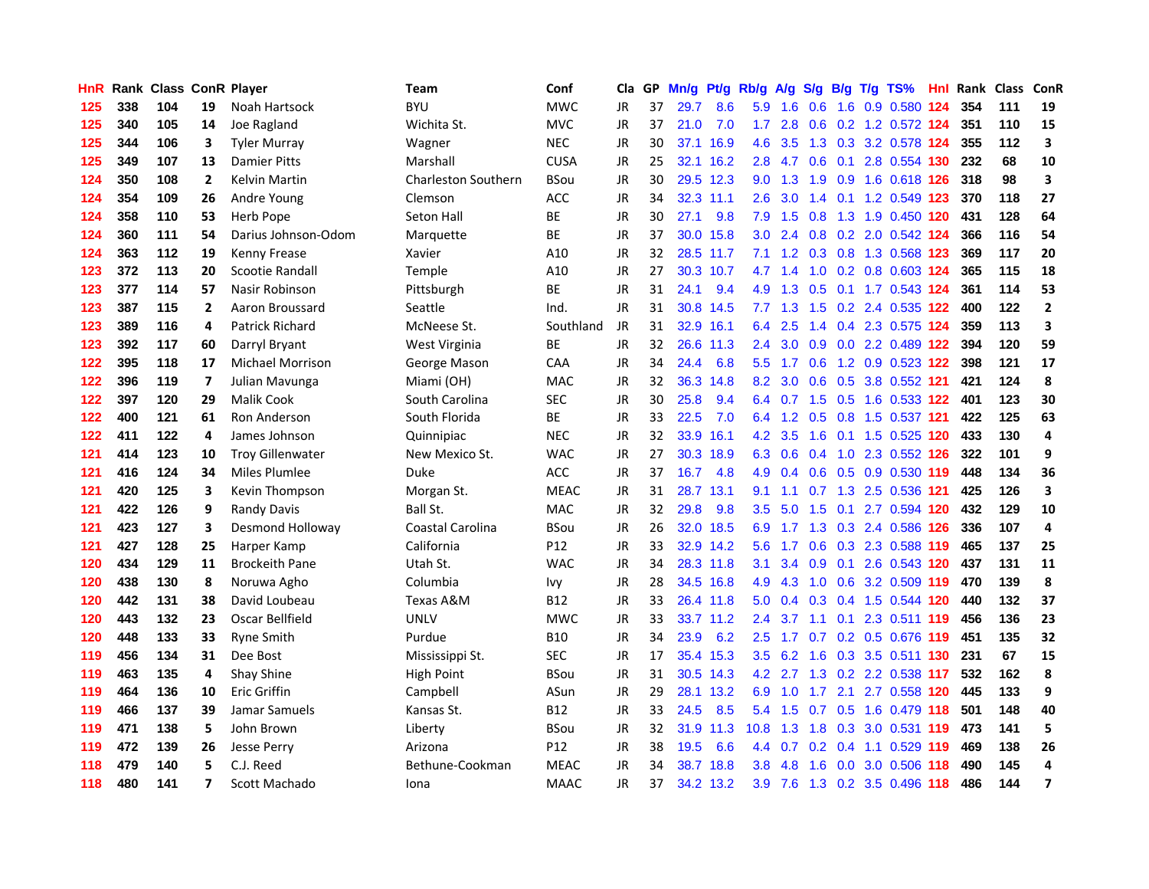| HnR |     | <b>Rank Class ConR Player</b> |              |                         | Team                       | Conf            | Cla       |    | GP Mn/g Pt/g |           | Rb/g             | <b>A/g</b>      |               |             | S/g B/g T/g TS%               | Hnl | Rank Class ConR |     |                |
|-----|-----|-------------------------------|--------------|-------------------------|----------------------------|-----------------|-----------|----|--------------|-----------|------------------|-----------------|---------------|-------------|-------------------------------|-----|-----------------|-----|----------------|
| 125 | 338 | 104                           | 19           | Noah Hartsock           | <b>BYU</b>                 | <b>MWC</b>      | JR        | 37 | 29.7         | 8.6       | 5.9              | 1.6             | 0.6           | 1.6         | 0.9 0.580                     | 124 | 354             | 111 | 19             |
| 125 | 340 | 105                           | 14           | Joe Ragland             | Wichita St.                | <b>MVC</b>      | <b>JR</b> | 37 | 21.0         | 7.0       | 1.7 <sup>2</sup> | 2.8             | 0.6           |             | 0.2 1.2 0.572 124             |     | 351             | 110 | 15             |
| 125 | 344 | 106                           | 3            | <b>Tyler Murray</b>     | Wagner                     | <b>NEC</b>      | <b>JR</b> | 30 |              | 37.1 16.9 | 4.6              | 3.5             | 1.3           |             | 0.3 3.2 0.578 124             |     | 355             | 112 | 3              |
| 125 | 349 | 107                           | 13           | <b>Damier Pitts</b>     | Marshall                   | <b>CUSA</b>     | <b>JR</b> | 25 |              | 32.1 16.2 | 2.8              |                 | 4.7 0.6 0.1   |             | 2.8 0.554 130                 |     | 232             | 68  | 10             |
| 124 | 350 | 108                           | $\mathbf{2}$ | Kelvin Martin           | <b>Charleston Southern</b> | <b>BSou</b>     | <b>JR</b> | 30 |              | 29.5 12.3 |                  | $9.0 \quad 1.3$ |               |             | 1.9 0.9 1.6 0.618 126         |     | 318             | 98  | 3              |
| 124 | 354 | 109                           | 26           | Andre Young             | Clemson                    | ACC             | JR        | 34 |              | 32.3 11.1 | 2.6              | 3.0             |               |             | 1.4 0.1 1.2 0.549 123         |     | 370             | 118 | 27             |
| 124 | 358 | 110                           | 53           | <b>Herb Pope</b>        | <b>Seton Hall</b>          | ВE              | <b>JR</b> | 30 | 27.1         | 9.8       | 7.9              | 1.5             | 0.8           |             | 1.3 1.9 0.450 120             |     | 431             | 128 | 64             |
| 124 | 360 | 111                           | 54           | Darius Johnson-Odom     | Marquette                  | BE              | JR        | 37 |              | 30.0 15.8 | 3.0              | 2.4             |               |             | 0.8 0.2 2.0 0.542 124         |     | 366             | 116 | 54             |
| 124 | 363 | 112                           | 19           | Kenny Frease            | Xavier                     | A10             | JR        | 32 |              | 28.5 11.7 | 7.1              | 1.2             |               |             | 0.3 0.8 1.3 0.568 123         |     | 369             | 117 | 20             |
| 123 | 372 | 113                           | 20           | Scootie Randall         | Temple                     | A10             | JR        | 27 |              | 30.3 10.7 | 4.7              | 1.4             | 1.0           |             | 0.2 0.8 0.603 124             |     | 365             | 115 | 18             |
| 123 | 377 | 114                           | 57           | Nasir Robinson          | Pittsburgh                 | BE              | <b>JR</b> | 31 | 24.1         | 9.4       | 4.9              | 1.3             | 0.5           |             | 0.1 1.7 0.543 124             |     | 361             | 114 | 53             |
| 123 | 387 | 115                           | $\mathbf{2}$ | Aaron Broussard         | Seattle                    | Ind.            | <b>JR</b> | 31 |              | 30.8 14.5 | 7.7              | 1.3             | 1.5           |             | 0.2 2.4 0.535 122             |     | 400             | 122 | $\mathbf{2}$   |
| 123 | 389 | 116                           | 4            | Patrick Richard         | McNeese St.                | Southland       | JR        | 31 |              | 32.9 16.1 | 6.4              | 2.5             | $1.4^{\circ}$ | 0.4         | 2.3 0.575 124                 |     | 359             | 113 | 3              |
| 123 | 392 | 117                           | 60           | Darryl Bryant           | West Virginia              | <b>BE</b>       | <b>JR</b> | 32 |              | 26.6 11.3 | $2.4^{\circ}$    | 3.0             | 0.9           |             | 0.0 2.2 0.489 122             |     | 394             | 120 | 59             |
| 122 | 395 | 118                           | 17           | <b>Michael Morrison</b> | George Mason               | CAA             | <b>JR</b> | 34 | 24.4         | 6.8       | 5.5              | 1.7             | 0.6           |             | 1.2 0.9 0.523 122             |     | 398             | 121 | 17             |
| 122 | 396 | 119                           | 7            | Julian Mavunga          | Miami (OH)                 | <b>MAC</b>      | JR        | 32 | 36.3         | 14.8      | 8.2              | 3.0             | 0.6           | 0.5         | 3.8 0.552 121                 |     | 421             | 124 | 8              |
| 122 | 397 | 120                           | 29           | <b>Malik Cook</b>       | South Carolina             | <b>SEC</b>      | <b>JR</b> | 30 | 25.8         | 9.4       |                  | 6.4 0.7         |               | $1.5 \t0.5$ | 1.6 0.533 122                 |     | 401             | 123 | 30             |
| 122 | 400 | 121                           | 61           | Ron Anderson            | South Florida              | ВE              | JR        | 33 | 22.5         | 7.0       |                  |                 |               |             | 6.4 1.2 0.5 0.8 1.5 0.537 121 |     | 422             | 125 | 63             |
| 122 | 411 | 122                           | 4            | James Johnson           | Quinnipiac                 | <b>NEC</b>      | <b>JR</b> | 32 |              | 33.9 16.1 |                  | 4.2 3.5         |               |             | 1.6 0.1 1.5 0.525 120         |     | 433             | 130 | 4              |
| 121 | 414 | 123                           | 10           | <b>Troy Gillenwater</b> | New Mexico St.             | <b>WAC</b>      | JR        | 27 |              | 30.3 18.9 |                  | 6.3 0.6         |               |             | 0.4 1.0 2.3 0.552 126         |     | 322             | 101 | 9              |
| 121 | 416 | 124                           | 34           | <b>Miles Plumlee</b>    | <b>Duke</b>                | ACC             | <b>JR</b> | 37 | 16.7         | 4.8       | 4.9              | 0.4             |               |             | 0.6 0.5 0.9 0.530 119         |     | 448             | 134 | 36             |
| 121 | 420 | 125                           | 3            | Kevin Thompson          | Morgan St.                 | <b>MEAC</b>     | JR        | 31 |              | 28.7 13.1 | 9.1              | 1.1             |               |             | 0.7 1.3 2.5 0.536 121         |     | 425             | 126 | 3              |
| 121 | 422 | 126                           | 9            | Randy Davis             | Ball St.                   | <b>MAC</b>      | <b>JR</b> | 32 | 29.8         | 9.8       | 3.5              | 5.0             | 1.5           | 0.1         | 2.7 0.594 120                 |     | 432             | 129 | 10             |
| 121 | 423 | 127                           | 3            | Desmond Holloway        | Coastal Carolina           | <b>BSou</b>     | JR        | 26 | 32.0         | 18.5      | 6.9              | 1.7             |               |             | 1.3 0.3 2.4 0.586 126         |     | 336             | 107 | 4              |
| 121 | 427 | 128                           | 25           | Harper Kamp             | California                 | P12             | <b>JR</b> | 33 |              | 32.9 14.2 | 5.6              | 1.7             |               |             | 0.6 0.3 2.3 0.588 119         |     | 465             | 137 | 25             |
| 120 | 434 | 129                           | 11           | <b>Brockeith Pane</b>   | Utah St.                   | <b>WAC</b>      | JR        | 34 |              | 28.3 11.8 | 3.1              | 3.4             | 0.9           | 0.1         | 2.6 0.543 120                 |     | 437             | 131 | 11             |
| 120 | 438 | 130                           | 8            | Noruwa Agho             | Columbia                   | Ivy             | <b>JR</b> | 28 |              | 34.5 16.8 | 4.9              | 4.3             | 1.0           | 0.6         | 3.2 0.509 119                 |     | 470             | 139 | 8              |
| 120 | 442 | 131                           | 38           | David Loubeau           | Texas A&M                  | <b>B12</b>      | JR        | 33 |              | 26.4 11.8 | 5.0              | 0.4             | 0.3           |             | 0.4 1.5 0.544 120             |     | 440             | 132 | 37             |
| 120 | 443 | 132                           | 23           | Oscar Bellfield         | <b>UNLV</b>                | <b>MWC</b>      | <b>JR</b> | 33 |              | 33.7 11.2 | $2.4^{\circ}$    | 3.7             | 1.1           | 0.1         | 2.3 0.511 119                 |     | 456             | 136 | 23             |
| 120 | 448 | 133                           | 33           | <b>Ryne Smith</b>       | Purdue                     | <b>B10</b>      | <b>JR</b> | 34 | 23.9         | 6.2       | 2.5              | 1.7             | 0.7           |             | 0.2 0.5 0.676 119             |     | 451             | 135 | 32             |
| 119 | 456 | 134                           | 31           | Dee Bost                | Mississippi St.            | <b>SEC</b>      | <b>JR</b> | 17 |              | 35.4 15.3 | 3.5              | 6.2             | 1.6           |             | 0.3 3.5 0.511 130             |     | 231             | 67  | 15             |
| 119 | 463 | 135                           | 4            | Shay Shine              | High Point                 | <b>BSou</b>     | <b>JR</b> | 31 |              | 30.5 14.3 |                  | $4.2$ 2.7       |               |             | 1.3 0.2 2.2 0.538 117         |     | 532             | 162 | 8              |
| 119 | 464 | 136                           | 10           | <b>Eric Griffin</b>     | Campbell                   | ASun            | <b>JR</b> | 29 |              | 28.1 13.2 | 6.9              | 1.0             | 1.7           |             | 2.1 2.7 0.558 120             |     | 445             | 133 | 9              |
| 119 | 466 | 137                           | 39           | Jamar Samuels           | Kansas St.                 | <b>B12</b>      | <b>JR</b> | 33 | 24.5         | 8.5       | 5.4              | 1.5             | 0.7           |             | 0.5 1.6 0.479 118             |     | 501             | 148 | 40             |
| 119 | 471 | 138                           | 5            | John Brown              | Liberty                    | <b>BSou</b>     | JR        | 32 |              | 31.9 11.3 | 10.8             | 1.3             | 1.8           |             | 0.3 3.0 0.531 119             |     | 473             | 141 | 5              |
| 119 | 472 | 139                           | 26           | Jesse Perry             | Arizona                    | P <sub>12</sub> | <b>JR</b> | 38 | 19.5         | 6.6       | $4.4^{\circ}$    | 0.7             | 0.2           | 0.4         | 1.1 0.529 119                 |     | 469             | 138 | 26             |
| 118 | 479 | 140                           | 5            | C.J. Reed               | Bethune-Cookman            | <b>MEAC</b>     | <b>JR</b> | 34 | 38.7         | 18.8      | 3.8              | 4.8             | 1.6           | 0.0         | 3.0 0.506                     | 118 | 490             | 145 | 4              |
| 118 | 480 | 141                           | 7            | Scott Machado           | Iona                       | <b>MAAC</b>     | JR        | 37 |              | 34.2 13.2 | 3.9 <sup>°</sup> | 7.6             |               |             | 1.3 0.2 3.5 0.496 118         |     | 486             | 144 | $\overline{7}$ |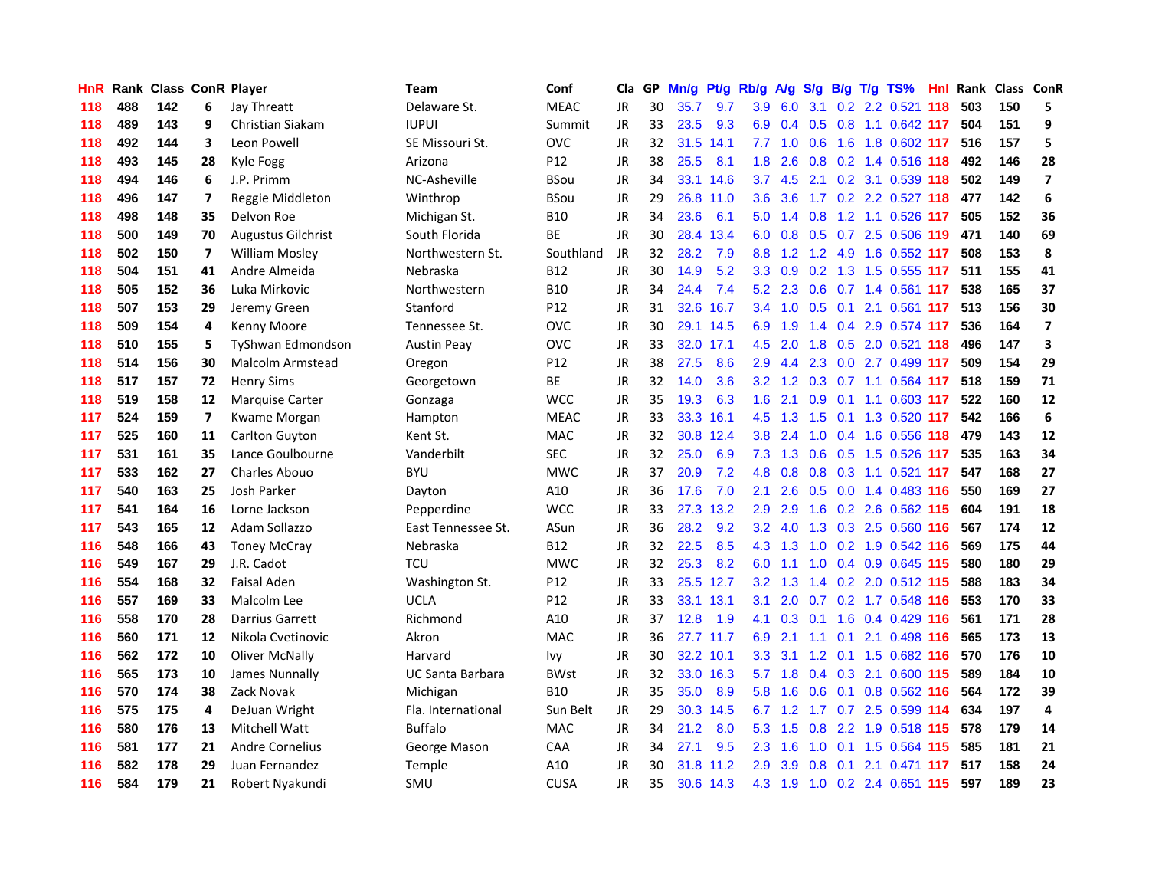| <b>HnR</b> |     | Rank Class ConR Player |                         |                           | Team               | Conf        | Cla       |    | GP Mn/g |           | Pt/g Rb/g A/g    |             | <b>S/g</b> |     | B/g T/g TS%                   | Hnl |     | Rank Class ConR |                         |
|------------|-----|------------------------|-------------------------|---------------------------|--------------------|-------------|-----------|----|---------|-----------|------------------|-------------|------------|-----|-------------------------------|-----|-----|-----------------|-------------------------|
| 118        | 488 | 142                    | 6                       | Jay Threatt               | Delaware St.       | <b>MEAC</b> | JR.       | 30 | 35.7    | 9.7       | 3.9              | 6.0         | 3.1        | 0.2 | 2.2 0.521                     | 118 | 503 | 150             | 5                       |
| 118        | 489 | 143                    | 9                       | Christian Siakam          | <b>IUPUI</b>       | Summit      | JR        | 33 | 23.5    | 9.3       | 6.9              | 0.4         | 0.5        | 0.8 | 1.1 0.642 117                 |     | 504 | 151             | 9                       |
| 118        | 492 | 144                    | 3                       | Leon Powell               | SE Missouri St.    | <b>OVC</b>  | JR        | 32 | 31.5    | 14.1      | 7.7              | 1.0         | 0.6        | 1.6 | 1.8 0.602 117                 |     | 516 | 157             | 5                       |
| 118        | 493 | 145                    | 28                      | Kyle Fogg                 | Arizona            | P12         | JR        | 38 | 25.5    | 8.1       | 1.8 <sup>°</sup> | 2.6         | 0.8        |     | 0.2 1.4 0.516 118             |     | 492 | 146             | 28                      |
| 118        | 494 | 146                    | 6                       | J.P. Primm                | NC-Asheville       | <b>BSou</b> | JR        | 34 |         | 33.1 14.6 | 3.7              |             |            |     | 4.5 2.1 0.2 3.1 0.539 118     |     | 502 | 149             | $\overline{\mathbf{z}}$ |
| 118        | 496 | 147                    | 7                       | Reggie Middleton          | Winthrop           | <b>BSou</b> | JR        | 29 |         | 26.8 11.0 |                  | $3.6$ $3.6$ |            |     | 1.7 0.2 2.2 0.527 118         |     | 477 | 142             | 6                       |
| 118        | 498 | 148                    | 35                      | Delvon Roe                | Michigan St.       | <b>B10</b>  | JR        | 34 | 23.6    | 6.1       | 5.0              |             |            |     | 1.4 0.8 1.2 1.1 0.526 117     |     | 505 | 152             | 36                      |
| 118        | 500 | 149                    | 70                      | <b>Augustus Gilchrist</b> | South Florida      | ВE          | JR        | 30 |         | 28.4 13.4 | 6.0              | 0.8         |            |     | 0.5 0.7 2.5 0.506 119         |     | 471 | 140             | 69                      |
| 118        | 502 | 150                    | 7                       | <b>William Mosley</b>     | Northwestern St.   | Southland   | <b>JR</b> | 32 | 28.2    | 7.9       | 8.8 <sub>1</sub> | 1.2         |            |     | 1.2 4.9 1.6 0.552 117         |     | 508 | 153             | 8                       |
| 118        | 504 | 151                    | 41                      | Andre Almeida             | Nebraska           | <b>B12</b>  | <b>JR</b> | 30 | 14.9    | 5.2       | 3.3 <sub>2</sub> | 0.9         |            |     | 0.2 1.3 1.5 0.555 117         |     | 511 | 155             | 41                      |
| 118        | 505 | 152                    | 36                      | Luka Mirkovic             | Northwestern       | <b>B10</b>  | JR        | 34 | 24.4    | 7.4       | 5.2              | 2.3         | 0.6        |     | 0.7 1.4 0.561                 | 117 | 538 | 165             | 37                      |
| 118        | 507 | 153                    | 29                      | Jeremy Green              | Stanford           | P12         | JR        | 31 | 32.6    | 16.7      | $3.4^{\circ}$    | 1.0         | 0.5        | 0.1 | 2.1 0.561 117                 |     | 513 | 156             | 30                      |
| 118        | 509 | 154                    | 4                       | Kenny Moore               | Tennessee St.      | OVC         | JR        | 30 |         | 29.1 14.5 | 6.9              | 1.9         | 1.4        |     | 0.4 2.9 0.574 117             |     | 536 | 164             | $\overline{\mathbf{z}}$ |
| 118        | 510 | 155                    | 5                       | TyShwan Edmondson         | <b>Austin Peay</b> | <b>OVC</b>  | JR.       | 33 |         | 32.0 17.1 | 4.5              | 2.0         | 1.8        | 0.5 | 2.0 0.521 118                 |     | 496 | 147             | 3                       |
| 118        | 514 | 156                    | 30                      | Malcolm Armstead          | Oregon             | P12         | JR        | 38 | 27.5    | 8.6       | 2.9              | 4.4         | 2.3        | 0.0 | 2.7 0.499 117                 |     | 509 | 154             | 29                      |
| 118        | 517 | 157                    | 72                      | <b>Henry Sims</b>         | Georgetown         | BE          | JR        | 32 | 14.0    | 3.6       | 3.2              | 1.2         | 0.3        |     | 0.7 1.1 0.564 117             |     | 518 | 159             | 71                      |
| 118        | 519 | 158                    | 12                      | <b>Marquise Carter</b>    | Gonzaga            | <b>WCC</b>  | JR        | 35 | 19.3    | 6.3       | 1.6              | 2.1         | 0.9        | 0.1 | 1.1 0.603 117                 |     | 522 | 160             | 12                      |
| 117        | 524 | 159                    | $\overline{\mathbf{z}}$ | Kwame Morgan              | Hampton            | <b>MEAC</b> | JR        | 33 |         | 33.3 16.1 | 4.5              | 1.3         |            |     | 1.5 0.1 1.3 0.520 117         |     | 542 | 166             | 6                       |
| 117        | 525 | 160                    | 11                      | <b>Carlton Guyton</b>     | Kent St.           | <b>MAC</b>  | JR        | 32 |         | 30.8 12.4 |                  |             |            |     | 3.8 2.4 1.0 0.4 1.6 0.556 118 |     | 479 | 143             | 12                      |
| 117        | 531 | 161                    | 35                      | Lance Goulbourne          | Vanderbilt         | <b>SEC</b>  | JR        | 32 | 25.0    | 6.9       | 7.3              |             |            |     | 1.3 0.6 0.5 1.5 0.526 117     |     | 535 | 163             | 34                      |
| 117        | 533 | 162                    | 27                      | <b>Charles Abouo</b>      | <b>BYU</b>         | <b>MWC</b>  | JR        | 37 | 20.9    | 7.2       | 4.8              | 0.8         |            |     | 0.8 0.3 1.1 0.521 117         |     | 547 | 168             | 27                      |
| 117        | 540 | 163                    | 25                      | Josh Parker               | Dayton             | A10         | JR        | 36 | 17.6    | 7.0       | 2.1              | 2.6         |            |     | 0.5 0.0 1.4 0.483 116         |     | 550 | 169             | 27                      |
| 117        | 541 | 164                    | 16                      | Lorne Jackson             | Pepperdine         | <b>WCC</b>  | JR        | 33 | 27.3    | 13.2      | 2.9              | 2.9         | 1.6        |     | 0.2 2.6 0.562 115             |     | 604 | 191             | 18                      |
| 117        | 543 | 165                    | 12                      | Adam Sollazzo             | East Tennessee St. | ASun        | JR        | 36 | 28.2    | 9.2       | 3.2 <sub>2</sub> | 4.0         | 1.3        |     | 0.3 2.5 0.560 116             |     | 567 | 174             | 12                      |
| 116        | 548 | 166                    | 43                      | <b>Toney McCray</b>       | Nebraska           | B12         | JR        | 32 | 22.5    | 8.5       | 4.3              | 1.3         |            |     | 1.0 0.2 1.9 0.542 116         |     | 569 | 175             | 44                      |
| 116        | 549 | 167                    | 29                      | J.R. Cadot                | <b>TCU</b>         | <b>MWC</b>  | <b>JR</b> | 32 | 25.3    | 8.2       | 6.0              | 1.1         | 1.0        |     | 0.4 0.9 0.645 115             |     | 580 | 180             | 29                      |
| 116        | 554 | 168                    | 32                      | <b>Faisal Aden</b>        | Washington St.     | P12         | JR.       | 33 |         | 25.5 12.7 | 3.2              | 1.3         |            |     | 1.4 0.2 2.0 0.512 115         |     | 588 | 183             | 34                      |
| 116        | 557 | 169                    | 33                      | Malcolm Lee               | <b>UCLA</b>        | P12         | JR        | 33 |         | 33.1 13.1 | 3.1              | 2.0         | 0.7        |     | 0.2 1.7 0.548 116             |     | 553 | 170             | 33                      |
| 116        | 558 | 170                    | 28                      | <b>Darrius Garrett</b>    | Richmond           | A10         | JR        | 37 | 12.8    | 1.9       | 4.1              | 0.3         | 0.1        | 1.6 | 0.4 0.429 116                 |     | 561 | 171             | 28                      |
| 116        | 560 | 171                    | 12                      | Nikola Cvetinovic         | Akron              | <b>MAC</b>  | JR        | 36 |         | 27.7 11.7 | 6.9              | 2.1         | 1.1        | 0.1 | 2.1 0.498 116                 |     | 565 | 173             | 13                      |
| 116        | 562 | 172                    | 10                      | Oliver McNally            | Harvard            | Ivv         | JR        | 30 |         | 32.2 10.1 | 3.3 <sub>1</sub> | 3.1         |            |     | 1.2 0.1 1.5 0.682 116         |     | 570 | 176             | 10                      |
| 116        | 565 | 173                    | 10                      | James Nunnally            | UC Santa Barbara   | <b>BWst</b> | <b>JR</b> | 32 |         | 33.0 16.3 |                  |             |            |     | 5.7 1.8 0.4 0.3 2.1 0.600 115 |     | 589 | 184             | 10                      |
| 116        | 570 | 174                    | 38                      | Zack Novak                | Michigan           | <b>B10</b>  | JR        | 35 | 35.0    | 8.9       | 5.8              | 1.6         | 0.6        |     | 0.1 0.8 0.562 116             |     | 564 | 172             | 39                      |
| 116        | 575 | 175                    | 4                       | DeJuan Wright             | Fla. International | Sun Belt    | JR        | 29 |         | 30.3 14.5 | 6.7              | 1.2         |            |     | 1.7 0.7 2.5 0.599 114         |     | 634 | 197             | 4                       |
| 116        | 580 | 176                    | 13                      | Mitchell Watt             | <b>Buffalo</b>     | <b>MAC</b>  | JR        | 34 | 21.2    | 8.0       | 5.3              | 1.5         | 0.8        |     | 2.2 1.9 0.518 115             |     | 578 | 179             | 14                      |
| 116        | 581 | 177                    | 21                      | <b>Andre Cornelius</b>    | George Mason       | CAA         | JR        | 34 | 27.1    | 9.5       | $2.3^{\circ}$    | 1.6         | 1.0        | 0.1 | 1.5 0.564 115                 |     | 585 | 181             | 21                      |
| 116        | 582 | 178                    | 29                      | Juan Fernandez            | Temple             | A10         | JR        | 30 | 31.8    | 11.2      | 2.9              | 3.9         | 0.8        | 0.1 | 2.1 0.471                     | 117 | 517 | 158             | 24                      |
| 116        | 584 | 179                    | 21                      | Robert Nyakundi           | SMU                | <b>CUSA</b> | <b>JR</b> | 35 |         | 30.6 14.3 | 4.3              | 1.9         |            |     | 1.0 0.2 2.4 0.651 115         |     | 597 | 189             | 23                      |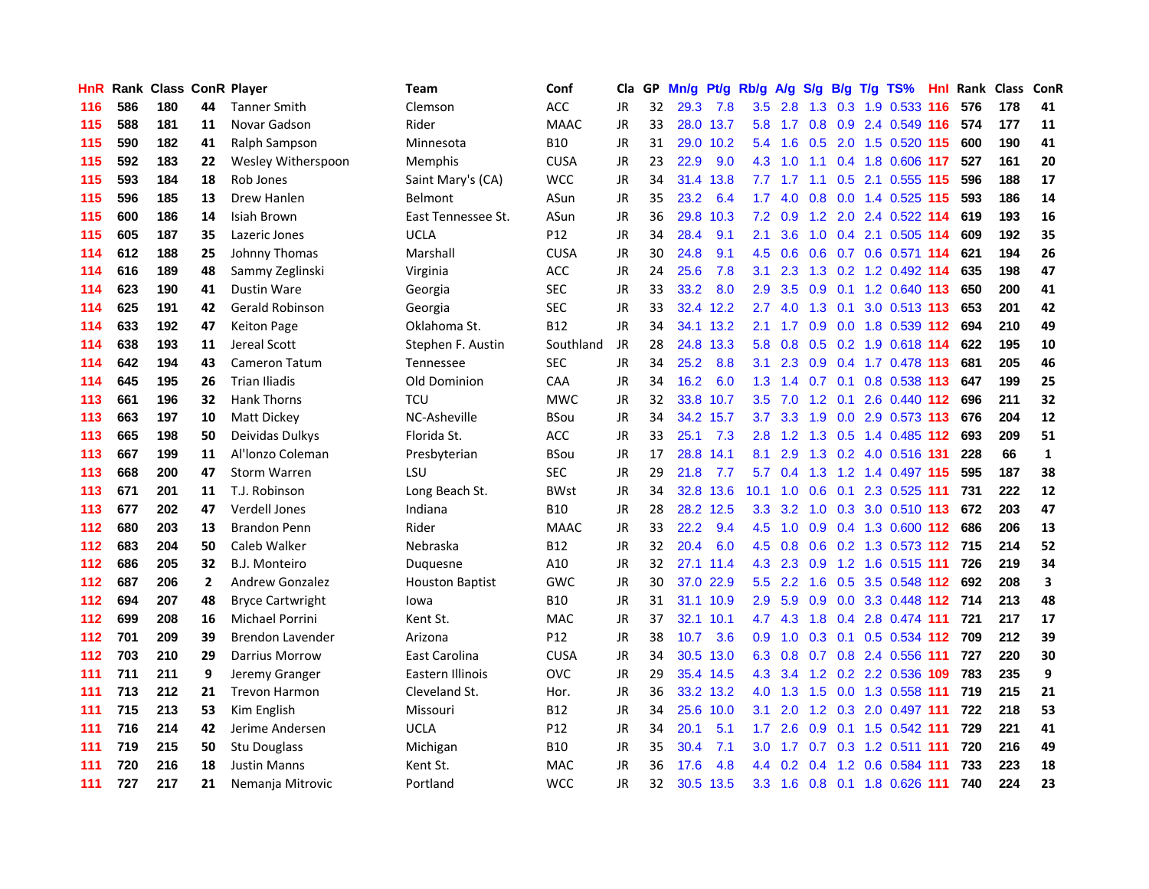| <b>HnR</b> |     |     |              | Rank Class ConR Player  | Team                   | Conf        | Cla       |    | GP Mn/g | Pt/g      | Rb/g             | <b>A/g</b>  | S/g |                   | B/g T/g TS%                   | Hnl |     | Rank Class ConR |                         |
|------------|-----|-----|--------------|-------------------------|------------------------|-------------|-----------|----|---------|-----------|------------------|-------------|-----|-------------------|-------------------------------|-----|-----|-----------------|-------------------------|
| 116        | 586 | 180 | 44           | <b>Tanner Smith</b>     | <b>Clemson</b>         | <b>ACC</b>  | JR.       | 32 | 29.3    | 7.8       | 3.5              | 2.8         | 1.3 | 0.3               | 1.9 0.533                     | 116 | 576 | 178             | 41                      |
| 115        | 588 | 181 | 11           | Novar Gadson            | Rider                  | <b>MAAC</b> | JR        | 33 | 28.0    | 13.7      | 5.8              | 1.7         | 0.8 | 0.9               | 2.4 0.549 116                 |     | 574 | 177             | 11                      |
| 115        | 590 | 182 | 41           | Ralph Sampson           | Minnesota              | <b>B10</b>  | JR        | 31 | 29.0    | 10.2      | 5.4              | 1.6         | 0.5 | 2.0               | 1.5 0.520 115                 |     | 600 | 190             | 41                      |
| 115        | 592 | 183 | 22           | Wesley Witherspoon      | Memphis                | <b>CUSA</b> | JR        | 23 | 22.9    | 9.0       | 4.3              | 1.0         | 1.1 |                   | 0.4 1.8 0.606 117             |     | 527 | 161             | 20                      |
| 115        | 593 | 184 | 18           | Rob Jones               | Saint Mary's (CA)      | <b>WCC</b>  | JR        | 34 |         | 31.4 13.8 |                  | $7.7$ 1.7   |     |                   | 1.1 0.5 2.1 0.555 115         |     | 596 | 188             | 17                      |
| 115        | 596 | 185 | 13           | Drew Hanlen             | <b>Belmont</b>         | ASun        | JR        | 35 | 23.2    | 6.4       | 1.7 <sub>z</sub> | 4.0         | 0.8 |                   | 0.0 1.4 0.525 115             |     | 593 | 186             | 14                      |
| 115        | 600 | 186 | 14           | Isiah Brown             | East Tennessee St.     | ASun        | JR        | 36 |         | 29.8 10.3 | 7.2              | 0.9         |     |                   | 1.2 2.0 2.4 0.522 114         |     | 619 | 193             | 16                      |
| 115        | 605 | 187 | 35           | Lazeric Jones           | <b>UCLA</b>            | P12         | JR        | 34 | 28.4    | 9.1       | 2.1              | 3.6         | 1.0 |                   | 0.4 2.1 0.505 114             |     | 609 | 192             | 35                      |
| 114        | 612 | 188 | 25           | Johnny Thomas           | Marshall               | <b>CUSA</b> | <b>JR</b> | 30 | 24.8    | 9.1       | 4.5              | 0.6         | 0.6 |                   | 0.7 0.6 0.571 114             |     | 621 | 194             | 26                      |
| 114        | 616 | 189 | 48           | Sammy Zeglinski         | Virginia               | <b>ACC</b>  | JR        | 24 | 25.6    | 7.8       | 3.1              | 2.3         | 1.3 |                   | 0.2 1.2 0.492 114             |     | 635 | 198             | 47                      |
| 114        | 623 | 190 | 41           | Dustin Ware             | Georgia                | <b>SEC</b>  | JR        | 33 | 33.2    | 8.0       | 2.9              | 3.5         | 0.9 |                   | 0.1 1.2 0.640 113             |     | 650 | 200             | 41                      |
| 114        | 625 | 191 | 42           | <b>Gerald Robinson</b>  | Georgia                | <b>SEC</b>  | JR        | 33 |         | 32.4 12.2 | 2.7              | 4.0         | 1.3 | 0.1               | 3.0 0.513 113                 |     | 653 | 201             | 42                      |
| 114        | 633 | 192 | 47           | <b>Keiton Page</b>      | Oklahoma St.           | <b>B12</b>  | JR.       | 34 |         | 34.1 13.2 | 2.1              | 1.7         | 0.9 | 0.0               | 1.8 0.539 112                 |     | 694 | 210             | 49                      |
| 114        | 638 | 193 | 11           | Jereal Scott            | Stephen F. Austin      | Southland   | JR        | 28 |         | 24.8 13.3 | 5.8              | 0.8         | 0.5 |                   | 0.2 1.9 0.618 114             |     | 622 | 195             | 10                      |
| 114        | 642 | 194 | 43           | Cameron Tatum           | Tennessee              | <b>SEC</b>  | <b>JR</b> | 34 | 25.2    | 8.8       | 3.1              | 2.3         | 0.9 |                   | 0.4 1.7 0.478 113             |     | 681 | 205             | 46                      |
| 114        | 645 | 195 | 26           | <b>Trian Iliadis</b>    | Old Dominion           | CAA         | JR        | 34 | 16.2    | 6.0       | 1.3              | 1.4         |     | $0.7 \quad 0.1$   | 0.8 0.538 113                 |     | 647 | 199             | 25                      |
| 113        | 661 | 196 | 32           | Hank Thorns             | <b>TCU</b>             | <b>MWC</b>  | JR        | 32 |         | 33.8 10.7 |                  | $3.5$ $7.0$ |     |                   | 1.2 0.1 2.6 0.440 112         |     | 696 | 211             | 32                      |
| 113        | 663 | 197 | 10           | Matt Dickey             | NC-Asheville           | <b>BSou</b> | JR        | 34 |         | 34.2 15.7 | 3.7              |             |     |                   | 3.3 1.9 0.0 2.9 0.573 113     |     | 676 | 204             | 12                      |
| 113        | 665 | 198 | 50           | Deividas Dulkys         | Florida St.            | <b>ACC</b>  | JR        | 33 | 25.1    | 7.3       | 2.8              |             |     |                   | 1.2 1.3 0.5 1.4 0.485 112     |     | 693 | 209             | 51                      |
| 113        | 667 | 199 | 11           | Al'Ionzo Coleman        | Presbyterian           | BSou        | JR        | 17 |         | 28.8 14.1 | 8.1              | 2.9         |     |                   | 1.3 0.2 4.0 0.516 131         |     | 228 | 66              | $\mathbf{1}$            |
| 113        | 668 | 200 | 47           | <b>Storm Warren</b>     | LSU                    | <b>SEC</b>  | JR        | 29 | 21.8    | 7.7       | 5.7              | 0.4         | 1.3 |                   | 1.2 1.4 0.497 115             |     | 595 | 187             | 38                      |
| 113        | 671 | 201 | 11           | T.J. Robinson           | Long Beach St.         | <b>BWst</b> | JR        | 34 | 32.8    | 13.6      | 10.1             | 1.0         | 0.6 | 0.1               | 2.3 0.525 111                 |     | 731 | 222             | 12                      |
| 113        | 677 | 202 | 47           | Verdell Jones           | Indiana                | B10         | JR        | 28 |         | 28.2 12.5 | 3.3 <sub>1</sub> | 3.2         | 1.0 |                   | 0.3 3.0 0.510 113             |     | 672 | 203             | 47                      |
| 112        | 680 | 203 | 13           | <b>Brandon Penn</b>     | Rider                  | <b>MAAC</b> | JR        | 33 | 22.2    | 9.4       | 4.5              | 1.0         |     |                   | 0.9 0.4 1.3 0.600 112         |     | 686 | 206             | 13                      |
| 112        | 683 | 204 | 50           | Caleb Walker            | Nebraska               | <b>B12</b>  | JR.       | 32 | 20.4    | 6.0       |                  | $4.5$ 0.8   | 0.6 |                   | 0.2 1.3 0.573 112             |     | 715 | 214             | 52                      |
| 112        | 686 | 205 | 32           | B.J. Monteiro           | Duquesne               | A10         | JR        | 32 |         | 27.1 11.4 | 4.3              | 2.3         | 0.9 |                   | 1.2 1.6 0.515 111             |     | 726 | 219             | 34                      |
| 112        | 687 | 206 | $\mathbf{2}$ | <b>Andrew Gonzalez</b>  | <b>Houston Baptist</b> | <b>GWC</b>  | JR.       | 30 | 37.0    | 22.9      | 5.5              | 2.2         | 1.6 | 0.5               | 3.5 0.548 112                 |     | 692 | 208             | $\overline{\mathbf{3}}$ |
| 112        | 694 | 207 | 48           | <b>Bryce Cartwright</b> | lowa                   | <b>B10</b>  | JR        | 31 |         | 31.1 10.9 | 2.9              | 5.9         | 0.9 | 0.0               | 3.3 0.448 112                 |     | 714 | 213             | 48                      |
| 112        | 699 | 208 | 16           | <b>Michael Porrini</b>  | Kent St.               | <b>MAC</b>  | JR        | 37 |         | 32.1 10.1 | 4.7              | 4.3         | 1.8 |                   | 0.4 2.8 0.474 111             |     | 721 | 217             | 17                      |
| 112        | 701 | 209 | 39           | Brendon Lavender        | Arizona                | P12         | JR        | 38 | 10.7    | 3.6       | 0.9 <sup>°</sup> |             |     | $1.0 \t0.3 \t0.1$ | $0.5$ 0.534 112               |     | 709 | 212             | 39                      |
| 112        | 703 | 210 | 29           | Darrius Morrow          | East Carolina          | <b>CUSA</b> | <b>JR</b> | 34 |         | 30.5 13.0 |                  |             |     |                   | 6.3 0.8 0.7 0.8 2.4 0.556 111 |     | 727 | 220             | 30                      |
| 111        | 711 | 211 | 9            | Jeremy Granger          | Eastern Illinois       | OVC         | JR        | 29 |         | 35.4 14.5 | 4.3              |             |     |                   | 3.4 1.2 0.2 2.2 0.536 109     |     | 783 | 235             | 9                       |
| 111        | 713 | 212 | 21           | <b>Trevon Harmon</b>    | Cleveland St.          | Hor.        | JR        | 36 |         | 33.2 13.2 | 4.0              | 1.3         | 1.5 |                   | 0.0 1.3 0.558 111             |     | 719 | 215             | 21                      |
| 111        | 715 | 213 | 53           | Kim English             | Missouri               | B12         | JR        | 34 |         | 25.6 10.0 | 3.1              | 2.0         |     |                   | 1.2 0.3 2.0 0.497 111         |     | 722 | 218             | 53                      |
| 111        | 716 | 214 | 42           | Jerime Andersen         | UCLA                   | P12         | JR        | 34 | 20.1    | 5.1       | $1.7^{\circ}$    | 2.6         | 0.9 |                   | 0.1 1.5 0.542 111             |     | 729 | 221             | 41                      |
| 111        | 719 | 215 | 50           | Stu Douglass            | Michigan               | B10         | JR        | 35 | 30.4    | 7.1       | $3.0\,$          | 1.7         | 0.7 |                   | 0.3 1.2 0.511 111             |     | 720 | 216             | 49                      |
| 111        | 720 | 216 | 18           | <b>Justin Manns</b>     | Kent St.               | MAC         | JR        | 36 | 17.6    | 4.8       | $4.4^{\circ}$    | 0.2         | 0.4 | 1.2               | 0.6 0.584                     | 111 | 733 | 223             | 18                      |
| 111        | 727 | 217 | 21           | Nemanja Mitrovic        | Portland               | <b>WCC</b>  | <b>JR</b> | 32 | 30.5    | 13.5      |                  |             |     |                   | 3.3 1.6 0.8 0.1 1.8 0.626 111 |     | 740 | 224             | 23                      |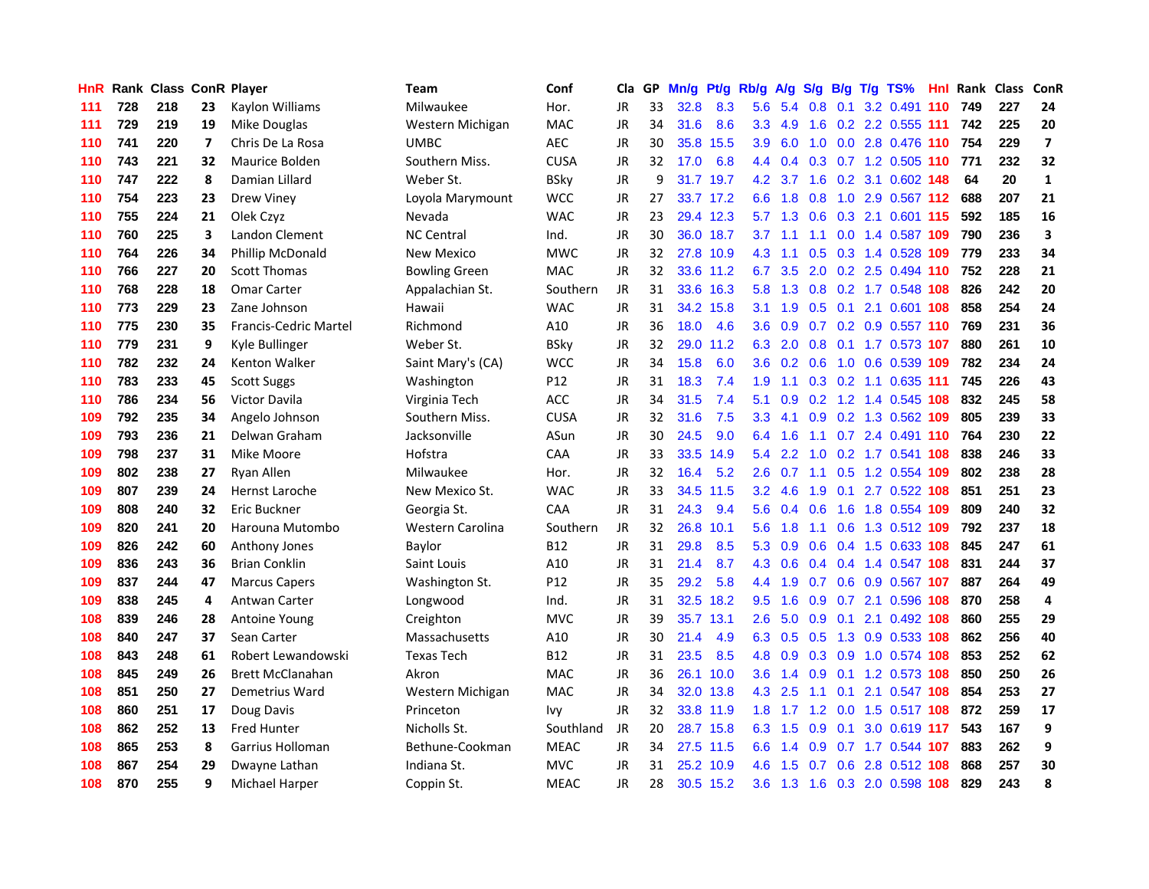| HnR. |     | Rank Class ConR Player |                |                              | Team                 | Conf            | Cla       | GP. | Mn/g Pt/g |           | Rb/g A/g         |                    |             |     | S/g B/g T/g TS%               | Hnl  | Rank Class |     | <b>ConR</b>    |
|------|-----|------------------------|----------------|------------------------------|----------------------|-----------------|-----------|-----|-----------|-----------|------------------|--------------------|-------------|-----|-------------------------------|------|------------|-----|----------------|
| 111  | 728 | 218                    | 23             | Kaylon Williams              | Milwaukee            | Hor.            | JR.       | 33  | 32.8      | 8.3       | 5.6              | 5.4                | 0.8         | 0.1 | 3.2 0.491                     | -110 | 749        | 227 | 24             |
| 111  | 729 | 219                    | 19             | Mike Douglas                 | Western Michigan     | <b>MAC</b>      | <b>JR</b> | 34  | 31.6      | 8.6       | 3.3 <sub>2</sub> | 4.9                | 1.6         |     | 0.2 2.2 0.555 111             |      | 742        | 225 | 20             |
| 110  | 741 | 220                    | $\overline{ }$ | Chris De La Rosa             | <b>UMBC</b>          | <b>AEC</b>      | <b>JR</b> | 30  | 35.8      | 15.5      | 3.9              | 6.0                | 1.0         | 0.0 | 2.8 0.476 110                 |      | 754        | 229 | $\overline{7}$ |
| 110  | 743 | 221                    | 32             | Maurice Bolden               | Southern Miss.       | <b>CUSA</b>     | JR        | 32  | 17.0      | 6.8       |                  | 4.4 0.4            |             |     | 0.3 0.7 1.2 0.505 110         |      | 771        | 232 | 32             |
| 110  | 747 | 222                    | 8              | Damian Lillard               | Weber St.            | <b>BSky</b>     | <b>JR</b> | 9   |           | 31.7 19.7 |                  | $4.2 \quad 3.7$    |             |     | 1.6 0.2 3.1 0.602 148         |      | 64         | 20  | $\mathbf{1}$   |
| 110  | 754 | 223                    | 23             | <b>Drew Viney</b>            | Loyola Marymount     | <b>WCC</b>      | <b>JR</b> | 27  |           | 33.7 17.2 | 6.6              | 1.8                | 0.8         |     | 1.0 2.9 0.567 112             |      | 688        | 207 | 21             |
| 110  | 755 | 224                    | 21             | Olek Czyz                    | Nevada               | <b>WAC</b>      | JR        | 23  |           | 29.4 12.3 | 5.7              | 1.3                | 0.6         |     | 0.3 2.1 0.601 115             |      | 592        | 185 | 16             |
| 110  | 760 | 225                    | 3              | Landon Clement               | <b>NC Central</b>    | Ind.            | <b>JR</b> | 30  |           | 36.0 18.7 | 3.7              | 1.1                | 1.1         |     | 0.0 1.4 0.587 109             |      | 790        | 236 | 3              |
| 110  | 764 | 226                    | 34             | <b>Phillip McDonald</b>      | New Mexico           | <b>MWC</b>      | <b>JR</b> | 32  |           | 27.8 10.9 | 4.3              | 1.1                | 0.5         |     | $0.3$ 1.4 $0.528$             | 109  | 779        | 233 | 34             |
| 110  | 766 | 227                    | 20             | <b>Scott Thomas</b>          | <b>Bowling Green</b> | <b>MAC</b>      | JR        | 32  |           | 33.6 11.2 | 6.7              | 3.5                | 2.0         |     | 0.2 2.5 0.494 110             |      | 752        | 228 | 21             |
| 110  | 768 | 228                    | 18             | Omar Carter                  | Appalachian St.      | Southern        | JR        | 31  |           | 33.6 16.3 | 5.8              | 1.3                | 0.8         |     | 0.2 1.7 0.548                 | 108  | 826        | 242 | 20             |
| 110  | 773 | 229                    | 23             | Zane Johnson                 | Hawaii               | <b>WAC</b>      | <b>JR</b> | 31  |           | 34.2 15.8 | 3.1              | 1.9                | 0.5         | 0.1 | 2.1 0.601                     | 108  | 858        | 254 | 24             |
| 110  | 775 | 230                    | 35             | <b>Francis-Cedric Martel</b> | Richmond             | A10             | JR        | 36  | 18.0      | 4.6       | 3.6 <sup>°</sup> | 0.9                | 0.7         |     | 0.2 0.9 0.557 110             |      | 769        | 231 | 36             |
| 110  | 779 | 231                    | 9              | Kyle Bullinger               | Weber St.            | <b>BSky</b>     | <b>JR</b> | 32  | 29.0      | 11.2      | 6.3              | 2.0                | 0.8         |     | 0.1 1.7 0.573 107             |      | 880        | 261 | 10             |
| 110  | 782 | 232                    | 24             | Kenton Walker                | Saint Mary's (CA)    | <b>WCC</b>      | <b>JR</b> | 34  | 15.8      | 6.0       | 3.6 <sup>°</sup> | 0.2                | 0.6         | 1.0 | 0.6 0.539 109                 |      | 782        | 234 | 24             |
| 110  | 783 | 233                    | 45             | <b>Scott Suggs</b>           | Washington           | P <sub>12</sub> | JR        | 31  | 18.3      | 7.4       | 1.9              | 1.1                |             |     | 0.3 0.2 1.1 0.635 111         |      | 745        | 226 | 43             |
| 110  | 786 | 234                    | 56             | Victor Davila                | Virginia Tech        | <b>ACC</b>      | JR        | 34  | 31.5      | 7.4       | 5.1              | 0.9                |             |     | 0.2 1.2 1.4 0.545 108         |      | 832        | 245 | 58             |
| 109  | 792 | 235                    | 34             | Angelo Johnson               | Southern Miss.       | <b>CUSA</b>     | <b>JR</b> | 32  | 31.6      | 7.5       | 3.3 <sub>2</sub> | 4.1                |             |     | 0.9 0.2 1.3 0.562 109         |      | 805        | 239 | 33             |
| 109  | 793 | 236                    | 21             | Delwan Graham                | Jacksonville         | ASun            | <b>JR</b> | 30  | 24.5      | 9.0       | 6.4              | 1.6                |             |     | 1.1 0.7 2.4 0.491 110         |      | 764        | 230 | 22             |
| 109  | 798 | 237                    | 31             | Mike Moore                   | Hofstra              | CAA             | JR        | 33  | 33.5      | 14.9      | 5.4              | 2.2                |             |     | 1.0 0.2 1.7 0.541 108         |      | 838        | 246 | 33             |
| 109  | 802 | 238                    | 27             | Rvan Allen                   | Milwaukee            | Hor.            | JR        | 32  | 16.4      | 5.2       | $2.6^{\circ}$    | 0.7                |             |     | 1.1 0.5 1.2 0.554 109         |      | 802        | 238 | 28             |
| 109  | 807 | 239                    | 24             | Hernst Laroche               | New Mexico St.       | <b>WAC</b>      | <b>JR</b> | 33  | 34.5      | 11.5      | 3.2 <sub>2</sub> | 4.6                | 1.9         |     | 0.1 2.7 0.522 108             |      | 851        | 251 | 23             |
| 109  | 808 | 240                    | 32             | Eric Buckner                 | Georgia St.          | <b>CAA</b>      | JR        | 31  | 24.3      | 9.4       | 5.6              | 0.4                | 0.6         | 1.6 | 1.8 0.554 109                 |      | 809        | 240 | 32             |
| 109  | 820 | 241                    | 20             | Harouna Mutombo              | Western Carolina     | Southern        | JR        | 32  | 26.8      | 10.1      | 5.6              | 1.8                | 1.1         | 0.6 | 1.3 0.512 109                 |      | 792        | 237 | 18             |
| 109  | 826 | 242                    | 60             | Anthony Jones                | Baylor               | <b>B12</b>      | <b>JR</b> | 31  | 29.8      | 8.5       | 5.3              | 0.9                | 0.6         |     | 0.4 1.5 0.633 108             |      | 845        | 247 | 61             |
| 109  | 836 | 243                    | 36             | <b>Brian Conklin</b>         | Saint Louis          | A10             | JR        | 31  | 21.4      | 8.7       | 4.3              | 0.6                | 0.4         |     | $0.4$ 1.4 $0.547$             | 108  | 831        | 244 | 37             |
| 109  | 837 | 244                    | 47             | <b>Marcus Capers</b>         | Washington St.       | P <sub>12</sub> | <b>JR</b> | 35  | 29.2      | 5.8       | 4.4              | 1.9                | 0.7         |     | 0.6 0.9 0.567                 | 107  | 887        | 264 | 49             |
| 109  | 838 | 245                    | 4              | Antwan Carter                | Longwood             | Ind.            | <b>JR</b> | 31  |           | 32.5 18.2 | 9.5              | 1.6                | 0.9         |     | 0.7 2.1 0.596                 | 108  | 870        | 258 | 4              |
| 108  | 839 | 246                    | 28             | <b>Antoine Young</b>         | Creighton            | <b>MVC</b>      | JR        | 39  | 35.7      | 13.1      | 2.6              | 5.0                | 0.9         | 0.1 | 2.1 0.492 108                 |      | 860        | 255 | 29             |
| 108  | 840 | 247                    | 37             | Sean Carter                  | Massachusetts        | A10             | JR        | 30  | 21.4      | 4.9       |                  |                    | 6.3 0.5 0.5 |     | 1.3 0.9 0.533 108             |      | 862        | 256 | 40             |
| 108  | 843 | 248                    | 61             | Robert Lewandowski           | <b>Texas Tech</b>    | <b>B12</b>      | <b>JR</b> | 31  | 23.5      | 8.5       | 4.8              | 0.9                |             |     | 0.3 0.9 1.0 0.574 108         |      | 853        | 252 | 62             |
| 108  | 845 | 249                    | 26             | <b>Brett McClanahan</b>      | Akron                | <b>MAC</b>      | <b>JR</b> | 36  |           | 26.1 10.0 | 3.6 <sup>°</sup> | 1.4                | 0.9         |     | 0.1 1.2 0.573 108             |      | 850        | 250 | 26             |
| 108  | 851 | 250                    | 27             | Demetrius Ward               | Western Michigan     | <b>MAC</b>      | <b>JR</b> | 34  |           | 32.0 13.8 | 4.3              | 2.5                | 1.1         |     | 0.1 2.1 0.547 108             |      | 854        | 253 | 27             |
| 108  | 860 | 251                    | 17             | Doug Davis                   | Princeton            | Ivy             | <b>JR</b> | 32  |           | 33.8 11.9 | 1.8 <sup>°</sup> | 1.7                | 1.2         |     | 0.0 1.5 0.517 108             |      | 872        | 259 | 17             |
| 108  | 862 | 252                    | 13             | <b>Fred Hunter</b>           | Nicholls St.         | Southland       | JR        | 20  |           | 28.7 15.8 | 6.3              | 1.5                | 0.9         | 0.1 | 3.0 0.619 117                 |      | 543        | 167 | 9              |
| 108  | 865 | 253                    | 8              | Garrius Holloman             | Bethune-Cookman      | <b>MEAC</b>     | JR        | 34  | 27.5      | 11.5      | 6.6              | $\mathbf{A}$<br>-1 | 0.9         | 0.7 | 1.7 0.544                     | -107 | 883        | 262 | 9              |
| 108  | 867 | 254                    | 29             | Dwayne Lathan                | Indiana St.          | <b>MVC</b>      | <b>JR</b> | 31  | 25.2      | 10.9      | 4.6              | 1.5                | 0.7         | 0.6 | 2.8 0.512                     | 108  | 868        | 257 | 30             |
| 108  | 870 | 255                    | 9              | Michael Harper               | Coppin St.           | <b>MEAC</b>     | <b>JR</b> | 28  |           | 30.5 15.2 |                  |                    |             |     | 3.6 1.3 1.6 0.3 2.0 0.598 108 |      | 829        | 243 | 8              |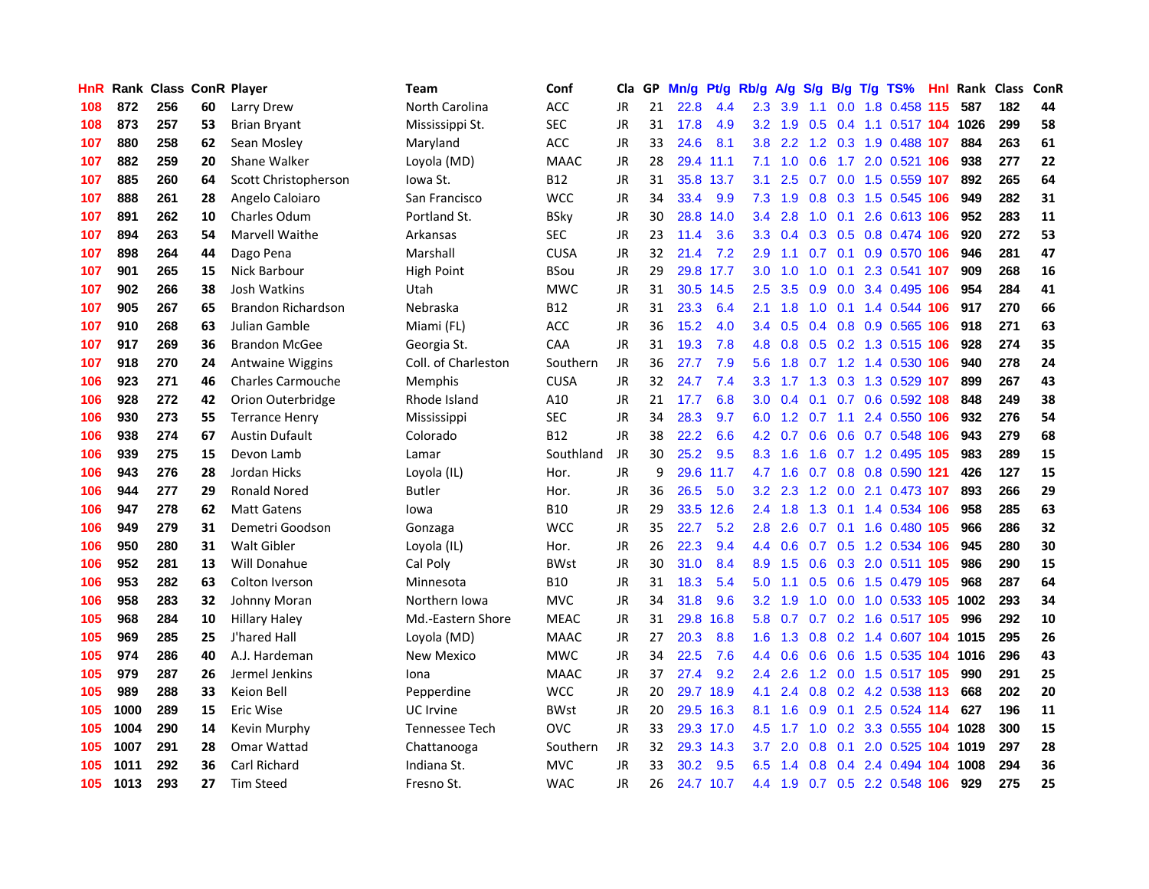| HnR. |      | <b>Rank Class ConR Player</b> |    |                           | Team                | Conf        | Cla       | GP. | Mn/g | Pt/g      | Rb/g             | A/g     | <b>S/g</b> |     | B/g T/g TS%                    | Hnl | Rank Class |     | ConR |
|------|------|-------------------------------|----|---------------------------|---------------------|-------------|-----------|-----|------|-----------|------------------|---------|------------|-----|--------------------------------|-----|------------|-----|------|
| 108  | 872  | 256                           | 60 | Larry Drew                | North Carolina      | ACC         | JR        | 21  | 22.8 | 4.4       | 2.3              | 3.9     | 1.1        | 0.0 | 1.8 0.458 115                  |     | 587        | 182 | 44   |
| 108  | 873  | 257                           | 53 | <b>Brian Bryant</b>       | Mississippi St.     | <b>SEC</b>  | <b>JR</b> | 31  | 17.8 | 4.9       | 3.2 <sub>2</sub> | 1.9     | 0.5        | 0.4 | 1.1 0.517 104                  |     | 1026       | 299 | 58   |
| 107  | 880  | 258                           | 62 | Sean Mosley               | Maryland            | ACC         | JR        | 33  | 24.6 | 8.1       | 3.8 <sub>2</sub> | 2.2     |            |     | 1.2 0.3 1.9 0.488 107          |     | 884        | 263 | 61   |
| 107  | 882  | 259                           | 20 | Shane Walker              | Loyola (MD)         | <b>MAAC</b> | <b>JR</b> | 28  | 29.4 | 11.1      | 7.1              | 1.0     | 0.6        |     | 1.7 2.0 0.521 106              |     | 938        | 277 | 22   |
| 107  | 885  | 260                           | 64 | Scott Christopherson      | Iowa St.            | <b>B12</b>  | <b>JR</b> | 31  |      | 35.8 13.7 | 3.1              | 2.5     |            |     | 0.7 0.0 1.5 0.559 107          |     | 892        | 265 | 64   |
| 107  | 888  | 261                           | 28 | Angelo Caloiaro           | San Francisco       | <b>WCC</b>  | JR        | 34  | 33.4 | 9.9       | 7.3              | 1.9     |            |     | 0.8 0.3 1.5 0.545 106          |     | 949        | 282 | 31   |
| 107  | 891  | 262                           | 10 | <b>Charles Odum</b>       | Portland St.        | <b>BSky</b> | JR        | 30  | 28.8 | 14.0      | $3.4^{\circ}$    | 2.8     | 1.0        |     | 0.1 2.6 0.613 106              |     | 952        | 283 | 11   |
| 107  | 894  | 263                           | 54 | Marvell Waithe            | Arkansas            | <b>SEC</b>  | <b>JR</b> | 23  | 11.4 | 3.6       | 3.3              | 0.4     |            |     | 0.3 0.5 0.8 0.474 106          |     | 920        | 272 | 53   |
| 107  | 898  | 264                           | 44 | Dago Pena                 | Marshall            | <b>CUSA</b> | <b>JR</b> | 32  | 21.4 | 7.2       | 2.9              | 1.1     | 0.7        | 0.1 | 0.9 0.570 106                  |     | 946        | 281 | 47   |
| 107  | 901  | 265                           | 15 | Nick Barbour              | <b>High Point</b>   | <b>BSou</b> | <b>JR</b> | 29  |      | 29.8 17.7 | 3.0              | 1.0     | 1.0        | 0.1 | 2.3 0.541 107                  |     | 909        | 268 | 16   |
| 107  | 902  | 266                           | 38 | Josh Watkins              | Utah                | <b>MWC</b>  | <b>JR</b> | 31  |      | 30.5 14.5 | 2.5              | 3.5     | 0.9        |     | 0.0 3.4 0.495 106              |     | 954        | 284 | 41   |
| 107  | 905  | 267                           | 65 | <b>Brandon Richardson</b> | Nebraska            | <b>B12</b>  | <b>JR</b> | 31  | 23.3 | 6.4       | 2.1              | 1.8     | 1.0        | 0.1 | 1.4 0.544                      | 106 | 917        | 270 | 66   |
| 107  | 910  | 268                           | 63 | Julian Gamble             | Miami (FL)          | <b>ACC</b>  | JR        | 36  | 15.2 | 4.0       | $3.4^{\circ}$    | 0.5     | 0.4        | 0.8 | 0.9 0.565                      | 106 | 918        | 271 | 63   |
| 107  | 917  | 269                           | 36 | <b>Brandon McGee</b>      | Georgia St.         | CAA         | JR        | 31  | 19.3 | 7.8       | 4.8              | 0.8     | 0.5        |     | 0.2 1.3 0.515 106              |     | 928        | 274 | 35   |
| 107  | 918  | 270                           | 24 | <b>Antwaine Wiggins</b>   | Coll. of Charleston | Southern    | <b>JR</b> | 36  | 27.7 | 7.9       | 5.6              | 1.8     | 0.7        | 1.2 | 1.4 0.530 106                  |     | 940        | 278 | 24   |
| 106  | 923  | 271                           | 46 | <b>Charles Carmouche</b>  | Memphis             | <b>CUSA</b> | <b>JR</b> | 32  | 24.7 | 7.4       | 3.3 <sub>2</sub> | 1.7     |            |     | 1.3 0.3 1.3 0.529 107          |     | 899        | 267 | 43   |
| 106  | 928  | 272                           | 42 | Orion Outerbridge         | Rhode Island        | A10         | <b>JR</b> | 21  | 17.7 | 6.8       | 3.0 <sub>1</sub> |         |            |     | 0.4 0.1 0.7 0.6 0.592 108      |     | 848        | 249 | 38   |
| 106  | 930  | 273                           | 55 | <b>Terrance Henry</b>     | Mississippi         | <b>SEC</b>  | <b>JR</b> | 34  | 28.3 | 9.7       | 6.0              |         |            |     | 1.2 0.7 1.1 2.4 0.550 106      |     | 932        | 276 | 54   |
| 106  | 938  | 274                           | 67 | <b>Austin Dufault</b>     | Colorado            | <b>B12</b>  | JR        | 38  | 22.2 | 6.6       |                  |         |            |     | 4.2 0.7 0.6 0.6 0.7 0.548 106  |     | 943        | 279 | 68   |
| 106  | 939  | 275                           | 15 | Devon Lamb                | Lamar               | Southland   | JR        | 30  | 25.2 | 9.5       | 8.3              | 1.6     | 1.6        |     | 0.7 1.2 0.495 105              |     | 983        | 289 | 15   |
| 106  | 943  | 276                           | 28 | Jordan Hicks              | Loyola (IL)         | Hor.        | <b>JR</b> | 9   | 29.6 | 11.7      | 4.7              | 1.6     |            |     | 0.7 0.8 0.8 0.590 121          |     | 426        | 127 | 15   |
| 106  | 944  | 277                           | 29 | <b>Ronald Nored</b>       | <b>Butler</b>       | Hor.        | <b>JR</b> | 36  | 26.5 | 5.0       | 3.2              | 2.3     | 1.2        |     | 0.0 2.1 0.473 107              |     | 893        | 266 | 29   |
| 106  | 947  | 278                           | 62 | <b>Matt Gatens</b>        | lowa                | <b>B10</b>  | JR        | 29  | 33.5 | 12.6      | $2.4^{\circ}$    | 1.8     | 1.3        |     | 0.1 1.4 0.534 106              |     | 958        | 285 | 63   |
| 106  | 949  | 279                           | 31 | Demetri Goodson           | Gonzaga             | <b>WCC</b>  | JR        | 35  | 22.7 | 5.2       | 2.8              | 2.6     |            |     | 0.7 0.1 1.6 0.480 105          |     | 966        | 286 | 32   |
| 106  | 950  | 280                           | 31 | Walt Gibler               | Loyola (IL)         | Hor.        | JR        | 26  | 22.3 | 9.4       | 4.4              | 0.6     |            |     | 0.7 0.5 1.2 0.534 106          |     | 945        | 280 | 30   |
| 106  | 952  | 281                           | 13 | <b>Will Donahue</b>       | Cal Poly            | <b>BWst</b> | <b>JR</b> | 30  | 31.0 | 8.4       | 8.9              | 1.5     | 0.6        | 0.3 | 2.0 0.511 105                  |     | 986        | 290 | 15   |
| 106  | 953  | 282                           | 63 | Colton Iverson            | Minnesota           | <b>B10</b>  | <b>JR</b> | 31  | 18.3 | 5.4       | 5.0              | 1.1     | 0.5        | 0.6 | 1.5 0.479 105                  |     | 968        | 287 | 64   |
| 106  | 958  | 283                           | 32 | Johnny Moran              | Northern Iowa       | <b>MVC</b>  | <b>JR</b> | 34  | 31.8 | 9.6       | 3.2 <sub>2</sub> | 1.9     | 1.0        | 0.0 | 1.0 0.533 105                  |     | 1002       | 293 | 34   |
| 105  | 968  | 284                           | 10 | <b>Hillary Haley</b>      | Md.-Eastern Shore   | <b>MEAC</b> | JR        | 31  | 29.8 | 16.8      | 5.8              | 0.7     |            |     | 0.7 0.2 1.6 0.517 105          |     | 996        | 292 | 10   |
| 105  | 969  | 285                           | 25 | J'hared Hall              | Loyola (MD)         | <b>MAAC</b> | JR        | 27  | 20.3 | 8.8       | 1.6 <sup>°</sup> |         |            |     | 1.3 0.8 0.2 1.4 0.607 104 1015 |     |            | 295 | 26   |
| 105  | 974  | 286                           | 40 | A.J. Hardeman             | New Mexico          | <b>MWC</b>  | JR        | 34  | 22.5 | 7.6       |                  | 4.4 0.6 |            |     | 0.6 0.6 1.5 0.535 104 1016     |     |            | 296 | 43   |
| 105  | 979  | 287                           | 26 | Jermel Jenkins            | Iona                | <b>MAAC</b> | <b>JR</b> | 37  | 27.4 | 9.2       | $2.4^{\circ}$    | 2.6     |            |     | 1.2 0.0 1.5 0.517 105          |     | 990        | 291 | 25   |
| 105  | 989  | 288                           | 33 | <b>Keion Bell</b>         | Pepperdine          | <b>WCC</b>  | <b>JR</b> | 20  |      | 29.7 18.9 | 4.1              | 2.4     |            |     | 0.8 0.2 4.2 0.538 113          |     | 668        | 202 | 20   |
| 105  | 1000 | 289                           | 15 | Eric Wise                 | UC Irvine           | <b>BWst</b> | <b>JR</b> | 20  |      | 29.5 16.3 | 8.1              | 1.6     | 0.9        | 0.1 | 2.5 0.524 114                  |     | 627        | 196 | 11   |
| 105  | 1004 | 290                           | 14 | Kevin Murphy              | Tennessee Tech      | <b>OVC</b>  | <b>JR</b> | 33  |      | 29.3 17.0 | 4.5              | 1.7     | 1.0        |     | 0.2 3.3 0.555 104 1028         |     |            | 300 | 15   |
| 105  | 1007 | 291                           | 28 | Omar Wattad               | Chattanooga         | Southern    | JR        | 32  |      | 29.3 14.3 | 3.7              | 2.0     | 0.8        | 0.1 | 2.0 0.525                      |     | 104 1019   | 297 | 28   |
| 105  | 1011 | 292                           | 36 | Carl Richard              | Indiana St.         | <b>MVC</b>  | <b>JR</b> | 33  | 30.2 | 9.5       | 6.5              | 1.4     | 0.8        | 0.4 | 2.4 0.494                      | 104 | 1008       | 294 | 36   |
| 105  | 1013 | 293                           | 27 | <b>Tim Steed</b>          | Fresno St.          | <b>WAC</b>  | <b>JR</b> | 26  |      | 24.7 10.7 |                  | 4.4 1.9 |            |     | 0.7 0.5 2.2 0.548 106          |     | 929        | 275 | 25   |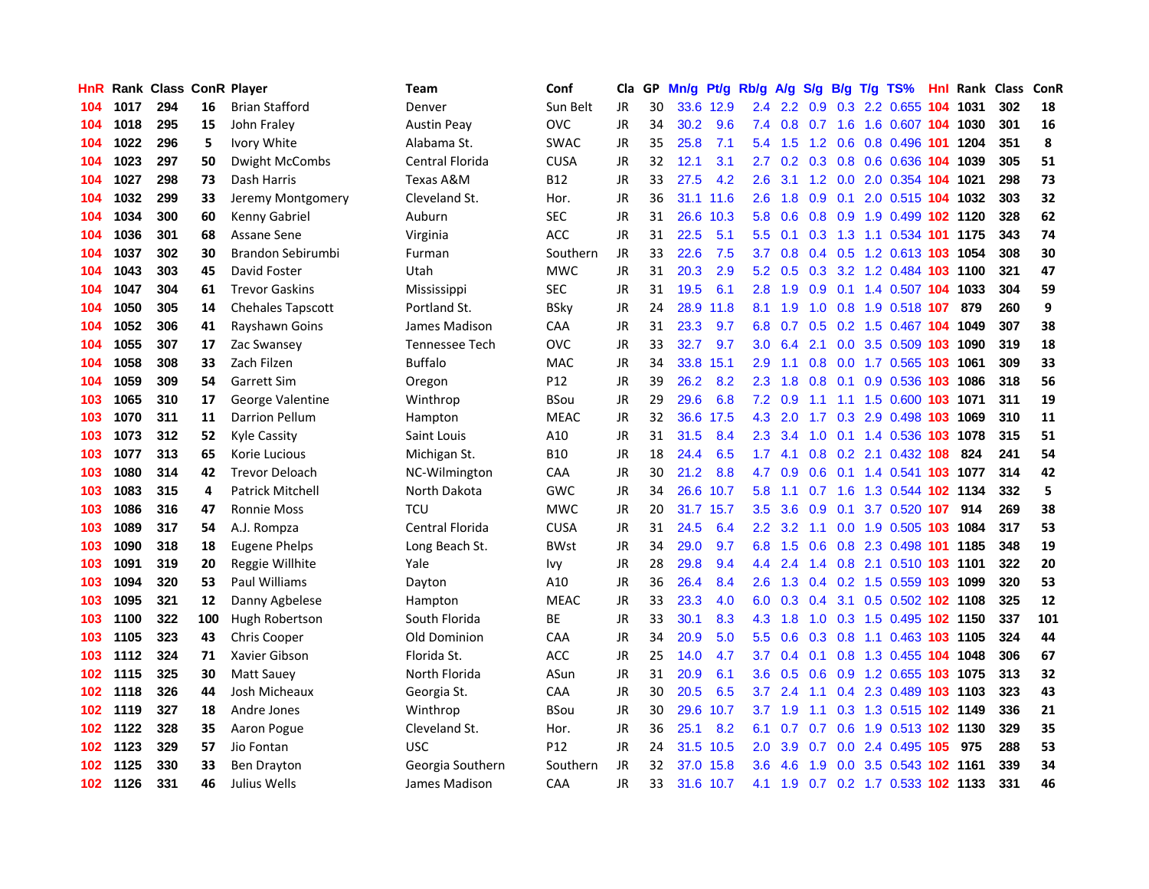| HnR.             |      | <b>Rank Class ConR Player</b> |     |                          | Team               | Conf            | Cla       | GP. | Mn/g | Pt/g      | Rb/g A/g         |                 |     |     | S/g B/g T/g TS%                | Hnl | Rank Class |     | ConR |
|------------------|------|-------------------------------|-----|--------------------------|--------------------|-----------------|-----------|-----|------|-----------|------------------|-----------------|-----|-----|--------------------------------|-----|------------|-----|------|
| 104              | 1017 | 294                           | 16  | <b>Brian Stafford</b>    | Denver             | Sun Belt        | JR.       | 30  |      | 33.6 12.9 | 2.4              | 2.2             | 0.9 | 0.3 | 2.2 0.655                      | 104 | 1031       | 302 | 18   |
| 104              | 1018 | 295                           | 15  | John Fraley              | <b>Austin Peay</b> | <b>OVC</b>      | <b>JR</b> | 34  | 30.2 | 9.6       | 7.4              | 0.8             | 0.7 | 1.6 | 1.6 0.607 104 1030             |     |            | 301 | 16   |
| 104              | 1022 | 296                           | 5   | Ivory White              | Alabama St.        | <b>SWAC</b>     | <b>JR</b> | 35  | 25.8 | 7.1       | $5.4^{\circ}$    | 1.5             | 1.2 | 0.6 | 0.8 0.496 101                  |     | 1204       | 351 | 8    |
| 104              | 1023 | 297                           | 50  | <b>Dwight McCombs</b>    | Central Florida    | <b>CUSA</b>     | <b>JR</b> | 32  | 12.1 | 3.1       | $2.7^{\circ}$    |                 |     |     | 0.2 0.3 0.8 0.6 0.636 104 1039 |     |            | 305 | 51   |
| 104              | 1027 | 298                           | 73  | Dash Harris              | Texas A&M          | <b>B12</b>      | <b>JR</b> | 33  | 27.5 | 4.2       | 2.6              | 3.1             |     |     | 1.2 0.0 2.0 0.354 104 1021     |     |            | 298 | 73   |
| 104              | 1032 | 299                           | 33  | Jeremy Montgomery        | Cleveland St.      | Hor.            | JR        | 36  |      | 31.1 11.6 | 2.6              | 1.8             |     |     | 0.9 0.1 2.0 0.515 104 1032     |     |            | 303 | 32   |
| 104              | 1034 | 300                           | 60  | Kenny Gabriel            | Auburn             | <b>SEC</b>      | JR        | 31  |      | 26.6 10.3 | 5.8              | 0.6             |     |     | 0.8 0.9 1.9 0.499 102 1120     |     |            | 328 | 62   |
| 104              | 1036 | 301                           | 68  | Assane Sene              | Virginia           | ACC             | JR        | 31  | 22.5 | 5.1       | $5.5^{\circ}$    | 0.1             |     |     | 0.3 1.3 1.1 0.534 101 1175     |     |            | 343 | 74   |
| 104              | 1037 | 302                           | 30  | Brandon Sebirumbi        | Furman             | Southern        | <b>JR</b> | 33  | 22.6 | 7.5       | 3.7              | 0.8             |     |     | 0.4 0.5 1.2 0.613 103 1054     |     |            | 308 | 30   |
| 104              | 1043 | 303                           | 45  | David Foster             | Utah               | <b>MWC</b>      | <b>JR</b> | 31  | 20.3 | 2.9       | 5.2              | 0.5             |     |     | 0.3 3.2 1.2 0.484 103 1100     |     |            | 321 | 47   |
| 104              | 1047 | 304                           | 61  | <b>Trevor Gaskins</b>    | Mississippi        | <b>SEC</b>      | JR        | 31  | 19.5 | 6.1       | 2.8              | 1.9             | 0.9 |     | 0.1 1.4 0.507 104 1033         |     |            | 304 | 59   |
| 104              | 1050 | 305                           | 14  | <b>Chehales Tapscott</b> | Portland St.       | <b>BSky</b>     | <b>JR</b> | 24  | 28.9 | 11.8      | 8.1              | 1.9             | 1.0 |     | 0.8 1.9 0.518 107              |     | 879        | 260 | 9    |
| 104              | 1052 | 306                           | 41  | Rayshawn Goins           | James Madison      | CAA             | JR        | 31  | 23.3 | 9.7       | 6.8              | 0.7             | 0.5 |     | 0.2 1.5 0.467 104 1049         |     |            | 307 | 38   |
| 104              | 1055 | 307                           | 17  | Zac Swansey              | Tennessee Tech     | <b>OVC</b>      | JR        | 33  | 32.7 | 9.7       | 3.0 <sub>2</sub> | 6.4             | 2.1 | 0.0 | 3.5 0.509 103                  |     | 1090       | 319 | 18   |
| 104              | 1058 | 308                           | 33  | Zach Filzen              | <b>Buffalo</b>     | <b>MAC</b>      | <b>JR</b> | 34  | 33.8 | 15.1      | 2.9              | 1.1             | 0.8 | 0.0 | 1.7 0.565                      | 103 | 1061       | 309 | 33   |
| 104              | 1059 | 309                           | 54  | <b>Garrett Sim</b>       | Oregon             | P <sub>12</sub> | <b>JR</b> | 39  | 26.2 | 8.2       | 2.3              | 1.8             | 0.8 | 0.1 | 0.9 0.536 103 1086             |     |            | 318 | 56   |
| 103              | 1065 | 310                           | 17  | George Valentine         | Winthrop           | <b>BSou</b>     | JR        | 29  | 29.6 | 6.8       |                  | $7.2 \quad 0.9$ | 1.1 |     | 1.1 1.5 0.600 103 1071         |     |            | 311 | 19   |
| 103              | 1070 | 311                           | 11  | <b>Darrion Pellum</b>    | Hampton            | <b>MEAC</b>     | JR        | 32  |      | 36.6 17.5 | 4.3              | 2.0             |     |     | 1.7 0.3 2.9 0.498 103 1069     |     |            | 310 | 11   |
| 103              | 1073 | 312                           | 52  | Kyle Cassity             | Saint Louis        | A10             | JR        | 31  | 31.5 | 8.4       |                  | $2.3 \quad 3.4$ |     |     | 1.0 0.1 1.4 0.536 103 1078     |     |            | 315 | 51   |
| 103              | 1077 | 313                           | 65  | Korie Lucious            | Michigan St.       | <b>B10</b>      | JR        | 18  | 24.4 | 6.5       | 1.7 <sub>z</sub> | 4.1             |     |     | 0.8 0.2 2.1 0.432 108          |     | 824        | 241 | 54   |
| 103              | 1080 | 314                           | 42  | <b>Trevor Deloach</b>    | NC-Wilmington      | CAA             | JR        | 30  | 21.2 | 8.8       | 4.7              | 0.9             |     |     | 0.6 0.1 1.4 0.541 103 1077     |     |            | 314 | 42   |
| 103              | 1083 | 315                           | 4   | <b>Patrick Mitchell</b>  | North Dakota       | <b>GWC</b>      | <b>JR</b> | 34  | 26.6 | 10.7      | 5.8              | 1.1             | 0.7 |     | 1.6 1.3 0.544 102 1134         |     |            | 332 | 5    |
| 103              | 1086 | 316                           | 47  | <b>Ronnie Moss</b>       | <b>TCU</b>         | <b>MWC</b>      | JR        | 20  |      | 31.7 15.7 | 3.5              | 3.6             | 0.9 | 0.1 | 3.7 0.520 107                  |     | 914        | 269 | 38   |
| 103              | 1089 | 317                           | 54  | A.J. Rompza              | Central Florida    | CUSA            | JR        | 31  | 24.5 | 6.4       | 2.2 <sub>2</sub> | 3.2             | 1.1 |     | 0.0 1.9 0.505 103 1084         |     |            | 317 | 53   |
| 103              | 1090 | 318                           | 18  | <b>Eugene Phelps</b>     | Long Beach St.     | <b>BWst</b>     | JR        | 34  | 29.0 | 9.7       | 6.8              | 1.5             | 0.6 |     | 0.8 2.3 0.498 101              |     | 1185       | 348 | 19   |
| 103              | 1091 | 319                           | 20  | Reggie Willhite          | Yale               | lvy.            | JR        | 28  | 29.8 | 9.4       | 4.4              | 2.4             | 1.4 |     | 0.8 2.1 0.510 103 1101         |     |            | 322 | 20   |
| 103              | 1094 | 320                           | 53  | Paul Williams            | Dayton             | A10             | <b>JR</b> | 36  | 26.4 | 8.4       | 2.6              | 1.3             |     |     | 0.4 0.2 1.5 0.559 103 1099     |     |            | 320 | 53   |
| 103              | 1095 | 321                           | 12  | Danny Agbelese           | Hampton            | <b>MEAC</b>     | <b>JR</b> | 33  | 23.3 | 4.0       | 6.0              | 0.3             | 0.4 |     | 3.1 0.5 0.502 102 1108         |     |            | 325 | 12   |
| 103              | 1100 | 322                           | 100 | Hugh Robertson           | South Florida      | <b>BE</b>       | <b>JR</b> | 33  | 30.1 | 8.3       | 4.3              | 1.8             | 1.0 |     | 0.3 1.5 0.495 102 1150         |     |            | 337 | 101  |
| 103              | 1105 | 323                           | 43  | <b>Chris Cooper</b>      | Old Dominion       | <b>CAA</b>      | JR        | 34  | 20.9 | 5.0       | 5.5 <sub>1</sub> | 0.6             |     |     | 0.3 0.8 1.1 0.463 103 1105     |     |            | 324 | 44   |
| 103              | 1112 | 324                           | 71  | Xavier Gibson            | Florida St.        | ACC             | JR        | 25  | 14.0 | 4.7       | 3.7              | 0.4             |     |     | 0.1 0.8 1.3 0.455 104 1048     |     |            | 306 | 67   |
| 102              | 1115 | 325                           | 30  | <b>Matt Sauey</b>        | North Florida      | ASun            | <b>JR</b> | 31  | 20.9 | 6.1       | 3.6 <sup>°</sup> | 0.5             |     |     | 0.6 0.9 1.2 0.655 103 1075     |     |            | 313 | 32   |
| 102              | 1118 | 326                           | 44  | Josh Micheaux            | Georgia St.        | CAA             | <b>JR</b> | 30  | 20.5 | 6.5       | 3.7              | 2.4             | 1.1 |     | 0.4 2.3 0.489 103 1103         |     |            | 323 | 43   |
| 102              | 1119 | 327                           | 18  | Andre Jones              | Winthrop           | <b>BSou</b>     | JR        | 30  | 29.6 | 10.7      | 3.7              | 1.9             | 1.1 |     | 0.3 1.3 0.515 102 1149         |     |            | 336 | 21   |
| 102              | 1122 | 328                           | 35  | Aaron Pogue              | Cleveland St.      | Hor.            | <b>JR</b> | 36  | 25.1 | 8.2       | 6.1              | 0.7             | 0.7 |     | 0.6 1.9 0.513 102 1130         |     |            | 329 | 35   |
| 102              | 1123 | 329                           | 57  | Jio Fontan               | <b>USC</b>         | P <sub>12</sub> | <b>JR</b> | 24  | 31.5 | 10.5      | 2.0              | 3.9             | 0.7 |     | 0.0 2.4 0.495 105              |     | 975        | 288 | 53   |
| 102              | 1125 | 330                           | 33  | <b>Ben Drayton</b>       | Georgia Southern   | Southern        | JR        | 32  | 37.0 | 15.8      | 3.6 <sup>°</sup> | 4.6             | 1.9 | 0.0 | 3.5 0.543                      |     | 102 1161   | 339 | 34   |
| 102 <sub>1</sub> | 1126 | 331                           | 46  | Julius Wells             | James Madison      | CAA             | <b>JR</b> | 33  |      | 31.6 10.7 | 4.1              | 1.9             |     |     | 0.7 0.2 1.7 0.533 102 1133     |     |            | 331 | 46   |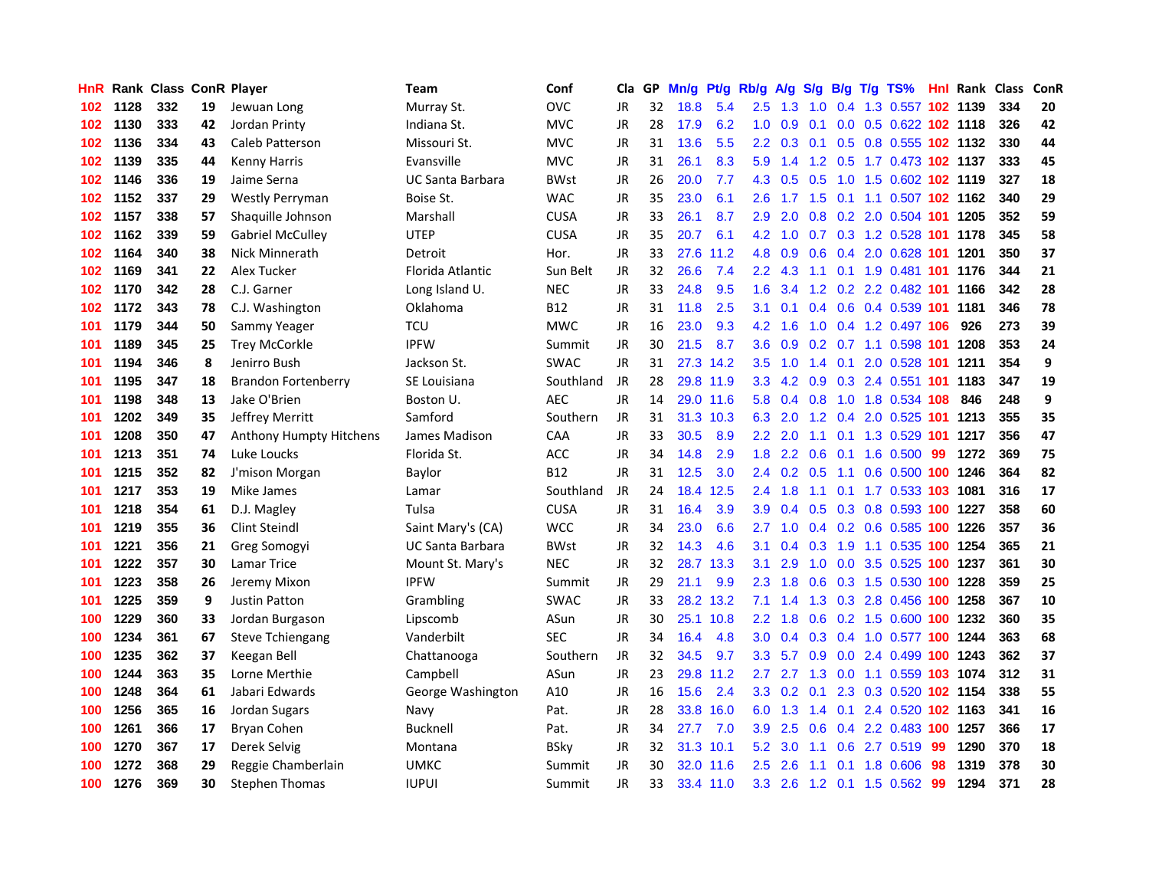| HnR |      |     |    | Rank Class ConR Player     | <b>Team</b>       | Conf        | Cla       |    | GP Mn/g Pt/g |           | Rb/g             | A/g             |                 |     | S/g B/g T/g TS%                    |     | <b>Hnl Rank Class</b> |     | ConR |
|-----|------|-----|----|----------------------------|-------------------|-------------|-----------|----|--------------|-----------|------------------|-----------------|-----------------|-----|------------------------------------|-----|-----------------------|-----|------|
| 102 | 1128 | 332 | 19 | Jewuan Long                | Murray St.        | <b>OVC</b>  | JR        | 32 | 18.8         | 5.4       | 2.5              | 1.3             | 1.0             | 0.4 | 1.3 0.557                          |     | 102 1139              | 334 | 20   |
| 102 | 1130 | 333 | 42 | Jordan Printy              | Indiana St.       | <b>MVC</b>  | JR        | 28 | 17.9         | 6.2       | 1.0              | 0.9             | 0.1             | 0.0 | 0.5 0.622 102 1118                 |     |                       | 326 | 42   |
| 102 | 1136 | 334 | 43 | Caleb Patterson            | Missouri St.      | <b>MVC</b>  | JR        | 31 | 13.6         | 5.5       | $2.2^{\circ}$    | 0.3             | 0.1             | 0.5 | 0.8 0.555 102 1132                 |     |                       | 330 | 44   |
| 102 | 1139 | 335 | 44 | <b>Kenny Harris</b>        | Evansville        | <b>MVC</b>  | JR        | 31 | 26.1         | 8.3       |                  | $5.9$ 1.4       |                 |     | 1.2 0.5 1.7 0.473 102 1137         |     |                       | 333 | 45   |
| 102 | 1146 | 336 | 19 | Jaime Serna                | UC Santa Barbara  | <b>BWst</b> | JR        | 26 | 20.0         | 7.7       |                  |                 |                 |     | 4.3 0.5 0.5 1.0 1.5 0.602 102 1119 |     |                       | 327 | 18   |
| 102 | 1152 | 337 | 29 | <b>Westly Perryman</b>     | Boise St.         | <b>WAC</b>  | JR        | 35 | 23.0         | 6.1       | $2.6^{\circ}$    |                 |                 |     | 1.7 1.5 0.1 1.1 0.507 102 1162     |     |                       | 340 | 29   |
| 102 | 1157 | 338 | 57 | Shaquille Johnson          | Marshall          | <b>CUSA</b> | JR        | 33 | 26.1         | 8.7       | 2.9              | 2.0             |                 |     | 0.8 0.2 2.0 0.504 101 1205         |     |                       | 352 | 59   |
| 102 | 1162 | 339 | 59 | <b>Gabriel McCulley</b>    | <b>UTEP</b>       | <b>CUSA</b> | JR        | 35 | 20.7         | 6.1       | 4.2              | 1.0             |                 |     | 0.7 0.3 1.2 0.528 101              |     | 1178                  | 345 | 58   |
| 102 | 1164 | 340 | 38 | Nick Minnerath             | Detroit           | Hor.        | JR        | 33 | 27.6         | 11.2      | 4.8              | 0.9             | 0.6             |     | 0.4 2.0 0.628 101                  |     | 1201                  | 350 | 37   |
| 102 | 1169 | 341 | 22 | Alex Tucker                | Florida Atlantic  | Sun Belt    | JR        | 32 | 26.6         | 7.4       | $2.2^{\circ}$    | 4.3             | 1.1             |     | 0.1 1.9 0.481 101                  |     | 1176                  | 344 | 21   |
| 102 | 1170 | 342 | 28 | C.J. Garner                | Long Island U.    | <b>NEC</b>  | JR        | 33 | 24.8         | 9.5       | 1.6              | 3.4             |                 |     | 1.2 0.2 2.2 0.482 101              |     | 1166                  | 342 | 28   |
| 102 | 1172 | 343 | 78 | C.J. Washington            | Oklahoma          | <b>B12</b>  | JR        | 31 | 11.8         | 2.5       | 3.1              | 0.1             |                 |     | 0.4 0.6 0.4 0.539 101              |     | 1181                  | 346 | 78   |
| 101 | 1179 | 344 | 50 | Sammy Yeager               | <b>TCU</b>        | <b>MWC</b>  | JR        | 16 | 23.0         | 9.3       | 4.2              | 1.6             | 1.0             |     | 0.4 1.2 0.497 106                  |     | 926                   | 273 | 39   |
| 101 | 1189 | 345 | 25 | <b>Trey McCorkle</b>       | <b>IPFW</b>       | Summit      | <b>JR</b> | 30 | 21.5         | 8.7       | 3.6              | 0.9             | 0.2             |     | 0.7 1.1 0.598 101                  |     | 1208                  | 353 | 24   |
| 101 | 1194 | 346 | 8  | Jenirro Bush               | Jackson St.       | <b>SWAC</b> | <b>JR</b> | 31 | 27.3         | 14.2      | 3.5              | 1.0             | 1.4             | 0.1 | 2.0 0.528 101                      |     | 1211                  | 354 | 9    |
| 101 | 1195 | 347 | 18 | <b>Brandon Fortenberry</b> | SE Louisiana      | Southland   | JR        | 28 |              | 29.8 11.9 | 3.3 <sub>2</sub> |                 | $4.2 \quad 0.9$ |     | 0.3 2.4 0.551 101                  |     | 1183                  | 347 | 19   |
| 101 | 1198 | 348 | 13 | Jake O'Brien               | Boston U.         | <b>AEC</b>  | JR        | 14 |              | 29.0 11.6 | 5.8              |                 | $0.4\quad 0.8$  |     | 1.0 1.8 0.534 108                  |     | 846                   | 248 | 9    |
| 101 | 1202 | 349 | 35 | Jeffrey Merritt            | Samford           | Southern    | JR        | 31 |              | 31.3 10.3 |                  | 6.3 2.0         |                 |     | 1.2 0.4 2.0 0.525 101 1213         |     |                       | 355 | 35   |
| 101 | 1208 | 350 | 47 | Anthony Humpty Hitchens    | James Madison     | <b>CAA</b>  | JR        | 33 | 30.5         | 8.9       | $2.2^{\circ}$    | 2.0             |                 |     | 1.1 0.1 1.3 0.529 101              |     | 1217                  | 356 | 47   |
| 101 | 1213 | 351 | 74 | Luke Loucks                | Florida St.       | ACC         | JR        | 34 | 14.8         | 2.9       | 1.8 <sup>°</sup> |                 |                 |     | 2.2 0.6 0.1 1.6 0.500              | -99 | 1272                  | 369 | 75   |
| 101 | 1215 | 352 | 82 | J'mison Morgan             | Baylor            | <b>B12</b>  | JR        | 31 | 12.5         | 3.0       |                  | $2.4 \quad 0.2$ | 0.5             | 1.1 | 0.6 0.500 100 1246                 |     |                       | 364 | 82   |
| 101 | 1217 | 353 | 19 | Mike James                 | Lamar             | Southland   | JR        | 24 | 18.4         | 12.5      |                  | $2.4$ 1.8       | 1.1             | 0.1 | 1.7 0.533 103 1081                 |     |                       | 316 | 17   |
| 101 | 1218 | 354 | 61 | D.J. Magley                | Tulsa             | <b>CUSA</b> | JR        | 31 | 16.4         | 3.9       | 3.9              | 0.4             |                 |     | 0.5 0.3 0.8 0.593 100 1227         |     |                       | 358 | 60   |
| 101 | 1219 | 355 | 36 | <b>Clint Steindl</b>       | Saint Mary's (CA) | <b>WCC</b>  | JR        | 34 | 23.0         | 6.6       | 2.7              | 1.0             |                 |     | 0.4 0.2 0.6 0.585 100 1226         |     |                       | 357 | 36   |
| 101 | 1221 | 356 | 21 | Greg Somogyi               | UC Santa Barbara  | <b>BWst</b> | JR        | 32 | 14.3         | 4.6       | 3.1              | 0.4             | 0.3             | 1.9 | 1.1 0.535 100                      |     | 1254                  | 365 | 21   |
| 101 | 1222 | 357 | 30 | Lamar Trice                | Mount St. Mary's  | <b>NEC</b>  | <b>JR</b> | 32 | 28.7         | 13.3      | 3.1              | 2.9             | 1.0             | 0.0 | 3.5 0.525 100                      |     | 1237                  | 361 | 30   |
| 101 | 1223 | 358 | 26 | Jeremy Mixon               | <b>IPFW</b>       | Summit      | JR        | 29 | 21.1         | 9.9       | 2.3              | 1.8             | 0.6             |     | 0.3 1.5 0.530 100                  |     | 1228                  | 359 | 25   |
| 101 | 1225 | 359 | 9  | Justin Patton              | Grambling         | <b>SWAC</b> | JR        | 33 |              | 28.2 13.2 | 7.1              | 1.4             | 1.3             | 0.3 | 2.8 0.456 100                      |     | 1258                  | 367 | 10   |
| 100 | 1229 | 360 | 33 | Jordan Burgason            | Lipscomb          | ASun        | JR        | 30 | 25.1         | 10.8      | $2.2^{\circ}$    | 1.8             | 0.6             |     | 0.2 1.5 0.600 100 1232             |     |                       | 360 | 35   |
| 100 | 1234 | 361 | 67 | <b>Steve Tchiengang</b>    | Vanderbilt        | <b>SEC</b>  | JR        | 34 | 16.4         | 4.8       | 3.0 <sub>2</sub> |                 |                 |     | 0.4 0.3 0.4 1.0 0.577 100 1244     |     |                       | 363 | 68   |
| 100 | 1235 | 362 | 37 | Keegan Bell                | Chattanooga       | Southern    | JR        | 32 | 34.5         | 9.7       | 3.3 <sub>1</sub> | 5.7             |                 |     | 0.9 0.0 2.4 0.499 100 1243         |     |                       | 362 | 37   |
| 100 | 1244 | 363 | 35 | Lorne Merthie              | Campbell          | ASun        | JR        | 23 |              | 29.8 11.2 | 2.7              | 2.7             |                 |     | 1.3 0.0 1.1 0.559 103 1074         |     |                       | 312 | 31   |
| 100 | 1248 | 364 | 61 | Jabari Edwards             | George Washington | A10         | JR        | 16 | 15.6         | 2.4       |                  | 3.3 0.2 0.1     |                 |     | 2.3 0.3 0.520 102 1154             |     |                       | 338 | 55   |
| 100 | 1256 | 365 | 16 | Jordan Sugars              | Navy              | Pat.        | JR        | 28 | 33.8         | 16.0      | 6.0              | 1.3             |                 |     | 1.4 0.1 2.4 0.520 102 1163         |     |                       | 341 | 16   |
| 100 | 1261 | 366 | 17 | Bryan Cohen                | Bucknell          | Pat.        | JR        | 34 | 27.7         | 7.0       | 3.9              | 2.5             | 0.6             |     | 0.4 2.2 0.483 100 1257             |     |                       | 366 | 17   |
| 100 | 1270 | 367 | 17 | Derek Selvig               | Montana           | <b>BSky</b> | JR        | 32 | 31.3         | 10.1      | 5.2              | 3.0             | 1.1             | 0.6 | 2.7 0.519                          | 99  | 1290                  | 370 | 18   |
| 100 | 1272 | 368 | 29 | Reggie Chamberlain         | <b>UMKC</b>       | Summit      | JR        | 30 | 32.0         | 11.6      | $2.5\,$          | 2.6             | 1.1             | 0.1 | 1.8 0.606                          | 98  | 1319                  | 378 | 30   |
| 100 | 1276 | 369 | 30 | <b>Stephen Thomas</b>      | <b>IUPUI</b>      | Summit      | <b>JR</b> | 33 |              | 33.4 11.0 |                  | $3.3$ 2.6       |                 |     | 1.2 0.1 1.5 0.562                  | -99 | 1294                  | 371 | 28   |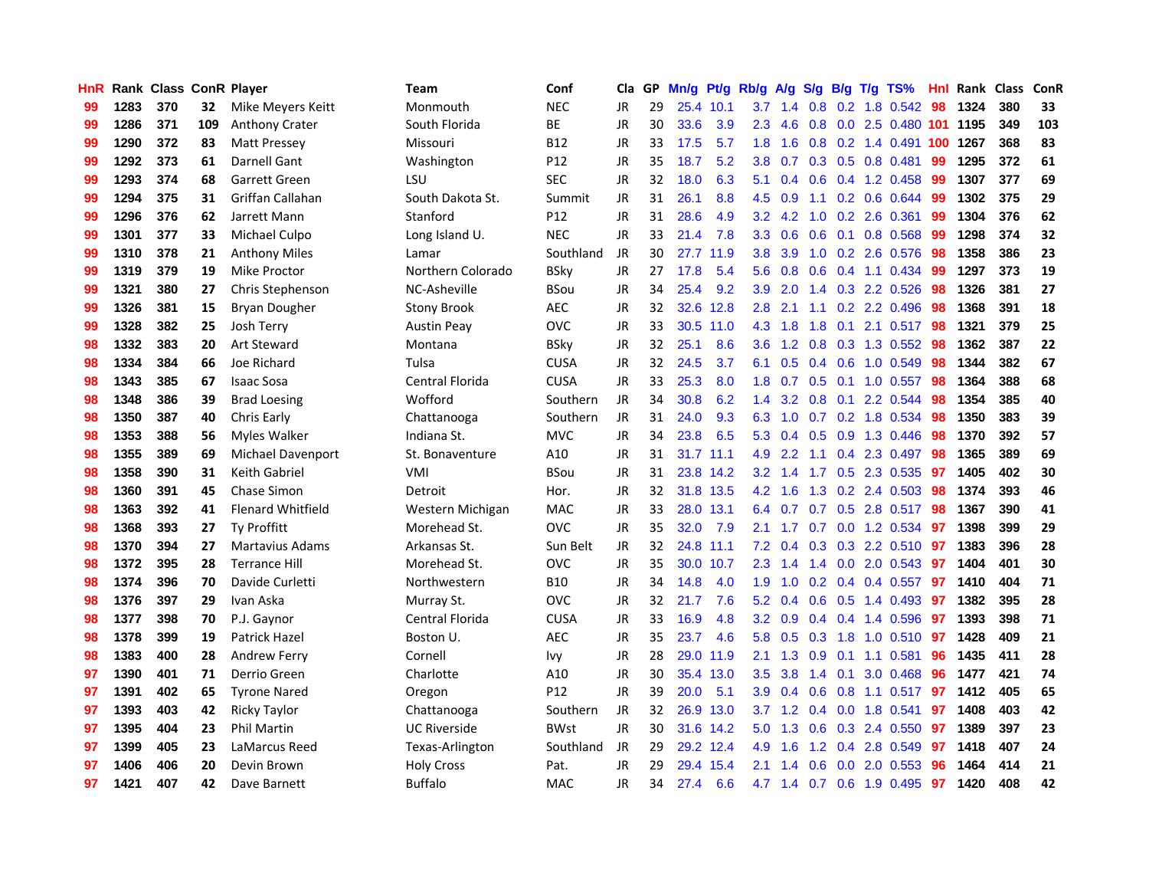| <b>HnR</b> |      | Rank Class ConR Player |     |                          | <b>Team</b>         | Conf        | Cla       |    | GP Mn/g Pt/g Rb/g |           |                  | A/g                  |     |                 | S/g B/g T/g TS%           | Hnl | Rank Class |     | ConR |
|------------|------|------------------------|-----|--------------------------|---------------------|-------------|-----------|----|-------------------|-----------|------------------|----------------------|-----|-----------------|---------------------------|-----|------------|-----|------|
| 99         | 1283 | 370                    | 32  | Mike Meyers Keitt        | Monmouth            | <b>NEC</b>  | <b>JR</b> | 29 |                   | 25.4 10.1 | 3.7              | 1.4                  | 0.8 | 0.2             | 1.8 0.542                 | 98  | 1324       | 380 | 33   |
| 99         | 1286 | 371                    | 109 | <b>Anthony Crater</b>    | South Florida       | BE          | <b>JR</b> | 30 | 33.6              | 3.9       | 2.3              | 4.6                  | 0.8 | 0.0             | 2.5 0.480 101             |     | 1195       | 349 | 103  |
| 99         | 1290 | 372                    | 83  | <b>Matt Pressey</b>      | Missouri            | <b>B12</b>  | JR        | 33 | 17.5              | 5.7       | 1.8              | 1.6                  |     |                 | 0.8 0.2 1.4 0.491 100     |     | 1267       | 368 | 83   |
| 99         | 1292 | 373                    | 61  | <b>Darnell Gant</b>      | Washington          | P12         | <b>JR</b> | 35 | 18.7              | 5.2       | 3.8              | 0.7                  |     |                 | 0.3 0.5 0.8 0.481         | 99  | 1295       | 372 | 61   |
| 99         | 1293 | 374                    | 68  | Garrett Green            | LSU                 | <b>SEC</b>  | JR        | 32 | 18.0              | 6.3       | 5.1              | 0.4                  |     |                 | 0.6 0.4 1.2 0.458         | -99 | 1307       | 377 | 69   |
| 99         | 1294 | 375                    | 31  | Griffan Callahan         | South Dakota St.    | Summit      | JR        | 31 | 26.1              | 8.8       | 4.5              | 0.9                  |     |                 | 1.1 0.2 0.6 0.644         | 99  | 1302       | 375 | 29   |
| 99         | 1296 | 376                    | 62  | Jarrett Mann             | Stanford            | P12         | JR        | 31 | 28.6              | 4.9       |                  | $3.2 \quad 4.2$      |     |                 | 1.0 0.2 2.6 0.361         | 99  | 1304       | 376 | 62   |
| 99         | 1301 | 377                    | 33  | Michael Culpo            | Long Island U.      | <b>NEC</b>  | <b>JR</b> | 33 | 21.4              | 7.8       | 3.3 <sub>2</sub> | 0.6                  | 0.6 |                 | 0.1 0.8 0.568             | 99  | 1298       | 374 | 32   |
| 99         | 1310 | 378                    | 21  | <b>Anthony Miles</b>     | Lamar               | Southland   | JR        | 30 | 27.7              | 11.9      | 3.8              | 3.9                  |     |                 | 1.0 0.2 2.6 0.576         | 98  | 1358       | 386 | 23   |
| 99         | 1319 | 379                    | 19  | Mike Proctor             | Northern Colorado   | <b>BSky</b> | <b>JR</b> | 27 | 17.8              | 5.4       | 5.6              | 0.8                  |     |                 | 0.6 0.4 1.1 0.434         | -99 | 1297       | 373 | 19   |
| 99         | 1321 | 380                    | 27  | Chris Stephenson         | NC-Asheville        | <b>BSou</b> | JR        | 34 | 25.4              | 9.2       | 3.9              | 2.0                  |     |                 | 1.4 0.3 2.2 0.526         | 98  | 1326       | 381 | 27   |
| 99         | 1326 | 381                    | 15  | <b>Bryan Dougher</b>     | <b>Stony Brook</b>  | <b>AEC</b>  | <b>JR</b> | 32 |                   | 32.6 12.8 | 2.8              | 2.1                  | 1.1 |                 | $0.2$ 2.2 0.496           | 98  | 1368       | 391 | 18   |
| 99         | 1328 | 382                    | 25  | Josh Terry               | <b>Austin Peav</b>  | <b>OVC</b>  | JR        | 33 |                   | 30.5 11.0 | 4.3              | 1.8                  | 1.8 | 0.1             | 2.1 0.517                 | 98  | 1321       | 379 | 25   |
| 98         | 1332 | 383                    | 20  | <b>Art Steward</b>       | Montana             | BSkv        | JR        | 32 | 25.1              | 8.6       | 3.6              | 1.2                  | 0.8 |                 | $0.3$ 1.3 $0.552$         | 98  | 1362       | 387 | 22   |
| 98         | 1334 | 384                    | 66  | Joe Richard              | Tulsa               | <b>CUSA</b> | <b>JR</b> | 32 | 24.5              | 3.7       | 6.1              | 0.5                  |     | $0.4\quad 0.6$  | 1.0 0.549                 | 98  | 1344       | 382 | 67   |
| 98         | 1343 | 385                    | 67  | <b>Isaac Sosa</b>        | Central Florida     | <b>CUSA</b> | JR        | 33 | 25.3              | 8.0       | 1.8              | 0.7                  |     |                 | 0.5 0.1 1.0 0.557         | -98 | 1364       | 388 | 68   |
| 98         | 1348 | 386                    | 39  | <b>Brad Loesing</b>      | Wofford             | Southern    | JR        | 34 | 30.8              | 6.2       |                  | $1.4 \t3.2$          |     |                 | 0.8 0.1 2.2 0.544         | 98  | 1354       | 385 | 40   |
| 98         | 1350 | 387                    | 40  | Chris Early              | Chattanooga         | Southern    | JR        | 31 | 24.0              | 9.3       |                  | 6.3 1.0              |     |                 | 0.7 0.2 1.8 0.534         | -98 | 1350       | 383 | 39   |
| 98         | 1353 | 388                    | 56  | Myles Walker             | Indiana St.         | <b>MVC</b>  | JR        | 34 | 23.8              | 6.5       |                  | 5.3 0.4              |     |                 | $0.5$ $0.9$ 1.3 $0.446$   | -98 | 1370       | 392 | 57   |
| 98         | 1355 | 389                    | 69  | <b>Michael Davenport</b> | St. Bonaventure     | A10         | JR        | 31 |                   | 31.7 11.1 | 4.9              | 2.2                  |     |                 | 1.1 0.4 2.3 0.497         | -98 | 1365       | 389 | 69   |
| 98         | 1358 | 390                    | 31  | Keith Gabriel            | <b>VMI</b>          | <b>BSou</b> | JR        | 31 |                   | 23.8 14.2 | 3.2              | 1.4                  |     |                 | 1.7 0.5 2.3 0.535         | 97  | 1405       | 402 | 30   |
| 98         | 1360 | 391                    | 45  | <b>Chase Simon</b>       | Detroit             | Hor.        | <b>JR</b> | 32 |                   | 31.8 13.5 | 4.2              | 1.6                  |     |                 | 1.3 0.2 2.4 0.503         | 98  | 1374       | 393 | 46   |
| 98         | 1363 | 392                    | 41  | <b>Flenard Whitfield</b> | Western Michigan    | <b>MAC</b>  | JR        | 33 |                   | 28.0 13.1 | 6.4              | 0.7                  |     |                 | 0.7 0.5 2.8 0.517         | -98 | 1367       | 390 | 41   |
| 98         | 1368 | 393                    | 27  | Ty Proffitt              | Morehead St.        | <b>OVC</b>  | JR        | 35 | 32.0              | 7.9       | 2.1              | 1.7                  |     |                 | 0.7 0.0 1.2 0.534         | -97 | 1398       | 399 | 29   |
| 98         | 1370 | 394                    | 27  | <b>Martavius Adams</b>   | Arkansas St.        | Sun Belt    | JR        | 32 |                   | 24.8 11.1 | 7.2              | 0.4                  |     |                 | 0.3 0.3 2.2 0.510 97      |     | 1383       | 396 | 28   |
| 98         | 1372 | 395                    | 28  | <b>Terrance Hill</b>     | Morehead St.        | <b>OVC</b>  | <b>JR</b> | 35 |                   | 30.0 10.7 | 2.3              | 1.4                  |     | $1.4 \quad 0.0$ | 2.0 0.543                 | -97 | 1404       | 401 | 30   |
| 98         | 1374 | 396                    | 70  | Davide Curletti          | Northwestern        | <b>B10</b>  | <b>JR</b> | 34 | 14.8              | 4.0       | 1.9              | 1.0                  |     |                 | $0.2$ 0.4 0.4 0.557       | 97  | 1410       | 404 | 71   |
| 98         | 1376 | 397                    | 29  | Ivan Aska                | Murray St.          | <b>OVC</b>  | JR        | 32 | 21.7              | 7.6       | 5.2              | 0.4                  | 0.6 |                 | 0.5 1.4 0.493             | 97  | 1382       | 395 | 28   |
| 98         | 1377 | 398                    | 70  | P.J. Gaynor              | Central Florida     | <b>CUSA</b> | JR        | 33 | 16.9              | 4.8       | $3.2\phantom{0}$ | 0.9                  |     |                 | 0.4 0.4 1.4 0.596         | -97 | 1393       | 398 | 71   |
| 98         | 1378 | 399                    | 19  | <b>Patrick Hazel</b>     | Boston U.           | <b>AEC</b>  | JR        | 35 | 23.7              | 4.6       | 5.8              | 0.5                  |     |                 | 0.3 1.8 1.0 0.510 97      |     | 1428       | 409 | 21   |
| 98         | 1383 | 400                    | 28  | Andrew Ferry             | Cornell             | Ivy         | JR        | 28 |                   | 29.0 11.9 | 2.1              | 1.3                  |     |                 | 0.9 0.1 1.1 0.581         | -96 | 1435       | 411 | 28   |
| 97         | 1390 | 401                    | 71  | Derrio Green             | Charlotte           | A10         | <b>JR</b> | 30 |                   | 35.4 13.0 | 3.5              | 3.8                  |     | $1.4 \quad 0.1$ | 3.0 0.468                 | 96  | 1477       | 421 | 74   |
| 97         | 1391 | 402                    | 65  | <b>Tyrone Nared</b>      | Oregon              | P12         | JR        | 39 | 20.0              | 5.1       | 3.9              | 0.4                  |     |                 | 0.6 0.8 1.1 0.517         | 97  | 1412       | 405 | 65   |
| 97         | 1393 | 403                    | 42  | <b>Ricky Taylor</b>      | Chattanooga         | Southern    | JR        | 32 |                   | 26.9 13.0 | 3.7              | 1.2                  |     |                 | $0.4$ 0.0 1.8 0.541       | 97  | 1408       | 403 | 42   |
| 97         | 1395 | 404                    | 23  | <b>Phil Martin</b>       | <b>UC Riverside</b> | <b>BWst</b> | <b>JR</b> | 30 |                   | 31.6 14.2 | 5.0              | 1.3                  |     |                 | 0.6 0.3 2.4 0.550         | 97  | 1389       | 397 | 23   |
| 97         | 1399 | 405                    | 23  | LaMarcus Reed            | Texas-Arlington     | Southland   | JR        | 29 |                   | 29.2 12.4 | 4.9              | 1.6                  | 1.2 | $0.4^{\circ}$   | 2.8 0.549                 | 97  | 1418       | 407 | 24   |
| 97         | 1406 | 406                    | 20  | Devin Brown              | <b>Holy Cross</b>   | Pat.        | <b>JR</b> | 29 |                   | 29.4 15.4 | 2.1              | -1<br>$\overline{A}$ | 0.6 | 0.0             | 2.0 0.553                 | 96  | 1464       | 414 | 21   |
| 97         | 1421 | 407                    | 42  | Dave Barnett             | <b>Buffalo</b>      | <b>MAC</b>  | <b>JR</b> | 34 | 27.4              | 6.6       |                  |                      |     |                 | 4.7 1.4 0.7 0.6 1.9 0.495 | 97  | 1420       | 408 | 42   |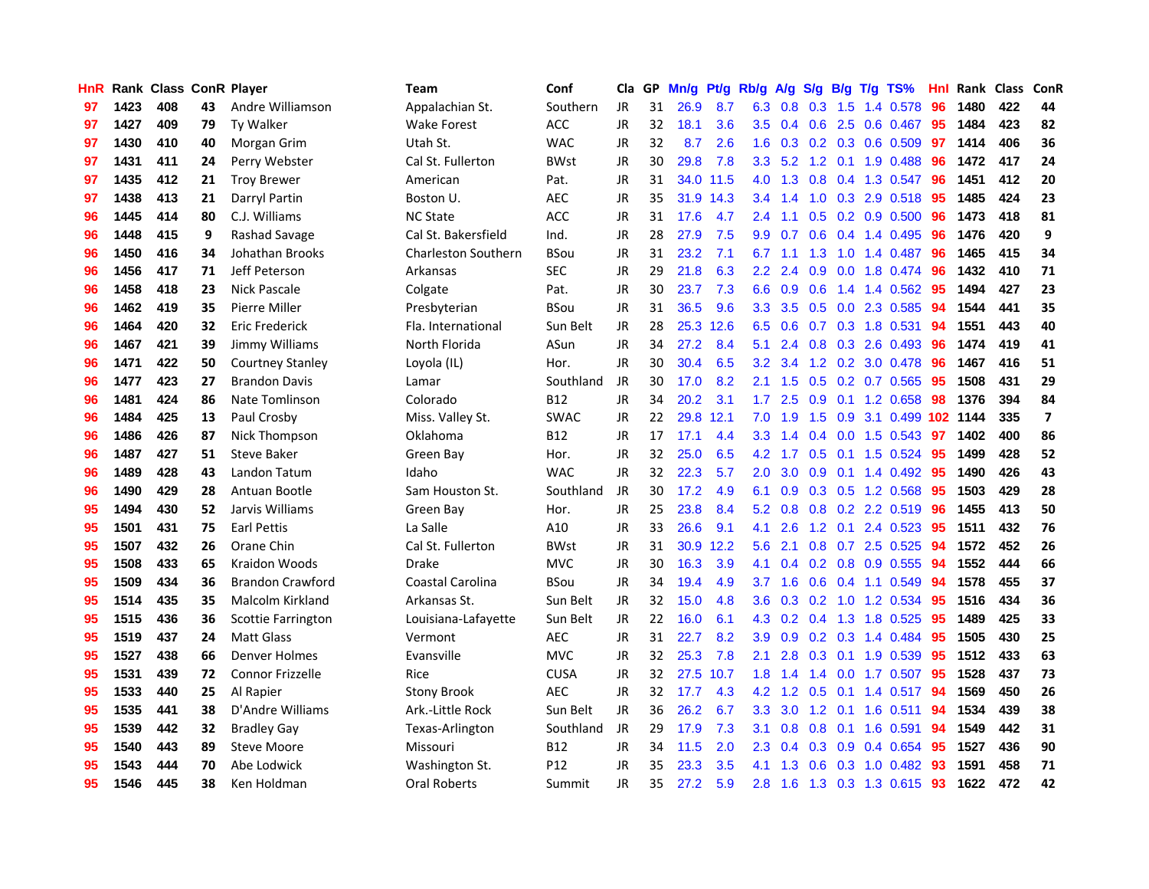| HnR |      | Rank Class ConR Player |    |                           | Team                       | Conf        | Cla       |     | GP Mn/g Pt/g Rb/g A/g |           |                  |                 |               |                 | S/g B/g T/g TS%           | Hnl | Rank Class |     | <b>ConR</b>             |
|-----|------|------------------------|----|---------------------------|----------------------------|-------------|-----------|-----|-----------------------|-----------|------------------|-----------------|---------------|-----------------|---------------------------|-----|------------|-----|-------------------------|
| 97  | 1423 | 408                    | 43 | Andre Williamson          | Appalachian St.            | Southern    | JR        | 31  | 26.9                  | 8.7       | 6.3              | 0.8             | 0.3           | 1.5             | 1.4 0.578                 | 96  | 1480       | 422 | 44                      |
| 97  | 1427 | 409                    | 79 | <b>Ty Walker</b>          | <b>Wake Forest</b>         | ACC         | <b>JR</b> | 32  | 18.1                  | 3.6       | 3.5              | 0.4             | 0.6           | 2.5             | 0.6 0.467                 | 95  | 1484       | 423 | 82                      |
| 97  | 1430 | 410                    | 40 | Morgan Grim               | Utah St.                   | <b>WAC</b>  | <b>JR</b> | 32  | 8.7                   | 2.6       | 1.6              | 0.3             |               | $0.2 \quad 0.3$ | 0.6 0.509                 | 97  | 1414       | 406 | 36                      |
| 97  | 1431 | 411                    | 24 | Perry Webster             | Cal St. Fullerton          | <b>BWst</b> | JR        | 30  | 29.8                  | 7.8       | 3.3 <sub>2</sub> |                 | $5.2$ 1.2 0.1 |                 | 1.9 0.488                 | -96 | 1472       | 417 | 24                      |
| 97  | 1435 | 412                    | 21 | <b>Troy Brewer</b>        | American                   | Pat.        | JR        | 31  |                       | 34.0 11.5 | 4.0              | 1.3             |               |                 | 0.8 0.4 1.3 0.547         | -96 | 1451       | 412 | 20                      |
| 97  | 1438 | 413                    | 21 | Darryl Partin             | Boston U.                  | <b>AEC</b>  | <b>JR</b> | 35  |                       | 31.9 14.3 |                  | $3.4 \quad 1.4$ |               |                 | 1.0 0.3 2.9 0.518         | -95 | 1485       | 424 | 23                      |
| 96  | 1445 | 414                    | 80 | C.J. Williams             | <b>NC State</b>            | ACC         | JR        | 31  | 17.6                  | 4.7       | $2.4^{\circ}$    | 1.1             |               |                 | $0.5$ 0.2 0.9 0.500       | -96 | 1473       | 418 | 81                      |
| 96  | 1448 | 415                    | 9  | Rashad Savage             | Cal St. Bakersfield        | Ind.        | JR        | 28  | 27.9                  | 7.5       | 9.9 <sup>°</sup> | 0.7             |               |                 | $0.6$ 0.4 1.4 0.495       | 96  | 1476       | 420 | 9                       |
| 96  | 1450 | 416                    | 34 | Johathan Brooks           | <b>Charleston Southern</b> | <b>BSou</b> | <b>JR</b> | 31  | 23.2                  | 7.1       | 6.7              | 1.1             | 1.3           |                 | 1.0 1.4 0.487             | 96  | 1465       | 415 | 34                      |
| 96  | 1456 | 417                    | 71 | Jeff Peterson             | Arkansas                   | <b>SEC</b>  | <b>JR</b> | 29  | 21.8                  | 6.3       | $2.2\,$          | 2.4             | 0.9           | 0.0             | 1.8 0.474                 | 96  | 1432       | 410 | 71                      |
| 96  | 1458 | 418                    | 23 | Nick Pascale              | Colgate                    | Pat.        | JR        | 30  | 23.7                  | 7.3       | 6.6              | 0.9             | 0.6           | 1.4             | 1.4 0.562                 | 95  | 1494       | 427 | 23                      |
| 96  | 1462 | 419                    | 35 | Pierre Miller             | Presbyterian               | <b>BSou</b> | JR        | 31  | 36.5                  | 9.6       | 3.3              | 3.5             |               |                 | 0.5 0.0 2.3 0.585         | -94 | 1544       | 441 | 35                      |
| 96  | 1464 | 420                    | 32 | Eric Frederick            | Fla. International         | Sun Belt    | JR        | 28  |                       | 25.3 12.6 | 6.5              | 0.6             | 0.7           |                 | 0.3 1.8 0.531             | 94  | 1551       | 443 | 40                      |
| 96  | 1467 | 421                    | 39 | Jimmy Williams            | North Florida              | ASun        | <b>JR</b> | 34  | 27.2                  | 8.4       | 5.1              | 2.4             | 0.8           | 0.3             | 2.6 0.493                 | 96  | 1474       | 419 | 41                      |
| 96  | 1471 | 422                    | 50 | <b>Courtney Stanley</b>   | Loyola (IL)                | Hor.        | <b>JR</b> | 30  | 30.4                  | 6.5       | 3.2              | 3.4             | 1.2           | 0.2             | 3.0 0.478                 | 96  | 1467       | 416 | 51                      |
| 96  | 1477 | 423                    | 27 | <b>Brandon Davis</b>      | Lamar                      | Southland   | JR        | 30  | 17.0                  | 8.2       | 2.1              | 1.5             | 0.5           | 0.2             | 0.7 0.565                 | 95  | 1508       | 431 | 29                      |
| 96  | 1481 | 424                    | 86 | Nate Tomlinson            | Colorado                   | B12         | JR        | 34  | 20.2                  | 3.1       | 1.7 <sub>2</sub> | 2.5             | 0.9           | 0.1             | 1.2 0.658                 | 98  | 1376       | 394 | 84                      |
| 96  | 1484 | 425                    | 13 | Paul Crosby               | Miss. Valley St.           | <b>SWAC</b> | JR        | 22  |                       | 29.8 12.1 | 7.0              | 1.9             |               | $1.5 \quad 0.9$ | 3.1 0.499 102 1144        |     |            | 335 | $\overline{\mathbf{z}}$ |
| 96  | 1486 | 426                    | 87 | Nick Thompson             | Oklahoma                   | <b>B12</b>  | JR        | 17  | 17.1                  | 4.4       | 3.3 <sub>2</sub> | 1.4             |               |                 | $0.4$ 0.0 1.5 0.543       | 97  | 1402       | 400 | 86                      |
| 96  | 1487 | 427                    | 51 | <b>Steve Baker</b>        | Green Bay                  | Hor.        | <b>JR</b> | 32  | 25.0                  | 6.5       |                  | 4.2 1.7         |               |                 | 0.5 0.1 1.5 0.524         | -95 | 1499       | 428 | 52                      |
| 96  | 1489 | 428                    | 43 | Landon Tatum              | Idaho                      | <b>WAC</b>  | JR        | 32  | 22.3                  | 5.7       | 2.0 <sub>1</sub> | 3.0             |               |                 | $0.9$ 0.1 1.4 0.492       | 95  | 1490       | 426 | 43                      |
| 96  | 1490 | 429                    | 28 | Antuan Bootle             | Sam Houston St.            | Southland   | JR        | 30  | 17.2                  | 4.9       | 6.1              | 0.9             |               |                 | $0.3$ $0.5$ 1.2 $0.568$   | 95  | 1503       | 429 | 28                      |
| 95  | 1494 | 430                    | 52 | Jarvis Williams           | Green Bay                  | Hor.        | <b>JR</b> | 25  | 23.8                  | 8.4       | 5.2 <sub>1</sub> | 0.8             |               |                 | 0.8 0.2 2.2 0.519         | 96  | 1455       | 413 | 50                      |
| 95  | 1501 | 431                    | 75 | <b>Earl Pettis</b>        | La Salle                   | A10         | JR        | 33  | 26.6                  | 9.1       | 4.1              | 2.6             |               | $1.2 \quad 0.1$ | 2.4 0.523                 | -95 | 1511       | 432 | 76                      |
| 95  | 1507 | 432                    | 26 | Orane Chin                | Cal St. Fullerton          | <b>BWst</b> | JR        | 31  |                       | 30.9 12.2 | 5.6              | 2.1             |               |                 | 0.8 0.7 2.5 0.525         | 94  | 1572       | 452 | 26                      |
| 95  | 1508 | 433                    | 65 | Kraidon Woods             | Drake                      | <b>MVC</b>  | <b>JR</b> | 30  | 16.3                  | 3.9       | 4.1              | 0.4             |               |                 | $0.2$ $0.8$ $0.9$ $0.555$ | 94  | 1552       | 444 | 66                      |
| 95  | 1509 | 434                    | 36 | <b>Brandon Crawford</b>   | <b>Coastal Carolina</b>    | <b>BSou</b> | JR.       | 34  | 19.4                  | 4.9       | 3.7              | 1.6             | 0.6           |                 | $0.4$ 1.1 0.549           | 94  | 1578       | 455 | 37                      |
| 95  | 1514 | 435                    | 35 | Malcolm Kirkland          | Arkansas St.               | Sun Belt    | JR        | 32  | 15.0                  | 4.8       | 3.6              | 0.3             | 0.2           | 1.0             | 1.2 0.534                 | -95 | 1516       | 434 | 36                      |
| 95  | 1515 | 436                    | 36 | <b>Scottie Farrington</b> | Louisiana-Lafayette        | Sun Belt    | JR        | 22  | 16.0                  | 6.1       | 4.3              | 0.2             | 0.4           | 1.3             | 1.8 0.525                 | 95  | 1489       | 425 | 33                      |
| 95  | 1519 | 437                    | 24 | <b>Matt Glass</b>         | Vermont                    | <b>AEC</b>  | <b>JR</b> | 31  | 22.7                  | 8.2       | 3.9              | 0.9             |               | $0.2 \quad 0.3$ | 1.4 0.484                 | -95 | 1505       | 430 | 25                      |
| 95  | 1527 | 438                    | 66 | Denver Holmes             | Evansville                 | <b>MVC</b>  | JR        | 32  | 25.3                  | 7.8       | 2.1              | 2.8             |               | $0.3 \quad 0.1$ | 1.9 0.539                 | 95  | 1512       | 433 | 63                      |
| 95  | 1531 | 439                    | 72 | <b>Connor Frizzelle</b>   | Rice                       | <b>CUSA</b> | JR        | 32  |                       | 27.5 10.7 | 1.8 <sup>°</sup> | 1.4             |               |                 | 1.4 0.0 1.7 0.507         | -95 | 1528       | 437 | 73                      |
| 95  | 1533 | 440                    | 25 | Al Rapier                 | <b>Stony Brook</b>         | <b>AEC</b>  | JR        | 32. | 17.7                  | 4.3       |                  | 4.2 1.2         |               | $0.5 \quad 0.1$ | 1.4 0.517                 | -94 | 1569       | 450 | 26                      |
| 95  | 1535 | 441                    | 38 | D'Andre Williams          | Ark .- Little Rock         | Sun Belt    | <b>JR</b> | 36  | 26.2                  | 6.7       | 3.3 <sub>2</sub> | 3.0             |               |                 | 1.2 0.1 1.6 0.511         | 94  | 1534       | 439 | 38                      |
| 95  | 1539 | 442                    | 32 | <b>Bradley Gay</b>        | Texas-Arlington            | Southland   | JR        | 29  | 17.9                  | 7.3       | 3.1              | 0.8             | 0.8           |                 | $0.1$ 1.6 0.591           | 94  | 1549       | 442 | 31                      |
| 95  | 1540 | 443                    | 89 | Steve Moore               | Missouri                   | B12         | <b>JR</b> | 34  | $11.5$                | 2.0       | 2.3              | 0.4             | 0.3           | 0.9             | 0.4 0.654                 | 95  | 1527       | 436 | 90                      |
| 95  | 1543 | 444                    | 70 | Abe Lodwick               | Washington St.             | P12         | JR        | 35  | 23.3                  | 3.5       | 4.1              | 1.3             | 0.6           | 0.3             | 1.0 0.482                 | 93  | 1591       | 458 | 71                      |
| 95  | 1546 | 445                    | 38 | Ken Holdman               | Oral Roberts               | Summit      | JR        | 35  | 27.2                  | 5.9       | 2.8              | 1.6             |               |                 | 1.3 0.3 1.3 0.615         | 93  | 1622       | 472 | 42                      |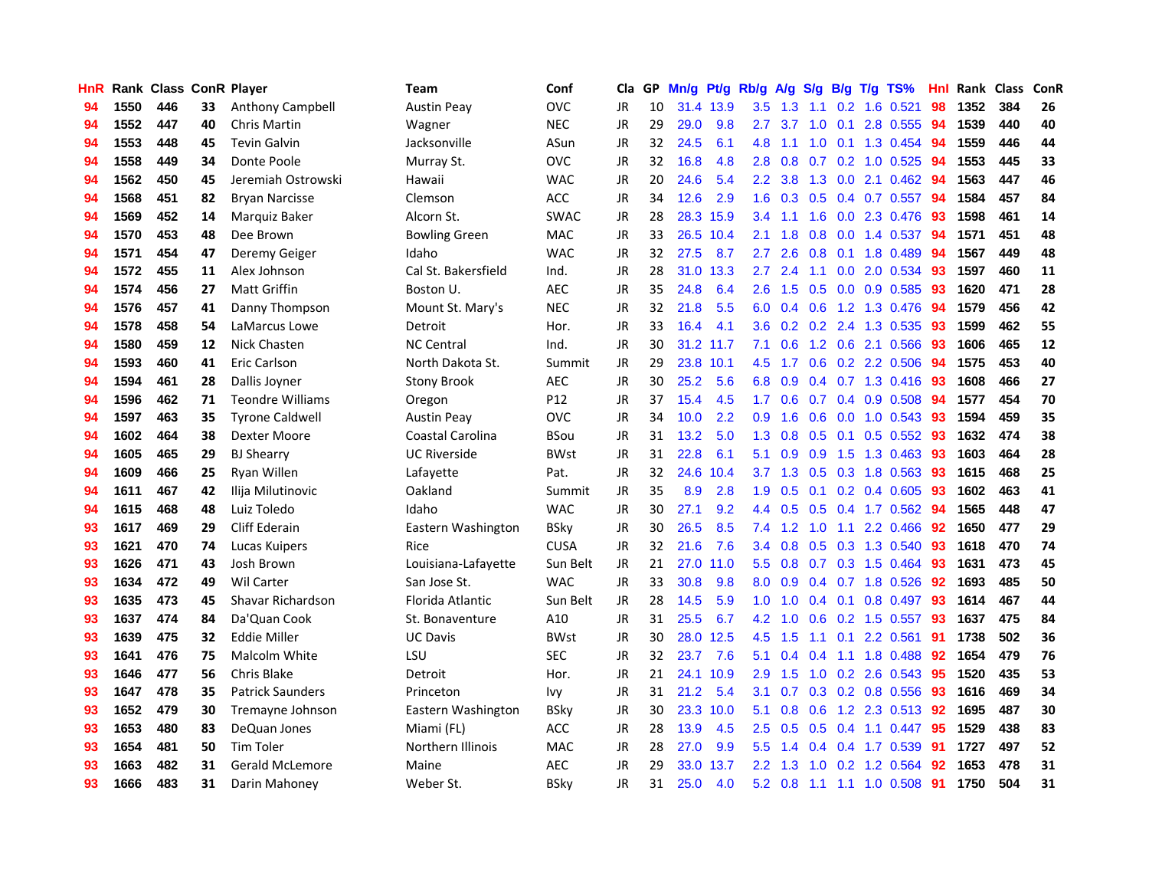| <b>HnR</b> |      |     |    | Rank Class ConR Player  | Team                 | Conf        | Cla       |    | GP Mn/g Pt/g Rb/g A/g S/g B/g T/g TS% |           |                  |                                      |     |                 |                           | Hnl | Rank Class |     | ConR |
|------------|------|-----|----|-------------------------|----------------------|-------------|-----------|----|---------------------------------------|-----------|------------------|--------------------------------------|-----|-----------------|---------------------------|-----|------------|-----|------|
| 94         | 1550 | 446 | 33 | Anthony Campbell        | <b>Austin Peav</b>   | <b>OVC</b>  | JR        | 10 |                                       | 31.4 13.9 | 3.5              | 1.3                                  | 1.1 | 0.2             | 1.6 0.521                 | 98  | 1352       | 384 | 26   |
| 94         | 1552 | 447 | 40 | Chris Martin            | Wagner               | <b>NEC</b>  | <b>JR</b> | 29 | 29.0                                  | 9.8       | 2.7              | 3.7                                  | 1.0 | 0.1             | 2.8 0.555                 | 94  | 1539       | 440 | 40   |
| 94         | 1553 | 448 | 45 | <b>Tevin Galvin</b>     | Jacksonville         | ASun        | <b>JR</b> | 32 | 24.5                                  | 6.1       | 4.8              | 1.1                                  | 1.0 | 0.1             | 1.3 0.454                 | -94 | 1559       | 446 | 44   |
| 94         | 1558 | 449 | 34 | Donte Poole             | Murray St.           | <b>OVC</b>  | JR        | 32 | 16.8                                  | 4.8       | 2.8              | 0.8                                  |     |                 | 0.7 0.2 1.0 0.525         | -94 | 1553       | 445 | 33   |
| 94         | 1562 | 450 | 45 | Jeremiah Ostrowski      | Hawaii               | <b>WAC</b>  | JR        | 20 | 24.6                                  | 5.4       |                  | $2.2$ 3.8                            |     |                 | 1.3 0.0 2.1 0.462         | -94 | 1563       | 447 | 46   |
| 94         | 1568 | 451 | 82 | <b>Bryan Narcisse</b>   | Clemson              | ACC         | JR        | 34 | 12.6                                  | 2.9       | 1.6 <sup>°</sup> | 0.3                                  |     |                 | $0.5$ 0.4 0.7 0.557       | -94 | 1584       | 457 | 84   |
| 94         | 1569 | 452 | 14 | Marquiz Baker           | Alcorn St.           | <b>SWAC</b> | JR        | 28 |                                       | 28.3 15.9 | 3.4              | 1.1                                  |     |                 | 1.6 0.0 2.3 0.476         | -93 | 1598       | 461 | 14   |
| 94         | 1570 | 453 | 48 | Dee Brown               | <b>Bowling Green</b> | MAC         | <b>JR</b> | 33 |                                       | 26.5 10.4 | 2.1              | 1.8                                  | 0.8 |                 | 0.0 1.4 0.537             | 94  | 1571       | 451 | 48   |
| 94         | 1571 | 454 | 47 | Deremy Geiger           | Idaho                | <b>WAC</b>  | JR        | 32 | 27.5                                  | 8.7       | 2.7              | 2.6                                  | 0.8 | 0.1             | 1.8 0.489                 | 94  | 1567       | 449 | 48   |
| 94         | 1572 | 455 | 11 | Alex Johnson            | Cal St. Bakersfield  | Ind.        | JR        | 28 | 31.0                                  | 13.3      | 2.7              | 2.4                                  | 1.1 | 0.0             | 2.0 0.534                 | 93  | 1597       | 460 | 11   |
| 94         | 1574 | 456 | 27 | <b>Matt Griffin</b>     | Boston U.            | <b>AEC</b>  | JR        | 35 | 24.8                                  | 6.4       | 2.6              | 1.5                                  | 0.5 |                 | 0.0 0.9 0.585             | 93  | 1620       | 471 | 28   |
| 94         | 1576 | 457 | 41 | Danny Thompson          | Mount St. Mary's     | <b>NEC</b>  | JR        | 32 | 21.8                                  | 5.5       | 6.0              | 0.4                                  | 0.6 |                 | 1.2 1.3 0.476             | 94  | 1579       | 456 | 42   |
| 94         | 1578 | 458 | 54 | LaMarcus Lowe           | Detroit              | Hor.        | <b>JR</b> | 33 | 16.4                                  | 4.1       | 3.6              | 0.2                                  | 0.2 | 2.4             | 1.3 0.535                 | 93  | 1599       | 462 | 55   |
| 94         | 1580 | 459 | 12 | Nick Chasten            | <b>NC Central</b>    | Ind.        | <b>JR</b> | 30 |                                       | 31.2 11.7 | 7.1              | 0.6                                  |     | $1.2 \quad 0.6$ | 2.1 0.566                 | 93  | 1606       | 465 | 12   |
| 94         | 1593 | 460 | 41 | Eric Carlson            | North Dakota St.     | Summit      | JR        | 29 |                                       | 23.8 10.1 | 4.5              | 1.7                                  | 0.6 | 0.2             | 2.2 0.506                 | 94  | 1575       | 453 | 40   |
| 94         | 1594 | 461 | 28 | Dallis Joyner           | <b>Stony Brook</b>   | <b>AEC</b>  | <b>JR</b> | 30 | 25.2                                  | 5.6       | 6.8              | 0.9                                  |     |                 | 0.4 0.7 1.3 0.416         | -93 | 1608       | 466 | 27   |
| 94         | 1596 | 462 | 71 | <b>Teondre Williams</b> | Oregon               | P12         | JR        | 37 | 15.4                                  | 4.5       | 1.7 <sub>z</sub> | 0.6                                  |     |                 | 0.7 0.4 0.9 0.508         | -94 | 1577       | 454 | 70   |
| 94         | 1597 | 463 | 35 | <b>Tyrone Caldwell</b>  | <b>Austin Peay</b>   | <b>OVC</b>  | JR        | 34 | 10.0                                  | 2.2       | 0.9 <sup>°</sup> | 1.6                                  |     |                 | $0.6$ $0.0$ 1.0 $0.543$   | -93 | 1594       | 459 | 35   |
| 94         | 1602 | 464 | 38 | Dexter Moore            | Coastal Carolina     | <b>BSou</b> | JR        | 31 | 13.2                                  | 5.0       |                  | $1.3 \quad 0.8$                      |     |                 | $0.5$ 0.1 0.5 0.552       | -93 | 1632       | 474 | 38   |
| 94         | 1605 | 465 | 29 | <b>BJ Shearry</b>       | <b>UC Riverside</b>  | <b>BWst</b> | JR        | 31 | 22.8                                  | 6.1       | 5.1              | 0.9                                  |     |                 | $0.9$ 1.5 1.3 0.463       | -93 | 1603       | 464 | 28   |
| 94         | 1609 | 466 | 25 | Ryan Willen             | Lafayette            | Pat.        | JR        | 32 | 24.6                                  | 10.4      |                  | 3.7 1.3                              |     |                 | $0.5$ 0.3 1.8 0.563       | 93  | 1615       | 468 | 25   |
| 94         | 1611 | 467 | 42 | Ilija Milutinovic       | Oakland              | Summit      | JR        | 35 | 8.9                                   | 2.8       | 1.9              | 0.5                                  |     |                 | $0.1$ $0.2$ $0.4$ $0.605$ | 93  | 1602       | 463 | 41   |
| 94         | 1615 | 468 | 48 | Luiz Toledo             | Idaho                | <b>WAC</b>  | <b>JR</b> | 30 | 27.1                                  | 9.2       | 4.4              | 0.5                                  |     |                 | $0.5$ 0.4 1.7 0.562       | 94  | 1565       | 448 | 47   |
| 93         | 1617 | 469 | 29 | Cliff Ederain           | Eastern Washington   | BSky        | JR        | 30 | 26.5                                  | 8.5       | 7.4              | 1.2                                  | 1.0 |                 | 1.1 2.2 0.466             | 92  | 1650       | 477 | 29   |
| 93         | 1621 | 470 | 74 | Lucas Kuipers           | Rice                 | <b>CUSA</b> | JR        | 32 | 21.6                                  | 7.6       | $3.4^{\circ}$    | 0.8                                  |     |                 | 0.5 0.3 1.3 0.540         | -93 | 1618       | 470 | 74   |
| 93         | 1626 | 471 | 43 | Josh Brown              | Louisiana-Lafayette  | Sun Belt    | JR        | 21 |                                       | 27.0 11.0 | 5.5              | 0.8                                  |     |                 | 0.7 0.3 1.5 0.464         | 93  | 1631       | 473 | 45   |
| 93         | 1634 | 472 | 49 | <b>Wil Carter</b>       | San Jose St.         | <b>WAC</b>  | JR.       | 33 | 30.8                                  | 9.8       | 8.0              | 0.9                                  |     |                 | $0.4$ 0.7 1.8 0.526       | 92  | 1693       | 485 | 50   |
| 93         | 1635 | 473 | 45 | Shavar Richardson       | Florida Atlantic     | Sun Belt    | JR        | 28 | 14.5                                  | 5.9       | 1.0 <sub>1</sub> | 1.0                                  |     | $0.4 \quad 0.1$ | 0.8 0.497                 | 93  | 1614       | 467 | 44   |
| 93         | 1637 | 474 | 84 | Da'Quan Cook            | St. Bonaventure      | A10         | <b>JR</b> | 31 | 25.5                                  | 6.7       | 4.2              | 1.0                                  | 0.6 |                 | 0.2 1.5 0.557             | 93  | 1637       | 475 | 84   |
| 93         | 1639 | 475 | 32 | <b>Eddie Miller</b>     | <b>UC Davis</b>      | <b>BWst</b> | <b>JR</b> | 30 | 28.0                                  | 12.5      | 4.5              | 1.5                                  | 1.1 | 0.1             | 2.2 0.561                 | 91  | 1738       | 502 | 36   |
| 93         | 1641 | 476 | 75 | Malcolm White           | LSU                  | <b>SEC</b>  | JR        | 32 | 23.7                                  | 7.6       | 5.1              | 0.4                                  | 0.4 | 1.1             | 1.8 0.488                 | 92  | 1654       | 479 | 76   |
| 93         | 1646 | 477 | 56 | Chris Blake             | Detroit              | Hor.        | JR        | 21 |                                       | 24.1 10.9 | 2.9              | 1.5                                  |     |                 | $1.0$ 0.2 2.6 0.543       | -95 | 1520       | 435 | 53   |
| 93         | 1647 | 478 | 35 | <b>Patrick Saunders</b> | Princeton            | lvy.        | JR        | 31 | 21.2                                  | 5.4       | 3.1              | 0.7                                  |     |                 | $0.3$ $0.2$ $0.8$ $0.556$ | -93 | 1616       | 469 | 34   |
| 93         | 1652 | 479 | 30 | Tremayne Johnson        | Eastern Washington   | <b>BSkv</b> | <b>JR</b> | 30 |                                       | 23.3 10.0 | 5.1              | 0.8                                  |     |                 | $0.6$ 1.2 2.3 0.513       | 92  | 1695       | 487 | 30   |
| 93         | 1653 | 480 | 83 | DeQuan Jones            | Miami (FL)           | <b>ACC</b>  | JR        | 28 | 13.9                                  | 4.5       | 2.5              | 0.5                                  |     |                 | $0.5$ 0.4 1.1 0.447       | 95  | 1529       | 438 | 83   |
| 93         | 1654 | 481 | 50 | Tim Toler               | Northern Illinois    | <b>MAC</b>  | <b>JR</b> | 28 | 27.0                                  | 9.9       | 5.5              | $\blacktriangleleft$<br>$\mathbf{A}$ |     |                 | $0.4$ 0.4 1.7 0.539       | 91  | 1727       | 497 | 52   |
| 93         | 1663 | 482 | 31 | Gerald McLemore         | Maine                | AEC         | <b>JR</b> | 29 | 33.0                                  | 13.7      | $2.2\,$          | 1.3                                  | 1.0 | 0.2             | 1.2 0.564                 | 92  | 1653       | 478 | 31   |
| 93         | 1666 | 483 | 31 | Darin Mahoney           | Weber St.            | <b>BSkv</b> | JR        | 31 | 25.0                                  | 4.0       | 5.2              | 0.8                                  |     |                 | 1.1 1.1 1.0 0.508         | -91 | 1750       | 504 | 31   |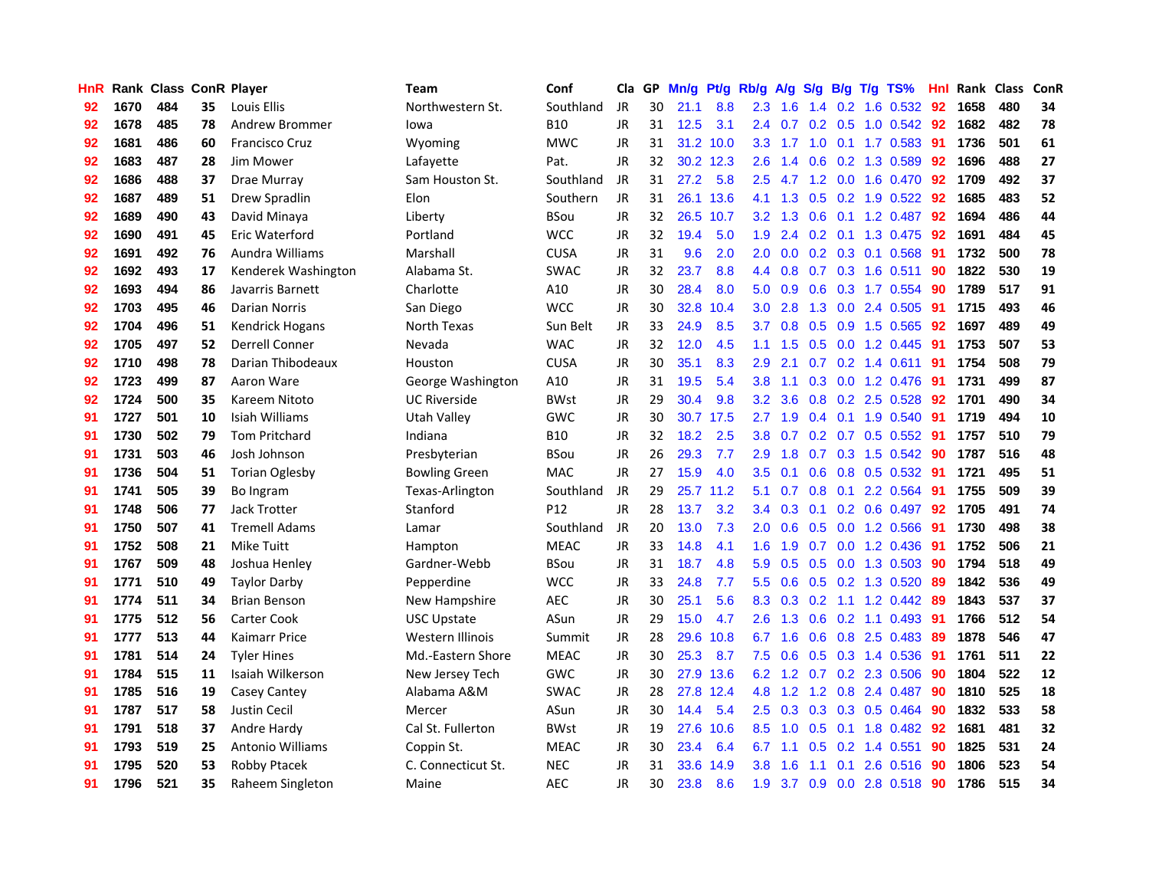| HnR |      | Rank Class ConR Player |    |                       | Team                 | Conf        | Cla       |     | GP Mn/g Pt/g Rb/g A/g |           |                  |                 |               |                 | S/g B/g T/g TS%           | Hnl | Rank Class |     | ConR |
|-----|------|------------------------|----|-----------------------|----------------------|-------------|-----------|-----|-----------------------|-----------|------------------|-----------------|---------------|-----------------|---------------------------|-----|------------|-----|------|
| 92  | 1670 | 484                    | 35 | Louis Ellis           | Northwestern St.     | Southland   | JR        | 30  | 21.1                  | 8.8       | 2.3              | 1.6             | $1.4^{\circ}$ | 0.2             | 1.6 0.532                 | 92  | 1658       | 480 | 34   |
| 92  | 1678 | 485                    | 78 | Andrew Brommer        | lowa                 | <b>B10</b>  | <b>JR</b> | 31  | 12.5                  | 3.1       | 2.4              | 0.7             | 0.2           | 0.5             | $1.0 \t0.542$             | 92  | 1682       | 482 | 78   |
| 92  | 1681 | 486                    | 60 | <b>Francisco Cruz</b> | Wyoming              | <b>MWC</b>  | <b>JR</b> | 31  |                       | 31.2 10.0 | 3.3              | 1.7             | 1.0           | 0.1             | 1.7 0.583                 | 91  | 1736       | 501 | 61   |
| 92  | 1683 | 487                    | 28 | Jim Mower             | Lafayette            | Pat.        | JR        | 32  |                       | 30.2 12.3 | 2.6              | 1.4             | 0.6           |                 | 0.2 1.3 0.589             | 92  | 1696       | 488 | 27   |
| 92  | 1686 | 488                    | 37 | Drae Murray           | Sam Houston St.      | Southland   | JR        | 31  | 27.2                  | 5.8       | $2.5\,$          | 4.7             |               |                 | 1.2 0.0 1.6 0.470         | -92 | 1709       | 492 | 37   |
| 92  | 1687 | 489                    | 51 | Drew Spradlin         | Elon                 | Southern    | JR        | 31  |                       | 26.1 13.6 |                  | 4.1 1.3         |               |                 | $0.5$ $0.2$ 1.9 $0.522$   | 92  | 1685       | 483 | 52   |
| 92  | 1689 | 490                    | 43 | David Minaya          | Liberty              | <b>BSou</b> | JR        | 32. |                       | 26.5 10.7 |                  | $3.2 \quad 1.3$ |               |                 | $0.6$ 0.1 1.2 0.487       | 92  | 1694       | 486 | 44   |
| 92  | 1690 | 491                    | 45 | Eric Waterford        | Portland             | <b>WCC</b>  | JR        | 32  | 19.4                  | 5.0       | 1.9 <sup>°</sup> | 2.4             |               |                 | $0.2$ 0.1 1.3 0.475       | 92  | 1691       | 484 | 45   |
| 92  | 1691 | 492                    | 76 | Aundra Williams       | Marshall             | <b>CUSA</b> | <b>JR</b> | 31  | 9.6                   | 2.0       | 2.0              | 0.0             |               |                 | 0.2 0.3 0.1 0.568         | 91  | 1732       | 500 | 78   |
| 92  | 1692 | 493                    | 17 | Kenderek Washington   | Alabama St.          | <b>SWAC</b> | JR        | 32  | 23.7                  | 8.8       | 4.4              | 0.8             |               |                 | 0.7 0.3 1.6 0.511         | 90  | 1822       | 530 | 19   |
| 92  | 1693 | 494                    | 86 | Javarris Barnett      | Charlotte            | A10         | JR        | 30  | 28.4                  | 8.0       | 5.0              | 0.9             |               |                 | 0.6 0.3 1.7 0.554         | -90 | 1789       | 517 | 91   |
| 92  | 1703 | 495                    | 46 | <b>Darian Norris</b>  | San Diego            | <b>WCC</b>  | JR        | 30  | 32.8                  | 10.4      | 3.0              | 2.8             |               |                 | 1.3 0.0 2.4 0.505         | -91 | 1715       | 493 | 46   |
| 92  | 1704 | 496                    | 51 | Kendrick Hogans       | North Texas          | Sun Belt    | <b>JR</b> | 33  | 24.9                  | 8.5       | 3.7              | 0.8             | 0.5           | 0.9             | 1.5 0.565                 | 92  | 1697       | 489 | 49   |
| 92  | 1705 | 497                    | 52 | <b>Derrell Conner</b> | Nevada               | <b>WAC</b>  | <b>JR</b> | 32  | 12.0                  | 4.5       | 1.1              | 1.5             | 0.5           | 0.0             | 1.2 0.445                 | 91  | 1753       | 507 | 53   |
| 92  | 1710 | 498                    | 78 | Darian Thibodeaux     | Houston              | <b>CUSA</b> | JR        | 30  | 35.1                  | 8.3       | 2.9              | 2.1             | 0.7           | 0.2             | 1.4 0.611                 | 91  | 1754       | 508 | 79   |
| 92  | 1723 | 499                    | 87 | Aaron Ware            | George Washington    | A10         | <b>JR</b> | 31  | 19.5                  | 5.4       | 3.8              | 1.1             |               | $0.3 \quad 0.0$ | 1.2 0.476                 | 91  | 1731       | 499 | 87   |
| 92  | 1724 | 500                    | 35 | Kareem Nitoto         | <b>UC Riverside</b>  | <b>BWst</b> | JR        | 29  | 30.4                  | 9.8       | $3.2\phantom{0}$ | 3.6             |               |                 | $0.8$ 0.2 2.5 0.528       | 92  | 1701       | 490 | 34   |
| 91  | 1727 | 501                    | 10 | Isiah Williams        | Utah Valley          | <b>GWC</b>  | JR        | 30  |                       | 30.7 17.5 | 2.7              | 1.9             |               |                 | $0.4$ 0.1 1.9 0.540       | -91 | 1719       | 494 | 10   |
| 91  | 1730 | 502                    | 79 | <b>Tom Pritchard</b>  | Indiana              | <b>B10</b>  | JR        | 32  | 18.2                  | 2.5       |                  | $3.8\quad 0.7$  |               |                 | $0.2$ 0.7 0.5 0.552       | -91 | 1757       | 510 | 79   |
| 91  | 1731 | 503                    | 46 | Josh Johnson          | Presbyterian         | <b>BSou</b> | <b>JR</b> | 26  | 29.3                  | 7.7       | 2.9              | 1.8             |               |                 | $0.7$ $0.3$ $1.5$ $0.542$ | -90 | 1787       | 516 | 48   |
| 91  | 1736 | 504                    | 51 | <b>Torian Oglesby</b> | <b>Bowling Green</b> | <b>MAC</b>  | JR        | 27  | 15.9                  | 4.0       | 3.5              | 0.1             |               |                 | $0.6$ $0.8$ $0.5$ $0.532$ | -91 | 1721       | 495 | 51   |
| 91  | 1741 | 505                    | 39 | Bo Ingram             | Texas-Arlington      | Southland   | JR        | 29  |                       | 25.7 11.2 | 5.1              | 0.7             |               |                 | 0.8 0.1 2.2 0.564         | 91  | 1755       | 509 | 39   |
| 91  | 1748 | 506                    | 77 | Jack Trotter          | Stanford             | P12         | <b>JR</b> | 28  | 13.7                  | 3.2       | 3.4              | 0.3             |               |                 | $0.1$ $0.2$ $0.6$ $0.497$ | 92  | 1705       | 491 | 74   |
| 91  | 1750 | 507                    | 41 | <b>Tremell Adams</b>  | Lamar                | Southland   | JR        | 20  | 13.0                  | 7.3       | 2.0              | 0.6             |               |                 | 0.5 0.0 1.2 0.566         | 91  | 1730       | 498 | 38   |
| 91  | 1752 | 508                    | 21 | <b>Mike Tuitt</b>     | Hampton              | <b>MEAC</b> | JR        | 33  | 14.8                  | 4.1       | 1.6              | 1.9             |               |                 | 0.7 0.0 1.2 0.436         | 91  | 1752       | 506 | 21   |
| 91  | 1767 | 509                    | 48 | Joshua Henley         | Gardner-Webb         | <b>BSou</b> | <b>JR</b> | 31  | 18.7                  | 4.8       | 5.9              | 0.5             |               |                 | $0.5$ 0.0 1.3 0.503       | -90 | 1794       | 518 | 49   |
| 91  | 1771 | 510                    | 49 | <b>Taylor Darby</b>   | Pepperdine           | <b>WCC</b>  | JR        | 33  | 24.8                  | 7.7       | 5.5              | 0.6             |               |                 | $0.5$ $0.2$ 1.3 $0.520$   | -89 | 1842       | 536 | 49   |
| 91  | 1774 | 511                    | 34 | <b>Brian Benson</b>   | New Hampshire        | <b>AEC</b>  | JR        | 30  | 25.1                  | 5.6       | 8.3              | 0.3             | 0.2           |                 | $1.1$ $1.2$ $0.442$       | -89 | 1843       | 537 | 37   |
| 91  | 1775 | 512                    | 56 | <b>Carter Cook</b>    | <b>USC Upstate</b>   | ASun        | JR        | 29  | 15.0                  | 4.7       | 2.6              | 1.3             | 0.6           |                 | $0.2$ 1.1 $0.493$         | -91 | 1766       | 512 | 54   |
| 91  | 1777 | 513                    | 44 | Kaimarr Price         | Western Illinois     | Summit      | JR        | 28  | 29.6                  | 10.8      | 6.7              | 1.6             | 0.6           |                 | 0.8 2.5 0.483             | 89  | 1878       | 546 | 47   |
| 91  | 1781 | 514                    | 24 | <b>Tyler Hines</b>    | Md.-Eastern Shore    | <b>MEAC</b> | JR        | 30  | 25.3                  | 8.7       | 7.5              | 0.6             |               |                 | $0.5$ $0.3$ 1.4 $0.536$   | -91 | 1761       | 511 | 22   |
| 91  | 1784 | 515                    | 11 | Isaiah Wilkerson      | New Jersey Tech      | <b>GWC</b>  | JR        | 30  |                       | 27.9 13.6 |                  | $6.2 \quad 1.2$ |               |                 | 0.7 0.2 2.3 0.506         | -90 | 1804       | 522 | 12   |
| 91  | 1785 | 516                    | 19 | Casey Cantey          | Alabama A&M          | <b>SWAC</b> | JR        | 28  |                       | 27.8 12.4 |                  | 4.8 1.2         |               |                 | 1.2 0.8 2.4 0.487         | 90  | 1810       | 525 | 18   |
| 91  | 1787 | 517                    | 58 | <b>Justin Cecil</b>   | Mercer               | ASun        | <b>JR</b> | 30  | 14.4                  | 5.4       | 2.5              | 0.3             |               |                 | $0.3$ $0.3$ $0.5$ $0.464$ | 90  | 1832       | 533 | 58   |
| 91  | 1791 | 518                    | 37 | Andre Hardy           | Cal St. Fullerton    | <b>BWst</b> | JR        | 19  | 27.6                  | 10.6      | 8.5              | 1.0             |               |                 | $0.5$ 0.1 1.8 0.482       | 92  | 1681       | 481 | 32   |
| 91  | 1793 | 519                    | 25 | Antonio Williams      | Coppin St.           | <b>MEAC</b> | <b>JR</b> | 30  | 23.4                  | 6.4       | 6.7              | 1.1             | 0.5           | 0.2             | 1.4 0.551                 | 90  | 1825       | 531 | 24   |
| 91  | 1795 | 520                    | 53 | <b>Robby Ptacek</b>   | C. Connecticut St.   | <b>NEC</b>  | <b>JR</b> | 31  | 33.6                  | 14.9      | 3.8              | 1.6             | 1.1           | 0.1             | 2.6 0.516                 | 90  | 1806       | 523 | 54   |
| 91  | 1796 | 521                    | 35 | Raheem Singleton      | Maine                | <b>AEC</b>  | JR        | 30  | 23.8                  | 8.6       | 1.9              | 3.7             |               |                 | $0.9$ $0.0$ 2.8 $0.518$   | -90 | 1786       | 515 | 34   |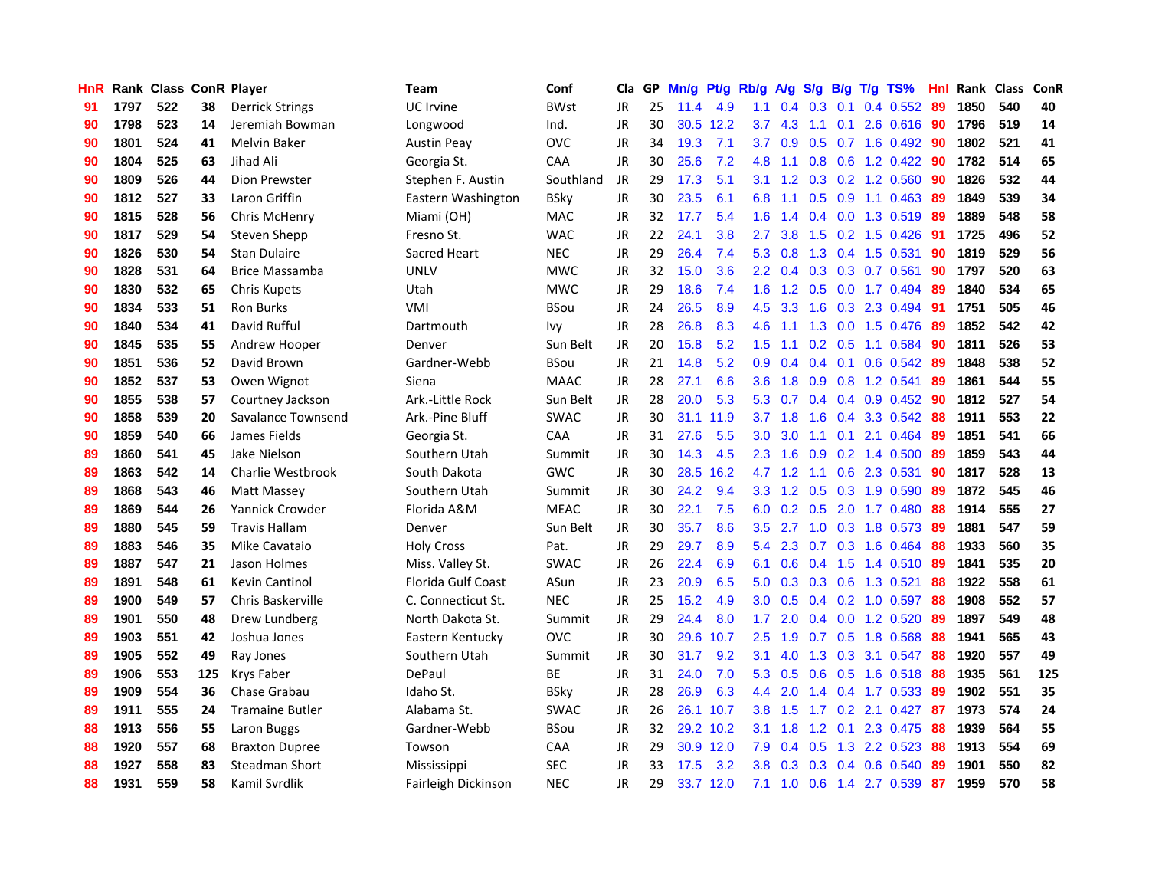| HnR |      | Rank Class ConR Player |     |                        | <b>Team</b>         | Conf        | Cla       |    | GP Mn/g | Pt/g      | Rb/g             | A/g             |                  |                 | S/g B/g T/g TS%           | Hnl |      | Rank Class | ConR |
|-----|------|------------------------|-----|------------------------|---------------------|-------------|-----------|----|---------|-----------|------------------|-----------------|------------------|-----------------|---------------------------|-----|------|------------|------|
| 91  | 1797 | 522                    | 38  | <b>Derrick Strings</b> | <b>UC</b> Irvine    | <b>BWst</b> | JR        | 25 | 11.4    | 4.9       | 1.1              | 0.4             | 0.3              | 0.1             | 0.4 0.552                 | 89  | 1850 | 540        | 40   |
| 90  | 1798 | 523                    | 14  | Jeremiah Bowman        | Longwood            | Ind.        | <b>JR</b> | 30 |         | 30.5 12.2 | 3.7              | 4.3             | 1.1              | 0.1             | 2.6 0.616                 | -90 | 1796 | 519        | 14   |
| 90  | 1801 | 524                    | 41  | <b>Melvin Baker</b>    | <b>Austin Peay</b>  | <b>OVC</b>  | <b>JR</b> | 34 | 19.3    | 7.1       | 3.7              | 0.9             | 0.5              | 0.7             | 1.6 0.492                 | -90 | 1802 | 521        | 41   |
| 90  | 1804 | 525                    | 63  | Jihad Ali              | Georgia St.         | CAA         | <b>JR</b> | 30 | 25.6    | 7.2       | 4.8              | 1.1             |                  |                 | 0.8 0.6 1.2 0.422         | -90 | 1782 | 514        | 65   |
| 90  | 1809 | 526                    | 44  | Dion Prewster          | Stephen F. Austin   | Southland   | JR        | 29 | 17.3    | 5.1       | 3.1              | 1.2             |                  |                 | $0.3$ $0.2$ 1.2 $0.560$   | -90 | 1826 | 532        | 44   |
| 90  | 1812 | 527                    | 33  | Laron Griffin          | Eastern Washington  | <b>BSky</b> | JR        | 30 | 23.5    | 6.1       | 6.8              | 1.1             |                  | $0.5 \quad 0.9$ | 1.1 0.463                 | -89 | 1849 | 539        | 34   |
| 90  | 1815 | 528                    | 56  | Chris McHenry          | Miami (OH)          | <b>MAC</b>  | <b>JR</b> | 32 | 17.7    | 5.4       | 1.6              | 1.4             |                  |                 | 0.4 0.0 1.3 0.519         | -89 | 1889 | 548        | 58   |
| 90  | 1817 | 529                    | 54  | Steven Shepp           | Fresno St.          | <b>WAC</b>  | JR        | 22 | 24.1    | 3.8       | $2.7^{\circ}$    | 3.8             |                  |                 | 1.5 0.2 1.5 0.426         | 91  | 1725 | 496        | 52   |
| 90  | 1826 | 530                    | 54  | <b>Stan Dulaire</b>    | Sacred Heart        | <b>NEC</b>  | JR        | 29 | 26.4    | 7.4       | 5.3              | 0.8             |                  |                 | 1.3 0.4 1.5 0.531         | 90  | 1819 | 529        | 56   |
| 90  | 1828 | 531                    | 64  | <b>Brice Massamba</b>  | <b>UNLV</b>         | <b>MWC</b>  | JR        | 32 | 15.0    | 3.6       | 2.2 <sub>2</sub> | 0.4             |                  |                 | $0.3$ $0.3$ $0.7$ $0.561$ | 90  | 1797 | 520        | 63   |
| 90  | 1830 | 532                    | 65  | <b>Chris Kupets</b>    | Utah                | <b>MWC</b>  | <b>JR</b> | 29 | 18.6    | 7.4       | 1.6              | 1.2             | 0.5              |                 | 0.0 1.7 0.494             | -89 | 1840 | 534        | 65   |
| 90  | 1834 | 533                    | 51  | <b>Ron Burks</b>       | VMI                 | <b>BSou</b> | JR        | 24 | 26.5    | 8.9       | 4.5              | 3.3             | 1.6              |                 | 0.3 2.3 0.494             | -91 | 1751 | 505        | 46   |
| 90  | 1840 | 534                    | 41  | David Rufful           | Dartmouth           | Ivy         | <b>JR</b> | 28 | 26.8    | 8.3       | 4.6              | 1.1             | 1.3              | 0.0             | 1.5 0.476                 | 89  | 1852 | 542        | 42   |
| 90  | 1845 | 535                    | 55  | Andrew Hooper          | Denver              | Sun Belt    | JR        | 20 | 15.8    | 5.2       | 1.5              | 1.1             | 0.2 <sub>0</sub> | 0.5             | 1.1 0.584                 | 90  | 1811 | 526        | 53   |
| 90  | 1851 | 536                    | 52  | David Brown            | Gardner-Webb        | <b>BSou</b> | <b>JR</b> | 21 | 14.8    | 5.2       | 0.9              | 0.4             |                  | $0.4 \quad 0.1$ | 0.6 0.542                 | 89  | 1848 | 538        | 52   |
| 90  | 1852 | 537                    | 53  | Owen Wignot            | Siena               | <b>MAAC</b> | JR        | 28 | 27.1    | 6.6       | 3.6              | 1.8             | 0.9              | 0.8             | 1.2 0.541                 | 89  | 1861 | 544        | 55   |
| 90  | 1855 | 538                    | 57  | Courtney Jackson       | Ark.-Little Rock    | Sun Belt    | JR        | 28 | 20.0    | 5.3       | 5.3              | 0.7             |                  |                 | $0.4$ 0.4 0.9 0.452       | -90 | 1812 | 527        | 54   |
| 90  | 1858 | 539                    | 20  | Savalance Townsend     | Ark.-Pine Bluff     | <b>SWAC</b> | JR        | 30 |         | 31.1 11.9 |                  | $3.7 \quad 1.8$ | 1.6              |                 | $0.4$ 3.3 0.542           | -88 | 1911 | 553        | 22   |
| 90  | 1859 | 540                    | 66  | James Fields           | Georgia St.         | CAA         | JR        | 31 | 27.6    | 5.5       |                  | $3.0\quad 3.0$  |                  | $1.1 \quad 0.1$ | 2.1 0.464                 | -89 | 1851 | 541        | 66   |
| 89  | 1860 | 541                    | 45  | Jake Nielson           | Southern Utah       | Summit      | JR        | 30 | 14.3    | 4.5       |                  | $2.3 \quad 1.6$ |                  |                 | $0.9$ 0.2 1.4 0.500       | -89 | 1859 | 543        | 44   |
| 89  | 1863 | 542                    | 14  | Charlie Westbrook      | South Dakota        | <b>GWC</b>  | JR        | 30 | 28.5    | 16.2      |                  | 4.7 1.2         | $-1.1$           |                 | 0.6 2.3 0.531             | 90  | 1817 | 528        | 13   |
| 89  | 1868 | 543                    | 46  | Matt Massey            | Southern Utah       | Summit      | JR        | 30 | 24.2    | 9.4       |                  | $3.3 \quad 1.2$ |                  |                 | 0.5 0.3 1.9 0.590         | 89  | 1872 | 545        | 46   |
| 89  | 1869 | 544                    | 26  | Yannick Crowder        | Florida A&M         | <b>MEAC</b> | JR        | 30 | 22.1    | 7.5       | 6.0              | 0.2             |                  |                 | 0.5 2.0 1.7 0.480         | 88  | 1914 | 555        | 27   |
| 89  | 1880 | 545                    | 59  | <b>Travis Hallam</b>   | Denver              | Sun Belt    | JR        | 30 | 35.7    | 8.6       | 3.5              | 2.7             | 1.0              |                 | 0.3 1.8 0.573             | -89 | 1881 | 547        | 59   |
| 89  | 1883 | 546                    | 35  | Mike Cavataio          | <b>Holy Cross</b>   | Pat.        | JR        | 29 | 29.7    | 8.9       | 5.4              | 2.3             |                  |                 | $0.7$ $0.3$ 1.6 $0.464$   | -88 | 1933 | 560        | 35   |
| 89  | 1887 | 547                    | 21  | Jason Holmes           | Miss. Valley St.    | <b>SWAC</b> | JR        | 26 | 22.4    | 6.9       | 6.1              | 0.6             | 0.4              | 1.5             | 1.4 0.510                 | -89 | 1841 | 535        | 20   |
| 89  | 1891 | 548                    | 61  | <b>Kevin Cantinol</b>  | Florida Gulf Coast  | ASun        | <b>JR</b> | 23 | 20.9    | 6.5       | 5.0              | 0.3             |                  | $0.3 \quad 0.6$ | 1.3 0.521                 | 88  | 1922 | 558        | 61   |
| 89  | 1900 | 549                    | 57  | Chris Baskerville      | C. Connecticut St.  | <b>NEC</b>  | JR        | 25 | 15.2    | 4.9       | 3.0              | 0.5             |                  |                 | 0.4 0.2 1.0 0.597         | 88  | 1908 | 552        | 57   |
| 89  | 1901 | 550                    | 48  | Drew Lundberg          | North Dakota St.    | Summit      | <b>JR</b> | 29 | 24.4    | 8.0       | 1.7 <sub>2</sub> | 2.0             |                  | $0.4\quad 0.0$  | 1.2 0.520                 | 89  | 1897 | 549        | 48   |
| 89  | 1903 | 551                    | 42  | Joshua Jones           | Eastern Kentucky    | <b>OVC</b>  | <b>JR</b> | 30 | 29.6    | 10.7      | 2.5              | 1.9             | 0.7              | 0.5             | 1.8 0.568                 | 88  | 1941 | 565        | 43   |
| 89  | 1905 | 552                    | 49  | Ray Jones              | Southern Utah       | Summit      | JR        | 30 | 31.7    | 9.2       | 3.1              | 4.0             | 1.3              | 0.3             | 3.1 0.547                 | 88  | 1920 | 557        | 49   |
| 89  | 1906 | 553                    | 125 | <b>Krys Faber</b>      | DePaul              | ВE          | JR        | 31 | 24.0    | 7.0       | 5.3              | 0.5             |                  |                 | 0.6 0.5 1.6 0.518         | -88 | 1935 | 561        | 125  |
| 89  | 1909 | 554                    | 36  | Chase Grabau           | Idaho St.           | <b>BSky</b> | JR        | 28 | 26.9    | 6.3       | 4.4              | 2.0             |                  |                 | 1.4 0.4 1.7 0.533         | -89 | 1902 | 551        | 35   |
| 89  | 1911 | 555                    | 24  | <b>Tramaine Butler</b> | Alabama St.         | <b>SWAC</b> | JR        | 26 |         | 26.1 10.7 |                  | $3.8$ 1.5       |                  |                 | 1.7 0.2 2.1 0.427         | -87 | 1973 | 574        | 24   |
| 88  | 1913 | 556                    | 55  | Laron Buggs            | Gardner-Webb        | <b>BSou</b> | <b>JR</b> | 32 |         | 29.2 10.2 | 3.1              | 1.8             |                  | $1.2 \quad 0.1$ | 2.3 0.475                 | 88  | 1939 | 564        | 55   |
| 88  | 1920 | 557                    | 68  | <b>Braxton Dupree</b>  | Towson              | CAA         | JR        | 29 |         | 30.9 12.0 | 7.9              | 0.4             | 0.5              |                 | 1.3 2.2 0.523             | 88  | 1913 | 554        | 69   |
| 88  | 1927 | 558                    | 83  | <b>Steadman Short</b>  | Mississippi         | <b>SEC</b>  | <b>JR</b> | 33 | 17.5    | 3.2       | 3.8              | 0.3             | 0.3              | 0.4             | 0.6 0.540                 | 89  | 1901 | 550        | 82   |
| 88  | 1931 | 559                    | 58  | Kamil Svrdlik          | Fairleigh Dickinson | <b>NEC</b>  | JR        | 29 |         | 33.7 12.0 | 7.1              | 1.0             |                  |                 | 0.6 1.4 2.7 0.539         | -87 | 1959 | 570        | 58   |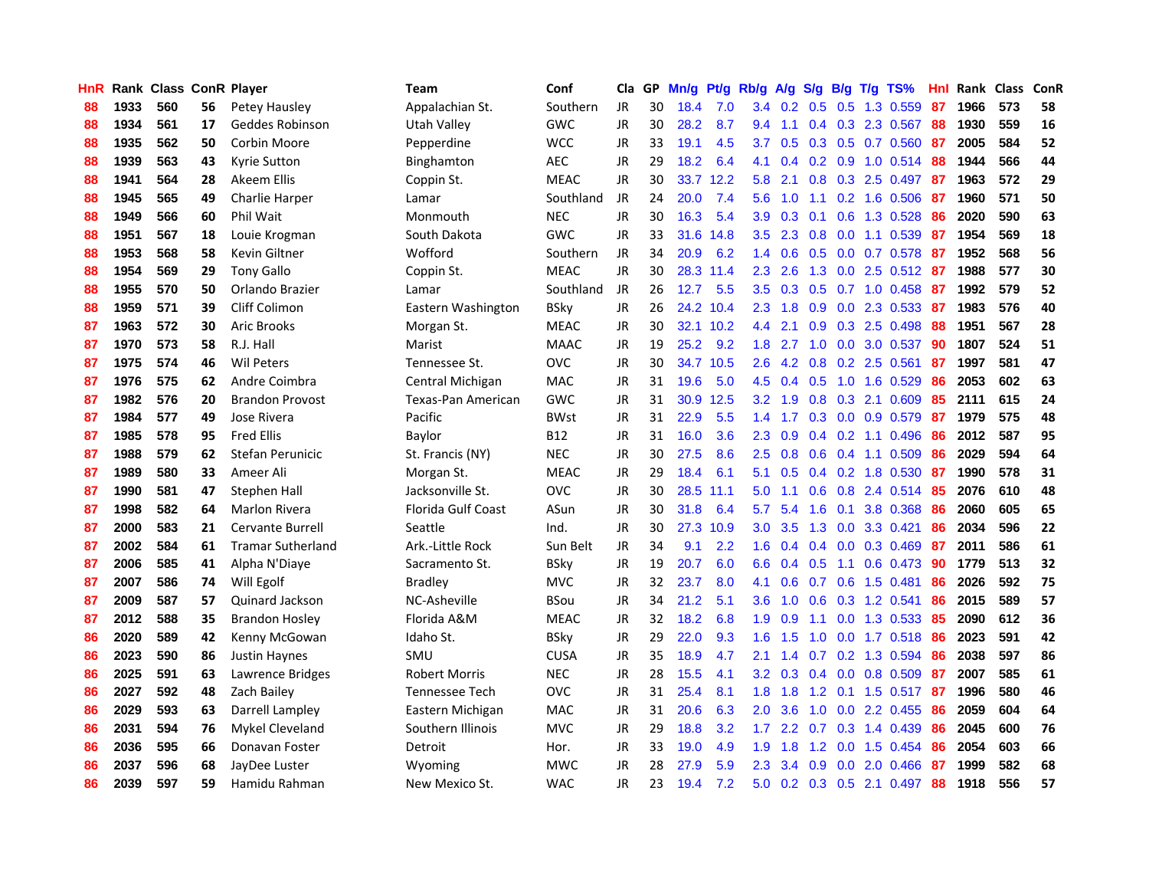| <b>HnR</b> |      | <b>Rank Class ConR Player</b> |    |                          | <b>Team</b>          | Conf        | Cla       | GP | Mn/g Pt/g |           | Rb/g A/g         |             |     |                 | S/g B/g T/g TS%                 | Hnl | <b>Rank Class ConR</b> |     |    |
|------------|------|-------------------------------|----|--------------------------|----------------------|-------------|-----------|----|-----------|-----------|------------------|-------------|-----|-----------------|---------------------------------|-----|------------------------|-----|----|
| 88         | 1933 | 560                           | 56 | Petey Hausley            | Appalachian St.      | Southern    | <b>JR</b> | 30 | 18.4      | 7.0       |                  | 3.4 0.2     | 0.5 | 0.5             | 1.3 0.559                       | 87  | 1966                   | 573 | 58 |
| 88         | 1934 | 561                           | 17 | Geddes Robinson          | Utah Valley          | GWC         | <b>JR</b> | 30 | 28.2      | 8.7       | $9.4^{\circ}$    | 1.1         |     | $0.4 \quad 0.3$ | 2.3 0.567                       | 88  | 1930                   | 559 | 16 |
| 88         | 1935 | 562                           | 50 | Corbin Moore             | Pepperdine           | <b>WCC</b>  | JR        | 33 | 19.1      | 4.5       | 3.7              | 0.5         | 0.3 |                 | 0.5 0.7 0.560                   | 87  | 2005                   | 584 | 52 |
| 88         | 1939 | 563                           | 43 | Kyrie Sutton             | Binghamton           | AEC         | JR        | 29 | 18.2      | 6.4       | 4.1              | 0.4         |     | $0.2 \quad 0.9$ | $1.0$ 0.514                     | 88  | 1944                   | 566 | 44 |
| 88         | 1941 | 564                           | 28 | Akeem Ellis              | Coppin St.           | <b>MEAC</b> | JR        | 30 | 33.7      | 12.2      | 5.8              | 2.1         |     |                 | $0.8$ $0.3$ $2.5$ $0.497$       | -87 | 1963                   | 572 | 29 |
| 88         | 1945 | 565                           | 49 | Charlie Harper           | Lamar                | Southland   | JR        | 24 | 20.0      | 7.4       | 5.6              | 1.0         |     |                 | 1.1 0.2 1.6 0.506               | -87 | 1960                   | 571 | 50 |
| 88         | 1949 | 566                           | 60 | Phil Wait                | Monmouth             | <b>NEC</b>  | JR        | 30 | 16.3      | 5.4       | 3.9              | 0.3         | 0.1 |                 | 0.6 1.3 0.528                   | 86  | 2020                   | 590 | 63 |
| 88         | 1951 | 567                           | 18 | Louie Krogman            | South Dakota         | GWC         | JR        | 33 | 31.6      | 14.8      | 3.5              | 2.3         |     |                 | $0.8$ 0.0 1.1 0.539             | 87  | 1954                   | 569 | 18 |
| 88         | 1953 | 568                           | 58 | Kevin Giltner            | Wofford              | Southern    | <b>JR</b> | 34 | 20.9      | 6.2       | 1.4              | 0.6         |     |                 | 0.5 0.0 0.7 0.578               | 87  | 1952                   | 568 | 56 |
| 88         | 1954 | 569                           | 29 | <b>Tony Gallo</b>        | Coppin St.           | <b>MEAC</b> | <b>JR</b> | 30 |           | 28.3 11.4 | 2.3 <sub>2</sub> | 2.6         | 1.3 |                 | 0.0 2.5 0.512                   | 87  | 1988                   | 577 | 30 |
| 88         | 1955 | 570                           | 50 | Orlando Brazier          | Lamar                | Southland   | JR        | 26 | 12.7      | 5.5       | 3.5              | 0.3         | 0.5 |                 | $0.7$ 1.0 $0.458$               | 87  | 1992                   | 579 | 52 |
| 88         | 1959 | 571                           | 39 | Cliff Colimon            | Eastern Washington   | BSky        | JR        | 26 |           | 24.2 10.4 | 2.3              | 1.8         | 0.9 |                 | 0.0 2.3 0.533                   | 87  | 1983                   | 576 | 40 |
| 87         | 1963 | 572                           | 30 | <b>Aric Brooks</b>       | Morgan St.           | <b>MEAC</b> | JR        | 30 |           | 32.1 10.2 | 4.4              | 2.1         | 0.9 |                 | 0.3 2.5 0.498                   | 88  | 1951                   | 567 | 28 |
| 87         | 1970 | 573                           | 58 | R.J. Hall                | Marist               | <b>MAAC</b> | JR        | 19 | 25.2      | 9.2       | 1.8              | 2.7         | 1.0 | 0.0             | 3.0 0.537                       | 90  | 1807                   | 524 | 51 |
| 87         | 1975 | 574                           | 46 | <b>Wil Peters</b>        | Tennessee St.        | <b>OVC</b>  | JR        | 30 |           | 34.7 10.5 | 2.6              | 4.2         | 0.8 | 0.2             | 2.5 0.561                       | 87  | 1997                   | 581 | 47 |
| 87         | 1976 | 575                           | 62 | Andre Coimbra            | Central Michigan     | <b>MAC</b>  | JR        | 31 | 19.6      | 5.0       | 4.5              | 0.4         | 0.5 | 1.0             | 1.6 0.529                       | 86  | 2053                   | 602 | 63 |
| 87         | 1982 | 576                           | 20 | <b>Brandon Provost</b>   | Texas-Pan American   | GWC         | JR        | 31 | 30.9      | 12.5      | 3.2              | 1.9         | 0.8 | 0.3             | 2.1 0.609                       | 85  | 2111                   | 615 | 24 |
| 87         | 1984 | 577                           | 49 | Jose Rivera              | Pacific              | <b>BWst</b> | JR        | 31 | 22.9      | 5.5       |                  | $1.4$ 1.7   |     |                 | 0.3 0.0 0.9 0.579               | -87 | 1979                   | 575 | 48 |
| 87         | 1985 | 578                           | 95 | <b>Fred Ellis</b>        | Baylor               | <b>B12</b>  | JR        | 31 | 16.0      | 3.6       | $2.3^{\circ}$    | 0.9         |     |                 | $0.4$ 0.2 1.1 0.496             | 86  | 2012                   | 587 | 95 |
| 87         | 1988 | 579                           | 62 | Stefan Perunicic         | St. Francis (NY)     | <b>NEC</b>  | JR        | 30 | 27.5      | 8.6       |                  | $2.5 \t0.8$ |     |                 | $0.6$ 0.4 1.1 0.509             | 86  | 2029                   | 594 | 64 |
| 87         | 1989 | 580                           | 33 | Ameer Ali                | Morgan St.           | <b>MEAC</b> | JR        | 29 | 18.4      | 6.1       | 5.1              | 0.5         |     |                 | $0.4$ 0.2 1.8 0.530             | -87 | 1990                   | 578 | 31 |
| 87         | 1990 | 581                           | 47 | Stephen Hall             | Jacksonville St.     | <b>OVC</b>  | JR        | 30 | 28.5      | 11.1      | 5.0              | 1.1         |     |                 | 0.6 0.8 2.4 0.514               | 85  | 2076                   | 610 | 48 |
| 87         | 1998 | 582                           | 64 | <b>Marlon Rivera</b>     | Florida Gulf Coast   | ASun        | JR        | 30 | 31.8      | 6.4       | 5.7              | 5.4         | 1.6 |                 | 0.1 3.8 0.368                   | 86  | 2060                   | 605 | 65 |
| 87         | 2000 | 583                           | 21 | <b>Cervante Burrell</b>  | Seattle              | Ind.        | JR        | 30 | 27.3      | 10.9      | 3.0              | 3.5         | 1.3 |                 | $0.0$ 3.3 $0.421$               | 86  | 2034                   | 596 | 22 |
| 87         | 2002 | 584                           | 61 | <b>Tramar Sutherland</b> | Ark.-Little Rock     | Sun Belt    | JR        | 34 | 9.1       | 2.2       | 1.6              | 0.4         |     |                 | $0.4$ 0.0 0.3 0.469             | -87 | 2011                   | 586 | 61 |
| 87         | 2006 | 585                           | 41 | Alpha N'Diaye            | Sacramento St.       | <b>BSky</b> | JR        | 19 | 20.7      | 6.0       | 6.6              | 0.4         | 0.5 | 1.1             | 0.6 0.473                       | -90 | 1779                   | 513 | 32 |
| 87         | 2007 | 586                           | 74 | Will Egolf               | Bradley              | <b>MVC</b>  | JR        | 32 | 23.7      | 8.0       | 4.1              | 0.6         | 0.7 | 0.6             | 1.5 0.481                       | 86  | 2026                   | 592 | 75 |
| 87         | 2009 | 587                           | 57 | Quinard Jackson          | NC-Asheville         | <b>BSou</b> | JR        | 34 | 21.2      | 5.1       | 3.6 <sup>°</sup> | 1.0         | 0.6 |                 | 0.3 1.2 0.541                   | 86  | 2015                   | 589 | 57 |
| 87         | 2012 | 588                           | 35 | <b>Brandon Hosley</b>    | Florida A&M          | <b>MEAC</b> | JR        | 32 | 18.2      | 6.8       | 1.9              | 0.9         | 1.1 | 0.0             | 1.3 0.533                       | 85  | 2090                   | 612 | 36 |
| 86         | 2020 | 589                           | 42 | Kenny McGowan            | Idaho St.            | <b>BSky</b> | JR        | 29 | 22.0      | 9.3       | 1.6              | 1.5         | 1.0 | 0.0             | 1.7 0.518                       | 86  | 2023                   | 591 | 42 |
| 86         | 2023 | 590                           | 86 | Justin Haynes            | SMU                  | <b>CUSA</b> | JR        | 35 | 18.9      | 4.7       | 2.1              | 1.4         | 0.7 | 0.2             | 1.3 0.594                       | 86  | 2038                   | 597 | 86 |
| 86         | 2025 | 591                           | 63 | Lawrence Bridges         | <b>Robert Morris</b> | <b>NEC</b>  | JR        | 28 | 15.5      | 4.1       |                  | 3.2 0.3     |     |                 | $0.4$ 0.0 0.8 0.509             | -87 | 2007                   | 585 | 61 |
| 86         | 2027 | 592                           | 48 | Zach Bailey              | Tennessee Tech       | <b>OVC</b>  | JR        | 31 | 25.4      | 8.1       | 1.8 <sup>1</sup> | 1.8         |     |                 | 1.2 0.1 1.5 0.517               | -87 | 1996                   | 580 | 46 |
| 86         | 2029 | 593                           | 63 | Darrell Lampley          | Eastern Michigan     | <b>MAC</b>  | JR        | 31 | 20.6      | 6.3       | 2.0              | 3.6         | 1.0 |                 | 0.0 2.2 0.455                   | 86  | 2059                   | 604 | 64 |
| 86         | 2031 | 594                           | 76 | Mykel Cleveland          | Southern Illinois    | <b>MVC</b>  | JR        | 29 | 18.8      | 3.2       | 1.7 <sub>z</sub> | 2.2         | 0.7 |                 | 0.3 1.4 0.439                   | 86  | 2045                   | 600 | 76 |
| 86         | 2036 | 595                           | 66 | Donavan Foster           | Detroit              | Hor.        | JR        | 33 | 19.0      | 4.9       | 1.9              | 1.8         | 1.2 | 0.0             | 1.5 0.454                       | 86  | 2054                   | 603 | 66 |
| 86         | 2037 | 596                           | 68 | JayDee Luster            | Wyoming              | <b>MWC</b>  | JR        | 28 | 27.9      | 5.9       | 2.3              | 3.4         | 0.9 | 0.0             | 2.0 0.466                       | 87  | 1999                   | 582 | 68 |
| 86         | 2039 | 597                           | 59 | Hamidu Rahman            | New Mexico St.       | <b>WAC</b>  | <b>JR</b> | 23 | 19.4      | 7.2       | 5.0              |             |     |                 | $0.2$ $0.3$ $0.5$ $2.1$ $0.497$ | 88  | 1918                   | 556 | 57 |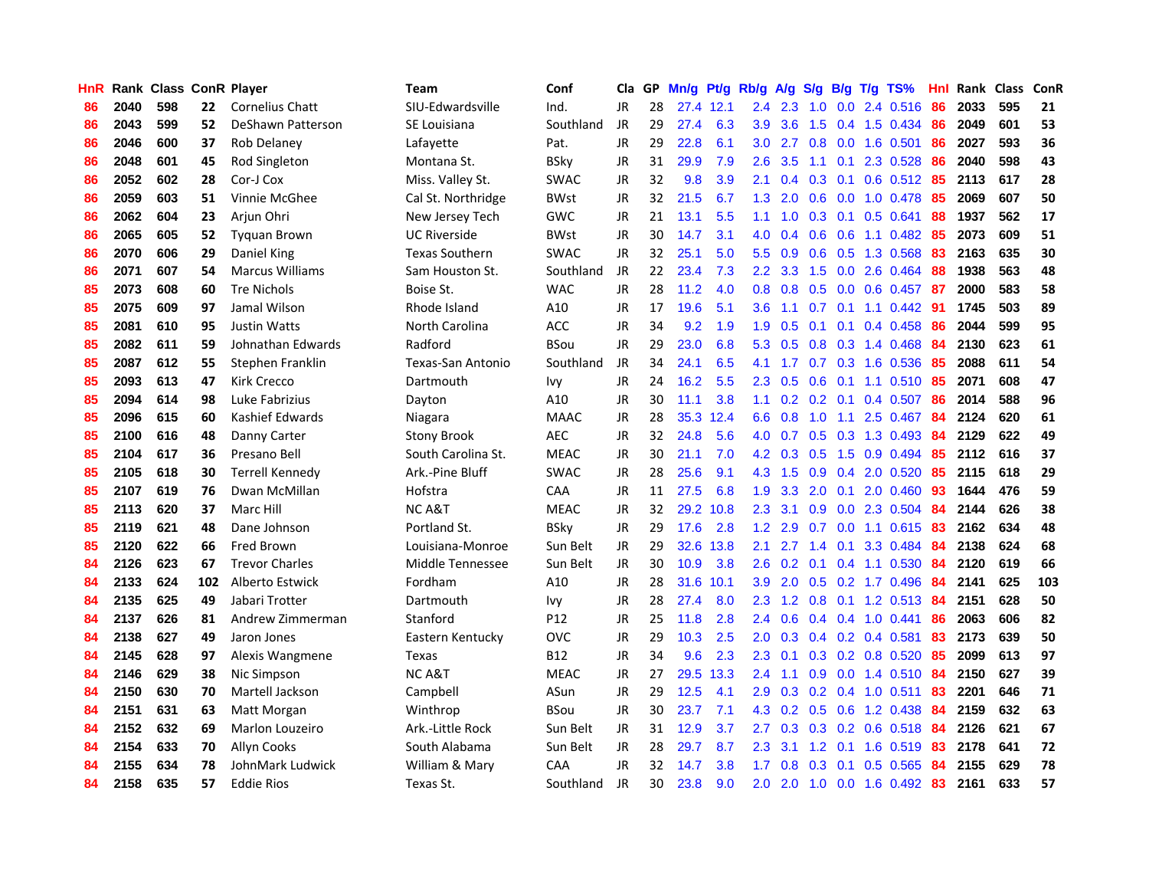| <b>HnR</b> |      | Rank Class ConR Player |     |                        | <b>Team</b>           | Conf            | Cla       |    | GP Mn/g Pt/g |           | Rb/g A/g         |                 |               |                 | S/g B/g T/g TS%           | Hnl | Rank Class |     | <b>ConR</b> |
|------------|------|------------------------|-----|------------------------|-----------------------|-----------------|-----------|----|--------------|-----------|------------------|-----------------|---------------|-----------------|---------------------------|-----|------------|-----|-------------|
| 86         | 2040 | 598                    | 22  | <b>Cornelius Chatt</b> | SIU-Edwardsville      | Ind.            | JR.       | 28 |              | 27.4 12.1 | $2.4^{\circ}$    | 2.3             | 1.0           | 0.0             | 2.4 0.516                 | 86  | 2033       | 595 | 21          |
| 86         | 2043 | 599                    | 52  | DeShawn Patterson      | SE Louisiana          | Southland       | JR        | 29 | 27.4         | 6.3       | 3.9              | 3.6             | 1.5           | 0.4             | 1.5 0.434                 | 86  | 2049       | 601 | 53          |
| 86         | 2046 | 600                    | 37  | Rob Delaney            | Lafavette             | Pat.            | JR        | 29 | 22.8         | 6.1       | 3.0              | 2.7             | 0.8           | 0.0             | 1.6 0.501                 | 86  | 2027       | 593 | 36          |
| 86         | 2048 | 601                    | 45  | Rod Singleton          | Montana St.           | <b>BSky</b>     | JR        | 31 | 29.9         | 7.9       | 2.6              | 3.5             |               |                 | 1.1 0.1 2.3 0.528         | 86  | 2040       | 598 | 43          |
| 86         | 2052 | 602                    | 28  | Cor-J Cox              | Miss. Valley St.      | <b>SWAC</b>     | JR        | 32 | 9.8          | 3.9       | 2.1              | 0.4             |               | $0.3 \quad 0.1$ | 0.6 0.512 85              |     | 2113       | 617 | 28          |
| 86         | 2059 | 603                    | 51  | Vinnie McGhee          | Cal St. Northridge    | <b>BWst</b>     | JR        | 32 | 21.5         | 6.7       |                  | $1.3$ 2.0       |               |                 | $0.6$ $0.0$ $1.0$ $0.478$ | 85  | 2069       | 607 | 50          |
| 86         | 2062 | 604                    | 23  | Arjun Ohri             | New Jersey Tech       | GWC             | JR        | 21 | 13.1         | 5.5       | 1.1              | 1.0             |               |                 | 0.3 0.1 0.5 0.641         | 88  | 1937       | 562 | 17          |
| 86         | 2065 | 605                    | 52  | <b>Tyguan Brown</b>    | <b>UC Riverside</b>   | <b>BWst</b>     | JR        | 30 | 14.7         | 3.1       | 4.0              | 0.4             |               |                 | $0.6$ $0.6$ 1.1 $0.482$   | 85  | 2073       | 609 | 51          |
| 86         | 2070 | 606                    | 29  | Daniel King            | <b>Texas Southern</b> | <b>SWAC</b>     | JR        | 32 | 25.1         | 5.0       | $5.5^{\circ}$    | 0.9             |               |                 | $0.6$ $0.5$ 1.3 0.568     | 83  | 2163       | 635 | 30          |
| 86         | 2071 | 607                    | 54  | <b>Marcus Williams</b> | Sam Houston St.       | Southland       | JR        | 22 | 23.4         | 7.3       | $2.2^{\circ}$    | 3.3             | 1.5           |                 | 0.0 2.6 0.464             | 88  | 1938       | 563 | 48          |
| 85         | 2073 | 608                    | 60  | <b>Tre Nichols</b>     | Boise St.             | <b>WAC</b>      | JR        | 28 | 11.2         | 4.0       | 0.8 <sub>0</sub> | 0.8             | 0.5           |                 | $0.0$ 0.6 0.457           | -87 | 2000       | 583 | 58          |
| 85         | 2075 | 609                    | 97  | Jamal Wilson           | Rhode Island          | A10             | JR        | 17 | 19.6         | 5.1       | 3.6              | 1.1             | 0.7           | 0.1             | 1.1 0.442                 | 91  | 1745       | 503 | 89          |
| 85         | 2081 | 610                    | 95  | Justin Watts           | North Carolina        | <b>ACC</b>      | JR        | 34 | 9.2          | 1.9       | 1.9              | 0.5             | 0.1           | 0.1             | 0.4 0.458                 | 86  | 2044       | 599 | 95          |
| 85         | 2082 | 611                    | 59  | Johnathan Edwards      | Radford               | <b>BSou</b>     | <b>JR</b> | 29 | 23.0         | 6.8       | 5.3              | 0.5             | 0.8           |                 | $0.3$ 1.4 0.468           | 84  | 2130       | 623 | 61          |
| 85         | 2087 | 612                    | 55  | Stephen Franklin       | Texas-San Antonio     | Southland       | JR        | 34 | 24.1         | 6.5       | 4.1              | 1.7             | 0.7           | 0.3             | 1.6 0.536                 | 85  | 2088       | 611 | 54          |
| 85         | 2093 | 613                    | 47  | <b>Kirk Crecco</b>     | Dartmouth             | <b>Ivy</b>      | JR        | 24 | 16.2         | 5.5       | $2.3^{\circ}$    | 0.5             | 0.6           | 0.1             | $1.1 \, 0.510$            | -85 | 2071       | 608 | 47          |
| 85         | 2094 | 614                    | 98  | Luke Fabrizius         | Dayton                | A10             | JR        | 30 | 11.1         | 3.8       | 1.1              |                 | $0.2$ 0.2 0.1 |                 | 0.4 0.507                 | -86 | 2014       | 588 | 96          |
| 85         | 2096 | 615                    | 60  | Kashief Edwards        | Niagara               | <b>MAAC</b>     | JR        | 28 | 35.3         | 12.4      | 6.6              | 0.8             |               |                 | 1.0 1.1 2.5 0.467         | 84  | 2124       | 620 | 61          |
| 85         | 2100 | 616                    | 48  | Danny Carter           | <b>Stony Brook</b>    | <b>AEC</b>      | JR        | 32 | 24.8         | 5.6       |                  |                 |               |                 | 4.0 0.7 0.5 0.3 1.3 0.493 | 84  | 2129       | 622 | 49          |
| 85         | 2104 | 617                    | 36  | Presano Bell           | South Carolina St.    | <b>MEAC</b>     | JR        | 30 | 21.1         | 7.0       |                  | $4.2 \quad 0.3$ | 0.5           |                 | 1.5 0.9 0.494             | 85  | 2112       | 616 | 37          |
| 85         | 2105 | 618                    | 30  | <b>Terrell Kennedy</b> | Ark.-Pine Bluff       | <b>SWAC</b>     | JR        | 28 | 25.6         | 9.1       |                  | $4.3 \quad 1.5$ |               |                 | $0.9$ $0.4$ 2.0 $0.520$   | 85  | 2115       | 618 | 29          |
| 85         | 2107 | 619                    | 76  | Dwan McMillan          | Hofstra               | CAA             | JR        | 11 | 27.5         | 6.8       | 1.9              | 3.3             | 2.0           | 0.1             | 2.0 0.460                 | 93  | 1644       | 476 | 59          |
| 85         | 2113 | 620                    | 37  | Marc Hill              | <b>NCA&amp;T</b>      | <b>MEAC</b>     | JR        | 32 | 29.2         | 10.8      | 2.3              | 3.1             | 0.9           |                 | $0.0$ 2.3 0.504           | 84  | 2144       | 626 | 38          |
| 85         | 2119 | 621                    | 48  | Dane Johnson           | Portland St.          | <b>BSky</b>     | JR        | 29 | 17.6         | 2.8       | 1.2 <sub>2</sub> | 2.9             | 0.7           |                 | 0.0 1.1 0.615             | 83  | 2162       | 634 | 48          |
| 85         | 2120 | 622                    | 66  | <b>Fred Brown</b>      | Louisiana-Monroe      | Sun Belt        | JR        | 29 | 32.6         | 13.8      | 2.1              | 2.7             | $1.4^{\circ}$ | 0.1             | 3.3 0.484                 | 84  | 2138       | 624 | 68          |
| 84         | 2126 | 623                    | 67  | <b>Trevor Charles</b>  | Middle Tennessee      | Sun Belt        | JR        | 30 | 10.9         | 3.8       | 2.6              | 0.2             | 0.1           |                 | 0.4 1.1 0.530             | -84 | 2120       | 619 | 66          |
| 84         | 2133 | 624                    | 102 | Alberto Estwick        | Fordham               | A10             | JR        | 28 | 31.6         | 10.1      | 3.9              | 2.0             | 0.5           | 0.2             | 1.7 0.496                 | 84  | 2141       | 625 | 103         |
| 84         | 2135 | 625                    | 49  | Jabari Trotter         | Dartmouth             | Ivy             | JR        | 28 | 27.4         | 8.0       | $2.3^{\circ}$    | 1.2             | 0.8           |                 | $0.1$ 1.2 0.513           | 84  | 2151       | 628 | 50          |
| 84         | 2137 | 626                    | 81  | Andrew Zimmerman       | Stanford              | P <sub>12</sub> | JR        | 25 | 11.8         | 2.8       | $2.4^{\circ}$    | 0.6             |               |                 | $0.4$ 0.4 1.0 0.441       | 86  | 2063       | 606 | 82          |
| 84         | 2138 | 627                    | 49  | Jaron Jones            | Eastern Kentucky      | <b>OVC</b>      | JR        | 29 | 10.3         | 2.5       | 2.0 <sub>2</sub> |                 |               |                 | $0.3$ 0.4 0.2 0.4 0.581   | 83  | 2173       | 639 | 50          |
| 84         | 2145 | 628                    | 97  | Alexis Wangmene        | Texas                 | <b>B12</b>      | JR        | 34 | 9.6          | 2.3       | $2.3^{\circ}$    | 0.1             |               |                 | $0.3$ $0.2$ $0.8$ $0.520$ | 85  | 2099       | 613 | 97          |
| 84         | 2146 | 629                    | 38  | Nic Simpson            | <b>NCA&amp;T</b>      | <b>MEAC</b>     | JR        | 27 | 29.5         | 13.3      | $2.4^{\circ}$    | 1.1             |               |                 | $0.9$ 0.0 1.4 0.510       | -84 | 2150       | 627 | 39          |
| 84         | 2150 | 630                    | 70  | Martell Jackson        | Campbell              | ASun            | JR        | 29 | 12.5         | 4.1       | 2.9              | 0.3             |               |                 | $0.2$ 0.4 1.0 0.511       | 83  | 2201       | 646 | 71          |
| 84         | 2151 | 631                    | 63  | Matt Morgan            | Winthrop              | <b>BSou</b>     | JR        | 30 | 23.7         | 7.1       | 4.3              | 0.2             |               |                 | $0.5$ $0.6$ 1.2 0.438     | 84  | 2159       | 632 | 63          |
| 84         | 2152 | 632                    | 69  | Marlon Louzeiro        | Ark.-Little Rock      | Sun Belt        | JR        | 31 | 12.9         | 3.7       | 2.7              | 0.3             |               |                 | $0.3$ 0.2 0.6 0.518       | 84  | 2126       | 621 | 67          |
| 84         | 2154 | 633                    | 70  | Allyn Cooks            | South Alabama         | Sun Belt        | JR        | 28 | 29.7         | 8.7       | 2.3              | 3.1             | 1.2           | 0.1             | 1.6 0.519                 | 83  | 2178       | 641 | 72          |
| 84         | 2155 | 634                    | 78  | JohnMark Ludwick       | William & Mary        | CAA             | <b>JR</b> | 32 | 14.7         | 3.8       | 1.7              | 0.8             | 0.3           | 0.1             | 0.5 0.565                 | 84  | 2155       | 629 | 78          |
| 84         | 2158 | 635                    | 57  | <b>Eddie Rios</b>      | Texas St.             | Southland       | JR        | 30 | 23.8         | 9.0       | 2.0              | 2.0             |               |                 | 1.0 0.0 1.6 0.492 83      |     | 2161       | 633 | 57          |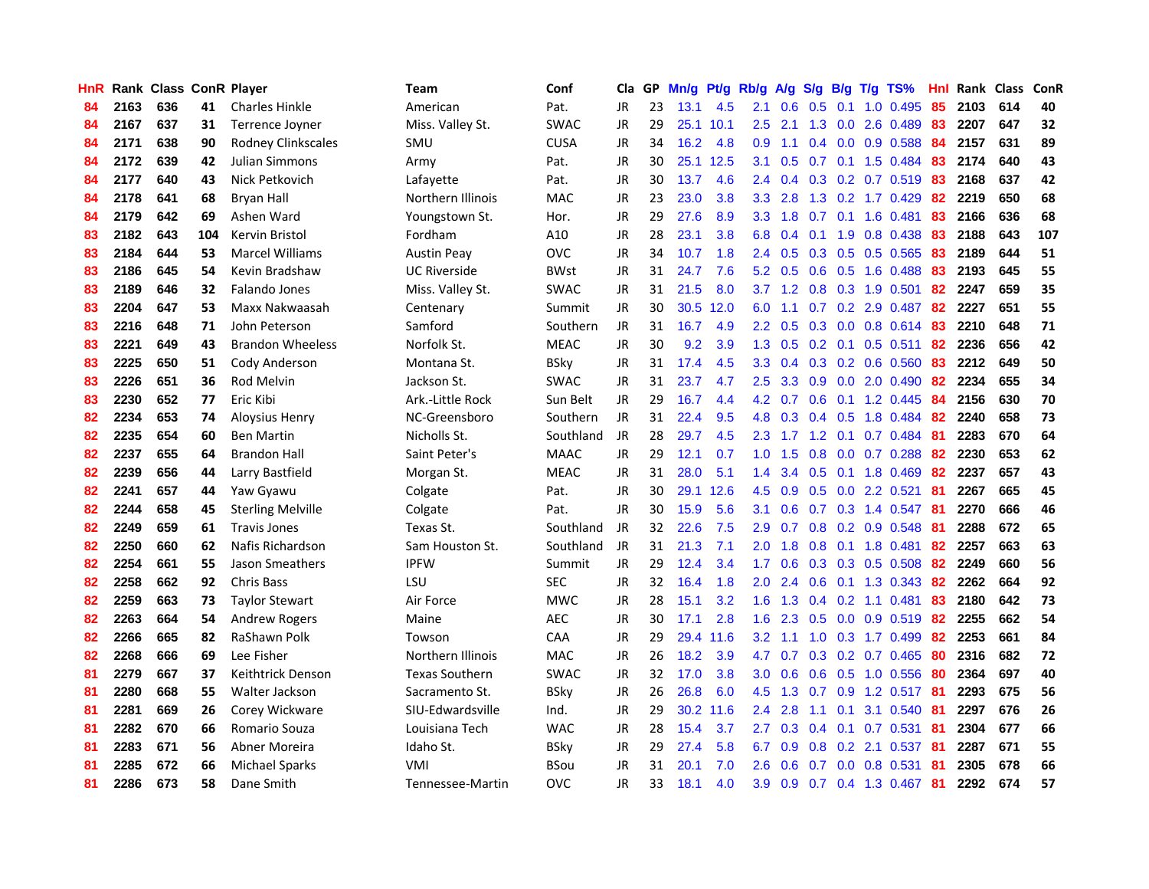| <b>HnR</b> |      | Rank Class ConR Player |     |                           | Team                     | Conf        | Cla       |    | GP Mn/g | Pt/g Rb/g |                  |                 |                |                 | A/g S/g B/g T/g TS%       | Hnl | Rank Class |     | ConR |
|------------|------|------------------------|-----|---------------------------|--------------------------|-------------|-----------|----|---------|-----------|------------------|-----------------|----------------|-----------------|---------------------------|-----|------------|-----|------|
| 84         | 2163 | 636                    | 41  | <b>Charles Hinkle</b>     | American                 | Pat.        | JR        | 23 | 13.1    | 4.5       | 2.1              | 0.6             | 0.5            | 0.1             | 1.0 0.495                 | 85  | 2103       | 614 | 40   |
| 84         | 2167 | 637                    | 31  | Terrence Joyner           | Miss. Valley St.         | <b>SWAC</b> | <b>JR</b> | 29 |         | 25.1 10.1 | 2.5              | 2.1             | 1.3            | 0.0             | 2.6 0.489                 | 83  | 2207       | 647 | 32   |
| 84         | 2171 | 638                    | 90  | <b>Rodney Clinkscales</b> | SMU                      | <b>CUSA</b> | <b>JR</b> | 34 | 16.2    | 4.8       | 0.9              | 1.1             |                | $0.4\quad 0.0$  | 0.9 0.588                 | 84  | 2157       | 631 | 89   |
| 84         | 2172 | 639                    | 42  | Julian Simmons            | Army                     | Pat.        | JR        | 30 |         | 25.1 12.5 | 3.1              | 0.5             |                |                 | 0.7 0.1 1.5 0.484         | 83  | 2174       | 640 | 43   |
| 84         | 2177 | 640                    | 43  | Nick Petkovich            | Lafayette                | Pat.        | JR        | 30 | 13.7    | 4.6       |                  | $2.4 \quad 0.4$ |                |                 | 0.3 0.2 0.7 0.519 83      |     | 2168       | 637 | 42   |
| 84         | 2178 | 641                    | 68  | <b>Bryan Hall</b>         | Northern Illinois        | <b>MAC</b>  | JR        | 23 | 23.0    | 3.8       |                  | $3.3$ $2.8$     |                |                 | 1.3 0.2 1.7 0.429         | 82  | 2219       | 650 | 68   |
| 84         | 2179 | 642                    | 69  | Ashen Ward                | Youngstown St.           | Hor.        | JR        | 29 | 27.6    | 8.9       |                  | $3.3 \quad 1.8$ |                |                 | $0.7$ $0.1$ 1.6 $0.481$   | 83  | 2166       | 636 | 68   |
| 83         | 2182 | 643                    | 104 | Kervin Bristol            | Fordham                  | A10         | JR        | 28 | 23.1    | 3.8       | 6.8              | 0.4             | 0.1            |                 | 1.9 0.8 0.438             | 83  | 2188       | 643 | 107  |
| 83         | 2184 | 644                    | 53  | <b>Marcel Williams</b>    | <b>Austin Peav</b>       | <b>OVC</b>  | <b>JR</b> | 34 | 10.7    | 1.8       | 2.4              | 0.5             |                |                 | 0.3 0.5 0.5 0.565         | 83  | 2189       | 644 | 51   |
| 83         | 2186 | 645                    | 54  | Kevin Bradshaw            | <b>UC Riverside</b>      | <b>BWst</b> | JR        | 31 | 24.7    | 7.6       | 5.2              | 0.5             |                | $0.6$ 0.5       | 1.6 0.488                 | 83  | 2193       | 645 | 55   |
| 83         | 2189 | 646                    | 32  | Falando Jones             | Miss. Valley St.         | <b>SWAC</b> | JR        | 31 | 21.5    | 8.0       | 3.7              | 1.2             |                |                 | 0.8 0.3 1.9 0.501         | 82  | 2247       | 659 | 35   |
| 83         | 2204 | 647                    | 53  | Maxx Nakwaasah            | Centenary                | Summit      | JR        | 30 |         | 30.5 12.0 | 6.0              | 1.1             |                |                 | 0.7 0.2 2.9 0.487         | 82  | 2227       | 651 | 55   |
| 83         | 2216 | 648                    | 71  | John Peterson             | Samford                  | Southern    | JR        | 31 | 16.7    | 4.9       | 2.2 <sub>2</sub> | 0.5             | 0.3            | 0.0             | 0.8 0.614                 | 83  | 2210       | 648 | 71   |
| 83         | 2221 | 649                    | 43  | <b>Brandon Wheeless</b>   | Norfolk St.              | <b>MEAC</b> | JR        | 30 | 9.2     | 3.9       | 1.3 <sup>°</sup> | 0.5             |                | $0.2 \quad 0.1$ | $0.5$ 0.511               | 82  | 2236       | 656 | 42   |
| 83         | 2225 | 650                    | 51  | Cody Anderson             | Montana St.              | <b>BSky</b> | <b>JR</b> | 31 | 17.4    | 4.5       | 3.3 <sub>2</sub> | 0.4             |                | $0.3 \quad 0.2$ | 0.6 0.560                 | 83  | 2212       | 649 | 50   |
| 83         | 2226 | 651                    | 36  | Rod Melvin                | Jackson St.              | <b>SWAC</b> | <b>JR</b> | 31 | 23.7    | 4.7       | $2.5\,$          | 3.3             | 0.9            | 0.0             | 2.0 0.490                 | 82  | 2234       | 655 | 34   |
| 83         | 2230 | 652                    | 77  | Eric Kibi                 | Ark.-Little Rock         | Sun Belt    | JR        | 29 | 16.7    | 4.4       | 4.2              | 0.7             | 0.6            | 0.1             | 1.2 0.445                 | -84 | 2156       | 630 | 70   |
| 82         | 2234 | 653                    | 74  | Aloysius Henry            | NC-Greensboro            | Southern    | JR        | 31 | 22.4    | 9.5       | 4.8              | 0.3             | $0.4\quad 0.5$ |                 | 1.8 0.484                 | -82 | 2240       | 658 | 73   |
| 82         | 2235 | 654                    | 60  | <b>Ben Martin</b>         | Nicholls St.             | Southland   | JR        | 28 | 29.7    | 4.5       |                  | $2.3$ 1.7       |                |                 | 1.2 0.1 0.7 0.484         | -81 | 2283       | 670 | 64   |
| 82         | 2237 | 655                    | 64  | Brandon Hall              | Saint Peter's            | <b>MAAC</b> | JR        | 29 | 12.1    | 0.7       |                  | $1.0 \t1.5$     |                |                 | $0.8$ $0.0$ $0.7$ $0.288$ | 82  | 2230       | 653 | 62   |
| 82         | 2239 | 656                    | 44  | Larry Bastfield           | Morgan St.               | <b>MEAC</b> | JR        | 31 | 28.0    | 5.1       | $1.4^{\circ}$    | 3.4             |                |                 | $0.5$ 0.1 1.8 0.469       | 82  | 2237       | 657 | 43   |
| 82         | 2241 | 657                    | 44  | Yaw Gyawu                 | Colgate                  | Pat.        | JR        | 30 |         | 29.1 12.6 | 4.5              | 0.9             |                |                 | 0.5 0.0 2.2 0.521         | 81  | 2267       | 665 | 45   |
| 82         | 2244 | 658                    | 45  | <b>Sterling Melville</b>  | Colgate                  | Pat.        | <b>JR</b> | 30 | 15.9    | 5.6       | 3.1              | 0.6             |                |                 | 0.7 0.3 1.4 0.547         | 81  | 2270       | 666 | 46   |
| 82         | 2249 | 659                    | 61  | <b>Travis Jones</b>       | Texas St.                | Southland   | JR        | 32 | 22.6    | 7.5       | 2.9              | 0.7             |                |                 | 0.8 0.2 0.9 0.548         | -81 | 2288       | 672 | 65   |
| 82         | 2250 | 660                    | 62  | Nafis Richardson          | Sam Houston St.          | Southland   | JR        | 31 | 21.3    | 7.1       | 2.0              | 1.8             |                |                 | 0.8 0.1 1.8 0.481         | 82  | 2257       | 663 | 63   |
| 82         | 2254 | 661                    | 55  | Jason Smeathers           | <b>IPFW</b>              | Summit      | JR        | 29 | 12.4    | 3.4       | 1.7              | 0.6             |                |                 | 0.3 0.3 0.5 0.508         | 82  | 2249       | 660 | 56   |
| 82         | 2258 | 662                    | 92  | <b>Chris Bass</b>         | LSU                      | <b>SEC</b>  | <b>JR</b> | 32 | 16.4    | 1.8       | 2.0              | 2.4             | 0.6            |                 | $0.1$ 1.3 0.343           | 82  | 2262       | 664 | 92   |
| 82         | 2259 | 663                    | 73  | <b>Taylor Stewart</b>     | Air Force                | MWC         | JR        | 28 | 15.1    | 3.2       | 1.6              | 1.3             |                |                 | $0.4$ 0.2 1.1 0.481       | 83  | 2180       | 642 | 73   |
| 82         | 2263 | 664                    | 54  | <b>Andrew Rogers</b>      | Maine                    | <b>AEC</b>  | <b>JR</b> | 30 | 17.1    | 2.8       | 1.6              | 2.3             | 0.5            | 0.0             | 0.9 0.519                 | 82  | 2255       | 662 | 54   |
| 82         | 2266 | 665                    | 82  | RaShawn Polk              | Towson                   | CAA         | <b>JR</b> | 29 |         | 29.4 11.6 | $3.2\phantom{0}$ | 1.1             | 1.0            |                 | 0.3 1.7 0.499             | 82  | 2253       | 661 | 84   |
| 82         | 2268 | 666                    | 69  | Lee Fisher                | <b>Northern Illinois</b> | <b>MAC</b>  | JR        | 26 | 18.2    | 3.9       | 4.7              | 0.7             |                |                 | $0.3$ $0.2$ $0.7$ $0.465$ | 80  | 2316       | 682 | 72   |
| 81         | 2279 | 667                    | 37  | Keithtrick Denson         | <b>Texas Southern</b>    | <b>SWAC</b> | JR        | 32 | 17.0    | 3.8       | 3.0 <sub>1</sub> | 0.6             |                |                 | 0.6 0.5 1.0 0.556         | -80 | 2364       | 697 | 40   |
| 81         | 2280 | 668                    | 55  | Walter Jackson            | Sacramento St.           | <b>BSky</b> | JR        | 26 | 26.8    | 6.0       | 4.5              | 1.3             |                |                 | 0.7 0.9 1.2 0.517 81      |     | 2293       | 675 | 56   |
| 81         | 2281 | 669                    | 26  | Corey Wickware            | SIU-Edwardsville         | Ind.        | JR        | 29 |         | 30.2 11.6 | $2.4^{\circ}$    | 2.8             |                | $1.1 \quad 0.1$ | 3.1 0.540                 | -81 | 2297       | 676 | 26   |
| 81         | 2282 | 670                    | 66  | Romario Souza             | Louisiana Tech           | <b>WAC</b>  | <b>JR</b> | 28 | 15.4    | 3.7       | 2.7              | 0.3             |                |                 | 0.4 0.1 0.7 0.531         | -81 | 2304       | 677 | 66   |
| 81         | 2283 | 671                    | 56  | Abner Moreira             | Idaho St.                | <b>BSky</b> | JR        | 29 | 27.4    | 5.8       | 6.7              | 0.9             |                |                 | 0.8 0.2 2.1 0.537         | 81  | 2287       | 671 | 55   |
| 81         | 2285 | 672                    | 66  | <b>Michael Sparks</b>     | <b>VMI</b>               | <b>BSou</b> | <b>JR</b> | 31 | 20.1    | 7.0       | 2.6              | 0.6             | 0.7            |                 | 0.0 0.8 0.531             | 81  | 2305       | 678 | 66   |
| 81         | 2286 | 673                    | 58  | Dane Smith                | Tennessee-Martin         | <b>OVC</b>  | JR        | 33 | 18.1    | 4.0       | 3.9              | 0.9             |                |                 | 0.7 0.4 1.3 0.467         | -81 | 2292       | 674 | 57   |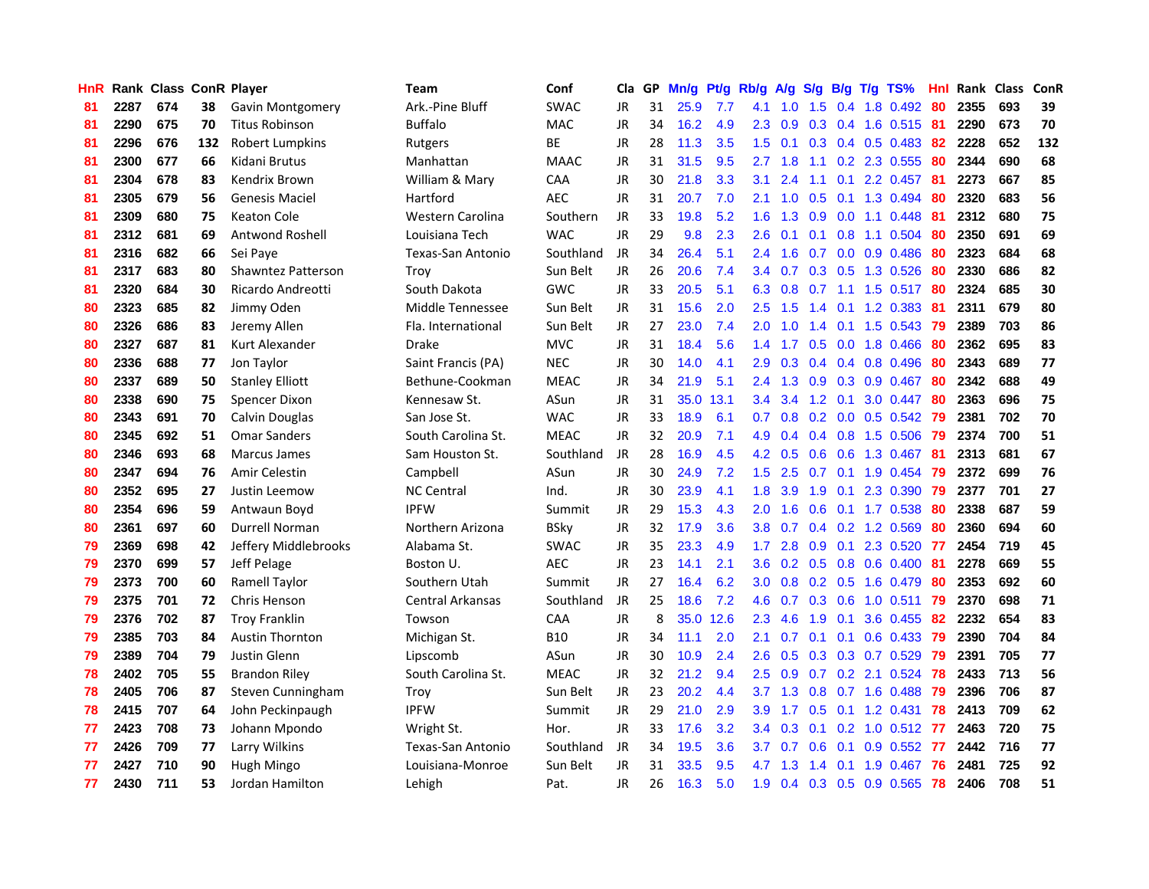| <b>HnR</b> |      | <b>Rank Class ConR Player</b> |     |                           | <b>Team</b>             | Conf        | Cla       |    | GP Mn/g Pt/g |      | Rb/g             | A/g |     |                 | S/g B/g T/g TS%           | Hnl | Rank Class |     | ConR |
|------------|------|-------------------------------|-----|---------------------------|-------------------------|-------------|-----------|----|--------------|------|------------------|-----|-----|-----------------|---------------------------|-----|------------|-----|------|
| 81         | 2287 | 674                           | 38  | <b>Gavin Montgomery</b>   | Ark.-Pine Bluff         | <b>SWAC</b> | JR        | 31 | 25.9         | 7.7  | 4.1              | 1.0 | 1.5 | 0.4             | 1.8 0.492                 | 80  | 2355       | 693 | 39   |
| 81         | 2290 | 675                           | 70  | <b>Titus Robinson</b>     | Buffalo                 | <b>MAC</b>  | JR        | 34 | 16.2         | 4.9  | 2.3              | 0.9 | 0.3 | 0.4             | 1.6 0.515                 | -81 | 2290       | 673 | 70   |
| 81         | 2296 | 676                           | 132 | <b>Robert Lumpkins</b>    | Rutgers                 | <b>BE</b>   | JR        | 28 | 11.3         | 3.5  | 1.5              | 0.1 |     | $0.3 \quad 0.4$ | $0.5$ 0.483               | -82 | 2228       | 652 | 132  |
| 81         | 2300 | 677                           | 66  | Kidani Brutus             | Manhattan               | <b>MAAC</b> | JR        | 31 | 31.5         | 9.5  | 2.7              | 1.8 |     |                 | 1.1 0.2 2.3 0.555         | 80  | 2344       | 690 | 68   |
| 81         | 2304 | 678                           | 83  | Kendrix Brown             | William & Mary          | CAA         | JR        | 30 | 21.8         | 3.3  | 3.1              | 2.4 |     |                 | 1.1 0.1 2.2 0.457 81      |     | 2273       | 667 | 85   |
| 81         | 2305 | 679                           | 56  | <b>Genesis Maciel</b>     | Hartford                | <b>AEC</b>  | JR        | 31 | 20.7         | 7.0  | 2.1              | 1.0 | 0.5 |                 | $0.1$ 1.3 0.494           | 80  | 2320       | 683 | 56   |
| 81         | 2309 | 680                           | 75  | <b>Keaton Cole</b>        | Western Carolina        | Southern    | JR        | 33 | 19.8         | 5.2  | 1.6 <sup>°</sup> | 1.3 |     |                 | $0.9$ $0.0$ 1.1 $0.448$   | 81  | 2312       | 680 | 75   |
| 81         | 2312 | 681                           | 69  | <b>Antwond Roshell</b>    | Louisiana Tech          | <b>WAC</b>  | <b>JR</b> | 29 | 9.8          | 2.3  | 2.6              | 0.1 | 0.1 |                 | 0.8 1.1 0.504             | 80  | 2350       | 691 | 69   |
| 81         | 2316 | 682                           | 66  | Sei Paye                  | Texas-San Antonio       | Southland   | JR        | 34 | 26.4         | 5.1  | 2.4              | 1.6 | 0.7 |                 | $0.0$ $0.9$ $0.486$       | 80  | 2323       | 684 | 68   |
| 81         | 2317 | 683                           | 80  | <b>Shawntez Patterson</b> | Troy                    | Sun Belt    | JR        | 26 | 20.6         | 7.4  | $3.4^{\circ}$    | 0.7 |     |                 | $0.3$ $0.5$ 1.3 $0.526$   | 80  | 2330       | 686 | 82   |
| 81         | 2320 | 684                           | 30  | Ricardo Andreotti         | South Dakota            | GWC         | JR        | 33 | 20.5         | 5.1  | 6.3              | 0.8 | 0.7 | 1.1             | 1.5 0.517                 | 80  | 2324       | 685 | 30   |
| 80         | 2323 | 685                           | 82  | Jimmy Oden                | Middle Tennessee        | Sun Belt    | JR        | 31 | 15.6         | 2.0  | 2.5              | 1.5 | 1.4 | 0.1             | 1.2 0.383                 | -81 | 2311       | 679 | 80   |
| 80         | 2326 | 686                           | 83  | Jeremy Allen              | Fla. International      | Sun Belt    | JR        | 27 | 23.0         | 7.4  | 2.0              | 1.0 | 1.4 | 0.1             | 1.5 0.543                 | 79  | 2389       | 703 | 86   |
| 80         | 2327 | 687                           | 81  | Kurt Alexander            | <b>Drake</b>            | <b>MVC</b>  | JR        | 31 | 18.4         | 5.6  | $1.4^{\circ}$    | 1.7 | 0.5 | 0.0             | 1.8 0.466                 | 80  | 2362       | 695 | 83   |
| 80         | 2336 | 688                           | 77  | Jon Taylor                | Saint Francis (PA)      | <b>NEC</b>  | JR        | 30 | 14.0         | 4.1  | 2.9              | 0.3 |     | $0.4 \quad 0.4$ | 0.8 0.496                 | 80  | 2343       | 689 | 77   |
| 80         | 2337 | 689                           | 50  | <b>Stanley Elliott</b>    | Bethune-Cookman         | <b>MEAC</b> | JR        | 34 | 21.9         | 5.1  | 2.4              | 1.3 | 0.9 | 0.3             | 0.9 0.467                 | -80 | 2342       | 688 | 49   |
| 80         | 2338 | 690                           | 75  | Spencer Dixon             | Kennesaw St.            | ASun        | JR        | 31 | 35.0         | 13.1 | 3.4              | 3.4 |     | $1.2 \quad 0.1$ | 3.0 0.447                 | -80 | 2363       | 696 | 75   |
| 80         | 2343 | 691                           | 70  | Calvin Douglas            | San Jose St.            | <b>WAC</b>  | JR        | 33 | 18.9         | 6.1  | 0.7              |     |     |                 | 0.8 0.2 0.0 0.5 0.542     | -79 | 2381       | 702 | 70   |
| 80         | 2345 | 692                           | 51  | <b>Omar Sanders</b>       | South Carolina St.      | <b>MEAC</b> | JR        | 32 | 20.9         | 7.1  | 4.9              | 0.4 |     |                 | 0.4 0.8 1.5 0.506 79      |     | 2374       | 700 | 51   |
| 80         | 2346 | 693                           | 68  | Marcus James              | Sam Houston St.         | Southland   | JR        | 28 | 16.9         | 4.5  | 4.2              | 0.5 |     |                 | 0.6 0.6 1.3 0.467 81      |     | 2313       | 681 | 67   |
| 80         | 2347 | 694                           | 76  | <b>Amir Celestin</b>      | Campbell                | ASun        | JR        | 30 | 24.9         | 7.2  | 1.5              | 2.5 |     |                 | $0.7$ 0.1 1.9 0.454       | 79  | 2372       | 699 | 76   |
| 80         | 2352 | 695                           | 27  | Justin Leemow             | <b>NC Central</b>       | Ind.        | JR        | 30 | 23.9         | 4.1  | 1.8              | 3.9 | 1.9 | 0.1             | 2.3 0.390                 | -79 | 2377       | 701 | 27   |
| 80         | 2354 | 696                           | 59  | Antwaun Boyd              | <b>IPFW</b>             | Summit      | JR        | 29 | 15.3         | 4.3  | 2.0              | 1.6 | 0.6 |                 | 0.1 1.7 0.538             | 80  | 2338       | 687 | 59   |
| 80         | 2361 | 697                           | 60  | Durrell Norman            | Northern Arizona        | <b>BSky</b> | JR        | 32 | 17.9         | 3.6  | 3.8 <sub>1</sub> | 0.7 |     |                 | $0.4$ 0.2 1.2 0.569       | 80  | 2360       | 694 | 60   |
| 79         | 2369 | 698                           | 42  | Jeffery Middlebrooks      | Alabama St.             | <b>SWAC</b> | JR        | 35 | 23.3         | 4.9  | 1.7 <sup>2</sup> | 2.8 |     | $0.9\quad 0.1$  | 2.3 0.520 77              |     | 2454       | 719 | 45   |
| 79         | 2370 | 699                           | 57  | Jeff Pelage               | Boston U.               | <b>AEC</b>  | JR        | 23 | 14.1         | 2.1  | 3.6              |     |     |                 | $0.2$ 0.5 0.8 0.6 0.400   | -81 | 2278       | 669 | 55   |
| 79         | 2373 | 700                           | 60  | Ramell Taylor             | Southern Utah           | Summit      | JR        | 27 | 16.4         | 6.2  | 3.0 <sub>2</sub> | 0.8 |     | $0.2 \quad 0.5$ | 1.6 0.479                 | 80  | 2353       | 692 | 60   |
| 79         | 2375 | 701                           | 72  | Chris Henson              | <b>Central Arkansas</b> | Southland   | JR        | 25 | 18.6         | 7.2  | 4.6              | 0.7 |     | $0.3 \quad 0.6$ | $1.0$ 0.511               | -79 | 2370       | 698 | 71   |
| 79         | 2376 | 702                           | 87  | <b>Troy Franklin</b>      | Towson                  | CAA         | <b>JR</b> | 8  | 35.0         | 12.6 | 2.3              | 4.6 | 1.9 | 0.1             | 3.6 0.455                 | 82  | 2232       | 654 | 83   |
| 79         | 2385 | 703                           | 84  | <b>Austin Thornton</b>    | Michigan St.            | <b>B10</b>  | JR        | 34 | 11.1         | 2.0  | 2.1              | 0.7 | 0.1 | 0.1             | $0.6$ 0.433               | 79  | 2390       | 704 | 84   |
| 79         | 2389 | 704                           | 79  | Justin Glenn              | Lipscomb                | ASun        | JR        | 30 | 10.9         | 2.4  | 2.6              | 0.5 |     |                 | 0.3 0.3 0.7 0.529         | -79 | 2391       | 705 | 77   |
| 78         | 2402 | 705                           | 55  | <b>Brandon Riley</b>      | South Carolina St.      | <b>MEAC</b> | JR        | 32 | 21.2         | 9.4  | 2.5              | 0.9 |     |                 | $0.7$ $0.2$ 2.1 $0.524$   | -78 | 2433       | 713 | 56   |
| 78         | 2405 | 706                           | 87  | Steven Cunningham         | Troy                    | Sun Belt    | JR        | 23 | 20.2         | 4.4  | 3.7              | 1.3 |     |                 | 0.8 0.7 1.6 0.488         | -79 | 2396       | 706 | 87   |
| 78         | 2415 | 707                           | 64  | John Peckinpaugh          | <b>IPFW</b>             | Summit      | JR        | 29 | 21.0         | 2.9  | 3.9              | 1.7 |     |                 | $0.5$ 0.1 1.2 0.431       | 78  | 2413       | 709 | 62   |
| 77         | 2423 | 708                           | 73  | Johann Mpondo             | Wright St.              | Hor.        | JR        | 33 | 17.6         | 3.2  | 3.4              | 0.3 |     |                 | $0.1$ $0.2$ $1.0$ $0.512$ | 77  | 2463       | 720 | 75   |
| 77         | 2426 | 709                           | 77  | Larry Wilkins             | Texas-San Antonio       | Southland   | JR        | 34 | 19.5         | 3.6  | 3.7              | 0.7 | 0.6 | 0.1             | 0.9 0.552                 | 77  | 2442       | 716 | 77   |
| 77         | 2427 | 710                           | 90  | Hugh Mingo                | Louisiana-Monroe        | Sun Belt    | JR        | 31 | 33.5         | 9.5  | 4.7              | 1.3 | 1.4 | 0.1             | 1.9 0.467                 | 76  | 2481       | 725 | 92   |
| 77         | 2430 | 711                           | 53  | Jordan Hamilton           | Lehigh                  | Pat.        | JR        | 26 | 16.3         | 5.0  | 1.9              |     |     |                 | $0.4$ 0.3 0.5 0.9 0.565   | 78  | 2406       | 708 | 51   |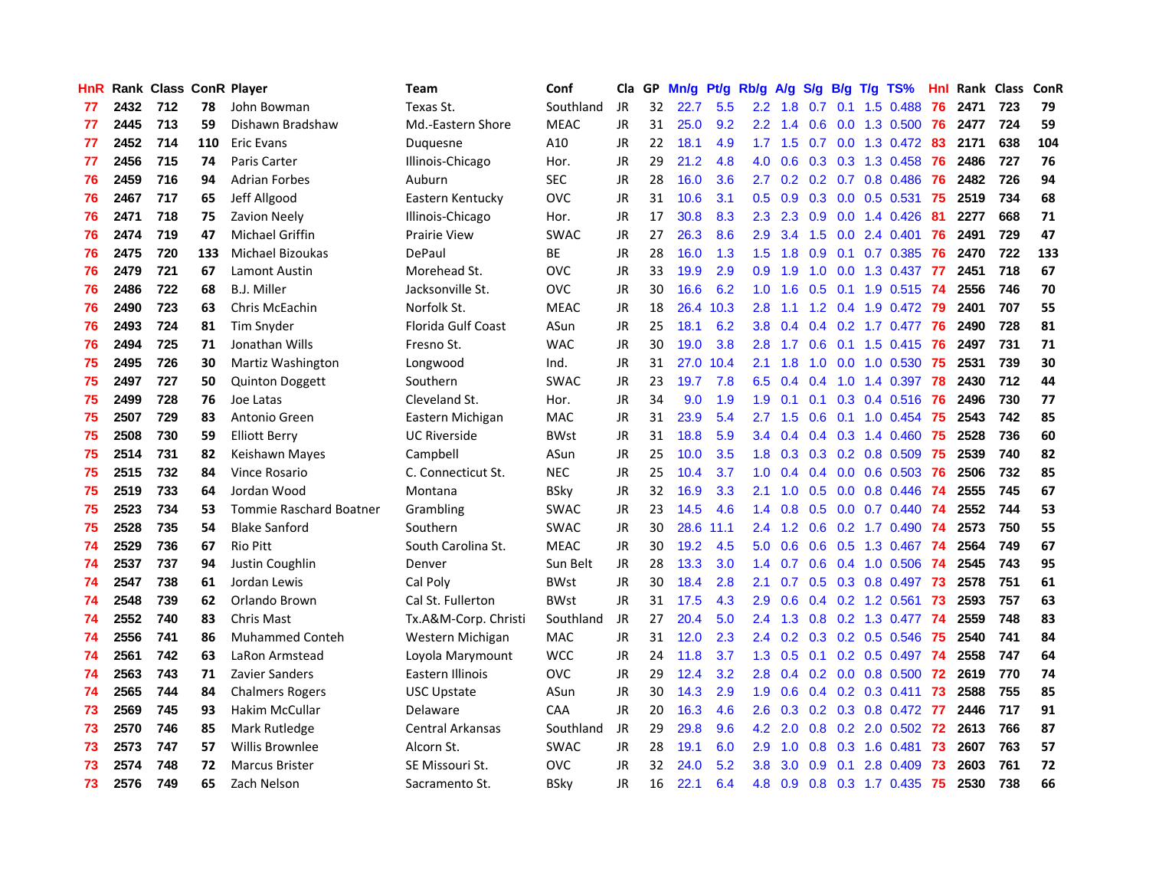| <b>HnR</b> |      | Rank Class ConR Player |     |                         | <b>Team</b>               | Conf        | Cla       | GP. | Mn/g Pt/g Rb/g A/g S/g |           |                  |                 |     |                 | B/g T/g TS%               | Hnl |      | Rank Class | <b>ConR</b> |
|------------|------|------------------------|-----|-------------------------|---------------------------|-------------|-----------|-----|------------------------|-----------|------------------|-----------------|-----|-----------------|---------------------------|-----|------|------------|-------------|
| 77         | 2432 | 712                    | 78  | John Bowman             | Texas St.                 | Southland   | JR        | 32  | 22.7                   | 5.5       | $2.2\phantom{0}$ | 1.8             | 0.7 | 0.1             | 1.5 0.488                 | 76  | 2471 | 723        | 79          |
| 77         | 2445 | 713                    | 59  | Dishawn Bradshaw        | Md.-Eastern Shore         | <b>MEAC</b> | <b>JR</b> | 31  | 25.0                   | 9.2       | $2.2^{\circ}$    | 1.4             | 0.6 | 0.0             | 1.3 0.500                 | 76  | 2477 | 724        | 59          |
| 77         | 2452 | 714                    | 110 | <b>Eric Evans</b>       | Duquesne                  | A10         | <b>JR</b> | 22  | 18.1                   | 4.9       | 1.7              | 1.5             | 0.7 | 0.0             | 1.3 0.472                 | 83  | 2171 | 638        | 104         |
| 77         | 2456 | 715                    | 74  | Paris Carter            | Illinois-Chicago          | Hor.        | JR        | 29  | 21.2                   | 4.8       | 4.0              | 0.6             |     |                 | $0.3$ $0.3$ $1.3$ $0.458$ | 76  | 2486 | 727        | 76          |
| 76         | 2459 | 716                    | 94  | <b>Adrian Forbes</b>    | Auburn                    | <b>SEC</b>  | JR        | 28  | 16.0                   | 3.6       | 2.7              | 0.2             |     |                 | 0.2 0.7 0.8 0.486         | -76 | 2482 | 726        | 94          |
| 76         | 2467 | 717                    | 65  | Jeff Allgood            | Eastern Kentucky          | <b>OVC</b>  | JR        | 31  | 10.6                   | 3.1       | 0.5              | 0.9             |     |                 | 0.3 0.0 0.5 0.531         | -75 | 2519 | 734        | 68          |
| 76         | 2471 | 718                    | 75  | <b>Zavion Neely</b>     | Illinois-Chicago          | Hor.        | JR        | 17  | 30.8                   | 8.3       | 2.3              | 2.3             |     | $0.9\quad 0.0$  | 1.4 0.426                 | -81 | 2277 | 668        | 71          |
| 76         | 2474 | 719                    | 47  | <b>Michael Griffin</b>  | <b>Prairie View</b>       | <b>SWAC</b> | JR        | 27  | 26.3                   | 8.6       | 2.9              | 3.4             | 1.5 |                 | $0.0$ 2.4 0.401           | 76  | 2491 | 729        | 47          |
| 76         | 2475 | 720                    | 133 | Michael Bizoukas        | DePaul                    | BE          | JR        | 28  | 16.0                   | 1.3       | 1.5              | 1.8             | 0.9 |                 | 0.1 0.7 0.385             | 76  | 2470 | 722        | 133         |
| 76         | 2479 | 721                    | 67  | <b>Lamont Austin</b>    | Morehead St.              | <b>OVC</b>  | <b>JR</b> | 33  | 19.9                   | 2.9       | 0.9              | 1.9             | 1.0 | 0.0             | 1.3 0.437                 | -77 | 2451 | 718        | 67          |
| 76         | 2486 | 722                    | 68  | B.J. Miller             | Jacksonville St.          | <b>OVC</b>  | JR        | 30  | 16.6                   | 6.2       | 1.0              | 1.6             | 0.5 |                 | $0.1$ 1.9 0.515           | -74 | 2556 | 746        | 70          |
| 76         | 2490 | 723                    | 63  | Chris McEachin          | Norfolk St.               | <b>MEAC</b> | JR        | 18  |                        | 26.4 10.3 | 2.8              | 1.1             |     |                 | 1.2 0.4 1.9 0.472         | -79 | 2401 | 707        | 55          |
| 76         | 2493 | 724                    | 81  | <b>Tim Snyder</b>       | <b>Florida Gulf Coast</b> | ASun        | JR        | 25  | 18.1                   | 6.2       | 3.8              | 0.4             |     |                 | 0.4 0.2 1.7 0.477         | -76 | 2490 | 728        | 81          |
| 76         | 2494 | 725                    | 71  | Jonathan Wills          | Fresno St.                | <b>WAC</b>  | <b>JR</b> | 30  | 19.0                   | 3.8       | 2.8              | 1.7             | 0.6 |                 | $0.1$ 1.5 0.415           | 76  | 2497 | 731        | 71          |
| 75         | 2495 | 726                    | 30  | Martiz Washington       | Longwood                  | Ind.        | JR        | 31  | 27.0                   | 10.4      | 2.1              | 1.8             | 1.0 | 0.0             | 1.0 0.530                 | 75  | 2531 | 739        | 30          |
| 75         | 2497 | 727                    | 50  | <b>Quinton Doggett</b>  | Southern                  | <b>SWAC</b> | <b>JR</b> | 23  | 19.7                   | 7.8       | 6.5              | 0.4             | 0.4 | 1.0             | 1.4 0.397                 | -78 | 2430 | 712        | 44          |
| 75         | 2499 | 728                    | 76  | Joe Latas               | Cleveland St.             | Hor.        | JR        | 34  | 9.0                    | 1.9       | 1.9              | 0.1             | 0.1 |                 | $0.3$ 0.4 0.516           | -76 | 2496 | 730        | 77          |
| 75         | 2507 | 729                    | 83  | Antonio Green           | Eastern Michigan          | <b>MAC</b>  | JR        | 31  | 23.9                   | 5.4       | 2.7              | 1.5             | 0.6 |                 | $0.1$ 1.0 0.454 75        |     | 2543 | 742        | 85          |
| 75         | 2508 | 730                    | 59  | <b>Elliott Berry</b>    | <b>UC Riverside</b>       | <b>BWst</b> | <b>JR</b> | 31  | 18.8                   | 5.9       |                  | $3.4 \quad 0.4$ |     |                 | 0.4 0.3 1.4 0.460 75      |     | 2528 | 736        | 60          |
| 75         | 2514 | 731                    | 82  | Keishawn Mayes          | Campbell                  | ASun        | JR        | 25  | 10.0                   | 3.5       | 1.8              | 0.3             |     |                 | $0.3$ 0.2 0.8 0.509       | 75  | 2539 | 740        | 82          |
| 75         | 2515 | 732                    | 84  | <b>Vince Rosario</b>    | C. Connecticut St.        | <b>NEC</b>  | JR        | 25  | 10.4                   | 3.7       | 1.0 <sub>1</sub> | 0.4             |     |                 | $0.4$ 0.0 0.6 0.503       | -76 | 2506 | 732        | 85          |
| 75         | 2519 | 733                    | 64  | Jordan Wood             | Montana                   | <b>BSky</b> | JR        | 32  | 16.9                   | 3.3       | 2.1              | 1.0             |     |                 | $0.5$ 0.0 0.8 0.446       | -74 | 2555 | 745        | 67          |
| 75         | 2523 | 734                    | 53  | Tommie Raschard Boatner | Grambling                 | <b>SWAC</b> | JR        | 23  | 14.5                   | 4.6       | 1.4              | 0.8             |     |                 | $0.5$ 0.0 0.7 0.440       | -74 | 2552 | 744        | 53          |
| 75         | 2528 | 735                    | 54  | <b>Blake Sanford</b>    | Southern                  | <b>SWAC</b> | <b>JR</b> | 30  | 28.6                   | 11.1      | 2.4              | 1.2             |     |                 | 0.6 0.2 1.7 0.490 74      |     | 2573 | 750        | 55          |
| 74         | 2529 | 736                    | 67  | <b>Rio Pitt</b>         | South Carolina St.        | <b>MEAC</b> | JR        | 30  | 19.2                   | 4.5       | 5.0              | 0.6             |     |                 | 0.6 0.5 1.3 0.467         | -74 | 2564 | 749        | 67          |
| 74         | 2537 | 737                    | 94  | Justin Coughlin         | Denver                    | Sun Belt    | <b>JR</b> | 28  | 13.3                   | 3.0       | 1.4              | 0.7             |     | $0.6 \quad 0.4$ | 1.0 0.506                 | -74 | 2545 | 743        | 95          |
| 74         | 2547 | 738                    | 61  | Jordan Lewis            | Cal Poly                  | <b>BWst</b> | JR        | 30  | 18.4                   | 2.8       | 2.1              | 0.7             |     |                 | $0.5$ 0.3 0.8 0.497       | 73  | 2578 | 751        | 61          |
| 74         | 2548 | 739                    | 62  | Orlando Brown           | Cal St. Fullerton         | <b>BWst</b> | JR        | 31  | 17.5                   | 4.3       | 2.9              | 0.6             |     |                 | $0.4$ 0.2 1.2 0.561       | -73 | 2593 | 757        | 63          |
| 74         | 2552 | 740                    | 83  | <b>Chris Mast</b>       | Tx.A&M-Corp. Christi      | Southland   | <b>JR</b> | 27  | 20.4                   | 5.0       | 2.4              | 1.3             | 0.8 | 0.2             | 1.3 0.477                 | -74 | 2559 | 748        | 83          |
| 74         | 2556 | 741                    | 86  | <b>Muhammed Conteh</b>  | Western Michigan          | <b>MAC</b>  | JR        | 31  | 12.0                   | 2.3       | 2.4              | 0.2             |     |                 | 0.3 0.2 0.5 0.546         | -75 | 2540 | 741        | 84          |
| 74         | 2561 | 742                    | 63  | LaRon Armstead          | Loyola Marymount          | <b>WCC</b>  | JR        | 24  | 11.8                   | 3.7       | 1.3              | 0.5             | 0.1 |                 | $0.2$ 0.5 0.497           | -74 | 2558 | 747        | 64          |
| 74         | 2563 | 743                    | 71  | Zavier Sanders          | Eastern Illinois          | <b>OVC</b>  | JR        | 29  | 12.4                   | 3.2       | 2.8              | 0.4             |     |                 | 0.2 0.0 0.8 0.500 72      |     | 2619 | 770        | 74          |
| 74         | 2565 | 744                    | 84  | <b>Chalmers Rogers</b>  | <b>USC Upstate</b>        | ASun        | JR        | 30  | 14.3                   | 2.9       | 1.9 <sup>°</sup> | 0.6             |     |                 | 0.4 0.2 0.3 0.411 73      |     | 2588 | 755        | 85          |
| 73         | 2569 | 745                    | 93  | Hakim McCullar          | Delaware                  | CAA         | <b>JR</b> | 20  | 16.3                   | 4.6       | 2.6              | 0.3             |     |                 | 0.2 0.3 0.8 0.472 77      |     | 2446 | 717        | 91          |
| 73         | 2570 | 746                    | 85  | Mark Rutledge           | <b>Central Arkansas</b>   | Southland   | JR        | 29  | 29.8                   | 9.6       | 4.2              | 2.0             |     |                 | $0.8$ 0.2 2.0 0.502       | -72 | 2613 | 766        | 87          |
| 73         | 2573 | 747                    | 57  | <b>Willis Brownlee</b>  | Alcorn St.                | <b>SWAC</b> | JR        | 28  | 19.1                   | 6.0       | 2.9              | 1.0             | 0.8 |                 | 0.3 1.6 0.481             | 73  | 2607 | 763        | 57          |
| 73         | 2574 | 748                    | 72  | <b>Marcus Brister</b>   | SE Missouri St.           | <b>OVC</b>  | JR        | 32  | 24.0                   | 5.2       | 3.8              | 3.0             | 0.9 | 0.1             | 2.8 0.409                 | -73 | 2603 | 761        | 72          |
| 73         | 2576 | 749                    | 65  | Zach Nelson             | Sacramento St.            | <b>BSkv</b> | JR        | 16  | 22.1                   | 6.4       | 4.8              | 0.9             |     |                 | $0.8$ $0.3$ 1.7 $0.435$   | -75 | 2530 | 738        | 66          |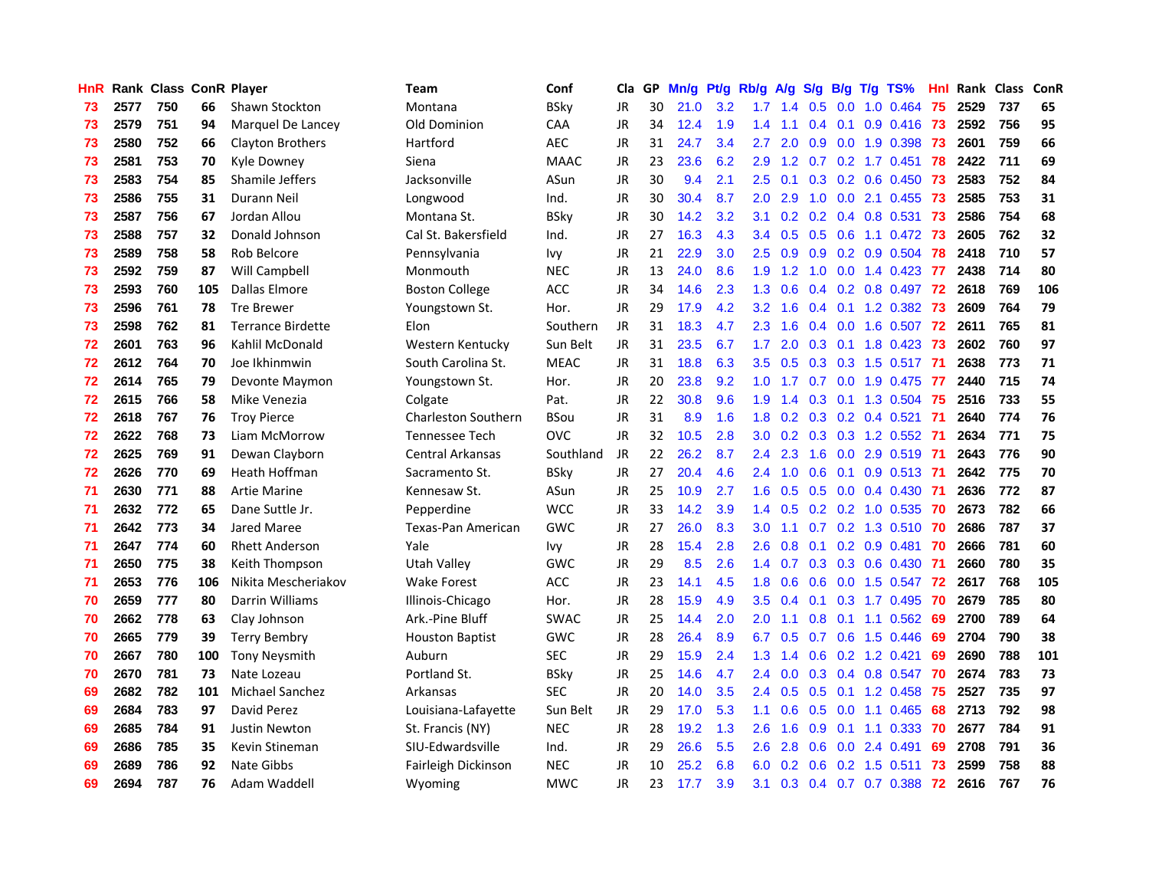| HnR |      | Rank Class ConR Player |     |                          | <b>Team</b>                | Conf        | <b>Cla</b> |    | GP Mn/g Pt/g Rb/g |     |               | A/g             |               |                 | S/g B/g T/g TS%         | Hnl | Rank Class |     | ConR |
|-----|------|------------------------|-----|--------------------------|----------------------------|-------------|------------|----|-------------------|-----|---------------|-----------------|---------------|-----------------|-------------------------|-----|------------|-----|------|
| 73  | 2577 | 750                    | 66  | Shawn Stockton           | Montana                    | <b>BSky</b> | JR         | 30 | 21.0              | 3.2 | 1.7           | 1.4             | 0.5           | 0.0             | 1.0 0.464               | 75  | 2529       | 737 | 65   |
| 73  | 2579 | 751                    | 94  | Marquel De Lancey        | Old Dominion               | CAA         | <b>JR</b>  | 34 | 12.4              | 1.9 | 1.4           | 1.1             | 0.4           | 0.1             | 0.9 0.416               | 73  | 2592       | 756 | 95   |
| 73  | 2580 | 752                    | 66  | Clayton Brothers         | Hartford                   | <b>AEC</b>  | <b>JR</b>  | 31 | 24.7              | 3.4 | 2.7           | 2.0             | 0.9           | 0.0             | 1.9 0.398               | -73 | 2601       | 759 | 66   |
| 73  | 2581 | 753                    | 70  | Kyle Downey              | Siena                      | <b>MAAC</b> | JR         | 23 | 23.6              | 6.2 | 2.9           | 1.2             | 0.7           |                 | $0.2$ 1.7 $0.451$       | 78  | 2422       | 711 | 69   |
| 73  | 2583 | 754                    | 85  | Shamile Jeffers          | Jacksonville               | ASun        | JR         | 30 | 9.4               | 2.1 | 2.5           | 0.1             |               |                 | $0.3$ 0.2 0.6 0.450 73  |     | 2583       | 752 | 84   |
| 73  | 2586 | 755                    | 31  | Durann Neil              | Longwood                   | Ind.        | JR         | 30 | 30.4              | 8.7 | 2.0           | 2.9             | 1.0           | 0.0             | 2.1 0.455               | -73 | 2585       | 753 | 31   |
| 73  | 2587 | 756                    | 67  | Jordan Allou             | Montana St.                | <b>BSky</b> | <b>JR</b>  | 30 | 14.2              | 3.2 | 3.1           | 0.2             |               |                 | 0.2 0.4 0.8 0.531 73    |     | 2586       | 754 | 68   |
| 73  | 2588 | 757                    | 32  | Donald Johnson           | Cal St. Bakersfield        | Ind.        | JR         | 27 | 16.3              | 4.3 | 3.4           | 0.5             |               | $0.5\quad 0.6$  | 1.1 0.472               | -73 | 2605       | 762 | 32   |
| 73  | 2589 | 758                    | 58  | Rob Belcore              | Pennsylvania               | <b>Ivy</b>  | <b>JR</b>  | 21 | 22.9              | 3.0 | 2.5           | 0.9             |               |                 | 0.9 0.2 0.9 0.504       | 78  | 2418       | 710 | 57   |
| 73  | 2592 | 759                    | 87  | Will Campbell            | Monmouth                   | <b>NEC</b>  | JR         | 13 | 24.0              | 8.6 | 1.9           | 1.2             | 1.0           | 0.0             | 1.4 0.423               | -77 | 2438       | 714 | 80   |
| 73  | 2593 | 760                    | 105 | Dallas Elmore            | <b>Boston College</b>      | ACC         | JR         | 34 | 14.6              | 2.3 | 1.3           | 0.6             |               |                 | 0.4 0.2 0.8 0.497       | 72  | 2618       | 769 | 106  |
| 73  | 2596 | 761                    | 78  | <b>Tre Brewer</b>        | Youngstown St.             | Hor.        | JR         | 29 | 17.9              | 4.2 | 3.2           | 1.6             | $0.4^{\circ}$ | 0.1             | 1.2 0.382               | 73  | 2609       | 764 | 79   |
| 73  | 2598 | 762                    | 81  | <b>Terrance Birdette</b> | Elon                       | Southern    | <b>JR</b>  | 31 | 18.3              | 4.7 | 2.3           | 1.6             | 0.4           | 0.0             | 1.6 0.507               | 72  | 2611       | 765 | 81   |
| 72  | 2601 | 763                    | 96  | Kahlil McDonald          | Western Kentucky           | Sun Belt    | JR         | 31 | 23.5              | 6.7 | 1.7           | 2.0             | 0.3           | 0.1             | 1.8 0.423               | 73  | 2602       | 760 | 97   |
| 72  | 2612 | 764                    | 70  | Joe Ikhinmwin            | South Carolina St.         | <b>MEAC</b> | JR         | 31 | 18.8              | 6.3 | 3.5           | 0.5             | 0.3           | 0.3             | 1.5 0.517               | -71 | 2638       | 773 | 71   |
| 72  | 2614 | 765                    | 79  | Devonte Maymon           | Youngstown St.             | Hor.        | <b>JR</b>  | 20 | 23.8              | 9.2 | 1.0           | 1.7             | 0.7           | 0.0             | 1.9 0.475               | -77 | 2440       | 715 | 74   |
| 72  | 2615 | 766                    | 58  | Mike Venezia             | Colgate                    | Pat.        | <b>JR</b>  | 22 | 30.8              | 9.6 | 1.9           | 1.4             |               | $0.3 \quad 0.1$ | 1.3 0.504               | 75  | 2516       | 733 | 55   |
| 72  | 2618 | 767                    | 76  | <b>Troy Pierce</b>       | <b>Charleston Southern</b> | <b>BSou</b> | JR         | 31 | 8.9               | 1.6 | 1.8           | 0.2             |               |                 | $0.3$ 0.2 0.4 0.521     | -71 | 2640       | 774 | 76   |
| 72. | 2622 | 768                    | 73  | Liam McMorrow            | Tennessee Tech             | <b>OVC</b>  | <b>JR</b>  | 32 | 10.5              | 2.8 |               | $3.0 \quad 0.2$ |               |                 | 0.3 0.3 1.2 0.552 71    |     | 2634       | 771 | 75   |
| 72. | 2625 | 769                    | 91  | Dewan Clayborn           | <b>Central Arkansas</b>    | Southland   | JR         | 22 | 26.2              | 8.7 | 2.4           | 2.3             |               |                 | 1.6 0.0 2.9 0.519 71    |     | 2643       | 776 | 90   |
| 72  | 2626 | 770                    | 69  | Heath Hoffman            | Sacramento St.             | <b>BSky</b> | JR         | 27 | 20.4              | 4.6 | 2.4           | 1.0             | 0.6           |                 | $0.1$ 0.9 0.513 71      |     | 2642       | 775 | 70   |
| 71  | 2630 | 771                    | 88  | <b>Artie Marine</b>      | Kennesaw St.               | ASun        | JR         | 25 | 10.9              | 2.7 | 1.6           | 0.5             |               |                 | 0.5 0.0 0.4 0.430       | -71 | 2636       | 772 | 87   |
| 71  | 2632 | 772                    | 65  | Dane Suttle Jr.          | Pepperdine                 | <b>WCC</b>  | JR         | 33 | 14.2              | 3.9 | 1.4           | 0.5             |               |                 | $0.2$ $0.2$ 1.0 $0.535$ | 70  | 2673       | 782 | 66   |
| 71  | 2642 | 773                    | 34  | Jared Maree              | Texas-Pan American         | <b>GWC</b>  | JR         | 27 | 26.0              | 8.3 | 3.0           | 1.1             | 0.7           |                 | $0.2$ 1.3 $0.510$       | -70 | 2686       | 787 | 37   |
| 71  | 2647 | 774                    | 60  | <b>Rhett Anderson</b>    | Yale                       | lvy         | JR         | 28 | 15.4              | 2.8 | 2.6           | 0.8             | 0.1           |                 | $0.2$ 0.9 0.481         | -70 | 2666       | 781 | 60   |
| 71  | 2650 | 775                    | 38  | Keith Thompson           | Utah Valley                | <b>GWC</b>  | JR         | 29 | 8.5               | 2.6 | 1.4           | 0.7             |               |                 | 0.3 0.3 0.6 0.430       | -71 | 2660       | 780 | 35   |
| 71  | 2653 | 776                    | 106 | Nikita Mescheriakov      | <b>Wake Forest</b>         | <b>ACC</b>  | JR         | 23 | 14.1              | 4.5 | 1.8           | 0.6             | 0.6           | 0.0             | 1.5 0.547               | -72 | 2617       | 768 | 105  |
| 70  | 2659 | 777                    | 80  | Darrin Williams          | Illinois-Chicago           | Hor.        | JR         | 28 | 15.9              | 4.9 | 3.5           | 0.4             | 0.1           | 0.3             | 1.7 0.495               | 70  | 2679       | 785 | 80   |
| 70  | 2662 | 778                    | 63  | Clay Johnson             | Ark.-Pine Bluff            | <b>SWAC</b> | JR         | 25 | 14.4              | 2.0 | 2.0           | 1.1             | 0.8           | 0.1             | 1.1 0.562               | 69  | 2700       | 789 | 64   |
| 70  | 2665 | 779                    | 39  | <b>Terry Bembry</b>      | <b>Houston Baptist</b>     | <b>GWC</b>  | <b>JR</b>  | 28 | 26.4              | 8.9 | 6.7           | 0.5             | 0.7           | 0.6             | 1.5 0.446               | 69  | 2704       | 790 | 38   |
| 70  | 2667 | 780                    | 100 | <b>Tony Neysmith</b>     | Auburn                     | <b>SEC</b>  | <b>JR</b>  | 29 | 15.9              | 2.4 | 1.3           | 1.4             |               |                 | $0.6$ $0.2$ 1.2 $0.421$ | 69  | 2690       | 788 | 101  |
| 70  | 2670 | 781                    | 73  | Nate Lozeau              | Portland St.               | <b>BSky</b> | JR         | 25 | 14.6              | 4.7 | $2.4^{\circ}$ | 0.0             |               |                 | 0.3 0.4 0.8 0.547       | 70  | 2674       | 783 | 73   |
| 69  | 2682 | 782                    | 101 | <b>Michael Sanchez</b>   | Arkansas                   | <b>SEC</b>  | JR         | 20 | 14.0              | 3.5 |               | $2.4\quad 0.5$  |               |                 | $0.5$ 0.1 1.2 0.458     | -75 | 2527       | 735 | 97   |
| 69  | 2684 | 783                    | 97  | David Perez              | Louisiana-Lafayette        | Sun Belt    | <b>JR</b>  | 29 | 17.0              | 5.3 | 1.1           | 0.6             |               | $0.5 \quad 0.0$ | 1.1 0.465               | 68  | 2713       | 792 | 98   |
| 69  | 2685 | 784                    | 91  | Justin Newton            | St. Francis (NY)           | <b>NEC</b>  | JR         | 28 | 19.2              | 1.3 | 2.6           | 1.6             | 0.9           |                 | $0.1$ 1.1 0.333         | 70  | 2677       | 784 | 91   |
| 69  | 2686 | 785                    | 35  | Kevin Stineman           | SIU-Edwardsville           | Ind.        | <b>JR</b>  | 29 | 26.6              | 5.5 | 2.6           | 2.8             | 0.6           | 0.0             | 2.4 0.491               | 69  | 2708       | 791 | 36   |
| 69  | 2689 | 786                    | 92  | Nate Gibbs               | Fairleigh Dickinson        | <b>NEC</b>  | <b>JR</b>  | 10 | 25.2              | 6.8 | 6.0           | 0.2             | 0.6           | 0.2             | 1.5 0.511               | 73  | 2599       | 758 | 88   |
| 69  | 2694 | 787                    | 76  | Adam Waddell             | Wyoming                    | <b>MWC</b>  | JR         | 23 | 17.7              | 3.9 | 3.1           | 0.3             |               |                 | $0.4$ 0.7 0.7 0.388     | -72 | 2616       | 767 | 76   |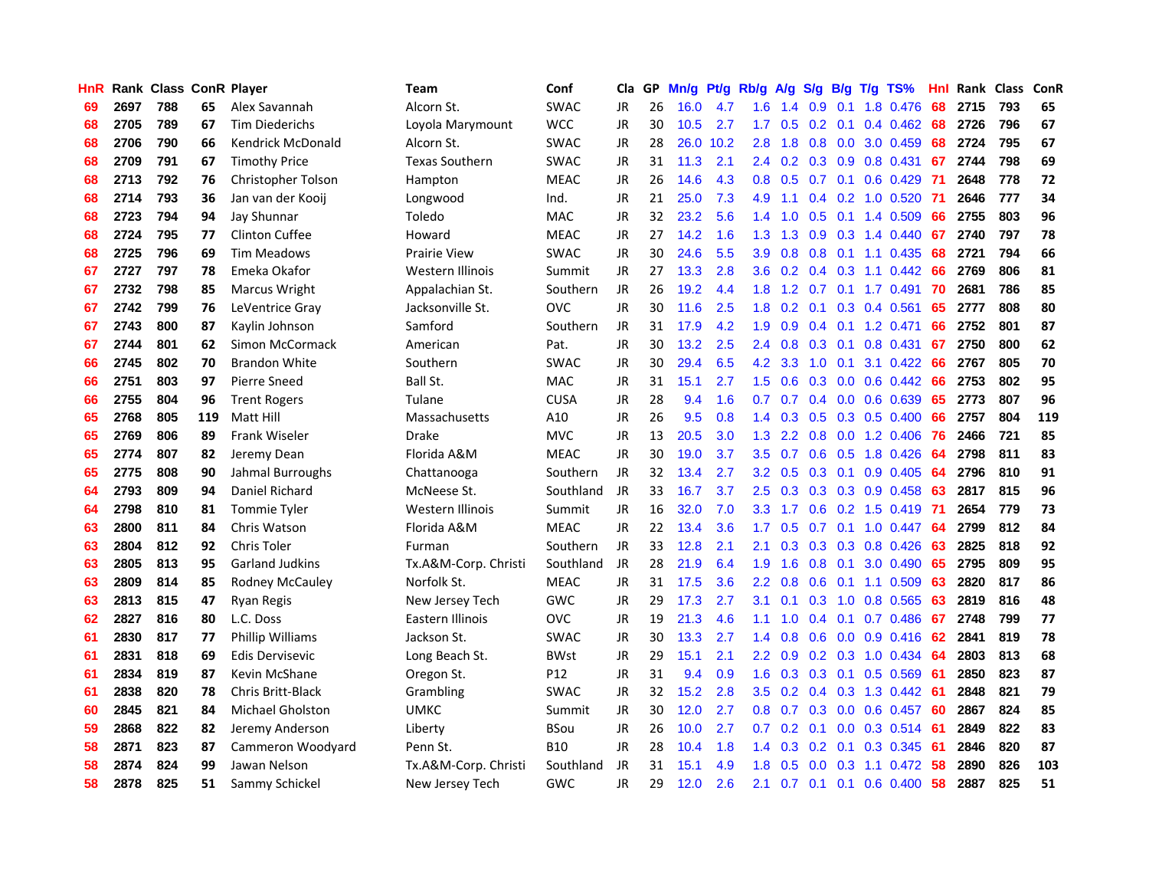| <b>HnR</b> |      | <b>Rank Class ConR Player</b> |     |                          | <b>Team</b>           | Conf            | Cla       |    | GP Mn/g | Pt/g | Rb/g             | A/g             |     |                 | S/g B/g T/g TS%              | Hnl  | Rank Class |     | ConR |
|------------|------|-------------------------------|-----|--------------------------|-----------------------|-----------------|-----------|----|---------|------|------------------|-----------------|-----|-----------------|------------------------------|------|------------|-----|------|
| 69         | 2697 | 788                           | 65  | Alex Savannah            | Alcorn St.            | <b>SWAC</b>     | JR        | 26 | 16.0    | 4.7  | 1.6              | 1.4             | 0.9 | 0.1             | 1.8 0.476                    | 68   | 2715       | 793 | 65   |
| 68         | 2705 | 789                           | 67  | <b>Tim Diederichs</b>    | Loyola Marymount      | <b>WCC</b>      | JR        | 30 | 10.5    | 2.7  | 1.7 <sup>2</sup> | 0.5             | 0.2 | 0.1             | 0.4 0.462                    | 68   | 2726       | 796 | 67   |
| 68         | 2706 | 790                           | 66  | <b>Kendrick McDonald</b> | Alcorn St.            | <b>SWAC</b>     | JR        | 28 | 26.0    | 10.2 | 2.8              | 1.8             | 0.8 | 0.0             | 3.0 0.459                    | 68   | 2724       | 795 | 67   |
| 68         | 2709 | 791                           | 67  | <b>Timothy Price</b>     | <b>Texas Southern</b> | <b>SWAC</b>     | JR        | 31 | 11.3    | 2.1  |                  |                 |     |                 | 2.4 0.2 0.3 0.9 0.8 0.431    | 67   | 2744       | 798 | 69   |
| 68         | 2713 | 792                           | 76  | Christopher Tolson       | Hampton               | <b>MEAC</b>     | JR        | 26 | 14.6    | 4.3  |                  |                 |     |                 | 0.8 0.5 0.7 0.1 0.6 0.429 71 |      | 2648       | 778 | 72   |
| 68         | 2714 | 793                           | 36  | Jan van der Kooij        | Longwood              | Ind.            | JR        | 21 | 25.0    | 7.3  | 4.9              | 1.1             |     |                 | $0.4$ 0.2 1.0 0.520 71       |      | 2646       | 777 | 34   |
| 68         | 2723 | 794                           | 94  | Jay Shunnar              | Toledo                | <b>MAC</b>      | JR        | 32 | 23.2    | 5.6  |                  | $1.4 \quad 1.0$ |     |                 | $0.5$ 0.1 1.4 0.509          | 66   | 2755       | 803 | 96   |
| 68         | 2724 | 795                           | 77  | <b>Clinton Cuffee</b>    | Howard                | <b>MEAC</b>     | JR        | 27 | 14.2    | 1.6  | 1.3              | 1.3             |     |                 | 0.9 0.3 1.4 0.440            | 67   | 2740       | 797 | 78   |
| 68         | 2725 | 796                           | 69  | <b>Tim Meadows</b>       | Prairie View          | <b>SWAC</b>     | JR        | 30 | 24.6    | 5.5  | 3.9              | 0.8             | 0.8 | 0.1             | 1.1 0.435                    | 68   | 2721       | 794 | 66   |
| 67         | 2727 | 797                           | 78  | Emeka Okafor             | Western Illinois      | Summit          | JR        | 27 | 13.3    | 2.8  | 3.6 <sup>°</sup> | 0.2             |     |                 | $0.4$ 0.3 1.1 0.442          | 66   | 2769       | 806 | 81   |
| 67         | 2732 | 798                           | 85  | Marcus Wright            | Appalachian St.       | Southern        | <b>JR</b> | 26 | 19.2    | 4.4  | 1.8 <sup>1</sup> | 1.2             |     |                 | $0.7$ 0.1 1.7 0.491          | 70   | 2681       | 786 | 85   |
| 67         | 2742 | 799                           | 76  | LeVentrice Gray          | Jacksonville St.      | OVC             | <b>JR</b> | 30 | 11.6    | 2.5  | 1.8              | 0.2             | 0.1 |                 | 0.3 0.4 0.561                | 65   | 2777       | 808 | 80   |
| 67         | 2743 | 800                           | 87  | Kaylin Johnson           | Samford               | Southern        | JR        | 31 | 17.9    | 4.2  | 1.9              | 0.9             | 0.4 | 0.1             | 1.2 0.471                    | 66   | 2752       | 801 | 87   |
| 67         | 2744 | 801                           | 62  | Simon McCormack          | American              | Pat.            | JR        | 30 | 13.2    | 2.5  | $2.4^{\circ}$    | 0.8             | 0.3 | 0.1             | 0.8 0.431                    | 67   | 2750       | 800 | 62   |
| 66         | 2745 | 802                           | 70  | <b>Brandon White</b>     | Southern              | <b>SWAC</b>     | JR        | 30 | 29.4    | 6.5  | 4.2              | 3.3             | 1.0 | 0.1             | 3.1 0.422                    | 66   | 2767       | 805 | 70   |
| 66         | 2751 | 803                           | 97  | <b>Pierre Sneed</b>      | Ball St.              | <b>MAC</b>      | JR        | 31 | 15.1    | 2.7  | $1.5^{\circ}$    | 0.6             | 0.3 | 0.0             | $0.6$ $0.442$                | 66   | 2753       | 802 | 95   |
| 66         | 2755 | 804                           | 96  | <b>Trent Rogers</b>      | Tulane                | <b>CUSA</b>     | JR        | 28 | 9.4     | 1.6  | 0.7              | 0.7             |     |                 | $0.4$ 0.0 0.6 0.639          | 65   | 2773       | 807 | 96   |
| 65         | 2768 | 805                           | 119 | Matt Hill                | Massachusetts         | A10             | JR        | 26 | 9.5     | 0.8  |                  |                 |     |                 | 1.4 0.3 0.5 0.3 0.5 0.400    | 66   | 2757       | 804 | 119  |
| 65         | 2769 | 806                           | 89  | <b>Frank Wiseler</b>     | Drake                 | <b>MVC</b>      | JR        | 13 | 20.5    | 3.0  |                  | $1.3$ 2.2       |     |                 | 0.8 0.0 1.2 0.406 76         |      | 2466       | 721 | 85   |
| 65         | 2774 | 807                           | 82  | Jeremy Dean              | Florida A&M           | <b>MEAC</b>     | JR        | 30 | 19.0    | 3.7  |                  |                 |     |                 | 3.5 0.7 0.6 0.5 1.8 0.426    | -64  | 2798       | 811 | 83   |
| 65         | 2775 | 808                           | 90  | Jahmal Burroughs         | Chattanooga           | Southern        | JR        | 32 | 13.4    | 2.7  |                  | $3.2\quad 0.5$  |     |                 | $0.3$ 0.1 0.9 0.405          | 64   | 2796       | 810 | 91   |
| 64         | 2793 | 809                           | 94  | Daniel Richard           | McNeese St.           | Southland       | JR        | 33 | 16.7    | 3.7  | 2.5              | 0.3             |     |                 | $0.3$ $0.3$ $0.9$ $0.458$    | 63   | 2817       | 815 | 96   |
| 64         | 2798 | 810                           | 81  | <b>Tommie Tyler</b>      | Western Illinois      | Summit          | JR        | 16 | 32.0    | 7.0  | 3.3              | 1.7             |     |                 | $0.6$ $0.2$ 1.5 $0.419$      | -71  | 2654       | 779 | 73   |
| 63         | 2800 | 811                           | 84  | Chris Watson             | Florida A&M           | <b>MEAC</b>     | JR        | 22 | 13.4    | 3.6  | 1.7 <sup>2</sup> | 0.5             |     |                 | $0.7$ 0.1 1.0 0.447          | -64  | 2799       | 812 | 84   |
| 63         | 2804 | 812                           | 92  | Chris Toler              | Furman                | Southern        | JR        | 33 | 12.8    | 2.1  | 2.1              | 0.3             |     |                 | 0.3 0.3 0.8 0.426            | 63   | 2825       | 818 | 92   |
| 63         | 2805 | 813                           | 95  | <b>Garland Judkins</b>   | Tx.A&M-Corp. Christi  | Southland       | JR        | 28 | 21.9    | 6.4  | 1.9              | 1.6             |     | $0.8\quad 0.1$  | 3.0 0.490                    | 65   | 2795       | 809 | 95   |
| 63         | 2809 | 814                           | 85  | Rodney McCauley          | Norfolk St.           | <b>MEAC</b>     | JR        | 31 | 17.5    | 3.6  | $2.2^{\circ}$    | 0.8             | 0.6 |                 | $0.1$ 1.1 0.509              | 63   | 2820       | 817 | 86   |
| 63         | 2813 | 815                           | 47  | Ryan Regis               | New Jersey Tech       | GWC             | JR        | 29 | 17.3    | 2.7  | 3.1              | 0.1             | 0.3 | 1.0             | 0.8 0.565                    | 63   | 2819       | 816 | 48   |
| 62         | 2827 | 816                           | 80  | L.C. Doss                | Eastern Illinois      | <b>OVC</b>      | <b>JR</b> | 19 | 21.3    | 4.6  | 1.1              | 1.0             |     | $0.4 \quad 0.1$ | 0.7 0.486                    | 67   | 2748       | 799 | 77   |
| 61         | 2830 | 817                           | 77  | Phillip Williams         | Jackson St.           | <b>SWAC</b>     | JR        | 30 | 13.3    | 2.7  | $1.4^{\circ}$    | 0.8             | 0.6 | 0.0             | $0.9$ $0.416$                | 62   | 2841       | 819 | 78   |
| 61         | 2831 | 818                           | 69  | <b>Edis Dervisevic</b>   | Long Beach St.        | <b>BWst</b>     | JR        | 29 | 15.1    | 2.1  |                  | $2.2 \quad 0.9$ |     |                 | 0.2 0.3 1.0 0.434            | -64  | 2803       | 813 | 68   |
| 61         | 2834 | 819                           | 87  | Kevin McShane            | Oregon St.            | P <sub>12</sub> | JR        | 31 | 9.4     | 0.9  | 1.6              |                 |     |                 | 0.3 0.3 0.1 0.5 0.569        | - 61 | 2850       | 823 | 87   |
| 61         | 2838 | 820                           | 78  | <b>Chris Britt-Black</b> | Grambling             | <b>SWAC</b>     | JR        | 32 | 15.2    | 2.8  |                  |                 |     |                 | 3.5 0.2 0.4 0.3 1.3 0.442    | -61  | 2848       | 821 | 79   |
| 60         | 2845 | 821                           | 84  | <b>Michael Gholston</b>  | UMKC                  | Summit          | JR        | 30 | 12.0    | 2.7  | 0.8              | 0.7             |     |                 | $0.3$ 0.0 0.6 0.457          | -60  | 2867       | 824 | 85   |
| 59         | 2868 | 822                           | 82  | Jeremy Anderson          | Liberty               | <b>BSou</b>     | JR        | 26 | 10.0    | 2.7  | 0.7              | 0.2             | 0.1 |                 | $0.0$ $0.3$ $0.514$          | -61  | 2849       | 822 | 83   |
| 58         | 2871 | 823                           | 87  | Cammeron Woodyard        | Penn St.              | <b>B10</b>      | JR        | 28 | 10.4    | 1.8  | $1.4^{\circ}$    | 0.3             | 0.2 | 0.1             | 0.3 0.345                    | -61  | 2846       | 820 | 87   |
| 58         | 2874 | 824                           | 99  | Jawan Nelson             | Tx.A&M-Corp. Christi  | Southland       | JR        | 31 | 15.1    | 4.9  | 1.8              | 0.5             | 0.0 | 0.3             | $1.1 \t0.472$                | 58   | 2890       | 826 | 103  |
| 58         | 2878 | 825                           | 51  | Sammy Schickel           | New Jersey Tech       | GWC             | JR        | 29 | 12.0    | 2.6  | 2.1              |                 |     |                 | 0.7 0.1 0.1 0.6 0.400        | 58   | 2887       | 825 | 51   |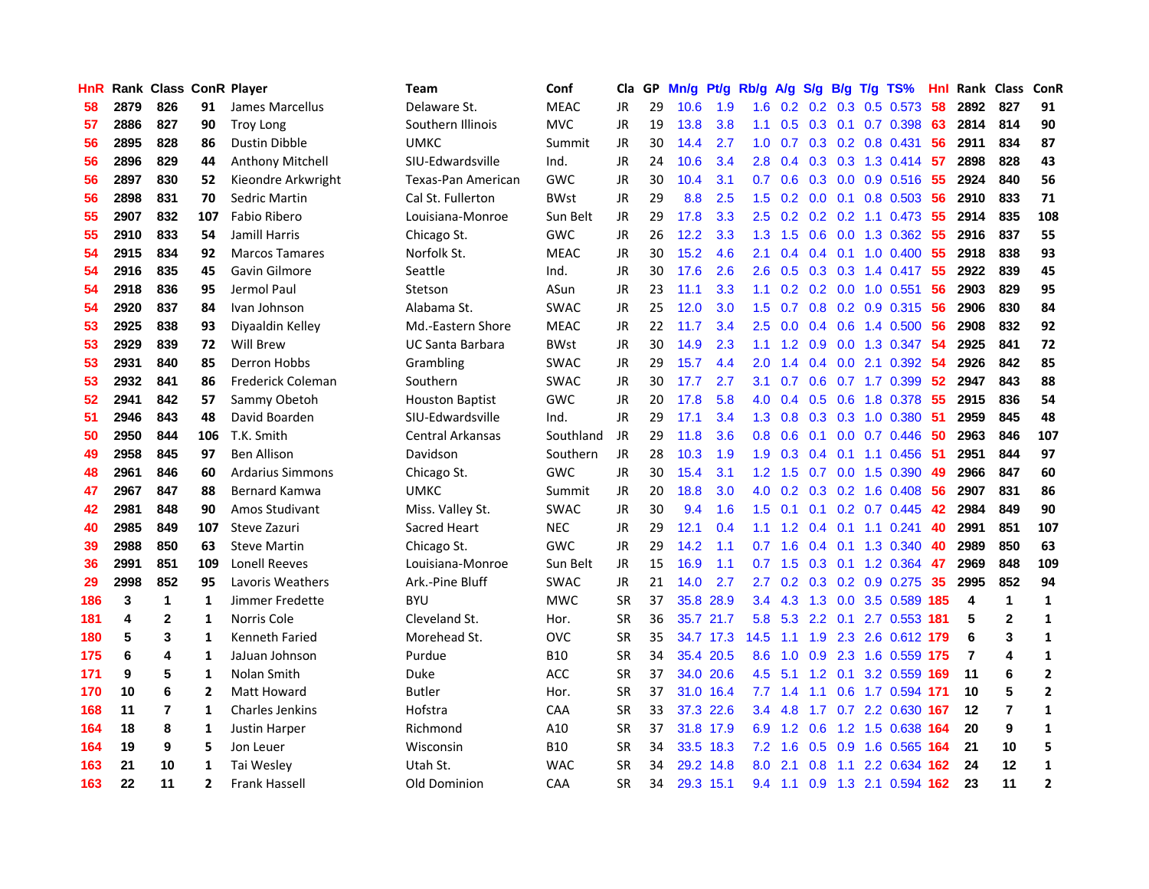| HnR |      | <b>Rank Class ConR Player</b> |                |                         | Team                    | Conf        | Cla       |    | GP Mn/g | Pt/g      | Rb/g             | <b>A/g</b>      |               |                 | S/g B/g T/g TS%                 | Hnl | Rank Class ConR |                |                |
|-----|------|-------------------------------|----------------|-------------------------|-------------------------|-------------|-----------|----|---------|-----------|------------------|-----------------|---------------|-----------------|---------------------------------|-----|-----------------|----------------|----------------|
| 58  | 2879 | 826                           | 91             | James Marcellus         | Delaware St.            | <b>MEAC</b> | JR        | 29 | 10.6    | 1.9       | 1.6              | 0.2             | 0.2           | 0.3             | $0.5$ 0.573                     | 58  | 2892            | 827            | 91             |
| 57  | 2886 | 827                           | 90             | <b>Troy Long</b>        | Southern Illinois       | <b>MVC</b>  | <b>JR</b> | 19 | 13.8    | 3.8       | 1.1              | 0.5             |               | $0.3 \quad 0.1$ | 0.7 0.398                       | 63  | 2814            | 814            | 90             |
| 56  | 2895 | 828                           | 86             | <b>Dustin Dibble</b>    | <b>UMKC</b>             | Summit      | <b>JR</b> | 30 | 14.4    | 2.7       | 1.0 <sub>1</sub> | 0.7             |               |                 | $0.3$ $0.2$ $0.8$ $0.431$       | 56  | 2911            | 834            | 87             |
| 56  | 2896 | 829                           | 44             | Anthony Mitchell        | SIU-Edwardsville        | Ind.        | <b>JR</b> | 24 | 10.6    | 3.4       | 2.8              |                 |               |                 | 0.4 0.3 0.3 1.3 0.414           | -57 | 2898            | 828            | 43             |
| 56  | 2897 | 830                           | 52             | Kieondre Arkwright      | Texas-Pan American      | <b>GWC</b>  | JR        | 30 | 10.4    | 3.1       |                  |                 |               |                 | 0.7 0.6 0.3 0.0 0.9 0.516 55    |     | 2924            | 840            | 56             |
| 56  | 2898 | 831                           | 70             | Sedric Martin           | Cal St. Fullerton       | <b>BWst</b> | JR        | 29 | 8.8     | 2.5       | 1.5              |                 |               |                 | $0.2$ 0.0 0.1 0.8 0.503 56      |     | 2910            | 833            | 71             |
| 55  | 2907 | 832                           | 107            | Fabio Ribero            | Louisiana-Monroe        | Sun Belt    | JR        | 29 | 17.8    | 3.3       | 2.5              |                 |               |                 | $0.2$ $0.2$ $0.2$ $1.1$ $0.473$ | -55 | 2914            | 835            | 108            |
| 55  | 2910 | 833                           | 54             | Jamill Harris           | Chicago St.             | <b>GWC</b>  | <b>JR</b> | 26 | 12.2    | 3.3       | 1.3 <sup>°</sup> | 1.5             | 0.6           |                 | $0.0$ 1.3 $0.362$               | 55  | 2916            | 837            | 55             |
| 54  | 2915 | 834                           | 92             | <b>Marcos Tamares</b>   | Norfolk St.             | <b>MEAC</b> | JR        | 30 | 15.2    | 4.6       | 2.1              | 0.4             |               | $0.4 \quad 0.1$ | 1.0 0.400                       | 55  | 2918            | 838            | 93             |
| 54  | 2916 | 835                           | 45             | Gavin Gilmore           | Seattle                 | Ind.        | JR        | 30 | 17.6    | 2.6       | $2.6^{\circ}$    | 0.5             |               |                 | $0.3$ $0.3$ 1.4 $0.417$         | -55 | 2922            | 839            | 45             |
| 54  | 2918 | 836                           | 95             | Jermol Paul             | Stetson                 | ASun        | <b>JR</b> | 23 | 11.1    | 3.3       | 1.1              | 0.2             |               |                 | $0.2$ 0.0 1.0 0.551             | 56  | 2903            | 829            | 95             |
| 54  | 2920 | 837                           | 84             | Ivan Johnson            | Alabama St.             | SWAC        | JR        | 25 | 12.0    | 3.0       | 1.5              | 0.7             |               |                 | 0.8 0.2 0.9 0.315               | 56  | 2906            | 830            | 84             |
| 53  | 2925 | 838                           | 93             | Diyaaldin Kelley        | Md.-Eastern Shore       | <b>MEAC</b> | <b>JR</b> | 22 | 11.7    | 3.4       | 2.5              | 0.0             | $0.4^{\circ}$ | 0.6             | 1.4 0.500                       | 56  | 2908            | 832            | 92             |
| 53  | 2929 | 839                           | 72             | Will Brew               | <b>UC Santa Barbara</b> | <b>BWst</b> | JR        | 30 | 14.9    | 2.3       | 1.1              | 1.2             | 0.9           |                 | 0.0 1.3 0.347                   | 54  | 2925            | 841            | 72             |
| 53  | 2931 | 840                           | 85             | Derron Hobbs            | Grambling               | <b>SWAC</b> | JR        | 29 | 15.7    | 4.4       | 2.0              | 1.4             | 0.4           | 0.0             | 2.1 0.392                       | 54  | 2926            | 842            | 85             |
| 53  | 2932 | 841                           | 86             | Frederick Coleman       | Southern                | <b>SWAC</b> | JR        | 30 | 17.7    | 2.7       | 3.1              | 0.7             | 0.6           |                 | 0.7 1.7 0.399                   | 52  | 2947            | 843            | 88             |
| 52  | 2941 | 842                           | 57             | Sammy Obetoh            | <b>Houston Baptist</b>  | <b>GWC</b>  | JR        | 20 | 17.8    | 5.8       | 4.0              |                 |               |                 | 0.4 0.5 0.6 1.8 0.378           | -55 | 2915            | 836            | 54             |
| 51  | 2946 | 843                           | 48             | David Boarden           | SIU-Edwardsville        | Ind.        | <b>JR</b> | 29 | 17.1    | 3.4       |                  |                 |               |                 | 1.3 0.8 0.3 0.3 1.0 0.380 51    |     | 2959            | 845            | 48             |
| 50  | 2950 | 844                           | 106            | T.K. Smith              | Central Arkansas        | Southland   | JR        | 29 | 11.8    | 3.6       |                  | $0.8\quad 0.6$  |               |                 | $0.1$ 0.0 0.7 0.446             | -50 | 2963            | 846            | 107            |
| 49  | 2958 | 845                           | 97             | <b>Ben Allison</b>      | Davidson                | Southern    | JR        | 28 | 10.3    | 1.9       | 1.9 <sup>°</sup> |                 |               |                 | 0.3 0.4 0.1 1.1 0.456 51        |     | 2951            | 844            | 97             |
| 48  | 2961 | 846                           | 60             | <b>Ardarius Simmons</b> | Chicago St.             | <b>GWC</b>  | JR        | 30 | 15.4    | 3.1       |                  | $1.2 \quad 1.5$ |               |                 | $0.7$ 0.0 1.5 0.390             | -49 | 2966            | 847            | 60             |
| 47  | 2967 | 847                           | 88             | Bernard Kamwa           | <b>UMKC</b>             | Summit      | <b>JR</b> | 20 | 18.8    | 3.0       | 4.0              |                 |               |                 | $0.2$ $0.3$ $0.2$ $1.6$ $0.408$ | 56  | 2907            | 831            | 86             |
| 42  | 2981 | 848                           | 90             | Amos Studivant          | Miss. Valley St.        | <b>SWAC</b> | <b>JR</b> | 30 | 9.4     | 1.6       | 1.5 <sub>1</sub> | 0.1             |               |                 | $0.1$ $0.2$ $0.7$ $0.445$       | 42  | 2984            | 849            | 90             |
| 40  | 2985 | 849                           | 107            | Steve Zazuri            | Sacred Heart            | <b>NEC</b>  | JR        | 29 | 12.1    | 0.4       | 1.1              | 1.2             |               |                 | $0.4$ 0.1 1.1 0.241             | 40  | 2991            | 851            | 107            |
| 39  | 2988 | 850                           | 63             | <b>Steve Martin</b>     | Chicago St.             | GWC         | JR        | 29 | 14.2    | 1.1       | 0.7              | 1.6             |               |                 | 0.4 0.1 1.3 0.340               | 40  | 2989            | 850            | 63             |
| 36  | 2991 | 851                           | 109            | <b>Lonell Reeves</b>    | Louisiana-Monroe        | Sun Belt    | <b>JR</b> | 15 | 16.9    | 1.1       | 0.7              | 1.5             | 0.3           | 0.1             | 1.2 0.364                       | 47  | 2969            | 848            | 109            |
| 29  | 2998 | 852                           | 95             | Lavoris Weathers        | Ark.-Pine Bluff         | <b>SWAC</b> | JR        | 21 | 14.0    | 2.7       | 2.7              | 0.2             |               |                 | $0.3$ 0.2 0.9 0.275             | 35  | 2995            | 852            | 94             |
| 186 | 3    | $\mathbf{1}$                  | 1              | Jimmer Fredette         | <b>BYU</b>              | <b>MWC</b>  | <b>SR</b> | 37 | 35.8    | 28.9      | 3.4              | 4.3             | 1.3           |                 | 0.0 3.5 0.589                   | 185 | 4               | $\mathbf{1}$   | $\mathbf{1}$   |
| 181 | 4    | $\mathbf{2}$                  | 1              | Norris Cole             | Cleveland St.           | Hor.        | <b>SR</b> | 36 |         | 35.7 21.7 | 5.8              |                 | $5.3$ 2.2 0.1 |                 | 2.7 0.553 181                   |     | 5               | $\mathbf{2}$   | 1              |
| 180 | 5    | 3                             | 1              | Kenneth Faried          | Morehead St.            | <b>OVC</b>  | <b>SR</b> | 35 |         | 34.7 17.3 | 14.5             | 1.1             | 1.9           |                 | 2.3 2.6 0.612 179               |     | 6               | 3              | 1              |
| 175 | 6    | 4                             | 1              | JaJuan Johnson          | Purdue                  | <b>B10</b>  | <b>SR</b> | 34 |         | 35.4 20.5 | 8.6              |                 |               |                 | 1.0 0.9 2.3 1.6 0.559 175       |     | 7               | 4              | 1              |
| 171 | 9    | 5                             | 1              | Nolan Smith             | Duke                    | ACC         | <b>SR</b> | 37 |         | 34.0 20.6 |                  | 4.5 5.1         |               |                 | 1.2 0.1 3.2 0.559 169           |     | 11              | 6              | $\mathbf{2}$   |
| 170 | 10   | 6                             | 2              | <b>Matt Howard</b>      | <b>Butler</b>           | Hor.        | <b>SR</b> | 37 |         | 31.0 16.4 | 7.7              | 1.4             |               |                 | 1.1 0.6 1.7 0.594 171           |     | 10              | 5              | $\overline{2}$ |
| 168 | 11   | $\overline{7}$                | 1              | <b>Charles Jenkins</b>  | Hofstra                 | CAA         | <b>SR</b> | 33 |         | 37.3 22.6 | 3.4              | 4.8             |               |                 | 1.7 0.7 2.2 0.630 167           |     | 12              | $\overline{7}$ | $\mathbf{1}$   |
| 164 | 18   | 8                             | 1              | Justin Harper           | Richmond                | A10         | SR        | 37 |         | 31.8 17.9 | 6.9              | 1.2             | 0.6           |                 | 1.2 1.5 0.638 164               |     | 20              | 9              | 1              |
| 164 | 19   | 9                             | 5              | Jon Leuer               | Wisconsin               | <b>B10</b>  | <b>SR</b> | 34 |         | 33.5 18.3 | 7.2              | 1.6             |               | $0.5\quad 0.9$  | 1.6 0.565 164                   |     | 21              | 10             | 5              |
| 163 | 21   | 10                            | 1              | Tai Wesley              | Utah St.                | <b>WAC</b>  | <b>SR</b> | 34 |         | 29.2 14.8 | 8.0              | 2.1             | 0.8           | 1.1             | 2.2 0.634                       | 162 | 24              | 12             | 1              |
| 163 | 22   | 11                            | $\overline{2}$ | Frank Hassell           | Old Dominion            | CAA         | <b>SR</b> | 34 |         | 29.3 15.1 |                  | $9.4 \quad 1.1$ |               |                 | 0.9 1.3 2.1 0.594 162           |     | 23              | 11             | $\overline{2}$ |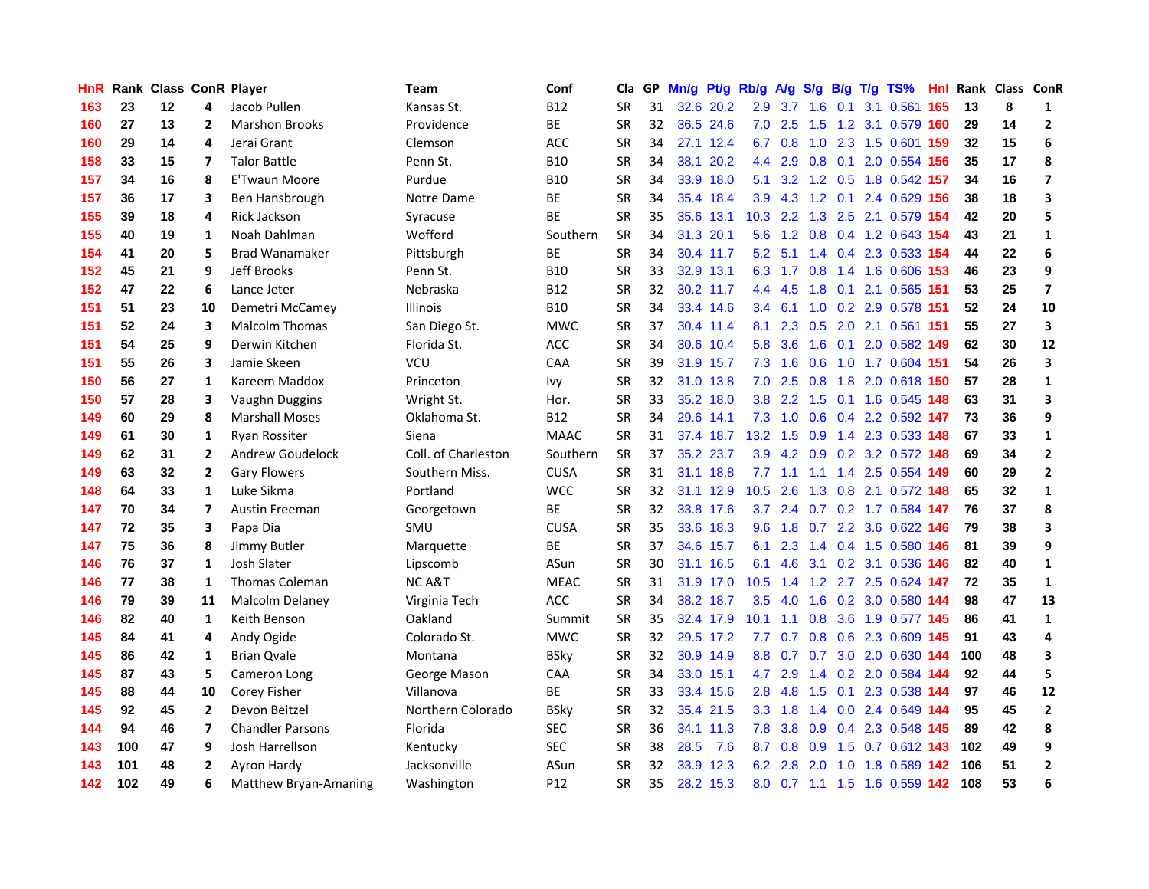| <b>HnR</b> |     | Rank Class ConR Player |                |                         | Team                | Conf        | Cla       |    | GP Mn/g Pt/g Rb/g A/g |           |                  |                 |     |             | S/g B/g T/g TS%               | Hnl  |     | Rank Class ConR |                         |
|------------|-----|------------------------|----------------|-------------------------|---------------------|-------------|-----------|----|-----------------------|-----------|------------------|-----------------|-----|-------------|-------------------------------|------|-----|-----------------|-------------------------|
| 163        | 23  | 12                     | 4              | Jacob Pullen            | Kansas St.          | <b>B12</b>  | <b>SR</b> | 31 | 32.6                  | 20.2      | 2.9              | 3.7             | 1.6 | 0.1         | 3.1 0.561                     | 165  | 13  | 8               | 1                       |
| 160        | 27  | 13                     | $\overline{2}$ | <b>Marshon Brooks</b>   | Providence          | BE          | <b>SR</b> | 32 |                       | 36.5 24.6 | 7.0              | 2.5             | 1.5 | 1.2         | 3.1 0.579                     | 160  | 29  | 14              | $\overline{2}$          |
| 160        | 29  | 14                     | 4              | Jerai Grant             | Clemson             | ACC         | <b>SR</b> | 34 |                       | 27.1 12.4 | 6.7              | 0.8             | 1.0 | 2.3         | 1.5 0.601                     | 159  | 32  | 15              | 6                       |
| 158        | 33  | 15                     | $\overline{ }$ | <b>Talor Battle</b>     | Penn St.            | <b>B10</b>  | <b>SR</b> | 34 |                       | 38.1 20.2 |                  | 4.4 2.9         | 0.8 | 0.1         | 2.0 0.554 156                 |      | 35  | 17              | 8                       |
| 157        | 34  | 16                     | 8              | E'Twaun Moore           | Purdue              | <b>B10</b>  | <b>SR</b> | 34 |                       | 33.9 18.0 | 5.1              |                 |     |             | 3.2 1.2 0.5 1.8 0.542 157     |      | 34  | 16              | $\overline{\mathbf{z}}$ |
| 157        | 36  | 17                     | 3              | Ben Hansbrough          | Notre Dame          | <b>BE</b>   | <b>SR</b> | 34 |                       | 35.4 18.4 | 3.9 <sup>°</sup> |                 |     |             | 4.3 1.2 0.1 2.4 0.629 156     |      | 38  | 18              | 3                       |
| 155        | 39  | 18                     | 4              | <b>Rick Jackson</b>     | Syracuse            | <b>BE</b>   | <b>SR</b> | 35 |                       | 35.6 13.1 | 10.3             |                 |     |             | 2.2 1.3 2.5 2.1 0.579 154     |      | 42  | 20              | 5                       |
| 155        | 40  | 19                     | 1              | Noah Dahlman            | Wofford             | Southern    | <b>SR</b> | 34 |                       | 31.3 20.1 | 5.6              |                 |     |             | 1.2 0.8 0.4 1.2 0.643 154     |      | 43  | 21              | $\mathbf{1}$            |
| 154        | 41  | 20                     | 5              | <b>Brad Wanamaker</b>   | Pittsburgh          | BE          | SR        | 34 |                       | 30.4 11.7 |                  | $5.2$ $5.1$     |     |             | 1.4 0.4 2.3 0.533 154         |      | 44  | 22              | 6                       |
| 152        | 45  | 21                     | 9              | Jeff Brooks             | Penn St.            | <b>B10</b>  | <b>SR</b> | 33 |                       | 32.9 13.1 | 6.3              | 1.7             | 0.8 |             | 1.4 1.6 0.606                 | 153  | 46  | 23              | 9                       |
| 152        | 47  | 22                     | 6              | Lance Jeter             | Nebraska            | <b>B12</b>  | <b>SR</b> | 32 |                       | 30.2 11.7 |                  | 4.4 4.5         |     | $1.8$ 0.1   | 2.1 0.565                     | 151  | 53  | 25              | $\overline{\mathbf{z}}$ |
| 151        | 51  | 23                     | 10             | Demetri McCamey         | <b>Illinois</b>     | <b>B10</b>  | <b>SR</b> | 34 |                       | 33.4 14.6 |                  | $3.4 \quad 6.1$ |     |             | 1.0 0.2 2.9 0.578             | -151 | 52  | 24              | 10                      |
| 151        | 52  | 24                     | 3              | <b>Malcolm Thomas</b>   | San Diego St.       | <b>MWC</b>  | <b>SR</b> | 37 |                       | 30.4 11.4 | 8.1              | 2.3             | 0.5 |             | 2.0 2.1 0.561                 | -151 | 55  | 27              | 3                       |
| 151        | 54  | 25                     | 9              | Derwin Kitchen          | Florida St.         | <b>ACC</b>  | <b>SR</b> | 34 |                       | 30.6 10.4 | 5.8              | 3.6             | 1.6 | 0.1         | 2.0 0.582 149                 |      | 62  | 30              | 12                      |
| 151        | 55  | 26                     | 3              | Jamie Skeen             | VCU                 | CAA         | <b>SR</b> | 39 |                       | 31.9 15.7 | 7.3              | 1.6             | 0.6 | 1.0         | 1.7 0.604                     | 151  | 54  | 26              | 3                       |
| 150        | 56  | 27                     | $\mathbf{1}$   | Kareem Maddox           | Princeton           | Ivy         | <b>SR</b> | 32 |                       | 31.0 13.8 | 7.0              | 2.5             | 0.8 | 1.8         | 2.0 0.618 150                 |      | 57  | 28              | $\mathbf{1}$            |
| 150        | 57  | 28                     | 3              | Vaughn Duggins          | Wright St.          | Hor.        | <b>SR</b> | 33 |                       | 35.2 18.0 | 3.8 <sup>°</sup> | $2.2^{\circ}$   | 1.5 |             | 0.1 1.6 0.545 148             |      | 63  | 31              | 3                       |
| 149        | 60  | 29                     | 8              | <b>Marshall Moses</b>   | Oklahoma St.        | <b>B12</b>  | <b>SR</b> | 34 |                       | 29.6 14.1 |                  | $7.3 \quad 1.0$ |     |             | 0.6 0.4 2.2 0.592 147         |      | 73  | 36              | 9                       |
| 149        | 61  | 30                     | $\mathbf{1}$   | Ryan Rossiter           | Siena               | <b>MAAC</b> | <b>SR</b> | 31 |                       | 37.4 18.7 | $13.2 \quad 1.5$ |                 |     |             | 0.9 1.4 2.3 0.533 148         |      | 67  | 33              | $\mathbf{1}$            |
| 149        | 62  | 31                     | 2              | <b>Andrew Goudelock</b> | Coll. of Charleston | Southern    | <b>SR</b> | 37 |                       | 35.2 23.7 |                  |                 |     |             | 3.9 4.2 0.9 0.2 3.2 0.572 148 |      | 69  | 34              | $\mathbf{2}$            |
| 149        | 63  | 32                     | $\overline{2}$ | <b>Gary Flowers</b>     | Southern Miss.      | <b>CUSA</b> | <b>SR</b> | 31 |                       | 31.1 18.8 |                  |                 |     |             | 7.7 1.1 1.1 1.4 2.5 0.554 149 |      | 60  | 29              | $\overline{2}$          |
| 148        | 64  | 33                     | $\mathbf{1}$   | Luke Sikma              | Portland            | <b>WCC</b>  | <b>SR</b> | 32 |                       | 31.1 12.9 | 10.5             | 2.6             |     |             | 1.3 0.8 2.1 0.572 148         |      | 65  | 32              | $\mathbf{1}$            |
| 147        | 70  | 34                     | $\overline{7}$ | Austin Freeman          | Georgetown          | <b>BE</b>   | <b>SR</b> | 32 |                       | 33.8 17.6 |                  | $3.7$ $2.4$     |     |             | 0.7 0.2 1.7 0.584 147         |      | 76  | 37              | 8                       |
| 147        | 72  | 35                     | 3              | Papa Dia                | SMU                 | <b>CUSA</b> | <b>SR</b> | 35 |                       | 33.6 18.3 | 9.6              | 1.8             |     |             | 0.7 2.2 3.6 0.622 146         |      | 79  | 38              | 3                       |
| 147        | 75  | 36                     | 8              | Jimmy Butler            | Marquette           | ВE          | <b>SR</b> | 37 |                       | 34.6 15.7 | 6.1              | 2.3             |     |             | 1.4 0.4 1.5 0.580 146         |      | 81  | 39              | 9                       |
| 146        | 76  | 37                     | $\mathbf{1}$   | Josh Slater             | Lipscomb            | ASun        | <b>SR</b> | 30 |                       | 31.1 16.5 | 6.1              | 4.6             |     |             | 3.1 0.2 3.1 0.536 146         |      | 82  | 40              | $\mathbf{1}$            |
| 146        | 77  | 38                     | 1              | <b>Thomas Coleman</b>   | <b>NCA&amp;T</b>    | <b>MEAC</b> | <b>SR</b> | 31 |                       | 31.9 17.0 | 10.5             | 1.4             | 1.2 | 2.7         | 2.5 0.624                     | -147 | 72  | 35              | $\mathbf{1}$            |
| 146        | 79  | 39                     | 11             | Malcolm Delaney         | Virginia Tech       | <b>ACC</b>  | <b>SR</b> | 34 |                       | 38.2 18.7 | 3.5              | 4.0             | 1.6 | 0.2         | 3.0 0.580 144                 |      | 98  | 47              | 13                      |
| 146        | 82  | 40                     | $\mathbf{1}$   | Keith Benson            | Oakland             | Summit      | SR        | 35 |                       | 32.4 17.9 | 10.1             | 1.1             | 0.8 | 3.6         | 1.9 0.577 145                 |      | 86  | 41              | $\mathbf{1}$            |
| 145        | 84  | 41                     | 4              | Andy Ogide              | Colorado St.        | <b>MWC</b>  | <b>SR</b> | 32 |                       | 29.5 17.2 | 7.7              | 0.7             |     |             | 0.8 0.6 2.3 0.609 145         |      | 91  | 43              | 4                       |
| 145        | 86  | 42                     | 1              | <b>Brian Qvale</b>      | Montana             | <b>BSky</b> | <b>SR</b> | 32 |                       | 30.9 14.9 | 8.8              | 0.7             |     |             | 0.7 3.0 2.0 0.630 144         |      | 100 | 48              | 3                       |
| 145        | 87  | 43                     | 5              | Cameron Long            | George Mason        | CAA         | <b>SR</b> | 34 |                       | 33.0 15.1 | 4.7              | 2.9             |     |             | 1.4 0.2 2.0 0.584 144         |      | 92  | 44              | 5                       |
| 145        | 88  | 44                     | 10             | Corey Fisher            | Villanova           | BE          | <b>SR</b> | 33 |                       | 33.4 15.6 |                  | $2.8$ 4.8       |     | $1.5 \t0.1$ | 2.3 0.538 144                 |      | 97  | 46              | 12                      |
| 145        | 92  | 45                     | $\overline{2}$ | Devon Beitzel           | Northern Colorado   | <b>BSky</b> | <b>SR</b> | 32 |                       | 35.4 21.5 |                  | $3.3 \quad 1.8$ |     |             | 1.4 0.0 2.4 0.649 144         |      | 95  | 45              | $\mathbf{2}$            |
| 144        | 94  | 46                     | $\overline{7}$ | <b>Chandler Parsons</b> | Florida             | <b>SEC</b>  | <b>SR</b> | 36 |                       | 34.1 11.3 | 7.8              | 3.8             |     |             | 0.9 0.4 2.3 0.548 145         |      | 89  | 42              | 8                       |
| 143        | 100 | 47                     | 9              | Josh Harrellson         | Kentucky            | <b>SEC</b>  | <b>SR</b> | 38 | 28.5                  | 7.6       | 8.7              | 0.8             | 0.9 | 1.5         | 0.7 0.612 143                 |      | 102 | 49              | 9                       |
| 143        | 101 | 48                     | 2              | Ayron Hardy             | Jacksonville        | ASun        | <b>SR</b> | 32 |                       | 33.9 12.3 | 6.2              | 2.8             | 2.0 | 1.0         | 1.8 0.589 142                 |      | 106 | 51              | $\mathbf{2}$            |
| 142        | 102 | 49                     | 6              | Matthew Bryan-Amaning   | Washington          | P12         | <b>SR</b> | 35 |                       | 28.2 15.3 |                  |                 |     |             | 8.0 0.7 1.1 1.5 1.6 0.559 142 |      | 108 | 53              | 6                       |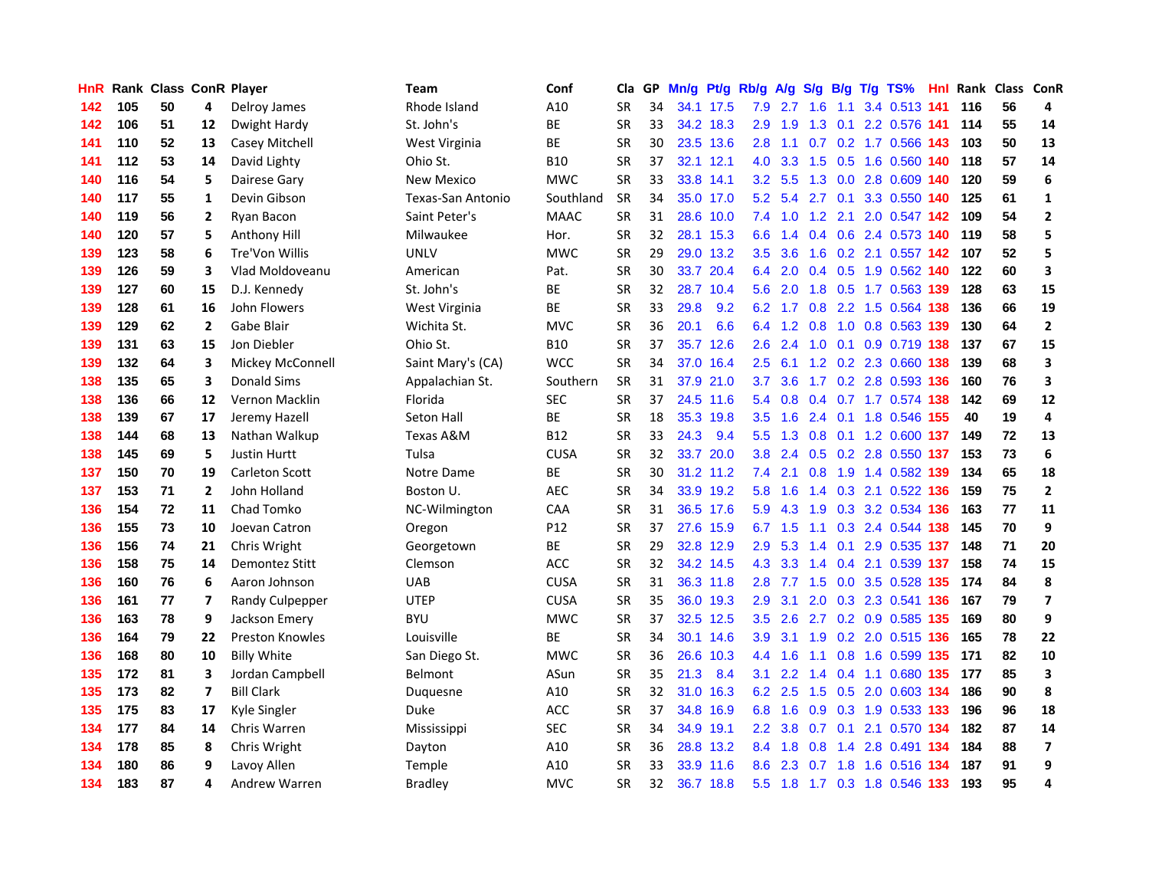| HnR. |     | Rank Class ConR Player |                |                        | Team                     | Conf        | Cla       |    | GP Mn/g Pt/g |           | Rb/g A/g         |           |                         |             | S/g B/g T/g TS%               | Hnl  |     | Rank Class ConR |                         |
|------|-----|------------------------|----------------|------------------------|--------------------------|-------------|-----------|----|--------------|-----------|------------------|-----------|-------------------------|-------------|-------------------------------|------|-----|-----------------|-------------------------|
| 142  | 105 | 50                     | 4              | Delroy James           | Rhode Island             | A10         | SR        | 34 |              | 34.1 17.5 | 7.9              | 2.7       | 1.6                     | 1.1         | 3.4 0.513 141                 |      | 116 | 56              | 4                       |
| 142  | 106 | 51                     | 12             | Dwight Hardy           | St. John's               | BE          | <b>SR</b> | 33 |              | 34.2 18.3 | 2.9              | 1.9       | 1.3                     | 0.1         | 2.2 0.576 141                 |      | 114 | 55              | 14                      |
| 141  | 110 | 52                     | 13             | Casey Mitchell         | West Virginia            | <b>BE</b>   | <b>SR</b> | 30 |              | 23.5 13.6 | 2.8              | 1.1       | 0.7                     | 0.2         | 1.7 0.566 143                 |      | 103 | 50              | 13                      |
| 141  | 112 | 53                     | 14             | David Lighty           | Ohio St.                 | <b>B10</b>  | <b>SR</b> | 37 |              | 32.1 12.1 | 4.0              | 3.3       |                         | $1.5 \t0.5$ | 1.6 0.560 140                 |      | 118 | 57              | 14                      |
| 140  | 116 | 54                     | 5              | Dairese Gary           | <b>New Mexico</b>        | <b>MWC</b>  | <b>SR</b> | 33 |              | 33.8 14.1 |                  | $3.2$ 5.5 |                         |             | 1.3 0.0 2.8 0.609 140         |      | 120 | 59              | 6                       |
| 140  | 117 | 55                     | $\mathbf{1}$   | Devin Gibson           | <b>Texas-San Antonio</b> | Southland   | <b>SR</b> | 34 |              | 35.0 17.0 |                  |           | $5.2$ $5.4$ $2.7$ $0.1$ |             | 3.3 0.550 140                 |      | 125 | 61              | $\mathbf{1}$            |
| 140  | 119 | 56                     | 2              | Ryan Bacon             | Saint Peter's            | <b>MAAC</b> | <b>SR</b> | 31 |              | 28.6 10.0 |                  |           |                         |             | 7.4 1.0 1.2 2.1 2.0 0.547 142 |      | 109 | 54              | $\mathbf{2}$            |
| 140  | 120 | 57                     | 5              | Anthony Hill           | Milwaukee                | Hor.        | <b>SR</b> | 32 |              | 28.1 15.3 | 6.6              | 1.4       |                         |             | 0.4 0.6 2.4 0.573 140         |      | 119 | 58              | 5                       |
| 139  | 123 | 58                     | 6              | Tre'Von Willis         | <b>UNLV</b>              | <b>MWC</b>  | <b>SR</b> | 29 |              | 29.0 13.2 | $3.5^{\circ}$    | 3.6       |                         |             | 1.6 0.2 2.1 0.557 142         |      | 107 | 52              | 5                       |
| 139  | 126 | 59                     | 3              | Vlad Moldoveanu        | American                 | Pat.        | <b>SR</b> | 30 |              | 33.7 20.4 | 6.4              | 2.0       |                         |             | $0.4$ 0.5 1.9 0.562           | 140  | 122 | 60              | 3                       |
| 139  | 127 | 60                     | 15             | D.J. Kennedy           | St. John's               | ВE          | <b>SR</b> | 32 |              | 28.7 10.4 | 5.6              | 2.0       | 1.8                     |             | 0.5 1.7 0.563 139             |      | 128 | 63              | 15                      |
| 139  | 128 | 61                     | 16             | John Flowers           | West Virginia            | BE          | <b>SR</b> | 33 | 29.8         | 9.2       | 6.2              | 1.7       | 0.8                     |             | 2.2 1.5 0.564 138             |      | 136 | 66              | 19                      |
| 139  | 129 | 62                     | $\mathbf{2}$   | Gabe Blair             | Wichita St.              | <b>MVC</b>  | <b>SR</b> | 36 | 20.1         | 6.6       | 6.4              | 1.2       | 0.8                     | 1.0         | 0.8 0.563 139                 |      | 130 | 64              | $\mathbf 2$             |
| 139  | 131 | 63                     | 15             | Jon Diebler            | Ohio St.                 | <b>B10</b>  | <b>SR</b> | 37 |              | 35.7 12.6 | 2.6              | 2.4       | 1.0                     | 0.1         | 0.9 0.719 138                 |      | 137 | 67              | 15                      |
| 139  | 132 | 64                     | 3              | Mickey McConnell       | Saint Mary's (CA)        | <b>WCC</b>  | <b>SR</b> | 34 |              | 37.0 16.4 | 2.5              | 6.1       | 1.2                     |             | 0.2 2.3 0.660 138             |      | 139 | 68              | 3                       |
| 138  | 135 | 65                     | 3              | Donald Sims            | Appalachian St.          | Southern    | <b>SR</b> | 31 |              | 37.9 21.0 | 3.7              | 3.6       | 1.7                     |             | 0.2 2.8 0.593 136             |      | 160 | 76              | 3                       |
| 138  | 136 | 66                     | 12             | Vernon Macklin         | Florida                  | <b>SEC</b>  | <b>SR</b> | 37 |              | 24.5 11.6 |                  |           |                         |             | 5.4 0.8 0.4 0.7 1.7 0.574 138 |      | 142 | 69              | 12                      |
| 138  | 139 | 67                     | 17             | Jeremy Hazell          | Seton Hall               | ВE          | <b>SR</b> | 18 |              | 35.3 19.8 | 3.5              |           |                         |             | 1.6 2.4 0.1 1.8 0.546 155     |      | 40  | 19              | 4                       |
| 138  | 144 | 68                     | 13             | Nathan Walkup          | Texas A&M                | <b>B12</b>  | <b>SR</b> | 33 | 24.3         | 9.4       | 5.5              |           |                         |             | 1.3 0.8 0.1 1.2 0.600 137     |      | 149 | 72              | 13                      |
| 138  | 145 | 69                     | 5              | <b>Justin Hurtt</b>    | Tulsa                    | <b>CUSA</b> | <b>SR</b> | 32 |              | 33.7 20.0 | 3.8 <sub>1</sub> | 2.4       |                         |             | 0.5 0.2 2.8 0.550 137         |      | 153 | 73              | 6                       |
| 137  | 150 | 70                     | 19             | Carleton Scott         | Notre Dame               | <b>BE</b>   | <b>SR</b> | 30 |              | 31.2 11.2 | 7.4              | 2.1       | 0.8                     |             | 1.9 1.4 0.582 139             |      | 134 | 65              | 18                      |
| 137  | 153 | 71                     | $\mathbf{2}$   | John Holland           | Boston U.                | <b>AEC</b>  | <b>SR</b> | 34 |              | 33.9 19.2 | 5.8              | 1.6       |                         |             | 1.4 0.3 2.1 0.522 136         |      | 159 | 75              | $\overline{2}$          |
| 136  | 154 | 72                     | 11             | Chad Tomko             | NC-Wilmington            | CAA         | <b>SR</b> | 31 |              | 36.5 17.6 | 5.9              | 4.3       | 1.9                     |             | 0.3 3.2 0.534 136             |      | 163 | 77              | 11                      |
| 136  | 155 | 73                     | 10             | Joevan Catron          | Oregon                   | P12         | <b>SR</b> | 37 |              | 27.6 15.9 | 6.7              | 1.5       | 1.1                     |             | 0.3 2.4 0.544 138             |      | 145 | 70              | 9                       |
| 136  | 156 | 74                     | 21             | Chris Wright           | Georgetown               | BE          | <b>SR</b> | 29 |              | 32.8 12.9 | 2.9              | 5.3       | 1.4                     | 0.1         | 2.9 0.535 137                 |      | 148 | 71              | 20                      |
| 136  | 158 | 75                     | 14             | Demontez Stitt         | Clemson                  | <b>ACC</b>  | <b>SR</b> | 32 |              | 34.2 14.5 | 4.3              | 3.3       | 1.4                     | 0.4         | 2.1 0.539 137                 |      | 158 | 74              | 15                      |
| 136  | 160 | 76                     | 6              | Aaron Johnson          | <b>UAB</b>               | <b>CUSA</b> | <b>SR</b> | 31 |              | 36.3 11.8 | 2.8              | 7.7       | 1.5                     | 0.0         | 3.5 0.528                     | 135  | 174 | 84              | 8                       |
| 136  | 161 | 77                     | $\overline{ }$ | Randy Culpepper        | <b>UTEP</b>              | <b>CUSA</b> | <b>SR</b> | 35 |              | 36.0 19.3 | 2.9              | 3.1       | 2.0                     | 0.3         | 2.3 0.541 136                 |      | 167 | 79              | $\overline{\mathbf{z}}$ |
| 136  | 163 | 78                     | 9              | Jackson Emery          | <b>BYU</b>               | <b>MWC</b>  | <b>SR</b> | 37 |              | 32.5 12.5 | 3.5              | 2.6       | 2.7                     |             | 0.2 0.9 0.585 135             |      | 169 | 80              | 9                       |
| 136  | 164 | 79                     | 22             | <b>Preston Knowles</b> | Louisville               | ВE          | SR        | 34 |              | 30.1 14.6 | 3.9              | 3.1       | 1.9                     |             | 0.2 2.0 0.515 136             |      | 165 | 78              | 22                      |
| 136  | 168 | 80                     | 10             | <b>Billy White</b>     | San Diego St.            | <b>MWC</b>  | <b>SR</b> | 36 |              | 26.6 10.3 |                  | 4.4 1.6   |                         |             | 1.1 0.8 1.6 0.599 135         |      | 171 | 82              | 10                      |
| 135  | 172 | 81                     | 3              | Jordan Campbell        | Belmont                  | ASun        | <b>SR</b> | 35 | 21.3         | 8.4       | 3.1              | 2.2       |                         |             | 1.4 0.4 1.1 0.680 135         |      | 177 | 85              | 3                       |
| 135  | 173 | 82                     | 7              | <b>Bill Clark</b>      | Duquesne                 | A10         | <b>SR</b> | 32 |              | 31.0 16.3 | 6.2              | 2.5       |                         |             | 1.5 0.5 2.0 0.603 134         |      | 186 | 90              | 8                       |
| 135  | 175 | 83                     | 17             | Kyle Singler           | Duke                     | ACC         | SR        | 37 |              | 34.8 16.9 | 6.8              | 1.6       |                         |             | 0.9 0.3 1.9 0.533 133         |      | 196 | 96              | 18                      |
| 134  | 177 | 84                     | 14             | Chris Warren           | Mississippi              | <b>SEC</b>  | <b>SR</b> | 34 |              | 34.9 19.1 | $2.2^{\circ}$    | 3.8       | 0.7                     | 0.1         | 2.1 0.570 134                 |      | 182 | 87              | 14                      |
| 134  | 178 | 85                     | 8              | Chris Wright           | Dayton                   | A10         | <b>SR</b> | 36 |              | 28.8 13.2 | 8.4              | 1.8       | 0.8                     | 1.4         | 2.8 0.491                     | -134 | 184 | 88              | $\overline{\mathbf{z}}$ |
| 134  | 180 | 86                     | 9              | Lavoy Allen            | Temple                   | A10         | <b>SR</b> | 33 | 33.9         | 11.6      | 8.6              | 2.3       | 0.7                     | 1.8         | 1.6 0.516                     | 134  | 187 | 91              | 9                       |
| 134  | 183 | 87                     | 4              | Andrew Warren          | <b>Bradley</b>           | <b>MVC</b>  | <b>SR</b> | 32 |              | 36.7 18.8 |                  | $5.5$ 1.8 |                         |             | 1.7 0.3 1.8 0.546 133         |      | 193 | 95              | 4                       |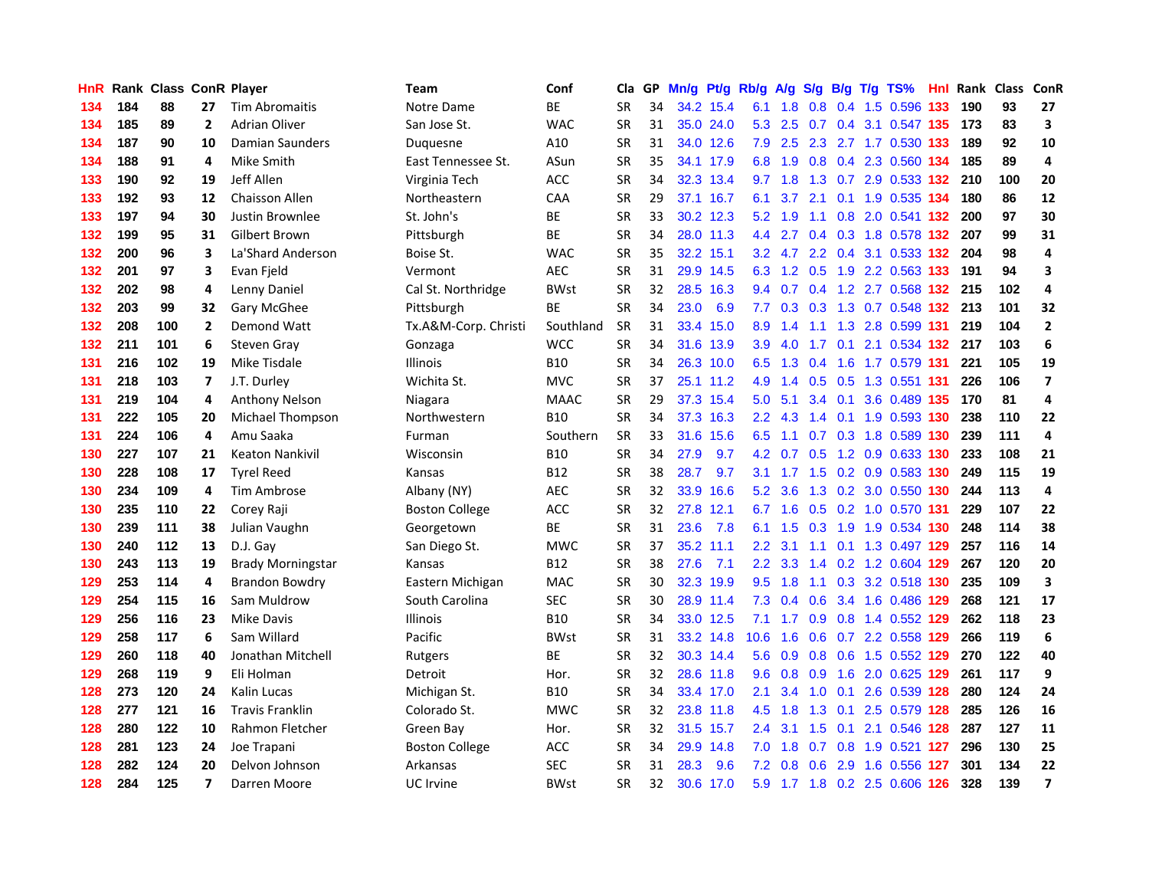| HnR. |     | Rank Class ConR Player |                          |                          | Team                  | Conf        | Cla       | GP. | Mn/g Pt/g |           | Rb/g A/g         |                 |            |                 | S/g B/g T/g TS%               | Hnl |     | Rank Class | <b>ConR</b>             |
|------|-----|------------------------|--------------------------|--------------------------|-----------------------|-------------|-----------|-----|-----------|-----------|------------------|-----------------|------------|-----------------|-------------------------------|-----|-----|------------|-------------------------|
| 134  | 184 | 88                     | 27                       | <b>Tim Abromaitis</b>    | Notre Dame            | <b>BE</b>   | SR        | 34  |           | 34.2 15.4 | 6.1              | 1.8             | 0.8        | 0.4             | 1.5 0.596                     | 133 | 190 | 93         | 27                      |
| 134  | 185 | 89                     | $\mathbf{2}$             | <b>Adrian Oliver</b>     | San Jose St.          | <b>WAC</b>  | <b>SR</b> | 31  |           | 35.0 24.0 | 5.3              | 2.5             | 0.7        | 0.4             | 3.1 0.547 135                 |     | 173 | 83         | 3                       |
| 134  | 187 | 90                     | 10                       | Damian Saunders          | Duquesne              | A10         | <b>SR</b> | 31  |           | 34.0 12.6 | 7.9              | 2.5             | 2.3        |                 | 2.7 1.7 0.530 133             |     | 189 | 92         | 10                      |
| 134  | 188 | 91                     | 4                        | Mike Smith               | East Tennessee St.    | ASun        | <b>SR</b> | 35  |           | 34.1 17.9 | 6.8              | 1.9             | 0.8        |                 | 0.4 2.3 0.560 134             |     | 185 | 89         | 4                       |
| 133  | 190 | 92                     | 19                       | Jeff Allen               | Virginia Tech         | <b>ACC</b>  | <b>SR</b> | 34  |           | 32.3 13.4 |                  | $9.7$ 1.8       |            |                 | 1.3 0.7 2.9 0.533 132 210     |     |     | 100        | 20                      |
| 133  | 192 | 93                     | 12                       | Chaisson Allen           | Northeastern          | CAA         | <b>SR</b> | 29  |           | 37.1 16.7 | 6.1              |                 | $3.7$ 2.1  |                 | 0.1 1.9 0.535 134             |     | 180 | 86         | 12                      |
| 133  | 197 | 94                     | 30                       | Justin Brownlee          | St. John's            | ВE          | <b>SR</b> | 33  |           | 30.2 12.3 | 5.2              | 1.9             | 1.1        |                 | 0.8 2.0 0.541 132             |     | 200 | 97         | 30                      |
| 132  | 199 | 95                     | 31                       | Gilbert Brown            | Pittsburgh            | <b>BE</b>   | <b>SR</b> | 34  |           | 28.0 11.3 | 4.4              | 2.7             |            |                 | 0.4 0.3 1.8 0.578 132         |     | 207 | 99         | 31                      |
| 132  | 200 | 96                     | 3                        | La'Shard Anderson        | Boise St.             | <b>WAC</b>  | SR        | 35  |           | 32.2 15.1 |                  |                 |            |                 | 3.2 4.7 2.2 0.4 3.1 0.533 132 |     | 204 | 98         | 4                       |
| 132  | 201 | 97                     | 3                        | Evan Fjeld               | Vermont               | <b>AEC</b>  | <b>SR</b> | 31  |           | 29.9 14.5 | 6.3              | 1.2             | 0.5        |                 | 1.9 2.2 0.563 133             |     | 191 | 94         | 3                       |
| 132  | 202 | 98                     | 4                        | Lenny Daniel             | Cal St. Northridge    | <b>BWst</b> | <b>SR</b> | 32  |           | 28.5 16.3 |                  | 9.4 0.7         |            |                 | $0.4$ 1.2 2.7 0.568           | 132 | 215 | 102        | 4                       |
| 132  | 203 | 99                     | 32                       | Gary McGhee              | Pittsburgh            | BE          | <b>SR</b> | 34  | 23.0      | 6.9       | 7.7              | 0.3             | 0.3        |                 | 1.3 0.7 0.548 132             |     | 213 | 101        | 32                      |
| 132  | 208 | 100                    | $\overline{2}$           | Demond Watt              | Tx.A&M-Corp. Christi  | Southland   | <b>SR</b> | 31  |           | 33.4 15.0 | 8.9              | 1.4             | 1.1        | 1.3             | 2.8 0.599 131                 |     | 219 | 104        | $\mathbf{2}$            |
| 132  | 211 | 101                    | 6                        | Steven Gray              | Gonzaga               | <b>WCC</b>  | <b>SR</b> | 34  |           | 31.6 13.9 | 3.9              | 4.0             | 1.7        | 0.1             | 2.1 0.534                     | 132 | 217 | 103        | 6                       |
| 131  | 216 | 102                    | 19                       | Mike Tisdale             | Illinois              | <b>B10</b>  | <b>SR</b> | 34  |           | 26.3 10.0 | 6.5              | 1.3             | 0.4        | 1.6             | 1.7 0.579 131                 |     | 221 | 105        | 19                      |
| 131  | 218 | 103                    | $\overline{\phantom{a}}$ | J.T. Durley              | Wichita St.           | <b>MVC</b>  | <b>SR</b> | 37  |           | 25.1 11.2 | 4.9              | 1.4             | 0.5        | 0.5             | 1.3 0.551 131                 |     | 226 | 106        | $\overline{7}$          |
| 131  | 219 | 104                    | 4                        | <b>Anthony Nelson</b>    | Niagara               | <b>MAAC</b> | <b>SR</b> | 29  |           | 37.3 15.4 | 5.0              | 5.1             |            | $3.4 \quad 0.1$ | 3.6 0.489 135                 |     | 170 | 81         | 4                       |
| 131  | 222 | 105                    | 20                       | Michael Thompson         | Northwestern          | <b>B10</b>  | <b>SR</b> | 34  |           | 37.3 16.3 |                  | $2.2 \quad 4.3$ | 1.4        |                 | 0.1 1.9 0.593 130             |     | 238 | 110        | 22                      |
| 131  | 224 | 106                    | 4                        | Amu Saaka                | Furman                | Southern    | <b>SR</b> | 33  |           | 31.6 15.6 | 6.5              |                 |            |                 | 1.1 0.7 0.3 1.8 0.589 130     |     | 239 | 111        | 4                       |
| 130  | 227 | 107                    | 21                       | <b>Keaton Nankivil</b>   | Wisconsin             | <b>B10</b>  | <b>SR</b> | 34  | 27.9      | 9.7       |                  | $4.2 \quad 0.7$ |            |                 | 0.5 1.2 0.9 0.633 130         |     | 233 | 108        | 21                      |
| 130  | 228 | 108                    | 17                       | <b>Tyrel Reed</b>        | Kansas                | <b>B12</b>  | <b>SR</b> | 38  | 28.7      | 9.7       |                  |                 |            |                 | 3.1 1.7 1.5 0.2 0.9 0.583 130 |     | 249 | 115        | 19                      |
| 130  | 234 | 109                    | 4                        | Tim Ambrose              | Albany (NY)           | <b>AEC</b>  | <b>SR</b> | 32  |           | 33.9 16.6 | 5.2              | 3.6             |            |                 | 1.3 0.2 3.0 0.550 130         |     | 244 | 113        | 4                       |
| 130  | 235 | 110                    | 22                       | Corey Raji               | <b>Boston College</b> | ACC         | <b>SR</b> | 32  |           | 27.8 12.1 | 6.7              | 1.6             |            |                 | 0.5 0.2 1.0 0.570 131         |     | 229 | 107        | 22                      |
| 130  | 239 | 111                    | 38                       | Julian Vaughn            | Georgetown            | <b>BE</b>   | <b>SR</b> | 31  | 23.6      | 7.8       | 6.1              | 1.5             | 0.3        |                 | 1.9 1.9 0.534 130             |     | 248 | 114        | 38                      |
| 130  | 240 | 112                    | 13                       | D.J. Gay                 | San Diego St.         | <b>MWC</b>  | <b>SR</b> | 37  |           | 35.2 11.1 | $2.2\phantom{0}$ | 3.1             | 1.1        |                 | 0.1 1.3 0.497 129             |     | 257 | 116        | 14                      |
| 130  | 243 | 113                    | 19                       | <b>Brady Morningstar</b> | Kansas                | <b>B12</b>  | <b>SR</b> | 38  | 27.6      | 7.1       | 2.2 <sub>2</sub> | 3.3             |            |                 | 1.4 0.2 1.2 0.604 129         |     | 267 | 120        | 20                      |
| 129  | 253 | 114                    | 4                        | <b>Brandon Bowdry</b>    | Eastern Michigan      | MAC         | <b>SR</b> | 30  |           | 32.3 19.9 | 9.5              | 1.8             | 1.1        | 0.3             | 3.2 0.518 130                 |     | 235 | 109        | $\overline{\mathbf{3}}$ |
| 129  | 254 | 115                    | 16                       | Sam Muldrow              | South Carolina        | <b>SEC</b>  | <b>SR</b> | 30  |           | 28.9 11.4 | 7.3              | 0.4             | 0.6        |                 | 3.4 1.6 0.486 129             |     | 268 | 121        | 17                      |
| 129  | 256 | 116                    | 23                       | <b>Mike Davis</b>        | Illinois              | <b>B10</b>  | SR        | 34  |           | 33.0 12.5 | 7.1              | 1.7             | 0.9        | 0.8             | 1.4 0.552 129                 |     | 262 | 118        | 23                      |
| 129  | 258 | 117                    | 6                        | Sam Willard              | Pacific               | <b>BWst</b> | <b>SR</b> | 31  |           | 33.2 14.8 | 10.6             | 1.6             | 0.6        |                 | 0.7 2.2 0.558 129             |     | 266 | 119        | 6                       |
| 129  | 260 | 118                    | 40                       | Jonathan Mitchell        | Rutgers               | <b>BE</b>   | <b>SR</b> | 32  |           | 30.3 14.4 | 5.6              | 0.9             | 0.8        | 0.6             | 1.5 0.552 129                 |     | 270 | 122        | 40                      |
| 129  | 268 | 119                    | 9                        | Eli Holman               | Detroit               | Hor.        | <b>SR</b> | 32  |           | 28.6 11.8 | 9.6              |                 | $0.8\ 0.9$ | 1.6             | 2.0 0.625 129                 |     | 261 | 117        | 9                       |
| 128  | 273 | 120                    | 24                       | Kalin Lucas              | Michigan St.          | <b>B10</b>  | <b>SR</b> | 34  |           | 33.4 17.0 | 2.1              | 3.4             |            | $1.0 \quad 0.1$ | 2.6 0.539 128                 |     | 280 | 124        | 24                      |
| 128  | 277 | 121                    | 16                       | <b>Travis Franklin</b>   | Colorado St.          | <b>MWC</b>  | <b>SR</b> | 32  |           | 23.8 11.8 | 4.5              | 1.8             |            | $1.3 \quad 0.1$ | 2.5 0.579 128                 |     | 285 | 126        | 16                      |
| 128  | 280 | 122                    | 10                       | Rahmon Fletcher          | Green Bay             | Hor.        | SR        | 32  |           | 31.5 15.7 | 2.4              | 3.1             | 1.5        | 0.1             | 2.1 0.546 128                 |     | 287 | 127        | 11                      |
| 128  | 281 | 123                    | 24                       | Joe Trapani              | <b>Boston College</b> | ACC         | <b>SR</b> | 34  |           | 29.9 14.8 | 7.0              | 1.8             | 0.7        | 0.8             | 1.9 0.521 127                 |     | 296 | 130        | 25                      |
| 128  | 282 | 124                    | 20                       | Delvon Johnson           | Arkansas              | <b>SEC</b>  | <b>SR</b> | 31  | 28.3      | 9.6       | 7.2              | 0.8             | 0.6        | 2.9             | 1.6 0.556                     | 127 | 301 | 134        | 22                      |
| 128  | 284 | 125                    | 7                        | Darren Moore             | UC Irvine             | <b>BWst</b> | SR        | 32  |           | 30.6 17.0 | 5.9              |                 |            |                 | 1.7 1.8 0.2 2.5 0.606 126     |     | 328 | 139        | $\overline{\mathbf{z}}$ |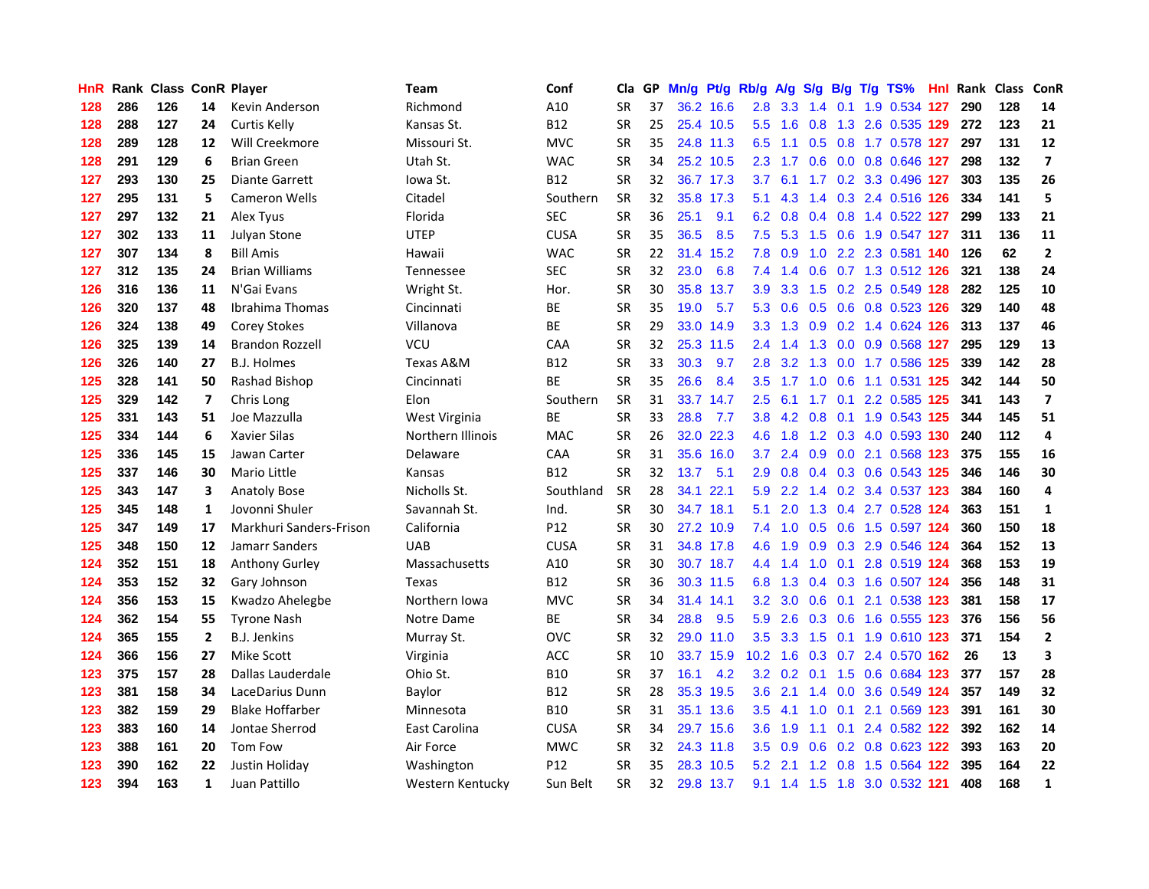| HnR |     | <b>Rank Class ConR Player</b> |              |                         | Team              | Conf            | Cla       |    | GP Mn/g | Pt/g Rb/g |                   | <b>A/g</b>                |     |                 | S/g B/g T/g TS%               | Hnl  | Rank Class |     | ConR                    |
|-----|-----|-------------------------------|--------------|-------------------------|-------------------|-----------------|-----------|----|---------|-----------|-------------------|---------------------------|-----|-----------------|-------------------------------|------|------------|-----|-------------------------|
| 128 | 286 | 126                           | 14           | Kevin Anderson          | Richmond          | A10             | <b>SR</b> | 37 |         | 36.2 16.6 | 2.8               | 3.3                       | 1.4 | 0.1             | 1.9 0.534                     | -127 | 290        | 128 | 14                      |
| 128 | 288 | 127                           | 24           | Curtis Kelly            | Kansas St.        | <b>B12</b>      | <b>SR</b> | 25 |         | 25.4 10.5 | $5.5^{\circ}$     | 1.6                       | 0.8 | 1.3             | 2.6 0.535 129                 |      | 272        | 123 | 21                      |
| 128 | 289 | 128                           | 12           | Will Creekmore          | Missouri St.      | <b>MVC</b>      | <b>SR</b> | 35 |         | 24.8 11.3 | 6.5               | 1.1                       | 0.5 | 0.8             | 1.7 0.578 127                 |      | 297        | 131 | 12                      |
| 128 | 291 | 129                           | 6            | <b>Brian Green</b>      | Utah St.          | <b>WAC</b>      | <b>SR</b> | 34 |         | 25.2 10.5 | 2.3               | 1.7                       |     |                 | 0.6 0.0 0.8 0.646 127         |      | 298        | 132 | $\overline{\mathbf{z}}$ |
| 127 | 293 | 130                           | 25           | <b>Diante Garrett</b>   | lowa St.          | <b>B12</b>      | <b>SR</b> | 32 |         | 36.7 17.3 | 3.7               | 6.1                       |     |                 | 1.7 0.2 3.3 0.496 127         |      | 303        | 135 | 26                      |
| 127 | 295 | 131                           | 5            | <b>Cameron Wells</b>    | Citadel           | Southern        | <b>SR</b> | 32 |         | 35.8 17.3 | 5.1               | 4.3                       |     |                 | 1.4 0.3 2.4 0.516 126         |      | 334        | 141 | 5                       |
| 127 | 297 | 132                           | 21           | Alex Tyus               | Florida           | <b>SEC</b>      | <b>SR</b> | 36 | 25.1    | 9.1       | 6.2               | 0.8                       |     |                 | 0.4 0.8 1.4 0.522 127         |      | 299        | 133 | 21                      |
| 127 | 302 | 133                           | 11           | <b>Julyan Stone</b>     | <b>UTEP</b>       | <b>CUSA</b>     | <b>SR</b> | 35 | 36.5    | 8.5       | 7.5               | 5.3                       |     |                 | 1.5 0.6 1.9 0.547 127         |      | 311        | 136 | 11                      |
| 127 | 307 | 134                           | 8            | <b>Bill Amis</b>        | Hawaii            | <b>WAC</b>      | <b>SR</b> | 22 |         | 31.4 15.2 | 7.8               | 0.9                       | 1.0 |                 | 2.2 2.3 0.581 140             |      | 126        | 62  | $\mathbf{2}$            |
| 127 | 312 | 135                           | 24           | <b>Brian Williams</b>   | Tennessee         | <b>SEC</b>      | <b>SR</b> | 32 | 23.0    | 6.8       | 7.4               | 1.4                       | 0.6 |                 | 0.7 1.3 0.512 126             |      | 321        | 138 | 24                      |
| 126 | 316 | 136                           | 11           | N'Gai Evans             | Wright St.        | Hor.            | <b>SR</b> | 30 |         | 35.8 13.7 | 3.9               | 3.3                       | 1.5 |                 | 0.2 2.5 0.549 128             |      | 282        | 125 | 10                      |
| 126 | 320 | 137                           | 48           | Ibrahima Thomas         | Cincinnati        | BE              | <b>SR</b> | 35 | 19.0    | 5.7       | 5.3               | 0.6                       |     |                 | 0.5 0.6 0.8 0.523 126         |      | 329        | 140 | 48                      |
| 126 | 324 | 138                           | 49           | Corey Stokes            | Villanova         | BE              | <b>SR</b> | 29 |         | 33.0 14.9 | 3.3 <sub>2</sub>  | 1.3                       | 0.9 |                 | 0.2 1.4 0.624                 | 126  | 313        | 137 | 46                      |
| 126 | 325 | 139                           | 14           | <b>Brandon Rozzell</b>  | VCU               | CAA             | <b>SR</b> | 32 |         | 25.3 11.5 | 2.4               | 1.4                       | 1.3 |                 | 0.0 0.9 0.568 127             |      | 295        | 129 | 13                      |
| 126 | 326 | 140                           | 27           | <b>B.J. Holmes</b>      | Texas A&M         | <b>B12</b>      | <b>SR</b> | 33 | 30.3    | 9.7       | 2.8               | 3.2                       | 1.3 | 0.0             | 1.7 0.586 125                 |      | 339        | 142 | 28                      |
| 125 | 328 | 141                           | 50           | Rashad Bishop           | Cincinnati        | <b>BE</b>       | <b>SR</b> | 35 | 26.6    | 8.4       | $3.5^{\circ}$     | 1.7                       | 1.0 | 0.6             | 1.1 0.531 125                 |      | 342        | 144 | 50                      |
| 125 | 329 | 142                           | 7            | Chris Long              | Elon              | Southern        | <b>SR</b> | 31 |         | 33.7 14.7 | 2.5               | 6.1                       |     | $1.7 \quad 0.1$ | 2.2 0.585 125                 |      | 341        | 143 | $\overline{\mathbf{z}}$ |
| 125 | 331 | 143                           | 51           | Joe Mazzulla            | West Virginia     | ВE              | SR        | 33 | 28.8    | 7.7       | 3.8               |                           |     |                 | 4.2 0.8 0.1 1.9 0.543 125     |      | 344        | 145 | 51                      |
| 125 | 334 | 144                           | 6            | <b>Xavier Silas</b>     | Northern Illinois | <b>MAC</b>      | <b>SR</b> | 26 |         | 32.0 22.3 | 4.6               | 1.8                       |     |                 | 1.2 0.3 4.0 0.593 130         |      | 240        | 112 | 4                       |
| 125 | 336 | 145                           | 15           | Jawan Carter            | Delaware          | <b>CAA</b>      | <b>SR</b> | 31 |         | 35.6 16.0 | 3.7               | 2.4                       |     |                 | 0.9 0.0 2.1 0.568 123         |      | 375        | 155 | 16                      |
| 125 | 337 | 146                           | 30           | <b>Mario Little</b>     | Kansas            | <b>B12</b>      | <b>SR</b> | 32 | 13.7    | 5.1       | 2.9               | 0.8                       |     |                 | 0.4 0.3 0.6 0.543 125         |      | 346        | 146 | 30                      |
| 125 | 343 | 147                           | 3            | <b>Anatoly Bose</b>     | Nicholls St.      | Southland       | SR        | 28 |         | 34.1 22.1 | 5.9               | 2.2                       |     |                 | 1.4 0.2 3.4 0.537 123         |      | 384        | 160 | $\overline{\mathbf{4}}$ |
| 125 | 345 | 148                           | $\mathbf{1}$ | Jovonni Shuler          | Savannah St.      | Ind.            | <b>SR</b> | 30 |         | 34.7 18.1 | 5.1               | 2.0                       | 1.3 |                 | 0.4 2.7 0.528 124             |      | 363        | 151 | $\mathbf{1}$            |
| 125 | 347 | 149                           | 17           | Markhuri Sanders-Frison | California        | P12             | <b>SR</b> | 30 |         | 27.2 10.9 | 7.4               | 1.0                       |     |                 | 0.5 0.6 1.5 0.597 124         |      | 360        | 150 | 18                      |
| 125 | 348 | 150                           | 12           | Jamarr Sanders          | <b>UAB</b>        | <b>CUSA</b>     | <b>SR</b> | 31 |         | 34.8 17.8 | 4.6               | 1.9                       |     |                 | 0.9 0.3 2.9 0.546 124         |      | 364        | 152 | 13                      |
| 124 | 352 | 151                           | 18           | <b>Anthony Gurley</b>   | Massachusetts     | A10             | <b>SR</b> | 30 |         | 30.7 18.7 | 4.4               | 1.4                       | 1.0 | 0.1             | 2.8 0.519 124                 |      | 368        | 153 | 19                      |
| 124 | 353 | 152                           | 32           | Gary Johnson            | Texas             | <b>B12</b>      | <b>SR</b> | 36 |         | 30.3 11.5 | 6.8               | 1.3                       |     |                 | 0.4 0.3 1.6 0.507 124         |      | 356        | 148 | 31                      |
| 124 | 356 | 153                           | 15           | Kwadzo Ahelegbe         | Northern Iowa     | <b>MVC</b>      | <b>SR</b> | 34 |         | 31.4 14.1 | 3.2 <sub>2</sub>  | 3.0                       | 0.6 | 0.1             | 2.1 0.538 123                 |      | 381        | 158 | 17                      |
| 124 | 362 | 154                           | 55           | <b>Tyrone Nash</b>      | Notre Dame        | BE              | <b>SR</b> | 34 | 28.8    | 9.5       | 5.9               | 2.6                       | 0.3 | 0.6             | 1.6 0.555 123                 |      | 376        | 156 | 56                      |
| 124 | 365 | 155                           | $\mathbf{2}$ | <b>B.J. Jenkins</b>     | Murray St.        | <b>OVC</b>      | <b>SR</b> | 32 |         | 29.0 11.0 | 3.5               | 3.3                       | 1.5 | 0.1             | 1.9 0.610 123                 |      | 371        | 154 | $\mathbf{2}$            |
| 124 | 366 | 156                           | 27           | Mike Scott              | Virginia          | <b>ACC</b>      | <b>SR</b> | 10 |         | 33.7 15.9 | 10.2 <sub>1</sub> | 1.6                       |     |                 | 0.3 0.7 2.4 0.570 162         |      | 26         | 13  | 3                       |
| 123 | 375 | 157                           | 28           | Dallas Lauderdale       | Ohio St.          | <b>B10</b>      | <b>SR</b> | 37 | 16.1    | 4.2       |                   | $3.2 \quad 0.2 \quad 0.1$ |     |                 | 1.5 0.6 0.684 123             |      | 377        | 157 | 28                      |
| 123 | 381 | 158                           | 34           | LaceDarius Dunn         | Baylor            | <b>B12</b>      | <b>SR</b> | 28 |         | 35.3 19.5 | 3.6 <sup>2</sup>  | 2.1                       |     |                 | 1.4 0.0 3.6 0.549 124         |      | 357        | 149 | 32                      |
| 123 | 382 | 159                           | 29           | <b>Blake Hoffarber</b>  | Minnesota         | <b>B10</b>      | <b>SR</b> | 31 |         | 35.1 13.6 | $3.5^{\circ}$     | 4.1                       | 1.0 | 0.1             | 2.1 0.569 123                 |      | 391        | 161 | 30                      |
| 123 | 383 | 160                           | 14           | Jontae Sherrod          | East Carolina     | <b>CUSA</b>     | <b>SR</b> | 34 |         | 29.7 15.6 | 3.6 <sub>1</sub>  | 1.9                       | 1.1 |                 | 0.1 2.4 0.582 122             |      | 392        | 162 | 14                      |
| 123 | 388 | 161                           | 20           | Tom Fow                 | Air Force         | <b>MWC</b>      | <b>SR</b> | 32 |         | 24.3 11.8 | 3.5               | 0.9                       | 0.6 | 0.2             | 0.8 0.623 122                 |      | 393        | 163 | 20                      |
| 123 | 390 | 162                           | 22           | Justin Holiday          | Washington        | P <sub>12</sub> | <b>SR</b> | 35 |         | 28.3 10.5 | 5.2               | 2.1                       | 1.2 | 0.8             | 1.5 0.564 122                 |      | 395        | 164 | 22                      |
| 123 | 394 | 163                           | 1            | Juan Pattillo           | Western Kentucky  | Sun Belt        | SR        | 32 |         | 29.8 13.7 |                   |                           |     |                 | 9.1 1.4 1.5 1.8 3.0 0.532 121 |      | 408        | 168 | 1                       |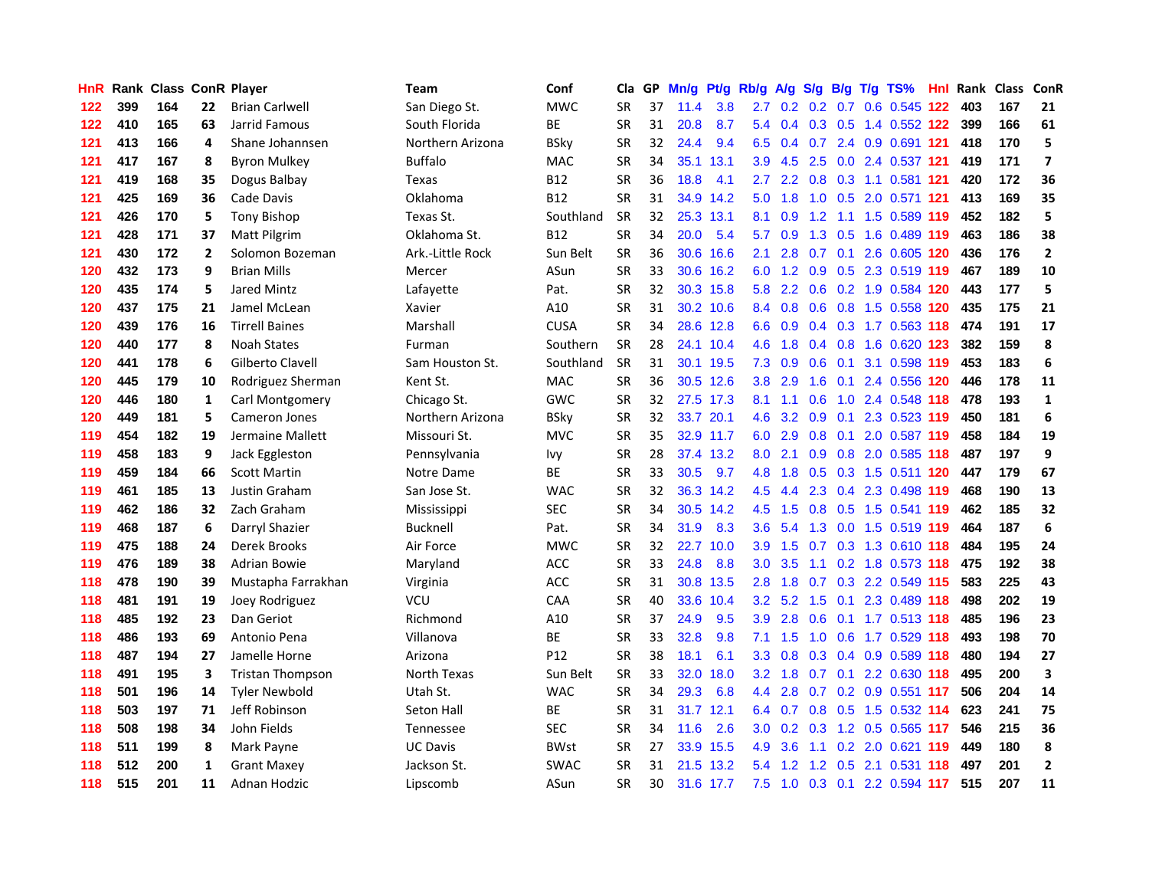| HnR I |     | Rank Class ConR Player |              |                         | Team             | Conf        | Cla       | GP. | Mn/g Pt/g Rb/g A/g |           |                  |                      |           |                 | S/g B/g T/g TS%               | Hnl  |     | Rank Class | <b>ConR</b>             |
|-------|-----|------------------------|--------------|-------------------------|------------------|-------------|-----------|-----|--------------------|-----------|------------------|----------------------|-----------|-----------------|-------------------------------|------|-----|------------|-------------------------|
| 122   | 399 | 164                    | 22           | <b>Brian Carlwell</b>   | San Diego St.    | <b>MWC</b>  | SR        | 37  | 11.4               | 3.8       | 2.7              | 0.2                  | 0.2       | 0.7             | 0.6 0.545                     | 122  | 403 | 167        | 21                      |
| 122   | 410 | 165                    | 63           | Jarrid Famous           | South Florida    | BE          | <b>SR</b> | 31  | 20.8               | 8.7       | 5.4              | 0.4                  | 0.3       | 0.5             | 1.4 0.552 122                 |      | 399 | 166        | 61                      |
| 121   | 413 | 166                    | 4            | Shane Johannsen         | Northern Arizona | <b>BSky</b> | <b>SR</b> | 32  | 24.4               | 9.4       | 6.5              | 0.4                  | 0.7       | 2.4             | 0.9 0.691 121                 |      | 418 | 170        | 5                       |
| 121   | 417 | 167                    | 8            | <b>Byron Mulkey</b>     | <b>Buffalo</b>   | <b>MAC</b>  | <b>SR</b> | 34  |                    | 35.1 13.1 | 3.9 <sup>°</sup> |                      | $4.5$ 2.5 |                 | 0.0 2.4 0.537 121             |      | 419 | 171        | $\overline{\mathbf{z}}$ |
| 121   | 419 | 168                    | 35           | Dogus Balbay            | Texas            | <b>B12</b>  | <b>SR</b> | 36  | 18.8               | 4.1       | 2.7              |                      |           |                 | 2.2 0.8 0.3 1.1 0.581 121     |      | 420 | 172        | 36                      |
| 121   | 425 | 169                    | 36           | Cade Davis              | Oklahoma         | <b>B12</b>  | <b>SR</b> | 31  |                    | 34.9 14.2 | 5.0              | 1.8                  |           |                 | 1.0 0.5 2.0 0.571 121         |      | 413 | 169        | 35                      |
| 121   | 426 | 170                    | 5            | <b>Tony Bishop</b>      | Texas St.        | Southland   | <b>SR</b> | 32  |                    | 25.3 13.1 | 8.1              | 0.9                  | 1.2       |                 | 1.1 1.5 0.589 119             |      | 452 | 182        | 5                       |
| 121   | 428 | 171                    | 37           | <b>Matt Pilgrim</b>     | Oklahoma St.     | <b>B12</b>  | <b>SR</b> | 34  | 20.0               | 5.4       | 5.7              | 0.9                  |           |                 | 1.3 0.5 1.6 0.489 119         |      | 463 | 186        | 38                      |
| 121   | 430 | 172                    | $\mathbf{2}$ | Solomon Bozeman         | Ark.-Little Rock | Sun Belt    | <b>SR</b> | 36  |                    | 30.6 16.6 | 2.1              | 2.8                  |           | $0.7 \quad 0.1$ | 2.6 0.605 120                 |      | 436 | 176        | $\overline{2}$          |
| 120   | 432 | 173                    | 9            | <b>Brian Mills</b>      | Mercer           | ASun        | <b>SR</b> | 33  |                    | 30.6 16.2 | 6.0              | 1.2                  | 0.9       |                 | 0.5 2.3 0.519 119             |      | 467 | 189        | 10                      |
| 120   | 435 | 174                    | 5            | Jared Mintz             | Lafayette        | Pat.        | <b>SR</b> | 32  |                    | 30.3 15.8 | 5.8              | 2.2                  |           |                 | 0.6 0.2 1.9 0.584 120         |      | 443 | 177        | 5                       |
| 120   | 437 | 175                    | 21           | Jamel McLean            | Xavier           | A10         | <b>SR</b> | 31  |                    | 30.2 10.6 |                  | 8.4 0.8              |           |                 | 0.6 0.8 1.5 0.558 120         |      | 435 | 175        | 21                      |
| 120   | 439 | 176                    | 16           | <b>Tirrell Baines</b>   | Marshall         | <b>CUSA</b> | <b>SR</b> | 34  |                    | 28.6 12.8 | 6.6              | 0.9                  | 0.4       | 0.3             | 1.7 0.563 118                 |      | 474 | 191        | 17                      |
| 120   | 440 | 177                    | 8            | <b>Noah States</b>      | Furman           | Southern    | <b>SR</b> | 28  |                    | 24.1 10.4 | 4.6              | 1.8                  |           | $0.4 \quad 0.8$ | 1.6 0.620 123                 |      | 382 | 159        | 8                       |
| 120   | 441 | 178                    | 6            | Gilberto Clavell        | Sam Houston St.  | Southland   | <b>SR</b> | 31  |                    | 30.1 19.5 | 7.3              | 0.9                  | 0.6       | 0.1             | 3.1 0.598 119                 |      | 453 | 183        | 6                       |
| 120   | 445 | 179                    | 10           | Rodriguez Sherman       | Kent St.         | <b>MAC</b>  | <b>SR</b> | 36  |                    | 30.5 12.6 | 3.8 <sub>2</sub> | 2.9                  | 1.6       | 0.1             | 2.4 0.556 120                 |      | 446 | 178        | 11                      |
| 120   | 446 | 180                    | $\mathbf{1}$ | Carl Montgomery         | Chicago St.      | <b>GWC</b>  | <b>SR</b> | 32  |                    | 27.5 17.3 | 8.1              | 1.1                  | 0.6       |                 | 1.0 2.4 0.548 118             |      | 478 | 193        | $\mathbf{1}$            |
| 120   | 449 | 181                    | 5            | Cameron Jones           | Northern Arizona | <b>BSky</b> | <b>SR</b> | 32  |                    | 33.7 20.1 | 4.6              |                      |           |                 | 3.2 0.9 0.1 2.3 0.523 119     |      | 450 | 181        | 6                       |
| 119   | 454 | 182                    | 19           | Jermaine Mallett        | Missouri St.     | <b>MVC</b>  | <b>SR</b> | 35  |                    | 32.9 11.7 |                  | $6.0$ 2.9            |           |                 | 0.8 0.1 2.0 0.587 119         |      | 458 | 184        | 19                      |
| 119   | 458 | 183                    | 9            | Jack Eggleston          | Pennsylvania     | <b>Ivy</b>  | <b>SR</b> | 28  |                    | 37.4 13.2 | 8.0              | 2.1                  |           |                 | 0.9 0.8 2.0 0.585 118         |      | 487 | 197        | 9                       |
| 119   | 459 | 184                    | 66           | <b>Scott Martin</b>     | Notre Dame       | ВE          | <b>SR</b> | 33  | 30.5               | 9.7       | 4.8              | 1.8                  |           |                 | 0.5 0.3 1.5 0.511 120         |      | 447 | 179        | 67                      |
| 119   | 461 | 185                    | 13           | Justin Graham           | San Jose St.     | <b>WAC</b>  | <b>SR</b> | 32  |                    | 36.3 14.2 | 4.5              | 4.4                  | 2.3       |                 | 0.4 2.3 0.498 119             |      | 468 | 190        | 13                      |
| 119   | 462 | 186                    | 32           | Zach Graham             | Mississippi      | <b>SEC</b>  | <b>SR</b> | 34  | 30.5               | 14.2      | 4.5              | 1.5                  | 0.8       |                 | 0.5 1.5 0.541 119             |      | 462 | 185        | 32                      |
| 119   | 468 | 187                    | 6            | Darryl Shazier          | Bucknell         | Pat.        | <b>SR</b> | 34  | 31.9               | 8.3       | 3.6 <sup>°</sup> | 5.4                  | 1.3       |                 | 0.0 1.5 0.519 119             |      | 464 | 187        | 6                       |
| 119   | 475 | 188                    | 24           | Derek Brooks            | Air Force        | <b>MWC</b>  | <b>SR</b> | 32  |                    | 22.7 10.0 | 3.9              | 1.5                  | 0.7       |                 | 0.3 1.3 0.610 118             |      | 484 | 195        | 24                      |
| 119   | 476 | 189                    | 38           | <b>Adrian Bowie</b>     | Maryland         | <b>ACC</b>  | <b>SR</b> | 33  | 24.8               | 8.8       | 3.0 <sub>2</sub> | 3.5                  | 1.1       |                 | 0.2 1.8 0.573 118             |      | 475 | 192        | 38                      |
| 118   | 478 | 190                    | 39           | Mustapha Farrakhan      | Virginia         | <b>ACC</b>  | SR        | 31  |                    | 30.8 13.5 | 2.8              | 1.8                  | 0.7       | 0.3             | 2.2 0.549 115                 |      | 583 | 225        | 43                      |
| 118   | 481 | 191                    | 19           | Joey Rodriguez          | VCU              | <b>CAA</b>  | <b>SR</b> | 40  |                    | 33.6 10.4 | 3.2 <sub>2</sub> | 5.2                  | 1.5       | 0.1             | 2.3 0.489 118                 |      | 498 | 202        | 19                      |
| 118   | 485 | 192                    | 23           | Dan Geriot              | Richmond         | A10         | <b>SR</b> | 37  | 24.9               | 9.5       | 3.9              | 2.8                  | 0.6       | 0.1             | 1.7 0.513 118                 |      | 485 | 196        | 23                      |
| 118   | 486 | 193                    | 69           | Antonio Pena            | Villanova        | ВE          | <b>SR</b> | 33  | 32.8               | 9.8       | 7.1              | 1.5                  |           |                 | 1.0 0.6 1.7 0.529 118         |      | 493 | 198        | 70                      |
| 118   | 487 | 194                    | 27           | Jamelle Horne           | Arizona          | P12         | <b>SR</b> | 38  | 18.1               | 6.1       |                  |                      |           |                 | 3.3 0.8 0.3 0.4 0.9 0.589 118 |      | 480 | 194        | 27                      |
| 118   | 491 | 195                    | 3            | <b>Tristan Thompson</b> | North Texas      | Sun Belt    | <b>SR</b> | 33  | 32.0               | 18.0      | 3.2              | 1.8                  |           |                 | 0.7 0.1 2.2 0.630 118         |      | 495 | 200        | 3                       |
| 118   | 501 | 196                    | 14           | <b>Tyler Newbold</b>    | Utah St.         | <b>WAC</b>  | <b>SR</b> | 34  | 29.3               | 6.8       | 4.4              | 2.8                  |           |                 | 0.7 0.2 0.9 0.551 117         |      | 506 | 204        | 14                      |
| 118   | 503 | 197                    | 71           | Jeff Robinson           | Seton Hall       | ВE          | <b>SR</b> | 31  |                    | 31.7 12.1 |                  | 6.4 0.7              |           |                 | 0.8 0.5 1.5 0.532 114         |      | 623 | 241        | 75                      |
| 118   | 508 | 198                    | 34           | John Fields             | <b>Tennessee</b> | <b>SEC</b>  | <b>SR</b> | 34  | 11.6               | 2.6       | 3.0 <sub>2</sub> | 0.2                  | 0.3       |                 | 1.2 0.5 0.565 117             |      | 546 | 215        | 36                      |
| 118   | 511 | 199                    | 8            | Mark Payne              | <b>UC Davis</b>  | <b>BWst</b> | <b>SR</b> | 27  |                    | 33.9 15.5 | 4.9              | 3.6                  | 1.1       |                 | $0.2$ 2.0 $0.621$             | -119 | 449 | 180        | 8                       |
| 118   | 512 | 200                    | $\mathbf{1}$ | <b>Grant Maxey</b>      | Jackson St.      | <b>SWAC</b> | <b>SR</b> | 31  | 21.5               | 13.2      | 5.4              | $\overline{2}$<br>-1 | 1.2       | 0.5             | 2.1 0.531                     | 118  | 497 | 201        | $\mathbf{2}$            |
| 118   | 515 | 201                    | 11           | Adnan Hodzic            | Lipscomb         | ASun        | <b>SR</b> | 30  |                    | 31.6 17.7 |                  |                      |           |                 | 7.5 1.0 0.3 0.1 2.2 0.594 117 |      | 515 | 207        | 11                      |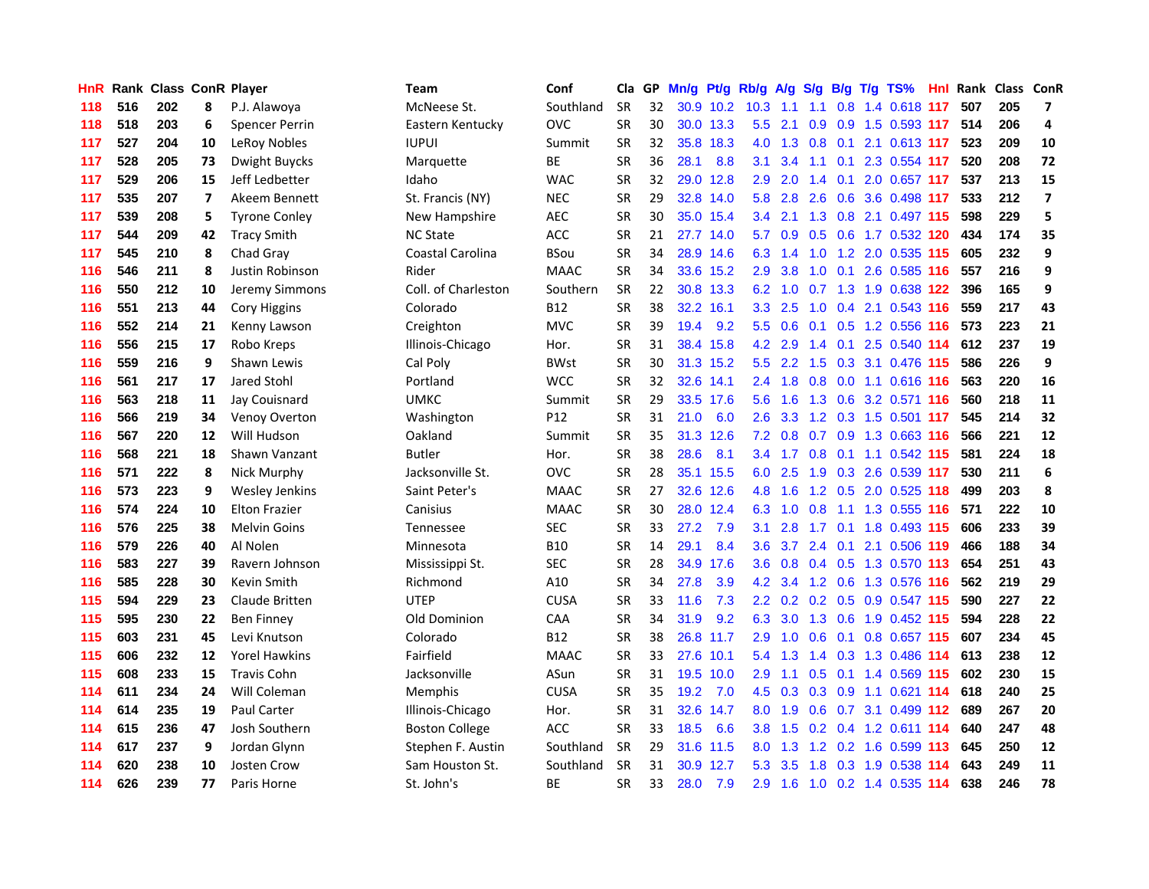| HnR I |     | Rank Class ConR Player |    |                       | Team                  | Conf            | Cla       | GP. | Mn/g Pt/g |           | Rb/g A/g         |                 |               |                 | S/g B/g T/g TS%               | Hnl |     | Rank Class ConR |                         |
|-------|-----|------------------------|----|-----------------------|-----------------------|-----------------|-----------|-----|-----------|-----------|------------------|-----------------|---------------|-----------------|-------------------------------|-----|-----|-----------------|-------------------------|
| 118   | 516 | 202                    | 8  | P.J. Alawoya          | McNeese St.           | Southland       | <b>SR</b> | 32  |           | 30.9 10.2 | 10.3             | 1.1             | 1.1           | 0.8             | 1.4 0.618 117                 |     | 507 | 205             | $\overline{7}$          |
| 118   | 518 | 203                    | 6  | <b>Spencer Perrin</b> | Eastern Kentucky      | <b>OVC</b>      | <b>SR</b> | 30  |           | 30.0 13.3 | 5.5              | 2.1             | 0.9           | 0.9             | 1.5 0.593 117                 |     | 514 | 206             | 4                       |
| 117   | 527 | 204                    | 10 | LeRoy Nobles          | <b>IUPUI</b>          | Summit          | <b>SR</b> | 32  |           | 35.8 18.3 | 4.0              | 1.3             | 0.8           | 0.1             | 2.1 0.613 117                 |     | 523 | 209             | 10                      |
| 117   | 528 | 205                    | 73 | Dwight Buycks         | Marquette             | ВE              | <b>SR</b> | 36  | 28.1      | 8.8       | 3.1              | 3.4             | 1.1           | 0.1             | 2.3 0.554 117                 |     | 520 | 208             | 72                      |
| 117   | 529 | 206                    | 15 | Jeff Ledbetter        | Idaho                 | <b>WAC</b>      | <b>SR</b> | 32  |           | 29.0 12.8 | 2.9              | 2.0             |               | $1.4 \quad 0.1$ | 2.0 0.657 117                 |     | 537 | 213             | 15                      |
| 117   | 535 | 207                    | 7  | Akeem Bennett         | St. Francis (NY)      | <b>NEC</b>      | <b>SR</b> | 29  |           | 32.8 14.0 |                  |                 | 5.8 2.8 2.6   |                 | 0.6 3.6 0.498 117             |     | 533 | 212             | $\overline{\mathbf{z}}$ |
| 117   | 539 | 208                    | 5  | <b>Tyrone Conley</b>  | New Hampshire         | <b>AEC</b>      | <b>SR</b> | 30  |           | 35.0 15.4 | $3.4^{\circ}$    | 2.1             |               |                 | 1.3 0.8 2.1 0.497 115         |     | 598 | 229             | 5                       |
| 117   | 544 | 209                    | 42 | <b>Tracy Smith</b>    | <b>NC State</b>       | ACC             | <b>SR</b> | 21  |           | 27.7 14.0 | 5.7              | 0.9             |               |                 | 0.5 0.6 1.7 0.532 120         |     | 434 | 174             | 35                      |
| 117   | 545 | 210                    | 8  | Chad Gray             | Coastal Carolina      | <b>BSou</b>     | SR        | 34  |           | 28.9 14.6 | 6.3              | 1.4             | 1.0           |                 | 1.2 2.0 0.535 115             |     | 605 | 232             | 9                       |
| 116   | 546 | 211                    | 8  | Justin Robinson       | Rider                 | <b>MAAC</b>     | <b>SR</b> | 34  |           | 33.6 15.2 | 2.9              | 3.8             | 1.0           | 0.1             | 2.6 0.585 116                 |     | 557 | 216             | 9                       |
| 116   | 550 | 212                    | 10 | Jeremy Simmons        | Coll. of Charleston   | Southern        | <b>SR</b> | 22  |           | 30.8 13.3 | 6.2              | 1.0             | 0.7           |                 | 1.3 1.9 0.638 122             |     | 396 | 165             | 9                       |
| 116   | 551 | 213                    | 44 | Cory Higgins          | Colorado              | <b>B12</b>      | <b>SR</b> | 38  |           | 32.2 16.1 | 3.3              | 2.5             | 1.0           | 0.4             | 2.1 0.543 116                 |     | 559 | 217             | 43                      |
| 116   | 552 | 214                    | 21 | Kenny Lawson          | Creighton             | <b>MVC</b>      | <b>SR</b> | 39  | 19.4      | 9.2       | 5.5              | 0.6             | 0.1           | 0.5             | 1.2 0.556 116                 |     | 573 | 223             | 21                      |
| 116   | 556 | 215                    | 17 | Robo Kreps            | Illinois-Chicago      | Hor.            | <b>SR</b> | 31  |           | 38.4 15.8 | 4.2              | 2.9             | $1.4^{\circ}$ | 0.1             | 2.5 0.540 114                 |     | 612 | 237             | 19                      |
| 116   | 559 | 216                    | 9  | Shawn Lewis           | Cal Poly              | <b>BWst</b>     | <b>SR</b> | 30  |           | 31.3 15.2 | 5.5 <sub>1</sub> | 2.2             | 1.5           | 0.3             | 3.1 0.476 115                 |     | 586 | 226             | 9                       |
| 116   | 561 | 217                    | 17 | Jared Stohl           | Portland              | <b>WCC</b>      | <b>SR</b> | 32  |           | 32.6 14.1 | 2.4              | 1.8             | 0.8           | 0.0             | 1.1 0.616 116                 |     | 563 | 220             | 16                      |
| 116   | 563 | 218                    | 11 | Jay Couisnard         | <b>UMKC</b>           | Summit          | <b>SR</b> | 29  |           | 33.5 17.6 | 5.6              | 1.6             |               | $1.3 \quad 0.6$ | 3.2 0.571 116                 |     | 560 | 218             | 11                      |
| 116   | 566 | 219                    | 34 | Venoy Overton         | Washington            | P <sub>12</sub> | <b>SR</b> | 31  | 21.0      | 6.0       | 2.6              | 3.3             |               |                 | 1.2 0.3 1.5 0.501 117         |     | 545 | 214             | 32                      |
| 116   | 567 | 220                    | 12 | Will Hudson           | Oakland               | Summit          | <b>SR</b> | 35  |           | 31.3 12.6 |                  |                 |               |                 | 7.2 0.8 0.7 0.9 1.3 0.663 116 |     | 566 | 221             | 12                      |
| 116   | 568 | 221                    | 18 | Shawn Vanzant         | <b>Butler</b>         | Hor.            | <b>SR</b> | 38  | 28.6      | 8.1       |                  |                 |               |                 | 3.4 1.7 0.8 0.1 1.1 0.542 115 |     | 581 | 224             | 18                      |
| 116   | 571 | 222                    | 8  | Nick Murphy           | Jacksonville St.      | <b>OVC</b>      | <b>SR</b> | 28  |           | 35.1 15.5 | 6.0              | 2.5             |               |                 | 1.9 0.3 2.6 0.539 117         |     | 530 | 211             | 6                       |
| 116   | 573 | 223                    | 9  | <b>Wesley Jenkins</b> | Saint Peter's         | <b>MAAC</b>     | <b>SR</b> | 27  |           | 32.6 12.6 | 4.8              | 1.6             |               |                 | 1.2 0.5 2.0 0.525 118         |     | 499 | 203             | 8                       |
| 116   | 574 | 224                    | 10 | <b>Elton Frazier</b>  | Canisius              | <b>MAAC</b>     | <b>SR</b> | 30  | 28.0      | 12.4      | 6.3              | 1.0             | 0.8           | 1.1             | 1.3 0.555 116                 |     | 571 | 222             | 10                      |
| 116   | 576 | 225                    | 38 | <b>Melvin Goins</b>   | Tennessee             | <b>SEC</b>      | <b>SR</b> | 33  | 27.2      | 7.9       | 3.1              | 2.8             | 1.7           | 0.1             | 1.8 0.493 115                 |     | 606 | 233             | 39                      |
| 116   | 579 | 226                    | 40 | Al Nolen              | Minnesota             | <b>B10</b>      | SR        | 14  | 29.1      | 8.4       | $3.6\,$          | 3.7             |               | 2.4 0.1         | 2.1 0.506 119                 |     | 466 | 188             | 34                      |
| 116   | 583 | 227                    | 39 | Ravern Johnson        | Mississippi St.       | <b>SEC</b>      | <b>SR</b> | 28  |           | 34.9 17.6 | 3.6 <sup>°</sup> | 0.8             |               | $0.4\quad 0.5$  | 1.3 0.570 113                 |     | 654 | 251             | 43                      |
| 116   | 585 | 228                    | 30 | Kevin Smith           | Richmond              | A10             | <b>SR</b> | 34  | 27.8      | 3.9       | 4.2              | 3.4             |               | $1.2 \quad 0.6$ | 1.3 0.576 116                 |     | 562 | 219             | 29                      |
| 115   | 594 | 229                    | 23 | Claude Britten        | <b>UTEP</b>           | <b>CUSA</b>     | <b>SR</b> | 33  | 11.6      | 7.3       | $2.2^{\circ}$    | 0.2             |               | $0.2 \quad 0.5$ | 0.9 0.547 115                 |     | 590 | 227             | 22                      |
| 115   | 595 | 230                    | 22 | <b>Ben Finney</b>     | Old Dominion          | CAA             | <b>SR</b> | 34  | 31.9      | 9.2       | 6.3              | 3.0             | 1.3           | 0.6             | 1.9 0.452 115                 |     | 594 | 228             | 22                      |
| 115   | 603 | 231                    | 45 | Levi Knutson          | Colorado              | <b>B12</b>      | <b>SR</b> | 38  |           | 26.8 11.7 | 2.9              | 1.0             | 0.6           | 0.1             | 0.8 0.657 115                 |     | 607 | 234             | 45                      |
| 115   | 606 | 232                    | 12 | <b>Yorel Hawkins</b>  | Fairfield             | <b>MAAC</b>     | <b>SR</b> | 33  |           | 27.6 10.1 |                  | 5.4 1.3         |               |                 | 1.4 0.3 1.3 0.486 114         |     | 613 | 238             | 12                      |
| 115   | 608 | 233                    | 15 | <b>Travis Cohn</b>    | Jacksonville          | ASun            | <b>SR</b> | 31  |           | 19.5 10.0 | 2.9              | 1.1             |               |                 | 0.5 0.1 1.4 0.569 115         |     | 602 | 230             | 15                      |
| 114   | 611 | 234                    | 24 | Will Coleman          | Memphis               | <b>CUSA</b>     | <b>SR</b> | 35  | 19.2      | 7.0       |                  | $4.5 \quad 0.3$ |               |                 | 0.3 0.9 1.1 0.621 114         |     | 618 | 240             | 25                      |
| 114   | 614 | 235                    | 19 | <b>Paul Carter</b>    | Illinois-Chicago      | Hor.            | <b>SR</b> | 31  |           | 32.6 14.7 | 8.0              | 1.9             | 0.6           |                 | 0.7 3.1 0.499 112             |     | 689 | 267             | 20                      |
| 114   | 615 | 236                    | 47 | Josh Southern         | <b>Boston College</b> | <b>ACC</b>      | <b>SR</b> | 33  | 18.5      | 6.6       | 3.8 <sub>2</sub> | 1.5             |               |                 | 0.2 0.4 1.2 0.611 114         |     | 640 | 247             | 48                      |
| 114   | 617 | 237                    | 9  | Jordan Glynn          | Stephen F. Austin     | Southland       | <b>SR</b> | 29  | 31.6      | 11.5      | 8.0              | 1.3             | 1.2           |                 | 0.2 1.6 0.599 113             |     | 645 | 250             | 12                      |
| 114   | 620 | 238                    | 10 | <b>Josten Crow</b>    | Sam Houston St.       | Southland       | <b>SR</b> | 31  | 30.9      | 12.7      | 5.3              | 3.5             | 1.8           | 0.3             | 1.9 0.538                     | 114 | 643 | 249             | 11                      |
| 114   | 626 | 239                    | 77 | Paris Horne           | St. John's            | ВE              | <b>SR</b> | 33  | 28.0      | 7.9       | 2.9              | 1.6             |               |                 | 1.0 0.2 1.4 0.535 114         |     | 638 | 246             | 78                      |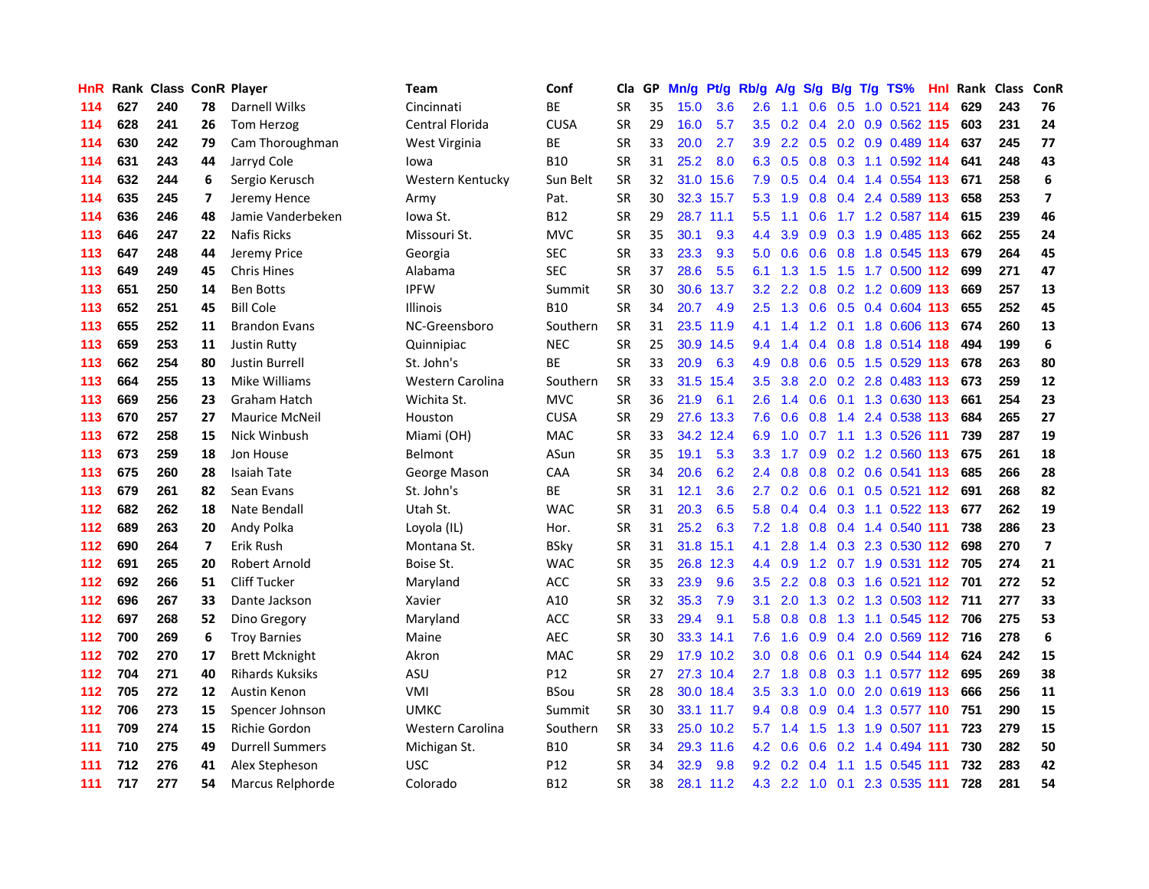| <b>HnR</b> |     |     |    | <b>Rank Class ConR Player</b> | Team             | Conf        | Cla       |    | GP Mn/g |           | Pt/g Rb/g A/g    |                 |                 |           | S/g B/g T/g TS%                   | Hnl  |     | Rank Class | ConR                    |
|------------|-----|-----|----|-------------------------------|------------------|-------------|-----------|----|---------|-----------|------------------|-----------------|-----------------|-----------|-----------------------------------|------|-----|------------|-------------------------|
| 114        | 627 | 240 | 78 | Darnell Wilks                 | Cincinnati       | ВE          | SR        | 35 | 15.0    | 3.6       | 2.6              | 1.1             | 0.6             | 0.5       | $1.0$ 0.521                       | -114 | 629 | 243        | 76                      |
| 114        | 628 | 241 | 26 | Tom Herzog                    | Central Florida  | <b>CUSA</b> | <b>SR</b> | 29 | 16.0    | 5.7       | 3.5              | 0.2             | 0.4             | 2.0       | 0.9 0.562 115                     |      | 603 | 231        | 24                      |
| 114        | 630 | 242 | 79 | Cam Thoroughman               | West Virginia    | BE          | <b>SR</b> | 33 | 20.0    | 2.7       | 3.9              |                 | $2.2 \quad 0.5$ | 0.2       | 0.9 0.489 114                     |      | 637 | 245        | 77                      |
| 114        | 631 | 243 | 44 | Jarryd Cole                   | lowa             | <b>B10</b>  | <b>SR</b> | 31 | 25.2    | 8.0       | 6.3              | 0.5             |                 |           | 0.8 0.3 1.1 0.592 114             |      | 641 | 248        | 43                      |
| 114        | 632 | 244 | 6  | Sergio Kerusch                | Western Kentucky | Sun Belt    | <b>SR</b> | 32 |         | 31.0 15.6 | 7.9              |                 |                 |           | 0.5 0.4 0.4 1.4 0.554 113         |      | 671 | 258        | 6                       |
| 114        | 635 | 245 | 7  | Jeremy Hence                  | Army             | Pat.        | <b>SR</b> | 30 |         | 32.3 15.7 |                  | $5.3 \quad 1.9$ |                 |           | 0.8 0.4 2.4 0.589 113             |      | 658 | 253        | $\overline{ }$          |
| 114        | 636 | 246 | 48 | Jamie Vanderbeken             | Iowa St.         | <b>B12</b>  | <b>SR</b> | 29 |         | 28.7 11.1 | $5.5^{\circ}$    | 1.1             | 0.6             |           | 1.7 1.2 0.587 114                 |      | 615 | 239        | 46                      |
| 113        | 646 | 247 | 22 | Nafis Ricks                   | Missouri St.     | <b>MVC</b>  | SR        | 35 | 30.1    | 9.3       | $4.4^{\circ}$    | 3.9             |                 |           | 0.9 0.3 1.9 0.485 113             |      | 662 | 255        | 24                      |
| 113        | 647 | 248 | 44 | Jeremy Price                  | Georgia          | <b>SEC</b>  | SR        | 33 | 23.3    | 9.3       | 5.0              | 0.6             |                 |           | 0.6 0.8 1.8 0.545 113             |      | 679 | 264        | 45                      |
| 113        | 649 | 249 | 45 | <b>Chris Hines</b>            | Alabama          | <b>SEC</b>  | <b>SR</b> | 37 | 28.6    | 5.5       | 6.1              | 1.3             | 1.5             |           | 1.5 1.7 0.500 112                 |      | 699 | 271        | 47                      |
| 113        | 651 | 250 | 14 | <b>Ben Botts</b>              | <b>IPFW</b>      | Summit      | <b>SR</b> | 30 | 30.6    | 13.7      | 3.2              |                 | $2.2 \quad 0.8$ |           | 0.2 1.2 0.609 113                 |      | 669 | 257        | 13                      |
| 113        | 652 | 251 | 45 | <b>Bill Cole</b>              | <b>Illinois</b>  | <b>B10</b>  | <b>SR</b> | 34 | 20.7    | -4.9      | 2.5              |                 |                 |           | 1.3 0.6 0.5 0.4 0.604 113         |      | 655 | 252        | 45                      |
| 113        | 655 | 252 | 11 | <b>Brandon Evans</b>          | NC-Greensboro    | Southern    | <b>SR</b> | 31 |         | 23.5 11.9 | 4.1              | 1.4             | 1.2             | 0.1       | 1.8 0.606 113                     |      | 674 | 260        | 13                      |
| 113        | 659 | 253 | 11 | <b>Justin Rutty</b>           | Quinnipiac       | <b>NEC</b>  | <b>SR</b> | 25 |         | 30.9 14.5 | 9.4              | 1.4             |                 | $0.4$ 0.8 | 1.8 0.514 118                     |      | 494 | 199        | $\boldsymbol{6}$        |
| 113        | 662 | 254 | 80 | Justin Burrell                | St. John's       | ВE          | <b>SR</b> | 33 | 20.9    | 6.3       | 4.9              | 0.8             | 0.6             | 0.5       | 1.5 0.529 113                     |      | 678 | 263        | 80                      |
| 113        | 664 | 255 | 13 | Mike Williams                 | Western Carolina | Southern    | <b>SR</b> | 33 | 31.5    | 15.4      | 3.5              | 3.8             | 2.0             |           | 0.2 2.8 0.483 113                 |      | 673 | 259        | 12                      |
| 113        | 669 | 256 | 23 | Graham Hatch                  | Wichita St.      | <b>MVC</b>  | <b>SR</b> | 36 | 21.9    | 6.1       | $2.6^{\circ}$    | 1.4             | 0.6             |           | 0.1 1.3 0.630 113                 |      | 661 | 254        | 23                      |
| 113        | 670 | 257 | 27 | <b>Maurice McNeil</b>         | Houston          | <b>CUSA</b> | SR        | 29 | 27.6    | 13.3      | 7.6              | 0.6             | 0.8             |           | 1.4 2.4 0.538 113                 |      | 684 | 265        | 27                      |
| 113        | 672 | 258 | 15 | Nick Winbush                  | Miami (OH)       | <b>MAC</b>  | <b>SR</b> | 33 |         | 34.2 12.4 | 6.9              |                 |                 |           | 1.0 0.7 1.1 1.3 0.526 111         |      | 739 | 287        | 19                      |
| 113        | 673 | 259 | 18 | Jon House                     | <b>Belmont</b>   | ASun        | <b>SR</b> | 35 | 19.1    | 5.3       | 3.3 <sub>2</sub> |                 |                 |           | 1.7 0.9 0.2 1.2 0.560 113         |      | 675 | 261        | 18                      |
| 113        | 675 | 260 | 28 | Isaiah Tate                   | George Mason     | CAA         | SR        | 34 | 20.6    | 6.2       |                  | $2.4 \quad 0.8$ |                 |           | 0.8 0.2 0.6 0.541 113             |      | 685 | 266        | 28                      |
| 113        | 679 | 261 | 82 | Sean Evans                    | St. John's       | ВE          | <b>SR</b> | 31 | 12.1    | 3.6       | $2.7^{\circ}$    |                 |                 |           | 0.2 0.6 0.1 0.5 0.521 112         |      | 691 | 268        | 82                      |
| 112        | 682 | 262 | 18 | Nate Bendall                  | Utah St.         | <b>WAC</b>  | <b>SR</b> | 31 | 20.3    | 6.5       | 5.8              | 0.4             |                 |           | 0.4 0.3 1.1 0.522 113             |      | 677 | 262        | 19                      |
| 112        | 689 | 263 | 20 | Andy Polka                    | Loyola (IL)      | Hor.        | <b>SR</b> | 31 | 25.2    | 6.3       | 7.2              | 1.8             | 0.8             |           | 0.4 1.4 0.540 111                 |      | 738 | 286        | 23                      |
| 112        | 690 | 264 | 7  | Erik Rush                     | Montana St.      | BSky        | SR        | 31 |         | 31.8 15.1 | 4.1              | 2.8             |                 |           | 1.4 0.3 2.3 0.530 112             |      | 698 | 270        | $\overline{\mathbf{z}}$ |
| 112        | 691 | 265 | 20 | Robert Arnold                 | Boise St.        | <b>WAC</b>  | <b>SR</b> | 35 |         | 26.8 12.3 |                  | 4.4 0.9         |                 |           | 1.2 0.7 1.9 0.531 112 705         |      |     | 274        | 21                      |
| 112        | 692 | 266 | 51 | Cliff Tucker                  | Maryland         | ACC         | SR        | 33 | 23.9    | 9.6       | 3.5              | $2.2^{\circ}$   | 0.8             |           | 0.3 1.6 0.521 112                 |      | 701 | 272        | 52                      |
| 112        | 696 | 267 | 33 | Dante Jackson                 | Xavier           | A10         | SR        | 32 | 35.3    | 7.9       | 3.1              | 2.0             |                 |           | 1.3 0.2 1.3 0.503 112 711         |      |     | 277        | 33                      |
| 112        | 697 | 268 | 52 | Dino Gregory                  | Maryland         | <b>ACC</b>  | SR        | 33 | 29.4    | 9.1       | 5.8              | 0.8             | 0.8             | 1.3       | 1.1 0.545 112                     |      | 706 | 275        | 53                      |
| 112        | 700 | 269 | 6  | <b>Troy Barnies</b>           | Maine            | <b>AEC</b>  | <b>SR</b> | 30 |         | 33.3 14.1 | 7.6              | 1.6             | 0.9             |           | 0.4 2.0 0.569 112 716             |      |     | 278        | 6                       |
| 112        | 702 | 270 | 17 | <b>Brett Mcknight</b>         | Akron            | <b>MAC</b>  | <b>SR</b> | 29 |         | 17.9 10.2 | 3.0 <sub>1</sub> | 0.8             | 0.6             | 0.1       | $0.9$ 0.544 114                   |      | 624 | 242        | 15                      |
| 112        | 704 | 271 | 40 | <b>Rihards Kuksiks</b>        | <b>ASU</b>       | P12         | <b>SR</b> | 27 |         | 27.3 10.4 |                  |                 |                 |           | 2.7 1.8 0.8 0.3 1.1 0.577 112 695 |      |     | 269        | 38                      |
| 112        | 705 | 272 | 12 | Austin Kenon                  | VMI              | <b>BSou</b> | <b>SR</b> | 28 |         | 30.0 18.4 |                  |                 |                 |           | 3.5 3.3 1.0 0.0 2.0 0.619 113     |      | 666 | 256        | 11                      |
| 112        | 706 | 273 | 15 | Spencer Johnson               | <b>UMKC</b>      | Summit      | <b>SR</b> | 30 |         | 33.1 11.7 |                  | $9.4 \quad 0.8$ | 0.9             |           | 0.4 1.3 0.577 110                 |      | 751 | 290        | 15                      |
| 111        | 709 | 274 | 15 | Richie Gordon                 | Western Carolina | Southern    | <b>SR</b> | 33 |         | 25.0 10.2 | 5.7              | 1.4             | 1.5             |           | 1.3 1.9 0.507 111                 |      | 723 | 279        | 15                      |
| 111        | 710 | 275 | 49 | <b>Durrell Summers</b>        | Michigan St.     | B10         | <b>SR</b> | 34 |         | 29.3 11.6 | 4.2              | 0.6             | 0.6             |           | 0.2 1.4 0.494 111                 |      | 730 | 282        | 50                      |
| 111        | 712 | 276 | 41 | Alex Stepheson                | <b>USC</b>       | P12         | <b>SR</b> | 34 | 32.9    | 9.8       |                  | $9.2 \quad 0.2$ | 0.4             | 1.1       | 1.5 0.545                         | -111 | 732 | 283        | 42                      |
| 111        | 717 | 277 | 54 | Marcus Relphorde              | Colorado         | B12         | SR        | 38 |         | 28.1 11.2 |                  |                 |                 |           | 4.3 2.2 1.0 0.1 2.3 0.535 111     |      | 728 | 281        | 54                      |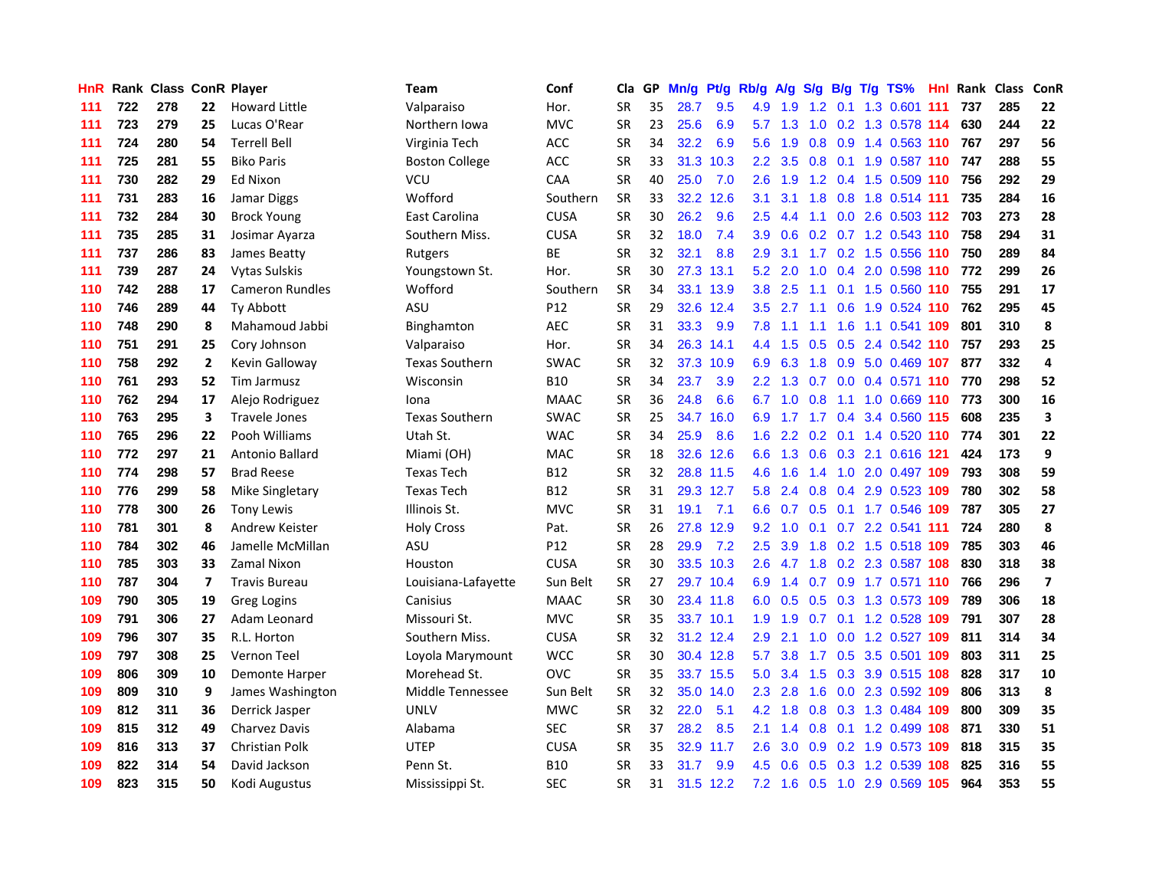| HnR |     | Rank Class ConR Player |                |                        | Team                  | Conf        | Cla       |    | GP Mn/g | Pt/g      | Rb/g             | A/g       | S/g         |     | B/g T/g TS%                   | Hnl  |     | Rank Class | ConR                    |
|-----|-----|------------------------|----------------|------------------------|-----------------------|-------------|-----------|----|---------|-----------|------------------|-----------|-------------|-----|-------------------------------|------|-----|------------|-------------------------|
| 111 | 722 | 278                    | 22             | <b>Howard Little</b>   | Valparaiso            | Hor.        | SR        | 35 | 28.7    | 9.5       | 4.9              | 1.9       | 1.2         | 0.1 | 1.3 0.601                     | -111 | 737 | 285        | 22                      |
| 111 | 723 | 279                    | 25             | Lucas O'Rear           | Northern Iowa         | <b>MVC</b>  | <b>SR</b> | 23 | 25.6    | 6.9       | 5.7              | 1.3       | 1.0         | 0.2 | 1.3 0.578 114                 |      | 630 | 244        | 22                      |
| 111 | 724 | 280                    | 54             | <b>Terrell Bell</b>    | Virginia Tech         | <b>ACC</b>  | <b>SR</b> | 34 | 32.2    | 6.9       | 5.6              | 1.9       | 0.8         | 0.9 | 1.4 0.563 110                 |      | 767 | 297        | 56                      |
| 111 | 725 | 281                    | 55             | <b>Biko Paris</b>      | <b>Boston College</b> | <b>ACC</b>  | <b>SR</b> | 33 | 31.3    | 10.3      |                  |           |             |     | 2.2 3.5 0.8 0.1 1.9 0.587 110 |      | 747 | 288        | 55                      |
| 111 | 730 | 282                    | 29             | <b>Ed Nixon</b>        | <b>VCU</b>            | <b>CAA</b>  | <b>SR</b> | 40 | 25.0    | 7.0       | 2.6              | 1.9       |             |     | 1.2 0.4 1.5 0.509 110         |      | 756 | 292        | 29                      |
| 111 | 731 | 283                    | 16             | Jamar Diggs            | Wofford               | Southern    | <b>SR</b> | 33 |         | 32.2 12.6 | 3.1              | 3.1       |             |     | 1.8 0.8 1.8 0.514 111         |      | 735 | 284        | 16                      |
| 111 | 732 | 284                    | 30             | <b>Brock Young</b>     | East Carolina         | <b>CUSA</b> | <b>SR</b> | 30 | 26.2    | 9.6       | $2.5^{\circ}$    | 4.4       | 1.1         |     | $0.0$ 2.6 0.503 112           |      | 703 | 273        | 28                      |
| 111 | 735 | 285                    | 31             | Josimar Ayarza         | Southern Miss.        | <b>CUSA</b> | <b>SR</b> | 32 | 18.0    | 7.4       | 3.9              | 0.6       |             |     | 0.2 0.7 1.2 0.543 110         |      | 758 | 294        | 31                      |
| 111 | 737 | 286                    | 83             | James Beatty           | Rutgers               | ВE          | <b>SR</b> | 32 | 32.1    | 8.8       | 2.9              | 3.1       |             |     | 1.7 0.2 1.5 0.556 110         |      | 750 | 289        | 84                      |
| 111 | 739 | 287                    | 24             | Vytas Sulskis          | Youngstown St.        | Hor.        | <b>SR</b> | 30 |         | 27.3 13.1 | 5.2              | 2.0       | 1.0         |     | 0.4 2.0 0.598 110             |      | 772 | 299        | 26                      |
| 110 | 742 | 288                    | 17             | <b>Cameron Rundles</b> | Wofford               | Southern    | SR        | 34 |         | 33.1 13.9 | 3.8 <sub>1</sub> | 2.5       | 1.1         |     | 0.1 1.5 0.560 110             |      | 755 | 291        | 17                      |
| 110 | 746 | 289                    | 44             | Ty Abbott              | <b>ASU</b>            | P12         | SR        | 29 |         | 32.6 12.4 |                  | $3.5$ 2.7 | 1.1         | 0.6 | 1.9 0.524 110                 |      | 762 | 295        | 45                      |
| 110 | 748 | 290                    | 8              | Mahamoud Jabbi         | Binghamton            | <b>AEC</b>  | <b>SR</b> | 31 | 33.3    | 9.9       | 7.8              | 1.1       | 1.1         | 1.6 | 1.1 0.541 109                 |      | 801 | 310        | 8                       |
| 110 | 751 | 291                    | 25             | Cory Johnson           | Valparaiso            | Hor.        | SR        | 34 |         | 26.3 14.1 | 4.4              | 1.5       | 0.5         | 0.5 | 2.4 0.542 110                 |      | 757 | 293        | 25                      |
| 110 | 758 | 292                    | $\mathbf{2}$   | Kevin Galloway         | <b>Texas Southern</b> | <b>SWAC</b> | <b>SR</b> | 32 |         | 37.3 10.9 | 6.9              | 6.3       | 1.8         | 0.9 | 5.0 0.469 107                 |      | 877 | 332        | 4                       |
| 110 | 761 | 293                    | 52             | Tim Jarmusz            | Wisconsin             | <b>B10</b>  | <b>SR</b> | 34 | 23.7    | 3.9       | 2.2              | 1.3       | 0.7         | 0.0 | 0.4 0.571 110                 |      | 770 | 298        | 52                      |
| 110 | 762 | 294                    | 17             | Alejo Rodriguez        | Iona                  | <b>MAAC</b> | <b>SR</b> | 36 | 24.8    | 6.6       | 6.7              |           | $1.0 \t0.8$ | 1.1 | 1.0 0.669 110                 |      | 773 | 300        | 16                      |
| 110 | 763 | 295                    | 3              | <b>Travele Jones</b>   | <b>Texas Southern</b> | <b>SWAC</b> | SR        | 25 |         | 34.7 16.0 | 6.9              | 1.7       |             |     | 1.7 0.4 3.4 0.560 115         |      | 608 | 235        | 3                       |
| 110 | 765 | 296                    | 22             | Pooh Williams          | Utah St.              | <b>WAC</b>  | <b>SR</b> | 34 | 25.9    | 8.6       |                  |           |             |     | 1.6 2.2 0.2 0.1 1.4 0.520 110 |      | 774 | 301        | 22                      |
| 110 | 772 | 297                    | 21             | Antonio Ballard        | Miami (OH)            | <b>MAC</b>  | SR        | 18 |         | 32.6 12.6 | 6.6              |           |             |     | 1.3 0.6 0.3 2.1 0.616 121     |      | 424 | 173        | 9                       |
| 110 | 774 | 298                    | 57             | <b>Brad Reese</b>      | <b>Texas Tech</b>     | B12         | <b>SR</b> | 32 |         | 28.8 11.5 | 4.6              | 1.6       |             |     | 1.4 1.0 2.0 0.497 109         |      | 793 | 308        | 59                      |
| 110 | 776 | 299                    | 58             | Mike Singletary        | <b>Texas Tech</b>     | <b>B12</b>  | <b>SR</b> | 31 |         | 29.3 12.7 | 5.8              | 2.4       |             |     | 0.8 0.4 2.9 0.523 109         |      | 780 | 302        | 58                      |
| 110 | 778 | 300                    | 26             | <b>Tony Lewis</b>      | Illinois St.          | <b>MVC</b>  | <b>SR</b> | 31 | 19.1    | 7.1       | 6.6              | 0.7       |             |     | 0.5 0.1 1.7 0.546 109         |      | 787 | 305        | 27                      |
| 110 | 781 | 301                    | 8              | Andrew Keister         | <b>Holy Cross</b>     | Pat.        | SR        | 26 |         | 27.8 12.9 | 9.2              | 1.0       | 0.1         |     | 0.7 2.2 0.541 111             |      | 724 | 280        | 8                       |
| 110 | 784 | 302                    | 46             | Jamelle McMillan       | <b>ASU</b>            | P12         | <b>SR</b> | 28 | 29.9    | 7.2       | $2.5^{\circ}$    | 3.9       |             |     | 1.8 0.2 1.5 0.518 109         |      | 785 | 303        | 46                      |
| 110 | 785 | 303                    | 33             | Zamal Nixon            | Houston               | <b>CUSA</b> | <b>SR</b> | 30 |         | 33.5 10.3 | 2.6              | 4.7       | 1.8         |     | 0.2 2.3 0.587 108             |      | 830 | 318        | 38                      |
| 110 | 787 | 304                    | $\overline{7}$ | <b>Travis Bureau</b>   | Louisiana-Lafayette   | Sun Belt    | <b>SR</b> | 27 |         | 29.7 10.4 | 6.9              | 1.4       | 0.7         |     | 0.9 1.7 0.571 110             |      | 766 | 296        | $\overline{\mathbf{z}}$ |
| 109 | 790 | 305                    | 19             | <b>Greg Logins</b>     | Canisius              | <b>MAAC</b> | SR        | 30 |         | 23.4 11.8 | 6.0              | 0.5       | 0.5         |     | 0.3 1.3 0.573 109             |      | 789 | 306        | 18                      |
| 109 | 791 | 306                    | 27             | Adam Leonard           | Missouri St.          | <b>MVC</b>  | <b>SR</b> | 35 |         | 33.7 10.1 | 1.9              | 1.9       |             |     | 0.7 0.1 1.2 0.528 109         |      | 791 | 307        | 28                      |
| 109 | 796 | 307                    | 35             | R.L. Horton            | Southern Miss.        | <b>CUSA</b> | <b>SR</b> | 32 |         | 31.2 12.4 | 2.9              | 2.1       | 1.0         |     | 0.0 1.2 0.527 109             |      | 811 | 314        | 34                      |
| 109 | 797 | 308                    | 25             | <b>Vernon Teel</b>     | Loyola Marymount      | <b>WCC</b>  | <b>SR</b> | 30 |         | 30.4 12.8 | 5.7              | 3.8       |             |     | 1.7 0.5 3.5 0.501 109         |      | 803 | 311        | 25                      |
| 109 | 806 | 309                    | 10             | Demonte Harper         | Morehead St.          | OVC         | <b>SR</b> | 35 |         | 33.7 15.5 | 5.0              | 3.4       |             |     | 1.5 0.3 3.9 0.515 108         |      | 828 | 317        | 10                      |
| 109 | 809 | 310                    | 9              | James Washington       | Middle Tennessee      | Sun Belt    | <b>SR</b> | 32 |         | 35.0 14.0 | 2.3              | 2.8       |             |     | 1.6 0.0 2.3 0.592 109         |      | 806 | 313        | 8                       |
| 109 | 812 | 311                    | 36             | Derrick Jasper         | <b>UNLV</b>           | <b>MWC</b>  | <b>SR</b> | 32 | 22.0    | 5.1       | 4.2              | 1.8       |             |     | 0.8 0.3 1.3 0.484 109         |      | 800 | 309        | 35                      |
| 109 | 815 | 312                    | 49             | <b>Charvez Davis</b>   | Alabama               | <b>SEC</b>  | <b>SR</b> | 37 | 28.2    | 8.5       | 2.1              | 1.4       | 0.8         |     | 0.1 1.2 0.499 108             |      | 871 | 330        | 51                      |
| 109 | 816 | 313                    | 37             | Christian Polk         | <b>UTEP</b>           | <b>CUSA</b> | <b>SR</b> | 35 |         | 32.9 11.7 | $2.6\,$          | 3.0       | 0.9         |     | 0.2 1.9 0.573 109             |      | 818 | 315        | 35                      |
| 109 | 822 | 314                    | 54             | David Jackson          | Penn St.              | B10         | <b>SR</b> | 33 | 31.7    | 9.9       | 4.5              | 0.6       | 0.5         | 0.3 | 1.2 0.539                     | 108  | 825 | 316        | 55                      |
| 109 | 823 | 315                    | 50             | Kodi Augustus          | Mississippi St.       | SEC         | SR        | 31 |         | 31.5 12.2 | 7.2              | 1.6       |             |     | 0.5 1.0 2.9 0.569 105         |      | 964 | 353        | 55                      |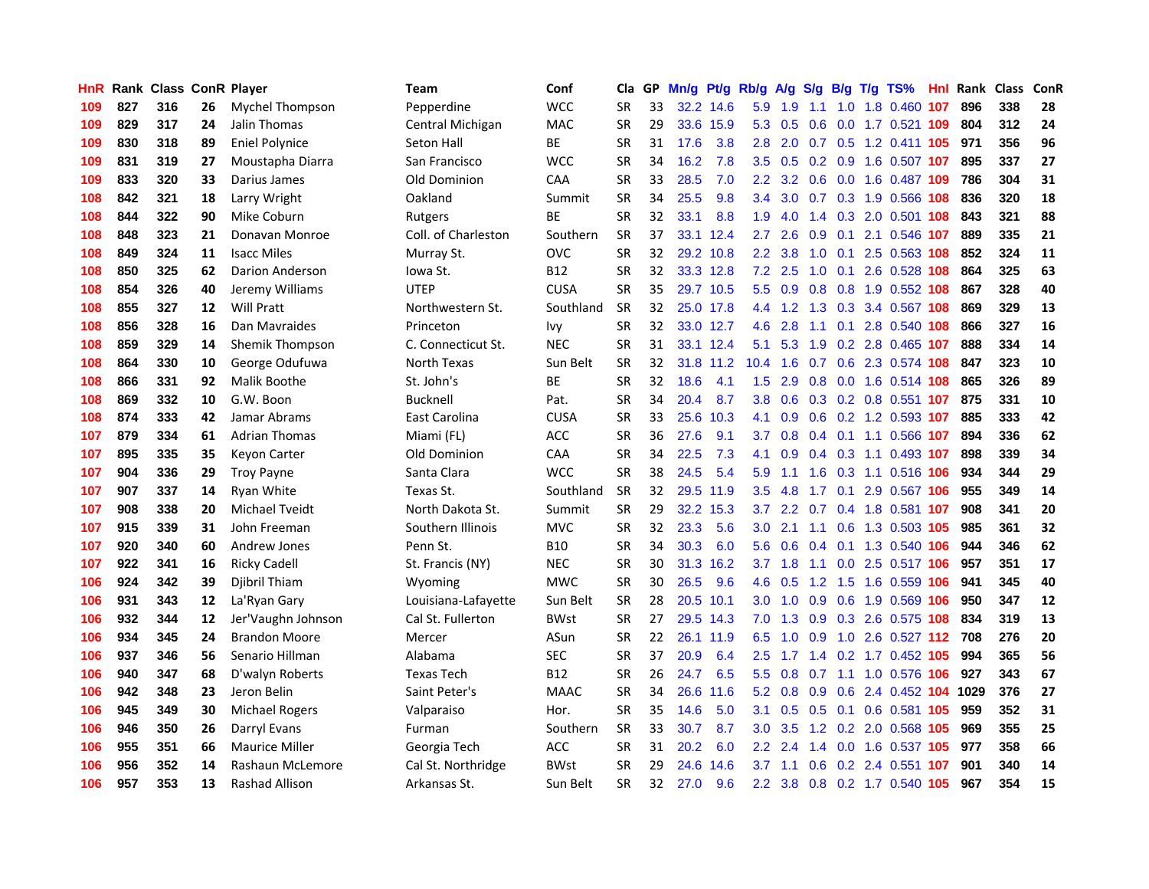| <b>HnR</b> |     | <b>Rank Class ConR Player</b> |    |                       | Team                | Conf        | Cla       |    | GP Mn/g Pt/g Rb/g A/g |           |                  |     | <b>S/g</b>    |                 | B/g T/g TS%                        | Hnl  | Rank Class |     | <b>ConR</b> |
|------------|-----|-------------------------------|----|-----------------------|---------------------|-------------|-----------|----|-----------------------|-----------|------------------|-----|---------------|-----------------|------------------------------------|------|------------|-----|-------------|
| 109        | 827 | 316                           | 26 | Mychel Thompson       | Pepperdine          | <b>WCC</b>  | SR        | 33 |                       | 32.2 14.6 | 5.9              | 1.9 | 1.1           | 1.0             | 1.8 0.460                          | 107  | 896        | 338 | 28          |
| 109        | 829 | 317                           | 24 | Jalin Thomas          | Central Michigan    | <b>MAC</b>  | <b>SR</b> | 29 |                       | 33.6 15.9 | 5.3              | 0.5 | 0.6           |                 | 0.0 1.7 0.521 109                  |      | 804        | 312 | 24          |
| 109        | 830 | 318                           | 89 | <b>Eniel Polynice</b> | Seton Hall          | <b>BE</b>   | <b>SR</b> | 31 | 17.6                  | 3.8       | 2.8              | 2.0 | 0.7           | 0.5             | 1.2 0.411 105                      |      | 971        | 356 | 96          |
| 109        | 831 | 319                           | 27 | Moustapha Diarra      | San Francisco       | <b>WCC</b>  | <b>SR</b> | 34 | 16.2                  | 7.8       | 3.5              | 0.5 |               | $0.2 \quad 0.9$ | 1.6 0.507 107                      |      | 895        | 337 | 27          |
| 109        | 833 | 320                           | 33 | Darius James          | Old Dominion        | CAA         | <b>SR</b> | 33 | 28.5                  | 7.0       | 2.2 <sub>2</sub> |     |               |                 | 3.2 0.6 0.0 1.6 0.487 109          |      | 786        | 304 | 31          |
| 108        | 842 | 321                           | 18 | Larry Wright          | Oakland             | Summit      | <b>SR</b> | 34 | 25.5                  | 9.8       | $3.4^{\circ}$    |     |               |                 | 3.0 0.7 0.3 1.9 0.566 108          |      | 836        | 320 | 18          |
| 108        | 844 | 322                           | 90 | Mike Coburn           | Rutgers             | ВE          | <b>SR</b> | 32 | 33.1                  | 8.8       | 1.9 <sup>°</sup> | 4.0 |               |                 | 1.4 0.3 2.0 0.501 108              |      | 843        | 321 | 88          |
| 108        | 848 | 323                           | 21 | Donavan Monroe        | Coll. of Charleston | Southern    | <b>SR</b> | 37 |                       | 33.1 12.4 | $2.7^{\circ}$    | 2.6 | 0.9           |                 | 0.1 2.1 0.546 107                  |      | 889        | 335 | 21          |
| 108        | 849 | 324                           | 11 | <b>Isacc Miles</b>    | Murray St.          | <b>OVC</b>  | SR        | 32 |                       | 29.2 10.8 | $2.2^{\circ}$    | 3.8 | 1.0           |                 | 0.1 2.5 0.563 108                  |      | 852        | 324 | 11          |
| 108        | 850 | 325                           | 62 | Darion Anderson       | Iowa St.            | B12         | <b>SR</b> | 32 |                       | 33.3 12.8 | 7.2              | 2.5 | 1.0           | 0.1             | 2.6 0.528                          | 108  | 864        | 325 | 63          |
| 108        | 854 | 326                           | 40 | Jeremy Williams       | <b>UTEP</b>         | <b>CUSA</b> | <b>SR</b> | 35 |                       | 29.7 10.5 | 5.5              | 0.9 | 0.8           |                 | 0.8 1.9 0.552                      | 108  | 867        | 328 | 40          |
| 108        | 855 | 327                           | 12 | <b>Will Pratt</b>     | Northwestern St.    | Southland   | <b>SR</b> | 32 |                       | 25.0 17.8 | 4.4              | 1.2 |               |                 | 1.3 0.3 3.4 0.567                  | 108  | 869        | 329 | 13          |
| 108        | 856 | 328                           | 16 | Dan Mavraides         | Princeton           | lvy.        | SR        | 32 |                       | 33.0 12.7 | 4.6              | 2.8 | 1.1           | 0.1             | 2.8 0.540 108                      |      | 866        | 327 | 16          |
| 108        | 859 | 329                           | 14 | Shemik Thompson       | C. Connecticut St.  | <b>NEC</b>  | <b>SR</b> | 31 |                       | 33.1 12.4 | 5.1              | 5.3 | 1.9           |                 | 0.2 2.8 0.465 107                  |      | 888        | 334 | 14          |
| 108        | 864 | 330                           | 10 | George Odufuwa        | North Texas         | Sun Belt    | SR        | 32 |                       | 31.8 11.2 | 10.4             | 1.6 | 0.7           | 0.6             | 2.3 0.574 108                      |      | 847        | 323 | 10          |
| 108        | 866 | 331                           | 92 | Malik Boothe          | St. John's          | ВE          | <b>SR</b> | 32 | 18.6                  | 4.1       | 1.5              | 2.9 | 0.8           |                 | 0.0 1.6 0.514 108                  |      | 865        | 326 | 89          |
| 108        | 869 | 332                           | 10 | G.W. Boon             | <b>Bucknell</b>     | Pat.        | <b>SR</b> | 34 | 20.4                  | 8.7       | 3.8 <sub>1</sub> | 0.6 |               |                 | 0.3 0.2 0.8 0.551 107              |      | 875        | 331 | 10          |
| 108        | 874 | 333                           | 42 | Jamar Abrams          | East Carolina       | <b>CUSA</b> | SR        | 33 | 25.6                  | 10.3      | 4.1              | 0.9 |               |                 | 0.6 0.2 1.2 0.593 107              |      | 885        | 333 | 42          |
| 107        | 879 | 334                           | 61 | <b>Adrian Thomas</b>  | Miami (FL)          | ACC         | <b>SR</b> | 36 | 27.6                  | 9.1       |                  |     |               |                 | 3.7 0.8 0.4 0.1 1.1 0.566 107      |      | 894        | 336 | 62          |
| 107        | 895 | 335                           | 35 | <b>Keyon Carter</b>   | Old Dominion        | CAA         | <b>SR</b> | 34 | 22.5                  | 7.3       | 4.1              | 0.9 |               |                 | 0.4 0.3 1.1 0.493 107              |      | 898        | 339 | 34          |
| 107        | 904 | 336                           | 29 | <b>Troy Payne</b>     | Santa Clara         | <b>WCC</b>  | <b>SR</b> | 38 | 24.5                  | 5.4       | 5.9              | 1.1 |               |                 | 1.6 0.3 1.1 0.516 106              |      | 934        | 344 | 29          |
| 107        | 907 | 337                           | 14 | Ryan White            | Texas St.           | Southland   | <b>SR</b> | 32 |                       | 29.5 11.9 | 3.5              | 4.8 |               |                 | 1.7 0.1 2.9 0.567 106              |      | 955        | 349 | 14          |
| 107        | 908 | 338                           | 20 | Michael Tyeidt        | North Dakota St.    | Summit      | SR        | 29 |                       | 32.2 15.3 | 3.7              |     |               |                 | 2.2 0.7 0.4 1.8 0.581 107          |      | 908        | 341 | 20          |
| 107        | 915 | 339                           | 31 | John Freeman          | Southern Illinois   | <b>MVC</b>  | <b>SR</b> | 32 | 23.3                  | 5.6       | 3.0 <sub>2</sub> | 2.1 | 1.1           |                 | 0.6 1.3 0.503 105                  |      | 985        | 361 | 32          |
| 107        | 920 | 340                           | 60 | Andrew Jones          | Penn St.            | B10         | SR        | 34 | 30.3                  | 6.0       | 5.6              | 0.6 |               |                 | 0.4 0.1 1.3 0.540 106              |      | 944        | 346 | 62          |
| 107        | 922 | 341                           | 16 | <b>Ricky Cadell</b>   | St. Francis (NY)    | <b>NEC</b>  | <b>SR</b> | 30 |                       | 31.3 16.2 | 3.7              | 1.8 | 1.1           |                 | 0.0 2.5 0.517 106                  |      | 957        | 351 | 17          |
| 106        | 924 | 342                           | 39 | Djibril Thiam         | Wyoming             | <b>MWC</b>  | <b>SR</b> | 30 | 26.5                  | 9.6       | 4.6              | 0.5 | 1.2           | 1.5             | 1.6 0.559 106                      |      | 941        | 345 | 40          |
| 106        | 931 | 343                           | 12 | La'Ryan Gary          | Louisiana-Lafayette | Sun Belt    | SR        | 28 | 20.5                  | 10.1      | 3.0 <sub>1</sub> | 1.0 | 0.9           | 0.6             | 1.9 0.569 106                      |      | 950        | 347 | 12          |
| 106        | 932 | 344                           | 12 | Jer'Vaughn Johnson    | Cal St. Fullerton   | <b>BWst</b> | SR        | 27 |                       | 29.5 14.3 | 7.0              | 1.3 | 0.9           | 0.3             | 2.6 0.575 108                      |      | 834        | 319 | 13          |
| 106        | 934 | 345                           | 24 | <b>Brandon Moore</b>  | Mercer              | ASun        | <b>SR</b> | 22 |                       | 26.1 11.9 | 6.5              | 1.0 | 0.9           | 1.0             | 2.6 0.527 112                      |      | 708        | 276 | 20          |
| 106        | 937 | 346                           | 56 | Senario Hillman       | Alabama             | SEC         | <b>SR</b> | 37 | 20.9                  | 6.4       | $2.5^{\circ}$    | 1.7 | 1.4           |                 | 0.2 1.7 0.452 105                  |      | 994        | 365 | 56          |
| 106        | 940 | 347                           | 68 | D'walyn Roberts       | <b>Texas Tech</b>   | <b>B12</b>  | SR        | 26 | 24.7                  | 6.5       |                  |     | 5.5 0.8 0.7   |                 | 1.1 1.0 0.576 106                  |      | 927        | 343 | 67          |
| 106        | 942 | 348                           | 23 | Jeron Belin           | Saint Peter's       | <b>MAAC</b> | <b>SR</b> | 34 | 26.6                  | 11.6      |                  |     |               |                 | 5.2 0.8 0.9 0.6 2.4 0.452 104 1029 |      |            | 376 | 27          |
| 106        | 945 | 349                           | 30 | <b>Michael Rogers</b> | Valparaiso          | Hor.        | <b>SR</b> | 35 | 14.6                  | 5.0       | 3.1              | 0.5 |               |                 | 0.5 0.1 0.6 0.581 105              |      | 959        | 352 | 31          |
| 106        | 946 | 350                           | 26 | Darryl Evans          | Furman              | Southern    | <b>SR</b> | 33 | 30.7                  | 8.7       | 3.0 <sub>1</sub> | 3.5 |               |                 | 1.2 0.2 2.0 0.568 105              |      | 969        | 355 | 25          |
| 106        | 955 | 351                           | 66 | <b>Maurice Miller</b> | Georgia Tech        | ACC         | <b>SR</b> | 31 | 20.2                  | 6.0       | $2.2^{\circ}$    | 2.4 | $1.4^{\circ}$ |                 | $0.0$ 1.6 $0.537$                  | -105 | 977        | 358 | 66          |
| 106        | 956 | 352                           | 14 | Rashaun McLemore      | Cal St. Northridge  | <b>BWst</b> | <b>SR</b> | 29 | 24.6                  | 14.6      | 3.7              | 1.1 | 0.6           |                 | 0.2 2.4 0.551                      | 107  | 901        | 340 | 14          |
| 106        | 957 | 353                           | 13 | Rashad Allison        | Arkansas St.        | Sun Belt    | SR        | 32 | 27.0                  | 9.6       |                  |     |               |                 | 2.2 3.8 0.8 0.2 1.7 0.540 105      |      | 967        | 354 | 15          |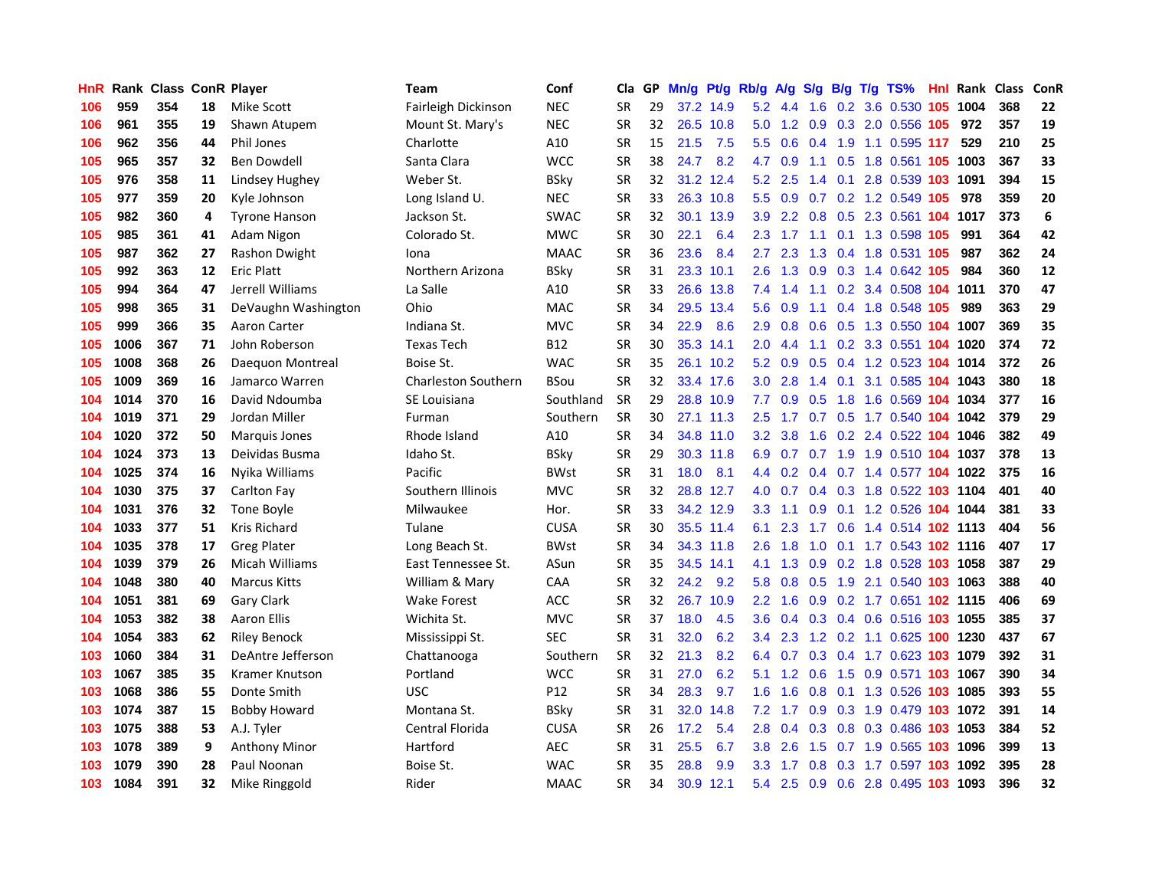| HnR. |      | <b>Rank Class ConR Player</b> |    |                       | Team                       | Conf            | Cla       | GP. | Mn/g Pt/g |           | Rb/g A/g         |                |     |                 | S/g B/g T/g TS%                    | Hnl |          | Rank Class | <b>ConR</b> |
|------|------|-------------------------------|----|-----------------------|----------------------------|-----------------|-----------|-----|-----------|-----------|------------------|----------------|-----|-----------------|------------------------------------|-----|----------|------------|-------------|
| 106  | 959  | 354                           | 18 | Mike Scott            | Fairleigh Dickinson        | <b>NEC</b>      | SR        | 29  |           | 37.2 14.9 | 5.2              | 4.4            | 1.6 | 0.2             | 3.6 0.530                          | 105 | 1004     | 368        | 22          |
| 106  | 961  | 355                           | 19 | Shawn Atupem          | Mount St. Mary's           | <b>NEC</b>      | <b>SR</b> | 32  |           | 26.5 10.8 | 5.0              | 1.2            | 0.9 | 0.3             | 2.0 0.556 105                      |     | 972      | 357        | 19          |
| 106  | 962  | 356                           | 44 | <b>Phil Jones</b>     | Charlotte                  | A10             | <b>SR</b> | 15  | 21.5      | 7.5       | 5.5              | 0.6            | 0.4 | 1.9             | 1.1 0.595 117                      |     | 529      | 210        | 25          |
| 105  | 965  | 357                           | 32 | Ben Dowdell           | Santa Clara                | <b>WCC</b>      | <b>SR</b> | 38  | 24.7      | 8.2       | 4.7              | 0.9            |     | $1.1 \quad 0.5$ | 1.8 0.561 105 1003                 |     |          | 367        | 33          |
| 105  | 976  | 358                           | 11 | Lindsey Hughey        | Weber St.                  | <b>BSky</b>     | <b>SR</b> | 32  |           | 31.2 12.4 |                  | $5.2$ 2.5      |     |                 | 1.4 0.1 2.8 0.539 103 1091         |     |          | 394        | 15          |
| 105  | 977  | 359                           | 20 | Kyle Johnson          | Long Island U.             | <b>NEC</b>      | <b>SR</b> | 33  |           | 26.3 10.8 |                  | $5.5\quad 0.9$ |     |                 | 0.7 0.2 1.2 0.549 105              |     | 978      | 359        | 20          |
| 105  | 982  | 360                           | 4  | <b>Tyrone Hanson</b>  | Jackson St.                | <b>SWAC</b>     | <b>SR</b> | 32  |           | 30.1 13.9 | 3.9 <sup>°</sup> |                |     |                 | 2.2 0.8 0.5 2.3 0.561 104 1017     |     |          | 373        | 6           |
| 105  | 985  | 361                           | 41 | Adam Nigon            | Colorado St.               | <b>MWC</b>      | SR        | 30  | 22.1      | 6.4       | 2.3              | 1.7            |     |                 | 1.1 0.1 1.3 0.598 105              |     | 991      | 364        | 42          |
| 105  | 987  | 362                           | 27 | Rashon Dwight         | Iona                       | <b>MAAC</b>     | <b>SR</b> | 36  | 23.6      | 8.4       | $2.7^{\circ}$    | 2.3            | 1.3 |                 | 0.4 1.8 0.531 105                  |     | 987      | 362        | 24          |
| 105  | 992  | 363                           | 12 | <b>Eric Platt</b>     | Northern Arizona           | <b>BSky</b>     | <b>SR</b> | 31  |           | 23.3 10.1 | 2.6              | 1.3            | 0.9 |                 | 0.3 1.4 0.642 105                  |     | 984      | 360        | 12          |
| 105  | 994  | 364                           | 47 | Jerrell Williams      | La Salle                   | A10             | <b>SR</b> | 33  |           | 26.6 13.8 | 7.4              | 1.4            | 1.1 |                 | 0.2 3.4 0.508                      | 104 | 1011     | 370        | 47          |
| 105  | 998  | 365                           | 31 | DeVaughn Washington   | Ohio                       | <b>MAC</b>      | <b>SR</b> | 34  |           | 29.5 13.4 | 5.6              | 0.9            | 1.1 |                 | 0.4 1.8 0.548 105                  |     | 989      | 363        | 29          |
| 105  | 999  | 366                           | 35 | Aaron Carter          | Indiana St.                | <b>MVC</b>      | <b>SR</b> | 34  | 22.9      | 8.6       | 2.9              | 0.8            | 0.6 | 0.5             | 1.3 0.550 104                      |     | 1007     | 369        | 35          |
| 105  | 1006 | 367                           | 71 | John Roberson         | <b>Texas Tech</b>          | <b>B12</b>      | SR        | 30  |           | 35.3 14.1 | 2.0              | 4.4            | 1.1 | 0.2             | 3.3 0.551 104                      |     | 1020     | 374        | 72          |
| 105  | 1008 | 368                           | 26 | Daeguon Montreal      | Boise St.                  | <b>WAC</b>      | <b>SR</b> | 35  |           | 26.1 10.2 | 5.2              | 0.9            | 0.5 |                 | $0.4$ 1.2 0.523                    | 104 | 1014     | 372        | 26          |
| 105  | 1009 | 369                           | 16 | Jamarco Warren        | <b>Charleston Southern</b> | <b>BSou</b>     | <b>SR</b> | 32  |           | 33.4 17.6 | 3.0 <sub>2</sub> | 2.8            | 1.4 | 0.1             | 3.1 0.585 104 1043                 |     |          | 380        | 18          |
| 104  | 1014 | 370                           | 16 | David Ndoumba         | SE Louisiana               | Southland       | <b>SR</b> | 29  |           | 28.8 10.9 | 7.7              | 0.9            | 0.5 | 1.8             | 1.6 0.569 104 1034                 |     |          | 377        | 16          |
| 104  | 1019 | 371                           | 29 | Jordan Miller         | Furman                     | Southern        | <b>SR</b> | 30  |           | 27.1 11.3 | 2.5              |                |     |                 | 1.7 0.7 0.5 1.7 0.540 104 1042     |     |          | 379        | 29          |
| 104  | 1020 | 372                           | 50 | Marquis Jones         | Rhode Island               | A10             | <b>SR</b> | 34  |           | 34.8 11.0 |                  | $3.2$ $3.8$    |     |                 | 1.6 0.2 2.4 0.522 104 1046         |     |          | 382        | 49          |
| 104  | 1024 | 373                           | 13 | Deividas Busma        | Idaho St.                  | <b>BSky</b>     | <b>SR</b> | 29  |           | 30.3 11.8 | 6.9              |                |     |                 | 0.7 0.7 1.9 1.9 0.510 104 1037     |     |          | 378        | 13          |
| 104  | 1025 | 374                           | 16 | Nvika Williams        | Pacific                    | <b>BWst</b>     | <b>SR</b> | 31  | 18.0      | 8.1       |                  | 4.4 0.2        |     |                 | 0.4 0.7 1.4 0.577 104 1022         |     |          | 375        | 16          |
| 104  | 1030 | 375                           | 37 | Carlton Fay           | Southern Illinois          | <b>MVC</b>      | <b>SR</b> | 32  |           | 28.8 12.7 | 4.0              | 0.7            |     |                 | 0.4 0.3 1.8 0.522 103 1104         |     |          | 401        | 40          |
| 104  | 1031 | 376                           | 32 | Tone Boyle            | Milwaukee                  | Hor.            | <b>SR</b> | 33  |           | 34.2 12.9 | 3.3 <sub>1</sub> | 1.1            | 0.9 |                 | 0.1 1.2 0.526 104 1044             |     |          | 381        | 33          |
| 104  | 1033 | 377                           | 51 | Kris Richard          | Tulane                     | <b>CUSA</b>     | <b>SR</b> | 30  |           | 35.5 11.4 | 6.1              | 2.3            | 1.7 |                 | 0.6 1.4 0.514 102 1113             |     |          | 404        | 56          |
| 104  | 1035 | 378                           | 17 | <b>Greg Plater</b>    | Long Beach St.             | <b>BWst</b>     | <b>SR</b> | 34  |           | 34.3 11.8 | 2.6              | 1.8            | 1.0 |                 | 0.1 1.7 0.543 102 1116             |     |          | 407        | 17          |
| 104  | 1039 | 379                           | 26 | Micah Williams        | East Tennessee St.         | ASun            | <b>SR</b> | 35  |           | 34.5 14.1 | 4.1              | 1.3            | 0.9 |                 | 0.2 1.8 0.528 103 1058             |     |          | 387        | 29          |
| 104  | 1048 | 380                           | 40 | <b>Marcus Kitts</b>   | William & Mary             | <b>CAA</b>      | SR        | 32  | 24.2      | 9.2       | 5.8              | 0.8            | 0.5 | 1.9             | 2.1 0.540 103 1063                 |     |          | 388        | 40          |
| 104  | 1051 | 381                           | 69 | Gary Clark            | Wake Forest                | ACC             | <b>SR</b> | 32  |           | 26.7 10.9 | 2.2 <sub>2</sub> | 1.6            | 0.9 |                 | 0.2 1.7 0.651 102 1115             |     |          | 406        | 69          |
| 104  | 1053 | 382                           | 38 | <b>Aaron Ellis</b>    | Wichita St.                | <b>MVC</b>      | <b>SR</b> | 37  | 18.0      | 4.5       | 3.6              | 0.4            |     | $0.3 \quad 0.4$ | 0.6 0.516 103 1055                 |     |          | 385        | 37          |
| 104  | 1054 | 383                           | 62 | <b>Riley Benock</b>   | Mississippi St.            | <b>SEC</b>      | <b>SR</b> | 31  | 32.0      | 6.2       | $3.4^{\circ}$    | 2.3            |     |                 | 1.2 0.2 1.1 0.625 100 1230         |     |          | 437        | 67          |
| 103  | 1060 | 384                           | 31 | DeAntre Jefferson     | Chattanooga                | Southern        | <b>SR</b> | 32  | 21.3      | 8.2       |                  | 6.4 0.7        |     |                 | 0.3 0.4 1.7 0.623 103 1079         |     |          | 392        | 31          |
| 103  | 1067 | 385                           | 35 | <b>Kramer Knutson</b> | Portland                   | <b>WCC</b>      | <b>SR</b> | 31  | 27.0      | 6.2       |                  | $5.1$ 1.2 0.6  |     |                 | 1.5 0.9 0.571 103 1067             |     |          | 390        | 34          |
| 103  | 1068 | 386                           | 55 | Donte Smith           | <b>USC</b>                 | P <sub>12</sub> | <b>SR</b> | 34  | 28.3      | 9.7       | 1.6 <sup>°</sup> | 1.6            | 0.8 |                 | 0.1 1.3 0.526 103 1085             |     |          | 393        | 55          |
| 103  | 1074 | 387                           | 15 | <b>Bobby Howard</b>   | Montana St.                | <b>BSky</b>     | <b>SR</b> | 31  | 32.0      | 14.8      | 7.2              | 1.7            |     |                 | 0.9 0.3 1.9 0.479 103 1072         |     |          | 391        | 14          |
| 103  | 1075 | 388                           | 53 | A.J. Tyler            | Central Florida            | <b>CUSA</b>     | <b>SR</b> | 26  | 17.2      | 5.4       | 2.8              | 0.4            | 0.3 |                 | 0.8 0.3 0.486 103 1053             |     |          | 384        | 52          |
| 103  | 1078 | 389                           | 9  | <b>Anthony Minor</b>  | Hartford                   | AEC             | <b>SR</b> | 31  | 25.5      | 6.7       | 3.8 <sub>2</sub> | 2.6            | 1.5 |                 | $0.7$ 1.9 $0.565$                  |     | 103 1096 | 399        | 13          |
| 103  | 1079 | 390                           | 28 | Paul Noonan           | Boise St.                  | WAC             | <b>SR</b> | 35  | 28.8      | 9.9       | 3.3 <sub>2</sub> | 1.7            | 0.8 | 0.3             | 1.7 0.597                          | 103 | 1092     | 395        | 28          |
| 103  | 1084 | 391                           | 32 | Mike Ringgold         | Rider                      | <b>MAAC</b>     | <b>SR</b> | 34  |           | 30.9 12.1 |                  |                |     |                 | 5.4 2.5 0.9 0.6 2.8 0.495 103 1093 |     |          | 396        | 32          |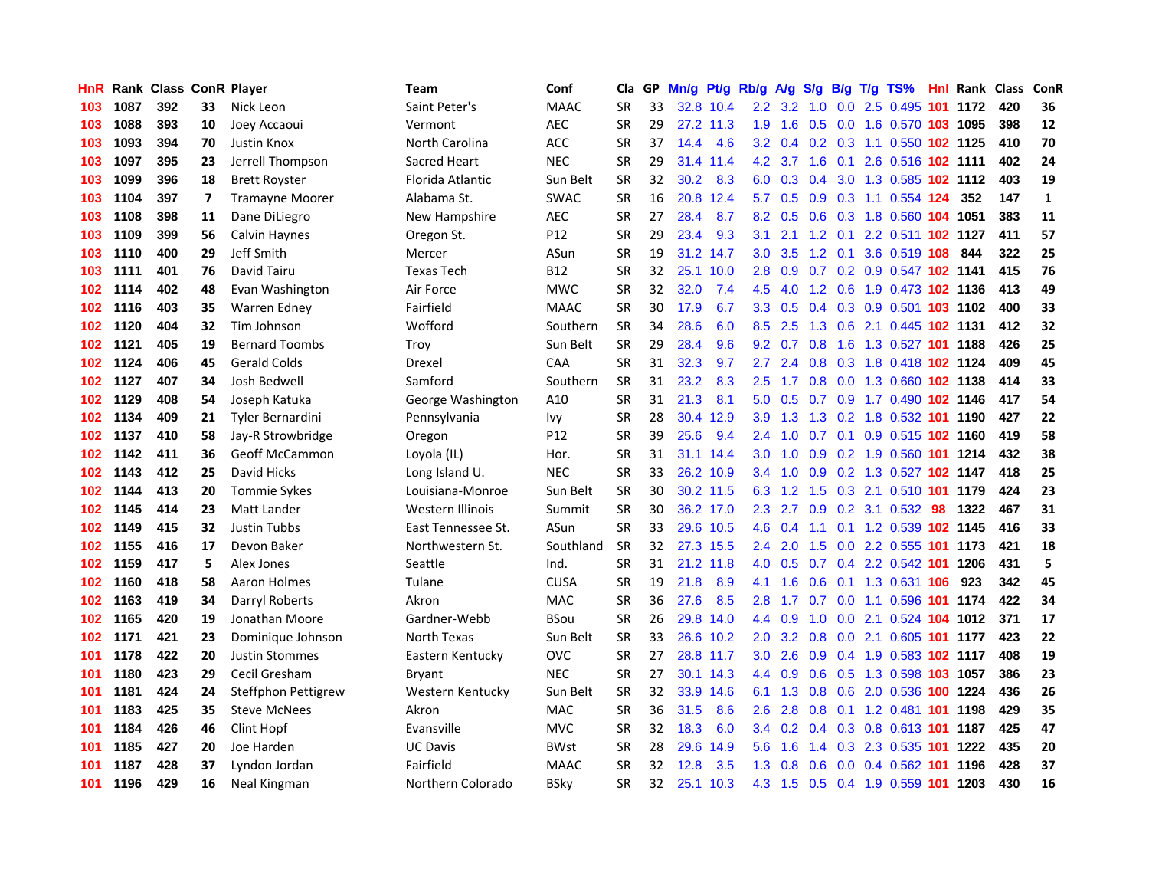| HnR. |      | <b>Rank Class ConR Player</b> |    |                         | Team               | Conf        | Cla       |    | GP Mn/g | Pt/g      | Rb/g             | <b>A/g</b>      |                  |                 | S/g B/g T/g TS%                    |     | <b>Hnl Rank Class</b> |     | ConR         |
|------|------|-------------------------------|----|-------------------------|--------------------|-------------|-----------|----|---------|-----------|------------------|-----------------|------------------|-----------------|------------------------------------|-----|-----------------------|-----|--------------|
| 103  | 1087 | 392                           | 33 | Nick Leon               | Saint Peter's      | <b>MAAC</b> | SR        | 33 |         | 32.8 10.4 | $2.2\,$          | 3.2             | 1.0              | 0.0             | 2.5 0.495                          | 101 | 1172                  | 420 | 36           |
| 103  | 1088 | 393                           | 10 | Joey Accaoui            | Vermont            | <b>AEC</b>  | <b>SR</b> | 29 |         | 27.2 11.3 | 1.9              | 1.6             | 0.5              | 0.0             | 1.6 0.570 103 1095                 |     |                       | 398 | 12           |
| 103  | 1093 | 394                           | 70 | <b>Justin Knox</b>      | North Carolina     | <b>ACC</b>  | <b>SR</b> | 37 | 14.4    | 4.6       | 3.2              | 0.4             |                  | $0.2 \quad 0.3$ | 1.1 0.550 102 1125                 |     |                       | 410 | 70           |
| 103  | 1097 | 395                           | 23 | Jerrell Thompson        | Sacred Heart       | <b>NEC</b>  | <b>SR</b> | 29 |         | 31.4 11.4 |                  | 4.2 3.7         |                  | $1.6 \quad 0.1$ | 2.6 0.516 102 1111                 |     |                       | 402 | 24           |
| 103  | 1099 | 396                           | 18 | <b>Brett Royster</b>    | Florida Atlantic   | Sun Belt    | <b>SR</b> | 32 | 30.2    | 8.3       |                  |                 |                  |                 | 6.0 0.3 0.4 3.0 1.3 0.585 102 1112 |     |                       | 403 | 19           |
| 103  | 1104 | 397                           | 7  | <b>Tramayne Moorer</b>  | Alabama St.        | <b>SWAC</b> | <b>SR</b> | 16 |         | 20.8 12.4 | 5.7              | 0.5             |                  |                 | 0.9 0.3 1.1 0.554 124              |     | 352                   | 147 | $\mathbf{1}$ |
| 103  | 1108 | 398                           | 11 | Dane DiLiegro           | New Hampshire      | AEC         | <b>SR</b> | 27 | 28.4    | 8.7       | 8.2              | 0.5             |                  |                 | 0.6 0.3 1.8 0.560 104 1051         |     |                       | 383 | 11           |
| 103  | 1109 | 399                           | 56 | Calvin Haynes           | Oregon St.         | P12         | <b>SR</b> | 29 | 23.4    | 9.3       | 3.1              | 2.1             |                  | $1.2 \quad 0.1$ | 2.2 0.511 102 1127                 |     |                       | 411 | 57           |
| 103  | 1110 | 400                           | 29 | Jeff Smith              | Mercer             | ASun        | <b>SR</b> | 19 |         | 31.2 14.7 | 3.0 <sub>2</sub> | 3.5             |                  | $1.2 \quad 0.1$ | 3.6 0.519 108                      |     | 844                   | 322 | 25           |
| 103  | 1111 | 401                           | 76 | David Tairu             | <b>Texas Tech</b>  | <b>B12</b>  | <b>SR</b> | 32 |         | 25.1 10.0 | 2.8              | 0.9             |                  |                 | 0.7 0.2 0.9 0.547 102 1141         |     |                       | 415 | 76           |
| 102  | 1114 | 402                           | 48 | Evan Washington         | Air Force          | <b>MWC</b>  | <b>SR</b> | 32 | 32.0    | 7.4       | 4.5              | 4.0             |                  |                 | 1.2 0.6 1.9 0.473 102 1136         |     |                       | 413 | 49           |
| 102  | 1116 | 403                           | 35 | Warren Edney            | Fairfield          | <b>MAAC</b> | <b>SR</b> | 30 | 17.9    | 6.7       | 3.3 <sub>2</sub> | 0.5             |                  |                 | 0.4 0.3 0.9 0.501 103 1102         |     |                       | 400 | 33           |
| 102  | 1120 | 404                           | 32 | Tim Johnson             | Wofford            | Southern    | <b>SR</b> | 34 | 28.6    | 6.0       | 8.5              | 2.5             | 1.3              | 0.6             | 2.1 0.445 102 1131                 |     |                       | 412 | 32           |
| 102  | 1121 | 405                           | 19 | <b>Bernard Toombs</b>   | Troy               | Sun Belt    | <b>SR</b> | 29 | 28.4    | 9.6       | 9.2              | 0.7             | 0.8              | 1.6             | 1.3 0.527 101                      |     | 1188                  | 426 | 25           |
| 102  | 1124 | 406                           | 45 | <b>Gerald Colds</b>     | Drexel             | CAA         | SR        | 31 | 32.3    | 9.7       | $2.7^{\circ}$    | 2.4             | 0.8              | 0.3             | 1.8 0.418 102 1124                 |     |                       | 409 | 45           |
| 102  | 1127 | 407                           | 34 | Josh Bedwell            | Samford            | Southern    | <b>SR</b> | 31 | 23.2    | 8.3       | 2.5              | 1.7             | 0.8              |                 | 0.0 1.3 0.660 102 1138             |     |                       | 414 | 33           |
| 102  | 1129 | 408                           | 54 | Joseph Katuka           | George Washington  | A10         | <b>SR</b> | 31 | 21.3    | 8.1       |                  |                 |                  |                 | 5.0 0.5 0.7 0.9 1.7 0.490 102 1146 |     |                       | 417 | 54           |
| 102  | 1134 | 409                           | 21 | <b>Tyler Bernardini</b> | Pennsylvania       | <b>Ivy</b>  | <b>SR</b> | 28 |         | 30.4 12.9 | 3.9 <sup>°</sup> | 1.3             |                  |                 | 1.3 0.2 1.8 0.532 101 1190         |     |                       | 427 | 22           |
| 102  | 1137 | 410                           | 58 | Jay-R Strowbridge       | Oregon             | P12         | <b>SR</b> | 39 | 25.6    | 9.4       |                  | $2.4$ 1.0       |                  |                 | 0.7 0.1 0.9 0.515 102 1160         |     |                       | 419 | 58           |
| 102  | 1142 | 411                           | 36 | <b>Geoff McCammon</b>   | Loyola (IL)        | Hor.        | <b>SR</b> | 31 |         | 31.1 14.4 |                  | $3.0 \quad 1.0$ |                  |                 | 0.9 0.2 1.9 0.560 101 1214         |     |                       | 432 | 38           |
| 102  | 1143 | 412                           | 25 | David Hicks             | Long Island U.     | <b>NEC</b>  | <b>SR</b> | 33 |         | 26.2 10.9 |                  | $3.4 \quad 1.0$ |                  |                 | 0.9 0.2 1.3 0.527 102 1147         |     |                       | 418 | 25           |
| 102  | 1144 | 413                           | 20 | <b>Tommie Sykes</b>     | Louisiana-Monroe   | Sun Belt    | <b>SR</b> | 30 |         | 30.2 11.5 |                  | 6.3 1.2         |                  |                 | 1.5 0.3 2.1 0.510 101              |     | 1179                  | 424 | 23           |
| 102  | 1145 | 414                           | 23 | Matt Lander             | Western Illinois   | Summit      | <b>SR</b> | 30 |         | 36.2 17.0 | $2.3^{\circ}$    | 2.7             | 0.9 <sub>o</sub> |                 | 0.2 3.1 0.532                      | -98 | 1322                  | 467 | 31           |
| 102  | 1149 | 415                           | 32 | Justin Tubbs            | East Tennessee St. | ASun        | <b>SR</b> | 33 |         | 29.6 10.5 | 4.6              | 0.4             | 1.1              |                 | 0.1 1.2 0.539 102 1145             |     |                       | 416 | 33           |
| 102  | 1155 | 416                           | 17 | Devon Baker             | Northwestern St.   | Southland   | <b>SR</b> | 32 |         | 27.3 15.5 | 2.4              | 2.0             | 1.5              |                 | 0.0 2.2 0.555 101                  |     | 1173                  | 421 | 18           |
| 102  | 1159 | 417                           | 5  | Alex Jones              | Seattle            | Ind.        | <b>SR</b> | 31 |         | 21.2 11.8 | 4.0              | 0.5             | 0.7              |                 | 0.4 2.2 0.542 101                  |     | 1206                  | 431 | 5            |
| 102  | 1160 | 418                           | 58 | Aaron Holmes            | Tulane             | <b>CUSA</b> | <b>SR</b> | 19 | 21.8    | 8.9       | 4.1              | 1.6             | 0.6              |                 | 0.1 1.3 0.631 106                  |     | 923                   | 342 | 45           |
| 102  | 1163 | 419                           | 34 | Darryl Roberts          | Akron              | <b>MAC</b>  | <b>SR</b> | 36 | 27.6    | 8.5       | 2.8              | 1.7             | 0.7              |                 | 0.0 1.1 0.596 101                  |     | 1174                  | 422 | 34           |
| 102  | 1165 | 420                           | 19 | Jonathan Moore          | Gardner-Webb       | <b>BSou</b> | <b>SR</b> | 26 |         | 29.8 14.0 | $4.4^{\circ}$    | 0.9             | 1.0              | 0.0             | 2.1 0.524 104 1012                 |     |                       | 371 | 17           |
| 102  | 1171 | 421                           | 23 | Dominique Johnson       | North Texas        | Sun Belt    | <b>SR</b> | 33 |         | 26.6 10.2 | 2.0              |                 | $3.2 \quad 0.8$  |                 | 0.0 2.1 0.605 101 1177             |     |                       | 423 | 22           |
| 101  | 1178 | 422                           | 20 | <b>Justin Stommes</b>   | Eastern Kentucky   | <b>OVC</b>  | SR        | 27 |         | 28.8 11.7 | 3.0 <sub>1</sub> | 2.6             |                  |                 | 0.9 0.4 1.9 0.583 102 1117         |     |                       | 408 | 19           |
| 101  | 1180 | 423                           | 29 | Cecil Gresham           | Bryant             | <b>NEC</b>  | <b>SR</b> | 27 |         | 30.1 14.3 |                  | 4.4 0.9         |                  |                 | 0.6 0.5 1.3 0.598 103 1057         |     |                       | 386 | 23           |
| 101  | 1181 | 424                           | 24 | Steffphon Pettigrew     | Western Kentucky   | Sun Belt    | <b>SR</b> | 32 |         | 33.9 14.6 |                  |                 |                  |                 | 6.1 1.3 0.8 0.6 2.0 0.536 100 1224 |     |                       | 436 | 26           |
| 101  | 1183 | 425                           | 35 | <b>Steve McNees</b>     | Akron              | MAC         | <b>SR</b> | 36 | 31.5    | 8.6       | 2.6              | 2.8             | 0.8              |                 | 0.1 1.2 0.481 101 1198             |     |                       | 429 | 35           |
| 101  | 1184 | 426                           | 46 | Clint Hopf              | Evansville         | <b>MVC</b>  | <b>SR</b> | 32 | 18.3    | 6.0       | $3.4^{\circ}$    | 0.2             |                  |                 | 0.4 0.3 0.8 0.613 101 1187         |     |                       | 425 | 47           |
| 101  | 1185 | 427                           | 20 | Joe Harden              | <b>UC Davis</b>    | <b>BWst</b> | <b>SR</b> | 28 | 29.6    | 14.9      | $5.6^{\circ}$    | 1.6             | $1.4^{\circ}$    |                 | 0.3 2.3 0.535 101                  |     | 1222                  | 435 | 20           |
| 101  | 1187 | 428                           | 37 | Lyndon Jordan           | Fairfield          | <b>MAAC</b> | <b>SR</b> | 32 | 12.8    | 3.5       | 1.3 <sub>1</sub> | 0.8             | 0.6              | 0.0             | $0.4$ 0.562                        | 101 | 1196                  | 428 | 37           |
| 101  | 1196 | 429                           | 16 | Neal Kingman            | Northern Colorado  | <b>BSky</b> | <b>SR</b> | 32 |         | 25.1 10.3 | 4.3              |                 |                  |                 | 1.5 0.5 0.4 1.9 0.559 101 1203     |     |                       | 430 | 16           |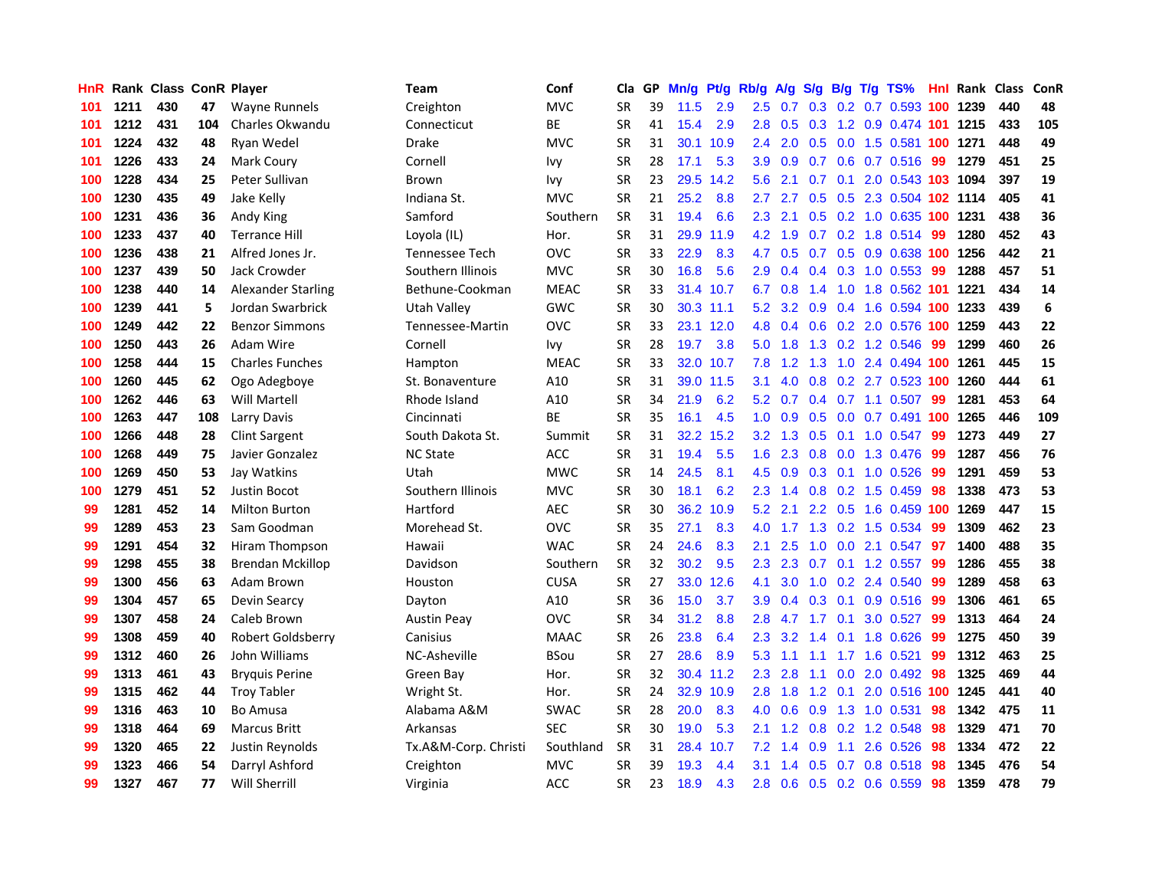| <b>HnR</b> |      | <b>Rank Class ConR Player</b> |     |                        | <b>Team</b>          | Conf        | Cla       |    | GP Mn/g | Pt/g Rb/g |               | A/g                 |     |                 | S/g B/g T/g TS%            | Hnl | Rank Class |     | ConR             |
|------------|------|-------------------------------|-----|------------------------|----------------------|-------------|-----------|----|---------|-----------|---------------|---------------------|-----|-----------------|----------------------------|-----|------------|-----|------------------|
| 101        | 1211 | 430                           | 47  | Wayne Runnels          | Creighton            | <b>MVC</b>  | <b>SR</b> | 39 | 11.5    | 2.9       | $2.5\,$       | 0.7                 | 0.3 | 0.2             | $0.7$ 0.593                | 100 | 1239       | 440 | 48               |
| 101        | 1212 | 431                           | 104 | Charles Okwandu        | Connecticut          | <b>BE</b>   | <b>SR</b> | 41 | 15.4    | 2.9       | 2.8           | 0.5                 | 0.3 | 1.2             | 0.9 0.474 101              |     | 1215       | 433 | 105              |
| 101        | 1224 | 432                           | 48  | Ryan Wedel             | <b>Drake</b>         | <b>MVC</b>  | <b>SR</b> | 31 | 30.1    | 10.9      | 2.4           | 2.0                 | 0.5 | 0.0             | 1.5 0.581                  |     | 100 1271   | 448 | 49               |
| 101        | 1226 | 433                           | 24  | Mark Coury             | Cornell              | Ivy         | <b>SR</b> | 28 | 17.1    | 5.3       | 3.9           | 0.9                 |     |                 | 0.7 0.6 0.7 0.516          | -99 | 1279       | 451 | 25               |
| 100        | 1228 | 434                           | 25  | Peter Sullivan         | Brown                | Ivy         | <b>SR</b> | 23 |         | 29.5 14.2 | 5.6           | 2.1                 |     | $0.7 \quad 0.1$ | 2.0 0.543 103 1094         |     |            | 397 | 19               |
| 100        | 1230 | 435                           | 49  | Jake Kelly             | Indiana St.          | <b>MVC</b>  | <b>SR</b> | 21 | 25.2    | 8.8       | 2.7           | 2.7                 |     |                 | 0.5 0.5 2.3 0.504 102 1114 |     |            | 405 | 41               |
| 100        | 1231 | 436                           | 36  | Andy King              | Samford              | Southern    | <b>SR</b> | 31 | 19.4    | 6.6       | $2.3^{\circ}$ | 2.1                 |     |                 | 0.5 0.2 1.0 0.635 100 1231 |     |            | 438 | 36               |
| 100        | 1233 | 437                           | 40  | <b>Terrance Hill</b>   | Loyola (IL)          | Hor.        | <b>SR</b> | 31 |         | 29.9 11.9 | 4.2           | 1.9                 |     |                 | 0.7 0.2 1.8 0.514          | -99 | 1280       | 452 | 43               |
| 100        | 1236 | 438                           | 21  | Alfred Jones Jr.       | Tennessee Tech       | <b>OVC</b>  | <b>SR</b> | 33 | 22.9    | 8.3       | 4.7           | 0.5                 | 0.7 |                 | 0.5 0.9 0.638 100          |     | 1256       | 442 | 21               |
| 100        | 1237 | 439                           | 50  | Jack Crowder           | Southern Illinois    | <b>MVC</b>  | <b>SR</b> | 30 | 16.8    | 5.6       | 2.9           | 0.4                 |     |                 | 0.4 0.3 1.0 0.553          | -99 | 1288       | 457 | 51               |
| 100        | 1238 | 440                           | 14  | Alexander Starling     | Bethune-Cookman      | <b>MEAC</b> | <b>SR</b> | 33 |         | 31.4 10.7 | 6.7           | 0.8                 | 1.4 | 1.0             | 1.8 0.562 101 1221         |     |            | 434 | 14               |
| 100        | 1239 | 441                           | 5   | Jordan Swarbrick       | Utah Valley          | <b>GWC</b>  | <b>SR</b> | 30 |         | 30.3 11.1 | 5.2           | 3.2                 | 0.9 |                 | 0.4 1.6 0.594 100          |     | 1233       | 439 | $\boldsymbol{6}$ |
| 100        | 1249 | 442                           | 22  | <b>Benzor Simmons</b>  | Tennessee-Martin     | <b>OVC</b>  | <b>SR</b> | 33 |         | 23.1 12.0 | 4.8           | 0.4                 | 0.6 | 0.2             | 2.0 0.576                  | 100 | 1259       | 443 | 22               |
| 100        | 1250 | 443                           | 26  | Adam Wire              | Cornell              | Ivy         | <b>SR</b> | 28 | 19.7    | 3.8       | 5.0           | 1.8                 | 1.3 |                 | 0.2 1.2 0.546              | 99  | 1299       | 460 | 26               |
| 100        | 1258 | 444                           | 15  | <b>Charles Funches</b> | Hampton              | <b>MEAC</b> | <b>SR</b> | 33 | 32.0    | 10.7      | 7.8           | 1.2                 | 1.3 | 1.0             | 2.4 0.494 100              |     | 1261       | 445 | 15               |
| 100        | 1260 | 445                           | 62  | Ogo Adegboye           | St. Bonaventure      | A10         | <b>SR</b> | 31 | 39.0    | 11.5      | 3.1           | 4.0                 | 0.8 |                 | 0.2 2.7 0.523 100          |     | 1260       | 444 | 61               |
| 100        | 1262 | 446                           | 63  | <b>Will Martell</b>    | Rhode Island         | A10         | <b>SR</b> | 34 | 21.9    | 6.2       |               | 5.2 0.7             |     |                 | $0.4$ 0.7 1.1 0.507        | -99 | 1281       | 453 | 64               |
| 100        | 1263 | 447                           | 108 | Larry Davis            | Cincinnati           | <b>BE</b>   | SR        | 35 | 16.1    | 4.5       |               | $1.0 \quad 0.9$     |     |                 | 0.5 0.0 0.7 0.491 100 1265 |     |            | 446 | 109              |
| 100        | 1266 | 448                           | 28  | <b>Clint Sargent</b>   | South Dakota St.     | Summit      | <b>SR</b> | 31 |         | 32.2 15.2 |               | $3.2 \quad 1.3$     |     |                 | $0.5$ 0.1 1.0 0.547        | -99 | 1273       | 449 | 27               |
| 100        | 1268 | 449                           | 75  | Javier Gonzalez        | <b>NC State</b>      | <b>ACC</b>  | <b>SR</b> | 31 | 19.4    | 5.5       | 1.6           | 2.3                 |     |                 | 0.8 0.0 1.3 0.476          | -99 | 1287       | 456 | 76               |
| 100        | 1269 | 450                           | 53  | Jay Watkins            | Utah                 | <b>MWC</b>  | <b>SR</b> | 14 | 24.5    | 8.1       | 4.5           | 0.9                 |     |                 | $0.3$ 0.1 1.0 0.526        | -99 | 1291       | 459 | 53               |
| 100        | 1279 | 451                           | 52  | Justin Bocot           | Southern Illinois    | <b>MVC</b>  | <b>SR</b> | 30 | 18.1    | 6.2       | $2.3^{\circ}$ | 1.4                 |     |                 | $0.8$ 0.2 1.5 0.459        | 98  | 1338       | 473 | 53               |
| 99         | 1281 | 452                           | 14  | <b>Milton Burton</b>   | Hartford             | <b>AEC</b>  | <b>SR</b> | 30 | 36.2    | 10.9      | 5.2           | 2.1                 |     | $2.2 \quad 0.5$ | 1.6 0.459 100              |     | 1269       | 447 | 15               |
| 99         | 1289 | 453                           | 23  | Sam Goodman            | Morehead St.         | <b>OVC</b>  | <b>SR</b> | 35 | 27.1    | 8.3       | 4.0           | 1.7                 | 1.3 |                 | 0.2 1.5 0.534              | -99 | 1309       | 462 | 23               |
| 99         | 1291 | 454                           | 32  | Hiram Thompson         | Hawaii               | <b>WAC</b>  | <b>SR</b> | 24 | 24.6    | 8.3       | 2.1           | 2.5                 | 1.0 |                 | 0.0 2.1 0.547              | 97  | 1400       | 488 | 35               |
| 99         | 1298 | 455                           | 38  | Brendan Mckillop       | Davidson             | Southern    | <b>SR</b> | 32 | 30.2    | 9.5       | 2.3           | 2.3                 | 0.7 | 0.1             | 1.2 0.557                  | -99 | 1286       | 455 | 38               |
| 99         | 1300 | 456                           | 63  | Adam Brown             | Houston              | <b>CUSA</b> | <b>SR</b> | 27 |         | 33.0 12.6 | 4.1           | 3.0                 | 1.0 |                 | 0.2 2.4 0.540              | -99 | 1289       | 458 | 63               |
| 99         | 1304 | 457                           | 65  | Devin Searcy           | Dayton               | A10         | <b>SR</b> | 36 | 15.0    | 3.7       | 3.9           | 0.4                 | 0.3 | 0.1             | $0.9$ $0.516$              | -99 | 1306       | 461 | 65               |
| 99         | 1307 | 458                           | 24  | Caleb Brown            | <b>Austin Peay</b>   | <b>OVC</b>  | <b>SR</b> | 34 | 31.2    | 8.8       | 2.8           | 4.7                 | 1.7 | 0.1             | 3.0 0.527                  | -99 | 1313       | 464 | 24               |
| 99         | 1308 | 459                           | 40  | Robert Goldsberry      | Canisius             | <b>MAAC</b> | <b>SR</b> | 26 | 23.8    | 6.4       | 2.3           | 3.2                 | 1.4 | 0.1             | 1.8 0.626                  | -99 | 1275       | 450 | 39               |
| 99         | 1312 | 460                           | 26  | John Williams          | NC-Asheville         | <b>BSou</b> | <b>SR</b> | 27 | 28.6    | 8.9       | 5.3           | 1.1                 | 1.1 |                 | 1.7 1.6 0.521              | 99  | 1312       | 463 | 25               |
| 99         | 1313 | 461                           | 43  | <b>Bryguis Perine</b>  | Green Bay            | Hor.        | <b>SR</b> | 32 |         | 30.4 11.2 | $2.3^{\circ}$ | 2.8                 | 1.1 |                 | $0.0$ 2.0 0.492            | -98 | 1325       | 469 | 44               |
| 99         | 1315 | 462                           | 44  | <b>Troy Tabler</b>     | Wright St.           | Hor.        | <b>SR</b> | 24 |         | 32.9 10.9 |               | $2.8$ 1.8           |     |                 | 1.2 0.1 2.0 0.516 100 1245 |     |            | 441 | 40               |
| 99         | 1316 | 463                           | 10  | <b>Bo Amusa</b>        | Alabama A&M          | <b>SWAC</b> | <b>SR</b> | 28 | 20.0    | 8.3       | 4.0           | 0.6                 | 0.9 |                 | 1.3 1.0 0.531              | 98  | 1342       | 475 | 11               |
| 99         | 1318 | 464                           | 69  | <b>Marcus Britt</b>    | Arkansas             | <b>SEC</b>  | <b>SR</b> | 30 | 19.0    | 5.3       | 2.1           | 1.2                 |     |                 | 0.8 0.2 1.2 0.548          | 98  | 1329       | 471 | 70               |
| 99         | 1320 | 465                           | 22  | Justin Reynolds        | Tx.A&M-Corp. Christi | Southland   | <b>SR</b> | 31 | 28.4    | 10.7      | 7.2           | 1.4                 | 0.9 | 1.1             | 2.6 0.526                  | 98  | 1334       | 472 | 22               |
| 99         | 1323 | 466                           | 54  | Darryl Ashford         | Creighton            | <b>MVC</b>  | <b>SR</b> | 39 | 19.3    | 4.4       | 3.1           | $\mathcal{A}$<br>-1 | 0.5 | 0.7             | 0.8 0.518                  | 98  | 1345       | 476 | 54               |
| 99         | 1327 | 467                           | 77  | <b>Will Sherrill</b>   | Virginia             | <b>ACC</b>  | <b>SR</b> | 23 | 18.9    | 4.3       | 2.8           |                     |     |                 | 0.6 0.5 0.2 0.6 0.559      | 98  | 1359       | 478 | 79               |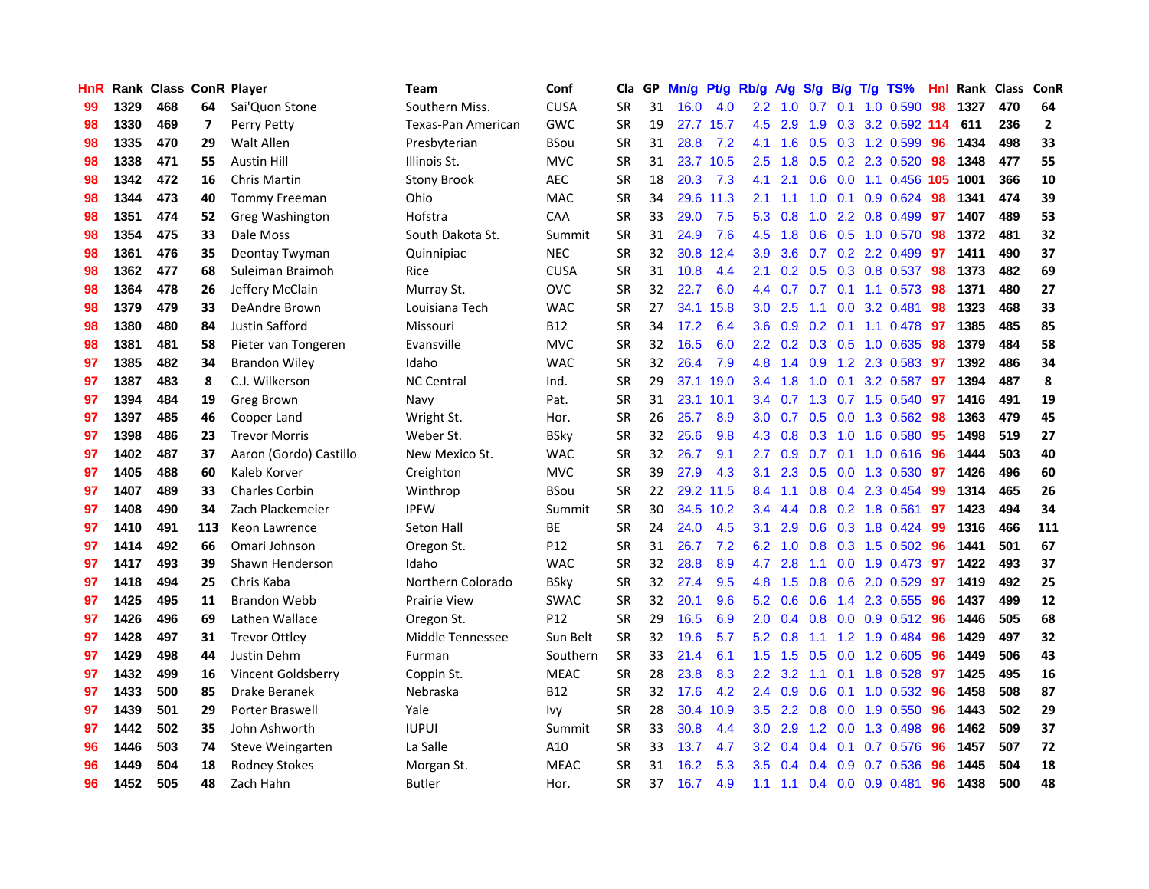| HnR |      | Rank Class ConR Player |                          |                        | Team                | Conf            | Cla       |    | GP Mn/g Pt/g Rb/g |           |                  | A/g             |               |                 | S/g B/g T/g TS%           | Hnl | Rank Class |     | ConR           |
|-----|------|------------------------|--------------------------|------------------------|---------------------|-----------------|-----------|----|-------------------|-----------|------------------|-----------------|---------------|-----------------|---------------------------|-----|------------|-----|----------------|
| 99  | 1329 | 468                    | 64                       | Sai'Quon Stone         | Southern Miss.      | <b>CUSA</b>     | <b>SR</b> | 31 | 16.0              | 4.0       | $2.2\,$          | 1.0             | 0.7           | 0.1             | 1.0 0.590                 | 98  | 1327       | 470 | 64             |
| 98  | 1330 | 469                    | $\overline{\phantom{a}}$ | Perry Petty            | Texas-Pan American  | <b>GWC</b>      | <b>SR</b> | 19 |                   | 27.7 15.7 | 4.5              | 2.9             | 1.9           | 0.3             | 3.2 0.592 114             |     | 611        | 236 | $\overline{2}$ |
| 98  | 1335 | 470                    | 29                       | Walt Allen             | Presbyterian        | <b>BSou</b>     | <b>SR</b> | 31 | 28.8              | 7.2       | 4.1              | 1.6             |               |                 | 0.5 0.3 1.2 0.599         | 96  | 1434       | 498 | 33             |
| 98  | 1338 | 471                    | 55                       | <b>Austin Hill</b>     | Illinois St.        | <b>MVC</b>      | <b>SR</b> | 31 |                   | 23.7 10.5 | 2.5              | 1.8             |               |                 | 0.5 0.2 2.3 0.520         | -98 | 1348       | 477 | 55             |
| 98  | 1342 | 472                    | 16                       | Chris Martin           | <b>Stony Brook</b>  | <b>AEC</b>      | <b>SR</b> | 18 | 20.3              | 7.3       | 4.1              | 2.1             |               |                 | 0.6 0.0 1.1 0.456 105     |     | 1001       | 366 | 10             |
| 98  | 1344 | 473                    | 40                       | <b>Tommy Freeman</b>   | Ohio                | <b>MAC</b>      | <b>SR</b> | 34 |                   | 29.6 11.3 | 2.1              | 1.1             |               |                 | 1.0 0.1 0.9 0.624         | 98  | 1341       | 474 | 39             |
| 98  | 1351 | 474                    | 52                       | Greg Washington        | Hofstra             | <b>CAA</b>      | <b>SR</b> | 33 | 29.0              | 7.5       | 5.3              | 0.8             |               |                 | 1.0 2.2 0.8 0.499         | 97  | 1407       | 489 | 53             |
| 98  | 1354 | 475                    | 33                       | Dale Moss              | South Dakota St.    | Summit          | <b>SR</b> | 31 | 24.9              | 7.6       | 4.5              | 1.8             |               |                 | 0.6 0.5 1.0 0.570         | 98  | 1372       | 481 | 32             |
| 98  | 1361 | 476                    | 35                       | Deontay Twyman         | Quinnipiac          | <b>NEC</b>      | <b>SR</b> | 32 | 30.8              | 12.4      | 3.9              | 3.6             |               |                 | 0.7 0.2 2.2 0.499         | 97  | 1411       | 490 | 37             |
| 98  | 1362 | 477                    | 68                       | Suleiman Braimoh       | Rice                | <b>CUSA</b>     | <b>SR</b> | 31 | 10.8              | 4.4       | 2.1              | 0.2             |               |                 | 0.5 0.3 0.8 0.537         | 98  | 1373       | 482 | 69             |
| 98  | 1364 | 478                    | 26                       | Jeffery McClain        | Murray St.          | OVC             | <b>SR</b> | 32 | 22.7              | 6.0       | 4.4              | 0.7             |               |                 | 0.7 0.1 1.1 0.573         | 98  | 1371       | 480 | 27             |
| 98  | 1379 | 479                    | 33                       | DeAndre Brown          | Louisiana Tech      | <b>WAC</b>      | <b>SR</b> | 27 |                   | 34.1 15.8 | 3.0 <sub>2</sub> | 2.5             | 1.1           | 0.0             | 3.2 0.481                 | 98  | 1323       | 468 | 33             |
| 98  | 1380 | 480                    | 84                       | Justin Safford         | Missouri            | B12             | <b>SR</b> | 34 | 17.2              | 6.4       | 3.6 <sup>°</sup> | 0.9             | 0.2           |                 | $0.1$ 1.1 0.478           | -97 | 1385       | 485 | 85             |
| 98  | 1381 | 481                    | 58                       | Pieter van Tongeren    | Evansville          | <b>MVC</b>      | <b>SR</b> | 32 | 16.5              | 6.0       | 2.2 <sub>2</sub> | 0.2             |               | $0.3 \quad 0.5$ | 1.0 0.635                 | 98  | 1379       | 484 | 58             |
| 97  | 1385 | 482                    | 34                       | <b>Brandon Wiley</b>   | Idaho               | <b>WAC</b>      | <b>SR</b> | 32 | 26.4              | 7.9       | 4.8              | 1.4             | 0.9           |                 | 1.2 2.3 0.583             | 97  | 1392       | 486 | 34             |
| 97  | 1387 | 483                    | 8                        | C.J. Wilkerson         | <b>NC Central</b>   | Ind.            | <b>SR</b> | 29 |                   | 37.1 19.0 |                  | $3.4$ 1.8       |               | $1.0 \quad 0.1$ | 3.2 0.587                 | -97 | 1394       | 487 | 8              |
| 97  | 1394 | 484                    | 19                       | Greg Brown             | Navy                | Pat.            | <b>SR</b> | 31 |                   | 23.1 10.1 |                  | 3.4 0.7         |               |                 | 1.3 0.7 1.5 0.540         | -97 | 1416       | 491 | 19             |
| 97  | 1397 | 485                    | 46                       | Cooper Land            | Wright St.          | Hor.            | <b>SR</b> | 26 | 25.7              | 8.9       |                  | $3.0 \quad 0.7$ |               |                 | 0.5 0.0 1.3 0.562         | -98 | 1363       | 479 | 45             |
| 97  | 1398 | 486                    | 23                       | <b>Trevor Morris</b>   | Weber St.           | <b>BSky</b>     | <b>SR</b> | 32 | 25.6              | 9.8       |                  | 4.3 0.8         |               |                 | $0.3$ 1.0 1.6 0.580       | -95 | 1498       | 519 | 27             |
| 97  | 1402 | 487                    | 37                       | Aaron (Gordo) Castillo | New Mexico St.      | <b>WAC</b>      | <b>SR</b> | 32 | 26.7              | 9.1       | $2.7^{\circ}$    | 0.9             |               |                 | $0.7$ $0.1$ $1.0$ $0.616$ | -96 | 1444       | 503 | 40             |
| 97  | 1405 | 488                    | 60                       | Kaleb Korver           | Creighton           | <b>MVC</b>      | <b>SR</b> | 39 | 27.9              | 4.3       | 3.1              | 2.3             |               |                 | 0.5 0.0 1.3 0.530         | 97  | 1426       | 496 | 60             |
| 97  | 1407 | 489                    | 33                       | <b>Charles Corbin</b>  | Winthrop            | <b>BSou</b>     | <b>SR</b> | 22 |                   | 29.2 11.5 | 8.4              | 1.1             |               |                 | 0.8 0.4 2.3 0.454         | 99  | 1314       | 465 | 26             |
| 97  | 1408 | 490                    | 34                       | Zach Plackemeier       | <b>IPFW</b>         | Summit          | <b>SR</b> | 30 |                   | 34.5 10.2 | 3.4              | 4.4             |               |                 | 0.8 0.2 1.8 0.561         | 97  | 1423       | 494 | 34             |
| 97  | 1410 | 491                    | 113                      | Keon Lawrence          | Seton Hall          | BE              | <b>SR</b> | 24 | 24.0              | 4.5       | 3.1              | 2.9             | 0.6           |                 | 0.3 1.8 0.424             | -99 | 1316       | 466 | 111            |
| 97  | 1414 | 492                    | 66                       | Omari Johnson          | Oregon St.          | P12             | <b>SR</b> | 31 | 26.7              | 7.2       | 6.2              | 1.0             |               |                 | 0.8 0.3 1.5 0.502         | 96  | 1441       | 501 | 67             |
| 97  | 1417 | 493                    | 39                       | Shawn Henderson        | Idaho               | <b>WAC</b>      | <b>SR</b> | 32 | 28.8              | 8.9       | 4.7              | 2.8             | 1.1           | 0.0             | 1.9 0.473                 | -97 | 1422       | 493 | 37             |
| 97  | 1418 | 494                    | 25                       | Chris Kaba             | Northern Colorado   | <b>BSkv</b>     | <b>SR</b> | 32 | 27.4              | 9.5       | 4.8              | 1.5             | 0.8           | 0.6             | 2.0 0.529                 | 97  | 1419       | 492 | 25             |
| 97  | 1425 | 495                    | 11                       | <b>Brandon Webb</b>    | <b>Prairie View</b> | <b>SWAC</b>     | <b>SR</b> | 32 | 20.1              | 9.6       | 5.2              | 0.6             | 0.6           | 1.4             | 2.3 0.555                 | 96  | 1437       | 499 | ${\bf 12}$     |
| 97  | 1426 | 496                    | 69                       | Lathen Wallace         | Oregon St.          | P <sub>12</sub> | <b>SR</b> | 29 | 16.5              | 6.9       | 2.0              | 0.4             | 0.8           |                 | $0.0$ $0.9$ $0.512$       | -96 | 1446       | 505 | 68             |
| 97  | 1428 | 497                    | 31                       | <b>Trevor Ottley</b>   | Middle Tennessee    | Sun Belt        | <b>SR</b> | 32 | 19.6              | 5.7       |                  | $5.2 \quad 0.8$ | 1.1           |                 | 1.2 1.9 0.484             | -96 | 1429       | 497 | 32             |
| 97  | 1429 | 498                    | 44                       | Justin Dehm            | Furman              | Southern        | <b>SR</b> | 33 | 21.4              | 6.1       | 1.5              | 1.5             |               |                 | $0.5$ $0.0$ 1.2 $0.605$   | 96  | 1449       | 506 | 43             |
| 97  | 1432 | 499                    | 16                       | Vincent Goldsberry     | Coppin St.          | <b>MEAC</b>     | <b>SR</b> | 28 | 23.8              | 8.3       | $2.2\phantom{0}$ | 3.2             |               |                 | 1.1 0.1 1.8 0.528         | -97 | 1425       | 495 | 16             |
| 97  | 1433 | 500                    | 85                       | Drake Beranek          | Nebraska            | <b>B12</b>      | <b>SR</b> | 32 | 17.6              | 4.2       | 2.4              | 0.9             | 0.6           |                 | 0.1 1.0 0.532             | 96  | 1458       | 508 | 87             |
| 97  | 1439 | 501                    | 29                       | Porter Braswell        | Yale                | Ivy             | <b>SR</b> | 28 |                   | 30.4 10.9 | $3.5^{\circ}$    | 2.2             | 0.8           |                 | 0.0 1.9 0.550             | 96  | 1443       | 502 | 29             |
| 97  | 1442 | 502                    | 35                       | John Ashworth          | <b>IUPUI</b>        | Summit          | <b>SR</b> | 33 | 30.8              | 4.4       | 3.0              | 2.9             | 1.2           | 0.0             | 1.3 0.498                 | 96  | 1462       | 509 | 37             |
| 96  | 1446 | 503                    | 74                       | Steve Weingarten       | La Salle            | A10             | <b>SR</b> | 33 | 13.7              | 4.7       | $3.2\phantom{0}$ | 0.4             | $0.4^{\circ}$ | 0.1             | 0.7 0.576                 | 96  | 1457       | 507 | 72             |
| 96  | 1449 | 504                    | 18                       | <b>Rodney Stokes</b>   | Morgan St.          | <b>MEAC</b>     | <b>SR</b> | 31 | 16.2              | 5.3       | 3.5              | 0.4             | $0.4^{\circ}$ | 0.9             | 0.7 0.536                 | 96  | 1445       | 504 | 18             |
| 96  | 1452 | 505                    | 48                       | Zach Hahn              | <b>Butler</b>       | Hor.            | <b>SR</b> | 37 | 16.7              | 4.9       | 1.1              | 1.1             |               |                 | 0.4 0.0 0.9 0.481         | 96  | 1438       | 500 | 48             |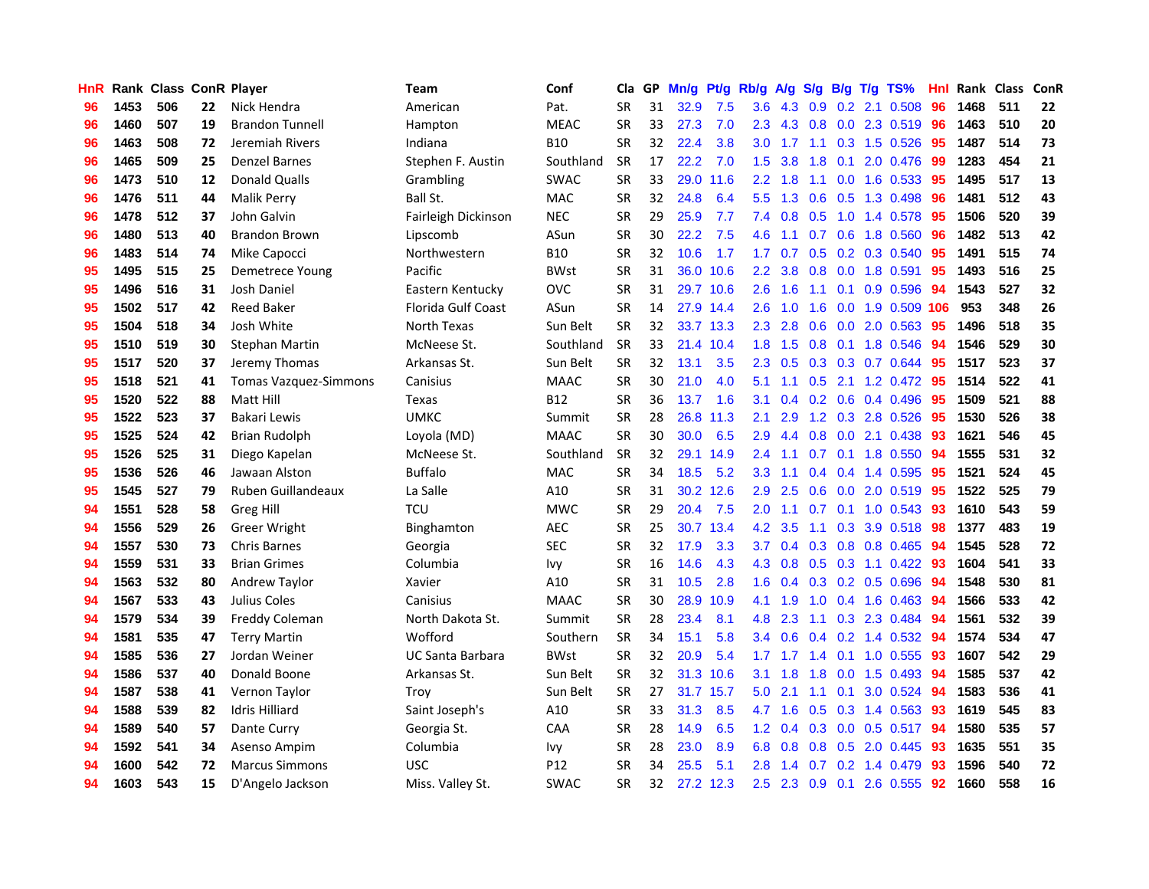| HnR |      | Rank Class ConR Player |    |                              | <b>Team</b>             | Conf            | Cla       | GP | Mn/g Pt/g Rb/g A/g S/g |           |                  |                                       |     |                  | B/g T/g TS%               | Hnl | Rank Class |     | ConR |
|-----|------|------------------------|----|------------------------------|-------------------------|-----------------|-----------|----|------------------------|-----------|------------------|---------------------------------------|-----|------------------|---------------------------|-----|------------|-----|------|
| 96  | 1453 | 506                    | 22 | Nick Hendra                  | American                | Pat.            | <b>SR</b> | 31 | 32.9                   | 7.5       | 3.6              | 4.3                                   | 0.9 | 0.2              | 2.1 0.508                 | 96  | 1468       | 511 | 22   |
| 96  | 1460 | 507                    | 19 | <b>Brandon Tunnell</b>       | Hampton                 | <b>MEAC</b>     | <b>SR</b> | 33 | 27.3                   | 7.0       | 2.3              | 4.3                                   | 0.8 | 0.0              | 2.3 0.519                 | 96  | 1463       | 510 | 20   |
| 96  | 1463 | 508                    | 72 | Jeremiah Rivers              | Indiana                 | <b>B10</b>      | <b>SR</b> | 32 | 22.4                   | 3.8       | 3.0              | 1.7                                   | 1.1 | 0.3              | 1.5 0.526                 | 95  | 1487       | 514 | 73   |
| 96  | 1465 | 509                    | 25 | <b>Denzel Barnes</b>         | Stephen F. Austin       | Southland       | <b>SR</b> | 17 | 22.2                   | 7.0       | 1.5              | 3.8                                   | 1.8 | 0.1              | 2.0 0.476                 | -99 | 1283       | 454 | 21   |
| 96  | 1473 | 510                    | 12 | <b>Donald Qualls</b>         | Grambling               | <b>SWAC</b>     | <b>SR</b> | 33 |                        | 29.0 11.6 | 2.2 <sub>2</sub> | 1.8                                   | 1.1 |                  | $0.0$ 1.6 $0.533$         | -95 | 1495       | 517 | 13   |
| 96  | 1476 | 511                    | 44 | <b>Malik Perry</b>           | Ball St.                | <b>MAC</b>      | <b>SR</b> | 32 | 24.8                   | 6.4       | $5.5^{\circ}$    | 1.3                                   |     |                  | $0.6$ $0.5$ 1.3 0.498     | 96  | 1481       | 512 | 43   |
| 96  | 1478 | 512                    | 37 | John Galvin                  | Fairleigh Dickinson     | <b>NEC</b>      | <b>SR</b> | 29 | 25.9                   | 7.7       | 7.4              | 0.8                                   | 0.5 |                  | 1.0 1.4 0.578             | 95  | 1506       | 520 | 39   |
| 96  | 1480 | 513                    | 40 | <b>Brandon Brown</b>         | Lipscomb                | ASun            | <b>SR</b> | 30 | 22.2                   | 7.5       | 4.6              | 1.1                                   | 0.7 |                  | 0.6 1.8 0.560             | 96  | 1482       | 513 | 42   |
| 96  | 1483 | 514                    | 74 | Mike Capocci                 | Northwestern            | <b>B10</b>      | <b>SR</b> | 32 | 10.6                   | 1.7       | 1.7              | 0.7                                   |     |                  | 0.5 0.2 0.3 0.540         | 95  | 1491       | 515 | 74   |
| 95  | 1495 | 515                    | 25 | Demetrece Young              | Pacific                 | <b>BWst</b>     | <b>SR</b> | 31 |                        | 36.0 10.6 | $2.2\phantom{0}$ | 3.8                                   | 0.8 | 0.0              | 1.8 0.591                 | 95  | 1493       | 516 | 25   |
| 95  | 1496 | 516                    | 31 | Josh Daniel                  | Eastern Kentucky        | <b>OVC</b>      | <b>SR</b> | 31 |                        | 29.7 10.6 | 2.6              | 1.6                                   | 1.1 | 0.1              | 0.9 0.596                 | 94  | 1543       | 527 | 32   |
| 95  | 1502 | 517                    | 42 | <b>Reed Baker</b>            | Florida Gulf Coast      | ASun            | <b>SR</b> | 14 |                        | 27.9 14.4 | 2.6              | 1.0                                   | 1.6 | 0.0              | 1.9 0.509 106             |     | 953        | 348 | 26   |
| 95  | 1504 | 518                    | 34 | Josh White                   | North Texas             | Sun Belt        | <b>SR</b> | 32 |                        | 33.7 13.3 | 2.3              | 2.8                                   | 0.6 | 0.0              | 2.0 0.563                 | 95  | 1496       | 518 | 35   |
| 95  | 1510 | 519                    | 30 | <b>Stephan Martin</b>        | McNeese St.             | Southland       | <b>SR</b> | 33 |                        | 21.4 10.4 | 1.8              | 1.5                                   | 0.8 |                  | 0.1 1.8 0.546             | 94  | 1546       | 529 | 30   |
| 95  | 1517 | 520                    | 37 | Jeremy Thomas                | Arkansas St.            | Sun Belt        | <b>SR</b> | 32 | 13.1                   | 3.5       | 2.3              | 0.5                                   | 0.3 | 0.3              | 0.7 0.644                 | 95  | 1517       | 523 | 37   |
| 95  | 1518 | 521                    | 41 | <b>Tomas Vazquez-Simmons</b> | Canisius                | <b>MAAC</b>     | <b>SR</b> | 30 | 21.0                   | 4.0       | 5.1              | 1.1                                   | 0.5 |                  | 2.1 1.2 0.472             | -95 | 1514       | 522 | 41   |
| 95  | 1520 | 522                    | 88 | Matt Hill                    | Texas                   | <b>B12</b>      | <b>SR</b> | 36 | 13.7                   | 1.6       | 3.1              | $0.4^{\circ}$                         |     |                  | $0.2$ 0.6 0.4 0.496       | -95 | 1509       | 521 | 88   |
| 95  | 1522 | 523                    | 37 | <b>Bakari Lewis</b>          | <b>UMKC</b>             | Summit          | <b>SR</b> | 28 |                        | 26.8 11.3 | 2.1              | 2.9                                   |     |                  | 1.2 0.3 2.8 0.526         | 95  | 1530       | 526 | 38   |
| 95  | 1525 | 524                    | 42 | <b>Brian Rudolph</b>         | Loyola (MD)             | <b>MAAC</b>     | <b>SR</b> | 30 | 30.0                   | 6.5       | 2.9              | 4.4                                   |     |                  | 0.8 0.0 2.1 0.438         | 93  | 1621       | 546 | 45   |
| 95  | 1526 | 525                    | 31 | Diego Kapelan                | McNeese St.             | Southland       | <b>SR</b> | 32 |                        | 29.1 14.9 | 2.4              | 1.1                                   |     |                  | $0.7$ 0.1 1.8 0.550       | 94  | 1555       | 531 | 32   |
| 95  | 1536 | 526                    | 46 | Jawaan Alston                | <b>Buffalo</b>          | <b>MAC</b>      | <b>SR</b> | 34 | 18.5                   | 5.2       | 3.3              | 1.1                                   |     |                  | $0.4$ 0.4 1.4 0.595       | 95  | 1521       | 524 | 45   |
| 95  | 1545 | 527                    | 79 | Ruben Guillandeaux           | La Salle                | A10             | <b>SR</b> | 31 |                        | 30.2 12.6 | 2.9              | 2.5                                   |     |                  | 0.6 0.0 2.0 0.519         | 95  | 1522       | 525 | 79   |
| 94  | 1551 | 528                    | 58 | <b>Greg Hill</b>             | <b>TCU</b>              | <b>MWC</b>      | <b>SR</b> | 29 | 20.4                   | 7.5       | 2.0              | 1.1                                   | 0.7 |                  | $0.1$ 1.0 0.543           | 93  | 1610       | 543 | 59   |
| 94  | 1556 | 529                    | 26 | <b>Greer Wright</b>          | Binghamton              | AEC             | <b>SR</b> | 25 |                        | 30.7 13.4 | 4.2              | 3.5                                   | 1.1 |                  | 0.3 3.9 0.518             | 98  | 1377       | 483 | 19   |
| 94  | 1557 | 530                    | 73 | <b>Chris Barnes</b>          | Georgia                 | <b>SEC</b>      | <b>SR</b> | 32 | 17.9                   | 3.3       | 3.7              | 0.4                                   |     |                  | 0.3 0.8 0.8 0.465         | 94  | 1545       | 528 | 72   |
| 94  | 1559 | 531                    | 33 | <b>Brian Grimes</b>          | Columbia                | lvy             | <b>SR</b> | 16 | 14.6                   | 4.3       | 4.3              | 0.8                                   |     |                  | $0.5$ $0.3$ 1.1 $0.422$   | 93  | 1604       | 541 | 33   |
| 94  | 1563 | 532                    | 80 | Andrew Taylor                | Xavier                  | A10             | <b>SR</b> | 31 | 10.5                   | 2.8       | 1.6              | 0.4                                   |     |                  | $0.3$ $0.2$ $0.5$ $0.696$ | 94  | 1548       | 530 | 81   |
| 94  | 1567 | 533                    | 43 | Julius Coles                 | Canisius                | <b>MAAC</b>     | <b>SR</b> | 30 | 28.9                   | 10.9      | 4.1              | 1.9                                   | 1.0 |                  | 0.4 1.6 0.463             | -94 | 1566       | 533 | 42   |
| 94  | 1579 | 534                    | 39 | Freddy Coleman               | North Dakota St.        | Summit          | <b>SR</b> | 28 | 23.4                   | 8.1       | 4.8              | 2.3                                   | 1.1 | 0.3              | 2.3 0.484                 | 94  | 1561       | 532 | 39   |
| 94  | 1581 | 535                    | 47 | <b>Terry Martin</b>          | Wofford                 | Southern        | <b>SR</b> | 34 | 15.1                   | 5.8       | 3.4              | 0.6                                   |     |                  | $0.4$ 0.2 1.4 0.532       | 94  | 1574       | 534 | 47   |
| 94  | 1585 | 536                    | 27 | Jordan Weiner                | <b>UC Santa Barbara</b> | <b>BWst</b>     | <b>SR</b> | 32 | 20.9                   | 5.4       |                  | $1.7$ 1.7                             |     |                  | 1.4 0.1 1.0 0.555         | -93 | 1607       | 542 | 29   |
| 94  | 1586 | 537                    | 40 | Donald Boone                 | Arkansas St.            | Sun Belt        | <b>SR</b> | 32 |                        | 31.3 10.6 | 3.1              | 1.8                                   |     |                  | 1.8 0.0 1.5 0.493         | 94  | 1585       | 537 | 42   |
| 94  | 1587 | 538                    | 41 | Vernon Taylor                | Trov                    | Sun Belt        | <b>SR</b> | 27 |                        | 31.7 15.7 | 5.0              | 2.1                                   | 1.1 |                  | 0.1 3.0 0.524             | 94  | 1583       | 536 | 41   |
| 94  | 1588 | 539                    | 82 | <b>Idris Hilliard</b>        | Saint Joseph's          | A10             | <b>SR</b> | 33 | 31.3                   | 8.5       | 4.7              | 1.6                                   |     |                  | $0.5$ $0.3$ 1.4 $0.563$   | 93  | 1619       | 545 | 83   |
| 94  | 1589 | 540                    | 57 | Dante Curry                  | Georgia St.             | CAA             | <b>SR</b> | 28 | 14.9                   | 6.5       | 1.2              | 0.4                                   |     |                  | 0.3 0.0 0.5 0.517         | 94  | 1580       | 535 | 57   |
| 94  | 1592 | 541                    | 34 | Asenso Ampim                 | Columbia                | Ivy             | <b>SR</b> | 28 | 23.0                   | 8.9       | 6.8              | 0.8                                   | 0.8 | 0.5              | 2.0 0.445                 | 93  | 1635       | 551 | 35   |
| 94  | 1600 | 542                    | 72 | <b>Marcus Simmons</b>        | <b>USC</b>              | P <sub>12</sub> | <b>SR</b> | 34 | 25.5                   | 5.1       | 2.8              | $\blacktriangleleft$<br>$\mathcal{A}$ | 0.7 | 0.2 <sub>0</sub> | 1.4 0.479                 | 93  | 1596       | 540 | 72   |
| 94  | 1603 | 543                    | 15 | D'Angelo Jackson             | Miss. Valley St.        | SWAC            | <b>SR</b> | 32 |                        | 27.2 12.3 | 2.5              | 2.3                                   |     |                  | 0.9 0.1 2.6 0.555         | 92  | 1660       | 558 | 16   |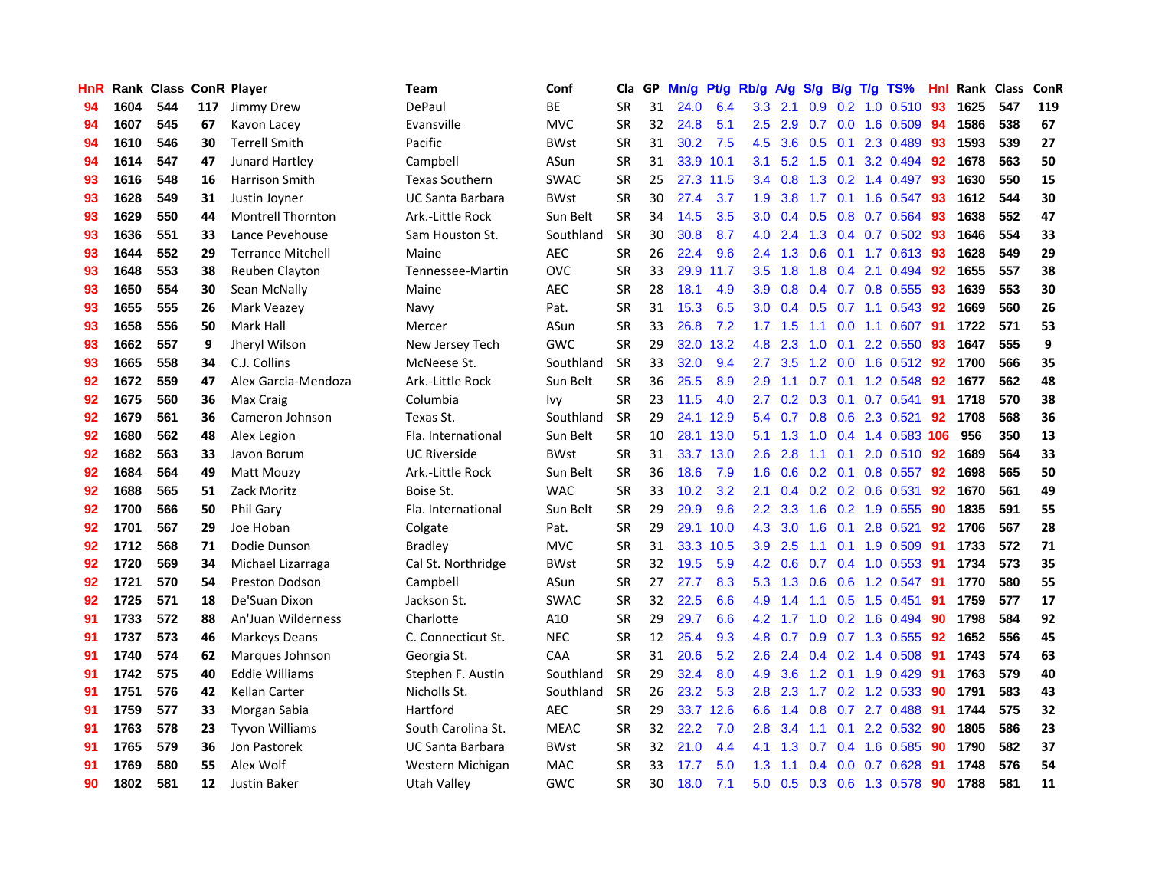| HnR |      | Rank Class ConR Player |     |                          | <b>Team</b>           | Conf        | Cla       |    | GP Mn/g Pt/g Rb/g A/g S/g B/g T/g TS% |           |                  |                 |               |                 |                       | Hnl | Rank Class |     | ConR |
|-----|------|------------------------|-----|--------------------------|-----------------------|-------------|-----------|----|---------------------------------------|-----------|------------------|-----------------|---------------|-----------------|-----------------------|-----|------------|-----|------|
| 94  | 1604 | 544                    | 117 | Jimmy Drew               | DePaul                | ВE          | <b>SR</b> | 31 | 24.0                                  | 6.4       | 3.3              | 2.1             | 0.9           | 0.2             | 1.0 0.510             | 93  | 1625       | 547 | 119  |
| 94  | 1607 | 545                    | 67  | Kavon Lacey              | Evansville            | <b>MVC</b>  | <b>SR</b> | 32 | 24.8                                  | 5.1       | $2.5\,$          | 2.9             | 0.7           | 0.0             | 1.6 0.509             | 94  | 1586       | 538 | 67   |
| 94  | 1610 | 546                    | 30  | <b>Terrell Smith</b>     | Pacific               | <b>BWst</b> | <b>SR</b> | 31 | 30.2                                  | 7.5       | 4.5              | 3.6             |               | $0.5 \quad 0.1$ | 2.3 0.489             | -93 | 1593       | 539 | 27   |
| 94  | 1614 | 547                    | 47  | Junard Hartley           | Campbell              | ASun        | <b>SR</b> | 31 |                                       | 33.9 10.1 | 3.1              | 5.2             | $1.5$ 0.1     |                 | 3.2 0.494             | 92  | 1678       | 563 | 50   |
| 93  | 1616 | 548                    | 16  | Harrison Smith           | <b>Texas Southern</b> | <b>SWAC</b> | <b>SR</b> | 25 |                                       | 27.3 11.5 | $3.4^{\circ}$    | 0.8             |               |                 | 1.3 0.2 1.4 0.497     | 93  | 1630       | 550 | 15   |
| 93  | 1628 | 549                    | 31  | Justin Joyner            | UC Santa Barbara      | <b>BWst</b> | <b>SR</b> | 30 | 27.4                                  | 3.7       | 1.9 <sup>°</sup> | 3.8             |               |                 | 1.7 0.1 1.6 0.547     | 93  | 1612       | 544 | 30   |
| 93  | 1629 | 550                    | 44  | <b>Montrell Thornton</b> | Ark.-Little Rock      | Sun Belt    | <b>SR</b> | 34 | 14.5                                  | 3.5       | 3.0 <sub>1</sub> | 0.4             |               |                 | 0.5 0.8 0.7 0.564     | 93  | 1638       | 552 | 47   |
| 93  | 1636 | 551                    | 33  | Lance Pevehouse          | Sam Houston St.       | Southland   | <b>SR</b> | 30 | 30.8                                  | 8.7       | 4.0              | 2.4             |               |                 | 1.3 0.4 0.7 0.502     | 93  | 1646       | 554 | 33   |
| 93  | 1644 | 552                    | 29  | <b>Terrance Mitchell</b> | Maine                 | <b>AEC</b>  | <b>SR</b> | 26 | 22.4                                  | 9.6       | 2.4              | 1.3             |               |                 | 0.6 0.1 1.7 0.613     | 93  | 1628       | 549 | 29   |
| 93  | 1648 | 553                    | 38  | Reuben Clayton           | Tennessee-Martin      | <b>OVC</b>  | <b>SR</b> | 33 | 29.9                                  | 11.7      | 3.5              | 1.8             | 1.8           |                 | 0.4 2.1 0.494         | 92  | 1655       | 557 | 38   |
| 93  | 1650 | 554                    | 30  | Sean McNally             | Maine                 | AEC         | <b>SR</b> | 28 | 18.1                                  | 4.9       | 3.9              | 0.8             |               |                 | $0.4$ 0.7 0.8 0.555   | 93  | 1639       | 553 | 30   |
| 93  | 1655 | 555                    | 26  | Mark Veazey              | Navy                  | Pat.        | <b>SR</b> | 31 | 15.3                                  | 6.5       | 3.0 <sub>2</sub> | 0.4             |               |                 | $0.5$ 0.7 1.1 0.543   | 92  | 1669       | 560 | 26   |
| 93  | 1658 | 556                    | 50  | <b>Mark Hall</b>         | Mercer                | ASun        | <b>SR</b> | 33 | 26.8                                  | 7.2       | 1.7              | 1.5             | 1.1           | 0.0             | 1.1 0.607             | 91  | 1722       | 571 | 53   |
| 93  | 1662 | 557                    | 9   | Jheryl Wilson            | New Jersey Tech       | <b>GWC</b>  | <b>SR</b> | 29 |                                       | 32.0 13.2 | 4.8              | 2.3             | 1.0           | 0.1             | 2.2 0.550             | 93  | 1647       | 555 | 9    |
| 93  | 1665 | 558                    | 34  | C.J. Collins             | McNeese St.           | Southland   | <b>SR</b> | 33 | 32.0                                  | 9.4       | 2.7              | 3.5             | $1.2^{\circ}$ | 0.0             | 1.6 0.512             | 92  | 1700       | 566 | 35   |
| 92  | 1672 | 559                    | 47  | Alex Garcia-Mendoza      | Ark.-Little Rock      | Sun Belt    | <b>SR</b> | 36 | 25.5                                  | 8.9       | 2.9              | 1.1             | 0.7           | 0.1             | 1.2 0.548             | 92  | 1677       | 562 | 48   |
| 92  | 1675 | 560                    | 36  | Max Craig                | Columbia              | Ivy         | <b>SR</b> | 23 | 11.5                                  | 4.0       | $2.7^{\circ}$    | 0.2             |               | $0.3 \quad 0.1$ | $0.7$ 0.541           | 91  | 1718       | 570 | 38   |
| 92  | 1679 | 561                    | 36  | Cameron Johnson          | Texas St.             | Southland   | <b>SR</b> | 29 |                                       | 24.1 12.9 |                  | 5.4 0.7         |               |                 | 0.8 0.6 2.3 0.521     | 92  | 1708       | 568 | 36   |
| 92  | 1680 | 562                    | 48  | Alex Legion              | Fla. International    | Sun Belt    | <b>SR</b> | 10 |                                       | 28.1 13.0 |                  | $5.1 \quad 1.3$ |               |                 | 1.0 0.4 1.4 0.583 106 |     | 956        | 350 | 13   |
| 92  | 1682 | 563                    | 33  | Javon Borum              | <b>UC Riverside</b>   | <b>BWst</b> | <b>SR</b> | 31 |                                       | 33.7 13.0 |                  | $2.6$ 2.8       |               |                 | 1.1 0.1 2.0 0.510 92  |     | 1689       | 564 | 33   |
| 92  | 1684 | 564                    | 49  | <b>Matt Mouzy</b>        | Ark.-Little Rock      | Sun Belt    | <b>SR</b> | 36 | 18.6                                  | 7.9       | 1.6              | 0.6             |               |                 | $0.2$ 0.1 0.8 0.557   | 92  | 1698       | 565 | 50   |
| 92  | 1688 | 565                    | 51  | Zack Moritz              | Boise St.             | <b>WAC</b>  | <b>SR</b> | 33 | 10.2                                  | 3.2       | 2.1              | 0.4             |               |                 | $0.2$ 0.2 0.6 0.531   | 92  | 1670       | 561 | 49   |
| 92  | 1700 | 566                    | 50  | Phil Gary                | Fla. International    | Sun Belt    | <b>SR</b> | 29 | 29.9                                  | 9.6       | 2.2 <sub>2</sub> | 3.3             |               |                 | 1.6 0.2 1.9 0.555     | 90  | 1835       | 591 | 55   |
| 92  | 1701 | 567                    | 29  | Joe Hoban                | Colgate               | Pat.        | <b>SR</b> | 29 |                                       | 29.1 10.0 | 4.3              | 3.0             | 1.6           |                 | $0.1$ 2.8 $0.521$     | 92  | 1706       | 567 | 28   |
| 92  | 1712 | 568                    | 71  | Dodie Dunson             | <b>Bradley</b>        | <b>MVC</b>  | <b>SR</b> | 31 |                                       | 33.3 10.5 | 3.9              | 2.5             | 1.1           |                 | $0.1$ 1.9 $0.509$     | -91 | 1733       | 572 | 71   |
| 92  | 1720 | 569                    | 34  | Michael Lizarraga        | Cal St. Northridge    | <b>BWst</b> | <b>SR</b> | 32 | 19.5                                  | 5.9       | 4.2              | 0.6             | 0.7           |                 | 0.4 1.0 0.553         | 91  | 1734       | 573 | 35   |
| 92  | 1721 | 570                    | 54  | <b>Preston Dodson</b>    | Campbell              | ASun        | <b>SR</b> | 27 | 27.7                                  | 8.3       | 5.3              | 1.3             | 0.6           | 0.6             | 1.2 0.547             | 91  | 1770       | 580 | 55   |
| 92  | 1725 | 571                    | 18  | De'Suan Dixon            | Jackson St.           | <b>SWAC</b> | <b>SR</b> | 32 | 22.5                                  | 6.6       | 4.9              | 1.4             | 1.1           |                 | $0.5$ 1.5 0.451       | -91 | 1759       | 577 | 17   |
| 91  | 1733 | 572                    | 88  | An'Juan Wilderness       | Charlotte             | A10         | <b>SR</b> | 29 | 29.7                                  | 6.6       | 4.2              | 1.7             | 1.0           | 0.2             | 1.6 0.494             | -90 | 1798       | 584 | 92   |
| 91  | 1737 | 573                    | 46  | <b>Markeys Deans</b>     | C. Connecticut St.    | <b>NEC</b>  | <b>SR</b> | 12 | 25.4                                  | 9.3       | 4.8              | 0.7             |               |                 | 0.9 0.7 1.3 0.555     | 92  | 1652       | 556 | 45   |
| 91  | 1740 | 574                    | 62  | Marques Johnson          | Georgia St.           | CAA         | <b>SR</b> | 31 | 20.6                                  | 5.2       | 2.6              | 2.4             |               |                 | 0.4 0.2 1.4 0.508     | 91  | 1743       | 574 | 63   |
| 91  | 1742 | 575                    | 40  | <b>Eddie Williams</b>    | Stephen F. Austin     | Southland   | <b>SR</b> | 29 | 32.4                                  | 8.0       | 4.9              | 3.6             |               |                 | 1.2 0.1 1.9 0.429     | -91 | 1763       | 579 | 40   |
| 91  | 1751 | 576                    | 42  | Kellan Carter            | Nicholls St.          | Southland   | <b>SR</b> | 26 | 23.2                                  | 5.3       | 2.8 <sup>°</sup> | 2.3             |               |                 | 1.7 0.2 1.2 0.533     | 90  | 1791       | 583 | 43   |
| 91  | 1759 | 577                    | 33  | Morgan Sabia             | Hartford              | <b>AEC</b>  | <b>SR</b> | 29 |                                       | 33.7 12.6 | 6.6              | 1.4             |               |                 | 0.8 0.7 2.7 0.488     | -91 | 1744       | 575 | 32   |
| 91  | 1763 | 578                    | 23  | <b>Tyvon Williams</b>    | South Carolina St.    | <b>MEAC</b> | <b>SR</b> | 32 | 22.2                                  | 7.0       | 2.8              | 3.4             | 1.1           |                 | $0.1$ 2.2 $0.532$     | 90  | 1805       | 586 | 23   |
| 91  | 1765 | 579                    | 36  | Jon Pastorek             | UC Santa Barbara      | <b>BWst</b> | <b>SR</b> | 32 | 21.0                                  | 4.4       | 4.1              | 1.3             | 0.7           | 0.4             | 1.6 0.585             | 90  | 1790       | 582 | 37   |
| 91  | 1769 | 580                    | 55  | Alex Wolf                | Western Michigan      | <b>MAC</b>  | <b>SR</b> | 33 | 17.7                                  | 5.0       | 1.3              | 1.1             | $0.4^{\circ}$ | 0.0             | $0.7$ 0.628           | 91  | 1748       | 576 | 54   |
| 90  | 1802 | 581                    | 12  | Justin Baker             | Utah Valley           | <b>GWC</b>  | <b>SR</b> | 30 | 18.0                                  | 7.1       | 5.0              | 0.5             |               |                 | 0.3 0.6 1.3 0.578     | 90  | 1788       | 581 | 11   |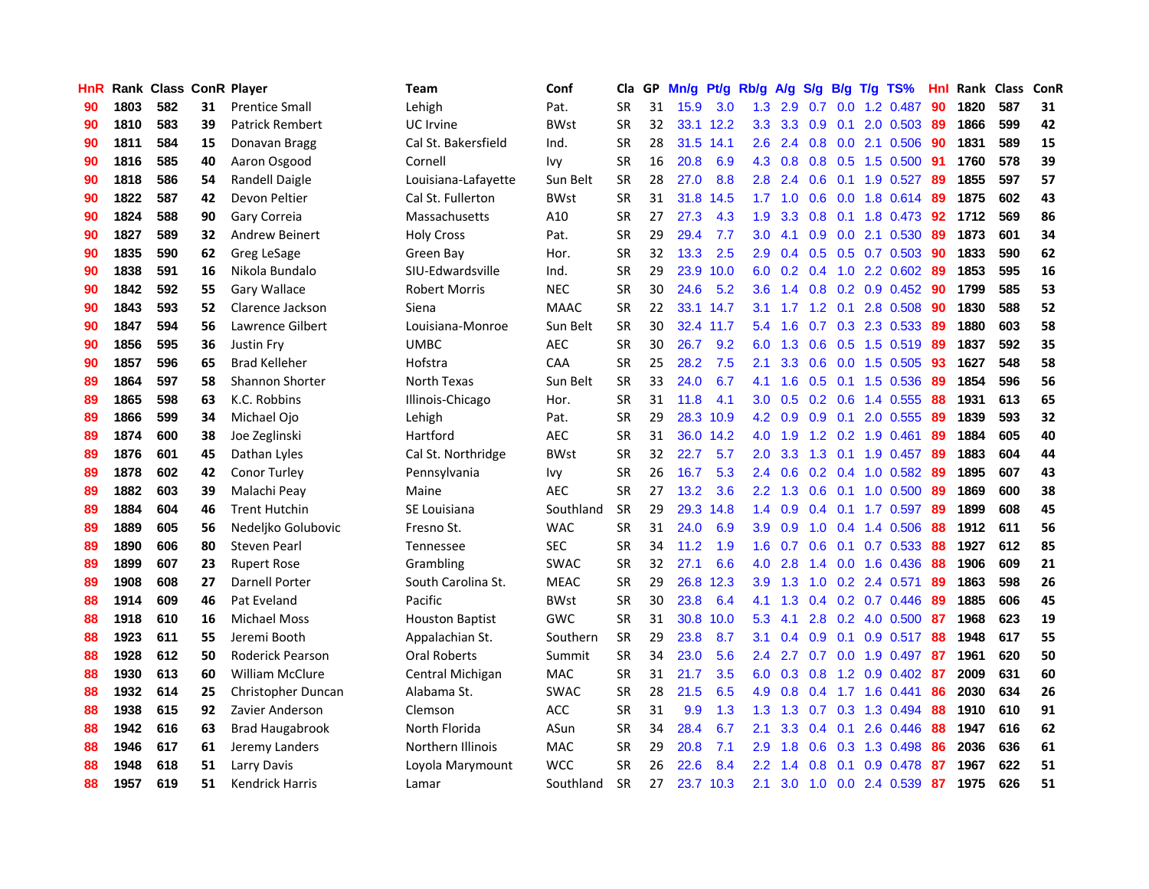| HnR |      | Rank Class ConR Player |    |                         | <b>Team</b>            | Conf        | Cla       |    | GP Mn/g Pt/g Rb/g |           |                  | A/g                            |     |                 | S/g B/g T/g TS%         | Hnl | Rank Class |     | ConR |
|-----|------|------------------------|----|-------------------------|------------------------|-------------|-----------|----|-------------------|-----------|------------------|--------------------------------|-----|-----------------|-------------------------|-----|------------|-----|------|
| 90  | 1803 | 582                    | 31 | <b>Prentice Small</b>   | Lehigh                 | Pat.        | <b>SR</b> | 31 | 15.9              | 3.0       | 1.3              | 2.9                            | 0.7 | 0.0             | 1.2 0.487               | 90  | 1820       | 587 | 31   |
| 90  | 1810 | 583                    | 39 | Patrick Rembert         | <b>UC</b> Irvine       | <b>BWst</b> | <b>SR</b> | 32 |                   | 33.1 12.2 | 3.3              | 3.3                            | 0.9 | 0.1             | 2.0 0.503               | -89 | 1866       | 599 | 42   |
| 90  | 1811 | 584                    | 15 | Donavan Bragg           | Cal St. Bakersfield    | Ind.        | <b>SR</b> | 28 |                   | 31.5 14.1 | 2.6              | 2.4                            | 0.8 | 0.0             | 2.1 0.506               | 90  | 1831       | 589 | 15   |
| 90  | 1816 | 585                    | 40 | Aaron Osgood            | Cornell                | Ivy         | <b>SR</b> | 16 | 20.8              | 6.9       | 4.3              | 0.8                            |     |                 | 0.8 0.5 1.5 0.500       | -91 | 1760       | 578 | 39   |
| 90  | 1818 | 586                    | 54 | Randell Daigle          | Louisiana-Lafayette    | Sun Belt    | <b>SR</b> | 28 | 27.0              | 8.8       | 2.8              | 2.4                            |     |                 | $0.6$ 0.1 1.9 0.527     | -89 | 1855       | 597 | 57   |
| 90  | 1822 | 587                    | 42 | Devon Peltier           | Cal St. Fullerton      | <b>BWst</b> | <b>SR</b> | 31 | 31.8              | 14.5      | 1.7 <sub>z</sub> | 1.0                            |     |                 | $0.6$ $0.0$ 1.8 $0.614$ | -89 | 1875       | 602 | 43   |
| 90  | 1824 | 588                    | 90 | Gary Correia            | Massachusetts          | A10         | <b>SR</b> | 27 | 27.3              | 4.3       | 1.9              | 3.3                            |     |                 | 0.8 0.1 1.8 0.473       | 92  | 1712       | 569 | 86   |
| 90  | 1827 | 589                    | 32 | Andrew Beinert          | <b>Holy Cross</b>      | Pat.        | <b>SR</b> | 29 | 29.4              | 7.7       | 3.0              | 4.1                            |     |                 | 0.9 0.0 2.1 0.530       | 89  | 1873       | 601 | 34   |
| 90  | 1835 | 590                    | 62 | Greg LeSage             | Green Bay              | Hor.        | <b>SR</b> | 32 | 13.3              | 2.5       | 2.9              | 0.4                            |     |                 | 0.5 0.5 0.7 0.503       | 90  | 1833       | 590 | 62   |
| 90  | 1838 | 591                    | 16 | Nikola Bundalo          | SIU-Edwardsville       | Ind.        | <b>SR</b> | 29 | 23.9              | 10.0      | 6.0              | 0.2                            | 0.4 |                 | 1.0 2.2 0.602           | 89  | 1853       | 595 | 16   |
| 90  | 1842 | 592                    | 55 | Gary Wallace            | Robert Morris          | <b>NEC</b>  | <b>SR</b> | 30 | 24.6              | 5.2       | 3.6              | 1.4                            |     |                 | $0.8$ 0.2 0.9 0.452     | 90  | 1799       | 585 | 53   |
| 90  | 1843 | 593                    | 52 | Clarence Jackson        | Siena                  | <b>MAAC</b> | <b>SR</b> | 22 |                   | 33.1 14.7 | 3.1              | 1.7                            |     | $1.2 \quad 0.1$ | 2.8 0.508               | 90  | 1830       | 588 | 52   |
| 90  | 1847 | 594                    | 56 | Lawrence Gilbert        | Louisiana-Monroe       | Sun Belt    | <b>SR</b> | 30 |                   | 32.4 11.7 | 5.4              | 1.6                            | 0.7 | 0.3             | 2.3 0.533               | 89  | 1880       | 603 | 58   |
| 90  | 1856 | 595                    | 36 | Justin Fry              | <b>UMBC</b>            | <b>AEC</b>  | <b>SR</b> | 30 | 26.7              | 9.2       | 6.0              | 1.3                            | 0.6 | 0.5             | 1.5 0.519               | 89  | 1837       | 592 | 35   |
| 90  | 1857 | 596                    | 65 | <b>Brad Kelleher</b>    | Hofstra                | CAA         | <b>SR</b> | 25 | 28.2              | 7.5       | 2.1              | 3.3                            | 0.6 | 0.0             | 1.5 0.505               | 93  | 1627       | 548 | 58   |
| 89  | 1864 | 597                    | 58 | <b>Shannon Shorter</b>  | North Texas            | Sun Belt    | <b>SR</b> | 33 | 24.0              | 6.7       | 4.1              | 1.6                            | 0.5 | 0.1             | 1.5 0.536               | -89 | 1854       | 596 | 56   |
| 89  | 1865 | 598                    | 63 | K.C. Robbins            | Illinois-Chicago       | Hor.        | <b>SR</b> | 31 | 11.8              | 4.1       | 3.0 <sub>2</sub> | 0.5                            |     | $0.2 \quad 0.6$ | 1.4 0.555               | 88  | 1931       | 613 | 65   |
| 89  | 1866 | 599                    | 34 | Michael Ojo             | Lehigh                 | Pat.        | <b>SR</b> | 29 |                   | 28.3 10.9 |                  | $4.2 \quad 0.9$                |     |                 | 0.9 0.1 2.0 0.555       | -89 | 1839       | 593 | 32   |
| 89  | 1874 | 600                    | 38 | Joe Zeglinski           | Hartford               | <b>AEC</b>  | <b>SR</b> | 31 |                   | 36.0 14.2 |                  | 4.0 1.9                        |     |                 | 1.2 0.2 1.9 0.461       | -89 | 1884       | 605 | 40   |
| 89  | 1876 | 601                    | 45 | Dathan Lyles            | Cal St. Northridge     | <b>BWst</b> | <b>SR</b> | 32 | 22.7              | 5.7       | $2.0^{\circ}$    | 3.3                            |     |                 | 1.3 0.1 1.9 0.457       | -89 | 1883       | 604 | 44   |
| 89  | 1878 | 602                    | 42 | Conor Turley            | Pennsylvania           | lvy         | <b>SR</b> | 26 | 16.7              | 5.3       | 2.4              | 0.6                            |     |                 | $0.2$ $0.4$ 1.0 $0.582$ | -89 | 1895       | 607 | 43   |
| 89  | 1882 | 603                    | 39 | Malachi Peay            | Maine                  | <b>AEC</b>  | <b>SR</b> | 27 | 13.2              | 3.6       | 2.2              | 1.3                            |     |                 | $0.6$ 0.1 1.0 0.500     | 89  | 1869       | 600 | 38   |
| 89  | 1884 | 604                    | 46 | <b>Trent Hutchin</b>    | SE Louisiana           | Southland   | <b>SR</b> | 29 | 29.3              | 14.8      | $1.4^{\circ}$    | 0.9                            |     |                 | $0.4$ 0.1 1.7 0.597     | -89 | 1899       | 608 | 45   |
| 89  | 1889 | 605                    | 56 | Nedeljko Golubovic      | Fresno St.             | <b>WAC</b>  | <b>SR</b> | 31 | 24.0              | 6.9       | 3.9              | 0.9                            |     |                 | 1.0 0.4 1.4 0.506       | 88  | 1912       | 611 | 56   |
| 89  | 1890 | 606                    | 80 | Steven Pearl            | <b>Tennessee</b>       | <b>SEC</b>  | <b>SR</b> | 34 | 11.2              | 1.9       | 1.6              | 0.7                            |     | $0.6$ 0.1       | $0.7$ $0.533$           | -88 | 1927       | 612 | 85   |
| 89  | 1899 | 607                    | 23 | <b>Rupert Rose</b>      | Grambling              | <b>SWAC</b> | <b>SR</b> | 32 | 27.1              | 6.6       | 4.0              | 2.8                            | 1.4 |                 | 0.0 1.6 0.436           | 88  | 1906       | 609 | 21   |
| 89  | 1908 | 608                    | 27 | Darnell Porter          | South Carolina St.     | <b>MEAC</b> | <b>SR</b> | 29 | 26.8              | 12.3      | 3.9              | 1.3                            | 1.0 | 0.2             | 2.4 0.571               | 89  | 1863       | 598 | 26   |
| 88  | 1914 | 609                    | 46 | Pat Eveland             | Pacific                | <b>BWst</b> | <b>SR</b> | 30 | 23.8              | 6.4       | 4.1              | 1.3                            |     |                 | $0.4$ 0.2 0.7 0.446     | -89 | 1885       | 606 | 45   |
| 88  | 1918 | 610                    | 16 | <b>Michael Moss</b>     | <b>Houston Baptist</b> | GWC         | <b>SR</b> | 31 | 30.8              | 10.0      | 5.3              | 4.1                            | 2.8 |                 | 0.2 4.0 0.500           | -87 | 1968       | 623 | 19   |
| 88  | 1923 | 611                    | 55 | Jeremi Booth            | Appalachian St.        | Southern    | <b>SR</b> | 29 | 23.8              | 8.7       | 3.1              | 0.4                            | 0.9 | 0.1             | $0.9$ 0.517             | 88  | 1948       | 617 | 55   |
| 88  | 1928 | 612                    | 50 | <b>Roderick Pearson</b> | <b>Oral Roberts</b>    | Summit      | <b>SR</b> | 34 | 23.0              | 5.6       | 2.4              | 2.7                            |     |                 | 0.7 0.0 1.9 0.497       | -87 | 1961       | 620 | 50   |
| 88  | 1930 | 613                    | 60 | <b>William McClure</b>  | Central Michigan       | <b>MAC</b>  | <b>SR</b> | 31 | 21.7              | 3.5       | 6.0              | 0.3                            |     |                 | $0.8$ 1.2 0.9 0.402     | -87 | 2009       | 631 | 60   |
| 88  | 1932 | 614                    | 25 | Christopher Duncan      | Alabama St.            | <b>SWAC</b> | <b>SR</b> | 28 | 21.5              | 6.5       | 4.9              | 0.8                            | 0.4 |                 | 1.7 1.6 0.441           | 86  | 2030       | 634 | 26   |
| 88  | 1938 | 615                    | 92 | Zavier Anderson         | Clemson                | <b>ACC</b>  | <b>SR</b> | 31 | 9.9               | 1.3       | 1.3 <sup>°</sup> | 1.3                            | 0.7 |                 | 0.3 1.3 0.494           | 88  | 1910       | 610 | 91   |
| 88  | 1942 | 616                    | 63 | <b>Brad Haugabrook</b>  | North Florida          | ASun        | <b>SR</b> | 34 | 28.4              | 6.7       | 2.1              | 3.3                            |     | $0.4 \quad 0.1$ | 2.6 0.446               | 88  | 1947       | 616 | 62   |
| 88  | 1946 | 617                    | 61 | Jeremy Landers          | Northern Illinois      | <b>MAC</b>  | <b>SR</b> | 29 | 20.8              | 7.1       | 2.9              | 1.8                            | 0.6 |                 | 0.3 1.3 0.498           | 86  | 2036       | 636 | 61   |
| 88  | 1948 | 618                    | 51 | Larry Davis             | Loyola Marymount       | WCC         | <b>SR</b> | 26 | 22.6              | 8.4       | $2.2\phantom{0}$ | -1<br>$\overline{\mathcal{A}}$ | 0.8 | 0.1             | 0.9 0.478               | 87  | 1967       | 622 | 51   |
| 88  | 1957 | 619                    | 51 | Kendrick Harris         | Lamar                  | Southland   | <b>SR</b> | 27 |                   | 23.7 10.3 | 2.1              | 3.0                            |     |                 | 1.0 0.0 2.4 0.539       | 87  | 1975       | 626 | 51   |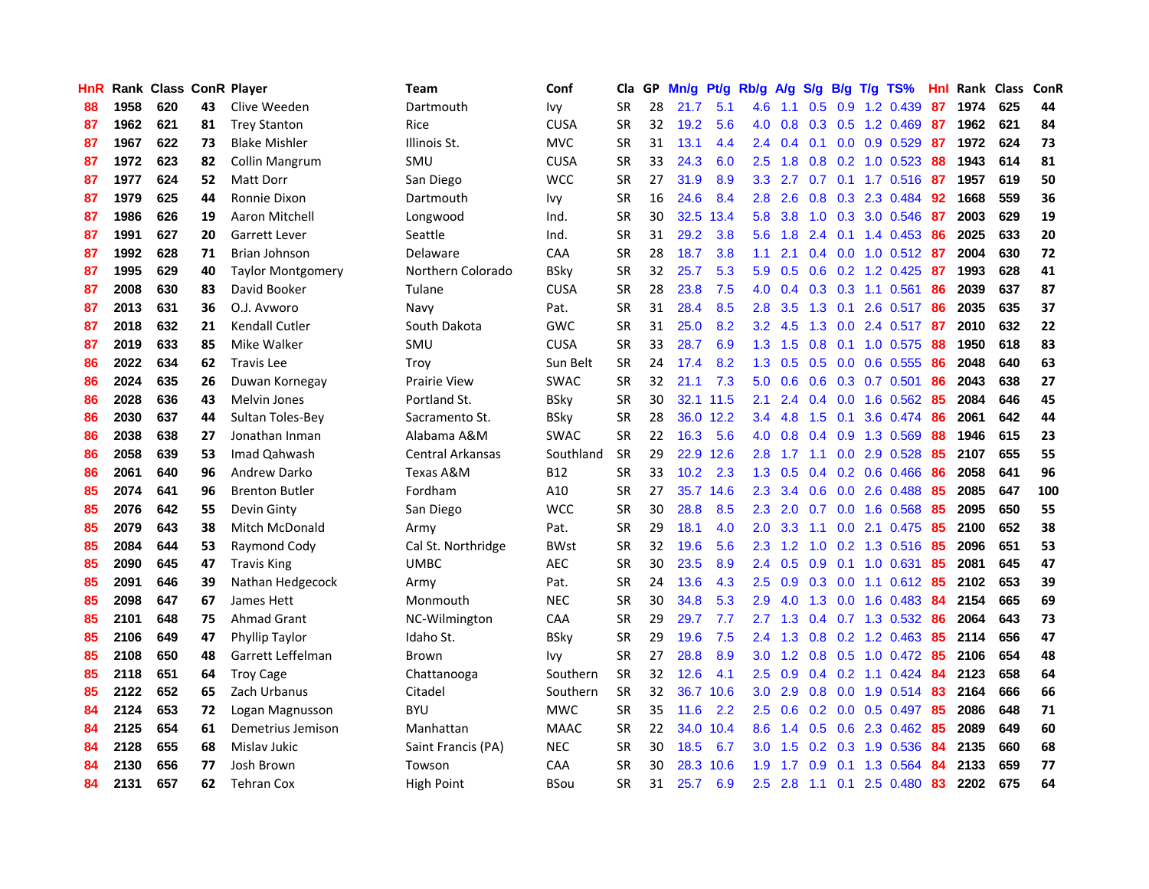| HnR |      | Rank Class ConR Player |    |                          | <b>Team</b>         | Conf        | Cla       |    | GP Mn/g Pt/g Rb/g |           |                  | A/g            |                |                 | S/g B/g T/g TS%         | Hnl | Rank Class |     | ConR |
|-----|------|------------------------|----|--------------------------|---------------------|-------------|-----------|----|-------------------|-----------|------------------|----------------|----------------|-----------------|-------------------------|-----|------------|-----|------|
| 88  | 1958 | 620                    | 43 | Clive Weeden             | Dartmouth           | lvy         | <b>SR</b> | 28 | 21.7              | 5.1       | 4.6              | 1.1            | 0.5            | 0.9             | 1.2 0.439               | 87  | 1974       | 625 | 44   |
| 87  | 1962 | 621                    | 81 | <b>Trey Stanton</b>      | Rice                | <b>CUSA</b> | <b>SR</b> | 32 | 19.2              | 5.6       | 4.0              | 0.8            | 0.3            | 0.5             | 1.2 0.469               | 87  | 1962       | 621 | 84   |
| 87  | 1967 | 622                    | 73 | <b>Blake Mishler</b>     | Illinois St.        | <b>MVC</b>  | <b>SR</b> | 31 | 13.1              | 4.4       | 2.4              | 0.4            | 0.1            | 0.0             | 0.9 0.529               | -87 | 1972       | 624 | 73   |
| 87  | 1972 | 623                    | 82 | Collin Mangrum           | SMU                 | <b>CUSA</b> | <b>SR</b> | 33 | 24.3              | 6.0       | 2.5              | 1.8            |                |                 | 0.8 0.2 1.0 0.523       | 88  | 1943       | 614 | 81   |
| 87  | 1977 | 624                    | 52 | Matt Dorr                | San Diego           | <b>WCC</b>  | <b>SR</b> | 27 | 31.9              | 8.9       |                  | $3.3$ 2.7      |                |                 | 0.7 0.1 1.7 0.516 87    |     | 1957       | 619 | 50   |
| 87  | 1979 | 625                    | 44 | Ronnie Dixon             | Dartmouth           | Ivy         | <b>SR</b> | 16 | 24.6              | 8.4       | 2.8              | 2.6            |                |                 | 0.8 0.3 2.3 0.484       | 92  | 1668       | 559 | 36   |
| 87  | 1986 | 626                    | 19 | Aaron Mitchell           | Longwood            | Ind.        | <b>SR</b> | 30 | 32.5              | 13.4      | 5.8              | 3.8            |                |                 | 1.0 0.3 3.0 0.546       | -87 | 2003       | 629 | 19   |
| 87  | 1991 | 627                    | 20 | Garrett Lever            | Seattle             | Ind.        | <b>SR</b> | 31 | 29.2              | 3.8       | 5.6              | 1.8            |                |                 | 2.4 0.1 1.4 0.453       | 86  | 2025       | 633 | 20   |
| 87  | 1992 | 628                    | 71 | Brian Johnson            | Delaware            | CAA         | <b>SR</b> | 28 | 18.7              | 3.8       | 1.1              | 2.1            |                | $0.4\quad 0.0$  | $1.0$ 0.512             | -87 | 2004       | 630 | 72   |
| 87  | 1995 | 629                    | 40 | <b>Taylor Montgomery</b> | Northern Colorado   | <b>BSky</b> | <b>SR</b> | 32 | 25.7              | 5.3       | 5.9              | 0.5            |                |                 | 0.6 0.2 1.2 0.425       | -87 | 1993       | 628 | 41   |
| 87  | 2008 | 630                    | 83 | David Booker             | Tulane              | <b>CUSA</b> | <b>SR</b> | 28 | 23.8              | 7.5       | 4.0              | 0.4            |                |                 | 0.3 0.3 1.1 0.561       | 86  | 2039       | 637 | 87   |
| 87  | 2013 | 631                    | 36 | O.J. Avworo              | Navy                | Pat.        | <b>SR</b> | 31 | 28.4              | 8.5       | 2.8              | 3.5            | 1.3            | 0.1             | 2.6 0.517               | 86  | 2035       | 635 | 37   |
| 87  | 2018 | 632                    | 21 | <b>Kendall Cutler</b>    | South Dakota        | <b>GWC</b>  | <b>SR</b> | 31 | 25.0              | 8.2       | 3.2              | 4.5            | 1.3            | 0.0             | 2.4 0.517               | -87 | 2010       | 632 | 22   |
| 87  | 2019 | 633                    | 85 | Mike Walker              | SMU                 | <b>CUSA</b> | <b>SR</b> | 33 | 28.7              | 6.9       | 1.3 <sub>1</sub> | 1.5            | 0.8            |                 | $0.1$ 1.0 $0.575$       | 88  | 1950       | 618 | 83   |
| 86  | 2022 | 634                    | 62 | <b>Travis Lee</b>        | Troy                | Sun Belt    | <b>SR</b> | 24 | 17.4              | 8.2       | 1.3              | 0.5            | 0.5            | 0.0             | 0.6 0.555               | 86  | 2048       | 640 | 63   |
| 86  | 2024 | 635                    | 26 | Duwan Kornegay           | <b>Prairie View</b> | <b>SWAC</b> | <b>SR</b> | 32 | 21.1              | 7.3       | 5.0              | 0.6            | 0.6            |                 | $0.3$ 0.7 0.501         | 86  | 2043       | 638 | 27   |
| 86  | 2028 | 636                    | 43 | <b>Melvin Jones</b>      | Portland St.        | <b>BSky</b> | <b>SR</b> | 30 |                   | 32.1 11.5 | 2.1              | $2.4^{\circ}$  |                |                 | $0.4$ 0.0 1.6 0.562     | -85 | 2084       | 646 | 45   |
| 86  | 2030 | 637                    | 44 | Sultan Toles-Bey         | Sacramento St.      | <b>BSky</b> | <b>SR</b> | 28 |                   | 36.0 12.2 | 3.4              | 4.8            |                | $1.5 \t0.1$     | 3.6 0.474               | -86 | 2061       | 642 | 44   |
| 86  | 2038 | 638                    | 27 | Jonathan Inman           | Alabama A&M         | <b>SWAC</b> | <b>SR</b> | 22 | 16.3              | 5.6       |                  | $4.0\quad 0.8$ | $0.4\quad 0.9$ |                 | 1.3 0.569               | 88  | 1946       | 615 | 23   |
| 86  | 2058 | 639                    | 53 | Imad Qahwash             | Central Arkansas    | Southland   | <b>SR</b> | 29 |                   | 22.9 12.6 | 2.8              | 1.7            |                |                 | 1.1 0.0 2.9 0.528       | -85 | 2107       | 655 | 55   |
| 86  | 2061 | 640                    | 96 | Andrew Darko             | Texas A&M           | B12         | <b>SR</b> | 33 | 10.2 <sub>1</sub> | 2.3       | 1.3              | 0.5            |                |                 | $0.4$ 0.2 0.6 0.466     | 86  | 2058       | 641 | 96   |
| 85  | 2074 | 641                    | 96 | <b>Brenton Butler</b>    | Fordham             | A10         | <b>SR</b> | 27 |                   | 35.7 14.6 | $2.3\phantom{0}$ | 3.4            |                |                 | $0.6$ $0.0$ 2.6 $0.488$ | 85  | 2085       | 647 | 100  |
| 85  | 2076 | 642                    | 55 | Devin Ginty              | San Diego           | <b>WCC</b>  | <b>SR</b> | 30 | 28.8              | 8.5       | 2.3              | 2.0            |                |                 | 0.7 0.0 1.6 0.568       | 85  | 2095       | 650 | 55   |
| 85  | 2079 | 643                    | 38 | Mitch McDonald           | Army                | Pat.        | <b>SR</b> | 29 | 18.1              | 4.0       | 2.0              | 3.3            | 1.1            |                 | 0.0 2.1 0.475           | 85  | 2100       | 652 | 38   |
| 85  | 2084 | 644                    | 53 | Raymond Cody             | Cal St. Northridge  | <b>BWst</b> | <b>SR</b> | 32 | 19.6              | 5.6       | 2.3              | 1.2            |                |                 | 1.0 0.2 1.3 0.516       | -85 | 2096       | 651 | 53   |
| 85  | 2090 | 645                    | 47 | <b>Travis King</b>       | <b>UMBC</b>         | <b>AEC</b>  | <b>SR</b> | 30 | 23.5              | 8.9       | 2.4              | 0.5            | 0.9            | 0.1             | 1.0 0.631               | 85  | 2081       | 645 | 47   |
| 85  | 2091 | 646                    | 39 | Nathan Hedgecock         | Army                | Pat.        | <b>SR</b> | 24 | 13.6              | 4.3       | 2.5              | 0.9            | 0.3            | 0.0             | 1.1 0.612               | -85 | 2102       | 653 | 39   |
| 85  | 2098 | 647                    | 67 | James Hett               | Monmouth            | <b>NEC</b>  | <b>SR</b> | 30 | 34.8              | 5.3       | 2.9              | 4.0            | 1.3            | 0.0             | 1.6 0.483               | 84  | 2154       | 665 | 69   |
| 85  | 2101 | 648                    | 75 | <b>Ahmad Grant</b>       | NC-Wilmington       | CAA         | <b>SR</b> | 29 | 29.7              | 7.7       | 2.7              | 1.3            | 0.4            |                 | 0.7 1.3 0.532           | 86  | 2064       | 643 | 73   |
| 85  | 2106 | 649                    | 47 | Phyllip Taylor           | Idaho St.           | <b>BSky</b> | <b>SR</b> | 29 | 19.6              | 7.5       | $2.4^{\circ}$    | 1.3            |                |                 | $0.8$ 0.2 1.2 0.463     | -85 | 2114       | 656 | 47   |
| 85  | 2108 | 650                    | 48 | Garrett Leffelman        | Brown               | Ivv         | <b>SR</b> | 27 | 28.8              | 8.9       | 3.0 <sub>1</sub> | 1.2            |                |                 | 0.8 0.5 1.0 0.472 85    |     | 2106       | 654 | 48   |
| 85  | 2118 | 651                    | 64 | <b>Troy Cage</b>         | Chattanooga         | Southern    | <b>SR</b> | 32 | 12.6              | 4.1       | $2.5^{\circ}$    | 0.9            |                |                 | 0.4 0.2 1.1 0.424 84    |     | 2123       | 658 | 64   |
| 85  | 2122 | 652                    | 65 | Zach Urbanus             | Citadel             | Southern    | <b>SR</b> | 32 |                   | 36.7 10.6 | 3.0              | 2.9            |                |                 | 0.8 0.0 1.9 0.514       | -83 | 2164       | 666 | 66   |
| 84  | 2124 | 653                    | 72 | Logan Magnusson          | <b>BYU</b>          | <b>MWC</b>  | <b>SR</b> | 35 | 11.6              | 2.2       | 2.5              | 0.6            |                |                 | $0.2$ 0.0 0.5 0.497     | 85  | 2086       | 648 | 71   |
| 84  | 2125 | 654                    | 61 | Demetrius Jemison        | Manhattan           | <b>MAAC</b> | <b>SR</b> | 22 | 34.0              | 10.4      | 8.6              | 1.4            |                |                 | 0.5 0.6 2.3 0.462       | 85  | 2089       | 649 | 60   |
| 84  | 2128 | 655                    | 68 | Mislav Jukic             | Saint Francis (PA)  | NEC         | <b>SR</b> | 30 | 18.5              | 6.7       | 3.0              | 1.5            | 0.2            | 0.3             | 1.9 0.536               | 84  | 2135       | 660 | 68   |
| 84  | 2130 | 656                    | 77 | Josh Brown               | Towson              | CAA         | <b>SR</b> | 30 | 28.3              | 10.6      | 1.9              | 1.7            | 0.9            | 0.1             | 1.3 0.564               | 84  | 2133       | 659 | 77   |
| 84  | 2131 | 657                    | 62 | Tehran Cox               | High Point          | BSou        | SR        | 31 | 25.7              | 6.9       | 2.5              | 2.8            |                | $1.1 \quad 0.1$ | 2.5 0.480               | -83 | 2202       | 675 | 64   |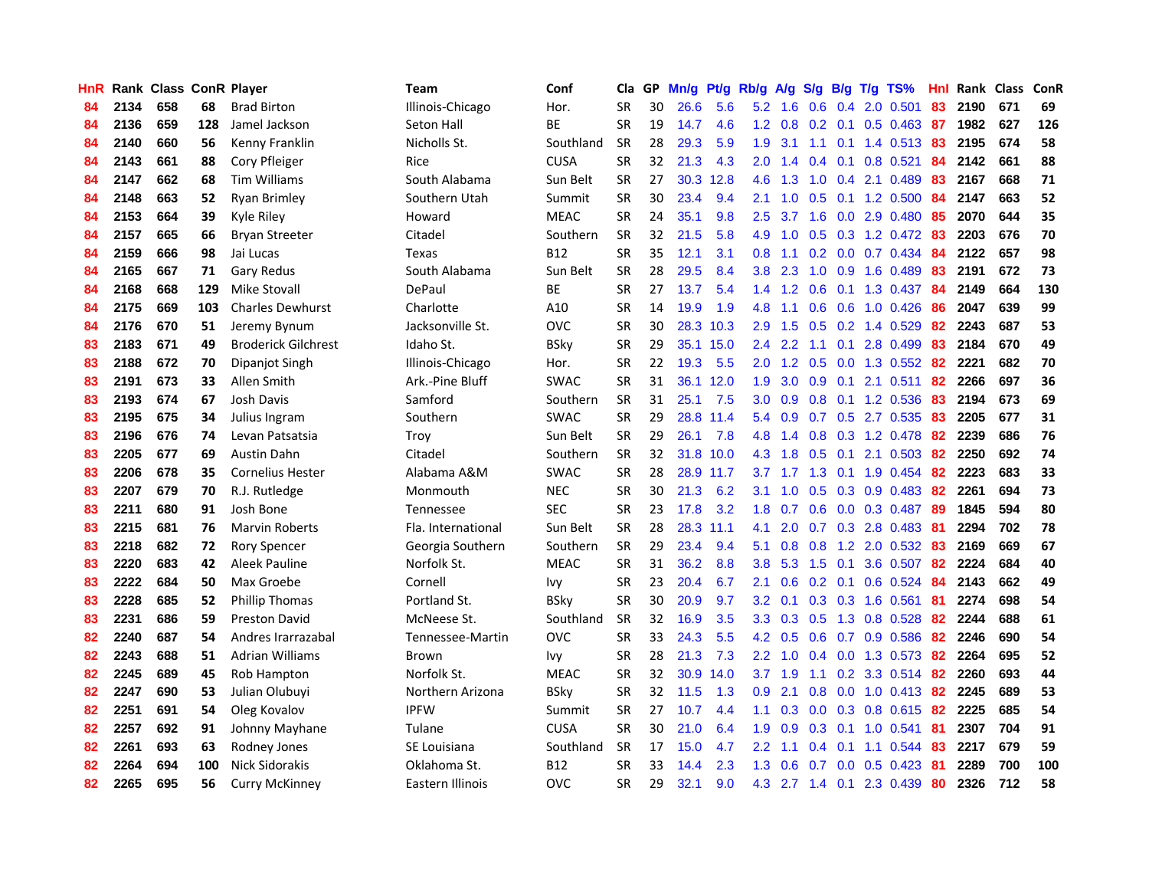| HnR |      | Rank Class ConR Player |     |                            | <b>Team</b>        | Conf        | Cla       |    | GP Mn/g Pt/g Rb/g A/g |           |                  |                 |               |                 | S/g B/g T/g TS%           | Hnl |      | Rank Class ConR |     |
|-----|------|------------------------|-----|----------------------------|--------------------|-------------|-----------|----|-----------------------|-----------|------------------|-----------------|---------------|-----------------|---------------------------|-----|------|-----------------|-----|
| 84  | 2134 | 658                    | 68  | <b>Brad Birton</b>         | Illinois-Chicago   | Hor.        | <b>SR</b> | 30 | 26.6                  | 5.6       | 5.2              | 1.6             | 0.6           | 0.4             | 2.0 0.501                 | 83  | 2190 | 671             | 69  |
| 84  | 2136 | 659                    | 128 | Jamel Jackson              | Seton Hall         | ВE          | <b>SR</b> | 19 | 14.7                  | 4.6       | $1.2^{\circ}$    | 0.8             |               | $0.2 \quad 0.1$ | $0.5$ 0.463               | -87 | 1982 | 627             | 126 |
| 84  | 2140 | 660                    | 56  | Kenny Franklin             | Nicholls St.       | Southland   | <b>SR</b> | 28 | 29.3                  | 5.9       | 1.9              | 3.1             | 1.1           | 0.1             | 1.4 0.513                 | 83  | 2195 | 674             | 58  |
| 84  | 2143 | 661                    | 88  | Cory Pfleiger              | Rice               | <b>CUSA</b> | <b>SR</b> | 32 | 21.3                  | 4.3       | 2.0 <sub>2</sub> | 1.4             |               | $0.4$ 0.1       | $0.8$ 0.521               | 84  | 2142 | 661             | 88  |
| 84  | 2147 | 662                    | 68  | <b>Tim Williams</b>        | South Alabama      | Sun Belt    | <b>SR</b> | 27 |                       | 30.3 12.8 | 4.6              | 1.3             |               |                 | 1.0 0.4 2.1 0.489         | 83  | 2167 | 668             | 71  |
| 84  | 2148 | 663                    | 52  | Ryan Brimley               | Southern Utah      | Summit      | <b>SR</b> | 30 | 23.4                  | 9.4       | 2.1              | 1.0             |               |                 | $0.5$ 0.1 1.2 0.500       | 84  | 2147 | 663             | 52  |
| 84  | 2153 | 664                    | 39  | Kyle Riley                 | Howard             | <b>MEAC</b> | <b>SR</b> | 24 | 35.1                  | 9.8       | 2.5              | 3.7             |               |                 | 1.6 0.0 2.9 0.480         | -85 | 2070 | 644             | 35  |
| 84  | 2157 | 665                    | 66  | <b>Bryan Streeter</b>      | Citadel            | Southern    | <b>SR</b> | 32 | 21.5                  | 5.8       | 4.9              | 1.0             |               |                 | $0.5$ $0.3$ 1.2 $0.472$   | -83 | 2203 | 676             | 70  |
| 84  | 2159 | 666                    | 98  | Jai Lucas                  | Texas              | <b>B12</b>  | <b>SR</b> | 35 | 12.1                  | 3.1       | 0.8              | 1.1             |               |                 | 0.2 0.0 0.7 0.434         | 84  | 2122 | 657             | 98  |
| 84  | 2165 | 667                    | 71  | Gary Redus                 | South Alabama      | Sun Belt    | <b>SR</b> | 28 | 29.5                  | 8.4       | 3.8              | 2.3             | 1.0           | 0.9             | 1.6 0.489                 | 83  | 2191 | 672             | 73  |
| 84  | 2168 | 668                    | 129 | <b>Mike Stovall</b>        | DePaul             | ВE          | <b>SR</b> | 27 | 13.7                  | 5.4       |                  | $1.4$ 1.2       | 0.6           |                 | $0.1$ 1.3 0.437           | 84  | 2149 | 664             | 130 |
| 84  | 2175 | 669                    | 103 | <b>Charles Dewhurst</b>    | Charlotte          | A10         | <b>SR</b> | 14 | 19.9                  | 1.9       | 4.8              | 1.1             | 0.6           | 0.6             | 1.0 0.426                 | 86  | 2047 | 639             | 99  |
| 84  | 2176 | 670                    | 51  | Jeremy Bynum               | Jacksonville St.   | <b>OVC</b>  | <b>SR</b> | 30 |                       | 28.3 10.3 | 2.9              | 1.5             | 0.5           |                 | $0.2$ 1.4 0.529           | 82  | 2243 | 687             | 53  |
| 83  | 2183 | 671                    | 49  | <b>Broderick Gilchrest</b> | Idaho St.          | <b>BSky</b> | <b>SR</b> | 29 |                       | 35.1 15.0 | 2.4              | 2.2             | 1.1           | 0.1             | 2.8 0.499                 | 83  | 2184 | 670             | 49  |
| 83  | 2188 | 672                    | 70  | Dipanjot Singh             | Illinois-Chicago   | Hor.        | <b>SR</b> | 22 | 19.3                  | 5.5       | 2.0 <sub>1</sub> | 1.2             | 0.5           | 0.0             | 1.3 0.552                 | 82  | 2221 | 682             | 70  |
| 83  | 2191 | 673                    | 33  | Allen Smith                | Ark.-Pine Bluff    | <b>SWAC</b> | <b>SR</b> | 31 |                       | 36.1 12.0 | 1.9              | 3.0             | 0.9           | 0.1             | 2.1 0.511                 | 82  | 2266 | 697             | 36  |
| 83  | 2193 | 674                    | 67  | <b>Josh Davis</b>          | Samford            | Southern    | <b>SR</b> | 31 | 25.1                  | 7.5       | 3.0 <sub>1</sub> | 0.9             | 0.8           |                 | $0.1$ 1.2 0.536           | 83  | 2194 | 673             | 69  |
| 83  | 2195 | 675                    | 34  | Julius Ingram              | Southern           | <b>SWAC</b> | <b>SR</b> | 29 |                       | 28.8 11.4 |                  | 5.4 0.9         |               |                 | 0.7 0.5 2.7 0.535         | -83 | 2205 | 677             | 31  |
| 83  | 2196 | 676                    | 74  | Levan Patsatsia            | Trov               | Sun Belt    | <b>SR</b> | 29 | 26.1                  | 7.8       |                  | 4.8 1.4         |               |                 | 0.8 0.3 1.2 0.478 82      |     | 2239 | 686             | 76  |
| 83  | 2205 | 677                    | 69  | Austin Dahn                | Citadel            | Southern    | <b>SR</b> | 32 |                       | 31.8 10.0 |                  | $4.3$ $1.8$     |               |                 | $0.5$ 0.1 2.1 0.503       | 82  | 2250 | 692             | 74  |
| 83  | 2206 | 678                    | 35  | Cornelius Hester           | Alabama A&M        | <b>SWAC</b> | <b>SR</b> | 28 |                       | 28.9 11.7 | 3.7              |                 |               |                 | 1.7 1.3 0.1 1.9 0.454     | 82  | 2223 | 683             | 33  |
| 83  | 2207 | 679                    | 70  | R.J. Rutledge              | Monmouth           | <b>NEC</b>  | <b>SR</b> | 30 | 21.3                  | 6.2       | 3.1              | 1.0             |               |                 | $0.5$ $0.3$ $0.9$ $0.483$ | 82  | 2261 | 694             | 73  |
| 83  | 2211 | 680                    | 91  | Josh Bone                  | <b>Tennessee</b>   | <b>SEC</b>  | <b>SR</b> | 23 | 17.8                  | 3.2       | 1.8              | 0.7             |               |                 | $0.6$ $0.0$ $0.3$ $0.487$ | -89 | 1845 | 594             | 80  |
| 83  | 2215 | 681                    | 76  | <b>Marvin Roberts</b>      | Fla. International | Sun Belt    | <b>SR</b> | 28 | 28.3                  | 11.1      | 4.1              | 2.0             |               |                 | 0.7 0.3 2.8 0.483         | -81 | 2294 | 702             | 78  |
| 83  | 2218 | 682                    | 72  | <b>Rory Spencer</b>        | Georgia Southern   | Southern    | <b>SR</b> | 29 | 23.4                  | 9.4       | 5.1              | 0.8             | 0.8           |                 | 1.2 2.0 0.532             | 83  | 2169 | 669             | 67  |
| 83  | 2220 | 683                    | 42  | Aleek Pauline              | Norfolk St.        | <b>MEAC</b> | <b>SR</b> | 31 | 36.2                  | 8.8       | 3.8              | 5.3             |               | $1.5 \quad 0.1$ | 3.6 0.507                 | 82  | 2224 | 684             | 40  |
| 83  | 2222 | 684                    | 50  | Max Groebe                 | Cornell            | lvy.        | <b>SR</b> | 23 | 20.4                  | 6.7       | 2.1              | 0.6             |               | $0.2 \quad 0.1$ | 0.6 0.524                 | 84  | 2143 | 662             | 49  |
| 83  | 2228 | 685                    | 52  | <b>Phillip Thomas</b>      | Portland St.       | <b>BSky</b> | <b>SR</b> | 30 | 20.9                  | 9.7       | 3.2              | 0.1             |               |                 | $0.3$ $0.3$ 1.6 $0.561$   | -81 | 2274 | 698             | 54  |
| 83  | 2231 | 686                    | 59  | <b>Preston David</b>       | McNeese St.        | Southland   | <b>SR</b> | 32 | 16.9                  | 3.5       | 3.3              | 0.3             | 0.5           |                 | 1.3 0.8 0.528             | 82  | 2244 | 688             | 61  |
| 82  | 2240 | 687                    | 54  | Andres Irarrazabal         | Tennessee-Martin   | <b>OVC</b>  | <b>SR</b> | 33 | 24.3                  | 5.5       | 4.2              | 0.5             | 0.6           |                 | 0.7 0.9 0.586             | 82  | 2246 | 690             | 54  |
| 82  | 2243 | 688                    | 51  | <b>Adrian Williams</b>     | Brown              | lvy         | <b>SR</b> | 28 | 21.3                  | 7.3       | $2.2^{\circ}$    | 1.0             |               |                 | 0.4 0.0 1.3 0.573         | 82  | 2264 | 695             | 52  |
| 82  | 2245 | 689                    | 45  | Rob Hampton                | Norfolk St.        | <b>MEAC</b> | <b>SR</b> | 32 |                       | 30.9 14.0 |                  | $3.7 \quad 1.9$ |               |                 | 1.1 0.2 3.3 0.514         | 82  | 2260 | 693             | 44  |
| 82  | 2247 | 690                    | 53  | Julian Olubuyi             | Northern Arizona   | <b>BSky</b> | <b>SR</b> | 32 | 11.5                  | 1.3       | 0.9 <sup>°</sup> | 2.1             |               |                 | $0.8$ 0.0 1.0 0.413 82    |     | 2245 | 689             | 53  |
| 82  | 2251 | 691                    | 54  | Oleg Kovalov               | <b>IPFW</b>        | Summit      | <b>SR</b> | 27 | 10.7                  | 4.4       | 1.1              | 0.3             |               |                 | 0.0 0.3 0.8 0.615 82      |     | 2225 | 685             | 54  |
| 82  | 2257 | 692                    | 91  | Johnny Mayhane             | Tulane             | <b>CUSA</b> | <b>SR</b> | 30 | 21.0                  | 6.4       | 1.9              | 0.9             |               |                 | $0.3$ 0.1 1.0 0.541       | 81  | 2307 | 704             | 91  |
| 82  | 2261 | 693                    | 63  | Rodney Jones               | SE Louisiana       | Southland   | <b>SR</b> | 17 | 15.0                  | 4.7       | $2.2\phantom{0}$ | 1.1             | $0.4^{\circ}$ | 0.1             | 1.1 0.544                 | 83  | 2217 | 679             | 59  |
| 82  | 2264 | 694                    | 100 | <b>Nick Sidorakis</b>      | Oklahoma St.       | <b>B12</b>  | <b>SR</b> | 33 | 14.4                  | 2.3       | 1.3              | 0.6             | 0.7           | 0.0             | $0.5$ 0.423               | -81 | 2289 | 700             | 100 |
| 82  | 2265 | 695                    | 56  | <b>Curry McKinney</b>      | Eastern Illinois   | <b>OVC</b>  | <b>SR</b> | 29 | 32.1                  | 9.0       | 4.3              |                 |               |                 | 2.7 1.4 0.1 2.3 0.439     | -80 | 2326 | 712             | 58  |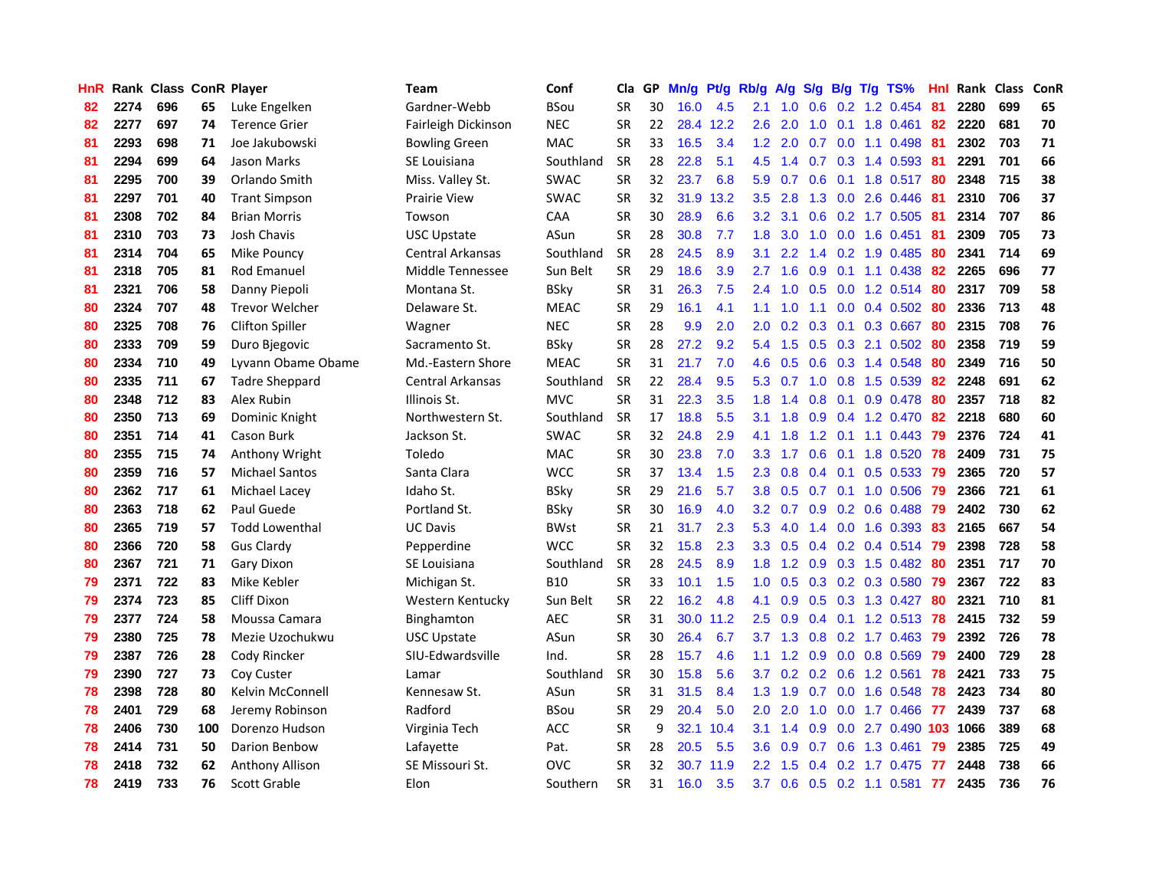| <b>HnR</b> |      | Rank Class ConR Player |     |                        | <b>Team</b>             | Conf        | Cla       |    | GP Mn/g Pt/g Rb/g A/g |           |                  |                            |               |                 | S/g B/g T/g TS%           | Hnl  |      | Rank Class | <b>ConR</b> |
|------------|------|------------------------|-----|------------------------|-------------------------|-------------|-----------|----|-----------------------|-----------|------------------|----------------------------|---------------|-----------------|---------------------------|------|------|------------|-------------|
| 82         | 2274 | 696                    | 65  | Luke Engelken          | Gardner-Webb            | <b>BSou</b> | <b>SR</b> | 30 | 16.0                  | 4.5       | 2.1              | 1.0                        | 0.6           | 0.2             | 1.2 0.454                 | 81   | 2280 | 699        | 65          |
| 82         | 2277 | 697                    | 74  | <b>Terence Grier</b>   | Fairleigh Dickinson     | <b>NEC</b>  | <b>SR</b> | 22 |                       | 28.4 12.2 | 2.6              | 2.0                        | 1.0           | 0.1             | 1.8 0.461                 | 82   | 2220 | 681        | 70          |
| 81         | 2293 | 698                    | 71  | Joe Jakubowski         | <b>Bowling Green</b>    | <b>MAC</b>  | <b>SR</b> | 33 | 16.5                  | 3.4       | $1.2^{\circ}$    | 2.0                        | 0.7           | 0.0             | 1.1 0.498                 | -81  | 2302 | 703        | 71          |
| 81         | 2294 | 699                    | 64  | Jason Marks            | SE Louisiana            | Southland   | <b>SR</b> | 28 | 22.8                  | 5.1       | 4.5              | 1.4                        |               |                 | $0.7$ $0.3$ 1.4 $0.593$   | -81  | 2291 | 701        | 66          |
| 81         | 2295 | 700                    | 39  | Orlando Smith          | Miss. Valley St.        | <b>SWAC</b> | <b>SR</b> | 32 | 23.7                  | 6.8       | 5.9              | 0.7                        |               |                 | $0.6$ 0.1 1.8 0.517       | -80  | 2348 | 715        | 38          |
| 81         | 2297 | 701                    | 40  | <b>Trant Simpson</b>   | <b>Prairie View</b>     | <b>SWAC</b> | <b>SR</b> | 32 |                       | 31.9 13.2 | $3.5^{\circ}$    | 2.8                        |               |                 | 1.3 0.0 2.6 0.446         | -81  | 2310 | 706        | 37          |
| 81         | 2308 | 702                    | 84  | <b>Brian Morris</b>    | Towson                  | <b>CAA</b>  | <b>SR</b> | 30 | 28.9                  | 6.6       | $3.2\phantom{0}$ | 3.1                        |               |                 | $0.6$ $0.2$ 1.7 $0.505$   | -81  | 2314 | 707        | 86          |
| 81         | 2310 | 703                    | 73  | <b>Josh Chavis</b>     | USC Upstate             | ASun        | <b>SR</b> | 28 | 30.8                  | 7.7       | 1.8              | 3.0                        | 1.0           |                 | $0.0$ 1.6 0.451           | 81   | 2309 | 705        | 73          |
| 81         | 2314 | 704                    | 65  | Mike Pouncy            | Central Arkansas        | Southland   | SR        | 28 | 24.5                  | 8.9       | 3.1              | 2.2                        |               |                 | 1.4 0.2 1.9 0.485         | 80   | 2341 | 714        | 69          |
| 81         | 2318 | 705                    | 81  | Rod Emanuel            | Middle Tennessee        | Sun Belt    | <b>SR</b> | 29 | 18.6                  | 3.9       | 2.7              | 1.6                        | 0.9           | 0.1             | 1.1 0.438                 | 82   | 2265 | 696        | 77          |
| 81         | 2321 | 706                    | 58  | Danny Piepoli          | Montana St.             | <b>BSky</b> | <b>SR</b> | 31 | 26.3                  | 7.5       | 2.4              | 1.0                        | 0.5           |                 | $0.0$ 1.2 0.514           | 80   | 2317 | 709        | 58          |
| 80         | 2324 | 707                    | 48  | <b>Trevor Welcher</b>  | Delaware St.            | <b>MEAC</b> | <b>SR</b> | 29 | 16.1                  | 4.1       | 1.1              | 1.0                        | 1.1           | 0.0             | 0.4 0.502                 | 80   | 2336 | 713        | 48          |
| 80         | 2325 | 708                    | 76  | <b>Clifton Spiller</b> | Wagner                  | <b>NEC</b>  | <b>SR</b> | 28 | 9.9                   | 2.0       | 2.0              | 0.2                        | 0.3           | 0.1             | 0.3 0.667                 | 80   | 2315 | 708        | 76          |
| 80         | 2333 | 709                    | 59  | Duro Bjegovic          | Sacramento St.          | <b>BSky</b> | <b>SR</b> | 28 | 27.2                  | 9.2       | 5.4              | 1.5                        | 0.5           | 0.3             | 2.1 0.502                 | 80   | 2358 | 719        | 59          |
| 80         | 2334 | 710                    | 49  | Lyvann Obame Obame     | Md.-Eastern Shore       | <b>MEAC</b> | <b>SR</b> | 31 | 21.7                  | 7.0       | 4.6              | 0.5                        | 0.6           | 0.3             | 1.4 0.548                 | 80   | 2349 | 716        | 50          |
| 80         | 2335 | 711                    | 67  | <b>Tadre Sheppard</b>  | <b>Central Arkansas</b> | Southland   | <b>SR</b> | 22 | 28.4                  | 9.5       | 5.3              | 0.7                        | 1.0           | 0.8             | 1.5 0.539                 | 82   | 2248 | 691        | 62          |
| 80         | 2348 | 712                    | 83  | Alex Rubin             | Illinois St.            | <b>MVC</b>  | <b>SR</b> | 31 | 22.3                  | 3.5       | 1.8              | 1.4                        | 0.8           | 0.1             | 0.9 0.478                 | 80   | 2357 | 718        | 82          |
| 80         | 2350 | 713                    | 69  | Dominic Knight         | Northwestern St.        | Southland   | <b>SR</b> | 17 | 18.8                  | 5.5       | 3.1              | 1.8                        |               |                 | 0.9 0.4 1.2 0.470 82      |      | 2218 | 680        | 60          |
| 80         | 2351 | 714                    | 41  | Cason Burk             | Jackson St.             | <b>SWAC</b> | <b>SR</b> | 32 | 24.8                  | 2.9       | 4.1              | 1.8                        |               |                 | 1.2 0.1 1.1 0.443 79      |      | 2376 | 724        | 41          |
| 80         | 2355 | 715                    | 74  | Anthony Wright         | Toledo                  | MAC         | <b>SR</b> | 30 | 23.8                  | 7.0       | 3.3 <sub>2</sub> | 1.7                        |               |                 | 0.6 0.1 1.8 0.520 78      |      | 2409 | 731        | 75          |
| 80         | 2359 | 716                    | 57  | <b>Michael Santos</b>  | Santa Clara             | <b>WCC</b>  | <b>SR</b> | 37 | 13.4                  | 1.5       | $2.3^{\circ}$    | 0.8                        |               |                 | $0.4$ 0.1 0.5 0.533       | - 79 | 2365 | 720        | 57          |
| 80         | 2362 | 717                    | 61  | Michael Lacey          | Idaho St.               | <b>BSky</b> | <b>SR</b> | 29 | 21.6                  | 5.7       | 3.8              | 0.5                        |               |                 | $0.7$ $0.1$ $1.0$ $0.506$ | -79  | 2366 | 721        | 61          |
| 80         | 2363 | 718                    | 62  | Paul Guede             | Portland St.            | <b>BSky</b> | <b>SR</b> | 30 | 16.9                  | 4.0       | 3.2 <sub>1</sub> | 0.7                        |               |                 | $0.9$ $0.2$ $0.6$ $0.488$ | -79  | 2402 | 730        | 62          |
| 80         | 2365 | 719                    | 57  | <b>Todd Lowenthal</b>  | <b>UC Davis</b>         | <b>BWst</b> | <b>SR</b> | 21 | 31.7                  | 2.3       | 5.3              | 4.0                        |               |                 | 1.4 0.0 1.6 0.393         | -83  | 2165 | 667        | 54          |
| 80         | 2366 | 720                    | 58  | <b>Gus Clardy</b>      | Pepperdine              | <b>WCC</b>  | <b>SR</b> | 32 | 15.8                  | 2.3       | 3.3 <sub>2</sub> | 0.5                        |               |                 | $0.4$ 0.2 0.4 0.514       | -79  | 2398 | 728        | 58          |
| 80         | 2367 | 721                    | 71  | Gary Dixon             | SE Louisiana            | Southland   | <b>SR</b> | 28 | 24.5                  | 8.9       | 1.8 <sup>°</sup> | 1.2                        |               |                 | $0.9$ $0.3$ 1.5 $0.482$   | 80   | 2351 | 717        | 70          |
| 79         | 2371 | 722                    | 83  | Mike Kebler            | Michigan St.            | <b>B10</b>  | <b>SR</b> | 33 | 10.1                  | 1.5       | 1.0              | 0.5                        |               |                 | $0.3$ $0.2$ $0.3$ $0.580$ | -79  | 2367 | 722        | 83          |
| 79         | 2374 | 723                    | 85  | Cliff Dixon            | Western Kentucky        | Sun Belt    | <b>SR</b> | 22 | 16.2                  | 4.8       | 4.1              | 0.9                        | 0.5           |                 | $0.3$ 1.3 0.427           | -80  | 2321 | 710        | 81          |
| 79         | 2377 | 724                    | 58  | Moussa Camara          | Binghamton              | <b>AEC</b>  | SR        | 31 | 30.0                  | 11.2      | 2.5              | 0.9                        |               | $0.4 \quad 0.1$ | $1.2$ 0.513               | 78   | 2415 | 732        | 59          |
| 79         | 2380 | 725                    | 78  | Mezie Uzochukwu        | <b>USC Upstate</b>      | ASun        | <b>SR</b> | 30 | 26.4                  | 6.7       | 3.7              | 1.3                        |               |                 | $0.8$ $0.2$ 1.7 $0.463$   | -79  | 2392 | 726        | 78          |
| 79         | 2387 | 726                    | 28  | Cody Rincker           | SIU-Edwardsville        | Ind.        | <b>SR</b> | 28 | 15.7                  | 4.6       | 1.1              | 1.2                        | 0.9           |                 | 0.0 0.8 0.569             | -79  | 2400 | 729        | 28          |
| 79         | 2390 | 727                    | 73  | Coy Custer             | Lamar                   | Southland   | <b>SR</b> | 30 | 15.8                  | 5.6       | 3.7 <sub>2</sub> |                            |               |                 | 0.2 0.2 0.6 1.2 0.561     | 78   | 2421 | 733        | 75          |
| 78         | 2398 | 728                    | 80  | Kelvin McConnell       | Kennesaw St.            | ASun        | <b>SR</b> | 31 | 31.5                  | 8.4       |                  | $1.3$ 1.9                  | 0.7           |                 | $0.0$ 1.6 0.548           | -78  | 2423 | 734        | 80          |
| 78         | 2401 | 729                    | 68  | Jeremy Robinson        | Radford                 | <b>BSou</b> | <b>SR</b> | 29 | 20.4                  | 5.0       | 2.0              | 2.0                        | 1.0           | 0.0             | 1.7 0.466                 | -77  | 2439 | 737        | 68          |
| 78         | 2406 | 730                    | 100 | Dorenzo Hudson         | Virginia Tech           | ACC         | <b>SR</b> | 9  |                       | 32.1 10.4 | 3.1              | 1.4                        | 0.9           |                 | 0.0 2.7 0.490 103         |      | 1066 | 389        | 68          |
| 78         | 2414 | 731                    | 50  | Darion Benbow          | Lafayette               | Pat.        | <b>SR</b> | 28 | 20.5                  | 5.5       | 3.6              | 0.9                        | 0.7           | 0.6             | 1.3 0.461                 | 79   | 2385 | 725        | 49          |
| 78         | 2418 | 732                    | 62  | Anthony Allison        | SE Missouri St.         | ovc         | <b>SR</b> | 32 | 30.7                  | 11.9      | $2.2\phantom{0}$ | .5<br>$\blacktriangleleft$ | $0.4^{\circ}$ | 0.2             | 1.7 0.475                 | -77  | 2448 | 738        | 66          |
| 78         | 2419 | 733                    | 76  | <b>Scott Grable</b>    | Elon                    | Southern    | <b>SR</b> | 31 | 16.0                  | 3.5       | 3.7              | 0.6                        |               |                 | $0.5$ 0.2 1.1 0.581       | 77   | 2435 | 736        | 76          |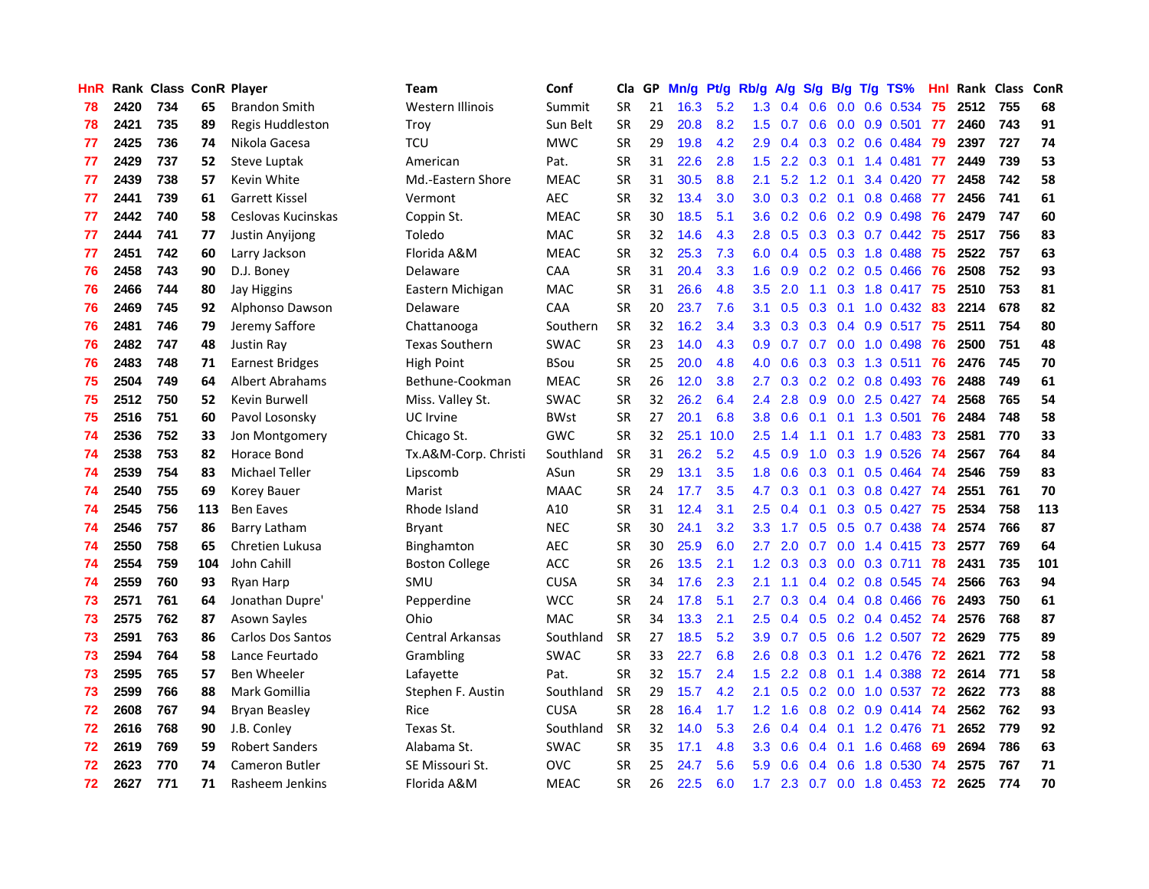| HnR. |      | Rank Class ConR Player |     |                          | <b>Team</b>             | Conf        | Cla       | GP. | Mn/g Pt/g Rb/g A/g S/g B/g T/g TS% |           |                  |                 |                 |                 |                           | Hnl |      | Rank Class | <b>ConR</b> |
|------|------|------------------------|-----|--------------------------|-------------------------|-------------|-----------|-----|------------------------------------|-----------|------------------|-----------------|-----------------|-----------------|---------------------------|-----|------|------------|-------------|
| 78   | 2420 | 734                    | 65  | <b>Brandon Smith</b>     | Western Illinois        | Summit      | <b>SR</b> | 21  | 16.3                               | 5.2       | 1.3              | 0.4             | 0.6             | 0.0             | 0.6 0.534                 | 75  | 2512 | 755        | 68          |
| 78   | 2421 | 735                    | 89  | Regis Huddleston         | Troy                    | Sun Belt    | <b>SR</b> | 29  | 20.8                               | 8.2       | 1.5              | 0.7             | 0.6             | 0.0             | 0.9 0.501                 | -77 | 2460 | 743        | 91          |
| 77   | 2425 | 736                    | 74  | Nikola Gacesa            | <b>TCU</b>              | <b>MWC</b>  | <b>SR</b> | 29  | 19.8                               | 4.2       | 2.9              | 0.4             |                 | $0.3 \quad 0.2$ | 0.6 0.484                 | -79 | 2397 | 727        | 74          |
| 77   | 2429 | 737                    | 52  | Steve Luptak             | American                | Pat.        | <b>SR</b> | 31  | 22.6                               | 2.8       | 1.5              | $2.2^{\circ}$   | $0.3 \quad 0.1$ |                 | 1.4 0.481                 | -77 | 2449 | 739        | 53          |
| 77   | 2439 | 738                    | 57  | Kevin White              | Md.-Eastern Shore       | <b>MEAC</b> | <b>SR</b> | 31  | 30.5                               | 8.8       | 2.1              | 5.2             | $1.2 \quad 0.1$ |                 | 3.4 0.420 77              |     | 2458 | 742        | 58          |
| 77   | 2441 | 739                    | 61  | <b>Garrett Kissel</b>    | Vermont                 | <b>AEC</b>  | <b>SR</b> | 32  | 13.4                               | 3.0       |                  | $3.0 \quad 0.3$ |                 |                 | $0.2$ 0.1 0.8 0.468       | -77 | 2456 | 741        | 61          |
| 77   | 2442 | 740                    | 58  | Ceslovas Kucinskas       | Coppin St.              | <b>MEAC</b> | <b>SR</b> | 30  | 18.5                               | 5.1       | 3.6              | 0.2             |                 |                 | $0.6$ $0.2$ $0.9$ $0.498$ | 76  | 2479 | 747        | 60          |
| 77   | 2444 | 741                    | 77  | Justin Anyijong          | Toledo                  | <b>MAC</b>  | <b>SR</b> | 32  | 14.6                               | 4.3       | 2.8              | 0.5             |                 |                 | $0.3$ $0.3$ $0.7$ $0.442$ | -75 | 2517 | 756        | 83          |
| 77   | 2451 | 742                    | 60  | Larry Jackson            | Florida A&M             | <b>MEAC</b> | SR        | 32  | 25.3                               | 7.3       | 6.0              | 0.4             |                 |                 | 0.5 0.3 1.8 0.488         | 75  | 2522 | 757        | 63          |
| 76   | 2458 | 743                    | 90  | D.J. Boney               | Delaware                | CAA         | <b>SR</b> | 31  | 20.4                               | 3.3       | 1.6              | 0.9             |                 |                 | $0.2$ 0.2 0.5 0.466       | 76  | 2508 | 752        | 93          |
| 76   | 2466 | 744                    | 80  | Jay Higgins              | Eastern Michigan        | MAC         | <b>SR</b> | 31  | 26.6                               | 4.8       | 3.5              | 2.0             | 1.1             |                 | $0.3$ 1.8 $0.417$         | 75  | 2510 | 753        | 81          |
| 76   | 2469 | 745                    | 92  | Alphonso Dawson          | Delaware                | CAA         | <b>SR</b> | 20  | 23.7                               | 7.6       | 3.1              | 0.5             |                 |                 | $0.3$ 0.1 1.0 0.432       | -83 | 2214 | 678        | 82          |
| 76   | 2481 | 746                    | 79  | Jeremy Saffore           | Chattanooga             | Southern    | SR        | 32  | 16.2                               | 3.4       | 3.3 <sub>1</sub> | 0.3             |                 |                 | 0.3 0.4 0.9 0.517         | 75  | 2511 | 754        | 80          |
| 76   | 2482 | 747                    | 48  | Justin Ray               | <b>Texas Southern</b>   | <b>SWAC</b> | <b>SR</b> | 23  | 14.0                               | 4.3       | 0.9              | 0.7             | 0.7             | 0.0             | 1.0 0.498                 | 76  | 2500 | 751        | 48          |
| 76   | 2483 | 748                    | 71  | <b>Earnest Bridges</b>   | <b>High Point</b>       | <b>BSou</b> | <b>SR</b> | 25  | 20.0                               | 4.8       | 4.0              | 0.6             | 0.3             |                 | 0.3 1.3 0.511             | -76 | 2476 | 745        | 70          |
| 75   | 2504 | 749                    | 64  | <b>Albert Abrahams</b>   | Bethune-Cookman         | <b>MEAC</b> | <b>SR</b> | 26  | 12.0                               | 3.8       | 2.7              | 0.3             |                 |                 | $0.2$ $0.2$ $0.8$ $0.493$ | -76 | 2488 | 749        | 61          |
| 75   | 2512 | 750                    | 52  | Kevin Burwell            | Miss. Valley St.        | <b>SWAC</b> | <b>SR</b> | 32  | 26.2                               | 6.4       | $2.4\,$          | 2.8             |                 |                 | $0.9$ $0.0$ 2.5 $0.427$   | -74 | 2568 | 765        | 54          |
| 75   | 2516 | 751                    | 60  | Pavol Losonsky           | <b>UC</b> Irvine        | <b>BWst</b> | <b>SR</b> | 27  | 20.1                               | 6.8       | 3.8              | 0.6             | 0.1             |                 | $0.1$ 1.3 0.501           | -76 | 2484 | 748        | 58          |
| 74   | 2536 | 752                    | 33  | Jon Montgomery           | Chicago St.             | <b>GWC</b>  | <b>SR</b> | 32  |                                    | 25.1 10.0 | 2.5              | 1.4             | 1.1             |                 | 0.1 1.7 0.483 73          |     | 2581 | 770        | 33          |
| 74   | 2538 | 753                    | 82  | Horace Bond              | Tx.A&M-Corp. Christi    | Southland   | <b>SR</b> | 31  | 26.2                               | 5.2       |                  | 4.5 0.9         |                 |                 | 1.0 0.3 1.9 0.526         | -74 | 2567 | 764        | 84          |
| 74   | 2539 | 754                    | 83  | Michael Teller           | Lipscomb                | ASun        | <b>SR</b> | 29  | 13.1                               | 3.5       | 1.8              | 0.6             |                 |                 | 0.3 0.1 0.5 0.464 74      |     | 2546 | 759        | 83          |
| 74   | 2540 | 755                    | 69  | Korey Bauer              | Marist                  | <b>MAAC</b> | <b>SR</b> | 24  | 17.7                               | 3.5       | 4.7              | 0.3             |                 |                 | 0.1 0.3 0.8 0.427 74      |     | 2551 | 761        | 70          |
| 74   | 2545 | 756                    | 113 | <b>Ben Eaves</b>         | Rhode Island            | A10         | SR        | 31  | 12.4                               | 3.1       | 2.5              | 0.4             | 0.1             |                 | 0.3 0.5 0.427 75          |     | 2534 | 758        | 113         |
| 74   | 2546 | 757                    | 86  | Barry Latham             | <b>Bryant</b>           | <b>NEC</b>  | <b>SR</b> | 30  | 24.1                               | 3.2       | 3.3              | 1.7             |                 |                 | 0.5 0.5 0.7 0.438         | -74 | 2574 | 766        | 87          |
| 74   | 2550 | 758                    | 65  | Chretien Lukusa          | Binghamton              | <b>AEC</b>  | <b>SR</b> | 30  | 25.9                               | 6.0       | 2.7              | 2.0             | 0.7             |                 | $0.0$ 1.4 0.415           | 73  | 2577 | 769        | 64          |
| 74   | 2554 | 759                    | 104 | John Cahill              | <b>Boston College</b>   | ACC         | <b>SR</b> | 26  | 13.5                               | 2.1       | 1.2 <sub>1</sub> | 0.3             |                 |                 | $0.3$ $0.0$ $0.3$ $0.711$ | 78  | 2431 | 735        | 101         |
| 74   | 2559 | 760                    | 93  | Ryan Harp                | SMU                     | <b>CUSA</b> | <b>SR</b> | 34  | 17.6                               | 2.3       | 2.1              | 1.1             |                 |                 | $0.4$ 0.2 0.8 0.545       | -74 | 2566 | 763        | 94          |
| 73   | 2571 | 761                    | 64  | Jonathan Dupre'          | Pepperdine              | <b>WCC</b>  | <b>SR</b> | 24  | 17.8                               | 5.1       | 2.7              | 0.3             |                 |                 | $0.4$ 0.4 0.8 0.466       | -76 | 2493 | 750        | 61          |
| 73   | 2575 | 762                    | 87  | <b>Asown Sayles</b>      | Ohio                    | <b>MAC</b>  | SR        | 34  | 13.3                               | 2.1       | 2.5              | 0.4             |                 |                 | $0.5$ 0.2 0.4 0.452       | -74 | 2576 | 768        | 87          |
| 73   | 2591 | 763                    | 86  | <b>Carlos Dos Santos</b> | <b>Central Arkansas</b> | Southland   | <b>SR</b> | 27  | 18.5                               | 5.2       | 3.9              | 0.7             |                 | $0.5 \quad 0.6$ | 1.2 0.507                 | 72  | 2629 | 775        | 89          |
| 73   | 2594 | 764                    | 58  | Lance Feurtado           | Grambling               | <b>SWAC</b> | <b>SR</b> | 33  | 22.7                               | 6.8       | 2.6              | 0.8             |                 |                 | $0.3$ 0.1 1.2 0.476       | 72  | 2621 | 772        | 58          |
| 73   | 2595 | 765                    | 57  | Ben Wheeler              | Lafayette               | Pat.        | <b>SR</b> | 32  | 15.7                               | 2.4       | 1.5              | 2.2             |                 |                 | 0.8 0.1 1.4 0.388         | 72  | 2614 | 771        | 58          |
| 73   | 2599 | 766                    | 88  | Mark Gomillia            | Stephen F. Austin       | Southland   | <b>SR</b> | 29  | 15.7                               | 4.2       | 2.1              | 0.5             |                 |                 | 0.2 0.0 1.0 0.537 72      |     | 2622 | 773        | 88          |
| 72   | 2608 | 767                    | 94  | <b>Bryan Beasley</b>     | Rice                    | <b>CUSA</b> | <b>SR</b> | 28  | 16.4                               | 1.7       | 1.2 <sub>1</sub> | 1.6             |                 |                 | 0.8 0.2 0.9 0.414 74      |     | 2562 | 762        | 93          |
| 72   | 2616 | 768                    | 90  | J.B. Conley              | Texas St.               | Southland   | <b>SR</b> | 32  | 14.0                               | 5.3       | 2.6              | 0.4             |                 |                 | $0.4$ 0.1 1.2 0.476       | -71 | 2652 | 779        | 92          |
| 72   | 2619 | 769                    | 59  | <b>Robert Sanders</b>    | Alabama St.             | <b>SWAC</b> | <b>SR</b> | 35  | 17.1                               | 4.8       | 3.3              | 0.6             |                 |                 | $0.4$ 0.1 1.6 0.468       | 69  | 2694 | 786        | 63          |
| 72   | 2623 | 770                    | 74  | <b>Cameron Butler</b>    | SE Missouri St.         | <b>OVC</b>  | <b>SR</b> | 25  | 24.7                               | 5.6       | 5.9              | 0.6             | $0.4^{\circ}$   | 0.6             | 1.8 0.530                 | -74 | 2575 | 767        | 71          |
| 72   | 2627 | 771                    | 71  | Rasheem Jenkins          | Florida A&M             | <b>MEAC</b> | <b>SR</b> | 26  | 22.5                               | 6.0       | 1.7 <sub>z</sub> | 2.3             |                 |                 | $0.7$ 0.0 1.8 0.453       | 72  | 2625 | 774        | 70          |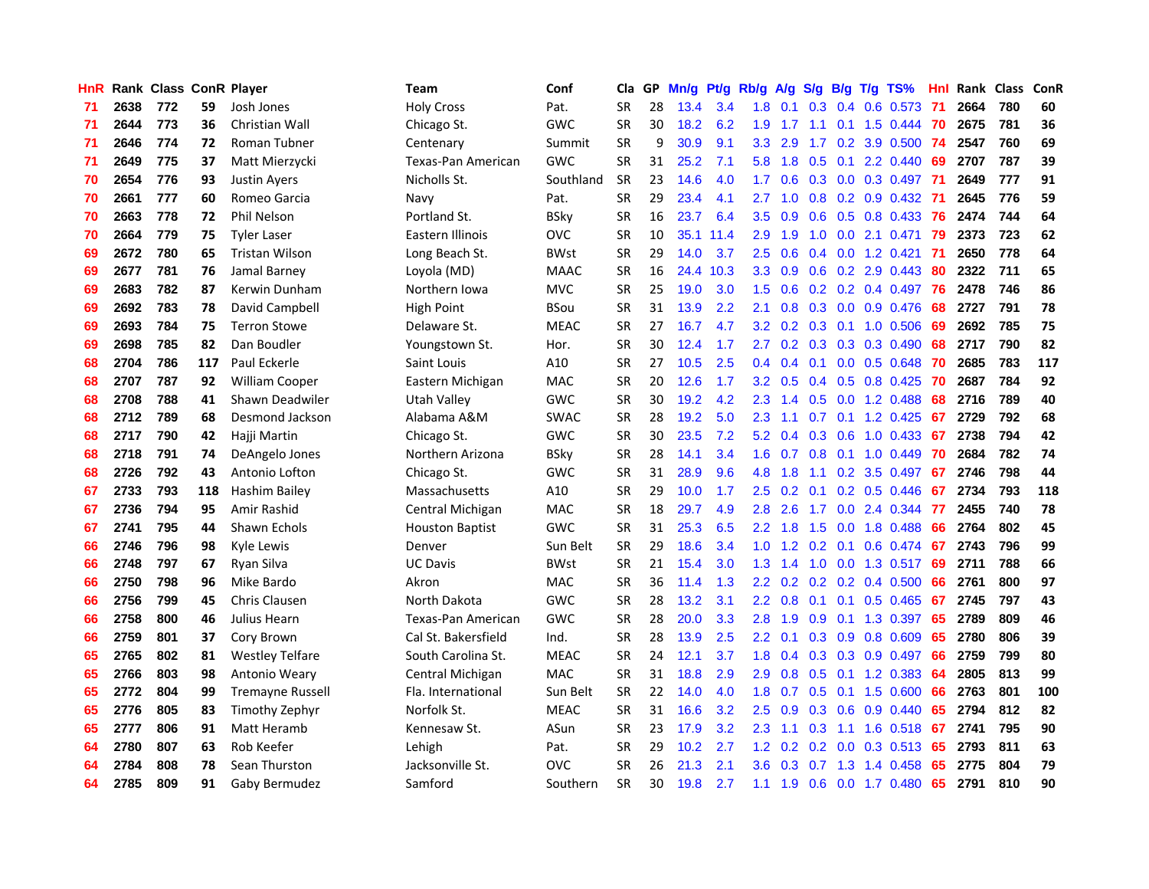| HnR |      | Rank Class ConR Player |     |                         | <b>Team</b>            | Conf        | Cla       |    | GP Mn/g Pt/g Rb/g A/g |           |                  |                 |                  |                 | S/g B/g T/g TS%           | Hnl |      | Rank Class | <b>ConR</b> |
|-----|------|------------------------|-----|-------------------------|------------------------|-------------|-----------|----|-----------------------|-----------|------------------|-----------------|------------------|-----------------|---------------------------|-----|------|------------|-------------|
| 71  | 2638 | 772                    | 59  | Josh Jones              | <b>Holy Cross</b>      | Pat.        | <b>SR</b> | 28 | 13.4                  | 3.4       | 1.8              | 0.1             | 0.3 <sub>0</sub> | 0.4             | 0.6 0.573                 | -71 | 2664 | 780        | 60          |
| 71  | 2644 | 773                    | 36  | Christian Wall          | Chicago St.            | <b>GWC</b>  | <b>SR</b> | 30 | 18.2                  | 6.2       | 1.9              | 1.7             | 1.1              | 0.1             | 1.5 0.444                 | -70 | 2675 | 781        | 36          |
| 71  | 2646 | 774                    | 72  | Roman Tubner            | Centenary              | Summit      | <b>SR</b> | 9  | 30.9                  | 9.1       | 3.3              | 2.9             | 1.7              | 0.2             | 3.9 0.500                 | -74 | 2547 | 760        | 69          |
| 71  | 2649 | 775                    | 37  | Matt Mierzycki          | Texas-Pan American     | <b>GWC</b>  | <b>SR</b> | 31 | 25.2                  | 7.1       | 5.8              | 1.8             | 0.5              |                 | $0.1$ 2.2 $0.440$         | -69 | 2707 | 787        | 39          |
| 70  | 2654 | 776                    | 93  | <b>Justin Ayers</b>     | Nicholls St.           | Southland   | <b>SR</b> | 23 | 14.6                  | 4.0       | 1.7              | 0.6             |                  |                 | 0.3 0.0 0.3 0.497 71      |     | 2649 | 777        | 91          |
| 70  | 2661 | 777                    | 60  | Romeo Garcia            | Navy                   | Pat.        | <b>SR</b> | 29 | 23.4                  | 4.1       | 2.7              | 1.0             |                  |                 | $0.8$ $0.2$ $0.9$ $0.432$ | -71 | 2645 | 776        | 59          |
| 70  | 2663 | 778                    | 72  | Phil Nelson             | Portland St.           | <b>BSky</b> | <b>SR</b> | 16 | 23.7                  | 6.4       | $3.5^{\circ}$    | 0.9             |                  |                 | $0.6$ $0.5$ $0.8$ $0.433$ | -76 | 2474 | 744        | 64          |
| 70  | 2664 | 779                    | 75  | <b>Tyler Laser</b>      | Eastern Illinois       | <b>OVC</b>  | <b>SR</b> | 10 |                       | 35.1 11.4 | 2.9              | 1.9             |                  |                 | 1.0 0.0 2.1 0.471         | -79 | 2373 | 723        | 62          |
| 69  | 2672 | 780                    | 65  | <b>Tristan Wilson</b>   | Long Beach St.         | <b>BWst</b> | SR        | 29 | 14.0                  | 3.7       | 2.5              | 0.6             |                  |                 | $0.4$ 0.0 1.2 0.421       | -71 | 2650 | 778        | 64          |
| 69  | 2677 | 781                    | 76  | Jamal Barney            | Loyola (MD)            | <b>MAAC</b> | <b>SR</b> | 16 | 24.4                  | 10.3      | 3.3 <sub>2</sub> | 0.9             |                  |                 | $0.6$ $0.2$ $2.9$ $0.443$ | 80  | 2322 | 711        | 65          |
| 69  | 2683 | 782                    | 87  | Kerwin Dunham           | Northern Iowa          | <b>MVC</b>  | <b>SR</b> | 25 | 19.0                  | 3.0       | 1.5              | 0.6             |                  |                 | $0.2$ 0.2 0.4 0.497       | 76  | 2478 | 746        | 86          |
| 69  | 2692 | 783                    | 78  | David Campbell          | <b>High Point</b>      | <b>BSou</b> | <b>SR</b> | 31 | 13.9                  | 2.2       | 2.1              | 0.8             |                  |                 | 0.3 0.0 0.9 0.476         | 68  | 2727 | 791        | 78          |
| 69  | 2693 | 784                    | 75  | <b>Terron Stowe</b>     | Delaware St.           | <b>MEAC</b> | <b>SR</b> | 27 | 16.7                  | 4.7       | 3.2 <sub>2</sub> | 0.2             |                  | $0.3 \quad 0.1$ | 1.0 0.506                 | 69  | 2692 | 785        | 75          |
| 69  | 2698 | 785                    | 82  | Dan Boudler             | Youngstown St.         | Hor.        | <b>SR</b> | 30 | 12.4                  | 1.7       | 2.7              | 0.2             | 0.3              | 0.3             | 0.3 0.490                 | 68  | 2717 | 790        | 82          |
| 68  | 2704 | 786                    | 117 | Paul Eckerle            | Saint Louis            | A10         | <b>SR</b> | 27 | 10.5                  | 2.5       | 0.4              | 0.4             | 0.1              | 0.0             | 0.5 0.648                 | 70  | 2685 | 783        | 117         |
| 68  | 2707 | 787                    | 92  | <b>William Cooper</b>   | Eastern Michigan       | <b>MAC</b>  | <b>SR</b> | 20 | 12.6                  | 1.7       | 3.2 <sub>2</sub> | 0.5             |                  | $0.4 \quad 0.5$ | 0.8 0.425                 | -70 | 2687 | 784        | 92          |
| 68  | 2708 | 788                    | 41  | Shawn Deadwiler         | Utah Valley            | <b>GWC</b>  | <b>SR</b> | 30 | 19.2                  | 4.2       | 2.3              | 1.4             |                  | $0.5\quad 0.0$  | 1.2 0.488                 | 68  | 2716 | 789        | 40          |
| 68  | 2712 | 789                    | 68  | Desmond Jackson         | Alabama A&M            | <b>SWAC</b> | <b>SR</b> | 28 | 19.2                  | 5.0       | 2.3              | 1.1             |                  |                 | $0.7$ 0.1 1.2 0.425       | -67 | 2729 | 792        | 68          |
| 68  | 2717 | 790                    | 42  | Hajji Martin            | Chicago St.            | <b>GWC</b>  | <b>SR</b> | 30 | 23.5                  | 7.2       |                  | $5.2 \quad 0.4$ |                  |                 | 0.3 0.6 1.0 0.433 67      |     | 2738 | 794        | 42          |
| 68  | 2718 | 791                    | 74  | DeAngelo Jones          | Northern Arizona       | <b>BSky</b> | <b>SR</b> | 28 | 14.1                  | 3.4       |                  | $1.6 \quad 0.7$ |                  |                 | $0.8$ 0.1 1.0 0.449       | -70 | 2684 | 782        | 74          |
| 68  | 2726 | 792                    | 43  | Antonio Lofton          | Chicago St.            | GWC         | <b>SR</b> | 31 | 28.9                  | 9.6       |                  | 4.8 1.8         |                  |                 | 1.1 0.2 3.5 0.497         | -67 | 2746 | 798        | 44          |
| 67  | 2733 | 793                    | 118 | Hashim Bailey           | Massachusetts          | A10         | <b>SR</b> | 29 | 10.0                  | 1.7       | 2.5              | 0.2             | 0.1              |                 | 0.2 0.5 0.446             | -67 | 2734 | 793        | 118         |
| 67  | 2736 | 794                    | 95  | Amir Rashid             | Central Michigan       | <b>MAC</b>  | <b>SR</b> | 18 | 29.7                  | 4.9       | 2.8              | 2.6             | 1.7              |                 | 0.0 2.4 0.344             | 77  | 2455 | 740        | 78          |
| 67  | 2741 | 795                    | 44  | Shawn Echols            | <b>Houston Baptist</b> | <b>GWC</b>  | <b>SR</b> | 31 | 25.3                  | 6.5       | $2.2^{\circ}$    | 1.8             | 1.5              | 0.0             | 1.8 0.488                 | 66  | 2764 | 802        | 45          |
| 66  | 2746 | 796                    | 98  | <b>Kyle Lewis</b>       | Denver                 | Sun Belt    | <b>SR</b> | 29 | 18.6                  | 3.4       | 1.0              | 1.2             |                  | $0.2 \quad 0.1$ | 0.6 0.474                 | 67  | 2743 | 796        | 99          |
| 66  | 2748 | 797                    | 67  | Ryan Silva              | <b>UC Davis</b>        | <b>BWst</b> | <b>SR</b> | 21 | 15.4                  | 3.0       | 1.3              | 1.4             |                  |                 | 1.0 0.0 1.3 0.517         | 69  | 2711 | 788        | 66          |
| 66  | 2750 | 798                    | 96  | Mike Bardo              | Akron                  | MAC         | <b>SR</b> | 36 | 11.4                  | 1.3       | $2.2^{\circ}$    | 0.2             |                  |                 | $0.2$ 0.2 0.4 0.500       | 66  | 2761 | 800        | 97          |
| 66  | 2756 | 799                    | 45  | Chris Clausen           | North Dakota           | <b>GWC</b>  | <b>SR</b> | 28 | 13.2                  | 3.1       | $2.2\,$          | 0.8             | 0.1              | 0.1             | 0.5 0.465                 | 67  | 2745 | 797        | 43          |
| 66  | 2758 | 800                    | 46  | Julius Hearn            | Texas-Pan American     | <b>GWC</b>  | SR        | 28 | 20.0                  | 3.3       | 2.8              | 1.9             | 0.9              | 0.1             | 1.3 0.397                 | 65  | 2789 | 809        | 46          |
| 66  | 2759 | 801                    | 37  | Cory Brown              | Cal St. Bakersfield    | Ind.        | <b>SR</b> | 28 | 13.9                  | 2.5       | $2.2\,$          | 0.1             |                  | $0.3 \quad 0.9$ | 0.8 0.609                 | 65  | 2780 | 806        | 39          |
| 65  | 2765 | 802                    | 81  | <b>Westley Telfare</b>  | South Carolina St.     | <b>MEAC</b> | <b>SR</b> | 24 | 12.1                  | 3.7       | 1.8              | 0.4             |                  |                 | $0.3$ $0.3$ $0.9$ $0.497$ | 66  | 2759 | 799        | 80          |
| 65  | 2766 | 803                    | 98  | Antonio Weary           | Central Michigan       | <b>MAC</b>  | <b>SR</b> | 31 | 18.8                  | 2.9       | 2.9              | 0.8             |                  |                 | 0.5 0.1 1.2 0.383         | -64 | 2805 | 813        | 99          |
| 65  | 2772 | 804                    | 99  | <b>Tremayne Russell</b> | Fla. International     | Sun Belt    | <b>SR</b> | 22 | 14.0                  | 4.0       | 1.8 <sup>°</sup> | 0.7             |                  |                 | $0.5$ 0.1 1.5 0.600       | 66  | 2763 | 801        | 100         |
| 65  | 2776 | 805                    | 83  | Timothy Zephyr          | Norfolk St.            | <b>MEAC</b> | <b>SR</b> | 31 | 16.6                  | 3.2       | 2.5              | 0.9             |                  |                 | $0.3$ $0.6$ $0.9$ $0.440$ | 65  | 2794 | 812        | 82          |
| 65  | 2777 | 806                    | 91  | Matt Heramb             | Kennesaw St.           | ASun        | <b>SR</b> | 23 | 17.9                  | 3.2       | $2.3\degree$     | 1.1             | 0.3              |                 | 1.1 1.6 0.518             | 67  | 2741 | 795        | 90          |
| 64  | 2780 | 807                    | 63  | Rob Keefer              | Lehigh                 | Pat.        | <b>SR</b> | 29 | 10.2                  | 2.7       | $1.2^{\circ}$    | 0.2             | 0.2              | 0.0             | $0.3$ 0.513               | 65  | 2793 | 811        | 63          |
| 64  | 2784 | 808                    | 78  | Sean Thurston           | Jacksonville St.       | ovc         | <b>SR</b> | 26 | 21.3                  | 2.1       | 3.6              | 0.3             | 0.7              | 1.3             | 1.4 0.458                 | 65  | 2775 | 804        | 79          |
| 64  | 2785 | 809                    | 91  | Gaby Bermudez           | Samford                | Southern    | <b>SR</b> | 30 | 19.8                  | 2.7       |                  | $1.1 \quad 1.9$ |                  |                 | $0.6$ 0.0 1.7 0.480       | 65  | 2791 | 810        | 90          |